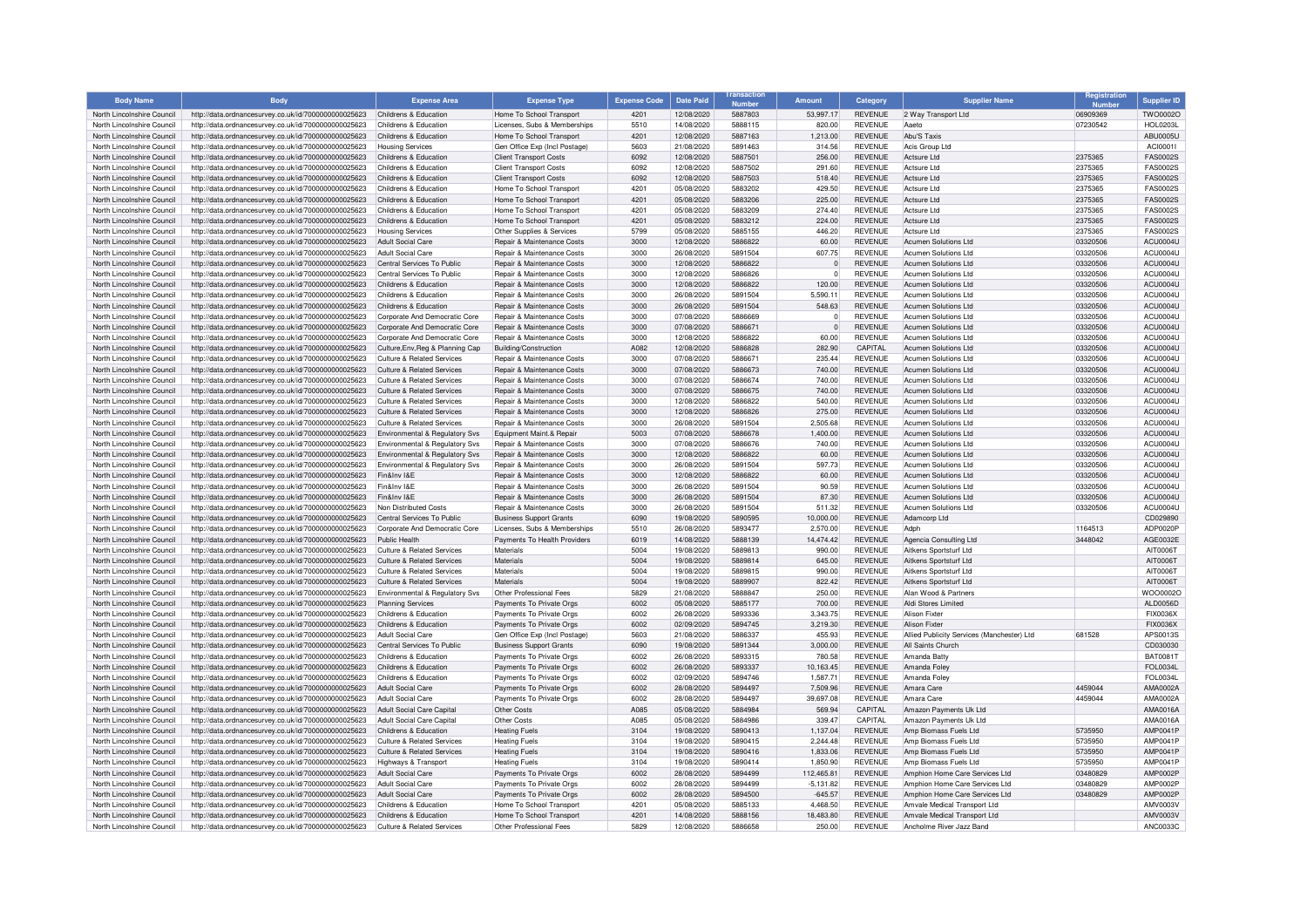| <b>Body Name</b>                                         | <b>Body</b>                                                                                                  | <b>Expense Area</b>                                                 | <b>Expense Type</b>                                       | <b>Expense Code</b> | <b>Date Paid</b>         | <b>Numbor</b>      | <b>Amount</b>       | Category                         | <b>Supplier Name</b>                                     | Registration         | <b>Supplier ID</b>                 |
|----------------------------------------------------------|--------------------------------------------------------------------------------------------------------------|---------------------------------------------------------------------|-----------------------------------------------------------|---------------------|--------------------------|--------------------|---------------------|----------------------------------|----------------------------------------------------------|----------------------|------------------------------------|
| North Lincolnshire Council                               | http://data.ordnancesurvey.co.uk/id/7000000000025623                                                         | Childrens & Education                                               | Home To School Transport                                  | 4201                | 12/08/2020               | 5887803            | 53,997.17           | <b>REVENUE</b>                   | 2 Way Transport Ltd                                      | 06909369             | TWO0002O                           |
| North Lincolnshire Council                               | http://data.ordnancesurvey.co.uk/id/7000000000025623                                                         | Childrens & Education                                               | Licenses, Subs & Memberships                              | 5510                | 14/08/2020               | 5888115            | 820.00              | <b>REVENUE</b>                   | Aaeto                                                    | 07230542             | <b>HOL0203L</b>                    |
| North Lincolnshire Council                               | http://data.ordnancesurvey.co.uk/id/7000000000025623                                                         | Childrens & Education                                               | Home To School Transport                                  | 4201                | 12/08/2020               | 5887163            | 1,213.00            | <b>REVENUE</b>                   | Ahu'S Tayis                                              |                      | <b>ABU0005U</b>                    |
| North Lincolnshire Council                               | http://data.ordnancesurvey.co.uk/id/7000000000025623                                                         | <b>Housing Services</b>                                             | Gen Office Exp (Incl Postage)                             | 5603                | 21/08/2020               | 5891463            | 314.56              | <b>REVENUE</b>                   | Acis Group Ltd                                           |                      | ACI00011                           |
| North Lincolnshire Council                               | http://data.ordnancesurvey.co.uk/id/7000000000025623                                                         | Childrens & Education                                               | <b>Client Transport Costs</b>                             | 6092                | 12/08/2020               | 5887501            | 256.00              | <b>REVENUE</b>                   | Actsure Ltd                                              | 2375365              | <b>FAS0002S</b>                    |
| North Lincolnshire Council                               | http://data.ordnancesurvey.co.uk/id/7000000000025623                                                         | Childrens & Education                                               | <b>Client Transport Costs</b>                             | 6092                | 12/08/2020               | 5887502            | 291.60              | <b>REVENUE</b>                   | Actsure I td                                             | 2375365              | <b>FAS0002S</b>                    |
| North Lincolnshire Council                               | http://data.ordnancesurvey.co.uk/id/7000000000025623                                                         | Childrens & Education                                               | <b>Client Transport Costs</b>                             | 6092                | 12/08/2020               | 5887503            | 518.40              | <b>REVENUE</b>                   | <b>Actsure Ltd</b>                                       | 2375365              | <b>FAS0002S</b>                    |
| North Lincolnshire Council<br>North Lincolnshire Council | http://data.ordnancesurvey.co.uk/id/7000000000025623                                                         | Childrens & Education<br>Childrens & Education                      | Home To School Transport<br>Home To School Transport      | 4201<br>4201        | 05/08/2020<br>05/08/2020 | 5883202<br>5883206 | 429.50<br>225.00    | <b>REVENUE</b><br><b>REVENUE</b> | Actsure Ltd<br>Actsure Ltd                               | 2375365<br>2375365   | <b>FAS0002S</b><br><b>FAS0002S</b> |
| North Lincolnshire Council                               | http://data.ordnancesurvey.co.uk/id/7000000000025623<br>http://data.ordnancesurvey.co.uk/id/7000000000025623 | Childrens & Education                                               | Home To School Transport                                  | 4201                | 05/08/2020               | 5883209            | 274.40              | <b>REVENUE</b>                   | Actsure Ltd                                              | 2375365              | <b>FAS0002S</b>                    |
| North Lincolnshire Council                               | http://data.ordnancesurvey.co.uk/id/7000000000025623                                                         | Childrens & Education                                               | Home To School Transport                                  | 4201                | 05/08/2020               | 5883212            | 224.00              | <b>REVENUE</b>                   | <b>Actsure Ltd</b>                                       | 2375365              | <b>FAS0002S</b>                    |
| North Lincolnshire Council                               | http://data.ordnancesurvey.co.uk/id/7000000000025623                                                         | <b>Housing Services</b>                                             | Other Supplies & Services                                 | 5799                | 05/08/2020               | 5885155            | 446.20              | <b>REVENUE</b>                   | Actsure I td                                             | 2375365              | <b>FAS0002S</b>                    |
| North Lincolnshire Council                               | http://data.ordnancesurvey.co.uk/id/7000000000025623                                                         | <b>Adult Social Care</b>                                            | Repair & Maintenance Costs                                | 3000                | 12/08/2020               | 5886822            | 60.00               | <b>REVENUE</b>                   | <b>Acumen Solutions Ltd</b>                              | 03320506             | ACU0004U                           |
| North Lincolnshire Council                               | http://data.ordnancesurvey.co.uk/id/7000000000025623                                                         | <b>Adult Social Care</b>                                            | Repair & Maintenance Costs                                | 3000                | 26/08/2020               | 5891504            | 607.75              | <b>REVENUE</b>                   | Acumen Solutions Ltd                                     | 03320506             | ACU0004U                           |
| North Lincolnshire Council                               | http://data.ordnancesurvey.co.uk/id/7000000000025623                                                         | Central Services To Public                                          | <b>Repair &amp; Maintenance Costs</b>                     | 3000                | 12/08/2020               | 5886822            | $\Omega$            | <b>REVENUE</b>                   | Acumen Solutions Ltd                                     | 03320506             | ACU0004L                           |
| North Lincolnshire Council                               | http://data.ordnancesurvey.co.uk/id/7000000000025623                                                         | Central Services To Public                                          | Repair & Maintenance Costs                                | 3000                | 12/08/2020               | 5886826            | $\mathbf 0$         | <b>REVENUE</b>                   | Acumen Solutions Ltd                                     | 03320506             | ACU0004U                           |
| North Lincolnshire Council                               | http://data.ordnancesurvey.co.uk/id/7000000000025623                                                         | Childrens & Education                                               | Repair & Maintenance Costs                                | 3000                | 12/08/2020               | 5886822            | 120.00              | <b>REVENUE</b>                   | Acumen Solutions Ltd                                     | 03320506             | ACU0004U                           |
| North Lincolnshire Council                               | http://data.ordnancesurvey.co.uk/id/7000000000025623                                                         | Childrens & Education                                               | Repair & Maintenance Costs                                | 3000                | 26/08/2020               | 5891504            | 5,590.11            | <b>REVENUE</b>                   | <b>Acumen Solutions Ltd</b>                              | 03320506             | ACU0004U                           |
| North Lincolnshire Council                               | http://data.ordnancesurvey.co.uk/id/7000000000025623                                                         | Childrens & Education                                               | Repair & Maintenance Costs                                | 3000                | 26/08/2020               | 5891504            | 548.63              | <b>REVENUE</b>                   | Acumen Solutions Ltd                                     | 03320506             | ACU0004U                           |
| North Lincolnshire Council                               | http://data.ordnancesurvey.co.uk/id/7000000000025623                                                         | Corporate And Democratic Core                                       | Repair & Maintenance Costs                                | 3000                | 07/08/2020               | 5886669            | $^{\circ}$          | <b>REVENUE</b>                   | Acumen Solutions Ltd                                     | 03320506             | ACU0004U                           |
| North Lincolnshire Council                               | http://data.ordnancesurvey.co.uk/id/7000000000025623                                                         | Corporate And Democratic Core                                       | Repair & Maintenance Costs                                | 3000                | 07/08/2020               | 5886671            | $\mathbf{0}$        | <b>REVENUE</b>                   | <b>Acumen Solutions Ltd</b>                              | 03320506             | ACU0004L                           |
| North Lincolnshire Council                               | http://data.ordnancesurvey.co.uk/id/7000000000025623                                                         | Corporate And Democratic Core                                       | <b>Benair &amp; Maintenance Costs</b>                     | 3000                | 12/08/2020               | 5886822            | 60.00               | <b>REVENUE</b>                   | Acumen Solutions Ltd                                     | 03320506             | ACU0004U                           |
| North Lincolnshire Council                               | http://data.ordnancesurvey.co.uk/id/7000000000025623                                                         | Culture, Env, Reg & Planning Cap                                    | Building/Construction                                     | A082                | 12/08/2020               | 5886828            | 282.90              | CAPITAL                          | <b>Acumen Solutions Ltd</b>                              | 03320506             | ACU0004U                           |
| North Lincolnshire Council                               | http://data.ordnancesurvey.co.uk/id/7000000000025623                                                         | Culture & Related Services                                          | Repair & Maintenance Costs                                | 3000                | 07/08/2020               | 5886671            | 235.44              | <b>REVENUE</b>                   | <b>Acumen Solutions Ltd</b>                              | 03320506             | ACU0004U                           |
| North Lincolnshire Council                               | http://data.ordnancesurvey.co.uk/id/7000000000025623                                                         | <b>Culture &amp; Related Services</b>                               | Repair & Maintenance Costs                                | 3000                | 07/08/2020               | 5886673            | 740.00              | <b>REVENUE</b>                   | Acumen Solutions Ltd                                     | 03320506             | ACU0004U                           |
| North Lincolnshire Council                               | http://data.ordnancesurvey.co.uk/id/7000000000025623                                                         | Culture & Related Services                                          | Repair & Maintenance Costs                                | 3000                | 07/08/2020               | 5886674            | 740.00              | <b>REVENUE</b>                   | Acumen Solutions Ltd                                     | 03320506             | ACU0004U                           |
| North Lincolnshire Council                               | http://data.ordnancesurvey.co.uk/id/7000000000025623                                                         | Culture & Related Services                                          | Repair & Maintenance Costs                                | 3000                | 07/08/2020               | 5886675            | 740.00              | <b>REVENUE</b>                   | Acumen Solutions Ltd                                     | 03320506             | ACU0004U                           |
| North Lincolnshire Council                               | http://data.ordnancesurvey.co.uk/id/7000000000025623                                                         | Culture & Related Services                                          | Repair & Maintenance Costs                                | 3000                | 12/08/2020               | 5886822            | 540.00              | <b>REVENUE</b>                   | <b>Acumen Solutions Ltd</b>                              | 03320506             | ACU0004U                           |
| North Lincolnshire Council<br>North Lincolnshire Council | http://data.ordnancesurvey.co.uk/id/7000000000025623                                                         | <b>Culture &amp; Related Services</b><br>Culture & Related Services | Repair & Maintenance Costs                                | 3000<br>3000        | 12/08/2020<br>26/08/2020 | 5886826<br>5891504 | 275.00<br>2.505.68  | <b>REVENUE</b><br><b>REVENUE</b> | Acumen Solutions Ltd<br><b>Acumen Solutions Ltd</b>      | 03320506             | ACU0004L<br>ACU0004U               |
| North Lincolnshire Council                               | http://data.ordnancesurvey.co.uk/id/7000000000025623                                                         | Environmental & Regulatory Svs                                      | Repair & Maintenance Costs<br>Equipment Maint.& Repair    | 5003                | 07/08/2020               | 5886678            | 1,400.00            | <b>REVENUE</b>                   | Acumen Solutions Ltd                                     | 03320506<br>03320506 | <b>ACU0004U</b>                    |
| North Lincolnshire Council                               | http://data.ordnancesurvey.co.uk/id/7000000000025623<br>http://data.ordnancesurvey.co.uk/id/7000000000025623 | Environmental & Regulatory Svs                                      | Repair & Maintenance Costs                                | 3000                | 07/08/2020               | 5886676            | 740.00              | <b>REVENUE</b>                   | Acumen Solutions Ltd                                     | 03320506             | ACU0004U                           |
| North Lincolnshire Council                               | http://data.ordnancesurvey.co.uk/id/7000000000025623                                                         | <b>Environmental &amp; Regulatory Svs</b>                           | Repair & Maintenance Costs                                | 3000                | 12/08/2020               | 5886822            | 60.00               | <b>REVENUE</b>                   | Acumen Solutions Ltd                                     | 03320506             | ACU0004U                           |
| North Lincolnshire Council                               | http://data.ordnancesurvey.co.uk/id/7000000000025623                                                         | <b>Environmental &amp; Regulatory Svs</b>                           | Repair & Maintenance Costs                                | 3000                | 26/08/2020               | 5891504            | 597.73              | <b>REVENUE</b>                   | Acumen Solutions Ltd                                     | 03320506             | ACU0004U                           |
| North Lincolnshire Council                               | http://data.ordnancesurvey.co.uk/id/7000000000025623                                                         | Fin&Inv I&F                                                         | Repair & Maintenance Costs                                | 3000                | 12/08/2020               | 5886822            | 60.00               | <b>REVENUE</b>                   | Acumen Solutions Ltd                                     | 03320506             | ACU0004U                           |
| North Lincolnshire Council                               | http://data.ordnancesurvey.co.uk/id/7000000000025623                                                         | Fin&Inv I&F                                                         | Repair & Maintenance Costs                                | 3000                | 26/08/2020               | 5891504            | 90.59               | <b>REVENUE</b>                   | Acumen Solutions Ltd                                     | 03320506             | ACU0004L                           |
| North Lincolnshire Council                               | http://data.ordnancesurvey.co.uk/id/7000000000025623                                                         | Fin&Inv I&F                                                         | Repair & Maintenance Costs                                | 3000                | 26/08/2020               | 5891504            | 87.30               | <b>REVENUE</b>                   | <b>Acumen Solutions Ltd</b>                              | 03320506             | ACU0004U                           |
| North Lincolnshire Council                               | http://data.ordnancesurvey.co.uk/id/7000000000025623                                                         | Non Distributed Costs                                               | Repair & Maintenance Costs                                | 3000                | 26/08/2020               | 5891504            | 511.32              | <b>REVENUE</b>                   | <b>Acumen Solutions Ltd</b>                              | 03320506             | ACU0004U                           |
| North Lincolnshire Council                               | http://data.ordnancesurvey.co.uk/id/7000000000025623                                                         | Central Services To Public                                          | <b>Business Support Grants</b>                            | 6090                | 19/08/2020               | 5890595            | 10,000.00           | <b>REVENUE</b>                   | Adamcorp Ltd                                             |                      | CD029890                           |
| North Lincolnshire Council                               | http://data.ordnancesurvey.co.uk/id/7000000000025623                                                         | Corporate And Democratic Core                                       | Licenses, Subs & Memberships                              | 5510                | 26/08/2020               | 5893477            | 2,570.00            | <b>REVENUE</b>                   | Adph                                                     | 1164513              | ADP0020F                           |
| North Lincolnshire Council                               | http://data.ordnancesurvey.co.uk/id/7000000000025623                                                         | Public Health                                                       | Payments To Health Providers                              | 6019                | 14/08/2020               | 5888139            | 14,474.42           | <b>REVENUE</b>                   | Agencia Consulting Ltd                                   | 3448042              | AGE0032E                           |
| North Lincolnshire Council                               | http://data.ordnancesurvey.co.uk/id/7000000000025623                                                         | <b>Culture &amp; Related Services</b>                               | Materials                                                 | 5004                | 19/08/2020               | 5889813            | 990.00              | <b>REVENUE</b>                   | Aitkens Sportsturf Ltd                                   |                      | AIT0006T                           |
| North Lincolnshire Council                               | http://data.ordnancesurvey.co.uk/id/7000000000025623                                                         | Culture & Related Services                                          | Materials                                                 | 5004                | 19/08/2020               | 5889814            | 645.00              | <b>REVENUE</b>                   | Aitkens Sportsturf Ltd                                   |                      | AIT0006T                           |
| North Lincolnshire Council                               | http://data.ordnancesurvey.co.uk/id/7000000000025623                                                         | <b>Culture &amp; Related Services</b>                               | Materials                                                 | 5004                | 19/08/2020               | 5889815            | 990.00              | <b>REVENUE</b>                   | Aitkens Sportsturf I td                                  |                      | AIT0006T                           |
| North Lincolnshire Council                               | http://data.ordnancesurvey.co.uk/id/7000000000025623                                                         | <b>Culture &amp; Related Services</b>                               | Materials                                                 | 5004                | 19/08/2020               | 5889907            | 822.42              | <b>REVENUE</b>                   | Aitkens Sportsturf Ltd                                   |                      | AIT0006T                           |
| North Lincolnshire Council                               | http://data.ordnancesurvey.co.uk/id/7000000000025623                                                         | Environmental & Regulatory Svs                                      | Other Professional Fees                                   | 5829                | 21/08/2020               | 5888847            | 250.00              | <b>REVENUE</b>                   | Alan Wood & Partners                                     |                      | WOO00020                           |
| North Lincolnshire Council                               | http://data.ordnancesurvey.co.uk/id/7000000000025623                                                         | <b>Planning Services</b>                                            | Payments To Private Orgs                                  | 6002                | 05/08/2020               | 5885177            | 700.00              | <b>REVENUE</b>                   | Aldi Stores Limited<br>Alison Fixter                     |                      | ALD0056D                           |
| North Lincolnshire Council                               | http://data.ordnancesurvey.co.uk/id/7000000000025623                                                         | Childrens & Education<br>Childrens & Education                      | Payments To Private Orgs                                  | 6002<br>6002        | 26/08/2020               | 5893336<br>5894745 | 3.343.75            | <b>REVENUE</b><br><b>REVENUE</b> | <b>Alison Fixter</b>                                     |                      | FIX0036X<br><b>FIX0036X</b>        |
| North Lincolnshire Council<br>North Lincolnshire Council | http://data.ordnancesurvey.co.uk/id/7000000000025623<br>http://data.ordnancesurvey.co.uk/id/7000000000025623 | <b>Adult Social Care</b>                                            | Payments To Private Orgs<br>Gen Office Exp (Incl Postage) | 5603                | 02/09/2020<br>21/08/2020 | 5886337            | 3,219.30<br>455.93  | <b>REVENUE</b>                   | Allied Publicity Services (Manchester) Ltd               | 681528               | APS0013S                           |
| North Lincolnshire Council                               | http://data.ordnancesurvey.co.uk/id/7000000000025623                                                         | Central Services To Public                                          | <b>Business Support Grants</b>                            | 6090                | 19/08/2020               | 5891344            | 3.000.00            | <b>REVENUE</b>                   | All Saints Church                                        |                      | CD030030                           |
| North Lincolnshire Council                               | http://data.ordnancesurvey.co.uk/id/7000000000025623                                                         | Childrens & Education                                               | Payments To Private Orgs                                  | 6002                | 26/08/2020               | 5893315            | 780.58              | <b>REVENUE</b>                   | Amanda Batty                                             |                      | <b>BAT0081T</b>                    |
| North Lincolnshire Council                               | http://data.ordnancesurvey.co.uk/id/7000000000025623                                                         | Childrens & Education                                               | Payments To Private Orgs                                  | 6002                | 26/08/2020               | 5893337            | 10,163.45           | <b>REVENUE</b>                   | Amanda Foley                                             |                      | FOL0034L                           |
| North Lincolnshire Council                               | http://data.ordnancesurvey.co.uk/id/7000000000025623                                                         | Childrens & Education                                               | Payments To Private Orgs                                  | 6002                | 02/09/2020               | 5894746            | 1,587.71            | <b>REVENUE</b>                   | Amanda Folev                                             |                      | <b>FOL0034L</b>                    |
| North Lincolnshire Council                               | http://data.ordnancesurvey.co.uk/id/7000000000025623                                                         | <b>Adult Social Care</b>                                            | Payments To Private Orgs                                  | 6002                | 28/08/2020               | 5894497            | 7,509.96            | <b>REVENUE</b>                   | Amara Care                                               | 4459044              | AMA0002A                           |
| North Lincolnshire Council                               | http://data.ordnancesurvey.co.uk/id/7000000000025623                                                         | <b>Adult Social Care</b>                                            | Payments To Private Orgs                                  | 6002                | 28/08/2020               | 5894497            | 39,697.08           | <b>REVENUE</b>                   | Amara Care                                               | 4459044              | AMA0002A                           |
| North Lincolnshire Council                               | http://data.ordnancesurvey.co.uk/id/7000000000025623                                                         | Adult Social Care Capital                                           | Other Costs                                               | A085                | 05/08/2020               | 5884984            | 569.94              | CAPITAL                          | Amazon Payments Uk Ltd                                   |                      | AMA0016A                           |
| North Lincolnshire Council                               | http://data.ordnancesurvey.co.uk/id/7000000000025623                                                         | Adult Social Care Capital                                           | Other Costs                                               | A085                | 05/08/2020               | 5884986            | 339.47              | CAPITAL                          | Amazon Payments Uk Ltd                                   |                      | AMA0016A                           |
| North Lincolnshire Council                               | http://data.ordnancesurvey.co.uk/id/7000000000025623                                                         | Childrens & Education                                               | <b>Heating Fuels</b>                                      | 3104                | 19/08/2020               | 5890413            | 1,137.04            | <b>REVENUE</b>                   | Amp Biomass Fuels Ltd                                    | 5735950              | <b>AMP0041F</b>                    |
| North Lincolnshire Council                               | http://data.ordnancesurvey.co.uk/id/7000000000025623                                                         | Culture & Related Services                                          | <b>Heating Fuels</b>                                      | 3104                | 19/08/2020               | 5890415            | 2.244.48            | <b>REVENUE</b>                   | Amn Biomass Fuels I td                                   | 5735950              | AMP0041F                           |
| North Lincolnshire Council                               | http://data.ordnancesurvey.co.uk/id/7000000000025623                                                         | <b>Culture &amp; Related Services</b>                               | <b>Heating Fuels</b>                                      | 3104                | 19/08/2020               | 5890416            | 1,833.06            | <b>REVENUE</b>                   | Amp Biomass Fuels Ltd                                    | 5735950              | <b>AMP0041F</b>                    |
| North Lincolnshire Council                               | http://data.ordnancesurvey.co.uk/id/7000000000025623                                                         | Highways & Transport                                                | <b>Heating Fuels</b>                                      | 3104                | 19/08/2020               | 5890414            | 1,850.90            | <b>REVENUE</b>                   | Amp Biomass Fuels Ltd                                    | 5735950              | <b>AMP0041F</b>                    |
| North Lincolnshire Council                               | http://data.ordnancesurvey.co.uk/id/7000000000025623                                                         | <b>Adult Social Care</b>                                            | Payments To Private Orgs                                  | 6002                | 28/08/2020               | 5894499            | 112,465.81          | <b>REVENUE</b>                   | Amphion Home Care Services Ltd                           | 03480829             | <b>AMP0002F</b>                    |
| North Lincolnshire Council                               | http://data.ordnancesurvey.co.uk/id/7000000000025623                                                         | <b>Adult Social Care</b>                                            | Payments To Private Orgs                                  | 6002                | 28/08/2020               | 5894499            | $-5,131.82$         | <b>REVENUE</b>                   | Amphion Home Care Services Ltd                           | 03480829             | <b>AMP0002F</b>                    |
| North Lincolnshire Council                               | http://data.ordnancesurvey.co.uk/id/7000000000025623                                                         | <b>Adult Social Care</b>                                            | Payments To Private Orgs                                  | 6002                | 28/08/2020               | 5894500            | $-645.57$           | <b>REVENUE</b>                   | Amphion Home Care Services Ltd                           | 03480829             | <b>AMP0002P</b>                    |
| North Lincolnshire Council                               | http://data.ordnancesurvey.co.uk/id/7000000000025623                                                         | Childrens & Education                                               | Home To School Transport                                  | 4201                | 05/08/2020               | 5885133            | 4,468.50            | <b>REVENUE</b>                   | Amvale Medical Transport Ltd                             |                      | AMV0003\                           |
| North Lincolnshire Council<br>North Lincolnshire Council | http://data.ordnancesurvey.co.uk/id/7000000000025623<br>http://data.ordnancesurvey.co.uk/id/7000000000025623 | Childrens & Education<br>Culture & Related Services                 | Home To School Transport<br>Other Professional Fees       | 4201<br>5829        | 14/08/2020<br>12/08/2020 | 5888156<br>5886658 | 18.483.80<br>250.00 | <b>REVENUE</b><br><b>REVENUE</b> | Amvale Medical Transport Ltd<br>Ancholme River Jazz Band |                      | AMV0003V<br>ANC0033C               |
|                                                          |                                                                                                              |                                                                     |                                                           |                     |                          |                    |                     |                                  |                                                          |                      |                                    |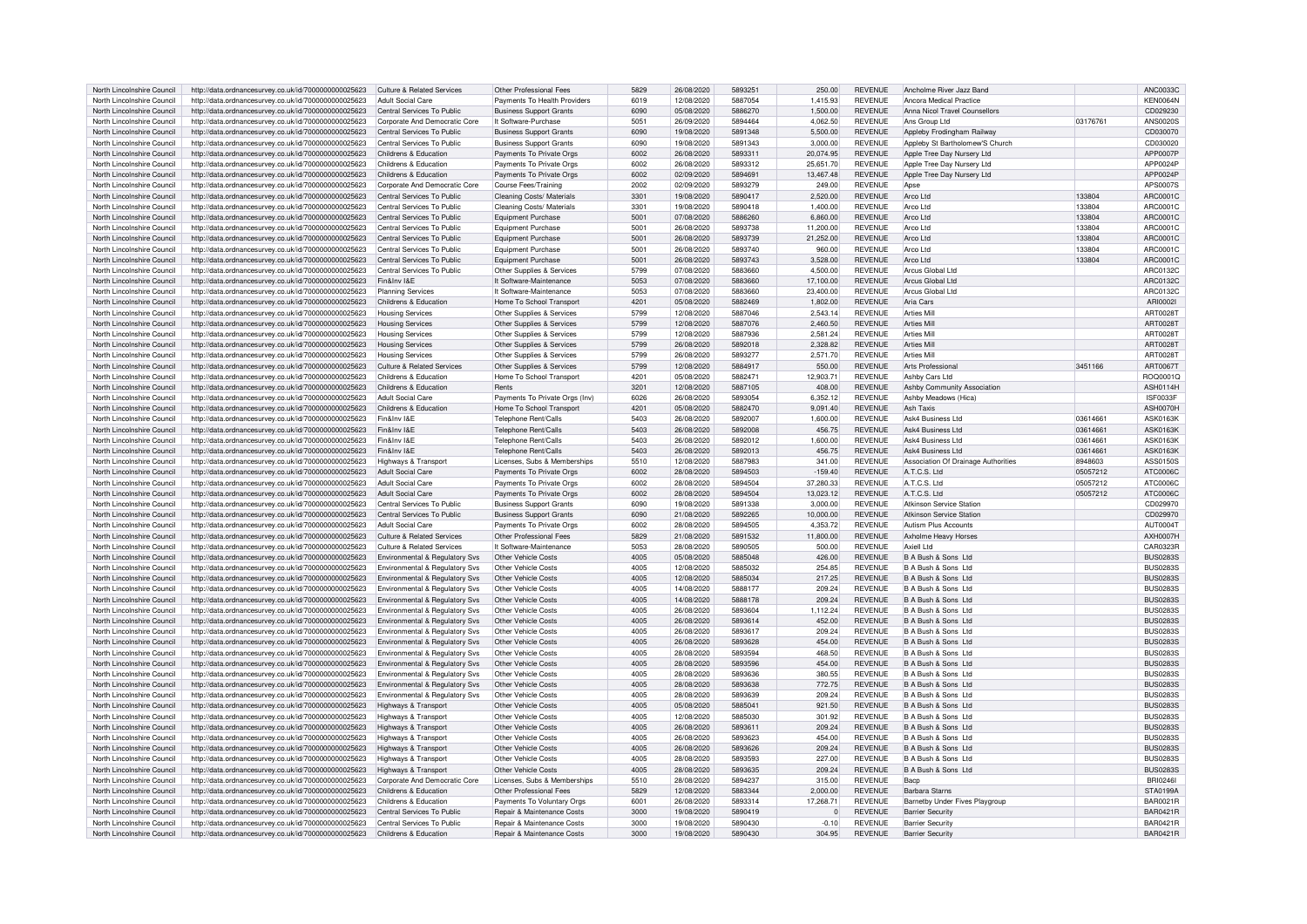| North Lincolnshire Council                               | http://data.ordnancesurvey.co.uk/id/7000000000025623                                                         | <b>Culture &amp; Related Services</b>               | Other Professional Fees                                             | 5829         | 26/08/2020               | 5893251            | 250.00            | <b>REVENUE</b>                   | Ancholme River Jazz Band                           |          | ANC0033C                           |
|----------------------------------------------------------|--------------------------------------------------------------------------------------------------------------|-----------------------------------------------------|---------------------------------------------------------------------|--------------|--------------------------|--------------------|-------------------|----------------------------------|----------------------------------------------------|----------|------------------------------------|
| North Lincolnshire Council                               | http://data.ordnancesurvey.co.uk/id/7000000000025623                                                         | Adult Social Care                                   | Payments To Health Providers                                        | 6019         | 12/08/2020               | 5887054            | 1.415.93          | <b>REVENUE</b>                   | Ancora Medical Practice                            |          | <b>KEN0064N</b>                    |
| North Lincolnshire Council                               | http://data.ordnancesurvey.co.uk/id/7000000000025623                                                         | Central Services To Public                          | <b>Business Support Grants</b>                                      | 6090         | 05/08/2020               | 5886270            | 1.500.00          | <b>REVENUE</b>                   | Anna Nicol Travel Counsellors                      |          | CD029230                           |
| North Lincolnshire Council                               | http://data.ordnancesurvey.co.uk/id/7000000000025623                                                         | Corporate And Democratic Core                       | It Software-Purchase                                                | 5051         | 26/09/2020               | 5894464            | 4,062.50          | <b>REVENUE</b>                   | Ans Group I td                                     | 03176761 | <b>ANS0020S</b>                    |
|                                                          |                                                                                                              |                                                     |                                                                     | 6090         |                          | 5891348            |                   |                                  |                                                    |          |                                    |
| North Lincolnshire Council                               | http://data.ordnancesurvey.co.uk/id/7000000000025623                                                         | Central Services To Public                          | <b>Business Support Grants</b>                                      |              | 19/08/2020               |                    | 5,500.00          | <b>REVENUE</b>                   | Appleby Frodingham Railway                         |          | CD030070                           |
| North Lincolnshire Council                               | http://data.ordnancesurvey.co.uk/id/7000000000025623                                                         | Central Services To Public                          | <b>Business Support Grants</b>                                      | 6090         | 19/08/2020               | 5891343            | 3,000.00          | <b>REVENUE</b>                   | Appleby St Bartholomew'S Church                    |          | CD030020                           |
| North Lincolnshire Council                               | http://data.ordnancesurvey.co.uk/id/7000000000025623                                                         | Childrens & Education                               | Payments To Private Orgs                                            | 6002         | 26/08/2020               | 589331             | 20,074.95         | <b>REVENUE</b>                   | Apple Tree Day Nursery Ltd                         |          | APP0007P                           |
| North Lincolnshire Council                               | http://data.ordnancesurvey.co.uk/id/7000000000025623                                                         | Childrens & Education                               | Payments To Private Orgs                                            | 6002         | 26/08/2020               | 5893312            | 25.651.70         | <b>REVENUE</b>                   | Apple Tree Day Nursery Ltd                         |          | APP0024P                           |
| North Lincolnshire Council                               | http://data.ordnancesurvey.co.uk/id/7000000000025623                                                         | Childrens & Education                               | Payments To Private Orgs                                            | 5002         | 02/09/2020               | 5894691            | 13,467.48         | <b>REVENUE</b>                   | Apple Tree Day Nursery Ltd                         |          | APP0024P                           |
| North Lincolnshire Council                               | http://data.ordnancesurvey.co.uk/id/7000000000025623                                                         | Corporate And Democratic Core                       | Course Fees/Training                                                | 2002         | 02/09/2020               | 5893279            | 249.00            | <b>REVENUE</b>                   | Apse                                               |          | APS0007S                           |
| North Lincolnshire Council                               | http://data.ordnancesurvey.co.uk/id/7000000000025623                                                         | Central Services To Public                          | Cleaning Costs/ Materials                                           | 3301         | 19/08/2020               | 5890417            | 2.520.00          | <b>REVENUE</b>                   | Arco Ltd                                           | 133804   | ARC0001C                           |
| North Lincolnshire Council                               | http://data.ordnancesurvey.co.uk/id/7000000000025623                                                         | Central Services To Public                          | Cleaning Costs/ Materials                                           | 3301         | 19/08/2020               | 5890418            | 1,400.00          | <b>REVENUE</b>                   | Arco Ltd                                           | 133804   | ARC0001C                           |
| North Lincolnshire Council                               | http://data.ordnancesurvey.co.uk/id/7000000000025623                                                         | Central Services To Public                          | Equipment Purchase                                                  | 5001         | 07/08/2020               | 5886260            | 6,860.00          | <b>REVENUE</b>                   | Arco I td                                          | 133804   | ARC0001C                           |
|                                                          |                                                                                                              |                                                     |                                                                     |              |                          |                    |                   |                                  |                                                    |          |                                    |
| North Lincolnshire Council                               | http://data.ordnancesurvey.co.uk/id/7000000000025623                                                         | Central Services To Public                          | <b>Foujoment Purchase</b>                                           | 5001         | 26/08/2020               | 5893738            | 11.200.00         | <b>REVENUE</b>                   | Arco I td                                          | 133804   | ARC0001C                           |
| North Lincolnshire Council                               | http://data.ordnancesurvey.co.uk/id/7000000000025623                                                         | Central Services To Public                          | Equipment Purchase                                                  | 5001         | 26/08/2020               | 5893739            | 21,252.00         | <b>REVENUE</b>                   | Arco Ltd                                           | 133804   | ARC0001C                           |
| North Lincolnshire Council                               | http://data.ordnancesurvey.co.uk/id/7000000000025623                                                         | Central Services To Public                          | Equipment Purchase                                                  | 5001         | 26/08/2020               | 5893740            | 960.00            | <b>REVENUE</b>                   | Arco Ltd                                           | 133804   | ARC0001C                           |
| North Lincolnshire Council                               | http://data.ordnancesurvey.co.uk/id/7000000000025623                                                         | Central Services To Public                          | <b>Equipment Purchase</b>                                           | 5001         | 26/08/2020               | 5893743            | 3,528.00          | <b>REVENUE</b>                   | Arco I td                                          | 133804   | ARC0001C                           |
| North Lincolnshire Council                               | http://data.ordnancesurvey.co.uk/id/7000000000025623                                                         | Central Services To Public                          | Other Supplies & Services                                           | 5799         | 07/08/2020               | 5883660            | 4.500.00          | <b>REVENUE</b>                   | Arcus Global Ltd                                   |          | ARC0132C                           |
| North Lincolnshire Council                               | http://data.ordnancesurvey.co.uk/id/7000000000025623                                                         | Fin&Inv I&F                                         | It Software-Maintenance                                             | 5053         | 07/08/2020               | 5883660            | 17,100.00         | <b>REVENUE</b>                   | Arcus Global Ltd                                   |          | ARC0132C                           |
| North Lincolnshire Council                               | http://data.ordnancesurvey.co.uk/id/7000000000025623                                                         | <b>Planning Services</b>                            | It Software-Maintenance                                             | 5053         | 07/08/2020               | 5883660            | 23,400.00         | <b>REVENUE</b>                   | Arcus Global Ltd                                   |          | ARC0132C                           |
|                                                          |                                                                                                              |                                                     |                                                                     |              |                          |                    |                   |                                  |                                                    |          |                                    |
| North Lincolnshire Council                               | http://data.ordnancesurvey.co.uk/id/7000000000025623                                                         | Childrens & Education                               | Home To School Transport                                            | 4201         | 05/08/2020               | 5882469            | 1.802.00          | <b>REVENUE</b>                   | Aria Cars                                          |          | ARI0002                            |
| North Lincolnshire Council                               | http://data.ordnancesurvey.co.uk/id/7000000000025623                                                         | <b>Housing Services</b>                             | Other Supplies & Services                                           | 5799         | 12/08/2020               | 5887046            | 2,543.14          | <b>REVENUE</b>                   | <b>Arties Mill</b>                                 |          | ART00281                           |
| North Lincolnshire Council                               | http://data.ordnancesurvey.co.uk/id/7000000000025623                                                         | <b>Housing Services</b>                             | Other Supplies & Services                                           | 5799         | 12/08/2020               | 5887076            | 2.460.50          | <b>REVENUE</b>                   | <b>Arties Mill</b>                                 |          | ART0028T                           |
| North Lincolnshire Council                               | http://data.ordnancesurvey.co.uk/id/7000000000025623                                                         | <b>Housing Services</b>                             | Other Supplies & Services                                           | 5799         | 12/08/2020               | 5887936            | 2,581.24          | <b>REVENUE</b>                   | <b>Arties Mill</b>                                 |          | ART00287                           |
| North Lincolnshire Council                               | http://data.ordnancesurvey.co.uk/id/7000000000025623                                                         | <b>Housing Services</b>                             | Other Supplies & Services                                           | 5799         | 26/08/2020               | 5892018            | 2,328.82          | <b>REVENUE</b>                   | <b>Arties Mill</b>                                 |          | ART00281                           |
| North Lincolnshire Council                               | http://data.ordnancesurvey.co.uk/id/7000000000025623                                                         | <b>Housing Services</b>                             | Other Supplies & Services                                           | 5799         | 26/08/2020               | 5893277            | 2,571.70          | <b>REVENUE</b>                   | <b>Arties Mill</b>                                 |          | ART0028T                           |
| North Lincolnshire Council                               | http://data.ordnancesurvey.co.uk/id/7000000000025623                                                         | Culture & Related Services                          | Other Supplies & Services                                           | 5799         | 12/08/2020               | 5884917            | 550.00            | <b>REVENUE</b>                   | Arts Professiona                                   | 3451166  | ART00671                           |
|                                                          |                                                                                                              |                                                     |                                                                     |              |                          |                    |                   |                                  |                                                    |          |                                    |
| North Lincolnshire Council                               | http://data.ordnancesurvey.co.uk/id/7000000000025623                                                         | Childrens & Education                               | Home To School Transport                                            | 4201         | 05/08/2020               | 5882471            | 12.903.71         | <b>REVENUE</b>                   | Ashhy Cars I td                                    |          | BOO0001C                           |
| North Lincolnshire Council                               | http://data.ordnancesurvey.co.uk/id/7000000000025623                                                         | Childrens & Education                               | Rents                                                               | 3201         | 12/08/2020               | 5887105            | 408.00            | <b>REVENUE</b>                   | Ashby Community Association                        |          | <b>ASH0114H</b>                    |
| North Lincolnshire Council                               | http://data.ordnancesurvey.co.uk/id/7000000000025623                                                         | Adult Social Care                                   | Payments To Private Orgs (Inv)                                      | 6026         | 26/08/2020               | 5893054            | 6,352.12          | <b>REVENUE</b>                   | Ashby Meadows (Hica)                               |          | <b>ISF0033F</b>                    |
| North Lincolnshire Council                               | http://data.ordnancesurvey.co.uk/id/7000000000025623                                                         | Childrens & Education                               | Home To School Transport                                            | 4201         | 05/08/2020               | 5882470            | 9,091.40          | <b>REVENUE</b>                   | Ash Taxis                                          |          | ASH0070H                           |
| North Lincolnshire Council                               | http://data.ordnancesurvey.co.uk/id/7000000000025623                                                         | Fin&Inv I&F                                         | Telephone Rent/Calls                                                | 5403         | 26/08/2020               | 5892007            | 1.600.00          | <b>REVENUE</b>                   | Ask4 Business Ltd                                  | 03614661 | <b>ASK0163K</b>                    |
| North Lincolnshire Council                               | http://data.ordnancesurvey.co.uk/id/7000000000025623                                                         | Fin&Inv I&F                                         | Telephone Rent/Calls                                                | 5403         | 26/08/2020               | 5892008            | 456.75            | <b>REVENUE</b>                   | Ask4 Business Ltd                                  | 03614661 | <b>ASK0163K</b>                    |
| North Lincolnshire Council                               |                                                                                                              | Fin&Inv I&F                                         |                                                                     | 5403         | 26/08/2020               | 5892012            | 1.600.00          | <b>REVENUE</b>                   | Ask4 Business Ltd                                  |          | ASK0163K                           |
|                                                          | http://data.ordnancesurvey.co.uk/id/7000000000025623                                                         |                                                     | Telephone Rent/Calls                                                |              |                          |                    |                   |                                  |                                                    | 03614661 |                                    |
| North Lincolnshire Council                               | http://data.ordnancesurvey.co.uk/id/7000000000025623                                                         | Fin&Inv I&F                                         | Telephone Rent/Calls                                                | 5403         | 26/08/2020               | 5892013            | 456.75            | <b>REVENUE</b>                   | Ask4 Business I td                                 | 03614661 | ASK0163K                           |
| North Lincolnshire Council                               | http://data.ordnancesurvey.co.uk/id/7000000000025623                                                         | Highways & Transport                                | Licenses, Subs & Memberships                                        | 5510         | 12/08/2020               | 5887983            | 341.00            | <b>REVENUE</b>                   | Association Of Drainage Authorities                | 8948603  | ASS0150S                           |
| North Lincolnshire Council                               | http://data.ordnancesurvey.co.uk/id/7000000000025623                                                         | Adult Social Care                                   | Payments To Private Orgs                                            | 6002         | 28/08/2020               | 5894503            | $-159.40$         | <b>REVENUE</b>                   | A.T.C.S. Ltd                                       | 05057212 | ATC0006C                           |
| North Lincolnshire Council                               | http://data.ordnancesurvey.co.uk/id/7000000000025623                                                         | <b>Adult Social Care</b>                            | Payments To Private Orgs                                            | 6002         | 28/08/2020               | 5894504            | 37,280,33         | <b>REVENUE</b>                   | A.T.C.S. Ltd                                       | 05057212 | ATC0006C                           |
|                                                          |                                                                                                              |                                                     |                                                                     |              |                          |                    |                   |                                  |                                                    |          |                                    |
| North Lincolnshire Council                               |                                                                                                              | Adult Social Care                                   |                                                                     |              | 28/08/2020               | 5894504            |                   |                                  |                                                    |          |                                    |
|                                                          | http://data.ordnancesurvey.co.uk/id/7000000000025623                                                         |                                                     | Payments To Private Orgs                                            | 6002         |                          |                    | 13,023.12         | <b>REVENUE</b>                   | A.T.C.S. Ltd                                       | 05057212 | ATC0006C                           |
| North Lincolnshire Council                               | http://data.ordnancesurvey.co.uk/id/7000000000025623                                                         | Central Services To Public                          | <b>Business Support Grants</b>                                      | 6090         | 19/08/2020               | 5891338            | 3,000.00          | <b>REVENUE</b>                   | <b>Atkinson Service Station</b>                    |          | CD029970                           |
| North Lincolnshire Council                               | http://data.ordnancesurvey.co.uk/id/7000000000025623                                                         | Central Services To Public                          | <b>Business Support Grants</b>                                      | 6090         | 21/08/2020               | 5892265            | 10,000.00         | <b>REVENUE</b>                   | <b>Atkinson Service Station</b>                    |          | CD029970                           |
| North Lincolnshire Council                               | http://data.ordnancesurvey.co.uk/id/7000000000025623                                                         | Adult Social Care                                   | Payments To Private Orgs                                            | 6002         | 28/08/2020               | 5894505            | 4,353.72          | <b>REVENUE</b>                   | Autism Plus Accounts                               |          | AUT0004T                           |
| North Lincolnshire Council                               | http://data.ordnancesurvey.co.uk/id/7000000000025623                                                         | Culture & Related Services                          | Other Professional Fees                                             | 5829         | 21/08/2020               | 5891532            | 11.800.00         | <b>REVENUE</b>                   | Axholme Heavy Horses                               |          | <b>AXH0007H</b>                    |
| North Lincolnshire Council                               | http://data.ordnancesurvey.co.uk/id/7000000000025623                                                         | <b>Culture &amp; Related Services</b>               | It Software-Maintenance                                             | 5053         | 28/08/2020               | 5890505            | 500.00            | <b>REVENUE</b>                   | ht I lleixA                                        |          | CAR0323R                           |
| North Lincolnshire Council                               | http://data.ordnancesurvey.co.uk/id/7000000000025623                                                         | Environmental & Regulatory Svs                      | Other Vehicle Costs                                                 | 4005         | 05/08/2020               | 5885048            | 426.00            | <b>REVENUE</b>                   | B A Bush & Sons Ltd                                |          | <b>BUS0283S</b>                    |
| North Lincolnshire Council                               |                                                                                                              |                                                     | Other Vehicle Costs                                                 | 4005         | 12/08/2020               | 5885032            | 254.85            | <b>REVENUE</b>                   | B A Bush & Sons Ltd                                |          | BUS02835                           |
|                                                          | http://data.ordnancesurvey.co.uk/id/7000000000025623                                                         | Environmental & Regulatory Svs                      |                                                                     | 4005         |                          | 5885034            |                   |                                  |                                                    |          |                                    |
| North Lincolnshire Council                               | http://data.ordnancesurvey.co.uk/id/7000000000025623                                                         | <b>Environmental &amp; Regulatory Svs</b>           | Other Vehicle Costs                                                 |              | 12/08/2020               |                    | 217.25            | <b>REVENUE</b>                   | B A Bush & Sons Ltd                                |          | <b>BUS0283S</b>                    |
| North Lincolnshire Council                               | http://data.ordnancesurvey.co.uk/id/7000000000025623                                                         | Environmental & Regulatory Svs                      | Other Vehicle Costs                                                 | 4005         | 14/08/2020               | 5888177            | 209.24            | <b>REVENUE</b>                   | B A Bush & Sons Ltd                                |          | <b>BUS0283S</b>                    |
| North Lincolnshire Council                               | http://data.ordnancesurvey.co.uk/id/7000000000025623                                                         | Environmental & Regulatory Svs                      | Other Vehicle Costs                                                 | 4005         | 14/08/2020               | 5888178            | 209.24            | <b>REVENUE</b>                   | B A Bush & Sons Ltd                                |          | <b>BUS0283S</b>                    |
| North Lincolnshire Council                               | http://data.ordnancesurvey.co.uk/id/7000000000025623                                                         | Environmental & Regulatory Svs                      | Other Vehicle Costs                                                 | 4005         | 26/08/2020               | 5893604            | 1,112.24          | <b>REVENUE</b>                   | B A Bush & Sons Ltd                                |          | <b>BUS0283S</b>                    |
| North Lincolnshire Council                               | http://data.ordnancesurvey.co.uk/id/7000000000025623                                                         | Environmental & Regulatory Svs                      | Other Vehicle Costs                                                 | 4005         | 26/08/2020               | 5893614            | 452.00            | <b>REVENUE</b>                   | B A Bush & Sons Ltd                                |          | <b>BUS0283S</b>                    |
| North Lincolnshire Council                               | http://data.ordnancesurvey.co.uk/id/7000000000025623                                                         | <b>Environmental &amp; Regulatory Sys.</b>          | Other Vehicle Costs                                                 | 4005         | 26/08/2020               | 5893617            | 209.24            | <b>REVENUE</b>                   | B A Bush & Sons Ltd                                |          | BUS0283S                           |
| North Lincolnshire Council                               | http://data.ordnancesurvey.co.uk/id/7000000000025623                                                         | Environmental & Regulatory Svs                      | Other Vehicle Costs                                                 | 4005         | 26/08/2020               | 5893628            | 454.00            | <b>REVENUE</b>                   | B A Bush & Sons Ltd                                |          | <b>BUS0283S</b>                    |
|                                                          |                                                                                                              |                                                     |                                                                     |              |                          |                    |                   | <b>REVENUE</b>                   | B A Bush & Sons Ltd                                |          |                                    |
| North Lincolnshire Council                               | http://data.ordnancesurvey.co.uk/id/7000000000025623                                                         | Environmental & Regulatory Svs                      | Other Vehicle Costs                                                 | 4005         | 28/08/2020               | 5893594            | 468.50            |                                  |                                                    |          | <b>BUS0283S</b>                    |
| North Lincolnshire Council                               | http://data.ordnancesurvey.co.uk/id/7000000000025623                                                         | <b>Environmental &amp; Regulatory Svs</b>           | Other Vehicle Costs                                                 | 4005         | 28/08/2020               | 5893596            | 454.00            | <b>REVENUE</b>                   | B A Bush & Sons Ltd                                |          | <b>BUS0283S</b>                    |
| North Lincolnshire Council                               | http://data.ordnancesurvey.co.uk/id/7000000000025623                                                         | Environmental & Regulatory Svs                      | Other Vehicle Costs                                                 | 4005         | 28/08/2020               | 5893636            | 380.55            | <b>REVENUE</b>                   | B A Bush & Sons Ltd                                |          | BUS02835                           |
| North Lincolnshire Council                               | http://data.ordnancesurvey.co.uk/id/7000000000025623                                                         | <b>Environmental &amp; Regulatory Svs</b>           | Other Vehicle Costs                                                 | 4005         | 28/08/2020               | 5893638            | 772.75            | <b>REVENUE</b>                   | B A Bush & Sons Ltd                                |          | <b>BUS0283S</b>                    |
| North Lincolnshire Council                               | http://data.ordnancesurvey.co.uk/id/7000000000025623                                                         | Environmental & Regulatory Svs                      | Other Vehicle Costs                                                 | 4005         | 28/08/2020               | 5893639            | 209.24            | <b>REVENUE</b>                   | <b>B A Rush &amp; Sons Ltd</b>                     |          | <b>BUS0283S</b>                    |
| North Lincolnshire Council                               | http://data.ordnancesurvey.co.uk/id/7000000000025623                                                         | Highways & Transport                                | Other Vehicle Costs                                                 | 4005         | 05/08/2020               | 5885041            | 921.50            | <b>REVENUE</b>                   | B A Bush & Sons Ltd                                |          | <b>BUS0283S</b>                    |
| North Lincolnshire Council                               | http://data.ordnancesurvey.co.uk/id/7000000000025623                                                         | <b>Highways &amp; Transport</b>                     | Other Vehicle Costs                                                 | 4005         | 12/08/2020               | 5885030            | 301.92            | <b>REVENUE</b>                   | B A Bush & Sons Ltd                                |          | <b>BUS0283S</b>                    |
|                                                          |                                                                                                              |                                                     |                                                                     | 4005         |                          | 5893611            | 209.24            | <b>REVENUE</b>                   | B A Bush & Sons Ltd                                |          |                                    |
| North Lincolnshire Council                               | http://data.ordnancesurvey.co.uk/id/7000000000025623                                                         | Highways & Transport                                | Other Vehicle Costs                                                 |              | 26/08/2020               |                    |                   |                                  |                                                    |          | <b>BUS0283S</b>                    |
| North Lincolnshire Council                               | http://data.ordnancesurvey.co.uk/id/7000000000025623                                                         | Highways & Transport                                | Other Vehicle Costs                                                 | 4005         | 26/08/2020               | 5893623            | 454.00            | <b>REVENUE</b>                   | B A Bush & Sons Ltd                                |          | <b>BUS0283S</b>                    |
| North Lincolnshire Council                               | http://data.ordnancesurvey.co.uk/id/7000000000025623                                                         | Highways & Transport                                | Other Vehicle Costs                                                 | 4005         | 26/08/2020               | 5893626            | 209.24            | <b>REVENUE</b>                   | R A Rush & Sons Ltd                                |          | <b>BUS0283S</b>                    |
| North Lincolnshire Council                               | http://data.ordnancesurvey.co.uk/id/7000000000025623                                                         | Highways & Transport                                | Other Vehicle Costs                                                 | 4005         | 28/08/2020               | 5893593            | 227.00            | <b>REVENUE</b>                   | B A Bush & Sons Ltd                                |          | <b>BUS0283S</b>                    |
| North Lincolnshire Council                               | http://data.ordnancesurvey.co.uk/id/7000000000025623                                                         | <b>Highways &amp; Transport</b>                     | Other Vehicle Costs                                                 | 4005         | 28/08/2020               | 5893635            | 209.24            | <b>REVENUE</b>                   | B A Bush & Sons Ltd                                |          | BUS02835                           |
| North Lincolnshire Council                               | http://data.ordnancesurvey.co.uk/id/7000000000025623                                                         | Corporate And Democratic Core                       | Licenses, Subs & Memberships                                        | 5510         | 28/08/2020               | 5894237            | 315.00            | <b>REVENUE</b>                   | Bacp                                               |          | <b>BRI0246I</b>                    |
| North Lincolnshire Council                               | http://data.ordnancesurvey.co.uk/id/7000000000025623                                                         | Childrens & Education                               | Other Professional Fees                                             | 5829         | 12/08/2020               | 5883344            | 2.000.00          | <b>REVENUE</b>                   | Barbara Starns                                     |          | <b>STA0199A</b>                    |
| North Lincolnshire Council                               | http://data.ordnancesurvey.co.uk/id/7000000000025623                                                         | Childrens & Education                               | Payments To Voluntary Orgs                                          | 6001         | 26/08/2020               | 5893314            | 17 268 71         | <b>REVENUE</b>                   | Barnetby Under Fives Playgroup                     |          | <b>BAR0021R</b>                    |
|                                                          |                                                                                                              |                                                     |                                                                     | 3000         |                          |                    | $\mathbf{0}$      | <b>REVENUE</b>                   |                                                    |          |                                    |
| North Lincolnshire Council                               | http://data.ordnancesurvey.co.uk/id/7000000000025623                                                         | Central Services To Public                          | Repair & Maintenance Costs                                          |              | 19/08/2020               | 5890419            |                   |                                  | <b>Barrier Security</b>                            |          | <b>BAR0421R</b>                    |
| North Lincolnshire Council<br>North Lincolnshire Council | http://data.ordnancesurvey.co.uk/id/7000000000025623<br>http://data.ordnancesurvey.co.uk/id/7000000000025623 | Central Services To Public<br>Childrens & Education | Repair & Maintenance Costs<br><b>Repair &amp; Maintenance Costs</b> | 3000<br>3000 | 19/08/2020<br>19/08/2020 | 5890430<br>5890430 | $-0.10$<br>304.95 | <b>REVENUE</b><br><b>REVENUE</b> | <b>Barrier Security</b><br><b>Barrier Security</b> |          | <b>BAR0421R</b><br><b>BAR0421R</b> |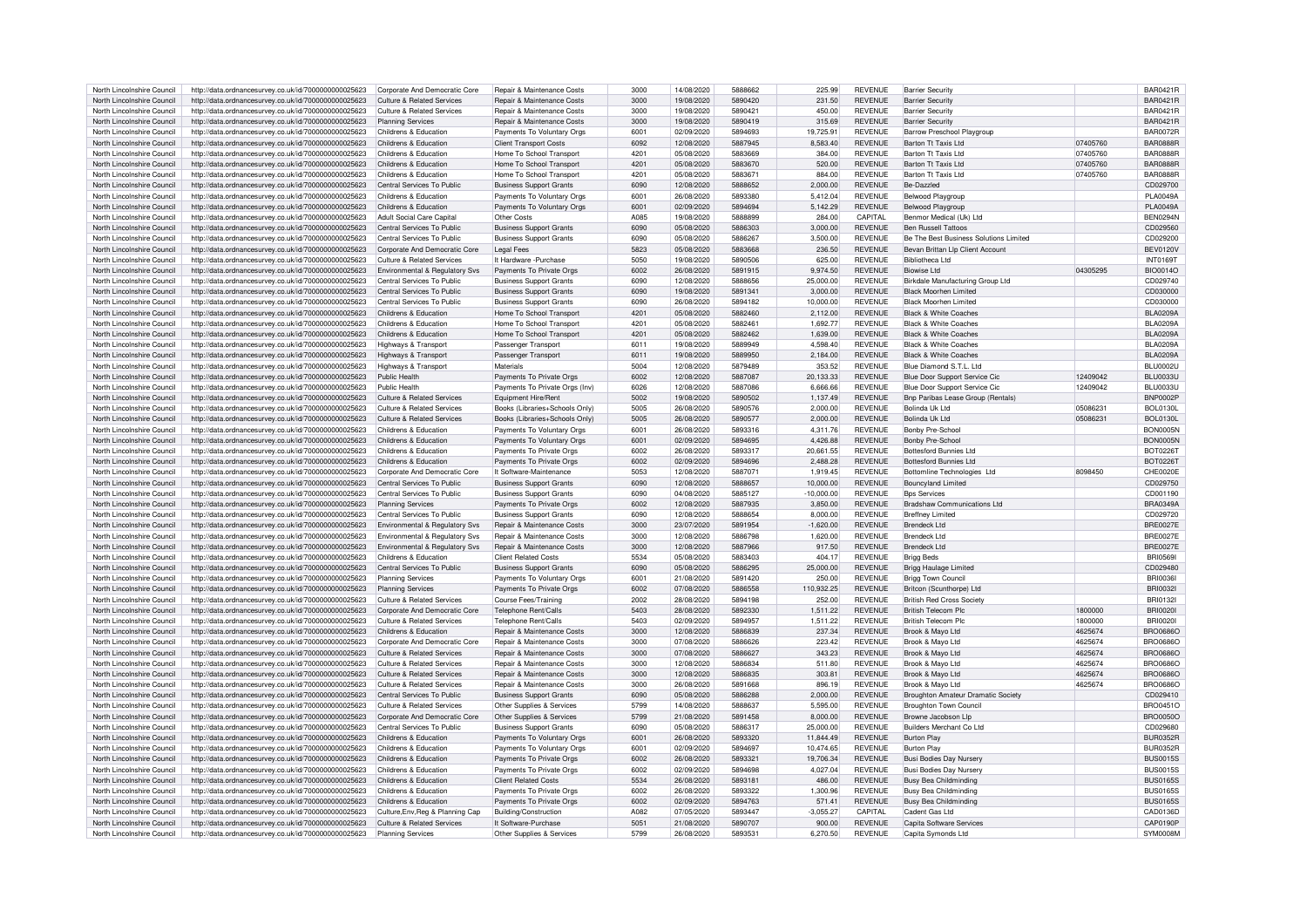| North Lincolnshire Council                               | http://data.ordnancesurvey.co.uk/id/7000000000025623                                                         | Cornorate And Democratic Core                          | <b>Benair &amp; Maintenance Costs</b>             | 3000         | 14/08/2020               | 5888662           | 225.99             | <b>REVENUE</b>                   | <b>Barrier Security</b>                        |          | <b>BAR0421R</b>      |
|----------------------------------------------------------|--------------------------------------------------------------------------------------------------------------|--------------------------------------------------------|---------------------------------------------------|--------------|--------------------------|-------------------|--------------------|----------------------------------|------------------------------------------------|----------|----------------------|
| North Lincolnshire Council                               | http://data.ordnancesurvey.co.uk/id/7000000000025623                                                         | Culture & Related Services                             | <b>Benair &amp; Maintenance Costs</b>             | 3000         | 19/08/2020               | 5890420           | 231.50             | REVENUE                          | <b>Barrier Security</b>                        |          | <b>BAR0421R</b>      |
| North Lincolnshire Council                               | http://data.ordnancesurvey.co.uk/id/7000000000025623                                                         | <b>Culture &amp; Related Services</b>                  | Repair & Maintenance Costs                        | 3000         | 19/08/2020               | 5890421           | 450.00             | REVENUE                          | <b>Barrier Security</b>                        |          | <b>BAR0421R</b>      |
|                                                          |                                                                                                              |                                                        |                                                   |              |                          |                   |                    |                                  |                                                |          |                      |
| North Lincolnshire Council                               | http://data.ordnancesurvey.co.uk/id/7000000000025623                                                         | <b>Planning Services</b>                               | <b>Benair &amp; Maintenance Costs</b>             | 3000         | 19/08/2020               | 5890419           | 315.69             | <b>REVENUE</b>                   | <b>Barrier Security</b>                        |          | <b>BAR0421R</b>      |
| North Lincolnshire Council                               | http://data.ordnancesurvey.co.uk/id/7000000000025623                                                         | Childrens & Education                                  | Payments To Voluntary Orgs                        | 6001         | 02/09/2020               | 5894693           | 19,725.91          | <b>REVENUE</b>                   | Barrow Preschool Playgroup                     |          | <b>BAR0072F</b>      |
| North Lincolnshire Council                               | http://data.ordnancesurvey.co.uk/id/7000000000025623                                                         | Childrens & Education                                  | <b>Client Transport Costs</b>                     | 6092         | 12/08/2020               | 5887945           | 8.583.40           | <b>REVENUE</b>                   | Barton Tt Taxis Ltd                            | 07405760 | <b>BAR0888R</b>      |
| North Lincolnshire Council                               | http://data.ordnancesurvey.co.uk/id/7000000000025623                                                         | Childrens & Education                                  | Home To School Transport                          | 4201         | 05/08/2020               | 5883669           | 384.00             | <b>REVENUE</b>                   | Barton Tt Taxis I td                           | 07405760 | <b>BAR0888R</b>      |
| North Lincolnshire Council                               | http://data.ordnancesurvey.co.uk/id/7000000000025623                                                         | Childrens & Education                                  | Home To School Transport                          | 4201         | 05/08/2020               | 5883670           | 520.00             | <b>REVENUE</b>                   | Barton Tt Taxis I td                           | 07405760 | <b>BAR0888F</b>      |
| North Lincolnshire Council                               | http://data.ordnancesurvey.co.uk/id/7000000000025623                                                         | Childrens & Education                                  | Home To School Transport                          | 4201         | 05/08/2020               | 5883671           | 884.00             | REVENUE                          | Barton Tt Taxis Ltd                            | 07405760 | <b>BAR0888R</b>      |
| North Lincolnshire Council                               | http://data.ordnancesurvey.co.uk/id/7000000000025623                                                         | Central Services To Public                             | <b>Business Support Grants</b>                    | 6090         | 12/08/2020               | 5888652           | 2,000.00           | <b>REVENUE</b>                   | <b>Be-Dazzled</b>                              |          | CD029700             |
| North Lincolnshire Council                               | http://data.ordnancesurvey.co.uk/id/7000000000025623                                                         | Childrens & Education                                  | Payments To Voluntary Orgs                        | 6001         | 26/08/2020               | 5893380           | 5,412.04           | <b>REVENUE</b>                   | <b>Belwood Plavgroup</b>                       |          | PI A0049A            |
| North Lincolnshire Council                               | http://data.ordnancesurvey.co.uk/id/7000000000025623                                                         | Childrens & Education                                  | Payments To Voluntary Orgs                        | 6001         | 02/09/2020               | 5894694           | 5,142.29           | <b>REVENUE</b>                   | <b>Belwood Plavgroup</b>                       |          | PI A0049A            |
| North Lincolnshire Council                               |                                                                                                              | Adult Social Care Capital                              | Other Costs                                       | A085         | 19/08/2020               | 5888899           | 284.00             | CAPITAL                          |                                                |          |                      |
|                                                          | http://data.ordnancesurvey.co.uk/id/7000000000025623                                                         |                                                        |                                                   |              |                          |                   |                    |                                  | Benmor Medical (Uk) Ltd                        |          | <b>BEN0294N</b>      |
| North Lincolnshire Council                               | http://data.ordnancesurvey.co.uk/id/7000000000025623                                                         | Central Services To Public                             | <b>Business Support Grants</b>                    | 6090         | 05/08/2020               | 5886303           | 3,000.00           | <b>REVENUE</b>                   | <b>Ben Russell Tattoos</b>                     |          | CD029560             |
| North Lincolnshire Council                               | http://data.ordnancesurvey.co.uk/id/7000000000025623                                                         | Central Services To Public                             | <b>Business Support Grants</b>                    | 6090         | 05/08/2020               | 5886267           | 3.500.00           | <b>REVENUE</b>                   | Be The Best Business Solutions Limited         |          | CD029200             |
| North Lincolnshire Council                               | http://data.ordnancesurvey.co.uk/id/7000000000025623                                                         | Cornorate And Democratic Core                          | <b>Legal Fees</b>                                 | 5823         | 05/08/2020               | 5883668           | 236.50             | <b>REVENUE</b>                   | Bevan Brittan Llp Client Account               |          | <b>BEV0120V</b>      |
| North Lincolnshire Council                               | http://data.ordnancesurvey.co.uk/id/7000000000025623                                                         | Culture & Related Services                             | It Hardware - Purchase                            | 5050         | 19/08/2020               | 5890506           | 625.00             | <b>REVENUE</b>                   | <b>Ribliotheca Ltd</b>                         |          | <b>INT0169T</b>      |
| North Lincolnshire Council                               | http://data.ordnancesurvey.co.uk/id/7000000000025623                                                         | Environmental & Regulatory Svs                         | Payments To Private Orgs                          | 6002         | 26/08/2020               | 5891915           | 9,974.50           | <b>REVENUE</b>                   | Biowise I td                                   | 04305295 | BIO0014O             |
| North Lincolnshire Council                               | http://data.ordnancesurvey.co.uk/id/7000000000025623                                                         | Central Services To Public                             | <b>Business Support Grants</b>                    | 6090         | 12/08/2020               | 5888656           | 25,000.00          | <b>REVENUE</b>                   | Birkdale Manufacturing Group Ltd               |          | CD029740             |
| North Lincolnshire Council                               | http://data.ordnancesurvey.co.uk/id/7000000000025623                                                         | Central Services To Public                             | <b>Business Support Grants</b>                    | 6090         | 19/08/2020               | 589134            | 3,000.00           | <b>REVENUE</b>                   | <b>Black Moorhen Limited</b>                   |          | CD030000             |
| North Lincolnshire Council                               | http://data.ordnancesurvey.co.uk/id/7000000000025623                                                         | Central Services To Public                             | <b>Business Support Grants</b>                    | 6090         | 26/08/2020               | 5894182           | 10.000.00          | <b>REVENUE</b>                   | <b>Black Moorhen Limited</b>                   |          | CD030000             |
| North Lincolnshire Council                               |                                                                                                              | Childrens & Education                                  |                                                   | 4201         | 05/08/2020               | 5882460           | 2,112.00           | <b>REVENUE</b>                   | <b>Black &amp; White Coaches</b>               |          | <b>BLA0209A</b>      |
|                                                          | http://data.ordnancesurvey.co.uk/id/7000000000025623                                                         |                                                        | Home To School Transport                          | 4201         |                          | 588246            |                    | <b>REVENUE</b>                   | <b>Black &amp; White Coaches</b>               |          |                      |
| North Lincolnshire Council                               | http://data.ordnancesurvey.co.uk/id/7000000000025623                                                         | Childrens & Education                                  | Home To School Transport                          |              | 05/08/2020               |                   | 1,692.77           |                                  |                                                |          | <b>BLA0209A</b>      |
| North Lincolnshire Council                               | http://data.ordnancesurvey.co.uk/id/7000000000025623                                                         | Childrens & Education                                  | Home To School Transport                          | 4201         | 05/08/2020               | 5882462           | 1,639.00           | <b>REVENUE</b>                   | <b>Black &amp; White Coaches</b>               |          | <b>BLA0209A</b>      |
| North Lincolnshire Council                               | http://data.ordnancesurvey.co.uk/id/7000000000025623                                                         | Highways & Transport                                   | Passenger Transport                               | 6011         | 19/08/2020               | 5889949           | 4.598.40           | <b>REVENUE</b>                   | <b>Black &amp; White Coaches</b>               |          | BLA0209A             |
| North Lincolnshire Council                               | http://data.ordnancesurvey.co.uk/id/7000000000025623                                                         | Highways & Transport                                   | Passenger Transport                               | 6011         | 19/08/2020               | 5889950           | 2.184.00           | <b>REVENUE</b>                   | <b>Black &amp; White Coaches</b>               |          | <b>BLA0209A</b>      |
| North Lincolnshire Council                               | http://data.ordnancesurvey.co.uk/id/7000000000025623                                                         | Highways & Transport                                   | Materials                                         | 5004         | 12/08/2020               | 5879489           | 353.52             | <b>REVENUE</b>                   | Blue Diamond S.T.I. Ltd.                       |          | <b>BLU0002U</b>      |
| North Lincolnshire Council                               | http://data.ordnancesurvey.co.uk/id/7000000000025623                                                         | Public Health                                          | Payments To Private Orgs                          | 6002         | 12/08/2020               | 5887087           | 20,133.33          | <b>REVENUE</b>                   | Blue Door Support Service Cic                  | 12409042 | <b>BLU0033U</b>      |
| North Lincolnshire Council                               | http://data.ordnancesurvey.co.uk/id/7000000000025623                                                         | Public Health                                          | Payments To Private Orgs (Inv)                    | 6026         | 12/08/2020               | 5887086           | 6,666.66           | <b>REVENUE</b>                   | Blue Door Support Service Cic                  | 12409042 | <b>BLU0033U</b>      |
| North Lincolnshire Council                               | http://data.ordnancesurvey.co.uk/id/7000000000025623                                                         | Culture & Related Services                             | Faujoment Hire/Rent                               | 5002         | 19/08/2020               | 5890502           | 1,137.49           | <b>REVENUE</b>                   | Bnp Paribas Lease Group (Rentals)              |          | <b>BNP0002P</b>      |
|                                                          |                                                                                                              |                                                        |                                                   | 5005         |                          |                   |                    |                                  |                                                |          |                      |
| North Lincolnshire Council                               | http://data.ordnancesurvey.co.uk/id/7000000000025623                                                         | <b>Culture &amp; Related Services</b>                  | Books (Libraries+Schools Only)                    |              | 26/08/2020               | 5890576           | 2,000.00           | <b>REVENUE</b>                   | Bolinda Uk Ltd                                 | 05086231 | <b>BOL0130L</b>      |
| North Lincolnshire Council                               | http://data.ordnancesurvey.co.uk/id/7000000000025623                                                         | Culture & Related Services                             | Books (Libraries+Schools Only)                    | 5005         | 26/08/2020               | 5890577           | 2,000.00           | <b>REVENUE</b>                   | Bolinda Uk Ltd                                 | 05086231 | <b>BOL0130L</b>      |
| North Lincolnshire Council                               | http://data.ordnancesurvey.co.uk/id/7000000000025623                                                         | Childrens & Education                                  | Payments To Voluntary Orgs                        | 6001         | 26/08/2020               | 5893316           | 4,311.76           | <b>REVENUE</b>                   | Bonby Pre-School                               |          | <b>BON0005N</b>      |
| North Lincolnshire Council                               | http://data.ordnancesurvey.co.uk/id/7000000000025623                                                         | Childrens & Education                                  | Payments To Voluntary Orgs                        | 6001         | 02/09/2020               | 5894695           | 4,426.88           | REVENUE                          | Bonby Pre-School                               |          | <b>BON0005N</b>      |
| North Lincolnshire Council                               | http://data.ordnancesurvey.co.uk/id/7000000000025623                                                         | Childrens & Education                                  | Payments To Private Orgs                          | 6002         | 26/08/2020               | 5893317           | 20,661.55          | <b>REVENUE</b>                   | <b>Bottesford Bunnies Ltd</b>                  |          | BOT02261             |
| North Lincolnshire Council                               | http://data.ordnancesurvey.co.uk/id/7000000000025623                                                         | Childrens & Education                                  | Payments To Private Orgs                          | 6002         | 02/09/2020               | 5894696           | 2,488.28           | <b>REVENUE</b>                   | <b>Bottesford Bunnies Ltd</b>                  |          | <b>BOT0226T</b>      |
| North Lincolnshire Council                               | http://data.ordnancesurvey.co.uk/id/7000000000025623                                                         | Cornorate And Democratic Core                          | It Software-Maintenance                           | 5053         | 12/08/2020               | 5887071           | 1.919.45           | <b>REVENUE</b>                   | Bottomline Technologies Ltd                    | 8098450  | CHE0020E             |
|                                                          |                                                                                                              |                                                        |                                                   |              |                          | 5888657           |                    | <b>REVENUE</b>                   |                                                |          |                      |
| North Lincolnshire Council                               | http://data.ordnancesurvey.co.uk/id/7000000000025623                                                         | Central Services To Public                             | <b>Business Support Grants</b>                    | 6090         | 12/08/2020               |                   | 10,000.00          |                                  | <b>Bouncyland Limited</b>                      |          | CD029750             |
| North Lincolnshire Council                               | http://data.ordnancesurvey.co.uk/id/7000000000025623                                                         | Central Services To Public                             | <b>Business Support Grants</b>                    | 6090         | 04/08/2020               | 5885127           | $-10,000.00$       | <b>REVENUE</b>                   | <b>Bps Services</b>                            |          | CD001190             |
| North Lincolnshire Council                               | http://data.ordnancesurvey.co.uk/id/7000000000025623                                                         | <b>Planning Services</b>                               | Payments To Private Orgs                          | 6002         | 12/08/2020               | 5887935           | 3,850.00           | <b>REVENUE</b>                   | <b>Bradshaw Communications Ltd</b>             |          | <b>BRA0349A</b>      |
| North Lincolnshire Council                               | http://data.ordnancesurvey.co.uk/id/7000000000025623                                                         | Central Services To Public                             | <b>Business Support Grants</b>                    | 6090         | 12/08/2020               | 5888654           | 8.000.00           | <b>REVENUE</b>                   | <b>Breffney Limited</b>                        |          | CD029720             |
| North Lincolnshire Council                               | http://data.ordnancesurvey.co.uk/id/7000000000025623                                                         | Environmental & Regulatory Svs                         | Repair & Maintenance Costs                        | 3000         | 23/07/2020               | 5891954           | $-1,620.00$        | <b>REVENUE</b>                   | Brendeck I td                                  |          | <b>BRE0027E</b>      |
| North Lincolnshire Council                               | http://data.ordnancesurvey.co.uk/id/7000000000025623                                                         | Environmental & Regulatory Sys                         | Repair & Maintenance Costs                        | 3000         | 12/08/2020               | 5886798           | 1,620.00           | <b>REVENUE</b>                   | Brendeck Ltd                                   |          | <b>BRE0027E</b>      |
| North Lincolnshire Council                               | http://data.ordnancesurvey.co.uk/id/7000000000025623                                                         | Environmental & Regulatory Sys                         | Repair & Maintenance Costs                        | 3000         | 12/08/2020               | 5887966           | 917.50             | <b>REVENUE</b>                   | <b>Brendeck Ltd</b>                            |          | <b>BRE0027E</b>      |
| North Lincolnshire Council                               | http://data.ordnancesurvey.co.uk/id/7000000000025623                                                         | Childrens & Education                                  | <b>Client Related Costs</b>                       | 5534         | 05/08/2020               | 5883403           | 404.17             | <b>REVENUE</b>                   | <b>Brigg Beds</b>                              |          | BRI0569              |
|                                                          |                                                                                                              |                                                        |                                                   | 6090         |                          | 5886295           |                    |                                  |                                                |          |                      |
| North Lincolnshire Council                               | http://data.ordnancesurvey.co.uk/id/7000000000025623                                                         | Central Services To Public                             | <b>Business Support Grants</b>                    |              | 05/08/2020               |                   | 25,000.00          | <b>REVENUE</b>                   | <b>Brigg Haulage Limited</b>                   |          | CD029480             |
| North Lincolnshire Council                               | http://data.ordnancesurvey.co.uk/id/7000000000025623                                                         | <b>Planning Services</b>                               | Payments To Voluntary Orgs                        | 6001         | 21/08/2020               | 5891420           | 250.00             | <b>REVENUE</b>                   | <b>Brigg Town Council</b>                      |          | <b>BRI0036I</b>      |
| North Lincolnshire Council                               | http://data.ordnancesurvey.co.uk/id/7000000000025623                                                         | <b>Planning Services</b>                               | Payments To Private Orgs                          | 6002         | 07/08/2020               | 5886558           | 110,932.25         | REVENUE                          | Britcon (Scunthorpe) Ltd                       |          | <b>BRI00321</b>      |
| North Lincolnshire Council                               | http://data.ordnancesurvey.co.uk/id/7000000000025623                                                         | <b>Culture &amp; Related Services</b>                  | <b>Course Fees/Training</b>                       | 2002         | 28/08/2020               | 5894198           | 252.00             | <b>REVENUE</b>                   | <b>British Red Cross Society</b>               |          | <b>BRI01321</b>      |
| North Lincolnshire Council                               | http://data.ordnancesurvey.co.uk/id/7000000000025623                                                         | Corporate And Democratic Core                          | Telephone Rent/Calls                              | 5403         | 28/08/2020               | 5892330           | 1.511.22           | <b>REVENUE</b>                   | British Telecom Plc                            | 1800000  | <b>BRI0020I</b>      |
| North Lincolnshire Council                               | http://data.ordnancesurvey.co.uk/id/7000000000025623                                                         | Culture & Related Services                             | Telephone Rent/Calls                              | 5403         | 02/09/2020               | 5894957           | 1,511.22           | <b>REVENUE</b>                   | <b>British Telecom Plc</b>                     | 1800000  | <b>BRI00201</b>      |
| North Lincolnshire Council                               | http://data.ordnancesurvey.co.uk/id/7000000000025623                                                         | Childrens & Education                                  | Repair & Maintenance Costs                        | 3000         | 12/08/2020               | 5886839           | 237.34             | <b>REVENUE</b>                   | Brook & Mayo Ltd                               | 4625674  | <b>BRO06860</b>      |
| North Lincolnshire Council                               | http://data.ordnancesurvey.co.uk/id/7000000000025623                                                         | Corporate And Democratic Core                          | Repair & Maintenance Costs                        | 3000         | 07/08/2020               | 5886626           | 223.42             | <b>REVENUE</b>                   | Brook & Mayo Ltd                               | 4625674  | <b>BRO06860</b>      |
|                                                          |                                                                                                              |                                                        |                                                   | 3000         |                          | 5886627           |                    |                                  |                                                |          |                      |
| North Lincolnshire Council                               | http://data.ordnancesurvey.co.uk/id/7000000000025623                                                         | <b>Culture &amp; Related Services</b>                  | Repair & Maintenance Costs                        |              | 07/08/2020               |                   | 343.23             | REVENUE                          | Brook & Mayo Ltd                               | 4625674  | <b>BRO06860</b>      |
| North Lincolnshire Council                               | http://data.ordnancesurvey.co.uk/id/7000000000025623                                                         | Culture & Related Services                             | Repair & Maintenance Costs                        | 3000         | 12/08/2020               | 5886834           | 511.80             | <b>REVENUE</b>                   | Brook & Mayo Ltd                               | 4625674  | <b>BRO0686C</b>      |
| North Lincolnshire Council                               | http://data.ordnancesurvey.co.uk/id/7000000000025623                                                         | Culture & Related Services                             | Repair & Maintenance Costs                        | 3000         | 12/08/2020               | 5886835           | 303.81             | <b>REVENUE</b>                   | Brook & Mayo Ltd                               | 4625674  | <b>BRO06860</b>      |
| North Lincolnshire Council                               | http://data.ordnancesurvey.co.uk/id/7000000000025623                                                         | Culture & Related Services                             | Repair & Maintenance Costs                        | 3000         | 26/08/2020               | 5891668           | 896.19             | <b>REVENUE</b>                   | Brook & Mavo Ltd                               | 4625674  | <b>BRO0686C</b>      |
| North Lincolnshire Council                               | http://data.ordnancesurvey.co.uk/id/7000000000025623                                                         | Central Services To Public                             | <b>Business Support Grants</b>                    | 6090         | 05/08/2020               | 5886288           | 2.000.00           | <b>REVENUE</b>                   | Broughton Amateur Dramatic Society             |          | CD029410             |
| North Lincolnshire Council                               | http://data.ordnancesurvey.co.uk/id/7000000000025623                                                         | Culture & Related Services                             | Other Supplies & Services                         | 5799         | 14/08/2020               | 5888637           | 5.595.00           | <b>REVENUE</b>                   | <b>Broughton Town Council</b>                  |          | BRO0451C             |
| North Lincolnshire Council                               | http://data.ordnancesurvey.co.uk/id/7000000000025623                                                         | Corporate And Democratic Core                          | Other Supplies & Services                         | 5799         | 21/08/2020               | 5891458           | 8,000.00           | <b>REVENUE</b>                   | Browne Jacobson Lip                            |          | <b>BRO0050C</b>      |
| North Lincolnshire Council                               | http://data.ordnancesurvey.co.uk/id/7000000000025623                                                         | Central Services To Public                             | <b>Business Support Grants</b>                    | 6090         | 05/08/2020               | 5886317           | 25,000.00          | <b>REVENUE</b>                   | <b>Builders Merchant Co Ltd</b>                |          | CD029680             |
| North Lincolnshire Council                               | http://data.ordnancesurvey.co.uk/id/7000000000025623                                                         | Childrens & Education                                  | Payments To Voluntary Orgs                        | 6001         | 26/08/2020               | 5893320           | 11.844.49          | <b>REVENUE</b>                   | <b>Burton Play</b>                             |          | <b>BUR0352R</b>      |
|                                                          |                                                                                                              | Childrens & Education                                  |                                                   | 6001         | 02/09/2020               | 5894697           | 10,474.65          | <b>REVENUE</b>                   |                                                |          | <b>BUR0352R</b>      |
| North Lincolnshire Council                               | http://data.ordnancesurvey.co.uk/id/7000000000025623                                                         |                                                        | Payments To Voluntary Orgs                        |              |                          |                   |                    |                                  | <b>Burton Play</b>                             |          |                      |
|                                                          |                                                                                                              |                                                        |                                                   |              | 26/08/2020               | 5893321           | 19,706.34          | <b>REVENUE</b>                   | <b>Busi Bodies Day Nurser</b>                  |          | <b>BUS0015S</b>      |
| North Lincolnshire Council                               | http://data.ordnancesurvey.co.uk/id/7000000000025623                                                         | Childrens & Education                                  | Payments To Private Orgs                          | 6002         |                          |                   |                    |                                  |                                                |          |                      |
| North Lincolnshire Council                               | http://data.ordnancesurvey.co.uk/id/7000000000025623                                                         | Childrens & Education                                  | Payments To Private Orgs                          | 6002         | 02/09/2020               | 5894698           | 4.027.04           | <b>REVENUE</b>                   | <b>Busi Bodies Day Nurser</b>                  |          | BUS0015S             |
| North Lincolnshire Council                               | http://data.ordnancesurvey.co.uk/id/7000000000025623                                                         | Childrens & Education                                  | <b>Client Related Costs</b>                       | 5534         | 26/08/2020               | 5893181           | 486.00             | <b>REVENUE</b>                   | <b>Busy Bea Childminding</b>                   |          | <b>BUS0165S</b>      |
| North Lincolnshire Council                               | http://data.ordnancesurvey.co.uk/id/7000000000025623                                                         | Childrens & Education                                  | Payments To Private Orgs                          | 6002         | 26/08/2020               | 5893322           | 1.300.96           | <b>REVENUE</b>                   | Busy Bea Childminding                          |          | <b>BUS0165S</b>      |
| North Lincolnshire Council                               | http://data.ordnancesurvey.co.uk/id/7000000000025623                                                         | Childrens & Education                                  | Payments To Private Orgs                          | 6002         | 02/09/2020               | 5894763           | 571.41             | REVENUE                          | <b>Busy Bea Childminding</b>                   |          | <b>BUS0165S</b>      |
|                                                          |                                                                                                              |                                                        |                                                   |              |                          |                   |                    |                                  |                                                |          |                      |
| North Lincolnshire Council                               | http://data.ordnancesurvey.co.uk/id/7000000000025623                                                         | Culture, Env, Reg & Planning Cap                       | Building/Construction                             | A082         | 07/05/2020               | 5893447           | $-3,055.27$        | CAPITAI                          | Cadent Gas Ltd                                 |          | CAD0136D             |
| North Lincolnshire Council<br>North Lincolnshire Council | http://data.ordnancesurvey.co.uk/id/7000000000025623<br>http://data.ordnancesurvey.co.uk/id/7000000000025623 | Culture & Related Services<br><b>Planning Services</b> | It Software-Purchase<br>Other Supplies & Services | 5051<br>5799 | 21/08/2020<br>26/08/2020 | 5890707<br>589353 | 900.00<br>6,270.50 | <b>REVENUE</b><br><b>REVENUE</b> | Capita Software Services<br>Capita Symonds Ltd |          | CAP0190P<br>SYM0008M |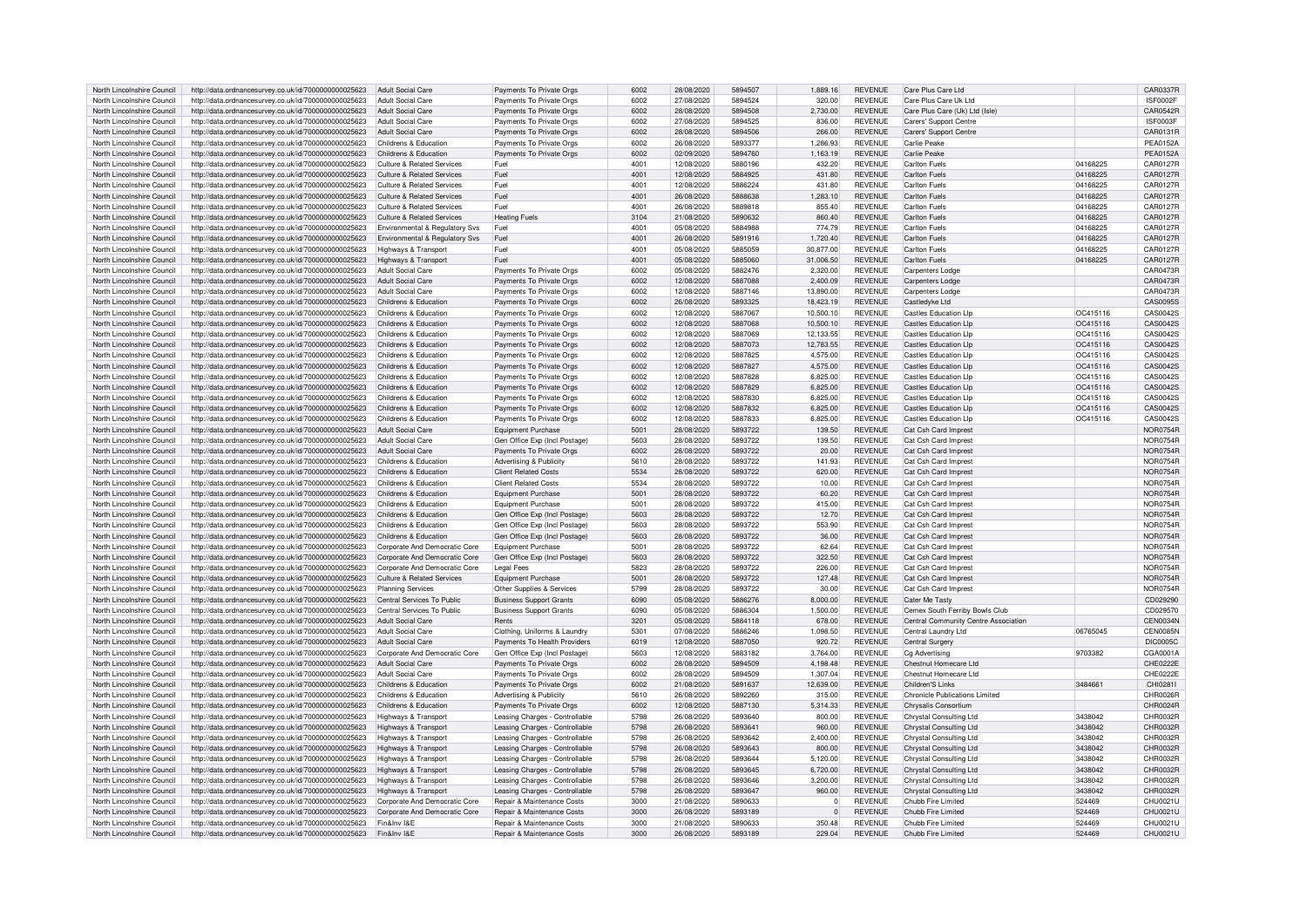| North Lincolnshire Council | http://data.ordnancesurvey.co.uk/id/7000000000025623 | Adult Social Care                     | Payments To Private Orgs       | 6002 | 28/08/2020 | 5894507 | 1.889.16       | <b>REVENUE</b> | Care Plus Care Ltd                   |          | CAR0337R        |
|----------------------------|------------------------------------------------------|---------------------------------------|--------------------------------|------|------------|---------|----------------|----------------|--------------------------------------|----------|-----------------|
| North Lincolnshire Council | http://data.ordnancesurvey.co.uk/id/7000000000025623 | Adult Social Care                     | Payments To Private Orgs       | 6002 | 27/08/2020 | 5894524 | 320.00         | <b>REVENUE</b> | Care Plus Care Uk Ltd                |          | <b>ISF0002F</b> |
| North Lincolnshire Council | http://data.ordnancesurvey.co.uk/id/7000000000025623 | <b>Adult Social Care</b>              | Payments To Private Orgs       | 6002 | 28/08/2020 | 5894508 | 2,730.00       | <b>REVENUE</b> | Care Plus Care (Uk) Ltd (Isle)       |          | CAR0542R        |
|                            |                                                      |                                       |                                |      |            |         |                |                |                                      |          |                 |
| North Lincolnshire Council | http://data.ordnancesurvey.co.uk/id/7000000000025623 | Adult Social Care                     | Payments To Private Oras       | 6002 | 27/08/2020 | 5894525 | 836.00         | <b>REVENUE</b> | Carers' Support Centre               |          | ISF0003F        |
| North Lincolnshire Council | http://data.ordnancesurvey.co.uk/id/7000000000025623 | <b>Adult Social Care</b>              | Payments To Private Oras       | 5002 | 28/08/2020 | 5894506 | 266.00         | <b>REVENUE</b> | Carers' Support Centre               |          | CAR0131R        |
| North Lincolnshire Council | http://data.ordnancesurvey.co.uk/id/7000000000025623 | Childrens & Education                 | Payments To Private Orgs       | 6002 | 26/08/2020 | 5893377 | 1,286.93       | <b>REVENUE</b> | Carlie Peake                         |          | <b>PEA0152A</b> |
| North Lincolnshire Council | http://data.ordnancesurvey.co.uk/id/7000000000025623 | Childrens & Education                 | Payments To Private Orgs       | 6002 | 02/09/2020 | 5894760 | 1.163.19       | <b>REVENUE</b> | Carlie Peak                          |          | <b>PEA0152A</b> |
| North Lincolnshire Council | http://data.ordnancesurvey.co.uk/id/7000000000025623 | Culture & Related Services            | Fuel                           | 4001 | 12/08/2020 | 5880196 | 432.20         | <b>REVENUE</b> | Carlton Fuels                        | 04168225 | CAR0127R        |
| North Lincolnshire Council | http://data.ordnancesurvey.co.uk/id/7000000000025623 | <b>Culture &amp; Related Services</b> | Fuel                           | 4001 | 12/08/2020 | 5884925 | 431.80         | <b>REVENUE</b> | <b>Carlton Fuels</b>                 | 04168225 | CAR0127R        |
| North Lincolnshire Council | http://data.ordnancesurvey.co.uk/id/7000000000025623 | Culture & Related Services            | Fuel                           | 4001 | 12/08/2020 | 5886224 | 431.80         | <b>REVENUE</b> | Carlton Fuels                        | 04168225 | CAR0127R        |
|                            |                                                      |                                       |                                |      |            |         |                |                |                                      |          |                 |
| North Lincolnshire Council | http://data.ordnancesurvey.co.uk/id/7000000000025623 | <b>Culture &amp; Related Services</b> | Fuel                           | 4001 | 26/08/2020 | 5888638 | 1,283.10       | <b>REVENUE</b> | Carlton Fuels                        | 04168225 | CAR0127R        |
| North Lincolnshire Council | http://data.ordnancesurvey.co.uk/id/7000000000025623 | Culture & Related Services            | Fuel                           | 4001 | 26/08/2020 | 5889818 | 855.40         | <b>REVENUE</b> | <b>Carlton Fuels</b>                 | 04168225 | CAR0127R        |
| North Lincolnshire Council | http://data.ordnancesurvey.co.uk/id/7000000000025623 | <b>Culture &amp; Related Services</b> | <b>Heating Fuels</b>           | 3104 | 21/08/2020 | 5890632 | 860.40         | <b>REVENUE</b> | Carlton Fuels                        | 04168225 | CAR0127R        |
| North Lincolnshire Council | http://data.ordnancesurvey.co.uk/id/7000000000025623 | Environmental & Regulatory Sys        | Fuel                           | 4001 | 05/08/2020 | 5884988 | 774.79         | <b>REVENUE</b> | <b>Carlton Fuels</b>                 | 04168225 | CAR0127R        |
| North Lincolnshire Council | http://data.ordnancesurvey.co.uk/id/7000000000025623 | Environmental & Regulatory Svs        | Fuel                           | 4001 | 26/08/2020 | 5891916 | 1,720.40       | <b>REVENUE</b> | Carlton Fuels                        | 04168225 | CAR0127R        |
| North Lincolnshire Council | http://data.ordnancesurvey.co.uk/id/7000000000025623 | Highways & Transport                  | Fuel                           | 4001 | 05/08/2020 | 5885059 | 30,877.00      | <b>REVENUE</b> | Carlton Fuels                        | 04168225 | CAR0127R        |
| North Lincolnshire Council | http://data.ordnancesurvey.co.uk/id/7000000000025623 | Highways & Transport                  | Fuel                           | 4001 | 05/08/2020 | 5885060 | 31.006.50      | <b>REVENUE</b> | <b>Carlton Fuels</b>                 | 04168225 | CAR0127F        |
|                            |                                                      |                                       |                                | 6002 | 05/08/2020 | 5882476 |                | <b>REVENUE</b> |                                      |          |                 |
| North Lincolnshire Council | http://data.ordnancesurvey.co.uk/id/7000000000025623 | <b>Adult Social Care</b>              | Payments To Private Orgs       |      |            |         | 2,320.00       |                | Carpenters Lodge                     |          | CAR0473R        |
| North Lincolnshire Council | http://data.ordnancesurvey.co.uk/id/7000000000025623 | <b>Adult Social Care</b>              | Payments To Private Oras       | 6002 | 12/08/2020 | 5887088 | 2.400.09       | <b>REVENUE</b> | Carpenters Lodge                     |          | CAR0473R        |
| North Lincolnshire Council | http://data.ordnancesurvey.co.uk/id/7000000000025623 | Adult Social Care                     | Payments To Private Orgs       | 6002 | 12/08/2020 | 5887146 | 13,890.00      | <b>REVENUE</b> | Carpenters Lodge                     |          | CAR0473R        |
| North Lincolnshire Council | http://data.ordnancesurvey.co.uk/id/7000000000025623 | Childrens & Education                 | Payments To Private Orgs       | 6002 | 26/08/2020 | 5893325 | 18,423.19      | <b>REVENUE</b> | Castledyke Ltd                       |          | CAS0095S        |
| North Lincolnshire Council | http://data.ordnancesurvey.co.uk/id/7000000000025623 | Childrens & Education                 | Payments To Private Orgs       | 6002 | 12/08/2020 | 5887067 | 10,500.10      | <b>REVENUE</b> | Castles Education I In               | OC415116 | CAS0042S        |
| North Lincolnshire Council | http://data.ordnancesurvey.co.uk/id/7000000000025623 | Childrens & Education                 | Payments To Private Orgs       | 6002 | 12/08/2020 | 5887068 | 10,500.10      | <b>REVENUE</b> | Castles Education I In               | OC415116 | CAS0042S        |
|                            |                                                      |                                       |                                | 6002 |            | 5887069 | 12.133.55      | <b>REVENUE</b> |                                      | OC415116 | CAS0042S        |
| North Lincolnshire Council | http://data.ordnancesurvey.co.uk/id/7000000000025623 | Childrens & Education                 | Payments To Private Orgs       |      | 12/08/2020 |         |                |                | Castles Education I In               |          |                 |
| North Lincolnshire Council | http://data.ordnancesurvey.co.uk/id/7000000000025623 | Childrens & Education                 | Payments To Private Orgs       | 6002 | 12/08/2020 | 5887073 | 12.783.55      | <b>REVENUE</b> | <b>Castles Education LIp</b>         | OC415116 | CAS0042S        |
| North Lincolnshire Council | http://data.ordnancesurvey.co.uk/id/7000000000025623 | Childrens & Education                 | Payments To Private Orgs       | 6002 | 12/08/2020 | 5887825 | 4,575.00       | <b>REVENUE</b> | <b>Castles Education Llp</b>         | OC415116 | CAS0042S        |
| North Lincolnshire Council | http://data.ordnancesurvey.co.uk/id/7000000000025623 | Childrens & Education                 | Payments To Private Orgs       | 6002 | 12/08/2020 | 5887827 | 4,575.00       | <b>REVENUE</b> | <b>Castles Education Llp</b>         | OC415116 | CAS0042S        |
| North Lincolnshire Council | http://data.ordnancesurvey.co.uk/id/7000000000025623 | Childrens & Education                 | Payments To Private Orgs       | 6002 | 12/08/2020 | 5887828 | 6.825.00       | <b>REVENUE</b> | <b>Castles Education Llp</b>         | OC415116 | CAS0042S        |
| North Lincolnshire Council | http://data.ordnancesurvey.co.uk/id/7000000000025623 | Childrens & Education                 | Payments To Private Orgs       | 6002 | 12/08/2020 | 5887829 | 6.825.00       | <b>REVENUE</b> | <b>Castles Education Llp</b>         | OC415116 | CAS0042S        |
| North Lincolnshire Council | http://data.ordnancesurvey.co.uk/id/7000000000025623 | Childrens & Education                 | Payments To Private Orgs       | 6002 | 12/08/2020 | 5887830 | 6.825.00       | <b>REVENUE</b> | <b>Castles Education Llp</b>         | OC415116 | CAS0042S        |
| North Lincolnshire Council | http://data.ordnancesurvey.co.uk/id/7000000000025623 | Childrens & Education                 | Payments To Private Orgs       | 6002 | 12/08/2020 | 5887832 | 6,825.00       | <b>REVENUE</b> | <b>Castles Education Llp</b>         | OC415116 | CAS0042S        |
|                            |                                                      |                                       |                                |      |            |         |                |                |                                      |          |                 |
| North Lincolnshire Council | http://data.ordnancesurvey.co.uk/id/7000000000025623 | Childrens & Education                 | Payments To Private Orgs       | 6002 | 12/08/2020 | 5887833 | 6,825.00       | <b>REVENUE</b> | <b>Castles Education Llp</b>         | OC415116 | CAS0042S        |
| North Lincolnshire Council | http://data.ordnancesurvey.co.uk/id/7000000000025623 | Adult Social Care                     | Equipment Purchase             | 5001 | 28/08/2020 | 5893722 | 139.50         | <b>REVENUE</b> | Cat Csh Card Imprest                 |          | <b>NOR0754R</b> |
| North Lincolnshire Council | http://data.ordnancesurvey.co.uk/id/7000000000025623 | Adult Social Care                     | Gen Office Exp (Incl Postage)  | 5603 | 28/08/2020 | 5893722 | 139.50         | <b>REVENUE</b> | Cat Csh Card Imprest                 |          | <b>NOR0754R</b> |
| North Lincolnshire Council | http://data.ordnancesurvey.co.uk/id/7000000000025623 | Adult Social Care                     | Payments To Private Orgs       | 6002 | 28/08/2020 | 5893722 | 20.00          | <b>REVENUE</b> | Cat Csh Card Imprest                 |          | <b>NOR0754R</b> |
| North Lincolnshire Council | http://data.ordnancesurvey.co.uk/id/7000000000025623 | Childrens & Education                 | Advertising & Publicity        | 5610 | 28/08/2020 | 5893722 | 141.93         | <b>REVENUE</b> | Cat Csh Card Impres                  |          | <b>NOR0754F</b> |
| North Lincolnshire Council | http://data.ordnancesurvey.co.uk/id/7000000000025623 | Childrens & Education                 | <b>Client Related Costs</b>    | 5534 | 28/08/2020 | 5893722 | 620.00         | <b>REVENUE</b> | Cat Csh Card Imprest                 |          | <b>NOR0754R</b> |
|                            |                                                      |                                       |                                |      |            |         |                |                |                                      |          |                 |
| North Lincolnshire Council | http://data.ordnancesurvey.co.uk/id/7000000000025623 | Childrens & Education                 | <b>Client Related Costs</b>    | 5534 | 28/08/2020 | 5893722 | 10.00          | <b>REVENUE</b> | Cat Csh Card Imprest                 |          | <b>NOR0754R</b> |
| North Lincolnshire Council | http://data.ordnancesurvey.co.uk/id/7000000000025623 | Childrens & Education                 | Equipment Purchase             | 5001 | 28/08/2020 | 5893722 | 60.20          | <b>REVENUE</b> | Cat Csh Card Imprest                 |          | <b>NOR0754R</b> |
| North Lincolnshire Council | http://data.ordnancesurvey.co.uk/id/7000000000025623 | Childrens & Education                 | Equipment Purchase             | 5001 | 28/08/2020 | 5893722 | 415.00         | <b>REVENUE</b> | Cat Csh Card Imprest                 |          | NOR0754R        |
| North Lincolnshire Council | http://data.ordnancesurvey.co.uk/id/7000000000025623 | Childrens & Education                 | Gen Office Exp (Incl Postage)  | 5603 | 28/08/2020 | 5893722 | 12.70          | <b>REVENUE</b> | Cat Csh Card Imprest                 |          | <b>NOR0754R</b> |
| North Lincolnshire Council | http://data.ordnancesurvey.co.uk/id/7000000000025623 | Childrens & Education                 | Gen Office Exp (Incl Postage)  | 5603 | 28/08/2020 | 5893722 | 553.90         | <b>REVENUE</b> | Cat Csh Card Imprest                 |          | NOR0754R        |
| North Lincolnshire Council | http://data.ordnancesurvey.co.uk/id/7000000000025623 | Childrens & Education                 | Gen Office Exp (Incl Postage)  | 5603 | 28/08/2020 | 5893722 | 36.00          | <b>REVENUE</b> | Cat Csh Card Imprest                 |          | <b>NOR0754R</b> |
| North Lincolnshire Council | http://data.ordnancesurvey.co.uk/id/7000000000025623 | Corporate And Democratic Core         |                                | 5001 | 28/08/2020 | 5893722 | 62.64          | <b>REVENUE</b> | Cat Csh Card Impres                  |          | <b>NOR0754R</b> |
|                            |                                                      |                                       | Equipment Purchase             |      |            |         |                |                |                                      |          |                 |
| North Lincolnshire Council | http://data.ordnancesurvey.co.uk/id/7000000000025623 | Corporate And Democratic Core         | Gen Office Exp (Incl Postage)  | 5603 | 28/08/2020 | 5893722 | 322.50         | <b>REVENUE</b> | Cat Csh Card Imprest                 |          | <b>NOR0754R</b> |
| North Lincolnshire Council | http://data.ordnancesurvey.co.uk/id/7000000000025623 | Corporate And Democratic Core         | I egal Fees                    | 5823 | 28/08/2020 | 5893722 | 226.00         | <b>REVENUE</b> | Cat Csh Card Impres                  |          | <b>NOR0754F</b> |
| North Lincolnshire Council | http://data.ordnancesurvey.co.uk/id/7000000000025623 | <b>Culture &amp; Related Services</b> | <b>Equipment Purchase</b>      | 5001 | 28/08/2020 | 5893722 | 127.48         | <b>REVENUE</b> | Cat Csh Card Imprest                 |          | <b>NOR0754R</b> |
| North Lincolnshire Council | http://data.ordnancesurvey.co.uk/id/7000000000025623 | Planning Services                     | Other Supplies & Services      | 5799 | 28/08/2020 | 5893722 | 30.00          | <b>REVENUE</b> | Cat Csh Card Imprest                 |          | <b>NOR0754R</b> |
| North Lincolnshire Council | http://data.ordnancesurvey.co.uk/id/7000000000025623 | Central Services To Public            | <b>Business Support Grants</b> | 6090 | 05/08/2020 | 5886276 | 8,000.00       | <b>REVENUE</b> | Cater Me Tasty                       |          | CD029290        |
| North Lincolnshire Council | http://data.ordnancesurvey.co.uk/id/7000000000025623 | Central Services To Public            | <b>Business Support Grants</b> | 6090 | 05/08/2020 | 5886304 | 1,500.00       | <b>REVENUE</b> | Cemex South Ferriby Bowls Club       |          | CD029570        |
| North Lincolnshire Council | http://data.ordnancesurvey.co.uk/id/7000000000025623 | Adult Social Care                     | Rents                          | 3201 | 05/08/2020 | 5884118 | 678.00         | <b>REVENUE</b> | Central Community Centre Association |          | <b>CEN0034N</b> |
|                            |                                                      |                                       |                                |      |            |         |                |                |                                      |          |                 |
| North Lincolnshire Council | http://data.ordnancesurvey.co.uk/id/7000000000025623 | Adult Social Care                     | Clothing, Uniforms & Laundry   | 5301 | 07/08/2020 | 5886246 | 1.098.50       | <b>REVENUE</b> | Central Laundry Ltd                  | 06765045 | <b>CEN0085N</b> |
| North Lincolnshire Council | http://data.ordnancesurvey.co.uk/id/7000000000025623 | Adult Social Care                     | Payments To Health Providers   | 6019 | 12/08/2020 | 5887050 | 920.72         | <b>REVENUE</b> | Central Surgery                      |          | DIC0005C        |
| North Lincolnshire Council | http://data.ordnancesurvey.co.uk/id/7000000000025623 | Corporate And Democratic Core         | Gen Office Exp (Incl Postage)  | 5603 | 12/08/2020 | 5883182 | 3,764.00       | <b>REVENUE</b> | Cq Advertising                       | 9703382  | CGA0001A        |
| North Lincolnshire Council | http://data.ordnancesurvey.co.uk/id/7000000000025623 | <b>Adult Social Care</b>              | Payments To Private Orgs       | 6002 | 28/08/2020 | 5894509 | 4,198.48       | <b>REVENUE</b> | Chestnut Homecare Ltd                |          | CHE0222E        |
| North Lincolnshire Council | http://data.ordnancesurvey.co.uk/id/7000000000025623 | Adult Social Care                     | Payments To Private Orgs       | 6002 | 28/08/2020 | 5894509 | 1,307.04       | <b>REVENUE</b> | Chestnut Homecare Ltd                |          | CHE0222E        |
| North Lincolnshire Council | http://data.ordnancesurvey.co.uk/id/7000000000025623 | Childrens & Education                 | Payments To Private Oras       | 6002 | 21/08/2020 | 5891637 | 12.639.00      | <b>REVENUE</b> | Children'S Links                     | 3484661  | CHI0281         |
| North Lincolnshire Council | http://data.ordnancesurvey.co.uk/id/7000000000025623 | Childrens & Education                 | Advertising & Publicity        | 5610 | 26/08/2020 | 5892260 | 315.00         | <b>REVENUE</b> | Chronicle Publications Limited       |          | CHR0026R        |
|                            |                                                      |                                       |                                | 6002 |            | 5887130 |                | <b>REVENUE</b> |                                      |          | CHR0024R        |
| North Lincolnshire Council | http://data.ordnancesurvey.co.uk/id/7000000000025623 | Childrens & Education                 | Payments To Private Orgs       |      | 12/08/2020 |         | 5,314.33       |                | Chrysalis Consortium                 |          |                 |
| North Lincolnshire Council | http://data.ordnancesurvey.co.uk/id/7000000000025623 | Highways & Transport                  | Leasing Charges - Controllable | 5798 | 26/08/2020 | 5893640 | 800.00         | <b>REVENUE</b> | Chrystal Consulting Ltd              | 3438042  | CHR0032R        |
| North Lincolnshire Council | http://data.ordnancesurvey.co.uk/id/7000000000025623 | Highways & Transport                  | Leasing Charges - Controllable | 5798 | 26/08/2020 | 5893641 | 960.00         | <b>REVENUE</b> | <b>Chrystal Consulting Ltd</b>       | 3438042  | CHR0032R        |
| North Lincolnshire Council | http://data.ordnancesurvev.co.uk/id/7000000000025623 | Highways & Transport                  | Leasing Charges - Controllable | 5798 | 26/08/2020 | 5893642 | 2.400.00       | <b>REVENUE</b> | Chrystal Consulting Ltd              | 3438042  | CHR0032R        |
| North Lincolnshire Council | http://data.ordnancesurvey.co.uk/id/7000000000025623 | Highways & Transport                  | Leasing Charges - Controllable | 5798 | 26/08/2020 | 5893643 | 800.00         | <b>REVENUE</b> | <b>Chrystal Consulting Ltd</b>       | 3438042  | CHR0032R        |
| North Lincolnshire Council | http://data.ordnancesurvey.co.uk/id/7000000000025623 | Highways & Transport                  | Leasing Charges - Controllable | 5798 | 26/08/2020 | 5893644 | 5,120.00       | <b>REVENUE</b> | <b>Chrystal Consulting Ltd</b>       | 3438042  | CHR0032R        |
| North Lincolnshire Council | http://data.ordnancesurvey.co.uk/id/7000000000025623 | Highways & Transport                  | Leasing Charges - Controllable | 5798 | 26/08/2020 | 5893645 | 6.720.00       | <b>REVENUE</b> | Chrystal Consulting Ltd              | 3438042  | CHR0032R        |
|                            |                                                      |                                       |                                | 5798 | 26/08/2020 | 5893646 |                | <b>REVENUE</b> |                                      | 3438042  | CHR0032F        |
| North Lincolnshire Council | http://data.ordnancesurvey.co.uk/id/7000000000025623 | <b>Highways &amp; Transport</b>       | Leasing Charges - Controllable |      |            |         | 3,200.00       |                | Chrystal Consulting Ltd              |          |                 |
| North Lincolnshire Council | http://data.ordnancesurvey.co.uk/id/7000000000025623 | Highways & Transport                  | Leasing Charges - Controllable | 5798 | 26/08/2020 | 5893647 | 960.00         | <b>REVENUE</b> | Chrystal Consulting Ltd              | 3438042  | CHR0032R        |
| North Lincolnshire Council | http://data.ordnancesurvey.co.uk/id/7000000000025623 | Corporate And Democratic Core         | Repair & Maintenance Costs     | 3000 | 21/08/2020 | 5890633 | $\overline{0}$ | <b>REVENUE</b> | Chubb Fire Limited                   | 524469   | CHU0021L        |
| North Lincolnshire Council | http://data.ordnancesurvey.co.uk/id/7000000000025623 | Corporate And Democratic Core         | Repair & Maintenance Costs     | 3000 | 26/08/2020 | 5893189 | $\Omega$       | <b>REVENUE</b> | Chubb Fire Limited                   | 524469   | CHU0021U        |
| North Lincolnshire Council | http://data.ordnancesurvey.co.uk/id/7000000000025623 | Fin&Inv I&F                           | Repair & Maintenance Costs     | 3000 | 21/08/2020 | 5890633 | 350.48         | <b>REVENUE</b> | Chubb Fire Limited                   | 524469   | CHU0021U        |
| North Lincolnshire Council | http://data.ordnancesurvey.co.uk/id/7000000000025623 | Fin&Inv I&F                           | Repair & Maintenance Costs     | 3000 | 26/08/2020 | 5893189 | 229.04         | <b>REVENUE</b> | Chubb Fire I imited                  | 524469   | CHU0021U        |
|                            |                                                      |                                       |                                |      |            |         |                |                |                                      |          |                 |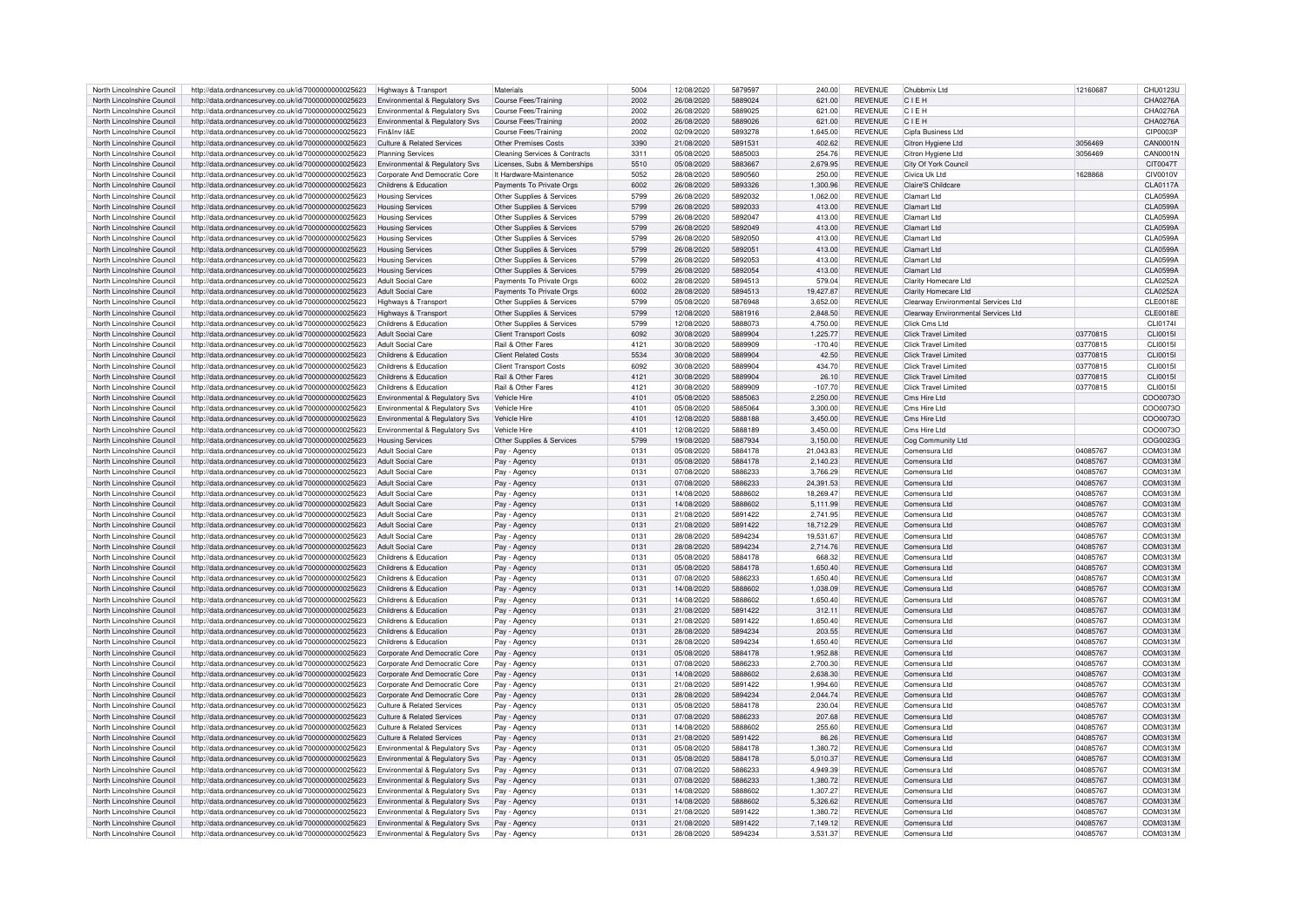| North Lincolnshire Council | http://data.ordnancesurvey.co.uk/id/7000000000025623 | Highways & Transport                  | Materials                     | 5004 | 12/08/2020 | 5879597 | 240.00    | <b>REVENUE</b> | Chubbmix Ltd                        | 12160687 | CHU0123U        |
|----------------------------|------------------------------------------------------|---------------------------------------|-------------------------------|------|------------|---------|-----------|----------------|-------------------------------------|----------|-----------------|
|                            |                                                      |                                       |                               |      |            | 5889024 |           |                |                                     |          |                 |
| North Lincolnshire Council | http://data.ordnancesurvey.co.uk/id/7000000000025623 | Environmental & Regulatory Svs        | Course Fees/Training          | 2002 | 26/08/2020 |         | 621.00    | <b>REVENUE</b> | CIEH                                |          | CHA0276A        |
| North Lincolnshire Council | http://data.ordnancesurvey.co.uk/id/7000000000025623 | Environmental & Regulatory Sys        | Course Fees/Training          | 2002 | 26/08/2020 | 5889025 | 621.00    | <b>REVENUE</b> | CIEH                                |          | CHA0276A        |
| North Lincolnshire Council | http://data.ordnancesurvey.co.uk/id/7000000000025623 | Environmental & Regulatory Svs        | Course Fees/Training          | 2002 | 26/08/2020 | 5889026 | 621.00    | <b>REVENUE</b> | CIFH                                |          | CHA0276A        |
| North Lincolnshire Council | http://data.ordnancesurvey.co.uk/id/7000000000025623 | Fin&Inv I&E                           | Course Fees/Training          | 2002 | 02/09/2020 | 5893278 | 1,645.00  | <b>REVENUE</b> | Cipfa Business Ltd                  |          | CIP0003P        |
|                            |                                                      |                                       |                               |      |            |         |           |                |                                     |          |                 |
| North Lincolnshire Council | http://data.ordnancesurvey.co.uk/id/7000000000025623 | Culture & Related Services            | Other Premises Costs          | 3390 | 21/08/2020 | 589153  | 402.62    | <b>REVENUE</b> | Citron Hygiene Ltd                  | 3056469  | CAN0001N        |
| North Lincolnshire Council | http://data.ordnancesurvey.co.uk/id/7000000000025623 | <b>Planning Services</b>              | Cleaning Services & Contracts | 3311 | 05/08/2020 | 5885003 | 254.76    | <b>REVENUE</b> | Citron Hygiene Ltd                  | 3056469  | <b>CAN0001N</b> |
| North Lincolnshire Council | http://data.ordnancesurvey.co.uk/id/7000000000025623 | Environmental & Regulatory Svs        | Licenses, Subs & Memberships  | 5510 | 05/08/2020 | 5883667 | 2.679.95  | <b>REVENUE</b> | City Of York Counc                  |          | <b>CIT0047T</b> |
|                            |                                                      |                                       |                               |      |            |         |           |                |                                     |          |                 |
| North Lincolnshire Council | http://data.ordnancesurvey.co.uk/id/7000000000025623 | Corporate And Democratic Core         | It Hardware-Maintenance       | 5052 | 28/08/2020 | 5890560 | 250.00    | <b>REVENUE</b> | Civica Uk Ltd                       | 1628868  | CIV0010V        |
| North Lincolnshire Council | http://data.ordnancesurvey.co.uk/id/7000000000025623 | Childrens & Education                 | Payments To Private Orgs      | 6002 | 26/08/2020 | 5893326 | 1,300.96  | <b>REVENUE</b> | Claire'S Childcare                  |          | <b>CLA0117A</b> |
| North Lincolnshire Council | http://data.ordnancesurvey.co.uk/id/7000000000025623 | <b>Housing Services</b>               | Other Supplies & Services     | 5799 | 26/08/2020 | 5892032 | 1.062.00  | <b>REVENUE</b> | Clamart Ltd                         |          | <b>CLA0599A</b> |
| North Lincolnshire Council |                                                      |                                       |                               | 5799 | 26/08/2020 | 5892033 | 413.00    | <b>REVENUE</b> | Clamart Ltd                         |          | <b>CLA0599A</b> |
|                            | http://data.ordnancesurvey.co.uk/id/7000000000025623 | <b>Housing Services</b>               | Other Supplies & Services     |      |            |         |           |                |                                     |          |                 |
| North Lincolnshire Council | http://data.ordnancesurvey.co.uk/id/7000000000025623 | <b>Housing Services</b>               | Other Supplies & Services     | 5799 | 26/08/2020 | 5892047 | 413.00    | <b>REVENUE</b> | Clamart Ltd                         |          | <b>CLA0599A</b> |
| North Lincolnshire Council | http://data.ordnancesurvey.co.uk/id/7000000000025623 | <b>Housing Services</b>               | Other Supplies & Services     | 5799 | 26/08/2020 | 5892049 | 413.00    | <b>REVENUE</b> | Clamart I td                        |          | <b>CLA0599A</b> |
| North Lincolnshire Council | http://data.ordnancesurvey.co.uk/id/7000000000025623 | <b>Housing Services</b>               | Other Supplies & Services     | 5799 | 26/08/2020 | 5892050 | 413.00    | <b>REVENUE</b> | Clamart Ltd                         |          | CLA0599A        |
|                            |                                                      |                                       |                               |      |            |         |           |                |                                     |          |                 |
| North Lincolnshire Council | http://data.ordnancesurvey.co.uk/id/7000000000025623 | <b>Housing Services</b>               | Other Supplies & Services     | 5799 | 26/08/2020 | 5892051 | 413.00    | <b>REVENUE</b> | Clamart I td                        |          | <b>CLA0599A</b> |
| North Lincolnshire Council | http://data.ordnancesurvey.co.uk/id/7000000000025623 | <b>Housing Services</b>               | Other Supplies & Services     | 5799 | 26/08/2020 | 5892053 | 413.00    | <b>REVENUE</b> | Clamart Ltd                         |          | <b>CLA0599A</b> |
| North Lincolnshire Council | http://data.ordnancesurvey.co.uk/id/7000000000025623 | <b>Housing Services</b>               | Other Supplies & Services     | 5799 | 26/08/2020 | 5892054 | 413.00    | <b>REVENUE</b> | Clamart I td                        |          | <b>CLA0599A</b> |
|                            |                                                      |                                       |                               | 6002 |            |         |           |                |                                     |          |                 |
| North Lincolnshire Council | http://data.ordnancesurvey.co.uk/id/7000000000025623 | <b>Adult Social Care</b>              | Payments To Private Orgs      |      | 28/08/2020 | 5894513 | 579.04    | <b>REVENUE</b> | Clarity Homecare Ltd                |          | <b>CLA0252A</b> |
| North Lincolnshire Council | http://data.ordnancesurvey.co.uk/id/7000000000025623 | <b>Adult Social Care</b>              | Payments To Private Orgs      | 6002 | 28/08/2020 | 5894513 | 19.427.87 | <b>REVENUE</b> | Clarity Homecare I td               |          | CLA0252A        |
| North Lincolnshire Council | http://data.ordnancesurvey.co.uk/id/7000000000025623 | Highways & Transport                  | Other Supplies & Services     | 5799 | 05/08/2020 | 5876948 | 3,652.00  | <b>REVENUE</b> | Clearway Environmental Services Ltd |          | CLE0018E        |
| North Lincolnshire Council | http://data.ordnancesurvey.co.uk/id/7000000000025623 | Highways & Transport                  | Other Supplies & Services     | 5799 | 12/08/2020 | 5881916 | 2.848.50  | <b>REVENUE</b> | Clearway Environmental Services Ltd |          | CLE0018E        |
|                            |                                                      |                                       |                               |      |            |         |           |                |                                     |          |                 |
| North Lincolnshire Council | http://data.ordnancesurvey.co.uk/id/7000000000025623 | Childrens & Education                 | Other Supplies & Services     | 5799 | 12/08/2020 | 5888073 | 4,750.00  | <b>REVENUE</b> | Click Cms I td                      |          | CI 101741       |
| North Lincolnshire Council | http://data.ordnancesurvey.co.uk/id/7000000000025623 | <b>Adult Social Care</b>              | <b>Client Transport Costs</b> | 6092 | 30/08/2020 | 5889904 | 1,225.77  | <b>REVENUE</b> | Click Travel Limited                | 03770815 | CLI0015         |
| North Lincolnshire Council | http://data.ordnancesurvey.co.uk/id/7000000000025623 | <b>Adult Social Care</b>              | Rail & Other Fares            | 4121 | 30/08/2020 | 5889909 | $-170.40$ | <b>REVENUE</b> | <b>Click Travel Limited</b>         | 03770815 | CLI0015         |
|                            |                                                      |                                       |                               |      |            |         |           |                |                                     |          |                 |
| North Lincolnshire Council | http://data.ordnancesurvey.co.uk/id/7000000000025623 | Childrens & Education                 | <b>Client Related Costs</b>   | 5534 | 30/08/2020 | 5889904 | 42.50     | <b>REVENUE</b> | Click Travel Limited                | 03770815 | CL10015         |
| North Lincolnshire Council | http://data.ordnancesurvey.co.uk/id/7000000000025623 | Childrens & Education                 | <b>Client Transport Costs</b> | 6092 | 30/08/2020 | 5889904 | 434.70    | <b>REVENUE</b> | <b>Click Travel Limited</b>         | 03770815 | CLI0015         |
| North Lincolnshire Council | http://data.ordnancesurvey.co.uk/id/7000000000025623 | Childrens & Education                 | Rail & Other Fares            | 4121 | 30/08/2020 | 5889904 | 26.10     | <b>REVENUE</b> | Click Travel Limited                | 03770815 | <b>CLI0015</b>  |
|                            |                                                      |                                       |                               |      |            |         |           |                |                                     |          |                 |
| North Lincolnshire Council | http://data.ordnancesurvey.co.uk/id/7000000000025623 | Childrens & Education                 | Rail & Other Fares            | 4121 | 30/08/2020 | 5889909 | $-107.70$ | <b>REVENUE</b> | Click Travel Limited                | 03770815 | CLI0015         |
| North Lincolnshire Council | http://data.ordnancesurvey.co.uk/id/7000000000025623 | Environmental & Regulatory Svs        | Vehicle Hire                  | 4101 | 05/08/2020 | 5885063 | 2,250.00  | <b>REVENUE</b> | Cms Hire Ltd                        |          | COO0073C        |
| North Lincolnshire Council | http://data.ordnancesurvey.co.uk/id/7000000000025623 | Environmental & Regulatory Svs        | Vehicle Hire                  | 4101 | 05/08/2020 | 5885064 | 3.300.00  | <b>REVENUE</b> | Cms Hire I td                       |          | COO0073C        |
| North Lincolnshire Council |                                                      |                                       | Vehicle Hire                  | 4101 |            | 5888188 |           | <b>REVENUE</b> | Cms Hire I td                       |          |                 |
|                            | http://data.ordnancesurvey.co.uk/id/7000000000025623 | Environmental & Regulatory Svs        |                               |      | 12/08/2020 |         | 3,450.00  |                |                                     |          | COO0073C        |
| North Lincolnshire Council | http://data.ordnancesurvey.co.uk/id/7000000000025623 | Environmental & Regulatory Svs        | Vehicle Hire                  | 4101 | 12/08/2020 | 5888189 | 3,450.00  | <b>REVENUE</b> | Cms Hire I td                       |          | COO0073C        |
| North Lincolnshire Council | http://data.ordnancesurvey.co.uk/id/7000000000025623 | <b>Housing Services</b>               | Other Supplies & Services     | 5799 | 19/08/2020 | 5887934 | 3,150.00  | <b>REVENUE</b> | Cog Community Ltd                   |          | COG0023G        |
| North Lincolnshire Council | http://data.ordnancesurvey.co.uk/id/7000000000025623 | Adult Social Care                     | Pay - Agency                  | 0131 | 05/08/2020 | 5884178 | 21,043.83 | <b>REVENUE</b> | Comensura Ltd                       | 04085767 | COM0313M        |
|                            |                                                      |                                       |                               |      |            |         |           |                |                                     |          |                 |
| North Lincolnshire Council | http://data.ordnancesurvey.co.uk/id/7000000000025623 | <b>Adult Social Care</b>              | Pay - Agency                  | 0131 | 05/08/2020 | 5884178 | 2,140.23  | <b>REVENUE</b> | Comensura Ltd                       | 04085767 | COM0313M        |
| North Lincolnshire Council | http://data.ordnancesurvey.co.uk/id/7000000000025623 | Adult Social Care                     | Pay - Agency                  | 0131 | 07/08/2020 | 5886233 | 3.766.29  | <b>REVENUE</b> | Comensura Ltd                       | 04085767 | COM0313M        |
| North Lincolnshire Council | http://data.ordnancesurvey.co.uk/id/7000000000025623 | <b>Adult Social Care</b>              | Pay - Agency                  | 0131 | 07/08/2020 | 5886233 | 24.391.53 | <b>REVENUE</b> | Comensura Ltd                       | 04085767 | COM0313M        |
|                            |                                                      |                                       |                               |      |            |         |           |                |                                     |          |                 |
| North Lincolnshire Council | http://data.ordnancesurvey.co.uk/id/7000000000025623 | Adult Social Care                     | Pay - Agency                  | 0131 | 14/08/2020 | 5888602 | 18,269.47 | <b>REVENUE</b> | Comensura Ltd                       | 0408576  | COM0313M        |
| North Lincolnshire Council | http://data.ordnancesurvey.co.uk/id/7000000000025623 | <b>Adult Social Care</b>              | Pay - Agency                  | 0131 | 14/08/2020 | 5888602 | 5.111.99  | <b>REVENUE</b> | Comensura Ltd                       | 04085767 | COM0313M        |
| North Lincolnshire Council | http://data.ordnancesurvey.co.uk/id/7000000000025623 | <b>Adult Social Care</b>              | Pay - Agency                  | 0131 | 21/08/2020 | 5891422 | 2,741.95  | <b>REVENUE</b> | Comensura Ltd                       | 04085767 | COM0313M        |
| North Lincolnshire Council | http://data.ordnancesurvey.co.uk/id/7000000000025623 | <b>Adult Social Care</b>              |                               | 0131 | 21/08/2020 | 5891422 | 18,712.29 | <b>REVENUE</b> | Comensura Ltd                       | 04085767 | COM0313M        |
|                            |                                                      |                                       | Pay - Agency                  |      |            |         |           |                |                                     |          |                 |
| North Lincolnshire Council | http://data.ordnancesurvey.co.uk/id/7000000000025623 | <b>Adult Social Care</b>              | Pay - Agency                  | 0131 | 28/08/2020 | 5894234 | 19,531.67 | <b>REVENUE</b> | Comensura Ltd                       | 04085767 | COM0313M        |
| North Lincolnshire Council | http://data.ordnancesurvey.co.uk/id/7000000000025623 | <b>Adult Social Care</b>              | Pav - Agency                  | 0131 | 28/08/2020 | 5894234 | 2,714.76  | <b>REVENUE</b> | Comensura Ltd                       | 04085767 | COM0313M        |
| North Lincolnshire Council | http://data.ordnancesurvey.co.uk/id/7000000000025623 | Childrens & Education                 | Pay - Agency                  | 0131 | 05/08/2020 | 5884178 | 668.32    | <b>REVENUE</b> | Comensura I to                      | 04085767 | COM0313M        |
|                            |                                                      |                                       |                               |      |            |         |           |                |                                     |          |                 |
| North Lincolnshire Council | http://data.ordnancesurvey.co.uk/id/7000000000025623 | Childrens & Education                 | Pay - Agency                  | 0131 | 05/08/2020 | 5884178 | 1,650.40  | <b>REVENUE</b> | Comensura Ltd                       | 04085767 | COM0313M        |
| North Lincolnshire Council | http://data.ordnancesurvey.co.uk/id/7000000000025623 | Childrens & Education                 | Pay - Agency                  | 0131 | 07/08/2020 | 5886233 | 1.650.40  | <b>REVENUE</b> | Comensura Ltd                       | 04085767 | COM0313M        |
| North Lincolnshire Council | http://data.ordnancesurvey.co.uk/id/7000000000025623 | Childrens & Education                 | Pay - Agency                  | 0131 | 14/08/2020 | 5888602 | 1,038.09  | <b>REVENUE</b> | Comensura Ltd                       | 04085767 | COM0313M        |
|                            |                                                      |                                       |                               |      |            |         |           |                |                                     |          |                 |
| North Lincolnshire Council | http://data.ordnancesurvey.co.uk/id/7000000000025623 | Childrens & Education                 | Pay - Agency                  | 0131 | 14/08/2020 | 5888602 | 1,650.40  | <b>REVENUE</b> | Comensura Ltd                       | 04085767 | COM0313M        |
| North Lincolnshire Council | http://data.ordnancesurvey.co.uk/id/7000000000025623 | Childrens & Education                 | Pay - Agency                  | 0131 | 21/08/2020 | 5891422 | 312.11    | <b>REVENUE</b> | Comensura Ltd                       | 04085767 | COM0313M        |
| North Lincolnshire Council | http://data.ordnancesurvey.co.uk/id/7000000000025623 | Childrens & Education                 | Pay - Agency                  | 0131 | 21/08/2020 | 5891422 | 1,650.40  | <b>REVENUE</b> | Comensura Ltd                       | 04085767 | COM0313M        |
| North Lincolnshire Council | http://data.ordnancesurvey.co.uk/id/7000000000025623 | Childrens & Education                 |                               | 0131 | 28/08/2020 | 5894234 | 203.55    | <b>REVENUE</b> | Comensura Ltd                       | 04085767 | COM0313M        |
|                            |                                                      |                                       | Pay - Agency                  |      |            |         |           |                |                                     |          |                 |
| North Lincolnshire Council | http://data.ordnancesurvey.co.uk/id/7000000000025623 | Childrens & Education                 | Pay - Agency                  | 0131 | 28/08/2020 | 5894234 | 1,650.40  | <b>REVENUE</b> | Comensura Ltd                       | 04085767 | COM0313M        |
| North Lincolnshire Council | http://data.ordnancesurvey.co.uk/id/7000000000025623 | Corporate And Democratic Core         | Pay - Agency                  | 0131 | 05/08/2020 | 5884178 | 1,952.88  | <b>REVENUE</b> | Comensura I td                      | 04085767 | COM0313M        |
| North Lincolnshire Council | http://data.ordnancesurvey.co.uk/id/7000000000025623 | Corporate And Democratic Core         | Pay - Agency                  | 0131 | 07/08/2020 | 5886233 | 2,700.30  | <b>REVENUE</b> | Comensura Ltd                       | 04085767 | COM0313M        |
|                            |                                                      |                                       |                               |      |            |         |           |                |                                     |          |                 |
| North Lincolnshire Council | http://data.ordnancesurvey.co.uk/id/7000000000025623 | Corporate And Democratic Core         | Pav - Agency                  | 0131 | 14/08/2020 | 5888602 | 2.638.30  | <b>REVENUE</b> | Comensura Ltd                       | 04085767 | COM0313M        |
| North Lincolnshire Council | http://data.ordnancesurvey.co.uk/id/7000000000025623 | Corporate And Democratic Core         | Pay - Agency                  | 0131 | 21/08/2020 | 5891422 | 1.994.60  | <b>REVENUE</b> | Comensura Ltd                       | 04085767 | COM0313M        |
| North Lincolnshire Council | http://data.ordnancesurvey.co.uk/id/7000000000025623 | Corporate And Democratic Core         | Pay - Agency                  | 0131 | 28/08/2020 | 5894234 | 2.044.74  | <b>REVENUE</b> | Comensura Ltd                       | 04085767 | COM0313M        |
|                            |                                                      |                                       |                               |      |            | 5884178 |           |                |                                     |          |                 |
| North Lincolnshire Council | http://data.ordnancesurvey.co.uk/id/7000000000025623 | Culture & Related Services            | Pay - Agency                  | 0131 | 05/08/2020 |         | 230.04    | <b>REVENUE</b> | Comensura Ltd                       | 0408576  | COM0313M        |
| North Lincolnshire Council | http://data.ordnancesurvey.co.uk/id/7000000000025623 | <b>Culture &amp; Related Services</b> | Pay - Agency                  | 0131 | 07/08/2020 | 5886233 | 207.68    | <b>REVENUE</b> | Comensura Ltd                       | 04085767 | COM0313M        |
| North Lincolnshire Council | http://data.ordnancesurvey.co.uk/id/7000000000025623 | <b>Culture &amp; Related Services</b> | Pay - Agency                  | 0131 | 14/08/2020 | 5888602 | 255.60    | <b>REVENUE</b> | Comensura Ltd                       | 04085767 | COM0313M        |
| North Lincolnshire Council | http://data.ordnancesurvey.co.uk/id/7000000000025623 | Culture & Related Services            |                               | 0131 | 21/08/2020 | 5891422 | 86.26     | <b>REVENUE</b> | Comensura Ltd                       | 04085767 | COM0313M        |
|                            |                                                      |                                       | Pay - Agency                  |      |            |         |           |                |                                     |          |                 |
| North Lincolnshire Council | http://data.ordnancesurvey.co.uk/id/7000000000025623 | Environmental & Regulatory Svs        | Pay - Agency                  | 0131 | 05/08/2020 | 5884178 | 1.380.72  | <b>REVENUE</b> | Comensura Ltd                       | 04085767 | COM0313M        |
| North Lincolnshire Council | http://data.ordnancesurvey.co.uk/id/7000000000025623 | Environmental & Regulatory Svs        | Pay<br>- Agenc                | 0131 | 05/08/2020 | 5884178 | 5,010.37  | <b>REVENUE</b> | Comensura Ltd                       | 04085767 | COM0313M        |
| North Lincolnshire Council | http://data.ordnancesurvey.co.uk/id/7000000000025623 | Environmental & Regulatory Svs        | Pay - Agency                  | 0131 | 07/08/2020 | 5886233 | 4.949.39  | <b>REVENUE</b> | Comensura Ltd                       | 04085767 | COM0313M        |
|                            |                                                      |                                       |                               |      |            |         |           |                |                                     |          |                 |
| North Lincolnshire Council | http://data.ordnancesurvey.co.uk/id/7000000000025623 | Environmental & Regulatory Svs        | Pay - Agency                  | 0131 | 07/08/2020 | 5886233 | 1,380.72  | <b>REVENUE</b> | Comensura Ltd                       | 04085767 | COM0313M        |
| North Lincolnshire Council | http://data.ordnancesurvey.co.uk/id/7000000000025623 | Environmental & Regulatory Sys        | Pay - Agency                  | 0131 | 14/08/2020 | 5888602 | 1.307.27  | <b>REVENUE</b> | Comensura Ltd                       | 04085767 | COM0313M        |
| North Lincolnshire Council | http://data.ordnancesurvey.co.uk/id/7000000000025623 | Environmental & Regulatory Svs        | Pay - Agency                  | 0131 | 14/08/2020 | 5888602 | 5.326.62  | <b>REVENUE</b> | Comensura Ltd                       | 04085767 | COM0313M        |
|                            |                                                      |                                       |                               |      |            | 5891422 |           | <b>REVENUE</b> |                                     |          | COM0313M        |
| North Lincolnshire Council | http://data.ordnancesurvey.co.uk/id/7000000000025623 | Environmental & Regulatory Svs        | Pav - Agency                  | 0131 | 21/08/2020 |         | 1,380.72  |                | Comensura Ltd                       | 04085767 |                 |
| North Lincolnshire Council | http://data.ordnancesurvey.co.uk/id/7000000000025623 | Environmental & Regulatory Svs        | Pay - Agency                  | 0131 | 21/08/2020 | 5891422 | 7.149.12  | <b>REVENUE</b> | Comensura Ltd                       | 04085767 | COM0313M        |
| North Lincolnshire Council | http://data.ordnancesurvey.co.uk/id/7000000000025623 | Environmental & Regulatory Svs        | Pay - Agency                  | 0131 | 28/08/2020 | 5894234 | 3.531.37  | <b>REVENUE</b> | Comensura Ltd                       | 04085767 | COM0313M        |
|                            |                                                      |                                       |                               |      |            |         |           |                |                                     |          |                 |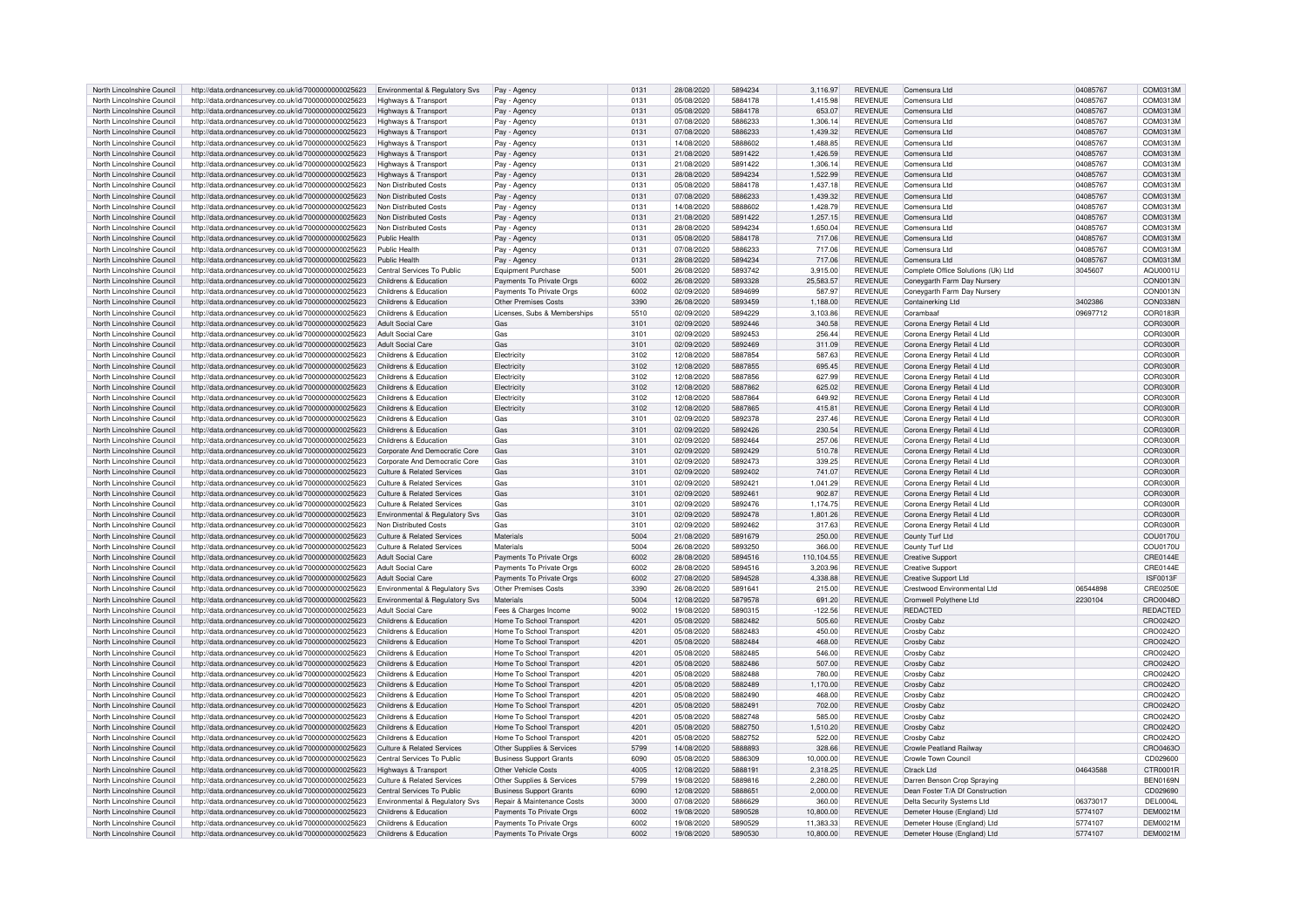| North Lincolnshire Council | http://data.ordnancesurvey.co.uk/id/7000000000025623 | Environmental & Regulatory Svs            | Pay - Agency                   | 0131             | 28/08/2020 | 5894234 | 3.116.97   | <b>REVENUE</b> | Comensura Ltd                      | 04085767 | COM0313M        |
|----------------------------|------------------------------------------------------|-------------------------------------------|--------------------------------|------------------|------------|---------|------------|----------------|------------------------------------|----------|-----------------|
| North Lincolnshire Council | http://data.ordnancesurvey.co.uk/id/7000000000025623 | Highways & Transport                      | Pay - Agency                   | 0131             | 05/08/2020 | 5884178 | 1,415.98   | <b>REVENUE</b> | Comensura Ltd                      | 04085767 | COM0313M        |
| North Lincolnshire Council | http://data.ordnancesurvey.co.uk/id/7000000000025623 | Highways & Transpor                       | Pav - Agency                   | 0131             | 05/08/2020 | 5884178 | 653.07     | <b>REVENUE</b> | Comensura Ltd                      | 04085767 | COM0313M        |
| North Lincolnshire Council | http://data.ordnancesurvey.co.uk/id/7000000000025623 |                                           |                                | 0131             | 07/08/2020 | 5886233 | 1.306.14   | <b>REVENUE</b> | Comensura I td                     | 04085767 | COM0313M        |
|                            |                                                      | <b>Highways &amp; Transport</b>           | Pay - Agency                   |                  |            |         |            |                |                                    |          |                 |
| North Lincolnshire Council | http://data.ordnancesurvey.co.uk/id/7000000000025623 | Highways & Transport                      | Pay - Agency                   | 0131             | 07/08/2020 | 5886233 | 1.439.32   | <b>REVENUE</b> | Comensura I td                     | 04085767 | COM0313M        |
| North Lincolnshire Council | http://data.ordnancesurvey.co.uk/id/7000000000025623 | Highways & Transport                      | Pay - Agency                   | 0131             | 14/08/2020 | 5888602 | 1,488.85   | <b>REVENUE</b> | Comensura Ltd                      | 04085767 | COM0313M        |
| North Lincolnshire Council | http://data.ordnancesurvey.co.uk/id/7000000000025623 | <b>Highways &amp; Transport</b>           | Pay - Agency                   | 013              | 21/08/2020 | 5891422 | 1.426.59   | <b>REVENUE</b> | Comensura I td                     | 04085767 | COM0313M        |
| North Lincolnshire Council | http://data.ordnancesurvey.co.uk/id/7000000000025623 | <b>Highways &amp; Transport</b>           | Pay - Agency                   | 013              | 21/08/2020 | 5891422 | 1,306.14   | REVENUE        | Comensura I to                     | 04085767 | COM0313M        |
| North Lincolnshire Council | http://data.ordnancesurvey.co.uk/id/7000000000025623 | Highways & Transport                      | Pay - Agency                   | 0131             | 28/08/2020 | 5894234 | 1.522.99   | <b>REVENUE</b> | Comensura I td                     | 04085767 | COM0313M        |
| North Lincolnshire Council | http://data.ordnancesurvey.co.uk/id/7000000000025623 | Non Distributed Costs                     | Pay - Agency                   | 0131             | 05/08/2020 | 5884178 | 1,437.18   | <b>REVENUE</b> | Comensura Ltd                      | 04085767 | COM0313M        |
| North Lincolnshire Council | http://data.ordnancesurvey.co.uk/id/7000000000025623 | Non Distributed Costs                     | Pay - Agency                   | 0131             | 07/08/2020 | 5886233 | 1,439.32   | <b>REVENUE</b> | Comensura Ltd                      | 04085767 | COM0313M        |
|                            |                                                      |                                           |                                |                  |            |         |            |                |                                    |          | COM0313M        |
| North Lincolnshire Council | http://data.ordnancesurvey.co.uk/id/7000000000025623 | Non Distributed Costs                     | Pay - Agency                   | 013              | 14/08/2020 | 5888602 | 1.428.79   | REVENUE        | Comensura Ltd                      | 04085767 |                 |
| North Lincolnshire Council | http://data.ordnancesurvey.co.uk/id/7000000000025623 | Non Distributed Costs                     | Pav - Agency                   | 0131             | 21/08/2020 | 5891422 | 1,257.15   | <b>REVENUE</b> | Comensura Ltd                      | 04085767 | COM0313M        |
| North Lincolnshire Council | http://data.ordnancesurvey.co.uk/id/7000000000025623 | Non Distributed Costs                     | Pay - Agency                   | 0131             | 28/08/2020 | 5894234 | 1.650.04   | <b>REVENUE</b> | Comensura Ltd                      | 04085767 | COM0313M        |
| North Lincolnshire Council | http://data.ordnancesurvey.co.uk/id/7000000000025623 | Public Health                             | Pay - Agency                   | 0131             | 05/08/2020 | 5884178 | 717.06     | <b>REVENUE</b> | Comensura Ltd                      | 04085767 | COM0313M        |
| North Lincolnshire Council | http://data.ordnancesurvey.co.uk/id/7000000000025623 | Public Health                             | Pay - Agency                   | 0131             | 07/08/2020 | 5886233 | 717.06     | REVENUE        | Comensura I td                     | 04085767 | COM0313M        |
| North Lincolnshire Council | http://data.ordnancesurvey.co.uk/id/7000000000025623 | Public Health                             | Pay - Agency                   | 0131             | 28/08/2020 | 5894234 | 717.06     | <b>REVENUE</b> | Comensura I td                     | 04085767 | COM0313M        |
| North Lincolnshire Council | http://data.ordnancesurvey.co.uk/id/7000000000025623 | Central Services To Public                | <b>Equipment Purchase</b>      | 5001             | 26/08/2020 | 5893742 | 3,915.00   | REVENUE        | Complete Office Solutions (Uk) Ltd | 3045607  | AQU0001U        |
| North Lincolnshire Council | http://data.ordnancesurvey.co.uk/id/7000000000025623 | Childrens & Education                     | Payments To Private Orgs       | 6002             | 26/08/2020 | 5893328 | 25.583.57  | <b>REVENUE</b> | Coneygarth Farm Day Nurser         |          | CON0013N        |
|                            |                                                      |                                           |                                | 6002             |            | 5894699 |            |                |                                    |          |                 |
| North Lincolnshire Council | http://data.ordnancesurvey.co.uk/id/7000000000025623 | Childrens & Education                     | Payments To Private Orgs       |                  | 02/09/2020 |         | 587.97     | <b>REVENUE</b> | Coneygarth Farm Day Nursery        |          | CON0013N        |
| North Lincolnshire Council | http://data.ordnancesurvey.co.uk/id/7000000000025623 | Childrens & Education                     | <b>Other Premises Costs</b>    | 3390             | 26/08/2020 | 5893459 | 1,188.00   | REVENUE        | Containerking Ltd                  | 3402386  | <b>CON0338N</b> |
| North Lincolnshire Council | http://data.ordnancesurvey.co.uk/id/7000000000025623 | Childrens & Education                     | Licenses, Subs & Memberships   | 5510             | 02/09/2020 | 5894229 | 3,103.86   | REVENUE        | Corambaaf                          | 09697712 | COR0183R        |
| North Lincolnshire Council | http://data.ordnancesurvey.co.uk/id/7000000000025623 | Adult Social Care                         | Gas                            | 3101             | 02/09/2020 | 5892446 | 340.58     | REVENUE        | Corona Energy Retail 4 Ltd         |          | COR0300R        |
| North Lincolnshire Council | http://data.ordnancesurvey.co.uk/id/7000000000025623 | Adult Social Care                         | Gas                            | 3101             | 02/09/2020 | 5892453 | 256.44     | <b>REVENUE</b> | Corona Energy Retail 4 Ltd         |          | COR0300R        |
| North Lincolnshire Council | http://data.ordnancesurvey.co.uk/id/7000000000025623 | <b>Adult Social Care</b>                  | Gas                            | 3101             | 02/09/2020 | 5892469 | 311.09     | <b>REVENUE</b> | Corona Energy Retail 4 Ltd         |          | COR0300R        |
| North Lincolnshire Council | http://data.ordnancesurvey.co.uk/id/7000000000025623 | Childrens & Education                     | Electricity                    | 3102             | 12/08/2020 | 5887854 | 587.63     | <b>REVENUE</b> | Corona Energy Retail 4 Ltd         |          | COR0300F        |
| North Lincolnshire Council | http://data.ordnancesurvey.co.uk/id/7000000000025623 | Childrens & Education                     | Electricit                     | 3102             | 12/08/2020 | 5887855 | 695.45     | REVENUE        | Corona Energy Retail 4 Ltd         |          | COR0300F        |
|                            |                                                      |                                           |                                |                  |            |         |            |                |                                    |          |                 |
| North Lincolnshire Council | http://data.ordnancesurvey.co.uk/id/7000000000025623 | Childrens & Education                     | Flectricit                     | 3102             | 12/08/2020 | 5887856 | 627.99     | <b>REVENUE</b> | Corona Energy Retail 4 I to        |          | COR0300R        |
| North Lincolnshire Council | http://data.ordnancesurvey.co.uk/id/7000000000025623 | Childrens & Education                     | Flectricity                    | 3102             | 12/08/2020 | 5887862 | 625.02     | <b>REVENUE</b> | Corona Energy Retail 4 Ltd         |          | COR0300E        |
| North Lincolnshire Council | http://data.ordnancesurvey.co.uk/id/7000000000025623 | Childrens & Education                     | Electricity                    | 3102             | 12/08/2020 | 5887864 | 649.92     | <b>REVENUE</b> | Corona Energy Retail 4 Ltd         |          | COR0300F        |
| North Lincolnshire Council | http://data.ordnancesurvey.co.uk/id/7000000000025623 | Childrens & Education                     | Electricity                    | 3102             | 12/08/2020 | 5887865 | 415.81     | <b>REVENUE</b> | Corona Energy Retail 4 Ltd         |          | COR0300R        |
| North Lincolnshire Council | http://data.ordnancesurvey.co.uk/id/7000000000025623 | Childrens & Education                     | Gas                            | 3101             | 02/09/2020 | 5892378 | 237.46     | <b>REVENUE</b> | Corona Energy Retail 4 Ltd         |          | COR0300R        |
| North Lincolnshire Council | http://data.ordnancesurvey.co.uk/id/7000000000025623 | Childrens & Education                     | Gas                            | 3101             | 02/09/2020 | 5892426 | 230.54     | <b>REVENUE</b> | Corona Energy Retail 4 Ltd         |          | COR0300R        |
| North Lincolnshire Council | http://data.ordnancesurvey.co.uk/id/7000000000025623 | Childrens & Education                     | Gas                            | 3101             | 02/09/2020 | 5892464 | 257.06     | <b>REVENUE</b> | Corona Energy Retail 4 Ltd         |          | COR0300R        |
|                            |                                                      |                                           |                                |                  |            | 5892429 |            |                |                                    |          |                 |
| North Lincolnshire Council | http://data.ordnancesurvey.co.uk/id/7000000000025623 | Corporate And Democratic Core             | Gas                            | 3101             | 02/09/2020 |         | 510.78     | REVENUE        | Corona Energy Retail 4 Ltd         |          | COR0300R        |
| North Lincolnshire Council | http://data.ordnancesurvey.co.uk/id/7000000000025623 | Corporate And Democratic Core             | Gas                            | 310 <sup>1</sup> | 02/09/2020 | 5892473 | 339.25     | <b>REVENUE</b> | Corona Energy Retail 4 Ltd         |          | COR0300F        |
| North Lincolnshire Council | http://data.ordnancesurvey.co.uk/id/7000000000025623 | <b>Culture &amp; Related Services</b>     | Gas                            | 3101             | 02/09/2020 | 5892402 | 741.07     | REVENUE        | Corona Energy Retail 4 Ltd         |          | COR0300R        |
| North Lincolnshire Council | http://data.ordnancesurvey.co.uk/id/7000000000025623 | Culture & Related Services                | Gas                            | 3101             | 02/09/2020 | 5892421 | 1.041.29   | REVENUE        | Corona Energy Retail 4 Ltd         |          | COR0300R        |
| North Lincolnshire Council | http://data.ordnancesurvey.co.uk/id/7000000000025623 | Culture & Related Services                | Gas                            | 3101             | 02/09/2020 | 589246  | 902.87     | <b>REVENUE</b> | Corona Energy Retail 4 Ltd         |          | COR0300R        |
| North Lincolnshire Council | http://data.ordnancesurvey.co.uk/id/7000000000025623 | Culture & Related Services                | Gas                            | 310 <sup>°</sup> | 02/09/2020 | 5892476 | 1,174.75   | REVENUE        | Corona Energy Retail 4 Ltd         |          | COR0300F        |
| North Lincolnshire Council | http://data.ordnancesurvey.co.uk/id/7000000000025623 | <b>Environmental &amp; Regulatory Sys</b> | Gas                            | 310 <sup>1</sup> | 02/09/2020 | 5892478 | 1.801.26   | <b>REVENUE</b> | Corona Energy Retail 4 Ltd         |          | COR0300F        |
| North Lincolnshire Council | http://data.ordnancesurvey.co.uk/id/7000000000025623 | Non Distributed Costs                     | Gas                            | 3101             | 02/09/2020 | 5892462 | 317.63     | <b>REVENUE</b> | Corona Energy Retail 4 Ltd         |          | COR0300F        |
| North Lincolnshire Council |                                                      | Culture & Related Services                | Materials                      | 5004             | 21/08/2020 | 5891679 | 250.00     | <b>REVENUE</b> |                                    |          | COU0170L        |
|                            | http://data.ordnancesurvey.co.uk/id/7000000000025623 |                                           |                                |                  |            |         |            |                | County Turf Ltd                    |          |                 |
| North Lincolnshire Council | http://data.ordnancesurvey.co.uk/id/7000000000025623 | <b>Culture &amp; Related Services</b>     | Materials                      | 5004             | 26/08/2020 | 5893250 | 366.00     | REVENUE        | County Turf Ltd                    |          | COU0170L        |
| North Lincolnshire Council | http://data.ordnancesurvey.co.uk/id/7000000000025623 | <b>Adult Social Care</b>                  | Payments To Private Orgs       | 6002             | 28/08/2020 | 5894516 | 110,104.55 | REVENUE        | <b>Creative Support</b>            |          | CRE0144E        |
| North Lincolnshire Council | http://data.ordnancesurvey.co.uk/id/7000000000025623 | Adult Social Care                         | Payments To Private Orgs       | 6002             | 28/08/2020 | 5894516 | 3.203.96   | REVENUE        | <b>Creative Support</b>            |          | CRE0144E        |
| North Lincolnshire Council | http://data.ordnancesurvey.co.uk/id/7000000000025623 | <b>Adult Social Care</b>                  | Payments To Private Orgs       | 6002             | 27/08/2020 | 5894528 | 4.338.88   | <b>REVENUE</b> | <b>Creative Support Ltd</b>        |          | ISF0013F        |
| North Lincolnshire Council | http://data.ordnancesurvey.co.uk/id/7000000000025623 | Environmental & Regulatory Svs            | <b>Other Premises Costs</b>    | 3390             | 26/08/2020 | 5891641 | 215.00     | <b>REVENUE</b> | Crestwood Environmental I to       | 06544898 | CRE0250E        |
| North Lincolnshire Council | http://data.ordnancesurvey.co.uk/id/7000000000025623 | Environmental & Regulatory Sys            | Materials                      | 5004             | 12/08/2020 | 5879578 | 691.20     | <b>REVENUE</b> | Cromwell Polythene Ltd             | 2230104  | CRO0048O        |
| North Lincolnshire Council | http://data.ordnancesurvey.co.uk/id/7000000000025623 | Adult Social Care                         | Fees & Charges Income          | 9002             | 19/08/2020 | 5890315 | $-122.56$  | <b>REVENUE</b> | <b>REDACTED</b>                    |          | REDACTED        |
|                            |                                                      |                                           |                                |                  |            |         |            |                |                                    |          |                 |
| North Lincolnshire Council | http://data.ordnancesurvey.co.uk/id/7000000000025623 | Childrens & Education                     | Home To School Transport       | 4201             | 05/08/2020 | 5882482 | 505.60     | <b>REVENUE</b> | <b>Crosby Cabz</b>                 |          | CRO0242O        |
| North Lincolnshire Council | http://data.ordnancesurvey.co.uk/id/7000000000025623 | Childrens & Education                     | Home To School Transport       | 4201             | 05/08/2020 | 5882483 | 450.00     | <b>REVENUE</b> | Crosby Cabz                        |          | CRO0242C        |
| North Lincolnshire Council | http://data.ordnancesurvey.co.uk/id/7000000000025623 | Childrens & Education                     | Home To School Transport       | 4201             | 05/08/2020 | 5882484 | 468.00     | <b>REVENUE</b> | Crosby Cabz                        |          | CRO0242O        |
| North Lincolnshire Council | http://data.ordnancesurvey.co.uk/id/7000000000025623 | Childrens & Education                     | Home To School Transport       | 4201             | 05/08/2020 | 5882485 | 546.00     | <b>REVENUE</b> | Crosby Cabz                        |          | CRO0242C        |
| North Lincolnshire Council | http://data.ordnancesurvey.co.uk/id/7000000000025623 | Childrens & Education                     | Home To School Transport       | $420^{\circ}$    | 05/08/2020 | 5882486 | 507.00     | REVENUE        | Crosby Cabz                        |          | CRO0242O        |
| North Lincolnshire Council | http://data.ordnancesurvey.co.uk/id/7000000000025623 | Childrens & Education                     | Home To School Transpor        | 4201             | 05/08/2020 | 5882488 | 780.00     | <b>REVENUE</b> | Crosby Cabz                        |          | CRO0242C        |
| North Lincolnshire Council | http://data.ordnancesurvey.co.uk/id/7000000000025623 | Childrens & Education                     | Home To School Transport       | 4201             | 05/08/2020 | 5882489 | 1.170.00   | <b>REVENUE</b> | Crosby Cabz                        |          | CRO0242O        |
| North Lincolnshire Council | http://data.ordnancesurvey.co.uk/id/7000000000025623 | Childrens & Education                     | Home To School Transpor        | $420^{\circ}$    | 05/08/2020 | 5882490 | 468.00     | <b>REVENUE</b> | Crosby Cabz                        |          | CRO0242O        |
| North Lincolnshire Council | http://data.ordnancesurvey.co.uk/id/7000000000025623 | Childrens & Education                     | Home To School Transport       | 4201             | 05/08/2020 | 5882491 | 702.00     | <b>REVENUE</b> | Crosby Cabz                        |          | CRO0242O        |
|                            |                                                      | Childrens & Education                     |                                | $420^{\circ}$    |            | 5882748 |            |                |                                    |          |                 |
| North Lincolnshire Council | http://data.ordnancesurvey.co.uk/id/7000000000025623 |                                           | Home To School Transport       |                  | 05/08/2020 |         | 585.00     | <b>REVENUE</b> | Crosby Cabz                        |          | CRO0242O        |
| North Lincolnshire Council | http://data.ordnancesurvey.co.uk/id/7000000000025623 | Childrens & Education                     | Home To School Transport       | $420^{\circ}$    | 05/08/2020 | 5882750 | 1,510.20   | REVENUE        | Crosby Cabz                        |          | CRO0242O        |
| North Lincolnshire Council | http://data.ordnancesurvey.co.uk/id/7000000000025623 | Childrens & Education                     | Home To School Transport       | 4201             | 05/08/2020 | 5882752 | 522.00     | <b>REVENUE</b> | Crosby Cabz                        |          | CRO0242O        |
| North Lincolnshire Council | http://data.ordnancesurvey.co.uk/id/7000000000025623 | Culture & Related Services                | Other Supplies & Services      | 5799             | 14/08/2020 | 5888893 | 328.66     | <b>REVENUE</b> | <b>Crowle Peatland Railway</b>     |          | CRO0463O        |
| North Lincolnshire Council | http://data.ordnancesurvey.co.uk/id/7000000000025623 | Central Services To Public                | <b>Business Support Grants</b> | 6090             | 05/08/2020 | 5886309 | 10,000.00  | <b>REVENUE</b> | <b>Crowle Town Council</b>         |          | CD029600        |
| North Lincolnshire Council | http://data.ordnancesurvey.co.uk/id/7000000000025623 | Highways & Transport                      | Other Vehicle Costs            | 4005             | 12/08/2020 | 5888191 | 2.318.25   | <b>REVENUE</b> | Ctrack I td                        | 04643588 | CTR0001R        |
| North Lincolnshire Council | http://data.ordnancesurvey.co.uk/id/7000000000025623 | Culture & Related Services                | Other Supplies & Services      | 5799             | 19/08/2020 | 5889816 | 2,280.00   | REVENUE        | Darren Benson Crop Spraying        |          | <b>BEN0169N</b> |
| North Lincolnshire Council | http://data.ordnancesurvey.co.uk/id/7000000000025623 | Central Services To Public                | <b>Business Support Grants</b> | 6090             | 12/08/2020 | 5888651 | 2.000.00   | <b>REVENUE</b> | Dean Foster T/A Df Construction    |          | CD029690        |
|                            |                                                      |                                           |                                | 3000             | 07/08/2020 | 5886629 |            | <b>REVENUE</b> |                                    | 06373017 | DEL0004         |
| North Lincolnshire Council | http://data.ordnancesurvey.co.uk/id/7000000000025623 | Environmental & Regulatory Svs            | Repair & Maintenance Costs     |                  |            |         | 360.00     |                | Delta Security Systems Ltd         |          |                 |
| North Lincolnshire Council | http://data.ordnancesurvey.co.uk/id/7000000000025623 | Childrens & Education                     | Payments To Private Orgs       | 6002             | 19/08/2020 | 5890528 | 10,800.00  | <b>REVENUE</b> | Demeter House (England) Ltd        | 5774107  | <b>DEM0021M</b> |
| North Lincolnshire Council | http://data.ordnancesurvey.co.uk/id/7000000000025623 | Childrens & Education                     | Payments To Private Orgs       | 6002             | 19/08/2020 | 5890529 | 11.383.33  | <b>REVENUE</b> | Demeter House (England) Ltd        | 5774107  | <b>DEM0021M</b> |
| North Lincolnshire Council | http://data.ordnancesurvey.co.uk/id/7000000000025623 | Childrens & Education                     | Payments To Private Orgs       | 6002             | 19/08/2020 | 5890530 | 10.800.00  | <b>REVENUE</b> | Demeter House (England) Ltd        | 5774107  | <b>DEM0021M</b> |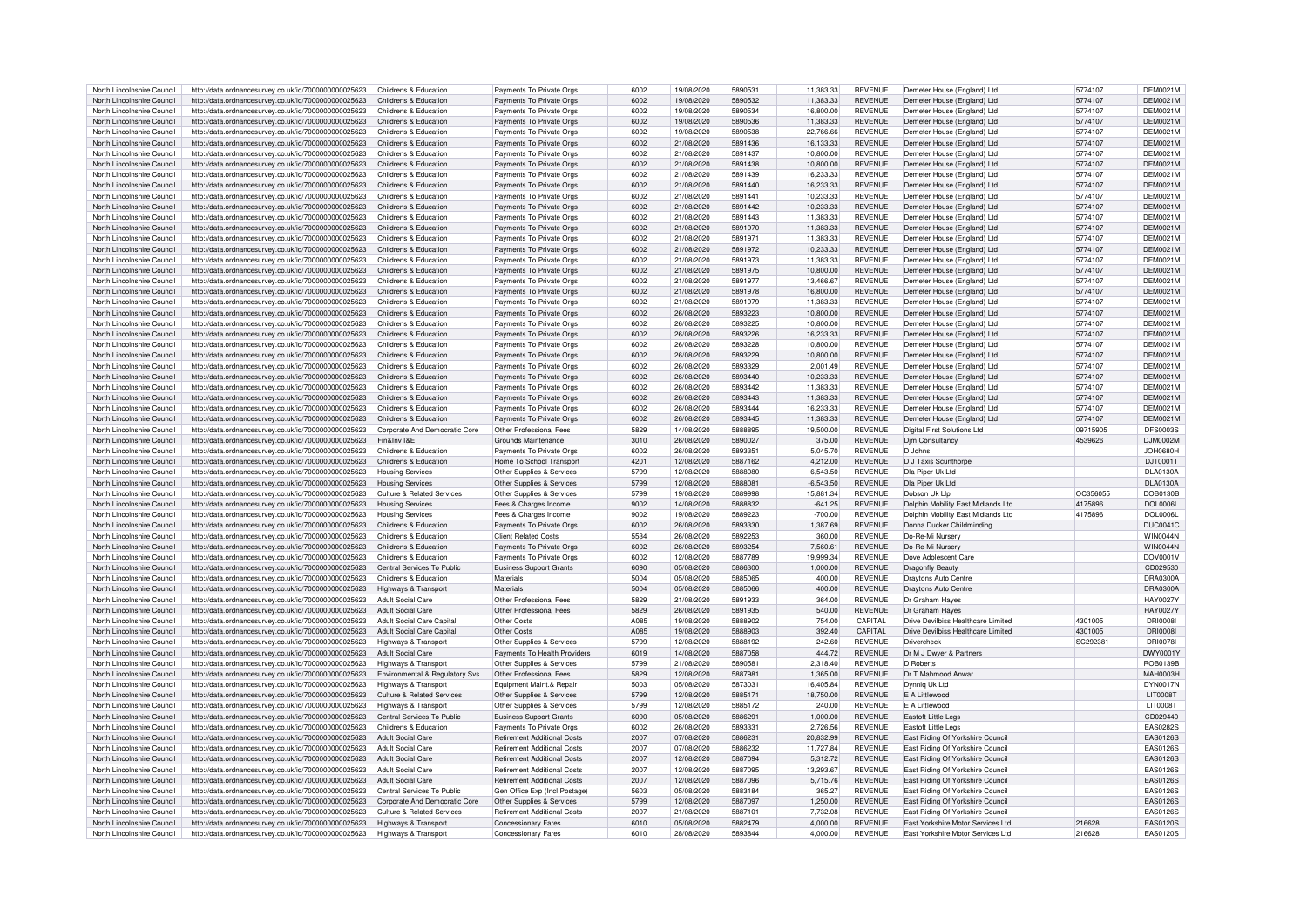| North Lincolnshire Council                               | http://data.ordnancesurvey.co.uk/id/7000000000025623                                                         | Childrens & Education                        | Payments To Private Orgs                                 | 6002         | 19/08/2020               | 5890531            | 11,383.33            | <b>REVENUE</b>                   | Demeter House (England) Ltd                                                   | 5774107          | <b>DEM0021M</b>             |
|----------------------------------------------------------|--------------------------------------------------------------------------------------------------------------|----------------------------------------------|----------------------------------------------------------|--------------|--------------------------|--------------------|----------------------|----------------------------------|-------------------------------------------------------------------------------|------------------|-----------------------------|
| North Lincolnshire Council                               | http://data.ordnancesurvey.co.uk/id/7000000000025623                                                         | Childrens & Education                        | Payments To Private Orgs                                 | 6002         | 19/08/2020               | 5890532            | 11.383.33            | <b>REVENUE</b>                   | Demeter House (England) Ltd                                                   | 5774107          | <b>DEM0021M</b>             |
| North Lincolnshire Council                               | http://data.ordnancesurvey.co.uk/id/7000000000025623                                                         | Childrens & Education                        | Payments To Private Orgs                                 | 6002         | 19/08/2020               | 5890534            | 16,800.00            | <b>REVENUE</b>                   | Demeter House (Fngland) I to                                                  | 5774107          | <b>DEM0021M</b>             |
|                                                          |                                                                                                              |                                              |                                                          |              |                          |                    |                      |                                  |                                                                               |                  |                             |
| North Lincolnshire Council                               | http://data.ordnancesurvey.co.uk/id/7000000000025623                                                         | Childrens & Education                        | Payments To Private Orgs                                 | 6002         | 19/08/2020               | 5890536            | 11,383.33            | <b>REVENUE</b>                   | Demeter House (England) Ltd                                                   | 5774107          | <b>DEM0021M</b>             |
| North Lincolnshire Council                               | http://data.ordnancesurvey.co.uk/id/7000000000025623                                                         | Childrens & Education                        | Payments To Private Orgs                                 | 6002         | 19/08/2020               | 5890538            | 22.766.66            | <b>REVENUE</b>                   | Demeter House (England) Ltd                                                   | 5774107          | DEM0021M                    |
| North Lincolnshire Council                               | http://data.ordnancesurvey.co.uk/id/7000000000025623                                                         | Childrens & Education                        | Payments To Private Orgs                                 | 6002         | 21/08/2020               | 5891436            | 16,133.33            | <b>REVENUE</b>                   | Demeter House (England) Ltd                                                   | 5774107          | DEM0021M                    |
| North Lincolnshire Council                               | http://data.ordnancesurvey.co.uk/id/7000000000025623                                                         | Childrens & Education                        | Payments To Private Orgs                                 | 6002         | 21/08/2020               | 5891437            | 10,800.00            | <b>REVENUE</b>                   | Demeter House (England) Ltd                                                   | 5774107          | DEM0021M                    |
| North Lincolnshire Council                               | http://data.ordnancesurvey.co.uk/id/7000000000025623                                                         | Childrens & Education                        | Payments To Private Orgs                                 | 6002         | 21/08/2020               | 5891438            | 10,800.00            | <b>REVENUE</b>                   | Demeter House (England) Ltd                                                   | 5774107          | <b>DEM0021M</b>             |
| North Lincolnshire Council                               | http://data.ordnancesurvey.co.uk/id/7000000000025623                                                         | Childrens & Education                        | Payments To Private Orgs                                 | 5002         | 21/08/2020               | 5891439            | 16,233,33            | <b>REVENUE</b>                   | Demeter House (England) Ltd                                                   | 5774107          | DEM0021M                    |
| North Lincolnshire Council                               | http://data.ordnancesurvey.co.uk/id/7000000000025623                                                         | Childrens & Education                        | Payments To Private Orgs                                 | 6002         | 21/08/2020               | 5891440            | 16,233.33            | <b>REVENUE</b>                   | Demeter House (England) Ltd                                                   | 5774107          | DEM0021M                    |
| North Lincolnshire Council                               |                                                                                                              | Childrens & Education                        |                                                          | 6002         | 21/08/2020               | 5891441            | 10.233.33            | <b>REVENUE</b>                   |                                                                               | 5774107          | <b>DEM0021M</b>             |
|                                                          | http://data.ordnancesurvey.co.uk/id/7000000000025623                                                         |                                              | Payments To Private Orgs                                 |              |                          |                    |                      |                                  | Demeter House (England) Ltd                                                   |                  |                             |
| North Lincolnshire Council                               | http://data.ordnancesurvey.co.uk/id/7000000000025623                                                         | Childrens & Education                        | Payments To Private Orgs                                 | 6002         | 21/08/2020               | 5891442            | 10,233.33            | <b>REVENUE</b>                   | Demeter House (England) Ltd                                                   | 5774107          | <b>DEM0021M</b>             |
| North Lincolnshire Council                               | http://data.ordnancesurvey.co.uk/id/7000000000025623                                                         | Childrens & Education                        | Payments To Private Orgs                                 | 6002         | 21/08/2020               | 5891443            | 11.383.33            | <b>REVENUE</b>                   | Demeter House (England) Ltd                                                   | 5774107          | <b>DEM0021M</b>             |
| North Lincolnshire Council                               | http://data.ordnancesurvey.co.uk/id/7000000000025623                                                         | Childrens & Education                        | Payments To Private Orgs                                 | 6002         | 21/08/2020               | 5891970            | 11.383.33            | <b>REVENUE</b>                   | Demeter House (England) Ltd                                                   | 5774107          | DEM0021M                    |
| North Lincolnshire Council                               | http://data.ordnancesurvey.co.uk/id/7000000000025623                                                         | Childrens & Education                        | Payments To Private Orgs                                 | 6002         | 21/08/2020               | 5891971            | 11,383.33            | <b>REVENUE</b>                   | Demeter House (England) Ltd                                                   | 5774107          | <b>DEM0021M</b>             |
| North Lincolnshire Council                               | http://data.ordnancesurvey.co.uk/id/7000000000025623                                                         | Childrens & Education                        | Payments To Private Orgs                                 | 6002         | 21/08/2020               | 5891972            | 10.233.33            | <b>REVENUE</b>                   | Demeter House (England) Ltd                                                   | 5774107          | <b>DEM0021M</b>             |
| North Lincolnshire Council                               | http://data.ordnancesurvey.co.uk/id/7000000000025623                                                         | Childrens & Education                        | Payments To Private Orgs                                 | 6002         | 21/08/2020               | 5891973            | 11,383.33            | <b>REVENUE</b>                   | Demeter House (England) Ltd                                                   | 5774107          | DEM0021M                    |
| North Lincolnshire Council                               | http://data.ordnancesurvey.co.uk/id/7000000000025623                                                         | Childrens & Education                        | Payments To Private Orgs                                 | 6002         | 21/08/2020               | 5891975            | 10.800.00            | <b>REVENUE</b>                   | Demeter House (England) Ltd                                                   | 5774107          | <b>DEM0021M</b>             |
| North Lincolnshire Council                               | http://data.ordnancesurvey.co.uk/id/7000000000025623                                                         | Childrens & Education                        |                                                          | 6002         | 21/08/2020               | 5891977            | 13,466.67            | <b>REVENUE</b>                   |                                                                               | 5774107          | <b>DEM0021M</b>             |
|                                                          |                                                                                                              |                                              | Payments To Private Orgs                                 |              |                          |                    |                      |                                  | Demeter House (England) Ltd                                                   |                  |                             |
| North Lincolnshire Council                               | http://data.ordnancesurvey.co.uk/id/7000000000025623                                                         | Childrens & Education                        | Payments To Private Orgs                                 | 6002         | 21/08/2020               | 5891978            | 16,800.00            | <b>REVENUE</b>                   | Demeter House (England) Ltd                                                   | 5774107          | DEM0021M                    |
| North Lincolnshire Council                               | http://data.ordnancesurvey.co.uk/id/7000000000025623                                                         | Childrens & Education                        | Payments To Private Orgs                                 | 6002         | 21/08/2020               | 5891979            | 11.383.33            | <b>REVENUE</b>                   | Demeter House (England) Ltd                                                   | 5774107          | DEM0021M                    |
| North Lincolnshire Council                               | http://data.ordnancesurvey.co.uk/id/7000000000025623                                                         | Childrens & Education                        | Payments To Private Orgs                                 | 6002         | 26/08/2020               | 5893223            | 10,800.00            | <b>REVENUE</b>                   | Demeter House (England) Ltd                                                   | 5774107          | <b>DEM0021M</b>             |
| North Lincolnshire Council                               | http://data.ordnancesurvey.co.uk/id/7000000000025623                                                         | Childrens & Education                        | Payments To Private Orgs                                 | 6002         | 26/08/2020               | 5893225            | 10.800.00            | <b>REVENUE</b>                   | Demeter House (Fngland) I to                                                  | 5774107          | <b>DEM0021M</b>             |
| North Lincolnshire Council                               | http://data.ordnancesurvey.co.uk/id/7000000000025623                                                         | Childrens & Education                        | Payments To Private Orgs                                 | 6002         | 26/08/2020               | 5893226            | 16,233.33            | <b>REVENUE</b>                   | Demeter House (England) Ltd                                                   | 5774107          | <b>DEM0021M</b>             |
| North Lincolnshire Council                               | http://data.ordnancesurvey.co.uk/id/7000000000025623                                                         | Childrens & Education                        | Payments To Private Orgs                                 | 6002         | 26/08/2020               | 5893228            | 10,800.00            | <b>REVENUE</b>                   | Demeter House (England) Ltd                                                   | 5774107          | DEM0021M                    |
| North Lincolnshire Council                               | http://data.ordnancesurvey.co.uk/id/7000000000025623                                                         | Childrens & Education                        | Payments To Private Orgs                                 | 6002         | 26/08/2020               | 5893229            | 10,800.00            | <b>REVENUE</b>                   | Demeter House (England) Ltd                                                   | 5774107          | DEM0021M                    |
|                                                          |                                                                                                              | Childrens & Education                        | Payments To Private Orgs                                 | 6002         | 26/08/2020               | 5893329            |                      | <b>REVENUE</b>                   |                                                                               | 5774107          | <b>DEM0021M</b>             |
| North Lincolnshire Council                               | http://data.ordnancesurvey.co.uk/id/7000000000025623                                                         |                                              |                                                          |              |                          |                    | 2,001.49             |                                  | Demeter House (England) Ltd                                                   |                  |                             |
| North Lincolnshire Council                               | http://data.ordnancesurvey.co.uk/id/7000000000025623                                                         | Childrens & Education                        | Payments To Private Orgs                                 | 5002         | 26/08/2020               | 5893440            | 10,233.33            | <b>REVENUE</b>                   | Demeter House (England) Ltd                                                   | 5774107          | DEM0021M                    |
| North Lincolnshire Council                               | http://data.ordnancesurvey.co.uk/id/7000000000025623                                                         | Childrens & Education                        | Payments To Private Orgs                                 | 6002         | 26/08/2020               | 5893442            | 11,383.33            | <b>REVENUE</b>                   | Demeter House (England) Ltd                                                   | 5774107          | <b>DEM0021M</b>             |
| North Lincolnshire Council                               | http://data.ordnancesurvey.co.uk/id/7000000000025623                                                         | Childrens & Education                        | Payments To Private Orgs                                 | 6002         | 26/08/2020               | 5893443            | 11,383.33            | <b>REVENUE</b>                   | Demeter House (England) Ltd                                                   | 5774107          | <b>DEM0021M</b>             |
| North Lincolnshire Council                               | http://data.ordnancesurvey.co.uk/id/7000000000025623                                                         | Childrens & Education                        | Payments To Private Orgs                                 | 6002         | 26/08/2020               | 5893444            | 16,233.33            | <b>REVENUE</b>                   | Demeter House (England) Ltd                                                   | 5774107          | DEM0021M                    |
| North Lincolnshire Council                               | http://data.ordnancesurvey.co.uk/id/7000000000025623                                                         | Childrens & Education                        | Payments To Private Orgs                                 | 6002         | 26/08/2020               | 5893445            | 11.383.33            | <b>REVENUE</b>                   | Demeter House (England) Ltd                                                   | 5774107          | <b>DEM0021M</b>             |
| North Lincolnshire Council                               | http://data.ordnancesurvey.co.uk/id/7000000000025623                                                         | Corporate And Democratic Core                | Other Professional Fees                                  | 5829         | 14/08/2020               | 5888895            | 19,500.00            | <b>REVENUE</b>                   | <b>Digital First Solutions Ltd</b>                                            | 09715905         | <b>DFS0003S</b>             |
| North Lincolnshire Council                               | http://data.ordnancesurvey.co.uk/id/7000000000025623                                                         | Fin&Inv I&F                                  | Grounds Maintenance                                      | 3010         | 26/08/2020               | 5890027            | 375.00               | <b>REVENUE</b>                   | <b>Dim Consultancy</b>                                                        | 4539626          | DJM0002M                    |
|                                                          |                                                                                                              |                                              |                                                          |              |                          |                    |                      |                                  |                                                                               |                  |                             |
| North Lincolnshire Council                               | http://data.ordnancesurvey.co.uk/id/7000000000025623                                                         | Childrens & Education                        | Payments To Private Orgs                                 | 6002         | 26/08/2020               | 5893351            | 5,045.70             | <b>REVENUE</b>                   | D <sub>Johns</sub>                                                            |                  | $-10880H$                   |
| North Lincolnshire Council                               | http://data.ordnancesurvey.co.uk/id/7000000000025623                                                         | Childrens & Education                        | Home To School Transport                                 | 4201         | 12/08/2020               | 5887162            | 4,212.00             | <b>REVENUE</b>                   | D J Taxis Scunthorpe                                                          |                  | DJT0001T                    |
| North Lincolnshire Council                               | http://data.ordnancesurvey.co.uk/id/7000000000025623                                                         | <b>Housing Services</b>                      | Other Supplies & Services                                | 5799         | 12/08/2020               | 5888080            | 6.543.50             | <b>REVENUE</b>                   | Dia Piper Uk Ltd                                                              |                  | <b>DLA0130A</b>             |
| North Lincolnshire Council                               | http://data.ordnancesurvey.co.uk/id/7000000000025623                                                         | <b>Housing Services</b>                      | Other Supplies & Services                                | 5799         | 12/08/2020               | 588808             | $-6,543.50$          | <b>REVENUE</b>                   | Dia Piner Uk Ltd                                                              |                  | <b>DLA0130A</b>             |
| North Lincolnshire Council                               | http://data.ordnancesurvey.co.uk/id/7000000000025623                                                         | Culture & Related Services                   | Other Supplies & Services                                | 5799         | 19/08/2020               | 5889998            | 15,881.34            | <b>REVENUE</b>                   | Dobson Uk Lin                                                                 | OC356055         | <b>DOB0130B</b>             |
| North Lincolnshire Council                               | http://data.ordnancesurvey.co.uk/id/7000000000025623                                                         | <b>Housing Services</b>                      | Fees & Charges Income                                    | 9002         | 14/08/2020               | 5888832            | $-641.25$            | <b>REVENUE</b>                   | Dolphin Mobility East Midlands Ltd                                            | 4175896          | <b>DOL0006L</b>             |
| North Lincolnshire Council                               | http://data.ordnancesurvey.co.uk/id/7000000000025623                                                         | <b>Housing Services</b>                      | Fees & Charges Income                                    | 9002         | 19/08/2020               | 5889223            | $-700.00$            | <b>REVENUE</b>                   | Dolphin Mobility East Midlands Ltd                                            | 4175896          | <b>DOL0006L</b>             |
| North Lincolnshire Council                               | http://data.ordnancesurvey.co.uk/id/7000000000025623                                                         | Childrens & Education                        | Payments To Private Orgs                                 | 6002         | 26/08/2020               | 5893330            | 1,387.69             | <b>REVENUE</b>                   | Donna Ducker Childminding                                                     |                  | <b>DUC0041C</b>             |
|                                                          |                                                                                                              |                                              |                                                          |              |                          |                    |                      |                                  |                                                                               |                  |                             |
| North Lincolnshire Council                               | http://data.ordnancesurvey.co.uk/id/7000000000025623                                                         | Childrens & Education                        | <b>Client Related Costs</b>                              | 5534         | 26/08/2020               | 5892253            | 360.00               | <b>REVENUE</b>                   | Do-Re-Mi Nursery                                                              |                  | <b>WIN0044N</b>             |
| North Lincolnshire Council                               | http://data.ordnancesurvey.co.uk/id/7000000000025623                                                         | Childrens & Education                        | Payments To Private Orgs                                 | 6002         | 26/08/2020               | 5893254            | 7,560.61             | <b>REVENUE</b>                   | Do-Re-Mi Nursery                                                              |                  | <b>WIN0044N</b>             |
| North Lincolnshire Council                               | http://data.ordnancesurvey.co.uk/id/7000000000025623                                                         | Childrens & Education                        | Payments To Private Orgs                                 | 6002         | 12/08/2020               | 5887789            | 19,999.34            | <b>REVENUE</b>                   | Dove Adolescent Care                                                          |                  | DOV0001V                    |
| North Lincolnshire Council                               | http://data.ordnancesurvey.co.uk/id/7000000000025623                                                         | Central Services To Public                   | <b>Business Support Grants</b>                           | 6090         | 05/08/2020               | 5886300            | 1.000.00             | <b>REVENUE</b>                   | <b>Dragonfly Beauty</b>                                                       |                  | CD029530                    |
| North Lincolnshire Council                               | http://data.ordnancesurvey.co.uk/id/7000000000025623                                                         | Childrens & Education                        | Materials                                                | 5004         | 05/08/2020               | 5885065            | 400.00               | <b>REVENUE</b>                   | Draytons Auto Centre                                                          |                  | <b>DRA0300A</b>             |
| North Lincolnshire Council                               | http://data.ordnancesurvey.co.uk/id/7000000000025623                                                         | Highways & Transport                         | Materials                                                | 5004         | 05/08/2020               | 5885066            | 400.00               | <b>REVENUE</b>                   | <b>Draytons Auto Centre</b>                                                   |                  | <b>DRA0300A</b>             |
| North Lincolnshire Council                               | http://data.ordnancesurvey.co.uk/id/7000000000025623                                                         | Adult Social Care                            | Other Professional Fees                                  | 5829         | 21/08/2020               | 5891933            | 364.00               | <b>REVENUE</b>                   | Dr Graham Haves                                                               |                  | <b>HAY0027Y</b>             |
| North Lincolnshire Council                               | http://data.ordnancesurvey.co.uk/id/7000000000025623                                                         | Adult Social Care                            | Other Professional Fees                                  | 5829         | 26/08/2020               | 5891935            | 540.00               | <b>REVENUE</b>                   | Dr Graham Hayes                                                               |                  | <b>HAY0027Y</b>             |
|                                                          |                                                                                                              | Adult Social Care Capital                    | Other Costs                                              | A085         | 19/08/2020               | 5888902            | 754.00               | CAPITAL                          | Drive Devilbiss Healthcare Limited                                            | 4301005          | <b>DRI00081</b>             |
| North Lincolnshire Council                               | http://data.ordnancesurvey.co.uk/id/7000000000025623                                                         |                                              |                                                          |              |                          |                    |                      |                                  |                                                                               |                  |                             |
| North Lincolnshire Council                               | http://data.ordnancesurvey.co.uk/id/7000000000025623                                                         | Adult Social Care Capital                    | Other Costs                                              | A085         | 19/08/2020               | 5888903            | 392.40               | CAPITAL                          | Drive Devilbiss Healthcare Limited                                            | 4301005          | <b>DRI0008</b>              |
| North Lincolnshire Council                               | http://data.ordnancesurvey.co.uk/id/7000000000025623                                                         | Highways & Transport                         | Other Supplies & Services                                | 5799         | 12/08/2020               | 5888192            | 242.60               | <b>REVENUE</b>                   | Drivercheck                                                                   | SC292381         | <b>DRI00781</b>             |
| North Lincolnshire Council                               | http://data.ordnancesurvey.co.uk/id/7000000000025623                                                         | Adult Social Care                            | Payments To Health Providers                             | 6019         | 14/08/2020               | 5887058            | 444.72               | <b>REVENUE</b>                   | Dr M J Dwyer & Partners                                                       |                  | DWY0001Y                    |
| North Lincolnshire Council                               | http://data.ordnancesurvey.co.uk/id/7000000000025623                                                         | Highways & Transpor                          | Other Supplies & Services                                | 5799         | 21/08/2020               | 5890581            | 2,318.40             | <b>REVENUE</b>                   | D Roberts                                                                     |                  | <b>ROB0139B</b>             |
| North Lincolnshire Council                               | http://data.ordnancesurvey.co.uk/id/7000000000025623                                                         | Environmental & Regulatory Svs               | Other Professional Fees                                  | 5829         | 12/08/2020               | 5887981            | 1.365.00             | <b>REVENUE</b>                   | Dr T Mahmood Anwar                                                            |                  | <b>MAH0003H</b>             |
| North Lincolnshire Council                               | http://data.ordnancesurvey.co.uk/id/7000000000025623                                                         | Highways & Transport                         | Equipment Maint.& Repair                                 | 5003         | 05/08/2020               | 5873031            | 16.405.84            | <b>REVENUE</b>                   | Dynnig Uk Ltd                                                                 |                  | <b>DYN0017N</b>             |
| North Lincolnshire Council                               | http://data.ordnancesurvey.co.uk/id/7000000000025623                                                         | Culture & Related Services                   | Other Supplies & Services                                | 5799         | 12/08/2020               | 5885171            | 18,750.00            | <b>REVENUE</b>                   | <b>E A Littlewood</b>                                                         |                  | <b>LIT0008T</b>             |
| North Lincolnshire Council                               | http://data.ordnancesurvey.co.uk/id/7000000000025623                                                         | Highways & Transport                         | Other Supplies & Services                                | 5799         | 12/08/2020               | 5885172            | 240.00               | <b>REVENUE</b>                   | F A Littlewood                                                                |                  | <b>LIT0008T</b>             |
|                                                          |                                                                                                              |                                              |                                                          |              |                          |                    |                      |                                  |                                                                               |                  |                             |
| North Lincolnshire Council                               | http://data.ordnancesurvey.co.uk/id/7000000000025623                                                         | Central Services To Public                   | <b>Business Support Grants</b>                           | 6090         | 05/08/2020               | 5886291            | 1,000.00             | <b>REVENUE</b>                   | Eastoft Little Legs                                                           |                  | CD029440                    |
| North Lincolnshire Council                               | http://data.ordnancesurvey.co.uk/id/7000000000025623                                                         | Childrens & Education                        | Payments To Private Orgs                                 | 6002         | 26/08/2020               | 589333             | 2,726.56             | <b>REVENUE</b>                   | Eastoft Little Legs                                                           |                  | <b>EAS0282S</b>             |
| North Lincolnshire Council                               | http://data.ordnancesurvey.co.uk/id/7000000000025623                                                         | Adult Social Care                            | <b>Retirement Additional Costs</b>                       | 2007         | 07/08/2020               | 5886231            | 20.832.99            | <b>REVENUE</b>                   | East Riding Of Yorkshire Council                                              |                  | EAS0126S                    |
| North Lincolnshire Council                               | http://data.ordnancesurvey.co.uk/id/7000000000025623                                                         | <b>Adult Social Care</b>                     | Retirement Additional Costs                              | 2007         | 07/08/2020               | 5886232            | 11,727.84            | <b>REVENUE</b>                   | East Riding Of Yorkshire Council                                              |                  | <b>EAS0126S</b>             |
| North Lincolnshire Council                               | http://data.ordnancesurvey.co.uk/id/7000000000025623                                                         | <b>Adult Social Care</b>                     | <b>Retirement Additional Costs</b>                       | 2007         | 12/08/2020               | 5887094            | 5,312.72             | <b>REVENUE</b>                   | East Riding Of Yorkshire Council                                              |                  | <b>EAS0126S</b>             |
|                                                          |                                                                                                              |                                              |                                                          |              | 12/08/2020               | 5887095            | 13.293.67            | <b>REVENUE</b>                   | East Riding Of Yorkshire Council                                              |                  | EAS0126S                    |
| North Lincolnshire Council                               |                                                                                                              | <b>Adult Social Care</b>                     | Retirement Additional Costs                              | 2007         |                          |                    |                      |                                  |                                                                               |                  |                             |
|                                                          | http://data.ordnancesurvey.co.uk/id/7000000000025623                                                         | Adult Social Care                            |                                                          | 2007         |                          | 5887096            |                      | <b>REVENUE</b>                   |                                                                               |                  |                             |
| North Lincolnshire Council                               | http://data.ordnancesurvey.co.uk/id/7000000000025623                                                         |                                              | <b>Retirement Additional Costs</b>                       |              | 12/08/2020               |                    | 5,715.76             |                                  | East Riding Of Yorkshire Council                                              |                  | <b>EAS0126S</b>             |
| North Lincolnshire Council                               | http://data.ordnancesurvey.co.uk/id/7000000000025623                                                         | Central Services To Public                   | Gen Office Exp (Incl Postage)                            | 5603         | 05/08/2020               | 5883184            | 365.27               | <b>REVENUE</b>                   | East Riding Of Yorkshire Council                                              |                  | EAS0126S                    |
| North Lincolnshire Council                               | http://data.ordnancesurvey.co.uk/id/7000000000025623                                                         | Corporate And Democratic Core                | Other Supplies & Services                                | 5799         | 12/08/2020               | 5887097            | 1,250.00             | <b>REVENUE</b>                   | East Riding Of Yorkshire Council                                              |                  | <b>EAS0126S</b>             |
| North Lincolnshire Council                               | http://data.ordnancesurvey.co.uk/id/7000000000025623                                                         | Culture & Related Services                   | <b>Retirement Additional Costs</b>                       | 2007         | 21/08/2020               | 5887101            | 7,732.08             | <b>REVENUE</b>                   | East Riding Of Yorkshire Council                                              |                  | <b>EAS0126S</b>             |
| North Lincolnshire Council<br>North Lincolnshire Council | http://data.ordnancesurvey.co.uk/id/7000000000025623<br>http://data.ordnancesurvey.co.uk/id/7000000000025623 | Highways & Transport<br>Highways & Transport | <b>Concessionary Fares</b><br><b>Concessionary Fares</b> | 6010<br>6010 | 05/08/2020<br>28/08/2020 | 5882479<br>5893844 | 4.000.00<br>4.000.00 | <b>REVENUE</b><br><b>REVENUE</b> | East Yorkshire Motor Services Ltd<br><b>Fast Yorkshire Motor Services Ltd</b> | 216628<br>216628 | EAS0120S<br><b>FAS0120S</b> |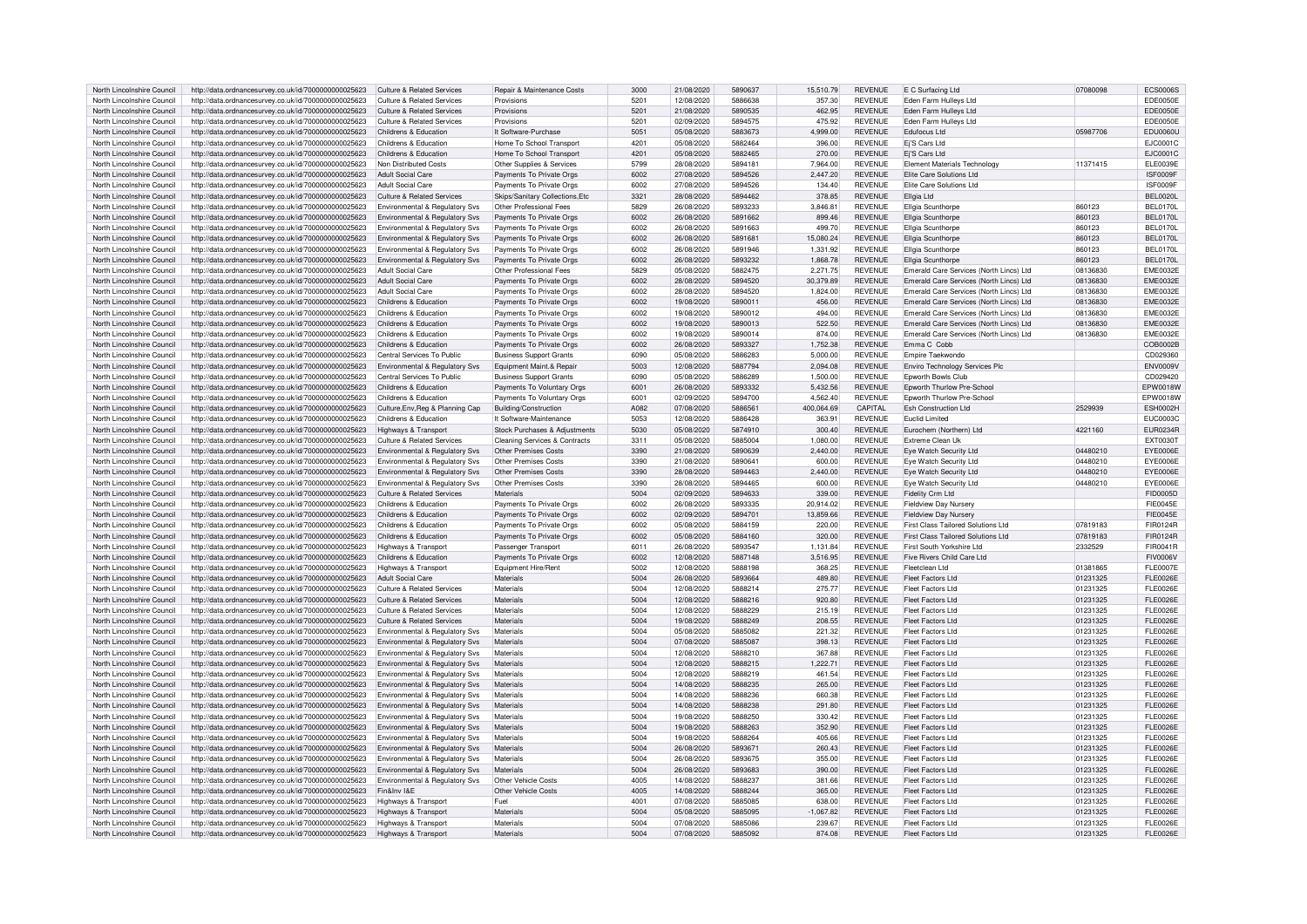| North Lincolnshire Council | http://data.ordnancesurvey.co.uk/id/7000000000025623 | Culture & Related Services                | <b>Repair &amp; Maintenance Costs</b>    | 3000 | 21/08/2020 | 5890637 | 15,510.79   | <b>REVENUE</b> | E C Surfacing Ltd                       | 07080098 | <b>ECS0006S</b>  |
|----------------------------|------------------------------------------------------|-------------------------------------------|------------------------------------------|------|------------|---------|-------------|----------------|-----------------------------------------|----------|------------------|
| North Lincolnshire Council |                                                      | Culture & Related Services                | Provisions                               | 5201 | 12/08/2020 | 5886638 | 357.30      | <b>REVENUE</b> |                                         |          | <b>EDE0050E</b>  |
|                            | http://data.ordnancesurvey.co.uk/id/7000000000025623 |                                           |                                          |      |            |         |             |                | Eden Farm Hulleys Ltd                   |          |                  |
| North Lincolnshire Council | http://data.ordnancesurvey.co.uk/id/7000000000025623 | <b>Culture &amp; Related Services</b>     | Provisions                               | 5201 | 21/08/2020 | 5890535 | 462.95      | <b>REVENUE</b> | Eden Farm Hulleys Ltd                   |          | <b>EDE0050E</b>  |
| North Lincolnshire Council | http://data.ordnancesurvey.co.uk/id/7000000000025623 | Culture & Related Services                | Provisions                               | 5201 | 02/09/2020 | 5894575 | 475.92      | <b>REVENUE</b> | Eden Farm Hullevs Ltd                   |          | EDE0050E         |
| North Lincolnshire Council | http://data.ordnancesurvey.co.uk/id/7000000000025623 | Childrens & Education                     | It Software-Purchase                     | 5051 | 05/08/2020 | 5883673 | 4,999.00    | <b>REVENUE</b> | <b>Edufocus Ltd</b>                     | 05987706 | <b>EDU0060U</b>  |
| North Lincolnshire Council | http://data.ordnancesurvey.co.uk/id/7000000000025623 | Childrens & Education                     | Home To School Transport                 | 4201 | 05/08/2020 | 5882464 | 396.00      | <b>REVENUE</b> | Ei'S Cars Ltd                           |          | EJC0001C         |
|                            |                                                      |                                           |                                          | 4201 |            | 5882465 |             | <b>REVENUE</b> |                                         |          |                  |
| North Lincolnshire Council | http://data.ordnancesurvey.co.uk/id/7000000000025623 | Childrens & Education                     | Home To School Transport                 |      | 05/08/2020 |         | 270.00      |                | Ej'S Cars Ltd                           |          | EJC0001C         |
| North Lincolnshire Council | http://data.ordnancesurvey.co.uk/id/7000000000025623 | Non Distributed Costs                     | Other Supplies & Services                | 5799 | 28/08/2020 | 5894181 | 7,964.00    | <b>REVENUE</b> | <b>Element Materials Technology</b>     | 11371415 | FL E0039E        |
| North Lincolnshire Council | http://data.ordnancesurvey.co.uk/id/7000000000025623 | Adult Social Care                         | Payments To Private Orgs                 | 6002 | 27/08/2020 | 5894526 | 2,447.20    | <b>REVENUE</b> | Elite Care Solutions Ltd                |          | ISF0009F         |
| North Lincolnshire Council | http://data.ordnancesurvey.co.uk/id/7000000000025623 | Adult Social Care                         | Payments To Private Orgs                 | 6002 | 27/08/2020 | 5894526 | 134.40      | <b>REVENUE</b> | Flite Care Solutions Ltd                |          | <b>ISF0009F</b>  |
| North Lincolnshire Council | http://data.ordnancesurvey.co.uk/id/7000000000025623 | <b>Culture &amp; Related Services</b>     | Skips/Sanitary Collections, Etc.         | 3321 | 28/08/2020 | 5894462 | 378.85      | <b>REVENUE</b> | Ellgia Ltd                              |          | <b>BEL0020L</b>  |
|                            |                                                      |                                           |                                          |      |            |         |             |                |                                         |          |                  |
| North Lincolnshire Council | http://data.ordnancesurvey.co.uk/id/7000000000025623 | Environmental & Regulatory Sys            | Other Professional Fees                  | 5829 | 26/08/2020 | 5893233 | 3,846.81    | <b>REVENUE</b> | Ellgia Scunthorpe                       | 860123   | BEL0170L         |
| North Lincolnshire Council | http://data.ordnancesurvey.co.uk/id/7000000000025623 | Environmental & Regulatory Svs            | Payments To Private Orgs                 | 6002 | 26/08/2020 | 5891662 | 899.46      | <b>REVENUE</b> | Ellgia Scunthorpe                       | 860123   | <b>BFI 0170L</b> |
| North Lincolnshire Council | http://data.ordnancesurvey.co.uk/id/7000000000025623 | Environmental & Regulatory Svs            | Payments To Private Orgs                 | 6002 | 26/08/2020 | 5891663 | 499.70      | <b>REVENUE</b> | Ellgia Scunthorpe                       | 860123   | <b>BEL0170L</b>  |
| North Lincolnshire Council | http://data.ordnancesurvey.co.uk/id/7000000000025623 | Environmental & Regulatory Svs            | Payments To Private Orgs                 | 6002 | 26/08/2020 | 5891681 | 15.080.24   | <b>REVENUE</b> | Ellgia Scunthorpe                       | 860123   | <b>BFI 0170L</b> |
| North Lincolnshire Council |                                                      |                                           |                                          | 6002 | 26/08/2020 | 5891946 | 1.331.92    | <b>REVENUE</b> | Fllgia Scunthorne                       | 860123   | <b>BEL0170L</b>  |
|                            | http://data.ordnancesurvey.co.uk/id/7000000000025623 | Environmental & Regulatory Svs            | Payments To Private Orgs                 |      |            |         |             |                |                                         |          |                  |
| North Lincolnshire Council | http://data.ordnancesurvey.co.uk/id/7000000000025623 | <b>Environmental &amp; Regulatory Svs</b> | Payments To Private Orgs                 | 6002 | 26/08/2020 | 5893232 | 1.868.78    | <b>REVENUE</b> | Filgia Scunthorne                       | 860123   | <b>BEL0170L</b>  |
| North Lincolnshire Council | http://data.ordnancesurvey.co.uk/id/7000000000025623 | Adult Social Care                         | Other Professional Fees                  | 5829 | 05/08/2020 | 5882475 | 2.271.75    | <b>REVENUE</b> | Emerald Care Services (North Lincs) Ltd | 08136830 | <b>EME0032E</b>  |
| North Lincolnshire Council | http://data.ordnancesurvey.co.uk/id/7000000000025623 | <b>Adult Social Care</b>                  | Payments To Private Orgs                 | 6002 | 28/08/2020 | 5894520 | 30,379.89   | <b>REVENUE</b> | Emerald Care Services (North Lincs) Ltd | 08136830 | <b>EME0032E</b>  |
| North Lincolnshire Council | http://data.ordnancesurvey.co.uk/id/7000000000025623 | <b>Adult Social Care</b>                  | Payments To Private Orgs                 | 6002 | 28/08/2020 | 5894520 | 1,824.00    | <b>REVENUE</b> | Emerald Care Services (North Lincs) Ltd | 08136830 | <b>EME0032E</b>  |
|                            |                                                      |                                           |                                          |      |            |         |             |                |                                         |          |                  |
| North Lincolnshire Council | http://data.ordnancesurvey.co.uk/id/7000000000025623 | Childrens & Education                     | Payments To Private Orgs                 | 6002 | 19/08/2020 | 5890011 | 456.00      | <b>REVENUE</b> | Emerald Care Services (North Lincs) Ltd | 08136830 | <b>EME0032E</b>  |
| North Lincolnshire Council | http://data.ordnancesurvey.co.uk/id/7000000000025623 | Childrens & Education                     | Payments To Private Orgs                 | 6002 | 19/08/2020 | 5890012 | 494.00      | <b>REVENUE</b> | Emerald Care Services (North Lincs) Ltd | 08136830 | <b>EME0032E</b>  |
| North Lincolnshire Council | http://data.ordnancesurvey.co.uk/id/7000000000025623 | Childrens & Education                     | Payments To Private Orgs                 | 6002 | 19/08/2020 | 5890013 | 522.50      | <b>REVENUE</b> | Emerald Care Services (North Lincs) Ltd | 08136830 | <b>EME0032E</b>  |
| North Lincolnshire Council |                                                      | Childrens & Education                     | Payments To Private Orgs                 | 6002 | 19/08/2020 | 5890014 | 874.00      | <b>REVENUE</b> | Emerald Care Services (North Lincs) Ltd | 08136830 | <b>EME0032E</b>  |
|                            | http://data.ordnancesurvey.co.uk/id/7000000000025623 |                                           |                                          |      |            |         |             |                |                                         |          |                  |
| North Lincolnshire Council | http://data.ordnancesurvey.co.uk/id/7000000000025623 | Childrens & Education                     | Payments To Private Orgs                 | 6002 | 26/08/2020 | 5893327 | 1.752.38    | <b>REVENUE</b> | Emma C. Cobb                            |          | COB0002B         |
| North Lincolnshire Council | http://data.ordnancesurvey.co.uk/id/7000000000025623 | Central Services To Public                | <b>Business Support Grants</b>           | 6090 | 05/08/2020 | 5886283 | 5.000.00    | <b>REVENUE</b> | Empire Taekwondo                        |          | CD029360         |
| North Lincolnshire Council | http://data.ordnancesurvey.co.uk/id/7000000000025623 | Environmental & Regulatory Svs            | Equipment Maint.& Repair                 | 5003 | 12/08/2020 | 5887794 | 2.094.08    | <b>REVENUE</b> | Enviro Technology Services Plc          |          | <b>ENV0009V</b>  |
| North Lincolnshire Council | http://data.ordnancesurvey.co.uk/id/7000000000025623 | Central Services To Public                | <b>Business Support Grants</b>           | 6090 | 05/08/2020 | 5886289 | 1,500.00    | <b>REVENUE</b> | <b>Enworth Bowls Club</b>               |          | CD029420         |
|                            |                                                      |                                           |                                          |      |            |         |             |                |                                         |          |                  |
| North Lincolnshire Council | http://data.ordnancesurvey.co.uk/id/7000000000025623 | Childrens & Education                     | Payments To Voluntary Orgs               | 6001 | 26/08/2020 | 5893332 | 5,432.56    | <b>REVENUE</b> | Epworth Thurlow Pre-School              |          | EPW0018W         |
| North Lincolnshire Council | http://data.ordnancesurvey.co.uk/id/7000000000025623 | Childrens & Education                     | Payments To Voluntary Orgs               | 6001 | 02/09/2020 | 5894700 | 4.562.40    | <b>REVENUE</b> | Foworth Thurlow Pre-School              |          | EPW0018W         |
| North Lincolnshire Council | http://data.ordnancesurvey.co.uk/id/7000000000025623 | Culture, Env, Reg & Planning Cap          | Building/Construction                    | A082 | 07/08/2020 | 5886561 | 400,064.69  | CAPITAL        | <b>Esh Construction Ltd</b>             | 2529939  | <b>ESH0002H</b>  |
| North Lincolnshire Council | http://data.ordnancesurvey.co.uk/id/7000000000025623 | Childrens & Education                     | It Software-Maintenance                  | 5053 | 12/08/2020 | 5886428 | 363.91      | <b>REVENUE</b> | <b>Fuclid Limited</b>                   |          | EUC0003C         |
|                            |                                                      |                                           |                                          |      |            | 5874910 |             |                |                                         |          |                  |
| North Lincolnshire Council | http://data.ordnancesurvey.co.uk/id/7000000000025623 | Highways & Transport                      | Stock Purchases & Adjustments            | 5030 | 05/08/2020 |         | 300.40      | <b>REVENUE</b> | Eurochem (Northern) Ltd                 | 4221160  | EUR0234R         |
| North Lincolnshire Council | http://data.ordnancesurvey.co.uk/id/7000000000025623 | <b>Culture &amp; Related Services</b>     | <b>Cleaning Services &amp; Contracts</b> | 3311 | 05/08/2020 | 5885004 | 1,080.00    | <b>REVENUE</b> | Extreme Clean Uk                        |          | EXT0030T         |
| North Lincolnshire Council | http://data.ordnancesurvey.co.uk/id/7000000000025623 | Environmental & Regulatory Svs            | Other Premises Costs                     | 3390 | 21/08/2020 | 5890639 | 2,440.00    | <b>REVENUE</b> | Eye Watch Security Ltd                  | 04480210 | EYE0006E         |
| North Lincolnshire Council | http://data.ordnancesurvey.co.uk/id/7000000000025623 | Environmental & Regulatory Svs            | Other Premises Costs                     | 3390 | 21/08/2020 | 5890641 | 600.00      | <b>REVENUE</b> | Eve Watch Security Ltd                  | 04480210 | <b>EYE0006E</b>  |
| North Lincolnshire Council |                                                      |                                           | Other Premises Costs                     | 3390 | 28/08/2020 | 5894463 | 2.440.00    | <b>REVENUE</b> |                                         | 04480210 | <b>EYE0006E</b>  |
|                            | http://data.ordnancesurvey.co.uk/id/7000000000025623 | Environmental & Regulatory Svs            |                                          |      |            |         |             |                | Eye Watch Security Ltd                  |          |                  |
| North Lincolnshire Council | http://data.ordnancesurvey.co.uk/id/7000000000025623 | Environmental & Regulatory Svs            | <b>Other Premises Costs</b>              | 3390 | 28/08/2020 | 5894465 | 600.00      | <b>REVENUE</b> | Eye Watch Security Ltd                  | 04480210 | EYE0006E         |
| North Lincolnshire Council | http://data.ordnancesurvey.co.uk/id/7000000000025623 | <b>Culture &amp; Related Services</b>     | Materials                                | 5004 | 02/09/2020 | 5894633 | 339.00      | <b>REVENUE</b> | Fidelity Crm Ltd                        |          | FID0005D         |
| North Lincolnshire Council | http://data.ordnancesurvey.co.uk/id/7000000000025623 | Childrens & Education                     | Payments To Private Orgs                 | 6002 | 26/08/2020 | 5893335 | 20,914.02   | <b>REVENUE</b> | <b>Fieldview Day Nursery</b>            |          | FIF0045F         |
| North Lincolnshire Council | http://data.ordnancesurvey.co.uk/id/7000000000025623 | Childrens & Education                     | Payments To Private Orgs                 | 6002 | 02/09/2020 | 5894701 | 13.859.66   | <b>REVENUE</b> | Fieldview Day Nursery                   |          | <b>FIE0045E</b>  |
| North Lincolnshire Council |                                                      | Childrens & Education                     |                                          | 6002 |            | 5884159 |             | <b>REVENUE</b> | First Class Tailored Solutions Ltd      | 07819183 | FIR0124R         |
|                            | http://data.ordnancesurvey.co.uk/id/7000000000025623 |                                           | Payments To Private Orgs                 |      | 05/08/2020 |         | 220.00      |                |                                         |          |                  |
| North Lincolnshire Council | http://data.ordnancesurvey.co.uk/id/7000000000025623 | Childrens & Education                     | Payments To Private Orgs                 | 6002 | 05/08/2020 | 5884160 | 320.00      | <b>REVENUE</b> | First Class Tailored Solutions Ltd      | 07819183 | FIR0124R         |
| North Lincolnshire Council | http://data.ordnancesurvey.co.uk/id/7000000000025623 | Highways & Transpor                       | Passenger Transport                      | 6011 | 26/08/2020 | 5893547 | 1,131.84    | <b>REVENUE</b> | First South Yorkshire Ltd               | 2332529  | FIR0041R         |
| North Lincolnshire Council | http://data.ordnancesurvey.co.uk/id/7000000000025623 | Childrens & Education                     | Payments To Private Orgs                 | 6002 | 12/08/2020 | 5887148 | 3,516.95    | <b>REVENUE</b> | Five Rivers Child Care I td             |          | FIV0006\         |
| North Lincolnshire Council | http://data.ordnancesurvey.co.uk/id/7000000000025623 | Highways & Transport                      | Equipment Hire/Rent                      | 5002 | 12/08/2020 | 5888198 | 368.25      | <b>REVENUE</b> | Fleetclean Ltd                          | 01381865 | <b>FLE0007E</b>  |
|                            |                                                      |                                           |                                          |      |            |         |             |                |                                         |          |                  |
| North Lincolnshire Council | http://data.ordnancesurvey.co.uk/id/7000000000025623 | Adult Social Care                         | Materials                                | 5004 | 26/08/2020 | 5893664 | 489.80      | <b>REVENUE</b> | <b>Fleet Factors Ltd</b>                | 01231325 | <b>FLE0026E</b>  |
| North Lincolnshire Council | http://data.ordnancesurvey.co.uk/id/7000000000025623 | Culture & Related Services                | Materials                                | 5004 | 12/08/2020 | 5888214 | 275.77      | <b>REVENUE</b> | Fleet Factors I td                      | 01231325 | <b>FLE0026E</b>  |
| North Lincolnshire Council | http://data.ordnancesurvey.co.uk/id/7000000000025623 | <b>Culture &amp; Related Services</b>     | Materials                                | 5004 | 12/08/2020 | 5888216 | 920.80      | <b>REVENUE</b> | Fleet Factors Ltd                       | 01231325 | <b>FLE0026E</b>  |
| North Lincolnshire Council | http://data.ordnancesurvey.co.uk/id/7000000000025623 | Culture & Related Services                | Materials                                | 5004 | 12/08/2020 | 5888229 | 215.19      | <b>REVENUE</b> | Fleet Factors I td                      | 01231325 | <b>FLE0026E</b>  |
| North Lincolnshire Council | http://data.ordnancesurvey.co.uk/id/7000000000025623 | <b>Culture &amp; Related Services</b>     | Materials                                | 5004 | 19/08/2020 | 5888249 | 208.55      | <b>REVENUE</b> | Fleet Factors Ltd                       | 01231325 | <b>FLE0026E</b>  |
|                            |                                                      |                                           |                                          |      |            |         |             |                |                                         |          |                  |
| North Lincolnshire Council | http://data.ordnancesurvey.co.uk/id/7000000000025623 | Environmental & Regulatory Svs            | Materials                                | 5004 | 05/08/2020 | 5885082 | 221.32      | <b>REVENUE</b> | <b>Fleet Factors Ltd</b>                | 01231325 | <b>FLE0026E</b>  |
| North Lincolnshire Council | http://data.ordnancesurvey.co.uk/id/7000000000025623 | Environmental & Regulatory Svs            | Materials                                | 5004 | 07/08/2020 | 5885087 | 398.13      | <b>REVENUE</b> | Fleet Factors Ltd                       | 01231325 | <b>FLE0026E</b>  |
| North Lincolnshire Council | http://data.ordnancesurvey.co.uk/id/7000000000025623 | Environmental & Regulatory Svs            | Materials                                | 5004 | 12/08/2020 | 5888210 | 367.88      | <b>REVENUE</b> | Fleet Factors Ltd                       | 01231325 | <b>FLE0026E</b>  |
| North Lincolnshire Council | http://data.ordnancesurvey.co.uk/id/7000000000025623 | Environmental & Regulatory Svs            | Materials                                | 5004 | 12/08/2020 | 5888215 | 1,222.71    | <b>REVENUE</b> | <b>Fleet Factors Ltd</b>                | 01231325 | <b>FLE0026E</b>  |
|                            |                                                      |                                           | Materials                                | 5004 | 12/08/2020 | 5888219 | 461.54      | <b>REVENUE</b> | Fleet Factors Ltd                       |          | FI F0026F        |
| North Lincolnshire Council | http://data.ordnancesurvey.co.uk/id/7000000000025623 | Environmental & Regulatory Svs            |                                          |      |            |         |             |                |                                         | 01231325 |                  |
| North Lincolnshire Council | http://data.ordnancesurvey.co.uk/id/7000000000025623 | Environmental & Regulatory Svs            | Materials                                | 5004 | 14/08/2020 | 5888235 | 265.00      | <b>REVENUE</b> | Fleet Factors Ltd                       | 01231325 | <b>FLE0026E</b>  |
| North Lincolnshire Council | http://data.ordnancesurvey.co.uk/id/7000000000025623 | Environmental & Regulatory Svs            | Materials                                | 5004 | 14/08/2020 | 5888236 | 660.38      | <b>REVENUE</b> | Fleet Factors Ltd                       | 01231325 | <b>FLE0026E</b>  |
| North Lincolnshire Council | http://data.ordnancesurvey.co.uk/id/7000000000025623 | Environmental & Regulatory Svs            | Materials                                | 5004 | 14/08/2020 | 5888238 | 291.80      | <b>REVENUE</b> | Fleet Factors I td                      | 01231325 | <b>FLE0026E</b>  |
| North Lincolnshire Council | http://data.ordnancesurvey.co.uk/id/7000000000025623 | Environmental & Regulatory Svs            | Materials                                | 5004 | 19/08/2020 | 5888250 | 330.42      | <b>REVENUE</b> | Fleet Factors Ltd                       | 01231325 | <b>FLE0026E</b>  |
|                            |                                                      |                                           |                                          |      |            |         |             |                |                                         |          |                  |
| North Lincolnshire Council | http://data.ordnancesurvey.co.uk/id/7000000000025623 | Environmental & Regulatory Sys            | Materials                                | 5004 | 19/08/2020 | 5888263 | 352.90      | <b>REVENUE</b> | Fleet Factors Ltd                       | 01231325 | <b>FLE0026E</b>  |
| North Lincolnshire Council | http://data.ordnancesurvey.co.uk/id/7000000000025623 | Environmental & Regulatory Sys            | Materials                                | 5004 | 19/08/2020 | 5888264 | 405.66      | <b>REVENUE</b> | Fleet Factors Ltd                       | 01231325 | <b>FLE0026E</b>  |
| North Lincolnshire Council | http://data.ordnancesurvey.co.uk/id/7000000000025623 | Environmental & Regulatory Sys            | Materials                                | 5004 | 26/08/2020 | 5893671 | 260.43      | <b>REVENUE</b> | Fleet Factors Ltd                       | 01231325 | <b>FLE0026E</b>  |
| North Lincolnshire Council | http://data.ordnancesurvey.co.uk/id/7000000000025623 | Environmental & Regulatory Svs            | Materials                                | 5004 | 26/08/2020 | 5893675 | 355.00      | <b>REVENUE</b> | <b>Fleet Factors Ltd</b>                | 01231325 | <b>FLE0026E</b>  |
|                            |                                                      |                                           |                                          |      |            |         |             |                |                                         |          |                  |
| North Lincolnshire Council | http://data.ordnancesurvey.co.uk/id/7000000000025623 | Environmental & Regulatory Svs            | Materials                                | 5004 | 26/08/2020 | 5893683 | 390.00      | <b>REVENUE</b> | Fleet Factors Ltd                       | 01231325 | <b>FLE0026E</b>  |
| North Lincolnshire Council | http://data.ordnancesurvey.co.uk/id/7000000000025623 | Environmental & Regulatory Svs            | Other Vehicle Costs                      | 4005 | 14/08/2020 | 5888237 | 381.66      | <b>REVENUE</b> | Fleet Factors Ltd                       | 01231325 | <b>FLE0026E</b>  |
| North Lincolnshire Council | http://data.ordnancesurvey.co.uk/id/7000000000025623 | Fin&Inv I&F                               | Other Vehicle Costs                      | 4005 | 14/08/2020 | 5888244 | 365.00      | <b>REVENUE</b> | Fleet Factors Ltd                       | 01231325 | <b>FLE0026E</b>  |
| North Lincolnshire Council | http://data.ordnancesurvey.co.uk/id/7000000000025623 | Highways & Transport                      | Fuel                                     | 4001 | 07/08/2020 | 5885085 | 638.00      | <b>REVENUE</b> | Fleet Factors Ltd                       | 01231325 | FL E0026E        |
| North Lincolnshire Council | http://data.ordnancesurvey.co.uk/id/7000000000025623 | Highways & Transpor                       | Materials                                | 5004 | 05/08/2020 | 5885095 | $-1,067.82$ | <b>REVENUE</b> | <b>Fleet Factors Ltd</b>                | 01231325 | <b>FLE0026E</b>  |
| North Lincolnshire Council |                                                      | Highways & Transpor                       | Materials                                | 5004 | 07/08/2020 | 5885086 | 239.67      |                | Fleet Factors I td                      | 01231325 |                  |
|                            | http://data.ordnancesurvey.co.uk/id/7000000000025623 |                                           |                                          |      |            |         |             | <b>REVENUE</b> |                                         |          | <b>FLE0026E</b>  |
| North Lincolnshire Council | http://data.ordnancesurvey.co.uk/id/7000000000025623 | Highways & Transport                      | Materials                                | 5004 | 07/08/2020 | 5885092 | 874.08      | <b>REVENUE</b> | Fleet Factors Ltd                       | 01231325 | <b>FLE0026E</b>  |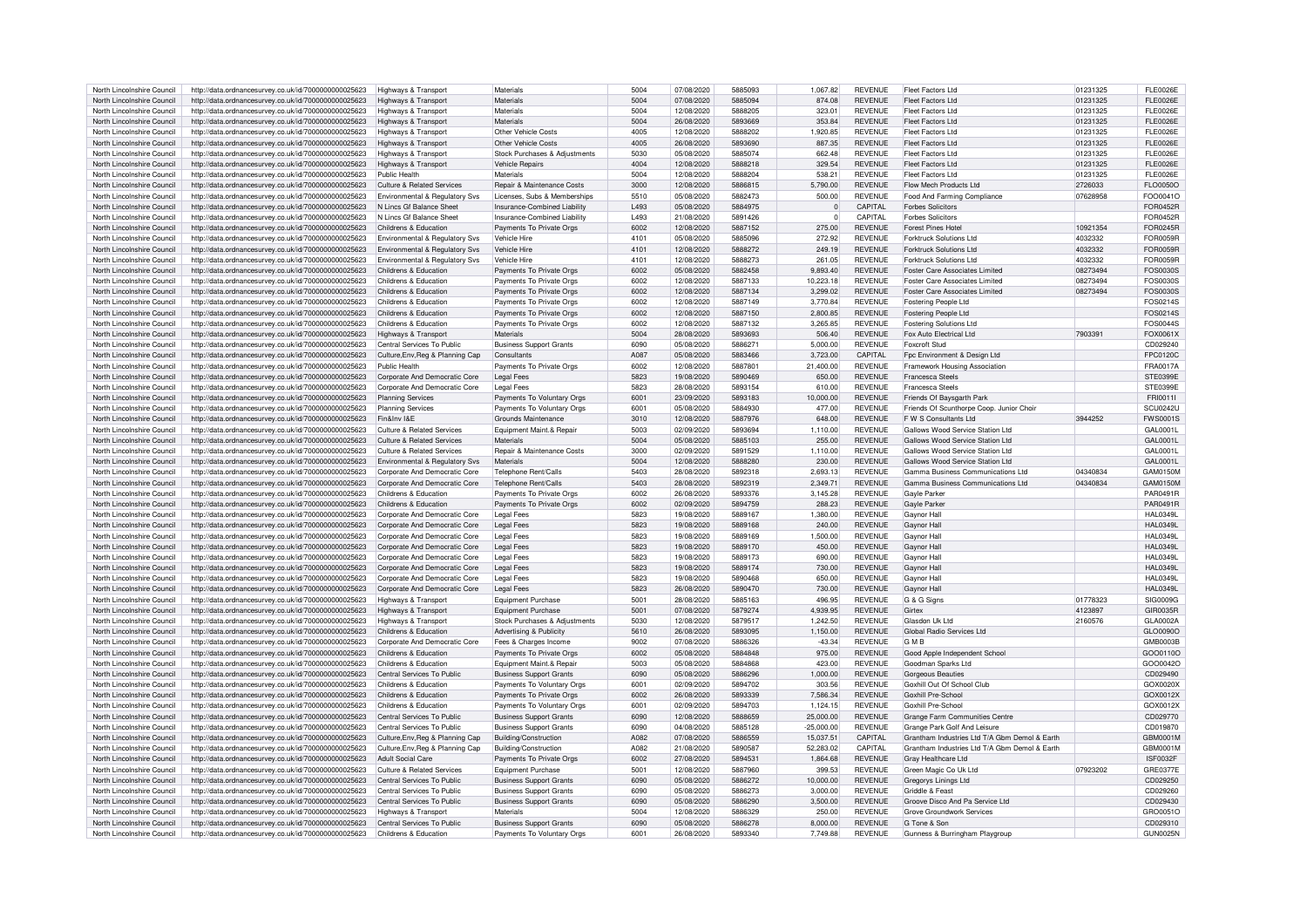| North Lincolnshire Council                               | http://data.ordnancesurvey.co.uk/id/7000000000025623 | Highways & Transport                  | Materials                      | 5004 | 07/08/2020 | 5885093 | 1,067.82     | REVENUE        | <b>Fleet Factors Ltd</b>                      | 01231325 | FI F0026F       |
|----------------------------------------------------------|------------------------------------------------------|---------------------------------------|--------------------------------|------|------------|---------|--------------|----------------|-----------------------------------------------|----------|-----------------|
|                                                          |                                                      |                                       |                                |      |            |         |              |                |                                               |          |                 |
| North Lincolnshire Council                               | http://data.ordnancesurvey.co.uk/id/7000000000025623 | <b>Highways &amp; Transport</b>       | Materials                      | 5004 | 07/08/2020 | 5885094 | 874.08       | <b>REVENUE</b> | <b>Fleet Factors Ltd</b>                      | 01231325 | <b>FLE0026E</b> |
| North Lincolnshire Council                               | http://data.ordnancesurvey.co.uk/id/7000000000025623 | Highways & Transport                  | Materials                      | 5004 | 12/08/2020 | 5888205 | 323.01       | <b>REVENUE</b> | Fleet Factors Ltd                             | 01231325 | <b>FLE0026E</b> |
| North Lincolnshire Council                               | http://data.ordnancesurvey.co.uk/id/7000000000025623 | Highways & Transport                  | Materials                      | 5004 | 26/08/2020 | 5893669 | 353.84       | <b>REVENUE</b> | Fleet Factors Ltd                             | 01231325 | <b>FLE0026E</b> |
| North Lincolnshire Council                               | http://data.ordnancesurvey.co.uk/id/7000000000025623 | Highways & Transport                  | Other Vehicle Costs            | 4005 | 12/08/2020 | 5888202 | 1.920.85     | <b>REVENUE</b> | Fleet Factors Ltd                             | 01231325 | <b>FLE0026E</b> |
|                                                          |                                                      |                                       |                                |      |            |         |              |                |                                               |          | <b>FLE0026E</b> |
| North Lincolnshire Council                               | http://data.ordnancesurvey.co.uk/id/7000000000025623 | Highways & Transport                  | <b>Other Vehicle Costs</b>     | 4005 | 26/08/2020 | 5893690 | 887.35       | REVENUE        | <b>Fleet Factors Ltd</b>                      | 01231325 |                 |
| North Lincolnshire Council                               | http://data.ordnancesurvey.co.uk/id/7000000000025623 | Highways & Transport                  | Stock Purchases & Adjustments  | 5030 | 05/08/2020 | 5885074 | 662.48       | <b>REVENUE</b> | Fleet Factors Ltd                             | 01231325 | <b>FLE0026E</b> |
| North Lincolnshire Council                               | http://data.ordnancesurvey.co.uk/id/7000000000025623 | Highways & Transport                  | Vehicle Repairs                | 4004 | 12/08/2020 | 5888218 | 329.54       | <b>REVENUE</b> | Fleet Factors Ltd                             | 01231325 | <b>FLE0026E</b> |
| North Lincolnshire Council                               | http://data.ordnancesurvey.co.uk/id/7000000000025623 | Public Health                         | Materials                      | 5004 | 12/08/2020 | 5888204 | 538.21       | <b>REVENUE</b> | Fleet Factors Ltd                             | 01231325 | <b>FLE0026E</b> |
| North Lincolnshire Council                               | http://data.ordnancesurvey.co.uk/id/7000000000025623 | Culture & Related Services            | Repair & Maintenance Costs     | 3000 | 12/08/2020 | 5886815 | 5.790.00     | <b>REVENUE</b> | Flow Mech Products Ltd                        | 2726033  | FLO0050O        |
|                                                          |                                                      |                                       |                                |      |            |         |              |                |                                               |          |                 |
| North Lincolnshire Council                               | http://data.ordnancesurvey.co.uk/id/7000000000025623 | Environmental & Regulatory Svs        | Licenses, Subs & Memberships   | 5510 | 05/08/2020 | 5882473 | 500.00       | <b>REVENUE</b> | Food And Farming Compliance                   | 07628958 | FOO0041O        |
| North Lincolnshire Council                               | http://data.ordnancesurvey.co.uk/id/7000000000025623 | N Lincs Gf Balance Shee               | Insurance-Combined Liability   | L493 | 05/08/2020 | 5884975 | $\Omega$     | CAPITAL        | <b>Forbes Solicitors</b>                      |          | <b>FOR0452R</b> |
| North Lincolnshire Council                               | http://data.ordnancesurvey.co.uk/id/7000000000025623 | N Lincs Gf Balance Sheet              | Insurance-Combined Liability   | 1493 | 21/08/2020 | 5891426 | $\Omega$     | CAPITAI        | <b>Forbes Solicitors</b>                      |          | <b>FOR0452R</b> |
| North Lincolnshire Council                               | http://data.ordnancesurvey.co.uk/id/7000000000025623 | Childrens & Education                 | Payments To Private Orgs       | 6002 | 12/08/2020 | 5887152 | 275.00       | <b>REVENUE</b> | <b>Forest Pines Hotel</b>                     | 10921354 | FOR0245R        |
| North Lincolnshire Council                               | http://data.ordnancesurvey.co.uk/id/7000000000025623 | Environmental & Regulatory Svs        | Vehicle Hire                   | 4101 | 05/08/2020 | 5885096 | 272.92       | <b>REVENUE</b> | Forktruck Solutions Ltd                       | 4032332  | FOR0059R        |
|                                                          |                                                      |                                       |                                |      |            | 5888272 |              | <b>REVENUE</b> | Forktruck Solutions Ltd                       | 4032332  | FOR0059R        |
| North Lincolnshire Council                               | http://data.ordnancesurvey.co.uk/id/7000000000025623 | Environmental & Regulatory Svs        | Vehicle Hire                   | 4101 | 12/08/2020 |         | 249.19       |                |                                               |          |                 |
| North Lincolnshire Council                               | http://data.ordnancesurvey.co.uk/id/7000000000025623 | Environmental & Regulatory Svs        | Vehicle Hire                   | 4101 | 12/08/2020 | 5888273 | 261.05       | REVENUE        | Forktruck Solutions Ltd                       | 4032332  | <b>FOR0059R</b> |
| North Lincolnshire Council                               | http://data.ordnancesurvey.co.uk/id/7000000000025623 | Childrens & Education                 | Payments To Private Orgs       | 6002 | 05/08/2020 | 5882458 | 9,893.40     | <b>REVENUE</b> | <b>Foster Care Associates Limited</b>         | 08273494 | FOS0030S        |
| North Lincolnshire Council                               | http://data.ordnancesurvey.co.uk/id/7000000000025623 | Childrens & Education                 | Payments To Private Orgs       | 6002 | 12/08/2020 | 5887133 | 10,223.18    | REVENUE        | Foster Care Associates Limited                | 08273494 | FOS0030S        |
| North Lincolnshire Council                               | http://data.ordnancesurvey.co.uk/id/7000000000025623 | Childrens & Education                 | Payments To Private Orgs       | 6002 | 12/08/2020 | 5887134 | 3,299.02     | <b>REVENUE</b> | <b>Foster Care Associates Limited</b>         | 08273494 | FOS0030S        |
|                                                          |                                                      |                                       |                                |      |            |         |              |                |                                               |          |                 |
| North Lincolnshire Council                               | http://data.ordnancesurvey.co.uk/id/7000000000025623 | Childrens & Education                 | Payments To Private Orgs       | 6002 | 12/08/2020 | 5887149 | 3,770.84     | <b>REVENUE</b> | Fostering People Ltd                          |          | FOS0214S        |
| North Lincolnshire Council                               | http://data.ordnancesurvey.co.uk/id/7000000000025623 | Childrens & Education                 | Payments To Private Orgs       | 6002 | 12/08/2020 | 5887150 | 2,800.85     | <b>REVENUE</b> | Fostering People Ltd                          |          | FOS0214S        |
| North Lincolnshire Council                               | http://data.ordnancesurvey.co.uk/id/7000000000025623 | Childrens & Education                 | Payments To Private Orgs       | 6002 | 12/08/2020 | 5887132 | 3,265.85     | <b>REVENUE</b> | <b>Fostering Solutions Ltd</b>                |          | FOS0044S        |
| North Lincolnshire Council                               | http://data.ordnancesurvey.co.uk/id/7000000000025623 | Highways & Transport                  | Materials                      | 5004 | 28/08/2020 | 5893693 | 506.40       | <b>REVENUE</b> | Fox Auto Electrical Ltd                       | 7903391  | FOX0061X        |
| North Lincolnshire Council                               | http://data.ordnancesurvey.co.uk/id/7000000000025623 | Central Services To Public            | <b>Business Support Grants</b> | 6090 | 05/08/2020 | 588627  | 5,000,00     | <b>REVENUE</b> | <b>Envernft Stud</b>                          |          | CD029240        |
| North Lincolnshire Council                               |                                                      |                                       | Consultants                    | A087 | 05/08/2020 | 5883466 | 3,723.00     | CAPITAL        |                                               |          | FPC0120C        |
|                                                          | http://data.ordnancesurvey.co.uk/id/7000000000025623 | Culture, Env, Reg & Planning Cap      |                                |      |            |         |              |                | Fpc Environment & Design Ltd                  |          |                 |
| North Lincolnshire Council                               | http://data.ordnancesurvey.co.uk/id/7000000000025623 | Public Health                         | Payments To Private Orgs       | 6002 | 12/08/2020 | 5887801 | 21,400.00    | <b>REVENUE</b> | Framework Housing Association                 |          | <b>FRA0017A</b> |
| North Lincolnshire Council                               | http://data.ordnancesurvey.co.uk/id/7000000000025623 | Corporate And Democratic Core         | <b>Legal Fees</b>              | 5823 | 19/08/2020 | 5890469 | 650.00       | <b>REVENUE</b> | Francesca Steels                              |          | STE0399E        |
| North Lincolnshire Council                               | http://data.ordnancesurvey.co.uk/id/7000000000025623 | Corporate And Democratic Core         | Legal Fees                     | 5823 | 28/08/2020 | 5893154 | 610.00       | <b>REVENUE</b> | Francesca Steels                              |          | <b>STE0399E</b> |
| North Lincolnshire Council                               | http://data.ordnancesurvey.co.uk/id/7000000000025623 | <b>Planning Services</b>              | Payments To Voluntary Orgs     | 6001 | 23/09/2020 | 5893183 | 10,000.00    | <b>REVENUE</b> | Friends Of Baysgarth Park                     |          | FRI0011I        |
| North Lincolnshire Council                               | http://data.ordnancesurvey.co.uk/id/7000000000025623 | <b>Planning Services</b>              | Payments To Voluntary Orgs     | 6001 | 05/08/2020 | 5884930 | 477.00       | <b>REVENUE</b> | Friends Of Scunthorpe Coop. Junior Choir      |          | <b>SCU0242U</b> |
|                                                          |                                                      |                                       |                                |      |            |         |              |                |                                               |          |                 |
| North Lincolnshire Council                               | http://data.ordnancesurvey.co.uk/id/7000000000025623 | Fin&Inv I&E                           | Grounds Maintenance            | 3010 | 12/08/2020 | 5887976 | 648.00       | <b>REVENUE</b> | F W S Consultants Ltd                         | 3944252  | <b>FWS0001S</b> |
| North Lincolnshire Council                               | http://data.ordnancesurvey.co.uk/id/7000000000025623 | Culture & Related Services            | Equipment Maint.& Repair       | 5003 | 02/09/2020 | 5893694 | 1,110.00     | <b>REVENUE</b> | Gallows Wood Service Station Ltd              |          | GAI 00011       |
| North Lincolnshire Council                               | http://data.ordnancesurvey.co.uk/id/7000000000025623 | <b>Culture &amp; Related Services</b> | Materials                      | 5004 | 05/08/2020 | 5885103 | 255.00       | <b>REVENUE</b> | Gallows Wood Service Station Ltd              |          | GAL0001L        |
| North Lincolnshire Council                               | http://data.ordnancesurvey.co.uk/id/7000000000025623 | <b>Culture &amp; Related Services</b> | Repair & Maintenance Costs     | 3000 | 02/09/2020 | 5891529 | 1.110.00     | <b>REVENUE</b> | Gallows Wood Service Station Ltd              |          | GAL0001L        |
| North Lincolnshire Council                               | http://data.ordnancesurvey.co.uk/id/7000000000025623 | Environmental & Regulatory Svs        | Materials                      | 5004 | 12/08/2020 | 5888280 | 230.00       | <b>REVENUE</b> | Gallows Wood Service Station Ltd              |          | GAL0001L        |
|                                                          |                                                      |                                       |                                |      |            |         |              |                |                                               |          |                 |
| North Lincolnshire Council                               | http://data.ordnancesurvey.co.uk/id/7000000000025623 | Corporate And Democratic Core         | Telephone Rent/Calls           | 5403 | 28/08/2020 | 5892318 | 2,693.13     | <b>REVENUE</b> | Gamma Business Communications Ltd             | 04340834 | GAM0150M        |
| North Lincolnshire Council                               | http://data.ordnancesurvey.co.uk/id/7000000000025623 | Corporate And Democratic Core         | Telephone Rent/Calls           | 5403 | 28/08/2020 | 5892319 | 2,349.71     | <b>REVENUE</b> | Gamma Business Communications Ltd             | 04340834 | <b>GAM0150M</b> |
| North Lincolnshire Council                               | http://data.ordnancesurvey.co.uk/id/7000000000025623 | Childrens & Education                 | Payments To Private Orgs       | 6002 | 26/08/2020 | 5893376 | 3,145.28     | <b>REVENUE</b> | Gayle Parker                                  |          | PAR0491R        |
| North Lincolnshire Council                               | http://data.ordnancesurvey.co.uk/id/7000000000025623 | Childrens & Education                 | Payments To Private Orgs       | 6002 | 02/09/2020 | 5894759 | 288.23       | <b>REVENUE</b> | Gayle Parker                                  |          | PAR0491R        |
| North Lincolnshire Council                               | http://data.ordnancesurvey.co.uk/id/7000000000025623 | Corporate And Democratic Core         | <b>Legal Fees</b>              | 5823 | 19/08/2020 | 5889167 | 1,380.00     | <b>REVENUE</b> | Gaynor Hall                                   |          | HAI 0349        |
|                                                          |                                                      |                                       |                                |      |            |         |              |                |                                               |          |                 |
| North Lincolnshire Council                               | http://data.ordnancesurvey.co.uk/id/7000000000025623 | Corporate And Democratic Core         | <b>Legal Fees</b>              | 5823 | 19/08/2020 | 5889168 | 240.00       | REVENUE        | Gaynor Hall                                   |          | <b>HAL0349L</b> |
| North Lincolnshire Council                               | http://data.ordnancesurvey.co.uk/id/7000000000025623 | Corporate And Democratic Core         | <b>Legal Fees</b>              | 5823 | 19/08/2020 | 5889169 | 1,500.00     | <b>REVENUE</b> | Gaynor Hall                                   |          | <b>HAL0349L</b> |
| North Lincolnshire Council                               | http://data.ordnancesurvey.co.uk/id/7000000000025623 | Corporate And Democratic Core         | Legal Fees                     | 5823 | 19/08/2020 | 5889170 | 450.00       | <b>REVENUE</b> | Gavnor Hall                                   |          | <b>HAL0349L</b> |
| North Lincolnshire Council                               | http://data.ordnancesurvey.co.uk/id/7000000000025623 | Corporate And Democratic Core         | <b>Legal Fees</b>              | 5823 | 19/08/2020 | 5889173 | 690.00       | <b>REVENUE</b> | Gaynor Hall                                   |          | <b>HAL0349L</b> |
| North Lincolnshire Council                               | http://data.ordnancesurvey.co.uk/id/7000000000025623 | Corporate And Democratic Core         | Legal Fees                     | 5823 | 19/08/2020 | 5889174 | 730.00       | <b>REVENUE</b> | Gaynor Hall                                   |          | <b>HAL0349L</b> |
|                                                          |                                                      |                                       |                                |      |            |         |              |                |                                               |          |                 |
| North Lincolnshire Council                               | http://data.ordnancesurvey.co.uk/id/7000000000025623 | Corporate And Democratic Core         | <b>Legal Fees</b>              | 5823 | 19/08/2020 | 5890468 | 650.00       | <b>REVENUE</b> | Gaynor Hall                                   |          | <b>HAL0349L</b> |
| North Lincolnshire Council                               | http://data.ordnancesurvey.co.uk/id/7000000000025623 | Corporate And Democratic Core         | <b>Legal Fees</b>              | 5823 | 26/08/2020 | 5890470 | 730.00       | <b>REVENUE</b> | Gaynor Hall                                   |          | <b>HAL0349L</b> |
| North Lincolnshire Council                               | http://data.ordnancesurvey.co.uk/id/7000000000025623 | Highways & Transport                  | <b>Equipment Purchase</b>      | 5001 | 28/08/2020 | 5885163 | 496.95       | <b>REVENUE</b> | G & G Signs                                   | 01778323 | SIG0009G        |
| North Lincolnshire Council                               | http://data.ordnancesurvey.co.uk/id/7000000000025623 | Highways & Transport                  | <b>Foujoment Purchase</b>      | 5001 | 07/08/2020 | 5879274 | 4.939.95     | <b>REVENUE</b> | Girtex                                        | 4123897  | GIR0035R        |
| North Lincolnshire Council                               | http://data.ordnancesurvey.co.uk/id/7000000000025623 | Highways & Transport                  | Stock Purchases & Adjustments  | 5030 | 12/08/2020 | 5879517 | 1,242.50     | <b>REVENUE</b> | Glasdon Lik Ltd                               | 2160576  | GLA0002A        |
| North Lincolnshire Council                               | http://data.ordnancesurvey.co.uk/id/7000000000025623 | Childrens & Education                 | Advertising & Publicity        | 5610 | 26/08/2020 | 5893095 | 1,150.00     | <b>REVENUE</b> | Global Radio Services Ltd                     |          | GLO0090O        |
|                                                          |                                                      |                                       |                                |      |            |         |              |                |                                               |          |                 |
| North Lincolnshire Council                               | http://data.ordnancesurvey.co.uk/id/7000000000025623 | Corporate And Democratic Core         | Fees & Charges Income          | 9002 | 07/08/2020 | 5886326 | $-43.34$     | <b>REVENUE</b> | GMR                                           |          | GMB0003B        |
| North Lincolnshire Council                               | http://data.ordnancesurvey.co.uk/id/7000000000025623 | Childrens & Education                 | Payments To Private Orgs       | 6002 | 05/08/2020 | 5884848 | 975.00       | <b>REVENUE</b> | Good Apple Independent School                 |          | GOO0110C        |
| North Lincolnshire Council                               | http://data.ordnancesurvey.co.uk/id/7000000000025623 | Childrens & Education                 | Equipment Maint.& Repair       | 5003 | 05/08/2020 | 5884868 | 423.00       | REVENUE        | Goodman Sparks Ltd                            |          | GOO0042C        |
| North Lincolnshire Council                               | http://data.ordnancesurvey.co.uk/id/7000000000025623 | Central Services To Public            | <b>Business Support Grants</b> | 6090 | 05/08/2020 | 5886296 | 1,000.00     | <b>REVENUE</b> | <b>Gorgeous Beauties</b>                      |          | CD029490        |
| North Lincolnshire Council                               | http://data.ordnancesurvey.co.uk/id/7000000000025623 | Childrens & Education                 | Payments To Voluntary Orgs     | 6001 | 02/09/2020 | 5894702 | 303.56       | REVENUE        | Goxhill Out Of School Club                    |          | GOX0020X        |
| North Lincolnshire Council                               | http://data.ordnancesurvey.co.uk/id/7000000000025623 | Childrens & Education                 | Payments To Private Orgs       | 6002 | 26/08/2020 | 5893339 | 7,586.34     | <b>REVENUE</b> | Goxhill Pre-School                            |          | GOX0012X        |
|                                                          |                                                      |                                       |                                |      |            |         |              |                |                                               |          |                 |
| North Lincolnshire Council                               | http://data.ordnancesurvey.co.uk/id/7000000000025623 | Childrens & Education                 | Payments To Voluntary Orgs     | 6001 | 02/09/2020 | 5894703 | 1,124.15     | <b>REVENUE</b> | Goxhill Pre-School                            |          | GOX0012X        |
| North Lincolnshire Council                               | http://data.ordnancesurvey.co.uk/id/7000000000025623 | Central Services To Public            | <b>Business Support Grants</b> | 6090 | 12/08/2020 | 5888659 | 25,000.00    | <b>REVENUE</b> | Grange Farm Communities Centre                |          | CD029770        |
| North Lincolnshire Council                               | http://data.ordnancesurvey.co.uk/id/7000000000025623 | Central Services To Public            | <b>Business Support Grants</b> | 6090 | 04/08/2020 | 5885128 | $-25.000.00$ | <b>REVENUE</b> | Grange Park Golf And Leisure                  |          | CD019870        |
| North Lincolnshire Council                               | http://data.ordnancesurvey.co.uk/id/7000000000025623 | Culture, Env, Reg & Planning Cap      | Building/Construction          | A082 | 07/08/2020 | 5886559 | 15,037.51    | CAPITAL        | Grantham Industries Ltd T/A Gbm Demol & Earth |          | GBM0001N        |
| North Lincolnshire Council                               | http://data.ordnancesurvey.co.uk/id/7000000000025623 | Culture, Env, Reg & Planning Cap      | Building/Construction          | A082 | 21/08/2020 | 5890587 | 52,283.02    | CAPITAL        | Grantham Industries Ltd T/A Gbm Demol & Earth |          | GBM0001N        |
|                                                          |                                                      |                                       |                                |      |            |         |              |                |                                               |          |                 |
| North Lincolnshire Council                               | http://data.ordnancesurvey.co.uk/id/7000000000025623 | <b>Adult Social Care</b>              | Payments To Private Orgs       | 6002 | 27/08/2020 | 5894531 | 1,864.68     | <b>REVENUE</b> | Gray Healthcare Ltd                           |          | <b>ISF0032F</b> |
| North Lincolnshire Council                               | http://data.ordnancesurvey.co.uk/id/7000000000025623 | <b>Culture &amp; Related Services</b> | Equipment Purchase             | 5001 | 12/08/2020 | 5887960 | 399.53       | <b>REVENUE</b> | Green Magic Co Uk Ltd                         | 07923202 | <b>GRE0377E</b> |
| North Lincolnshire Council                               | http://data.ordnancesurvey.co.uk/id/7000000000025623 | Central Services To Public            | <b>Business Support Grants</b> | 6090 | 05/08/2020 | 5886272 | 10,000.00    | <b>REVENUE</b> | Gregorys Linings Ltd                          |          | CD029250        |
| North Lincolnshire Council                               | http://data.ordnancesurvey.co.uk/id/7000000000025623 | Central Services To Public            | <b>Business Support Grants</b> | 6090 | 05/08/2020 | 5886273 | 3.000.00     | <b>REVENUE</b> | Griddle & Feast                               |          | CD029260        |
| North Lincolnshire Council                               | http://data.ordnancesurvey.co.uk/id/7000000000025623 | Central Services To Public            | <b>Business Support Grants</b> | 6090 | 05/08/2020 | 5886290 | 3.500.00     | <b>REVENUE</b> | Groove Disco And Pa Service Ltd               |          | CD029430        |
| North Lincolnshire Council                               | http://data.ordnancesurvey.co.uk/id/7000000000025623 | Highways & Transport                  | Materials                      | 5004 | 12/08/2020 | 5886329 | 250.00       | <b>REVENUE</b> | <b>Grove Groundwork Services</b>              |          | GRO0051C        |
|                                                          |                                                      |                                       |                                | 6090 |            | 5886278 |              |                |                                               |          |                 |
| North Lincolnshire Council<br>North Lincolnshire Council | http://data.ordnancesurvey.co.uk/id/7000000000025623 | Central Services To Public            | <b>Business Support Grants</b> |      | 05/08/2020 |         | 8,000.00     | <b>REVENUE</b> | G Tone & Son                                  |          | CD029310        |
|                                                          | http://data.ordnancesurvey.co.uk/id/7000000000025623 | Childrens & Education                 | Payments To Voluntary Orgs     | 6001 | 26/08/2020 | 5893340 | 7.749.88     | <b>REVENUE</b> | Gunness & Burringham Playgroup                |          | <b>GUN0025N</b> |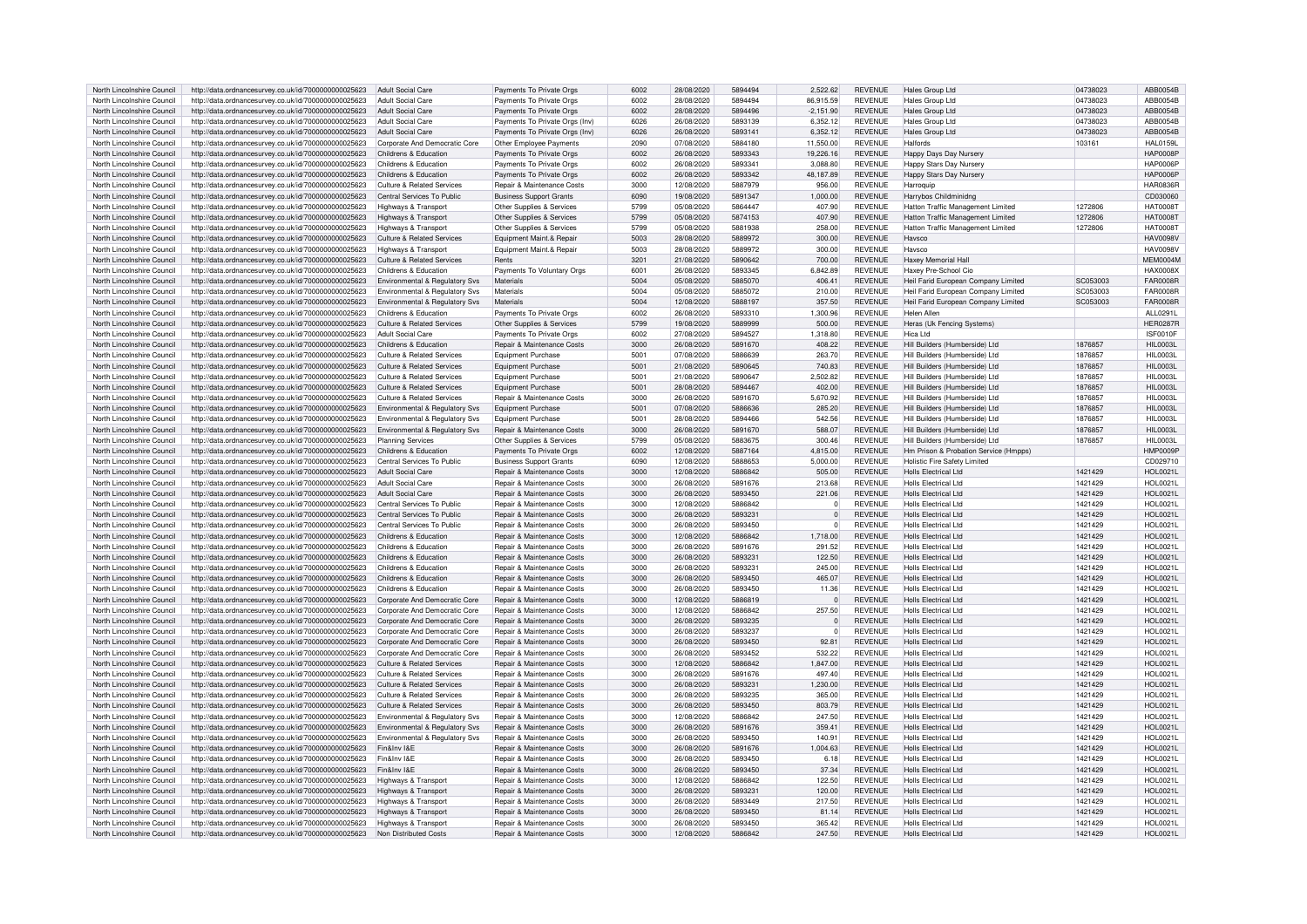| North Lincolnshire Council                               | http://data.ordnancesurvey.co.uk/id/7000000000025623                                                         | Adult Social Care                              | Payments To Private Orgs                                            | 6002         | 28/08/2020               | 5894494            | 2.522.62         | <b>REVENUE</b>                   | Hales Group Ltd                                      | 04738023           | ABB0054B                           |
|----------------------------------------------------------|--------------------------------------------------------------------------------------------------------------|------------------------------------------------|---------------------------------------------------------------------|--------------|--------------------------|--------------------|------------------|----------------------------------|------------------------------------------------------|--------------------|------------------------------------|
| North Lincolnshire Council                               | http://data.ordnancesurvey.co.uk/id/7000000000025623                                                         | <b>Adult Social Care</b>                       | Payments To Private Orgs                                            | 6002         | 28/08/2020               | 5894494            | 86,915.59        | <b>REVENUE</b>                   | Hales Group Ltd                                      | 04738023           | ABB0054B                           |
| North Lincolnshire Council                               | http://data.ordnancesurvey.co.uk/id/7000000000025623                                                         | <b>Adult Social Care</b>                       | Payments To Private Orgs                                            | 6002         | 28/08/2020               | 5894496            | $-2,151.90$      | <b>REVENUE</b>                   | Hales Group Ltd                                      | 04738023           | ABB0054B                           |
| North Lincolnshire Council                               | http://data.ordnancesurvey.co.uk/id/7000000000025623                                                         | <b>Adult Social Care</b>                       | Payments To Private Orgs (Inv)                                      | 6026         | 26/08/2020               | 5893139            | 6.352.12         | <b>REVENUE</b>                   | Hales Group Ltd                                      | 04738023           | ABB0054B                           |
| North Lincolnshire Council                               | http://data.ordnancesurvey.co.uk/id/7000000000025623                                                         | <b>Adult Social Care</b>                       | Payments To Private Orgs (Inv)                                      | 6026         | 26/08/2020               | 5893141            | 6,352.12         | <b>REVENUE</b>                   | Hales Group Ltd                                      | 04738023           | ABB0054B                           |
| North Lincolnshire Council                               | http://data.ordnancesurvey.co.uk/id/7000000000025623                                                         | Corporate And Democratic Core                  | Other Employee Payments                                             | 2090         | 07/08/2020               | 5884180            | 11.550.00        | <b>REVENUE</b>                   | Halfords                                             | 103161             | <b>HAL0159L</b>                    |
|                                                          |                                                                                                              |                                                |                                                                     | 6002         |                          | 5893343            |                  |                                  |                                                      |                    | <b>HAP0008P</b>                    |
| North Lincolnshire Council                               | http://data.ordnancesurvey.co.uk/id/7000000000025623                                                         | Childrens & Education<br>Childrens & Education | Payments To Private Orgs                                            | 6002         | 26/08/2020               | 5893341            | 19,226.16        | <b>REVENUE</b><br><b>REVENUE</b> | Happy Days Day Nursery                               |                    | HAP0006F                           |
| North Lincolnshire Council                               | http://data.ordnancesurvey.co.uk/id/7000000000025623                                                         |                                                | Payments To Private Orgs                                            |              | 26/08/2020               |                    | 3,088.80         |                                  | Happy Stars Day Nursery                              |                    |                                    |
| North Lincolnshire Council                               | http://data.ordnancesurvey.co.uk/id/7000000000025623                                                         | Childrens & Education                          | Payments To Private Orgs                                            | 6002         | 26/08/2020               | 5893342            | 48,187.89        | <b>REVENUE</b>                   | <b>Happy Stars Day Nursery</b>                       |                    | <b>HAP0006P</b>                    |
| North Lincolnshire Council                               | http://data.ordnancesurvey.co.uk/id/7000000000025623                                                         | Culture & Related Services                     | Repair & Maintenance Costs                                          | 3000         | 12/08/2020               | 5887979            | 956.00           | <b>REVENUE</b>                   | Harroquip                                            |                    | <b>HAR0836R</b>                    |
| North Lincolnshire Council                               | http://data.ordnancesurvey.co.uk/id/7000000000025623                                                         | Central Services To Public                     | <b>Business Support Grants</b>                                      | 6090         | 19/08/2020               | 5891347            | 1,000.00         | <b>REVENUE</b>                   | Harrybos Childminidng                                |                    | CD030060                           |
| North Lincolnshire Counci                                | http://data.ordnancesurvey.co.uk/id/7000000000025623                                                         | Highways & Transport                           | Other Supplies & Services                                           | 5799         | 05/08/2020               | 5864447            | 407.90           | <b>REVENUE</b>                   | Hatton Traffic Management Limited                    | 1272806            | <b>HAT0008T</b>                    |
| North Lincolnshire Council                               | http://data.ordnancesurvey.co.uk/id/7000000000025623                                                         | Highways & Transport                           | Other Supplies & Services                                           | 5799         | 05/08/2020               | 5874153            | 407.90           | <b>REVENUE</b>                   | Hatton Traffic Management Limited                    | 1272806            | <b>HAT0008T</b>                    |
| North Lincolnshire Council                               | http://data.ordnancesurvey.co.uk/id/7000000000025623                                                         | Highways & Transport                           | Other Supplies & Services                                           | 5799         | 05/08/2020               | 5881938            | 258.00           | <b>REVENUE</b>                   | Hatton Traffic Management Limited                    | 1272806            | <b>HAT0008T</b>                    |
| North Lincolnshire Council                               | http://data.ordnancesurvey.co.uk/id/7000000000025623                                                         | Culture & Related Services                     | Equipment Maint.& Repair                                            | 5003         | 28/08/2020               | 5889972            | 300.00           | <b>REVENUE</b>                   | Haysco                                               |                    | <b>HAV0098V</b>                    |
| North Lincolnshire Council                               | http://data.ordnancesurvey.co.uk/id/7000000000025623                                                         | Highways & Transport                           | Equipment Maint.& Repair                                            | 5003         | 28/08/2020               | 5889972            | 300.00           | <b>REVENUE</b>                   | Haysco                                               |                    | <b>HAV0098V</b>                    |
| North Lincolnshire Council                               | http://data.ordnancesurvey.co.uk/id/7000000000025623                                                         | Culture & Related Services                     | Rents                                                               | 3201         | 21/08/2020               | 5890642            | 700.00           | <b>REVENUE</b>                   | Haxey Memorial Hal                                   |                    | MEMOOOAN                           |
| North Lincolnshire Council                               | http://data.ordnancesurvey.co.uk/id/7000000000025623                                                         | Childrens & Education                          | Payments To Voluntary Orgs                                          | 6001         | 26/08/2020               | 5893345            | 6,842.89         | <b>REVENUE</b>                   | Haxev Pre-School Cic                                 |                    | <b>HAX0008X</b>                    |
| North Lincolnshire Council                               | http://data.ordnancesurvey.co.uk/id/7000000000025623                                                         | <b>Environmental &amp; Regulatory Svs</b>      | Materials                                                           | 5004         | 05/08/2020               | 5885070            | 406.41           | <b>REVENUE</b>                   | Heil Farid European Company Limited                  | SC053003           | FAR0008R                           |
| North Lincolnshire Council                               | http://data.ordnancesurvey.co.uk/id/7000000000025623                                                         | Environmental & Regulatory Svs                 | Materials                                                           | 5004         | 05/08/2020               | 5885072            | 210.00           | <b>REVENUE</b>                   | Heil Farid European Company Limited                  | SC053003           | <b>FAR0008R</b>                    |
| North Lincolnshire Council                               | http://data.ordnancesurvey.co.uk/id/7000000000025623                                                         | Environmental & Regulatory Sys                 | Materials                                                           | 5004         | 12/08/2020               | 5888197            | 357.50           | <b>REVENUE</b>                   | Heil Farid European Company Limited                  | SC053003           | <b>FAR0008R</b>                    |
| North Lincolnshire Council                               | http://data.ordnancesurvey.co.uk/id/7000000000025623                                                         | Childrens & Education                          | Payments To Private Orgs                                            | 6002         | 26/08/2020               | 5893310            | 1,300.96         | <b>REVENUE</b>                   | Helen Aller                                          |                    | ALL0291L                           |
| North Lincolnshire Council                               | http://data.ordnancesurvey.co.uk/id/7000000000025623                                                         | Culture & Related Services                     | Other Supplies & Services                                           | 5799         | 19/08/2020               | 5889999            | 500.00           | <b>REVENUE</b>                   | Heras (Uk Fencing Systems)                           |                    | <b>HER0287R</b>                    |
| North Lincolnshire Council                               | http://data.ordnancesurvey.co.uk/id/7000000000025623                                                         | <b>Adult Social Care</b>                       | Payments To Private Orgs                                            | 6002         | 27/08/2020               | 5894527            | 1,318.80         | <b>REVENUE</b>                   | Hica Ltd                                             |                    | ISF0010F                           |
| North Lincolnshire Council                               | http://data.ordnancesurvey.co.uk/id/7000000000025623                                                         | Childrens & Education                          | Repair & Maintenance Costs                                          | 3000         | 26/08/2020               | 5891670            | 408.22           | <b>REVENUE</b>                   | Hill Builders (Humberside) Ltd                       | 1876857            | <b>HIL 0003I</b>                   |
| North Lincolnshire Council                               | http://data.ordnancesurvey.co.uk/id/7000000000025623                                                         | <b>Culture &amp; Related Services</b>          | Equipment Purchase                                                  | 5001         | 07/08/2020               | 5886639            | 263.70           | <b>REVENUE</b>                   | Hill Builders (Humberside) Ltd                       | 1876857            | HIL0003L                           |
|                                                          |                                                                                                              |                                                |                                                                     |              |                          |                    |                  |                                  |                                                      |                    |                                    |
| North Lincolnshire Council                               | http://data.ordnancesurvey.co.uk/id/7000000000025623                                                         | <b>Culture &amp; Related Services</b>          | Equipment Purchase                                                  | 5001         | 21/08/2020               | 5890645            | 740.83           | <b>REVENUE</b>                   | Hill Builders (Humberside) Ltd                       | 1876857            | <b>HIL0003L</b>                    |
| North Lincolnshire Council                               | http://data.ordnancesurvey.co.uk/id/7000000000025623                                                         | Culture & Related Services                     | Equipment Purchase                                                  | 5001         | 21/08/2020               | 5890647            | 2,502.82         | <b>REVENUE</b>                   | Hill Builders (Humberside) Ltd                       | 1876857            | HIL0003L                           |
| North Lincolnshire Council                               | http://data.ordnancesurvey.co.uk/id/7000000000025623                                                         | <b>Culture &amp; Related Services</b>          | Equipment Purchase                                                  | 5001         | 28/08/2020               | 5894467            | 402.00           | <b>REVENUE</b>                   | Hill Builders (Humberside) Ltd                       | 1876857            | <b>HIL0003L</b>                    |
| North Lincolnshire Council                               | http://data.ordnancesurvey.co.uk/id/7000000000025623                                                         | Culture & Related Services                     | Repair & Maintenance Costs                                          | 3000         | 26/08/2020               | 5891670            | 5,670.92         | <b>REVENUE</b>                   | Hill Builders (Humberside) Ltd                       | 1876857            | HIL0003L                           |
| North Lincolnshire Council                               | http://data.ordnancesurvey.co.uk/id/7000000000025623                                                         | Environmental & Regulatory Svs                 | Equipment Purchase                                                  | 5001         | 07/08/2020               | 5886636            | 285.20           | <b>REVENUE</b>                   | Hill Builders (Humberside) Ltd                       | 1876857            | <b>HIL0003L</b>                    |
| North Lincolnshire Council                               | http://data.ordnancesurvey.co.uk/id/7000000000025623                                                         | Environmental & Regulatory Svs                 | Foujoment Purchase                                                  | 5001         | 28/08/2020               | 5894466            | 542.56           | <b>REVENUE</b>                   | Hill Builders (Humberside) Ltd                       | 1876857            | HIL0003L                           |
| North Lincolnshire Council                               | http://data.ordnancesurvey.co.uk/id/7000000000025623                                                         | Environmental & Regulatory Svs                 | Repair & Maintenance Costs                                          | 3000         | 26/08/2020               | 5891670            | 588.07           | <b>REVENUE</b>                   | Hill Builders (Humberside) Ltd                       | 1876857            | <b>HIL0003L</b>                    |
| North Lincolnshire Council                               | http://data.ordnancesurvey.co.uk/id/7000000000025623                                                         | <b>Planning Services</b>                       | Other Supplies & Services                                           | 5799         | 05/08/2020               | 5883675            | 300.46           | <b>REVENUE</b>                   | Hill Builders (Humberside) Ltd                       | 1876857            | <b>HIL0003L</b>                    |
| North Lincolnshire Counci                                | http://data.ordnancesurvey.co.uk/id/7000000000025623                                                         | Childrens & Education                          | Payments To Private Orgs                                            | 6002         | 12/08/2020               | 5887164            | 4.815.00         | <b>REVENUE</b>                   | Hm Prison & Probation Service (Hmpps)                |                    | HMP0009F                           |
| North Lincolnshire Council                               | http://data.ordnancesurvey.co.uk/id/7000000000025623                                                         | Central Services To Public                     | <b>Business Support Grants</b>                                      | 6090         | 12/08/2020               | 5888653            | 5.000.00         | <b>REVENUE</b>                   | <b>Holistic Fire Safety Limited</b>                  |                    | CD029710                           |
|                                                          |                                                                                                              |                                                |                                                                     |              |                          |                    |                  |                                  |                                                      |                    |                                    |
| North Lincolnshire Council                               |                                                                                                              | Adult Social Care                              |                                                                     | 3000         | 12/08/2020               | 5886842            | 505.00           | <b>REVENUE</b>                   | Holls Electrical Ltd                                 | 1421429            | <b>HOL0021L</b>                    |
|                                                          | http://data.ordnancesurvey.co.uk/id/7000000000025623                                                         |                                                | Repair & Maintenance Costs                                          |              |                          | 5891676            |                  | <b>REVENUE</b>                   | Holls Flectrical Ltd                                 |                    |                                    |
| North Lincolnshire Council                               | http://data.ordnancesurvey.co.uk/id/7000000000025623                                                         | <b>Adult Social Care</b>                       | Repair & Maintenance Costs                                          | 3000         | 26/08/2020               |                    | 213.68           |                                  |                                                      | 1421429            | <b>HOL0021L</b>                    |
| North Lincolnshire Council                               | http://data.ordnancesurvey.co.uk/id/7000000000025623                                                         | <b>Adult Social Care</b>                       | Repair & Maintenance Costs                                          | 3000         | 26/08/2020               | 5893450            | 221.06           | <b>REVENUE</b>                   | Holls Flectrical I td                                | 1421429            | <b>HOL0021L</b>                    |
| North Lincolnshire Council                               | http://data.ordnancesurvey.co.uk/id/7000000000025623                                                         | Central Services To Public                     | <b>Benair &amp; Maintenance Costs</b>                               | 3000         | 12/08/2020               | 5886842            | $\Omega$         | <b>REVENUE</b>                   | Holls Flectrical Ltd                                 | 1421429            | HOL0021L                           |
| North Lincolnshire Council                               | http://data.ordnancesurvey.co.uk/id/7000000000025623                                                         | Central Services To Public                     | Repair & Maintenance Costs                                          | 3000         | 26/08/2020               | 5893231            | $\Omega$         | <b>REVENUE</b>                   | <b>Holls Electrical Ltd</b>                          | 1421429            | <b>HOL0021L</b>                    |
| North Lincolnshire Council                               | http://data.ordnancesurvey.co.uk/id/7000000000025623                                                         | Central Services To Public                     | Repair & Maintenance Costs                                          | 3000         | 26/08/2020               | 5893450            | $\mathbf 0$      | <b>REVENUE</b>                   | Holls Flectrical Ltd                                 | 1421429            | HOI 0021L                          |
| North Lincolnshire Council                               | http://data.ordnancesurvey.co.uk/id/7000000000025623                                                         | Childrens & Education                          | Repair & Maintenance Costs                                          | 3000         | 12/08/2020               | 5886842            | 1,718.00         | <b>REVENUE</b>                   | Holls Flectrical I td                                | 1421429            | <b>HOL0021L</b>                    |
| North Lincolnshire Council                               | http://data.ordnancesurvey.co.uk/id/7000000000025623                                                         | Childrens & Education                          | Repair & Maintenance Costs                                          | 3000         | 26/08/2020               | 5891676            | 291.52           | <b>REVENUE</b>                   | <b>Holls Electrical Ltd</b>                          | 1421429            | <b>HOL0021L</b>                    |
| North Lincolnshire Council                               | http://data.ordnancesurvey.co.uk/id/7000000000025623                                                         | Childrens & Education                          | <b>Benair &amp; Maintenance Costs</b>                               | 3000         | 26/08/2020               | 589323             | 122.50           | <b>REVENUE</b>                   | Holls Flectrical Ltd                                 | 1421429            | HOI 0021L                          |
| North Lincolnshire Council                               | http://data.ordnancesurvey.co.uk/id/7000000000025623                                                         | Childrens & Education                          | Repair & Maintenance Costs                                          | 3000         | 26/08/2020               | 589323             | 245.00           | REVENUE                          | <b>Holls Electrical Ltd</b>                          | 1421429            | <b>HOL0021L</b>                    |
| North Lincolnshire Council                               | http://data.ordnancesurvey.co.uk/id/7000000000025623                                                         | Childrens & Education                          | Repair & Maintenance Costs                                          | 3000         | 26/08/2020               | 5893450            | 465.07           | <b>REVENUE</b>                   | <b>Holls Electrical Ltd</b>                          | 1421429            | <b>HOL0021L</b>                    |
| North Lincolnshire Council                               | http://data.ordnancesurvey.co.uk/id/7000000000025623                                                         | Childrens & Education                          | Repair & Maintenance Costs                                          | 3000         | 26/08/2020               | 5893450            | 11.36            | REVENUE                          | <b>Holls Electrical Ltd</b>                          | 1421429            | <b>HOL0021L</b>                    |
| North Lincolnshire Council                               | http://data.ordnancesurvey.co.uk/id/7000000000025623                                                         | Corporate And Democratic Core                  | Repair & Maintenance Costs                                          | 3000         | 12/08/2020               | 5886819            | $\mathbf{0}$     | <b>REVENUE</b>                   | <b>Holls Electrical Ltd</b>                          | 1421429            | <b>HOL0021L</b>                    |
| North Lincolnshire Council                               | http://data.ordnancesurvey.co.uk/id/7000000000025623                                                         | Corporate And Democratic Core                  | Repair & Maintenance Costs                                          | 3000         | 12/08/2020               | 5886842            | 257.50           | <b>REVENUE</b>                   | Holls Flectrical Ltd                                 | 1421429            | <b>HOL0021L</b>                    |
| North Lincolnshire Council                               | http://data.ordnancesurvey.co.uk/id/7000000000025623                                                         | Corporate And Democratic Core                  | Repair & Maintenance Costs                                          | 3000         | 26/08/2020               | 5893235            | $\Omega$         | <b>REVENUE</b>                   | Holls Flectrical I td                                | 1421429            | <b>HOL0021L</b>                    |
| North Lincolnshire Council                               | http://data.ordnancesurvey.co.uk/id/7000000000025623                                                         | Cornorate And Democratic Core                  | Repair & Maintenance Costs                                          | 3000         | 26/08/2020               | 5893237            | $\Omega$         | <b>REVENUE</b>                   | Holls Electrical Ltd                                 | 1421429            | <b>HOL0021L</b>                    |
| North Lincolnshire Council                               | http://data.ordnancesurvey.co.uk/id/7000000000025623                                                         | Corporate And Democratic Core                  | Repair & Maintenance Costs                                          | 3000         | 26/08/2020               | 5893450            | 92.81            | <b>REVENUE</b>                   | Holls Flectrical I td                                | 1421429            | <b>HOL0021L</b>                    |
| North Lincolnshire Council                               | http://data.ordnancesurvey.co.uk/id/7000000000025623                                                         | Corporate And Democratic Core                  | Repair & Maintenance Costs                                          | 3000         | 26/08/2020               | 5893452            | 532.22           | <b>REVENUE</b>                   | Holls Flectrical Ltd                                 | 1421429            | <b>HOL0021L</b>                    |
| North Lincolnshire Counci                                | http://data.ordnancesurvey.co.uk/id/7000000000025623                                                         | <b>Culture &amp; Related Services</b>          | Repair & Maintenance Costs                                          | 3000         | 12/08/2020               | 5886842            | 1,847.00         | <b>REVENUE</b>                   | <b>Holls Electrical Ltd</b>                          | 1421429            | <b>HOL0021L</b>                    |
| North Lincolnshire Council                               | http://data.ordnancesurvey.co.uk/id/7000000000025623                                                         | <b>Culture &amp; Related Services</b>          | Repair & Maintenance Costs                                          | 3000         | 26/08/2020               | 5891676            | 497.40           | <b>REVENUE</b>                   | Holls Flectrical I td                                | 1421429            | <b>HOL0021L</b>                    |
| North Lincolnshire Council                               | http://data.ordnancesurvey.co.uk/id/7000000000025623                                                         | Culture & Related Services                     | Repair & Maintenance Costs                                          | 3000         | 26/08/2020               | 5893231            | 1,230.00         | <b>REVENUE</b>                   | Holls Electrical Ltd                                 | 1421429            | <b>HOL00211</b>                    |
| North Lincolnshire Council                               | http://data.ordnancesurvey.co.uk/id/7000000000025623                                                         | Culture & Related Services                     | Repair & Maintenance Costs                                          | 3000         | 26/08/2020               | 5893235            | 365.00           | <b>REVENUE</b>                   | Holls Flectrical I td                                | 1421429            | <b>HOL0021L</b>                    |
| North Lincolnshire Council                               | http://data.ordnancesurvey.co.uk/id/7000000000025623                                                         | <b>Culture &amp; Related Services</b>          | Repair & Maintenance Costs                                          | 3000         | 26/08/2020               | 5893450            | 803.79           | <b>REVENUE</b>                   | Holls Flectrical I td                                | 1421429            | <b>HOL0021L</b>                    |
| North Lincolnshire Council                               |                                                                                                              | Environmental & Regulatory Svs                 | Repair & Maintenance Costs                                          | 3000         | 12/08/2020               | 5886842            | 247.50           | <b>REVENUE</b>                   | <b>Holls Electrical Ltd</b>                          | 1421429            | <b>HOL0021L</b>                    |
| North Lincolnshire Council                               | http://data.ordnancesurvey.co.uk/id/7000000000025623<br>http://data.ordnancesurvey.co.uk/id/7000000000025623 | Environmental & Regulatory Sys                 | Repair & Maintenance Costs                                          | 3000         | 26/08/2020               | 5891676            | 359.41           | <b>REVENUE</b>                   | <b>Holls Electrical Ltd</b>                          | 1421429            | <b>HOL0021L</b>                    |
| North Lincolnshire Council                               |                                                                                                              |                                                | <b>Benair &amp; Maintenance Costs</b>                               | 3000         |                          | 5893450            |                  | <b>REVENUE</b>                   | Holls Flectrical I td                                |                    | <b>HOL0021L</b>                    |
| North Lincolnshire Council                               | http://data.ordnancesurvey.co.uk/id/7000000000025623                                                         | Environmental & Regulatory Svs<br>Fin&Inv I&F  |                                                                     | 3000         | 26/08/2020<br>26/08/2020 | 5891676            | 140.91           | <b>REVENUE</b>                   | Holls Flectrical I td                                | 1421429            |                                    |
|                                                          | http://data.ordnancesurvey.co.uk/id/7000000000025623                                                         |                                                | Repair & Maintenance Costs                                          |              |                          |                    | 1,004.63         |                                  |                                                      | 1421429            | <b>HOL0021L</b>                    |
| North Lincolnshire Council                               | http://data.ordnancesurvey.co.uk/id/7000000000025623                                                         | Fin&Inv I&E                                    | Repair & Maintenance Costs                                          | 3000         | 26/08/2020               | 5893450            | 6.18             | <b>REVENUE</b>                   | <b>Holls Electrical Ltd</b>                          | 1421429            | <b>HOL0021L</b>                    |
| North Lincolnshire Council                               | http://data.ordnancesurvey.co.uk/id/7000000000025623                                                         | Fin&Inv I&F                                    | Repair & Maintenance Costs                                          | 3000         | 26/08/2020               | 5893450            | 37.34            | <b>REVENUE</b>                   | Holls Flectrical I td                                | 1421429            | HOI 00211                          |
| North Lincolnshire Council                               | http://data.ordnancesurvey.co.uk/id/7000000000025623                                                         | Highways & Transport                           | Repair & Maintenance Costs                                          | 3000         | 12/08/2020               | 5886842            | 122.50           | REVENUE                          | Holls Flectrical Ltd                                 | 1421429            | <b>HOL0021L</b>                    |
| North Lincolnshire Council                               | http://data.ordnancesurvey.co.uk/id/7000000000025623                                                         | Highways & Transport                           | Repair & Maintenance Costs                                          | 3000         | 26/08/2020               | 5893231            | 120.00           | <b>REVENUE</b>                   | <b>Holls Electrical Ltd</b>                          | 1421429            | <b>HOL0021L</b>                    |
| North Lincolnshire Council                               | http://data.ordnancesurvey.co.uk/id/7000000000025623                                                         | Highways & Transport                           | Repair & Maintenance Costs                                          | 3000         | 26/08/2020               | 5893449            | 217.50           | <b>REVENUE</b>                   | Holls Electrical Ltd                                 | 1421429            | <b>HOL0021L</b>                    |
| North Lincolnshire Council                               | http://data.ordnancesurvey.co.uk/id/7000000000025623                                                         | Highways & Transport                           | Repair & Maintenance Costs                                          | 3000         | 26/08/2020               | 5893450            | 81.14            | <b>REVENUE</b>                   | <b>Holls Electrical Ltd</b>                          | 1421429            | HOL0021L                           |
| North Lincolnshire Council<br>North Lincolnshire Council | http://data.ordnancesurvey.co.uk/id/7000000000025623<br>http://data.ordnancesurvey.co.uk/id/7000000000025623 | Highways & Transport<br>Non Distributed Costs  | Repair & Maintenance Costs<br><b>Benair &amp; Maintenance Costs</b> | 3000<br>3000 | 26/08/2020<br>12/08/2020 | 5893450<br>5886842 | 365.42<br>247.50 | REVENUE<br><b>REVENUE</b>        | <b>Holls Electrical Ltd</b><br>Holls Flectrical I td | 1421429<br>1421429 | <b>HOL0021L</b><br><b>HOL0021L</b> |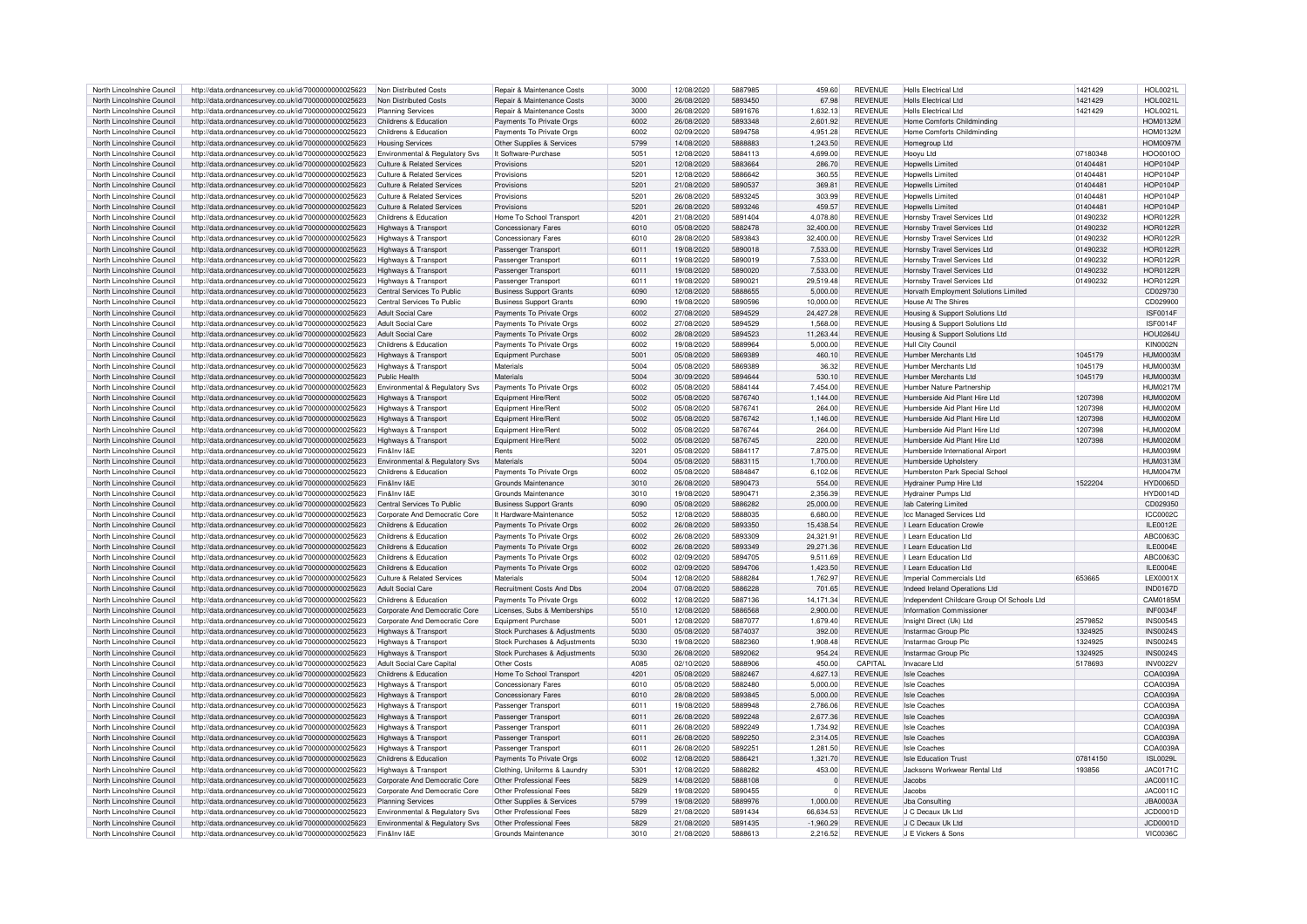| North Lincolnshire Council                               | http://data.ordnancesurvey.co.uk/id/7000000000025623                                                         | Non Distributed Costs                         | <b>Repair &amp; Maintenance Costs</b>          | 3000         | 12/08/2020               | 5887985            | 459.60                  | <b>REVENUE</b>            | <b>Holls Electrical Ltd</b>                | 1421429  | <b>HOL0021L</b>             |
|----------------------------------------------------------|--------------------------------------------------------------------------------------------------------------|-----------------------------------------------|------------------------------------------------|--------------|--------------------------|--------------------|-------------------------|---------------------------|--------------------------------------------|----------|-----------------------------|
| North Lincolnshire Council                               |                                                                                                              | Non Distributed Costs                         | <b>Repair &amp; Maintenance Costs</b>          | 3000         | 26/08/2020               | 5893450            |                         | <b>REVENUE</b>            | Holls Electrical Ltd.                      |          | <b>HOL0021L</b>             |
|                                                          | http://data.ordnancesurvey.co.uk/id/7000000000025623                                                         |                                               |                                                |              |                          |                    | 67.98                   |                           |                                            | 1421429  |                             |
| North Lincolnshire Council                               | http://data.ordnancesurvey.co.uk/id/7000000000025623                                                         | <b>Planning Services</b>                      | Repair & Maintenance Costs                     | 3000         | 26/08/2020               | 5891676            | 1,632.13                | <b>REVENUE</b>            | Holls Flectrical I td                      | 1421429  | <b>HOL0021L</b>             |
| North Lincolnshire Council                               | http://data.ordnancesurvey.co.uk/id/7000000000025623                                                         | Childrens & Education                         | Payments To Private Orgs                       | 6002         | 26/08/2020               | 5893348            | 2,601.92                | <b>REVENUE</b>            | Home Comforts Childminding                 |          | <b>HOM0132M</b>             |
| North Lincolnshire Council                               | http://data.ordnancesurvey.co.uk/id/7000000000025623                                                         | Childrens & Education                         | Payments To Private Orgs                       | 6002         | 02/09/2020               | 5894758            | 4.951.28                | <b>REVENUE</b>            | Home Comforts Childminding                 |          | <b>HOM0132M</b>             |
| North Lincolnshire Council                               | http://data.ordnancesurvey.co.uk/id/7000000000025623                                                         | <b>Housing Services</b>                       | Other Supplies & Services                      | 5799         | 14/08/2020               | 5888883            | 1.243.50                | <b>REVENUE</b>            | Homegroup I td                             |          | <b>HOM0097M</b>             |
| North Lincolnshire Council                               |                                                                                                              |                                               | It Software-Purchase                           | 5051         | 12/08/2020               | 5884113            | 4.699.00                | <b>REVENUE</b>            |                                            | 07180348 | HOO0010C                    |
|                                                          | http://data.ordnancesurvey.co.uk/id/7000000000025623                                                         | Environmental & Regulatory Svs                |                                                |              |                          |                    |                         |                           | Hooyu Ltd                                  |          |                             |
| North Lincolnshire Council                               | http://data.ordnancesurvey.co.uk/id/7000000000025623                                                         | Culture & Related Services                    | Provisions                                     | 5201         | 12/08/2020               | 5883664            | 286.70                  | <b>REVENUE</b>            | <b>Hopwells Limited</b>                    | 01404481 | <b>HOP0104P</b>             |
| North Lincolnshire Council                               | http://data.ordnancesurvey.co.uk/id/7000000000025623                                                         | <b>Culture &amp; Related Services</b>         | Provisions                                     | 5201         | 12/08/2020               | 5886642            | 360.55                  | <b>REVENUE</b>            | <b>Hopwells Limited</b>                    | 01404481 | <b>HOP0104P</b>             |
| North Lincolnshire Council                               | http://data.ordnancesurvey.co.uk/id/7000000000025623                                                         | Culture & Related Services                    | Provisions                                     | 5201         | 21/08/2020               | 5890537            | 369.81                  | <b>REVENUE</b>            | Honwells I imited                          | 01404481 | HOP0104P                    |
| North Lincolnshire Council                               |                                                                                                              | Culture & Related Services                    | Provisions                                     | 5201         | 26/08/2020               | 5893245            | 303.99                  | <b>REVENUE</b>            | Honwells I imited                          |          | <b>HOP0104P</b>             |
|                                                          | http://data.ordnancesurvey.co.uk/id/7000000000025623                                                         |                                               |                                                |              |                          |                    |                         |                           |                                            | 01404481 |                             |
| North Lincolnshire Council                               | http://data.ordnancesurvey.co.uk/id/7000000000025623                                                         | Culture & Related Services                    | Provisions                                     | 5201         | 26/08/2020               | 5893246            | 459.57                  | <b>REVENUE</b>            | Honwells I imited                          | 01404481 | <b>HOP0104P</b>             |
| North Lincolnshire Council                               | http://data.ordnancesurvey.co.uk/id/7000000000025623                                                         | Childrens & Education                         | Home To School Transport                       | 4201         | 21/08/2020               | 5891404            | 4,078.80                | <b>REVENUE</b>            | Hornsby Travel Services Ltd                | 01490232 | <b>HOR0122R</b>             |
| North Lincolnshire Council                               | http://data.ordnancesurvey.co.uk/id/7000000000025623                                                         | Highways & Transport                          | Concessionary Fares                            | 6010         | 05/08/2020               | 5882478            | 32,400.00               | <b>REVENUE</b>            | Hornsby Travel Services Ltd                | 01490232 | <b>HOR0122R</b>             |
| North Lincolnshire Council                               | http://data.ordnancesurvey.co.uk/id/7000000000025623                                                         | Highways & Transport                          | <b>Concessionary Fares</b>                     | 6010         | 28/08/2020               | 5893843            | 32,400.00               | <b>REVENUE</b>            | Hornsby Travel Services Ltd                | 01490232 | <b>HOR0122F</b>             |
|                                                          |                                                                                                              |                                               |                                                |              |                          |                    |                         |                           |                                            |          |                             |
| North Lincolnshire Council                               | http://data.ordnancesurvey.co.uk/id/7000000000025623                                                         | Highways & Transport                          | Passenger Transport                            | 6011         | 19/08/2020               | 5890018            | 7.533.00                | <b>REVENUE</b>            | Hornsby Travel Services Ltd                | 01490232 | <b>HOR0122R</b>             |
| North Lincolnshire Council                               | http://data.ordnancesurvey.co.uk/id/7000000000025623                                                         | Highways & Transport                          | Passenger Transport                            | 6011         | 19/08/2020               | 5890019            | 7.533.00                | <b>REVENUE</b>            | Hornsby Travel Services Ltd                | 01490232 | <b>HOR0122R</b>             |
| North Lincolnshire Council                               | http://data.ordnancesurvey.co.uk/id/7000000000025623                                                         | Highways & Transport                          | Passenger Transpor                             | 6011         | 19/08/2020               | 5890020            | 7.533.00                | <b>REVENUE</b>            | Hornsby Travel Services Ltd                | 01490232 | <b>HOR0122R</b>             |
| North Lincolnshire Council                               | http://data.ordnancesurvey.co.uk/id/7000000000025623                                                         | Highways & Transport                          | Passenger Transport                            | 6011         | 19/08/2020               | 5890021            | 29.519.48               | <b>REVENUE</b>            | Hornsby Travel Services Ltd                | 01490232 | <b>HOR0122R</b>             |
|                                                          |                                                                                                              |                                               |                                                |              |                          |                    |                         |                           |                                            |          |                             |
| North Lincolnshire Council                               | http://data.ordnancesurvey.co.uk/id/7000000000025623                                                         | Central Services To Public                    | <b>Business Support Grants</b>                 | 6090         | 12/08/2020               | 5888655            | 5,000.00                | <b>REVENUE</b>            | Horvath Employment Solutions Limited       |          | CD029730                    |
| North Lincolnshire Council                               | http://data.ordnancesurvey.co.uk/id/7000000000025623                                                         | Central Services To Public                    | <b>Business Support Grants</b>                 | 6090         | 19/08/2020               | 5890596            | 10.000.00               | <b>REVENUE</b>            | <b>House At The Shires</b>                 |          | CD029900                    |
| North Lincolnshire Council                               | http://data.ordnancesurvey.co.uk/id/7000000000025623                                                         | <b>Adult Social Care</b>                      | Payments To Private Orgs                       | 6002         | 27/08/2020               | 5894529            | 24,427.28               | <b>REVENUE</b>            | Housing & Support Solutions Ltd            |          | ISF0014F                    |
| North Lincolnshire Council                               | http://data.ordnancesurvey.co.uk/id/7000000000025623                                                         | Adult Social Care                             | Payments To Private Orgs                       | 5002         | 27/08/2020               | 5894529            | 1.568.00                | <b>REVENUE</b>            | Housing & Support Solutions Ltd            |          | ISF0014F                    |
|                                                          |                                                                                                              |                                               |                                                |              |                          |                    |                         |                           |                                            |          |                             |
| North Lincolnshire Council                               | http://data.ordnancesurvey.co.uk/id/7000000000025623                                                         | <b>Adult Social Care</b>                      | Payments To Private Orgs                       | 6002         | 28/08/2020               | 5894523            | 11,263.44               | <b>REVENUE</b>            | Housing & Support Solutions Ltd            |          | <b>HOU0264L</b>             |
| North Lincolnshire Council                               | http://data.ordnancesurvey.co.uk/id/7000000000025623                                                         | Childrens & Education                         | Payments To Private Orgs                       | 6002         | 19/08/2020               | 5889964            | 5.000.00                | <b>REVENUE</b>            | Hull City Council                          |          | <b>KIN0002N</b>             |
| North Lincolnshire Council                               | http://data.ordnancesurvey.co.uk/id/7000000000025623                                                         | Highways & Transport                          | <b>Equipment Purchase</b>                      | 5001         | 05/08/2020               | 5869389            | 460.10                  | <b>REVENUE</b>            | Humber Merchants Ltd                       | 1045179  | HUM0003M                    |
| North Lincolnshire Council                               | http://data.ordnancesurvey.co.uk/id/7000000000025623                                                         | Highways & Transport                          | Materials                                      | 5004         | 05/08/2020               | 5869389            | 36.32                   | <b>REVENUE</b>            | Humber Merchants Ltd                       | 1045179  | HUM0003M                    |
|                                                          |                                                                                                              |                                               |                                                |              |                          |                    |                         |                           |                                            |          |                             |
| North Lincolnshire Council                               | http://data.ordnancesurvey.co.uk/id/7000000000025623                                                         | Public Health                                 | Materials                                      | 5004         | 30/09/2020               | 5894644            | 530.10                  | <b>REVENUE</b>            | Humber Merchants I td                      | 1045179  | HUM0003M                    |
| North Lincolnshire Council                               | http://data.ordnancesurvey.co.uk/id/7000000000025623                                                         | Environmental & Regulatory Svs                | Payments To Private Orgs                       | 6002         | 05/08/2020               | 5884144            | 7,454.00                | <b>REVENUE</b>            | Humber Nature Partnership                  |          | <b>HUM0217M</b>             |
| North Lincolnshire Council                               | http://data.ordnancesurvey.co.uk/id/7000000000025623                                                         | Highways & Transport                          | Equipment Hire/Rent                            | 5002         | 05/08/2020               | 5876740            | 1.144.00                | <b>REVENUE</b>            | Humberside Aid Plant Hire Ltd              | 1207398  | <b>HUM0020M</b>             |
| North Lincolnshire Council                               | http://data.ordnancesurvey.co.uk/id/7000000000025623                                                         | Highways & Transport                          | Equipment Hire/Rent                            | 5002         | 05/08/2020               | 5876741            | 264.00                  | <b>REVENUE</b>            | Humberside Aid Plant Hire I td             | 1207398  | HUM0020N                    |
|                                                          |                                                                                                              |                                               |                                                |              |                          |                    |                         |                           |                                            |          |                             |
| North Lincolnshire Council                               | http://data.ordnancesurvey.co.uk/id/7000000000025623                                                         | Highways & Transport                          | Equipment Hire/Rent                            | 5002         | 05/08/2020               | 5876742            | 1,146.00                | <b>REVENUE</b>            | Humberside Aid Plant Hire I td             | 1207398  | HI IM0020M                  |
| North Lincolnshire Council                               | http://data.ordnancesurvey.co.uk/id/7000000000025623                                                         | Highways & Transport                          | Equipment Hire/Rent                            | 5002         | 05/08/2020               | 5876744            | 264.00                  | <b>REVENUE</b>            | Humberside Aid Plant Hire I td.            | 1207398  | HUM0020N                    |
| North Lincolnshire Council                               | http://data.ordnancesurvey.co.uk/id/7000000000025623                                                         | Highways & Transport                          | Equipment Hire/Rent                            | 5002         | 05/08/2020               | 5876745            | 220.00                  | <b>REVENUE</b>            | Humberside Aid Plant Hire I td.            | 1207398  | HUM0020N                    |
| North Lincolnshire Council                               | http://data.ordnancesurvey.co.uk/id/7000000000025623                                                         | Fin&Inv I&F                                   | Rents                                          | 3201         | 05/08/2020               | 5884117            | 7,875.00                | <b>REVENUE</b>            | Humberside International Airport           |          | <b>HUM0039M</b>             |
|                                                          |                                                                                                              |                                               |                                                | 5004         |                          | 5883115            |                         | <b>REVENUE</b>            |                                            |          |                             |
| North Lincolnshire Council                               | http://data.ordnancesurvey.co.uk/id/7000000000025623                                                         | Environmental & Regulatory Svs                | Materials                                      |              | 05/08/2020               |                    | 1,700.00                |                           | Humberside Upholstery                      |          | <b>HUM0313M</b>             |
| North Lincolnshire Council                               | http://data.ordnancesurvey.co.uk/id/7000000000025623                                                         | Childrens & Education                         | Payments To Private Orgs                       | 6002         | 05/08/2020               | 5884847            | 6.102.06                | <b>REVENUE</b>            | Humberston Park Special School             |          | <b>HUM0047M</b>             |
| North Lincolnshire Council                               | http://data.ordnancesurvey.co.uk/id/7000000000025623                                                         | Fin&Inv I&F                                   | Grounds Maintenance                            | 3010         | 26/08/2020               | 5890473            | 554.00                  | <b>REVENUE</b>            | Hydrainer Pump Hire Ltd                    | 1522204  | <b>HYD0065D</b>             |
| North Lincolnshire Council                               | http://data.ordnancesurvey.co.uk/id/7000000000025623                                                         | Fin&Inv I&F                                   | Grounds Maintenance                            | 3010         | 19/08/2020               | 589047             | 2.356.39                | <b>REVENUE</b>            | <b>Hydrainer Pumps Ltd</b>                 |          | <b>HYD0014D</b>             |
| North Lincolnshire Council                               |                                                                                                              | Central Services To Public                    |                                                | 6090         | 05/08/2020               | 5886282            | 25,000.00               | <b>REVENUE</b>            |                                            |          | CD029350                    |
|                                                          | http://data.ordnancesurvey.co.uk/id/7000000000025623                                                         |                                               | <b>Business Support Grants</b>                 |              |                          |                    |                         |                           | lab Catering Limited                       |          |                             |
| North Lincolnshire Council                               | http://data.ordnancesurvey.co.uk/id/7000000000025623                                                         | Corporate And Democratic Core                 | It Hardware-Maintenance                        | 5052         | 12/08/2020               | 5888035            | 6,680.00                | <b>REVENUE</b>            | Icc Managed Services Ltd                   |          | ICC0002C                    |
| North Lincolnshire Council                               | http://data.ordnancesurvey.co.uk/id/7000000000025623                                                         | Childrens & Education                         | Payments To Private Orgs                       | 6002         | 26/08/2020               | 5893350            | 15.438.54               | <b>REVENUE</b>            | I Learn Education Crowle                   |          | ILE0012E                    |
| North Lincolnshire Council                               | http://data.ordnancesurvey.co.uk/id/7000000000025623                                                         | Childrens & Education                         | Payments To Private Orgs                       | 6002         | 26/08/2020               | 5893309            | 24.321.91               | <b>REVENUE</b>            | I Learn Education Ltd                      |          | ABC0063C                    |
| North Lincolnshire Council                               | http://data.ordnancesurvey.co.uk/id/7000000000025623                                                         | Childrens & Education                         | Payments To Private Orgs                       | 6002         | 26/08/2020               | 5893349            | 29,271.36               | <b>REVENUE</b>            | I Learn Education Ltd                      |          | II F0004F                   |
|                                                          |                                                                                                              |                                               |                                                |              |                          |                    |                         |                           |                                            |          |                             |
| North Lincolnshire Council                               | http://data.ordnancesurvey.co.uk/id/7000000000025623                                                         | Childrens & Education                         | Payments To Private Orgs                       | 6002         | 02/09/2020               | 5894705            | 9,511.69                | <b>REVENUE</b>            | I Learn Education Ltd                      |          | ABC0063C                    |
| North Lincolnshire Council                               | http://data.ordnancesurvey.co.uk/id/7000000000025623                                                         | Childrens & Education                         | Payments To Private Orgs                       | 6002         | 02/09/2020               | 5894706            | 1.423.50                | <b>REVENUE</b>            | I Learn Education Ltd                      |          | $II$ F0004F                 |
| North Lincolnshire Council                               | http://data.ordnancesurvey.co.uk/id/7000000000025623                                                         | <b>Culture &amp; Related Services</b>         | Materials                                      | 5004         | 12/08/2020               | <b>5888284</b>     | 1,762.97                | <b>REVENUE</b>            | Imperial Commercials Ltd                   | 653665   | LEX0001X                    |
| North Lincolnshire Council                               | http://data.ordnancesurvey.co.uk/id/7000000000025623                                                         | <b>Adult Social Care</b>                      | Recruitment Costs And Dbs                      | 2004         | 07/08/2020               | 5886228            | 701.65                  | <b>REVENUE</b>            | Indeed Ireland Operations Ltd              |          | <b>IND0167D</b>             |
|                                                          |                                                                                                              |                                               |                                                |              |                          |                    |                         |                           |                                            |          |                             |
| North Lincolnshire Council                               | http://data.ordnancesurvey.co.uk/id/7000000000025623                                                         | Childrens & Education                         | Payments To Private Orgs                       | 6002         | 12/08/2020               | 5887136            | 14,171.34               | <b>REVENUE</b>            | Independent Childcare Group Of Schools Ltd |          | CAM0185M                    |
| North Lincolnshire Council                               | http://data.ordnancesurvey.co.uk/id/7000000000025623                                                         | Corporate And Democratic Core                 | Licenses, Subs & Memberships                   | 5510         | 12/08/2020               | 5886568            | 2,900.00                | <b>REVENUE</b>            | <b>Information Commissioner</b>            |          | INF0034F                    |
| North Lincolnshire Council                               | http://data.ordnancesurvey.co.uk/id/7000000000025623                                                         | Corporate And Democratic Core                 | Foujoment Purchase                             | 5001         | 12/08/2020               | 5887077            | 1.679.40                | <b>REVENUE</b>            | Insight Direct (Uk) Ltd                    | 2579852  | <b>INS0054S</b>             |
| North Lincolnshire Council                               | http://data.ordnancesurvey.co.uk/id/7000000000025623                                                         | Highways & Transport                          | Stock Purchases & Adjustments                  | 5030         | 05/08/2020               | 5874037            | 392.00                  | <b>REVENUE</b>            | Instarmac Group Plo                        | 1324925  | <b>INS0024S</b>             |
| North Lincolnshire Council                               |                                                                                                              |                                               | Stock Purchases & Adjustments                  | 5030         | 19/08/2020               | 5882360            | 1.908.48                | <b>REVENUE</b>            |                                            | 1324925  | <b>INS0024S</b>             |
|                                                          | http://data.ordnancesurvey.co.uk/id/7000000000025623                                                         | Highways & Transport                          |                                                |              |                          |                    |                         |                           | Instarmac Group Plc                        |          |                             |
| North Lincolnshire Council                               | http://data.ordnancesurvey.co.uk/id/7000000000025623                                                         | Highways & Transport                          | Stock Purchases & Adiustments                  | 5030         | 26/08/2020               | 5892062            | 954.24                  | <b>REVENUE</b>            | Instarmac Group Plo                        | 1324925  | <b>INS0024S</b>             |
| North Lincolnshire Council                               | http://data.ordnancesurvey.co.uk/id/7000000000025623                                                         | <b>Adult Social Care Capital</b>              | Other Costs                                    | A085         | 02/10/2020               | 5888906            | 450.00                  | CAPITAI                   | Invacare I td                              | 5178693  | <b>INV0022V</b>             |
| North Lincolnshire Council                               | http://data.ordnancesurvey.co.uk/id/7000000000025623                                                         | Childrens & Education                         | Home To School Transport                       | 4201         | 05/08/2020               | 5882467            | 4,627.13                | <b>REVENUE</b>            | <b>Isle Coaches</b>                        |          | COA0039A                    |
| North Lincolnshire Council                               | http://data.ordnancesurvey.co.uk/id/7000000000025623                                                         | Highways & Transport                          | Concessionary Fares                            | 6010         | 05/08/2020               | 5882480            | 5.000.00                | <b>REVENUE</b>            | Isle Coaches                               |          | COA0039A                    |
|                                                          |                                                                                                              |                                               |                                                |              |                          |                    |                         |                           |                                            |          |                             |
| North Lincolnshire Council                               | http://data.ordnancesurvey.co.uk/id/7000000000025623                                                         | Highways & Transport                          | Concessionary Fares                            | 6010         | 28/08/2020               | 5893845            | 5.000.00                | <b>REVENUE</b>            | <b>Isle Coaches</b>                        |          | COA0039A                    |
| North Lincolnshire Council                               | http://data.ordnancesurvey.co.uk/id/7000000000025623                                                         | Highways & Transport                          | Passenger Transpor                             | 6011         | 19/08/2020               | 5889948            | 2.786.06                | <b>REVENUE</b>            | Isle Coaches                               |          | COA0039A                    |
| North Lincolnshire Council                               | http://data.ordnancesurvey.co.uk/id/7000000000025623                                                         | Highways & Transport                          | Passenger Transport                            | 6011         | 26/08/2020               | 5892248            | 2.677.36                | <b>REVENUE</b>            | <b>Isle Coaches</b>                        |          | COA0039A                    |
| North Lincolnshire Council                               | http://data.ordnancesurvey.co.uk/id/7000000000025623                                                         | Highways & Transport                          | Passenger Transpor                             | 6011         | 26/08/2020               | 5892249            | 1,734.92                | <b>REVENUE</b>            | Isle Coaches                               |          | COA0039A                    |
|                                                          |                                                                                                              |                                               |                                                |              |                          |                    |                         |                           |                                            |          |                             |
| North Lincolnshire Council                               | http://data.ordnancesurvey.co.uk/id/7000000000025623                                                         | Highways & Transport                          | Passenger Transport                            | 6011         | 26/08/2020               | 5892250            | 2,314.05                | <b>REVENUE</b>            | <b>Isle Coaches</b>                        |          | COA0039A                    |
| North Lincolnshire Council                               | http://data.ordnancesurvey.co.uk/id/7000000000025623                                                         | Highways & Transport                          | Passenger Transport                            | 6011         | 26/08/2020               | 5892251            | 1.281.50                | <b>REVENUE</b>            | <b>Isle Coaches</b>                        |          | COA0039A                    |
| North Lincolnshire Council                               | http://data.ordnancesurvey.co.uk/id/7000000000025623                                                         | Childrens & Education                         | Payments To Private Orgs                       | 6002         | 12/08/2020               | 5886421            | 1,321.70                | <b>REVENUE</b>            | <b>Isle Education Trust</b>                | 07814150 | <b>ISL0029L</b>             |
| North Lincolnshire Council                               |                                                                                                              |                                               | Clothing, Uniforms & Laundry                   | 5301         | 12/08/2020               | 5888282            | 453.00                  | <b>REVENUE</b>            | Jacksons Workwear Rental Ltd               | 193856   | JAC0171C                    |
|                                                          |                                                                                                              |                                               |                                                |              |                          |                    |                         |                           |                                            |          |                             |
|                                                          | http://data.ordnancesurvey.co.uk/id/7000000000025623                                                         | lighways & Transport                          |                                                |              |                          |                    |                         |                           |                                            |          |                             |
| North Lincolnshire Council                               | http://data.ordnancesurvey.co.uk/id/7000000000025623                                                         | Corporate And Democratic Core                 | Other Professional Fees                        | 5829         | 14/08/2020               | 5888108            | $\Omega$                | <b>REVENUE</b>            | Jacobs                                     |          | JAC0011C                    |
| North Lincolnshire Council                               | http://data.ordnancesurvey.co.uk/id/7000000000025623                                                         | Corporate And Democratic Core                 | Other Professional Fees                        | 5829         | 19/08/2020               | 5890455            | $\Omega$                | <b>REVENUE</b>            | Jacobs                                     |          | JAC0011C                    |
| North Lincolnshire Council                               | http://data.ordnancesurvey.co.uk/id/7000000000025623                                                         | <b>Planning Services</b>                      | Other Supplies & Services                      | 5799         | 19/08/2020               | 5889976            | 1.000.00                | <b>REVENUE</b>            | Jba Consulting                             |          | <b>JBA0003A</b>             |
| North Lincolnshire Council                               |                                                                                                              | Environmental & Regulatory Sys                | Other Professional Fees                        | 5829         | 21/08/2020               | 5891434            | 66.634.53               | <b>REVENUE</b>            | J.C. Decaux Uk Ltd.                        |          | JCD0001D                    |
|                                                          | http://data.ordnancesurvey.co.uk/id/7000000000025623                                                         |                                               |                                                |              |                          |                    |                         |                           |                                            |          |                             |
| North Lincolnshire Council<br>North Lincolnshire Council | http://data.ordnancesurvey.co.uk/id/7000000000025623<br>http://data.ordnancesurvey.co.uk/id/7000000000025623 | Environmental & Regulatory Svs<br>Fin&Inv I&F | Other Professional Fees<br>Grounds Maintenance | 5829<br>3010 | 21/08/2020<br>21/08/2020 | 5891435<br>5888613 | $-1.960.29$<br>2,216.52 | <b>REVENUE</b><br>REVENUE | J.C. Decaux Uk Ltd.<br>J E Vickers & Sons  |          | JCD0001D<br><b>VIC0036C</b> |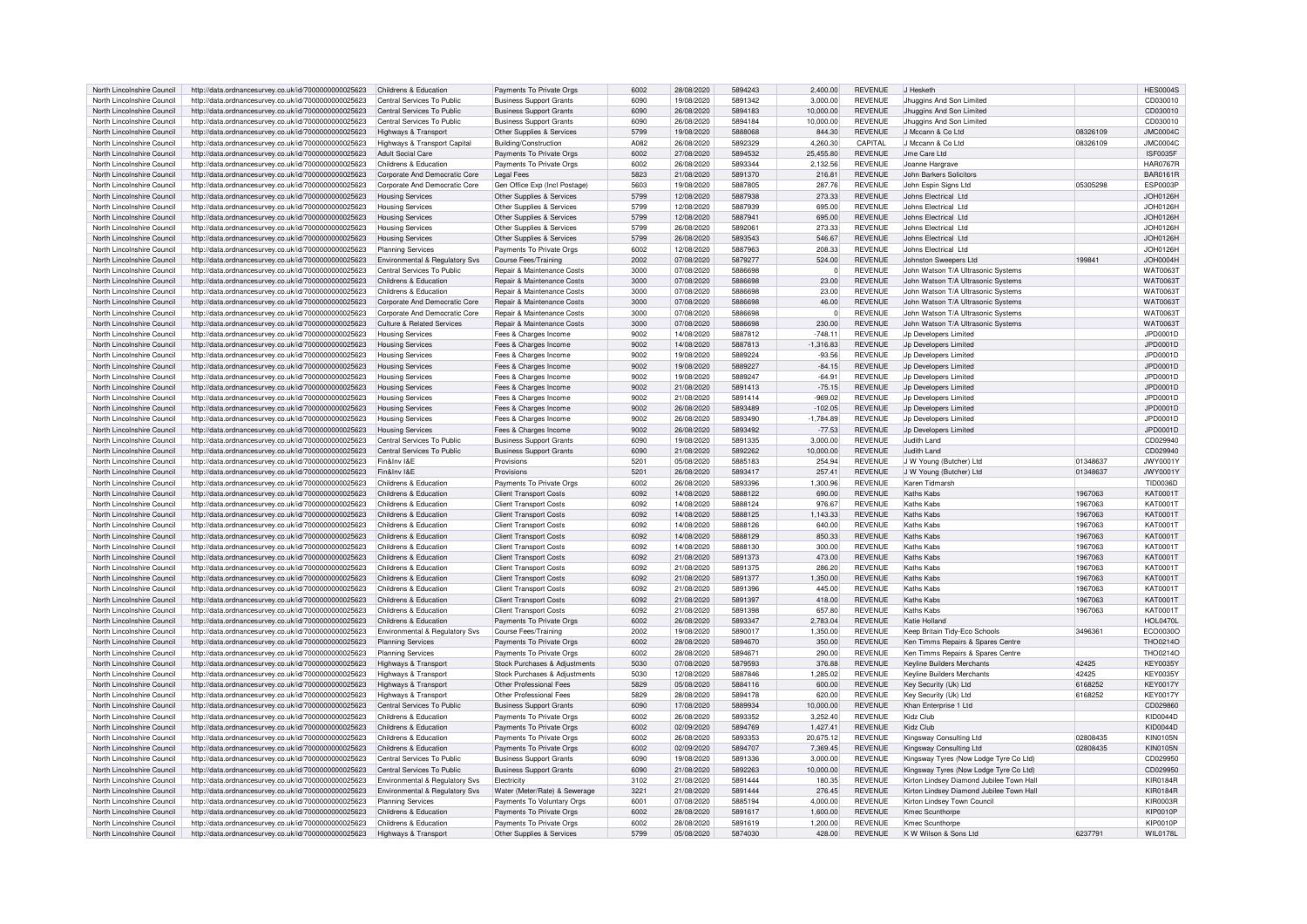| North Lincolnshire Council                               | http://data.ordnancesurvey.co.uk/id/7000000000025623                                                         | Childrens & Education                          | Payments To Private Orgs                              | 6002         | 28/08/2020 | 5894243 | 2,400.00             | <b>REVENUE</b>                   | J Hesketh                                |          | <b>HES0004S</b>                    |
|----------------------------------------------------------|--------------------------------------------------------------------------------------------------------------|------------------------------------------------|-------------------------------------------------------|--------------|------------|---------|----------------------|----------------------------------|------------------------------------------|----------|------------------------------------|
| North Lincolnshire Council                               | http://data.ordnancesurvey.co.uk/id/7000000000025623                                                         | Central Services To Public                     | <b>Business Support Grants</b>                        | 6090         | 19/08/2020 | 5891342 | 3.000.00             | <b>REVENUE</b>                   | Jhuggins And Son Limited                 |          | CD030010                           |
| North Lincolnshire Council                               | http://data.ordnancesurvey.co.uk/id/7000000000025623                                                         | Central Services To Public                     | <b>Business Support Grants</b>                        | 6090         | 26/08/2020 | 5894183 | 10.000.00            | <b>REVENUE</b>                   | Jhuggins And Son Limited                 |          | CD030010                           |
| North Lincolnshire Council                               | http://data.ordnancesurvey.co.uk/id/7000000000025623                                                         | Central Services To Public                     | <b>Business Support Grants</b>                        | 6090         | 26/08/2020 | 5894184 | 10,000.00            | <b>REVENUE</b>                   | Jhuggins And Son Limited                 |          | CD030010                           |
| North Lincolnshire Council                               | http://data.ordnancesurvey.co.uk/id/7000000000025623                                                         | Highways & Transport                           | Other Supplies & Services                             | 5799         | 19/08/2020 | 5888068 | 844.30               | <b>REVENUE</b>                   | J Mccann & Co Ltd                        | 08326100 | <b>JMC0004C</b>                    |
| North Lincolnshire Council                               | http://data.ordnancesurvey.co.uk/id/7000000000025623                                                         | Highways & Transport Capital                   | Building/Construction                                 | A082         | 26/08/2020 | 5892329 | 4,260.30             | CAPITAL                          | J Mccann & Co Ltd                        | 08326109 | <b>JMC0004C</b>                    |
|                                                          |                                                                                                              |                                                |                                                       |              |            | 5894532 |                      | <b>REVENUE</b>                   | Jme Care Ltd                             |          |                                    |
| North Lincolnshire Council                               | http://data.ordnancesurvey.co.uk/id/7000000000025623                                                         | <b>Adult Social Care</b>                       | Payments To Private Orgs                              | 6002         | 27/08/2020 |         | 25,455.80            |                                  |                                          |          | <b>ISF0035F</b>                    |
| North Lincolnshire Council                               | http://data.ordnancesurvey.co.uk/id/7000000000025623                                                         | Childrens & Education                          | Payments To Private Orgs                              | 6002         | 26/08/2020 | 5893344 | 2.132.56             | <b>REVENUE</b>                   | Joanne Hargrave                          |          | <b>HAR0767R</b>                    |
| North Lincolnshire Council                               | http://data.ordnancesurvey.co.uk/id/7000000000025623                                                         | Corporate And Democratic Core                  | <b>Legal Fees</b>                                     | 5823         | 21/08/2020 | 5891370 | 216.81               | <b>REVENUE</b>                   | John Barkers Solicitors                  |          | BAR0161B                           |
| North Lincolnshire Council                               | http://data.ordnancesurvey.co.uk/id/7000000000025623                                                         | Corporate And Democratic Core                  | Gen Office Exp (Incl Postage)                         | 5603         | 19/08/2020 | 5887805 | 287.76               | <b>REVENUE</b>                   | John Espin Signs Ltd                     | 05305298 | ESP0003P                           |
| North Lincolnshire Council                               | http://data.ordnancesurvey.co.uk/id/7000000000025623                                                         | <b>Housing Services</b>                        | Other Supplies & Services                             | 5799         | 12/08/2020 | 5887938 | 273.33               | <b>REVENUE</b>                   | Johns Electrical Ltd                     |          | <b>JOH0126H</b>                    |
| North Lincolnshire Council                               | http://data.ordnancesurvey.co.uk/id/7000000000025623                                                         | <b>Housing Services</b>                        | Other Supplies & Services                             | 5799         | 12/08/2020 | 5887939 | 695.00               | <b>REVENUE</b>                   | Johns Flectrical Ltd                     |          | JOH0126H                           |
| North Lincolnshire Council                               | http://data.ordnancesurvey.co.uk/id/7000000000025623                                                         | <b>Housing Services</b>                        | Other Supplies & Services                             | 5799         | 12/08/2020 | 5887941 | 695.00               | <b>REVENUE</b>                   | Johns Electrical Ltd                     |          | <b>JOH0126H</b>                    |
| North Lincolnshire Council                               | http://data.ordnancesurvey.co.uk/id/7000000000025623                                                         | <b>Housing Services</b>                        | Other Supplies & Services                             | 5799         | 26/08/2020 | 5892061 | 273.33               | <b>REVENUE</b>                   | Johns Electrical Ltd                     |          | JOH0126H                           |
| North Lincolnshire Council                               | http://data.ordnancesurvey.co.uk/id/7000000000025623                                                         | <b>Housing Services</b>                        | Other Supplies & Services                             | 5799         | 26/08/2020 | 5893543 | 546.67               | <b>REVENUE</b>                   | Johns Flectrical Ltd                     |          | JOH0126H                           |
| North Lincolnshire Council                               | http://data.ordnancesurvey.co.uk/id/7000000000025623                                                         | <b>Planning Services</b>                       | Payments To Private Orgs                              | 6002         | 12/08/2020 | 5887963 | 208.33               | <b>REVENUE</b>                   | Johns Electrical Ltd                     |          | JOH0126H                           |
| North Lincolnshire Council                               | http://data.ordnancesurvey.co.uk/id/7000000000025623                                                         | Environmental & Regulatory Svs                 | <b>Course Fees/Training</b>                           | 2002         | 07/08/2020 | 5879277 | 524.00               | <b>REVENUE</b>                   | Johnston Sweepers Ltd                    | 199841   | JOH0004H                           |
| North Lincolnshire Council                               | http://data.ordnancesurvey.co.uk/id/7000000000025623                                                         | Central Services To Public                     | Repair & Maintenance Costs                            | 3000         | 07/08/2020 | 5886698 | $\Omega$             | <b>REVENUE</b>                   | John Watson T/A Ultrasonic Systems       |          | <b>WAT0063T</b>                    |
| North Lincolnshire Council                               | http://data.ordnancesurvey.co.uk/id/7000000000025623                                                         | Childrens & Education                          | <b>Repair &amp; Maintenance Costs</b>                 | 3000         | 07/08/2020 | 5886698 | 23.00                | <b>REVENUE</b>                   | John Watson T/A Ultrasonic Systems       |          | <b>WAT0063T</b>                    |
| North Lincolnshire Council                               | http://data.ordnancesurvey.co.uk/id/7000000000025623                                                         | Childrens & Education                          | Repair & Maintenance Costs                            | 3000         | 07/08/2020 | 5886698 | 23.00                | <b>REVENUE</b>                   | John Watson T/A Ultrasonic Systems       |          | <b>WAT0063T</b>                    |
|                                                          |                                                                                                              |                                                |                                                       |              |            |         |                      |                                  |                                          |          |                                    |
| North Lincolnshire Council                               | http://data.ordnancesurvey.co.uk/id/7000000000025623                                                         | Corporate And Democratic Core                  | Repair & Maintenance Costs                            | 3000         | 07/08/2020 | 5886698 | 46.00                | <b>REVENUE</b>                   | John Watson T/A Ultrasonic Systems       |          | <b>WAT0063T</b>                    |
| North Lincolnshire Council                               | http://data.ordnancesurvey.co.uk/id/7000000000025623                                                         | Corporate And Democratic Core                  | Repair & Maintenance Costs                            | 3000         | 07/08/2020 | 5886698 | $\Omega$             | <b>REVENUE</b>                   | John Watson T/A Ultrasonic Systems       |          | <b>WAT0063T</b>                    |
| North Lincolnshire Council                               | http://data.ordnancesurvey.co.uk/id/7000000000025623                                                         | <b>Culture &amp; Related Services</b>          | Repair & Maintenance Costs                            | 3000         | 07/08/2020 | 5886698 | 230.00               | <b>REVENUE</b>                   | John Watson T/A Ultrasonic Systems       |          | <b>WAT0063T</b>                    |
| North Lincolnshire Council                               | http://data.ordnancesurvey.co.uk/id/7000000000025623                                                         | <b>Housing Services</b>                        | Fees & Charges Income                                 | 9002         | 14/08/2020 | 5887812 | $-748.11$            | <b>REVENUE</b>                   | Jp Developers Limited                    |          | JPD0001D                           |
| North Lincolnshire Council                               | http://data.ordnancesurvey.co.uk/id/7000000000025623                                                         | <b>Housing Services</b>                        | Fees & Charges Income                                 | 9002         | 14/08/2020 | 5887813 | $-1,316.83$          | <b>REVENUE</b>                   | Jn Developers Limited                    |          | JPD0001D                           |
| North Lincolnshire Council                               | http://data.ordnancesurvey.co.uk/id/7000000000025623                                                         | <b>Housing Services</b>                        | Fees & Charges Income                                 | 9002         | 19/08/2020 | 5889224 | $-93.56$             | <b>REVENUE</b>                   | Jp Developers Limited                    |          | JPD0001D                           |
| North Lincolnshire Council                               | http://data.ordnancesurvey.co.uk/id/7000000000025623                                                         | <b>Housing Services</b>                        | Fees & Charges Income                                 | 9002         | 19/08/2020 | 5889227 | $-84.15$             | <b>REVENUE</b>                   | Jp Developers Limited                    |          | JPD0001D                           |
| North Lincolnshire Council                               | http://data.ordnancesurvey.co.uk/id/7000000000025623                                                         | <b>Housing Services</b>                        | Fees & Charges Income                                 | 9002         | 19/08/2020 | 5889247 | $-64.91$             | <b>REVENUE</b>                   | Jn Developers Limited                    |          | JPD0001D                           |
| North Lincolnshire Council                               | http://data.ordnancesurvey.co.uk/id/7000000000025623                                                         | <b>Housing Services</b>                        | Fees & Charges Income                                 | 9002         | 21/08/2020 | 5891413 | $-75.15$             | <b>REVENUE</b>                   | Jp Developers Limited                    |          | JPD0001D                           |
| North Lincolnshire Council                               | http://data.ordnancesurvey.co.uk/id/7000000000025623                                                         | <b>Housing Services</b>                        | Fees & Charges Income                                 | 9002         | 21/08/2020 | 5891414 | $-969.02$            | <b>REVENUE</b>                   | Jp Developers Limited                    |          | JPD0001D                           |
| North Lincolnshire Council                               | http://data.ordnancesurvey.co.uk/id/7000000000025623                                                         | <b>Housing Services</b>                        | Fees & Charges Income                                 | 9002         | 26/08/2020 | 5893489 | $-102.05$            | <b>REVENUE</b>                   | Jp Developers Limited                    |          | JPD0001D                           |
|                                                          |                                                                                                              |                                                |                                                       | 9002         |            | 5893490 |                      | <b>REVENUE</b>                   |                                          |          |                                    |
| North Lincolnshire Council                               | http://data.ordnancesurvey.co.uk/id/7000000000025623                                                         | <b>Housing Services</b>                        | Fees & Charges Income                                 |              | 26/08/2020 |         | $-1,784.89$          |                                  | Jp Developers Limited                    |          | JPD0001D                           |
| North Lincolnshire Council                               | http://data.ordnancesurvey.co.uk/id/7000000000025623                                                         | <b>Housing Services</b>                        | Fees & Charges Income                                 | 9002         | 26/08/2020 | 5893492 | $-77.53$             | <b>REVENUE</b>                   | Jp Developers Limited                    |          | JPD0001D                           |
| North Lincolnshire Council                               | http://data.ordnancesurvey.co.uk/id/7000000000025623                                                         | Central Services To Public                     | <b>Business Support Grants</b>                        | 6090         | 19/08/2020 | 5891335 | 3,000.00             | <b>REVENUE</b>                   | Judith Land                              |          | CD029940                           |
| North Lincolnshire Council                               | http://data.ordnancesurvey.co.uk/id/7000000000025623                                                         | Central Services To Public                     | <b>Business Support Grants</b>                        | 6090         | 21/08/2020 | 5892262 | 10,000.00            | <b>REVENUE</b>                   | Judith Land                              |          | CD029940                           |
| North Lincolnshire Council                               | http://data.ordnancesurvey.co.uk/id/7000000000025623                                                         | Fin&Inv I&F                                    | Provisions                                            | 5201         | 05/08/2020 | 5885183 | 254.94               | <b>REVENUE</b>                   | J W Young (Butcher) Ltd                  | 01348637 | <b>JWY0001Y</b>                    |
| North Lincolnshire Council                               | http://data.ordnancesurvey.co.uk/id/7000000000025623                                                         | Fin&Inv I&F                                    | Provisions                                            | 5201         | 26/08/2020 | 5893417 | 257.41               | <b>REVENUE</b>                   | J W Young (Butcher) Ltd                  | 01348637 | <b>JWY0001Y</b>                    |
| North Lincolnshire Council                               | http://data.ordnancesurvey.co.uk/id/7000000000025623                                                         | Childrens & Education                          | Payments To Private Oras                              | 6002         | 26/08/2020 | 5893396 | 1.300.96             | <b>REVENUE</b>                   | Karen Tidmarsh                           |          | TID0036D                           |
| North Lincolnshire Council                               | http://data.ordnancesurvey.co.uk/id/7000000000025623                                                         | Childrens & Education                          | <b>Client Transport Costs</b>                         | 6092         | 14/08/2020 | 5888122 | 690.00               | <b>REVENUE</b>                   | Kaths Kabs                               | 1967063  | <b>KAT0001T</b>                    |
| North Lincolnshire Council                               | http://data.ordnancesurvey.co.uk/id/7000000000025623                                                         | Childrens & Education                          | <b>Client Transport Costs</b>                         | 6092         | 14/08/2020 | 5888124 | 976.67               | <b>REVENUE</b>                   | Kaths Kabs                               | 1967063  | <b>KAT0001T</b>                    |
| North Lincolnshire Council                               | http://data.ordnancesurvey.co.uk/id/7000000000025623                                                         | Childrens & Education                          | <b>Client Transport Costs</b>                         | 6092         | 14/08/2020 | 5888125 | 1,143.33             | <b>REVENUE</b>                   | Kaths Kabs                               | 1967063  | <b>KAT0001T</b>                    |
| North Lincolnshire Council                               | http://data.ordnancesurvey.co.uk/id/7000000000025623                                                         | Childrens & Education                          | <b>Client Transport Costs</b>                         | 6092         | 14/08/2020 | 5888126 | 640.00               | <b>REVENUE</b>                   | Kaths Kabs                               | 1967063  | KAT00011                           |
| North Lincolnshire Council                               | http://data.ordnancesurvey.co.uk/id/7000000000025623                                                         | Childrens & Education                          | <b>Client Transport Costs</b>                         | 6092         | 14/08/2020 | 5888129 | 850.33               | <b>REVENUE</b>                   | Kaths Kabs                               | 1967063  | <b>KAT0001T</b>                    |
| North Lincolnshire Council                               | http://data.ordnancesurvey.co.uk/id/7000000000025623                                                         | Childrens & Education                          | <b>Client Transport Costs</b>                         | 6092         | 14/08/2020 | 5888130 | 300.00               | <b>REVENUE</b>                   | Kaths Kabs                               | 1967063  | <b>KAT0001T</b>                    |
|                                                          |                                                                                                              | Childrens & Education                          |                                                       | 6092         | 21/08/2020 | 5891373 |                      | <b>REVENUE</b>                   | Kaths Kabs                               |          | <b>KAT0001T</b>                    |
| North Lincolnshire Council                               | http://data.ordnancesurvey.co.uk/id/7000000000025623                                                         |                                                | <b>Client Transport Costs</b>                         |              |            |         | 473.00               |                                  |                                          | 1967063  |                                    |
| North Lincolnshire Council                               | http://data.ordnancesurvey.co.uk/id/7000000000025623                                                         | Childrens & Education                          | <b>Client Transport Costs</b>                         | 6092         | 21/08/2020 | 5891375 | 286.20               | <b>REVENUE</b>                   | Kaths Kabs                               | 1967063  | <b>KAT0001T</b>                    |
| North Lincolnshire Council                               | http://data.ordnancesurvey.co.uk/id/7000000000025623                                                         | Childrens & Education                          | <b>Client Transport Costs</b>                         | 6092         | 21/08/2020 | 5891377 | 1.350.00             | <b>REVENUE</b>                   | Kaths Kabs                               | 1967063  | KAT00011                           |
| North Lincolnshire Council                               | http://data.ordnancesurvey.co.uk/id/7000000000025623                                                         | Childrens & Education                          | <b>Client Transport Costs</b>                         | 6092         | 21/08/2020 | 5891396 | 445.00               | <b>REVENUE</b>                   | Kaths Kabs                               | 1967063  | <b>KAT0001T</b>                    |
| North Lincolnshire Council                               | http://data.ordnancesurvey.co.uk/id/7000000000025623                                                         | Childrens & Education                          | <b>Client Transport Costs</b>                         |              |            |         |                      |                                  |                                          |          |                                    |
| North Lincolnshire Council                               |                                                                                                              |                                                |                                                       | 6092         | 21/08/2020 | 5891397 | 418.00               | <b>REVENUE</b>                   | Kaths Kahs                               | 1967063  | <b>KAT0001T</b>                    |
| North Lincolnshire Council                               | http://data.ordnancesurvey.co.uk/id/7000000000025623                                                         | Childrens & Education                          | <b>Client Transport Costs</b>                         | 6092         | 21/08/2020 | 5891398 | 657.80               | <b>REVENUE</b>                   | Kathe Kahe                               | 1967063  | <b>KAT0001T</b>                    |
|                                                          | http://data.ordnancesurvey.co.uk/id/7000000000025623                                                         | Childrens & Education                          | Payments To Private Orgs                              | 6002         | 26/08/2020 | 5893347 | 2,783.04             | <b>REVENUE</b>                   | Katie Holland                            |          | <b>HOL0470L</b>                    |
| North Lincolnshire Council                               | http://data.ordnancesurvey.co.uk/id/7000000000025623                                                         | Environmental & Regulatory Svs                 | Course Fees/Training                                  | 2002         | 19/08/2020 | 5890017 | 1,350.00             | <b>REVENUE</b>                   | Keep Britain Tidy-Eco Schools            | 3496361  | ECO0030O                           |
| North Lincolnshire Council                               | http://data.ordnancesurvey.co.uk/id/7000000000025623                                                         | <b>Planning Services</b>                       | Payments To Private Orgs                              | 6002         | 28/08/2020 | 5894670 | 350.00               | <b>REVENUE</b>                   | Ken Timms Repairs & Spares Centre        |          | THO0214O                           |
| North Lincolnshire Council                               | http://data.ordnancesurvey.co.uk/id/7000000000025623                                                         | <b>Planning Services</b>                       | Payments To Private Orgs                              | 6002         | 28/08/2020 | 5894671 | 290.00               | <b>REVENUE</b>                   | Ken Timms Repairs & Spares Centre        |          | THO0214O                           |
| North Lincolnshire Council                               |                                                                                                              |                                                |                                                       |              |            | 5879593 |                      |                                  |                                          | 42425    |                                    |
|                                                          | http://data.ordnancesurvey.co.uk/id/7000000000025623                                                         | Highways & Transport                           | Stock Purchases & Adjustments                         | 5030         | 07/08/2020 | 5887846 | 376.88               | <b>REVENUE</b>                   | <b>Keyline Builders Merchants</b>        |          | <b>KEY0035Y</b>                    |
| North Lincolnshire Council                               | http://data.ordnancesurvey.co.uk/id/7000000000025623                                                         | Highways & Transpor                            | Stock Purchases & Adjustments                         | 5030         | 12/08/2020 |         | 1,285.02             | <b>REVENUE</b>                   | <b>Keyline Builders Merchants</b>        | 42425    | <b>KEY0035Y</b>                    |
| North Lincolnshire Council                               | http://data.ordnancesurvey.co.uk/id/7000000000025623                                                         | Highways & Transpor                            | Other Professional Fees                               | 5829         | 05/08/2020 | 5884116 | 600.00               | <b>REVENUE</b>                   | Key Security (Uk) Ltd                    | 6168252  | <b>KEY0017Y</b>                    |
| North Lincolnshire Council                               | http://data.ordnancesurvey.co.uk/id/7000000000025623                                                         | Highways & Transpor                            | Other Professional Fees                               | 5829         | 28/08/2020 | 5894178 | 620.00               | <b>REVENUE</b>                   | Kev Security (Uk) Ltd                    | 6168252  | <b>KEY0017Y</b>                    |
| North Lincolnshire Council                               | http://data.ordnancesurvey.co.uk/id/7000000000025623                                                         | Central Services To Public                     | <b>Business Support Grants</b>                        | 6090         | 17/08/2020 | 5889934 | 10,000.00            | <b>REVENUE</b>                   | Khan Enternrise 1 I td                   |          | CD029860                           |
| North Lincolnshire Council                               | http://data.ordnancesurvey.co.uk/id/7000000000025623                                                         | Childrens & Education                          | Payments To Private Orgs                              | 6002         | 26/08/2020 | 5893352 | 3,252.40             | <b>REVENUE</b>                   | Kidz Club                                |          | KID0044D                           |
| North Lincolnshire Council                               | http://data.ordnancesurvey.co.uk/id/7000000000025623                                                         | Childrens & Education                          | Payments To Private Orgs                              | 6002         | 02/09/2020 | 5894769 | 1.427.41             | <b>REVENUE</b>                   | Kidz Club                                |          | <b>KID0044D</b>                    |
| North Lincolnshire Council                               | http://data.ordnancesurvey.co.uk/id/7000000000025623                                                         | Childrens & Education                          | Payments To Private Orgs                              | 6002         | 26/08/2020 | 5893353 | 20,675.12            | <b>REVENUE</b>                   | Kingsway Consulting Ltd                  | 02808435 | <b>KIN0105N</b>                    |
| North Lincolnshire Council                               | http://data.ordnancesurvey.co.uk/id/7000000000025623                                                         | Childrens & Education                          | Payments To Private Orgs                              | 6002         | 02/09/2020 | 5894707 | 7.369.45             | <b>REVENUE</b>                   | Kingsway Consulting Ltd                  | 02808435 | <b>KIN0105N</b>                    |
| North Lincolnshire Council                               | http://data.ordnancesurvey.co.uk/id/7000000000025623                                                         | Central Services To Public                     | <b>Business Support Grants</b>                        | 6090         | 19/08/2020 | 5891336 | 3,000.00             | <b>REVENUE</b>                   | Kingsway Tyres (Now Lodge Tyre Co Ltd)   |          | CD029950                           |
| North Lincolnshire Council                               | http://data.ordnancesurvey.co.uk/id/7000000000025623                                                         | Central Services To Public                     | <b>Business Support Grants</b>                        | 6090         | 21/08/2020 | 5892263 | 10,000.00            | <b>REVENUE</b>                   | Kingsway Tyres (Now Lodge Tyre Co Ltd)   |          | CD029950                           |
| North Lincolnshire Council                               | http://data.ordnancesurvey.co.uk/id/7000000000025623                                                         | Environmental & Regulatory Svs                 | Electricity                                           | 3102         | 21/08/2020 | 5891444 | 180.35               | <b>REVENUE</b>                   | Kirton Lindsey Diamond Jubilee Town Hall |          | <b>KIR0184R</b>                    |
| North Lincolnshire Council                               | http://data.ordnancesurvey.co.uk/id/7000000000025623                                                         | Environmental & Regulatory Svs                 | Water (Meter/Rate) & Sewerage                         | 3221         | 21/08/2020 | 5891444 | 276.45               | <b>REVENUE</b>                   | Kirton Lindsey Diamond Jubilee Town Hall |          | <b>KIR0184R</b>                    |
| North Lincolnshire Council                               | http://data.ordnancesurvey.co.uk/id/7000000000025623                                                         | <b>Planning Services</b>                       | Payments To Voluntary Orgs                            | 6001         | 07/08/2020 | 5885194 | 4,000.00             | <b>REVENUE</b>                   | Kirton Lindsey Town Council              |          | <b>KIR0003R</b>                    |
|                                                          |                                                                                                              |                                                |                                                       |              | 28/08/2020 | 5891617 |                      |                                  |                                          |          |                                    |
| North Lincolnshire Council<br>North Lincolnshire Council | http://data.ordnancesurvey.co.uk/id/7000000000025623                                                         | Childrens & Education<br>Childrens & Education | Payments To Private Orgs                              | 6002<br>6002 | 28/08/2020 | 5891619 | 1,600.00<br>1.200.00 | <b>REVENUE</b><br><b>REVENUE</b> | Kmec Scunthorpe<br>Kmec Scunthorne       |          | <b>KIP0010P</b>                    |
| North Lincolnshire Council                               | http://data.ordnancesurvey.co.uk/id/7000000000025623<br>http://data.ordnancesurvey.co.uk/id/7000000000025623 | Highways & Transport                           | Payments To Private Orgs<br>Other Supplies & Services | 5799         | 05/08/2020 | 5874030 | 428.00               | REVENUE                          | K W Wilson & Sons Ltd                    | 6237791  | <b>KIP0010P</b><br><b>WIL0178L</b> |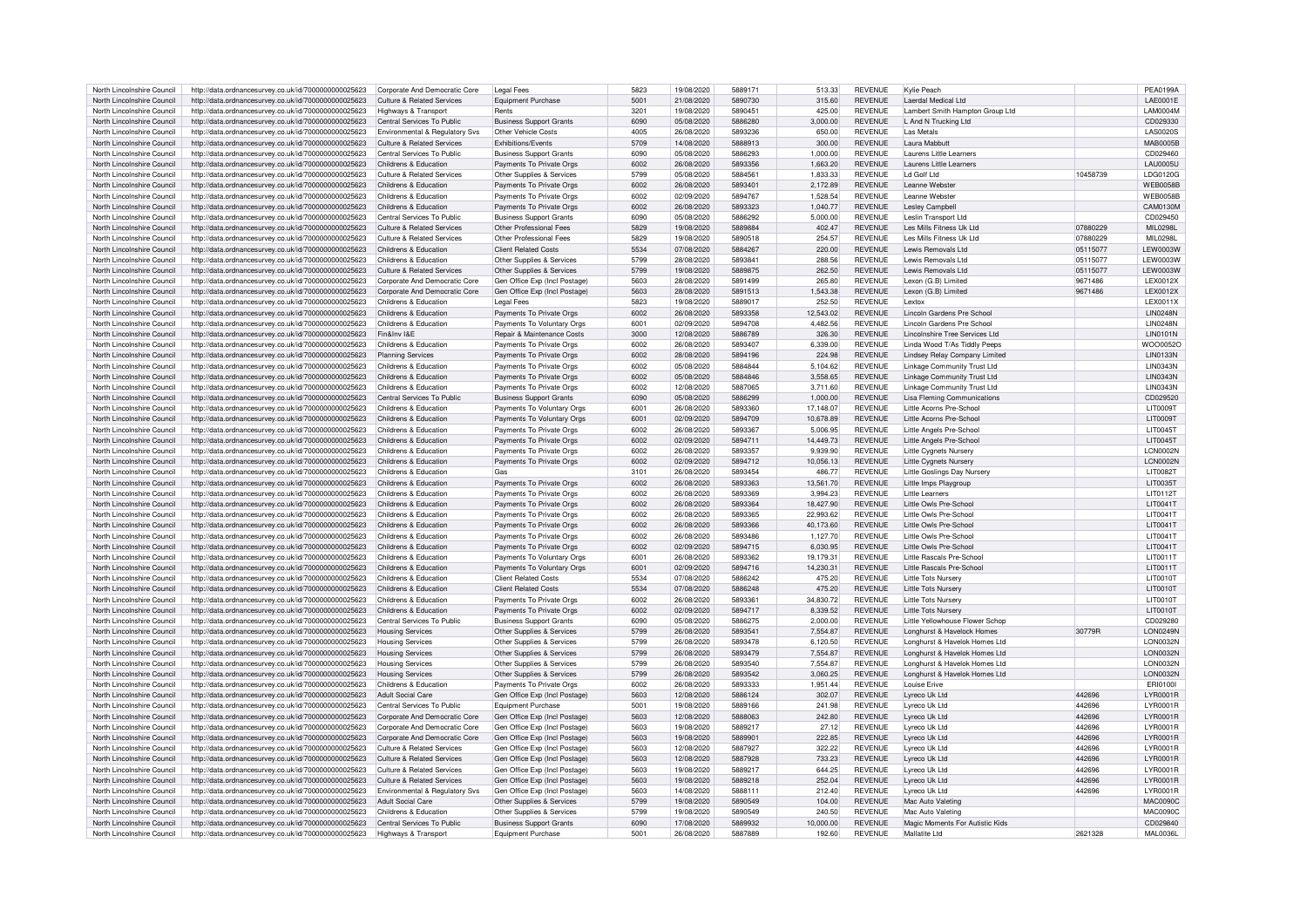| North Lincolnshire Council | http://data.ordnancesurvey.co.uk/id/7000000000025623 | Corporate And Democratic Core         | Legal Fees                     | 5823 | 19/08/2020 | 5889171 | 513.33    | <b>REVENUE</b> | Kylie Peach                        |                    | <b>PEA0199A</b>  |
|----------------------------|------------------------------------------------------|---------------------------------------|--------------------------------|------|------------|---------|-----------|----------------|------------------------------------|--------------------|------------------|
|                            |                                                      |                                       |                                | 5001 |            | 5890730 |           |                |                                    |                    |                  |
| North Lincolnshire Council | http://data.ordnancesurvey.co.uk/id/7000000000025623 | Culture & Related Services            | <b>Equipment Purchase</b>      |      | 21/08/2020 |         | 315.60    | REVENUE        | Laerdal Medical Ltd                |                    | LAE0001E         |
| North Lincolnshire Council | http://data.ordnancesurvey.co.uk/id/7000000000025623 | <b>Highways &amp; Transport</b>       | Rents                          | 3201 | 19/08/2020 | 5890451 | 425.00    | <b>REVENUE</b> | Lambert Smith Hampton Group Ltd    |                    | <b>LAM0004M</b>  |
| North Lincolnshire Council | http://data.ordnancesurvey.co.uk/id/7000000000025623 | Central Services To Public            | <b>Business Support Grants</b> | 6090 | 05/08/2020 | 5886280 | 3.000.00  | <b>REVENUE</b> | I And N Trucking I td              |                    | CD029330         |
| North Lincolnshire Council | http://data.ordnancesurvey.co.uk/id/7000000000025623 | Environmental & Regulatory Svs        | Other Vehicle Costs            | 4005 | 26/08/2020 | 5893236 | 650.00    | <b>REVENUE</b> | Las Metals                         |                    | <b>LAS0020S</b>  |
| North Lincolnshire Council | http://data.ordnancesurvey.co.uk/id/7000000000025623 | <b>Culture &amp; Related Services</b> | Exhibitions/Events             | 5709 | 14/08/2020 | 5888913 | 300.00    | <b>REVENUE</b> | Laura Mabbutt                      |                    | <b>MAB0005B</b>  |
|                            |                                                      |                                       |                                |      |            |         |           |                |                                    |                    |                  |
| North Lincolnshire Council | http://data.ordnancesurvey.co.uk/id/7000000000025623 | Central Services To Public            | <b>Business Support Grants</b> | 6090 | 05/08/2020 | 5886293 | 1,000.00  | <b>REVENUE</b> | Laurens Little Learners            |                    | CD029460         |
| North Lincolnshire Council | http://data.ordnancesurvey.co.uk/id/7000000000025623 | Childrens & Education                 | Payments To Private Orgs       | 6002 | 26/08/2020 | 5893356 | 1,663.20  | <b>REVENUE</b> | Laurens Little Learners            |                    | <b>LAU0005U</b>  |
| North Lincolnshire Council | http://data.ordnancesurvey.co.uk/id/7000000000025623 | <b>Culture &amp; Related Services</b> | Other Supplies & Services      | 5799 | 05/08/2020 | 5884561 | 1,833.33  | <b>REVENUE</b> | Ld Golf Ltd                        | 10458739           | LDG0120G         |
| North Lincolnshire Council | http://data.ordnancesurvey.co.uk/id/7000000000025623 | Childrens & Education                 | Payments To Private Orgs       | 6002 | 26/08/2020 | 5893401 | 2,172.89  | <b>REVENUE</b> | I eanne Webste                     |                    | <b>WEB0058E</b>  |
|                            |                                                      |                                       |                                |      |            |         |           |                |                                    |                    |                  |
| North Lincolnshire Council | http://data.ordnancesurvey.co.uk/id/7000000000025623 | Childrens & Education                 | Payments To Private Orgs       | 6002 | 02/09/2020 | 5894767 | 1,528.54  | <b>REVENUE</b> | I eanne Webster                    |                    | <b>WFB0058F</b>  |
| North Lincolnshire Council | http://data.ordnancesurvey.co.uk/id/7000000000025623 | Childrens & Education                 | Payments To Private Orgs       | 6002 | 26/08/2020 | 5893323 | 1,040.77  | REVENUE        | <b>Lesley Campbell</b>             |                    | CAM0130M         |
| North Lincolnshire Council | http://data.ordnancesurvey.co.uk/id/7000000000025623 | Central Services To Public            | <b>Business Support Grants</b> | 6090 | 05/08/2020 | 5886292 | 5,000.00  | REVENUE        | Leslin Transport Ltd               |                    | CD029450         |
| North Lincolnshire Council | http://data.ordnancesurvey.co.uk/id/7000000000025623 | <b>Culture &amp; Related Services</b> | Other Professional Fees        | 5829 | 19/08/2020 | 5889884 | 402.47    | <b>REVENUE</b> | Les Mills Fitness Uk Ltd           | 07880229           | MIL0298L         |
| North Lincolnshire Council |                                                      | Culture & Related Services            | Other Professional Fees        | 5829 | 19/08/2020 | 5890518 | 254.57    | <b>REVENUE</b> | Les Mills Fitness Uk Ltd           | 07880229           | MII 0298I        |
|                            | http://data.ordnancesurvey.co.uk/id/7000000000025623 |                                       |                                |      |            |         |           |                |                                    |                    |                  |
| North Lincolnshire Council | http://data.ordnancesurvey.co.uk/id/7000000000025623 | Childrens & Education                 | <b>Client Related Costs</b>    | 5534 | 07/08/2020 | 5884267 | 220.00    | <b>REVENUE</b> | Lewis Removals Ltd                 | 05115077           | <b>LEW0003W</b>  |
| North Lincolnshire Council | http://data.ordnancesurvey.co.uk/id/7000000000025623 | Childrens & Education                 | Other Supplies & Services      | 5799 | 28/08/2020 | 5893841 | 288.56    | <b>REVENUE</b> | Lewis Removals Ltd                 | 05115077           | <b>LEW0003W</b>  |
| North Lincolnshire Council | http://data.ordnancesurvey.co.uk/id/7000000000025623 | <b>Culture &amp; Related Services</b> | Other Supplies & Services      | 5799 | 19/08/2020 | 5889875 | 262.50    | REVENUE        | Lewis Removals Ltd                 | 05115077           | <b>LEW0003W</b>  |
| North Lincolnshire Council | http://data.ordnancesurvey.co.uk/id/7000000000025623 | Corporate And Democratic Core         | Gen Office Exp (Incl Postage)  | 5603 | 28/08/2020 | 5891499 | 265.80    | <b>REVENUE</b> | Lexon (G.B) Limited                | 9671486            | <b>LEX0012X</b>  |
|                            |                                                      |                                       |                                |      |            |         |           |                |                                    |                    |                  |
| North Lincolnshire Council | http://data.ordnancesurvey.co.uk/id/7000000000025623 | Corporate And Democratic Core         | Gen Office Exp (Incl Postage)  | 5603 | 28/08/2020 | 5891513 | 1,543.38  | <b>REVENUE</b> | Lexon (G.B) Limited                | 9671486            | <b>LEX0012X</b>  |
| North Lincolnshire Council | http://data.ordnancesurvey.co.uk/id/7000000000025623 | Childrens & Education                 | Legal Fees                     | 5823 | 19/08/2020 | 5889017 | 252.50    | <b>REVENUE</b> | l extox                            |                    | <b>LEX0011X</b>  |
| North Lincolnshire Council | http://data.ordnancesurvey.co.uk/id/7000000000025623 | Childrens & Education                 | Payments To Private Orgs       | 6002 | 26/08/2020 | 5893358 | 12,543.02 | <b>REVENUE</b> | Lincoln Gardens Pre School         |                    | <b>I IN0248N</b> |
| North Lincolnshire Council | http://data.ordnancesurvey.co.uk/id/7000000000025623 | Childrens & Education                 | Payments To Voluntary Orgs     | 6001 | 02/09/2020 | 5894708 | 4,482.56  | <b>REVENUE</b> | Lincoln Gardens Pre School         |                    | <b>I IN0248N</b> |
|                            |                                                      |                                       |                                |      |            |         |           |                |                                    |                    |                  |
| North Lincolnshire Council | http://data.ordnancesurvey.co.uk/id/7000000000025623 | Fin&Inv I&E                           | Repair & Maintenance Costs     | 3000 | 12/08/2020 | 5886789 | 326.30    | <b>REVENUE</b> | Lincolnshire Tree Services Ltd     |                    | <b>LIN0101N</b>  |
| North Lincolnshire Council | http://data.ordnancesurvey.co.uk/id/7000000000025623 | Childrens & Education                 | Payments To Private Orgs       | 6002 | 26/08/2020 | 5893407 | 6,339.00  | <b>REVENUE</b> | Linda Wood T/As Tiddly Peeps       |                    | WOO0052C         |
| North Lincolnshire Council | http://data.ordnancesurvey.co.uk/id/7000000000025623 | <b>Planning Services</b>              | Payments To Private Orgs       | 6002 | 28/08/2020 | 5894196 | 224.98    | <b>REVENUE</b> | Lindsey Relay Company Limited      |                    | <b>LIN0133N</b>  |
| North Lincolnshire Council | http://data.ordnancesurvey.co.uk/id/7000000000025623 | Childrens & Education                 | Payments To Private Orgs       | 6002 | 05/08/2020 | 5884844 | 5.104.62  | <b>REVENUE</b> | Linkage Community Trust Ltd        |                    | <b>LIN0343N</b>  |
|                            |                                                      |                                       |                                |      |            |         |           |                |                                    |                    |                  |
| North Lincolnshire Council | http://data.ordnancesurvey.co.uk/id/7000000000025623 | Childrens & Education                 | Payments To Private Orgs       | 6002 | 05/08/2020 | 5884846 | 3,558.65  | REVENUE        | <b>Linkage Community Trust Ltd</b> |                    | <b>LIN0343N</b>  |
| North Lincolnshire Council | http://data.ordnancesurvey.co.uk/id/7000000000025623 | Childrens & Education                 | Payments To Private Orgs       | 6002 | 12/08/2020 | 5887065 | 3,711.60  | <b>REVENUE</b> | <b>Linkage Community Trust Ltd</b> |                    | <b>LIN0343N</b>  |
| North Lincolnshire Council | http://data.ordnancesurvey.co.uk/id/7000000000025623 | Central Services To Public            | <b>Business Support Grants</b> | 6090 | 05/08/2020 | 5886299 | 1,000.00  | <b>REVENUE</b> | <b>Lisa Fleming Communications</b> |                    | CD029520         |
| North Lincolnshire Council | http://data.ordnancesurvey.co.uk/id/7000000000025623 | Childrens & Education                 | Payments To Voluntary Orgs     | 6001 | 26/08/2020 | 5893360 | 17,148.07 | <b>REVENUE</b> | Little Acorns Pre-School           |                    | <b>LIT0009T</b>  |
|                            |                                                      |                                       |                                |      |            |         |           |                |                                    |                    |                  |
| North Lincolnshire Council | http://data.ordnancesurvey.co.uk/id/7000000000025623 | Childrens & Education                 | Payments To Voluntary Orgs     | 6001 | 02/09/2020 | 5894709 | 10,678.89 | <b>REVENUE</b> | Little Acorns Pre-Schoo            |                    | <b>LIT0009T</b>  |
| North Lincolnshire Council | http://data.ordnancesurvey.co.uk/id/7000000000025623 | Childrens & Education                 | Payments To Private Orgs       | 6002 | 26/08/2020 | 5893367 | 5.006.95  | <b>REVENUE</b> | Little Angels Pre-School           |                    | LIT00457         |
| North Lincolnshire Council | http://data.ordnancesurvey.co.uk/id/7000000000025623 | Childrens & Education                 | Payments To Private Orgs       | 6002 | 02/09/2020 | 5894711 | 14,449.73 | <b>REVENUE</b> | Little Angels Pre-School           |                    | LIT0045T         |
| North Lincolnshire Council | http://data.ordnancesurvey.co.uk/id/7000000000025623 | Childrens & Education                 | Payments To Private Orgs       | 6002 | 26/08/2020 | 5893357 | 9.939.90  | <b>REVENUE</b> | Little Cygnets Nurser              |                    | LCN0002N         |
|                            |                                                      |                                       |                                |      |            |         |           |                |                                    |                    |                  |
| North Lincolnshire Council | http://data.ordnancesurvey.co.uk/id/7000000000025623 | Childrens & Education                 | Payments To Private Orgs       | 6002 | 02/09/2020 | 5894712 | 10,056.13 | <b>REVENUE</b> | Little Cygnets Nursery             |                    | LCN0002N         |
| North Lincolnshire Council | http://data.ordnancesurvey.co.uk/id/7000000000025623 | Childrens & Education                 | Gas                            | 3101 | 26/08/2020 | 5893454 | 486 77    | <b>REVENUE</b> | Little Goslings Day Nursery        |                    | <b>LIT0082T</b>  |
| North Lincolnshire Council | http://data.ordnancesurvey.co.uk/id/7000000000025623 | Childrens & Education                 | Payments To Private Orgs       | 6002 | 26/08/2020 | 5893363 | 13,561.70 | <b>REVENUE</b> | Little Imps Playgroup              |                    | LIT0035T         |
| North Lincolnshire Council | http://data.ordnancesurvey.co.uk/id/7000000000025623 | Childrens & Education                 | Payments To Private Orgs       | 6002 | 26/08/2020 | 5893369 | 3,994.23  | <b>REVENUE</b> | Little Learners                    |                    | LIT0112T         |
|                            |                                                      |                                       |                                |      |            |         |           |                |                                    |                    |                  |
| North Lincolnshire Council | http://data.ordnancesurvey.co.uk/id/7000000000025623 | Childrens & Education                 | Payments To Private Orgs       | 6002 | 26/08/2020 | 5893364 | 18,427.90 | <b>REVENUE</b> | Little Owls Pre-School             |                    | LIT0041T         |
| North Lincolnshire Council | http://data.ordnancesurvey.co.uk/id/7000000000025623 | Childrens & Education                 | Payments To Private Oras       | 6002 | 26/08/2020 | 5893365 | 22.993.62 | <b>REVENUE</b> | Little Owls Pre-School             |                    | LIT0041T         |
| North Lincolnshire Council | http://data.ordnancesurvey.co.uk/id/7000000000025623 | Childrens & Education                 | Payments To Private Orgs       | 6002 | 26/08/2020 | 5893366 | 40,173.60 | <b>REVENUE</b> | Little Owls Pre-School             |                    | LIT0041T         |
| North Lincolnshire Council | http://data.ordnancesurvey.co.uk/id/7000000000025623 | Childrens & Education                 | Payments To Private Orgs       | 6002 | 26/08/2020 | 5893486 | 1,127.70  | <b>REVENUE</b> | Little Owls Pre-School             |                    | LIT0041T         |
|                            |                                                      |                                       |                                |      |            |         |           |                |                                    |                    |                  |
| North Lincolnshire Council | http://data.ordnancesurvey.co.uk/id/7000000000025623 | Childrens & Education                 | Payments To Private Orgs       | 6002 | 02/09/2020 | 5894715 | 6.030.95  | <b>REVENUE</b> | Little Owls Pre-School             |                    | LIT0041T         |
| North Lincolnshire Council | http://data.ordnancesurvey.co.uk/id/7000000000025623 | Childrens & Education                 | Payments To Voluntary Orgs     | 6001 | 26/08/2020 | 5893362 | 19,179.31 | <b>REVENUE</b> | Little Rascals Pre-School          |                    | LIT0011T         |
| North Lincolnshire Council | http://data.ordnancesurvey.co.uk/id/7000000000025623 | Childrens & Education                 | Payments To Voluntary Orgs     | 6001 | 02/09/2020 | 5894716 | 14,230.31 | <b>REVENUE</b> | Little Rascals Pre-School          |                    | LIT0011T         |
| North Lincolnshire Council | http://data.ordnancesurvey.co.uk/id/7000000000025623 | Childrens & Education                 | <b>Client Related Costs</b>    | 5534 | 07/08/2020 | 5886242 | 475.20    | <b>REVENUE</b> | <b>Little Tots Nursery</b>         |                    | <b>LIT0010T</b>  |
|                            |                                                      |                                       |                                |      |            |         |           |                |                                    |                    |                  |
| North Lincolnshire Council | http://data.ordnancesurvey.co.uk/id/7000000000025623 | Childrens & Education                 | <b>Client Related Costs</b>    | 5534 | 07/08/2020 | 5886248 | 475.20    | REVENUE        | <b>Little Tots Nursery</b>         |                    | LIT0010T         |
| North Lincolnshire Council | http://data.ordnancesurvey.co.uk/id/7000000000025623 | Childrens & Education                 | Payments To Private Orgs       | 6002 | 26/08/2020 | 5893361 | 34,830.72 | <b>REVENUE</b> | <b>Little Tots Nursery</b>         |                    | LIT0010T         |
| North Lincolnshire Council | http://data.ordnancesurvey.co.uk/id/7000000000025623 | Childrens & Education                 | Payments To Private Orgs       | 6002 | 02/09/2020 | 5894717 | 8,339.52  | <b>REVENUE</b> | <b>Little Tots Nursery</b>         |                    | <b>LIT0010T</b>  |
| North Lincolnshire Council | http://data.ordnancesurvey.co.uk/id/7000000000025623 | Central Services To Public            | <b>Business Support Grants</b> | 6090 | 05/08/2020 | 5886275 | 2,000.00  | <b>REVENUE</b> | Little Yellowhouse Flower Schop    |                    | CD029280         |
| North Lincolnshire Council | http://data.ordnancesurvey.co.uk/id/7000000000025623 | <b>Housing Services</b>               | Other Supplies & Services      | 5799 | 26/08/2020 | 5893541 | 7,554.87  | <b>REVENUE</b> | Longhurst & Havelock Homes         | 30779 <sub>R</sub> | <b>LON0249N</b>  |
|                            |                                                      |                                       |                                |      |            |         |           |                |                                    |                    |                  |
| North Lincolnshire Council | http://data.ordnancesurvey.co.uk/id/7000000000025623 | <b>Housing Services</b>               | Other Supplies & Services      | 5799 | 26/08/2020 | 5893478 | 6,120.50  | <b>REVENUE</b> | Longhurst & Havelok Homes Ltd      |                    | LON0032N         |
| North Lincolnshire Council | http://data.ordnancesurvey.co.uk/id/7000000000025623 | <b>Housing Services</b>               | Other Supplies & Services      | 5799 | 26/08/2020 | 5893479 | 7,554.87  | <b>REVENUE</b> | Longhurst & Havelok Homes Ltd      |                    | LON0032N         |
| North Lincolnshire Council | http://data.ordnancesurvey.co.uk/id/7000000000025623 | <b>Housing Services</b>               | Other Supplies & Services      | 5799 | 26/08/2020 | 5893540 | 7,554.87  | <b>REVENUE</b> | Longhurst & Havelok Homes Ltd      |                    | LON0032M         |
| North Lincolnshire Council | http://data.ordnancesurvey.co.uk/id/7000000000025623 | <b>Housing Services</b>               | Other Supplies & Services      | 5799 | 26/08/2020 | 5893542 | 3.060.25  | <b>REVENUE</b> | Longhurst & Havelok Homes Ltd      |                    | <b>LON0032N</b>  |
|                            |                                                      |                                       |                                |      |            |         |           |                |                                    |                    |                  |
| North Lincolnshire Council | http://data.ordnancesurvey.co.uk/id/7000000000025623 | Childrens & Education                 | Payments To Private Orgs       | 6002 | 26/08/2020 | 5893333 | 1,951.44  | <b>REVENUE</b> | Louise Frive                       |                    | ERI01001         |
| North Lincolnshire Council | http://data.ordnancesurvey.co.uk/id/7000000000025623 | <b>Adult Social Care</b>              | Gen Office Exp (Incl Postage)  | 5603 | 12/08/2020 | 5886124 | 302.07    | <b>REVENUE</b> | Lyreco Uk Ltd                      | 442696             | <b>LYR0001R</b>  |
| North Lincolnshire Council | http://data.ordnancesurvey.co.uk/id/7000000000025623 | Central Services To Public            | <b>Equipment Purchase</b>      | 5001 | 19/08/2020 | 5889166 | 241.98    | <b>REVENUE</b> | Lyreco Uk Ltd                      | 442696             | LYR0001R         |
| North Lincolnshire Council | http://data.ordnancesurvey.co.uk/id/7000000000025623 | Corporate And Democratic Core         | Gen Office Exp (Incl Postage)  | 5603 | 12/08/2020 | 5888063 | 242.80    | <b>REVENUE</b> | Lyreco Uk Ltd                      | 442696             | LYR0001R         |
|                            | http://data.ordnancesurvev.co.uk/id/7000000000025623 | Corporate And Democratic Core         | Gen Office Exp (Incl Postage)  | 5603 | 19/08/2020 | 5889217 | 27.12     | <b>REVENUE</b> | Lyreco Uk Ltd                      | 442696             | <b>LYR0001R</b>  |
| North Lincolnshire Council |                                                      |                                       |                                |      |            |         |           |                |                                    |                    |                  |
| North Lincolnshire Council | http://data.ordnancesurvey.co.uk/id/7000000000025623 | Corporate And Democratic Core         | Gen Office Exp (Incl Postage)  | 5603 | 19/08/2020 | 5889901 | 222.85    | <b>REVENUE</b> | Lyreco Uk Ltd                      | 442696             | <b>LYR0001R</b>  |
| North Lincolnshire Council | http://data.ordnancesurvey.co.uk/id/7000000000025623 | Culture & Related Services            | Gen Office Exp (Incl Postage)  | 5603 | 12/08/2020 | 5887927 | 322.22    | <b>REVENUE</b> | Lyreco Uk Ltd                      | 442696             | <b>LYR0001R</b>  |
| North Lincolnshire Council | http://data.ordnancesurvey.co.uk/id/7000000000025623 | <b>Culture &amp; Related Services</b> | Gen Office Exp (Incl Postage)  | 5603 | 12/08/2020 | 5887928 | 733.23    | <b>REVENUE</b> | Lvreco Uk Ltd                      | 442696             | LYR0001R         |
| North Lincolnshire Council | http://data.ordnancesurvey.co.uk/id/7000000000025623 | Culture & Related Services            | Gen Office Exp (Incl Postage   | 5603 | 19/08/2020 | 5889217 | 644.25    | <b>REVENUE</b> | I vreco Uk I td                    | 442696             | I YR0001F        |
|                            |                                                      |                                       |                                |      |            |         |           |                |                                    |                    |                  |
| North Lincolnshire Council | http://data.ordnancesurvey.co.uk/id/7000000000025623 | <b>Culture &amp; Related Services</b> | Gen Office Exp (Incl Postage)  | 5603 | 19/08/2020 | 5889218 | 252.04    | <b>REVENUE</b> | Lyreco Uk Ltd                      | 442696             | LYR0001R         |
| North Lincolnshire Council | http://data.ordnancesurvey.co.uk/id/7000000000025623 | Environmental & Regulatory Svs        | Gen Office Exp (Incl Postage)  | 5603 | 14/08/2020 | 5888111 | 212.40    | <b>REVENUE</b> | Lyreco Uk Ltd                      | 442696             | <b>LYR0001R</b>  |
| North Lincolnshire Council | http://data.ordnancesurvey.co.uk/id/7000000000025623 | Adult Social Care                     | Other Supplies & Services      | 5799 | 19/08/2020 | 5890549 | 104.00    | <b>REVENUE</b> | Mac Auto Valeting                  |                    | <b>MAC0090C</b>  |
| North Lincolnshire Council | http://data.ordnancesurvey.co.uk/id/7000000000025623 | Childrens & Education                 | Other Supplies & Services      | 5799 | 19/08/2020 | 5890549 | 240.50    | <b>REVENUE</b> | Mac Auto Valeting                  |                    | <b>MAC0090C</b>  |
|                            |                                                      |                                       |                                |      |            |         |           |                |                                    |                    |                  |
| North Lincolnshire Council | http://data.ordnancesurvey.co.uk/id/7000000000025623 | Central Services To Public            | <b>Business Support Grants</b> | 6090 | 17/08/2020 | 5889932 | 10.000.00 | <b>REVENUE</b> | Magic Moments For Autistic Kids    |                    | CD029840         |
| North Lincolnshire Council | http://data.ordnancesurvey.co.uk/id/7000000000025623 | Highways & Transport                  | <b>Equipment Purchase</b>      | 5001 | 26/08/2020 | 5887889 | 192.60    | <b>REVENUE</b> | Mallatite I td                     | 2621328            | <b>MAL0036L</b>  |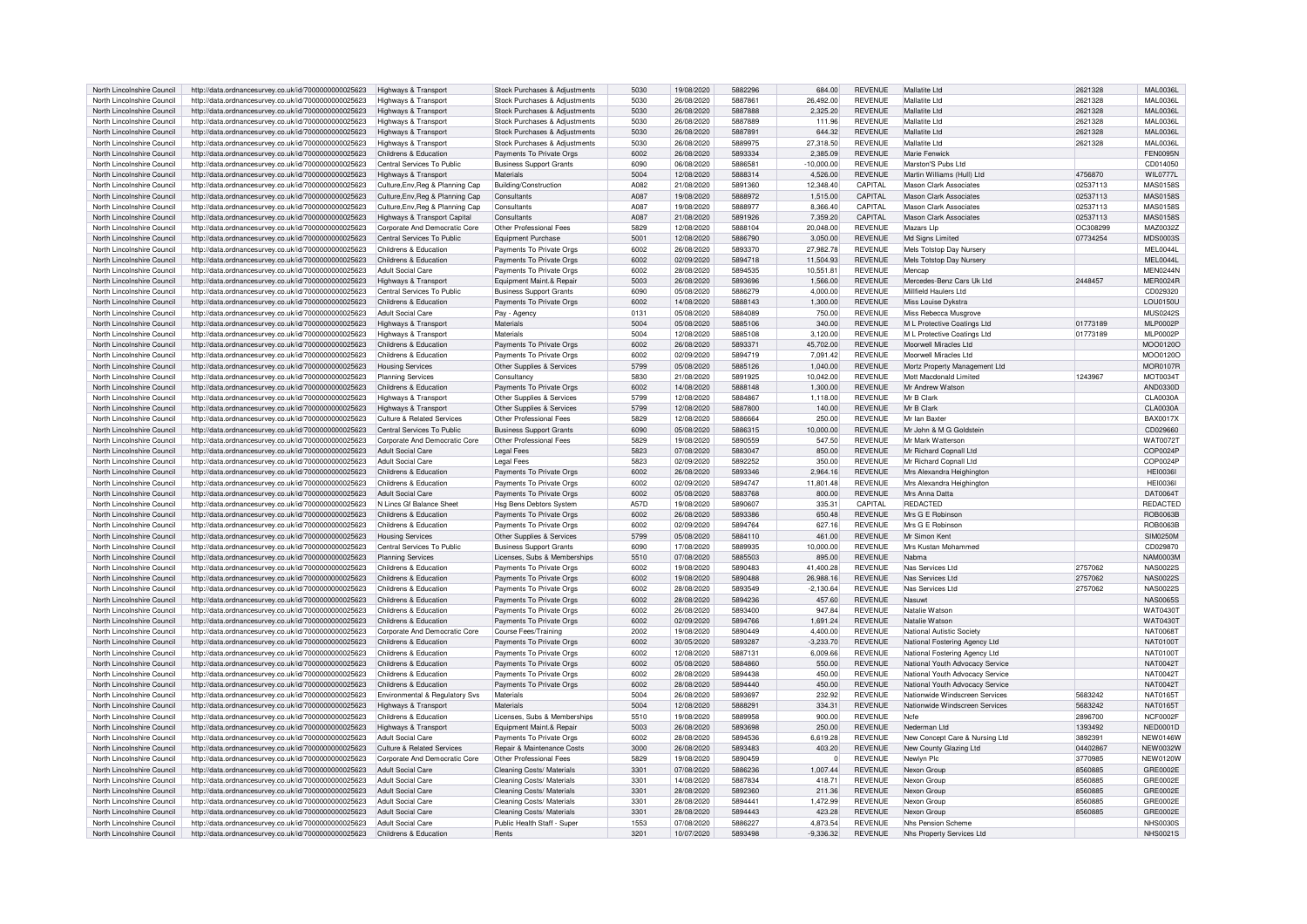| North Lincolnshire Council                               | http://data.ordnancesurvey.co.uk/id/7000000000025623                                                                               | Highways & Transport                  | Stock Purchases & Adjustments         | 5030 | 19/08/2020 | 5882296 | 684.00       | <b>REVENUE</b> | Mallatite I td                                  | 2621328  | MAI 0036L       |
|----------------------------------------------------------|------------------------------------------------------------------------------------------------------------------------------------|---------------------------------------|---------------------------------------|------|------------|---------|--------------|----------------|-------------------------------------------------|----------|-----------------|
| North Lincolnshire Council                               | http://data.ordnancesurvey.co.uk/id/7000000000025623                                                                               | Highways & Transport                  | Stock Purchases & Adiustments         | 5030 | 26/08/2020 | 588786  | 26,492.00    | <b>REVENUE</b> | Mallatite Ltd                                   | 2621328  | MAL0036L        |
|                                                          |                                                                                                                                    |                                       |                                       |      |            |         |              |                |                                                 |          |                 |
| North Lincolnshire Council                               | http://data.ordnancesurvey.co.uk/id/7000000000025623                                                                               | Highways & Transport                  | Stock Purchases & Adjustments         | 5030 | 26/08/2020 | 5887888 | 2,325.20     | <b>REVENUE</b> | Mallatite I td                                  | 2621328  | <b>MAL0036L</b> |
| North Lincolnshire Council                               | http://data.ordnancesurvey.co.uk/id/7000000000025623                                                                               | Highways & Transport                  | Stock Purchases & Adjustments         | 5030 | 26/08/2020 | 5887889 | 111.96       | <b>REVENUE</b> | Mallatite Ltd                                   | 2621328  | <b>MAL0036L</b> |
| North Lincolnshire Council                               | http://data.ordnancesurvey.co.uk/id/7000000000025623                                                                               | Highways & Transport                  | Stock Purchases & Adjustments         | 5030 | 26/08/2020 | 5887891 | 644.32       | <b>REVENUE</b> | Mallatite Ltd                                   | 2621328  | <b>MAL0036L</b> |
| North Lincolnshire Council                               | http://data.ordnancesurvey.co.uk/id/7000000000025623                                                                               | Highways & Transport                  | Stock Purchases & Adjustments         | 5030 | 26/08/2020 | 588997  | 27.318.50    | <b>REVENUE</b> | Mallatite I td                                  | 2621328  | <b>MAL0036L</b> |
| North Lincolnshire Council                               | http://data.ordnancesurvey.co.uk/id/7000000000025623                                                                               | Childrens & Education                 | Payments To Private Orgs              | 6002 | 26/08/2020 | 5893334 | 2.385.09     | <b>REVENUE</b> | Marie Fenwick                                   |          | FEN0095N        |
|                                                          |                                                                                                                                    |                                       |                                       |      |            |         |              |                |                                                 |          |                 |
| North Lincolnshire Council                               | http://data.ordnancesurvey.co.uk/id/7000000000025623                                                                               | Central Services To Public            | <b>Business Support Grants</b>        | 6090 | 06/08/2020 | 588658  | $-10.000.00$ | <b>REVENUE</b> | Marston'S Pubs Ltd                              |          | CD014050        |
| North Lincolnshire Council                               | http://data.ordnancesurvey.co.uk/id/7000000000025623                                                                               | Highways & Transport                  | Materials                             | 5004 | 12/08/2020 | 5888314 | 4,526.00     | <b>REVENUE</b> | Martin Williams (Hull) Ltd                      | 4756870  | <b>WIL0777L</b> |
| North Lincolnshire Council                               | http://data.ordnancesurvey.co.uk/id/7000000000025623                                                                               | Culture, Env, Reg & Planning Cap      | Building/Construction                 | A082 | 21/08/2020 | 5891360 | 12,348.40    | CAPITAL        | <b>Mason Clark Associates</b>                   | 02537113 | MAS0158S        |
| North Lincolnshire Council                               | http://data.ordnancesurvey.co.uk/id/7000000000025623                                                                               | Culture, Env, Reg & Planning Cap      | Consultants                           | A087 | 19/08/2020 | 5888972 | 1,515.00     | CAPITAL        | Mason Clark Associates                          | 02537113 | <b>MAS0158S</b> |
|                                                          |                                                                                                                                    |                                       |                                       |      |            |         |              |                |                                                 |          |                 |
| North Lincolnshire Council                               | http://data.ordnancesurvey.co.uk/id/7000000000025623                                                                               | Culture, Env, Reg & Planning Cap      | Consultants                           | A087 | 19/08/2020 | 5888977 | 8.366.40     | CAPITAL        | Mason Clark Associates                          | 02537113 | <b>MAS0158S</b> |
| North Lincolnshire Council                               | http://data.ordnancesurvey.co.uk/id/7000000000025623                                                                               | Highways & Transport Capital          | Consultants                           | A087 | 21/08/2020 | 5891926 | 7,359.20     | CAPITAL        | Mason Clark Associates                          | 02537113 | <b>MAS0158S</b> |
| North Lincolnshire Council                               | http://data.ordnancesurvey.co.uk/id/7000000000025623                                                                               | Corporate And Democratic Core         | Other Professional Fees               | 5829 | 12/08/2020 | 5888104 | 20.048.00    | <b>REVENUE</b> | Mazars I In                                     | OC308299 | MAZ0032Z        |
| North Lincolnshire Council                               | http://data.ordnancesurvey.co.uk/id/7000000000025623                                                                               | Central Services To Public            | <b>Foujoment Purchase</b>             | 5001 | 12/08/2020 | 5886790 | 3.050.00     | <b>REVENUE</b> | Md Signs Limited                                | 07734254 | <b>MDS0003S</b> |
|                                                          |                                                                                                                                    |                                       |                                       |      |            |         |              |                |                                                 |          |                 |
| North Lincolnshire Council                               | http://data.ordnancesurvey.co.uk/id/7000000000025623                                                                               | Childrens & Education                 | Payments To Private Orgs              | 6002 | 26/08/2020 | 5893370 | 27,982.78    | <b>REVENUE</b> | Mels Totstop Day Nursery                        |          | MFI 0044I       |
| North Lincolnshire Council                               | http://data.ordnancesurvey.co.uk/id/7000000000025623                                                                               | Childrens & Education                 | Payments To Private Orgs              | 6002 | 02/09/2020 | 5894718 | 11,504.93    | <b>REVENUE</b> | Mels Totstop Day Nursery                        |          | MEL0044L        |
| North Lincolnshire Council                               | http://data.ordnancesurvey.co.uk/id/7000000000025623                                                                               | <b>Adult Social Care</b>              | Payments To Private Orgs              | 6002 | 28/08/2020 | 5894535 | 10.551.81    | <b>REVENUE</b> | Mencan                                          |          | MEN0244N        |
| North Lincolnshire Council                               | http://data.ordnancesurvey.co.uk/id/7000000000025623                                                                               | Highways & Transport                  | Equipment Maint.& Repair              | 5003 | 26/08/2020 | 5893696 | 1,566.00     | <b>REVENUE</b> | Mercedes-Benz Cars Llk Ltd                      | 2448457  | MER0024R        |
|                                                          |                                                                                                                                    |                                       |                                       |      |            |         |              |                |                                                 |          |                 |
| North Lincolnshire Council                               | http://data.ordnancesurvey.co.uk/id/7000000000025623                                                                               | Central Services To Public            | <b>Business Support Grants</b>        | 6090 | 05/08/2020 | 5886279 | 4,000.00     | <b>REVENUE</b> | Millfield Haulers I td                          |          | CD029320        |
| North Lincolnshire Council                               | http://data.ordnancesurvey.co.uk/id/7000000000025623                                                                               | Childrens & Education                 | Payments To Private Orgs              | 6002 | 14/08/2020 | 5888143 | 1.300.00     | <b>REVENUE</b> | Miss Louise Dykstra                             |          | LOU0150U        |
| North Lincolnshire Council                               | http://data.ordnancesurvey.co.uk/id/7000000000025623                                                                               | Adult Social Care                     | Pay - Agency                          | 0131 | 05/08/2020 | 5884089 | 750.00       | <b>REVENUE</b> | Miss Rebecca Musgrove                           |          | <b>MUS0242S</b> |
| North Lincolnshire Council                               | http://data.ordnancesurvey.co.uk/id/7000000000025623                                                                               | Highways & Transport                  | Materials                             | 5004 | 05/08/2020 | 5885106 | 340.00       | <b>REVENUE</b> | M L Protective Coatings Ltd                     | 01773189 | <b>MLP0002P</b> |
|                                                          |                                                                                                                                    |                                       |                                       |      |            |         |              |                |                                                 |          |                 |
| North Lincolnshire Council                               | http://data.ordnancesurvey.co.uk/id/7000000000025623                                                                               | Highways & Transport                  | Materials                             | 5004 | 12/08/2020 | 5885108 | 3,120.00     | <b>REVENUE</b> | M L Protective Coatings Ltd                     | 01773189 | <b>MLP0002P</b> |
| North Lincolnshire Council                               | http://data.ordnancesurvey.co.uk/id/7000000000025623                                                                               | Childrens & Education                 | Payments To Private Orgs              | 6002 | 26/08/2020 | 589337  | 45,702.00    | <b>REVENUE</b> | Moorwell Miracles I td                          |          | MOO0120C        |
| North Lincolnshire Council                               | http://data.ordnancesurvey.co.uk/id/7000000000025623                                                                               | Childrens & Education                 | Payments To Private Orgs              | 6002 | 02/09/2020 | 5894719 | 7,091.42     | <b>REVENUE</b> | Moorwell Miracles Ltd                           |          | MOO0120C        |
| North Lincolnshire Council                               | http://data.ordnancesurvey.co.uk/id/7000000000025623                                                                               | <b>Housing Services</b>               | Other Supplies & Services             | 5799 | 05/08/2020 | 5885126 | 1.040.00     | <b>REVENUE</b> | Mortz Property Management Ltd                   |          | <b>MOR0107F</b> |
| North Lincolnshire Council                               |                                                                                                                                    |                                       |                                       | 5830 | 21/08/2020 | 5891925 | 10.042.00    | <b>REVENUE</b> | Mott Macdonald Limited                          | 1243967  | MOT00347        |
|                                                          | http://data.ordnancesurvey.co.uk/id/7000000000025623                                                                               | <b>Planning Services</b>              | Consultancy                           |      |            |         |              |                |                                                 |          |                 |
| North Lincolnshire Council                               | http://data.ordnancesurvey.co.uk/id/7000000000025623                                                                               | Childrens & Education                 | Payments To Private Orgs              | 6002 | 14/08/2020 | 5888148 | 1.300.00     | <b>REVENUE</b> | Mr Andrew Watson                                |          | AND0330D        |
| North Lincolnshire Council                               | http://data.ordnancesurvey.co.uk/id/7000000000025623                                                                               | Highways & Transport                  | Other Supplies & Services             | 5799 | 12/08/2020 | 5884867 | 1.118.00     | <b>REVENUE</b> | Mr R Clark                                      |          | <b>CLA0030A</b> |
| North Lincolnshire Council                               | http://data.ordnancesurvey.co.uk/id/7000000000025623                                                                               | Highways & Transport                  | Other Supplies & Services             | 5799 | 12/08/2020 | 5887800 | 140.00       | <b>REVENUE</b> | Mr B Clark                                      |          | <b>CLA0030A</b> |
|                                                          |                                                                                                                                    |                                       |                                       | 5829 |            | 5886664 |              | <b>REVENUE</b> | Mr Ian Bayter                                   |          |                 |
| North Lincolnshire Council                               | http://data.ordnancesurvey.co.uk/id/7000000000025623                                                                               | <b>Culture &amp; Related Services</b> | Other Professional Fees               |      | 12/08/2020 |         | 250.00       |                |                                                 |          | <b>BAX0017X</b> |
| North Lincolnshire Council                               | http://data.ordnancesurvey.co.uk/id/7000000000025623                                                                               | Central Services To Public            | <b>Business Support Grants</b>        | 6090 | 05/08/2020 | 5886315 | 10.000.00    | <b>REVENUE</b> | Mr John & M G Goldstein                         |          | CD029660        |
| North Lincolnshire Council                               | http://data.ordnancesurvey.co.uk/id/7000000000025623                                                                               | Corporate And Democratic Core         | Other Professional Fees               | 5829 | 19/08/2020 | 5890559 | 547.50       | <b>REVENUE</b> | Mr Mark Watterson                               |          | <b>WAT0072T</b> |
| North Lincolnshire Council                               | http://data.ordnancesurvey.co.uk/id/7000000000025623                                                                               | <b>Adult Social Care</b>              | <b>Legal Fees</b>                     | 5823 | 07/08/2020 | 5883047 | 850.00       | <b>REVENUE</b> | Mr Richard Copnall Ltd                          |          | COP0024P        |
| North Lincolnshire Council                               |                                                                                                                                    | <b>Adult Social Care</b>              |                                       | 5823 | 02/09/2020 | 5892252 | 350.00       | <b>REVENUE</b> | Mr Richard Copnall Ltd                          |          | COP0024F        |
|                                                          | http://data.ordnancesurvey.co.uk/id/7000000000025623                                                                               |                                       | <b>Legal Fees</b>                     |      |            |         |              |                |                                                 |          |                 |
| North Lincolnshire Council                               | http://data.ordnancesurvey.co.uk/id/7000000000025623                                                                               | Childrens & Education                 | Payments To Private Orgs              | 6002 | 26/08/2020 | 5893346 | 2,964.16     | <b>REVENUE</b> | Mrs Alexandra Heighington                       |          | <b>HEI0036I</b> |
| North Lincolnshire Council                               | http://data.ordnancesurvey.co.uk/id/7000000000025623                                                                               | Childrens & Education                 | Payments To Private Orgs              | 6002 | 02/09/2020 | 5894747 | 11.801.48    | <b>REVENUE</b> | Mrs Alexandra Heighington                       |          | <b>HEI0036I</b> |
| North Lincolnshire Council                               | http://data.ordnancesurvey.co.uk/id/7000000000025623                                                                               | <b>Adult Social Care</b>              | Payments To Private Orgs              | 6002 | 05/08/2020 | 5883768 | 800.00       | <b>REVENUE</b> | Mrs Anna Datta                                  |          | <b>DAT0064T</b> |
| North Lincolnshire Council                               | http://data.ordnancesurvey.co.uk/id/7000000000025623                                                                               | N Lincs Gf Balance Sheet              | <b>Hsg Bens Debtors System</b>        | A57D | 19/08/2020 | 5890603 | 335.31       | <b>CAPITAL</b> | <b>REDACTED</b>                                 |          | <b>REDACTED</b> |
|                                                          |                                                                                                                                    |                                       |                                       |      |            |         |              |                |                                                 |          |                 |
| North Lincolnshire Council                               | http://data.ordnancesurvey.co.uk/id/7000000000025623                                                                               | Childrens & Education                 | Payments To Private Orgs              | 6002 | 26/08/2020 | 5893386 | 650.48       | <b>REVENUE</b> | Mrs G E Robinson                                |          | <b>ROB0063B</b> |
| North Lincolnshire Council                               | http://data.ordnancesurvey.co.uk/id/7000000000025623                                                                               | Childrens & Education                 | Payments To Private Orgs              | 6002 | 02/09/2020 | 5894764 | 627.16       | <b>REVENUE</b> | Mrs G E Robinsor                                |          | <b>ROB0063E</b> |
| North Lincolnshire Council                               | http://data.ordnancesurvey.co.uk/id/7000000000025623                                                                               | <b>Housing Services</b>               | Other Supplies & Services             | 5799 | 05/08/2020 | 5884110 | 461.00       | <b>REVENUE</b> | Mr Simon Kent                                   |          | <b>SIM0250M</b> |
| North Lincolnshire Council                               | http://data.ordnancesurvey.co.uk/id/7000000000025623                                                                               | Central Services To Public            | <b>Business Support Grants</b>        | 6090 | 17/08/2020 | 5889935 | 10.000.00    | <b>REVENUE</b> | Mrs Kustan Mohammed                             |          | CD029870        |
|                                                          |                                                                                                                                    |                                       |                                       |      |            |         |              |                |                                                 |          |                 |
| North Lincolnshire Council                               | http://data.ordnancesurvey.co.uk/id/7000000000025623                                                                               | <b>Planning Services</b>              | Licenses, Subs & Memberships          | 5510 | 07/08/2020 | 5885503 | 895.00       | <b>REVENUE</b> | Nahma                                           |          | <b>NAM0003M</b> |
| North Lincolnshire Council                               | http://data.ordnancesurvey.co.uk/id/7000000000025623                                                                               | Childrens & Education                 | Payments To Private Orgs              | 6002 | 19/08/2020 | 5890483 | 41,400.28    | <b>REVENUE</b> | Nas Services I td                               | 2757062  | <b>NAS0022S</b> |
| North Lincolnshire Council                               | http://data.ordnancesurvey.co.uk/id/7000000000025623                                                                               | Childrens & Education                 | Payments To Private Orgs              | 6002 | 19/08/2020 | 5890488 | 26.988.16    | <b>REVENUE</b> | Nas Services I td                               | 2757062  | <b>NAS0022S</b> |
| North Lincolnshire Council                               | http://data.ordnancesurvey.co.uk/id/7000000000025623                                                                               | Childrens & Education                 | Payments To Private Orgs              | 6002 | 28/08/2020 | 5893549 | $-2.130.64$  | <b>REVENUE</b> | Nas Services Ltd                                | 2757062  | <b>NAS0022S</b> |
|                                                          |                                                                                                                                    |                                       |                                       |      |            |         |              |                |                                                 |          |                 |
| North Lincolnshire Council                               | http://data.ordnancesurvey.co.uk/id/7000000000025623                                                                               | Childrens & Education                 | Payments To Private Orgs              | 6002 | 28/08/2020 | 5894236 | 457.60       | <b>REVENUE</b> | Nasuwt                                          |          | NAS0065S        |
| North Lincolnshire Council                               | http://data.ordnancesurvey.co.uk/id/7000000000025623                                                                               | Childrens & Education                 | Payments To Private Orgs              | 6002 | 26/08/2020 | 5893400 | 947.84       | <b>REVENUE</b> | Natalie Watson                                  |          | WAT0430T        |
| North Lincolnshire Council                               | http://data.ordnancesurvey.co.uk/id/7000000000025623                                                                               | Childrens & Education                 | Payments To Private Orgs              | 6002 | 02/09/2020 | 5894766 | 1,691.24     | <b>REVENUE</b> | Natalie Watson                                  |          | <b>WAT0430T</b> |
| North Lincolnshire Council                               | http://data.ordnancesurvey.co.uk/id/7000000000025623                                                                               | Corporate And Democratic Core         | Course Fees/Training                  | 2002 | 19/08/2020 | 5890449 | 4,400.00     | <b>REVENUE</b> | National Autistic Society                       |          | NAT0068T        |
| North Lincolnshire Council                               | http://data.ordnancesurvey.co.uk/id/7000000000025623                                                                               | Childrens & Education                 | Payments To Private Orgs              | 6002 | 30/05/2020 | 5893287 | $-3.233.70$  | <b>REVENUE</b> | National Fostering Agency Ltd                   |          | <b>NAT0100T</b> |
|                                                          |                                                                                                                                    |                                       |                                       |      |            |         |              |                |                                                 |          |                 |
| North Lincolnshire Council                               | http://data.ordnancesurvey.co.uk/id/7000000000025623                                                                               | Childrens & Education                 | Payments To Private Orgs              | 6002 | 12/08/2020 | 5887131 | 6.009.66     | <b>REVENUE</b> | National Fostering Agency Ltd                   |          | <b>NAT0100T</b> |
| North Lincolnshire Council                               | http://data.ordnancesurvey.co.uk/id/7000000000025623                                                                               | Childrens & Education                 | Payments To Private Orgs              | 6002 | 05/08/2020 | 5884860 | 550.00       | <b>REVENUE</b> | National Youth Advocacy Service                 |          | <b>NAT0042T</b> |
| North Lincolnshire Council                               | http://data.ordnancesurvey.co.uk/id/7000000000025623                                                                               | Childrens & Education                 | Payments To Private Orgs              | 6002 | 28/08/2020 | 5894438 | 450.00       | <b>REVENUE</b> | National Youth Advocacy Service                 |          | <b>NAT0042T</b> |
| North Lincolnshire Council                               |                                                                                                                                    |                                       |                                       | 6002 | 28/08/2020 | 5894440 |              | <b>REVENUE</b> | National Youth Advocacy Service                 |          | <b>NAT0042T</b> |
|                                                          |                                                                                                                                    |                                       |                                       |      |            |         |              |                |                                                 |          |                 |
|                                                          | http://data.ordnancesurvey.co.uk/id/7000000000025623                                                                               | Childrens & Education                 | Payments To Private Orgs              |      |            |         | 450.00       |                |                                                 |          |                 |
| North Lincolnshire Council                               | http://data.ordnancesurvey.co.uk/id/7000000000025623                                                                               | Environmental & Regulatory Svs        | Materials                             | 5004 | 26/08/2020 | 5893697 | 232.92       | <b>REVENUE</b> | Nationwide Windscreen Services                  | 5683242  | NAT0165T        |
| North Lincolnshire Council                               | http://data.ordnancesurvey.co.uk/id/7000000000025623                                                                               | Highways & Transport                  | Materials                             | 5004 | 12/08/2020 | 5888291 | 334.31       | <b>REVENUE</b> | Nationwide Windscreen Services                  | 5683242  | <b>NAT0165T</b> |
| North Lincolnshire Council                               | http://data.ordnancesurvey.co.uk/id/7000000000025623                                                                               | Childrens & Education                 | Licenses, Subs & Memberships          | 5510 | 19/08/2020 | 5889958 | 900.00       | <b>REVENUE</b> | Nefe                                            | 2896700  | NCF0002F        |
|                                                          |                                                                                                                                    |                                       |                                       |      |            |         |              |                |                                                 |          |                 |
| North Lincolnshire Council                               | http://data.ordnancesurvey.co.uk/id/7000000000025623                                                                               | Highways & Transport                  | Equipment Maint.& Repair              | 5003 | 26/08/2020 | 5893698 | 250.00       | <b>REVENUE</b> | Nederman I td                                   | 1393492  | NED0001D        |
| North Lincolnshire Council                               | http://data.ordnancesurvey.co.uk/id/7000000000025623                                                                               | <b>Adult Social Care</b>              | Payments To Private Orgs              | 6002 | 28/08/2020 | 5894536 | 6,619.28     | <b>REVENUE</b> | New Concept Care & Nursing Ltd                  | 389239   | <b>NEW0146W</b> |
| North Lincolnshire Council                               | http://data.ordnancesurvey.co.uk/id/7000000000025623                                                                               | Culture & Related Services            | <b>Repair &amp; Maintenance Costs</b> | 3000 | 26/08/2020 | 5893483 | 403.20       | <b>REVENUE</b> | New County Glazing Ltd                          | 04402867 | <b>NEW0032W</b> |
| North Lincolnshire Council                               | http://data.ordnancesurvey.co.uk/id/7000000000025623                                                                               | Corporate And Democratic Core         | Other Professional Fees               | 5829 | 19/08/2020 | 5890459 | $\Omega$     | <b>REVENUE</b> | Newlyn Plc                                      | 3770985  | <b>NEW0120W</b> |
|                                                          |                                                                                                                                    |                                       |                                       |      | 07/08/2020 | 5886236 | 1.007.44     |                |                                                 |          |                 |
| North Lincolnshire Council                               | http://data.ordnancesurvey.co.uk/id/7000000000025623                                                                               | <b>Adult Social Care</b>              | Cleaning Costs/ Materials             | 3301 |            |         |              | <b>REVENUE</b> | Nexon Group                                     | 8560885  | GRE0002E        |
| North Lincolnshire Council                               | http://data.ordnancesurvey.co.uk/id/7000000000025623                                                                               | <b>Adult Social Care</b>              | Cleaning Costs/ Materials             | 3301 | 14/08/2020 | 5887834 | 418.71       | <b>REVENUE</b> | Nexon Group                                     | 8560885  | GRE0002E        |
| North Lincolnshire Council                               | http://data.ordnancesurvey.co.uk/id/7000000000025623                                                                               | <b>Adult Social Care</b>              | Cleaning Costs/ Materials             | 3301 | 28/08/2020 | 5892360 | 211.36       | <b>REVENUE</b> | Nexon Group                                     | 8560885  | GRE0002E        |
| North Lincolnshire Council                               | http://data.ordnancesurvey.co.uk/id/7000000000025623                                                                               | <b>Adult Social Care</b>              | Cleaning Costs/ Materials             | 3301 | 28/08/2020 | 589444  | 1.472.99     | <b>REVENUE</b> | Nexon Group                                     | 8560885  | GRE0002E        |
| North Lincolnshire Council                               | http://data.ordnancesurvey.co.uk/id/7000000000025623                                                                               | <b>Adult Social Care</b>              | Cleaning Costs/ Materials             | 3301 | 28/08/2020 | 5894443 | 423.28       | <b>REVENUE</b> | Nexon Group                                     | 8560885  | GRE0002E        |
|                                                          |                                                                                                                                    |                                       |                                       | 1553 | 07/08/2020 | 5886227 | 487354       | <b>REVENUE</b> |                                                 |          | NHS0030S        |
| North Lincolnshire Council<br>North Lincolnshire Council | http://data.ordnancesurvey.co.uk/id/7000000000025623<br>http://data.ordnancesurvey.co.uk/id/7000000000025623 Childrens & Education | Adult Social Care                     | Public Health Staff - Super<br>Rents  | 3201 | 10/07/2020 | 5893498 | $-9,336.32$  | <b>REVENUE</b> | Nhs Pension Scheme<br>Nhs Property Services Ltd |          | <b>NHS0021S</b> |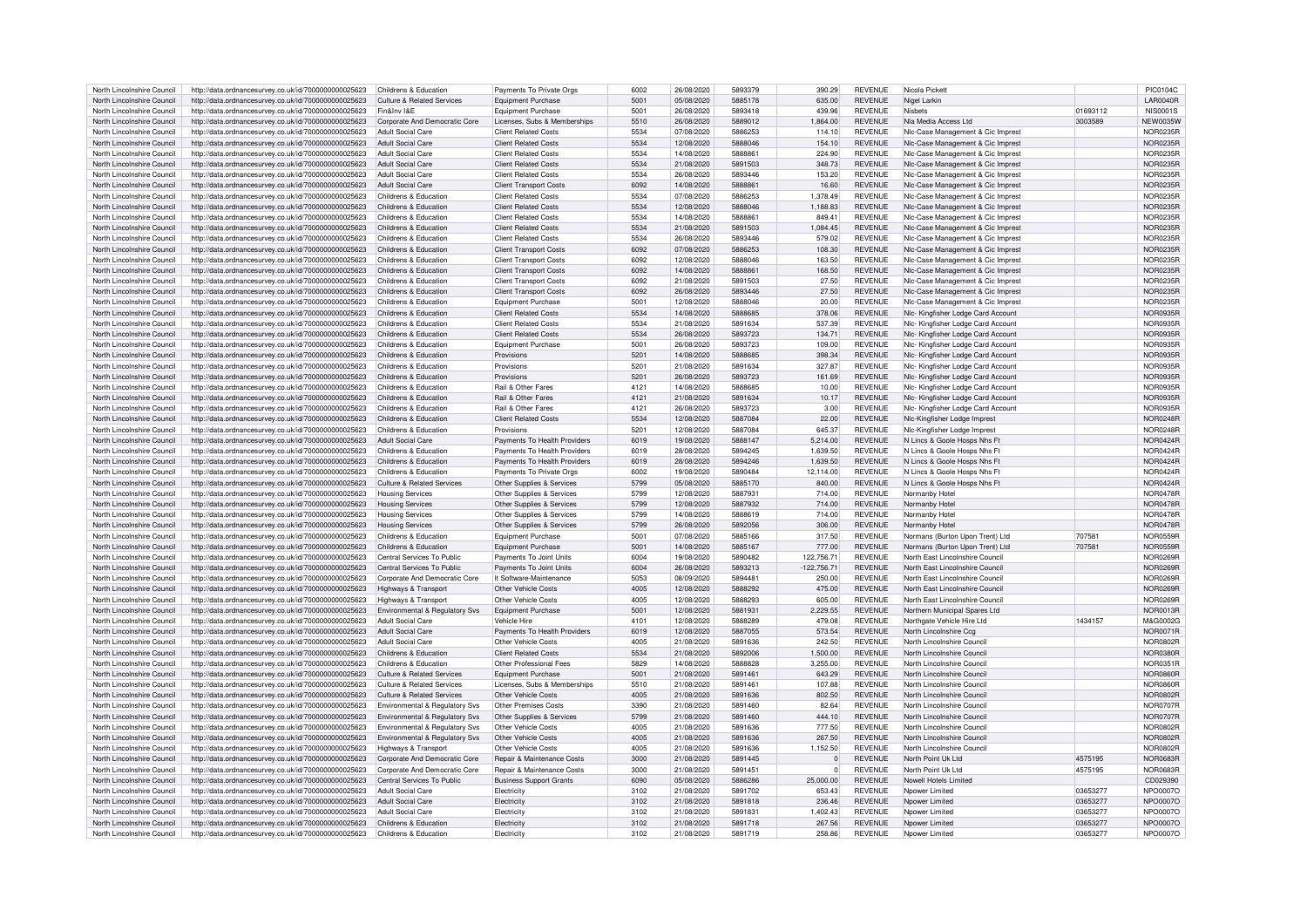| North Lincolnshire Council | http://data.ordnancesurvey.co.uk/id/7000000000025623 | Childrens & Education                 | Payments To Private Orgs       | 6002 | 26/08/2020 | 5893379 | 390.29       | <b>REVENUE</b> | Nicola Pickett                     |          | PIC0104C        |
|----------------------------|------------------------------------------------------|---------------------------------------|--------------------------------|------|------------|---------|--------------|----------------|------------------------------------|----------|-----------------|
| North Lincolnshire Council | http://data.ordnancesurvey.co.uk/id/7000000000025623 | Culture & Related Services            | Equipment Purchase             | 5001 | 05/08/2020 | 5885178 | 635.00       | <b>REVENUE</b> | Nigel Larkin                       |          | <b>LAR0040R</b> |
|                            |                                                      |                                       |                                |      |            |         |              |                |                                    |          |                 |
| North Lincolnshire Council | http://data.ordnancesurvey.co.uk/id/7000000000025623 | Fin&Inv I&F                           | Equipment Purchase             | 5001 | 26/08/2020 | 5893418 | 439.96       | <b>REVENUE</b> | Nisbets                            | 01693112 | <b>NIS0001S</b> |
| North Lincolnshire Council | http://data.ordnancesurvey.co.uk/id/7000000000025623 | Corporate And Democratic Core         | Licenses, Subs & Memberships   | 5510 | 26/08/2020 | 5889012 | 1,864.00     | <b>REVENUE</b> | Nla Media Access I td              | 3003589  | <b>NFW0035V</b> |
| North Lincolnshire Council | http://data.ordnancesurvey.co.uk/id/7000000000025623 | <b>Adult Social Care</b>              | <b>Client Related Costs</b>    | 5534 | 07/08/2020 | 5886253 | 114.10       | <b>REVENUE</b> | NIc-Case Management & Cic Imprest  |          | NOR0235F        |
| North Lincolnshire Council | http://data.ordnancesurvey.co.uk/id/7000000000025623 | <b>Adult Social Care</b>              | <b>Client Related Costs</b>    | 5534 | 12/08/2020 | 5888046 | 154.10       | <b>REVENUE</b> | NIc-Case Management & Cic Imprest  |          | NOR0235F        |
| North Lincolnshire Council | http://data.ordnancesurvey.co.uk/id/7000000000025623 | Adult Social Care                     | <b>Client Related Costs</b>    | 5534 | 14/08/2020 | 5888861 | 224.90       | <b>REVENUE</b> | NIc-Case Management & Cic Imprest  |          | NOR0235E        |
| North Lincolnshire Council | http://data.ordnancesurvey.co.uk/id/7000000000025623 | Adult Social Care                     | <b>Client Related Costs</b>    | 5534 | 21/08/2020 | 5891503 | 348.73       | <b>REVENUE</b> | NIc-Case Management & Cic Imprest  |          | <b>NOR0235R</b> |
|                            |                                                      |                                       |                                |      |            |         |              |                |                                    |          |                 |
| North Lincolnshire Council | http://data.ordnancesurvey.co.uk/id/7000000000025623 | Adult Social Care                     | <b>Client Related Costs</b>    | 5534 | 26/08/2020 | 5893446 | 153.20       | <b>REVENUE</b> | NIc-Case Management & Cic Imprest  |          | NOR0235F        |
| North Lincolnshire Council | http://data.ordnancesurvey.co.uk/id/7000000000025623 | Adult Social Care                     | <b>Client Transport Costs</b>  | 6092 | 14/08/2020 | 5888861 | 16.60        | REVENUE        | NIc-Case Management & Cic Imprest  |          | NOR0235R        |
| North Lincolnshire Council | http://data.ordnancesurvey.co.uk/id/7000000000025623 | Childrens & Education                 | <b>Client Related Costs</b>    | 5534 | 07/08/2020 | 5886253 | 1.378.49     | <b>REVENUE</b> | NIc-Case Management & Cic Imprest  |          | <b>NOR0235F</b> |
| North Lincolnshire Council | http://data.ordnancesurvey.co.uk/id/7000000000025623 | Childrens & Education                 | <b>Client Related Costs</b>    | 5534 | 12/08/2020 | 5888046 | 1,188.83     | <b>REVENUE</b> | NIc-Case Management & Cic Imprest  |          | <b>NOR0235R</b> |
| North Lincolnshire Council | http://data.ordnancesurvey.co.uk/id/7000000000025623 | Childrens & Education                 | <b>Client Related Costs</b>    | 5534 | 14/08/2020 | 5888861 | 849.41       | <b>REVENUE</b> | NIc-Case Management & Cic Imprest  |          | <b>NOR0235F</b> |
|                            |                                                      |                                       |                                |      |            |         |              |                |                                    |          |                 |
| North Lincolnshire Council | http://data.ordnancesurvey.co.uk/id/7000000000025623 | Childrens & Education                 | <b>Client Related Costs</b>    | 5534 | 21/08/2020 | 5891503 | 1.084.45     | <b>REVENUE</b> | NIc-Case Management & Cic Imprest  |          | NOR0235F        |
| North Lincolnshire Council | http://data.ordnancesurvey.co.uk/id/7000000000025623 | Childrens & Education                 | <b>Client Related Costs</b>    | 5534 | 26/08/2020 | 5893446 | 579.02       | <b>REVENUE</b> | NIc-Case Management & Cic Imprest  |          | <b>NOR0235F</b> |
| North Lincolnshire Council | http://data.ordnancesurvey.co.uk/id/7000000000025623 | Childrens & Education                 | <b>Client Transport Costs</b>  | 6092 | 07/08/2020 | 5886253 | 108.30       | <b>REVENUE</b> | NIc-Case Management & Cic Imprest  |          | <b>NOR0235R</b> |
| North Lincolnshire Council | http://data.ordnancesurvey.co.uk/id/7000000000025623 | Childrens & Education                 | Client Transport Costs         | 6092 | 12/08/2020 | 5888046 | 163.50       | <b>REVENUE</b> | NIc-Case Management & Cic Imprest  |          | NOR0235F        |
| North Lincolnshire Council | http://data.ordnancesurvey.co.uk/id/7000000000025623 | Childrens & Education                 | <b>Client Transport Costs</b>  | 6092 | 14/08/2020 | 5888861 | 168.50       | <b>REVENUE</b> | NIc-Case Management & Cic Imprest  |          | <b>NOR0235R</b> |
|                            |                                                      |                                       |                                |      |            |         |              |                |                                    |          |                 |
| North Lincolnshire Council | http://data.ordnancesurvey.co.uk/id/7000000000025623 | Childrens & Education                 | <b>Client Transport Costs</b>  | 6092 | 21/08/2020 | 5891503 | 27.50        | <b>REVENUE</b> | NIc-Case Management & Cic Imprest  |          | NOR0235F        |
| North Lincolnshire Council | http://data.ordnancesurvey.co.uk/id/7000000000025623 | Childrens & Education                 | <b>Client Transport Costs</b>  | 6092 | 26/08/2020 | 5893446 | 27.50        | <b>REVENUE</b> | NIc-Case Management & Cic Imprest  |          | NOR0235F        |
| North Lincolnshire Council | http://data.ordnancesurvey.co.uk/id/7000000000025623 | Childrens & Education                 | Equipment Purchase             | 5001 | 12/08/2020 | 5888046 | 20.00        | <b>REVENUE</b> | NIc-Case Management & Cic Imprest  |          | <b>NOR0235F</b> |
| North Lincolnshire Council | http://data.ordnancesurvey.co.uk/id/7000000000025623 | Childrens & Education                 | <b>Client Related Costs</b>    | 5534 | 14/08/2020 | 5888685 | 378.06       | <b>REVENUE</b> | Nlc- Kingfisher Lodge Card Account |          | <b>NOR0935R</b> |
| North Lincolnshire Council | http://data.ordnancesurvey.co.uk/id/7000000000025623 | Childrens & Education                 | <b>Client Related Costs</b>    | 5534 | 21/08/2020 | 5891634 | 537.39       | <b>REVENUE</b> | Nlc- Kingfisher Lodge Card Account |          | <b>NOR0935F</b> |
|                            |                                                      |                                       |                                |      |            |         |              |                |                                    |          |                 |
| North Lincolnshire Council | http://data.ordnancesurvey.co.uk/id/7000000000025623 | Childrens & Education                 | <b>Client Related Costs</b>    | 5534 | 26/08/2020 | 5893723 | 134.71       | <b>REVENUE</b> | Nlc- Kingfisher Lodge Card Account |          | <b>NOR0935F</b> |
| North Lincolnshire Council | http://data.ordnancesurvey.co.uk/id/7000000000025623 | Childrens & Education                 | Foujoment Purchase             | 5001 | 26/08/2020 | 5893723 | 109.00       | <b>REVENUE</b> | Nlc- Kingfisher Lodge Card Account |          | NOR0935F        |
| North Lincolnshire Council | http://data.ordnancesurvey.co.uk/id/7000000000025623 | Childrens & Education                 | Provisions                     | 5201 | 14/08/2020 | 5888685 | 398.34       | <b>REVENUE</b> | NIc- Kingfisher Lodge Card Account |          | <b>NOR0935F</b> |
| North Lincolnshire Council | http://data.ordnancesurvey.co.uk/id/7000000000025623 | Childrens & Education                 | Provisions                     | 5201 | 21/08/2020 | 5891634 | 327.87       | <b>REVENUE</b> | Nlc- Kingfisher Lodge Card Account |          | <b>NOR0935R</b> |
| North Lincolnshire Council | http://data.ordnancesurvey.co.uk/id/7000000000025623 | Childrens & Education                 | Provisions                     | 5201 | 26/08/2020 | 5893723 | 161.69       | <b>REVENUE</b> | Nlc- Kingfisher Lodge Card Account |          | NOR0935R        |
|                            |                                                      |                                       |                                | 4121 |            | 5888685 |              |                |                                    |          |                 |
| North Lincolnshire Council | http://data.ordnancesurvey.co.uk/id/7000000000025623 | Childrens & Education                 | Rail & Other Fares             |      | 14/08/2020 |         | 10.00        | <b>REVENUE</b> | Nlc- Kingfisher Lodge Card Account |          | NOR0935R        |
| North Lincolnshire Council | http://data.ordnancesurvey.co.uk/id/7000000000025623 | Childrens & Education                 | Rail & Other Fares             | 4121 | 21/08/2020 | 5891634 | 10.17        | <b>REVENUE</b> | Nlc- Kingfisher Lodge Card Account |          | <b>NOR0935R</b> |
| North Lincolnshire Council | http://data.ordnancesurvey.co.uk/id/7000000000025623 | Childrens & Education                 | <b>Rail &amp; Other Fares</b>  | 4121 | 26/08/2020 | 5893723 | 3.00         | <b>REVENUE</b> | Nlc- Kingfisher Lodge Card Account |          | <b>NOR0935F</b> |
| North Lincolnshire Council | http://data.ordnancesurvey.co.uk/id/7000000000025623 | Childrens & Education                 | Client Related Costs           | 5534 | 12/08/2020 | 5887084 | 22.00        | <b>REVENUE</b> | NIc-Kingfisher Lodge Imprest       |          | <b>NOR0248R</b> |
| North Lincolnshire Council | http://data.ordnancesurvey.co.uk/id/7000000000025623 | Childrens & Education                 | Provisions                     | 5201 | 12/08/2020 | 5887084 | 645.37       | <b>REVENUE</b> | Nic-Kingfisher Lodge Imprest       |          | <b>NOR0248R</b> |
| North Lincolnshire Council | http://data.ordnancesurvey.co.uk/id/7000000000025623 | Adult Social Care                     | Payments To Health Providers   | 6019 | 19/08/2020 | 5888147 | 5,214.00     | <b>REVENUE</b> | N Lincs & Goole Hosps Nhs Ft       |          | <b>NOR0424R</b> |
|                            |                                                      |                                       |                                |      |            |         |              |                |                                    |          |                 |
| North Lincolnshire Council | http://data.ordnancesurvey.co.uk/id/7000000000025623 | Childrens & Education                 | Payments To Health Providers   | 6019 | 28/08/2020 | 5894245 | 1.639.50     | <b>REVENUE</b> | N Lincs & Goole Hosps Nhs Et       |          | NOR0424F        |
| North Lincolnshire Council | http://data.ordnancesurvey.co.uk/id/7000000000025623 | Childrens & Education                 | Payments To Health Providers   | 6019 | 28/08/2020 | 5894246 | 1.639.50     | <b>REVENUE</b> | N Lincs & Goole Hosps Nhs Ft       |          | <b>NOR0424R</b> |
| North Lincolnshire Council | http://data.ordnancesurvey.co.uk/id/7000000000025623 | Childrens & Education                 | Payments To Private Orgs       | 6002 | 19/08/2020 | 5890484 | 12.114.00    | <b>REVENUE</b> | N Lincs & Goole Hosps Nhs Ft       |          | NOR0424F        |
| North Lincolnshire Council | http://data.ordnancesurvey.co.uk/id/7000000000025623 | Culture & Related Services            | Other Supplies & Services      | 5799 | 05/08/2020 | 5885170 | 840.00       | <b>REVENUE</b> | N Lincs & Goole Hosps Nhs Ft       |          | <b>NOR0424F</b> |
| North Lincolnshire Council | http://data.ordnancesurvey.co.uk/id/7000000000025623 | <b>Housing Services</b>               | Other Supplies & Services      | 5799 | 12/08/2020 | 5887931 | 714.00       | <b>REVENUE</b> | Normanby Hotel                     |          | <b>NOR0478R</b> |
|                            |                                                      |                                       |                                |      |            |         |              |                |                                    |          |                 |
| North Lincolnshire Council | http://data.ordnancesurvey.co.uk/id/7000000000025623 | <b>Housing Services</b>               | Other Supplies & Services      | 5799 | 12/08/2020 | 5887932 | 714.00       | <b>REVENUE</b> | Normanby Hotel                     |          | <b>NOR0478F</b> |
| North Lincolnshire Council | http://data.ordnancesurvey.co.uk/id/7000000000025623 | <b>Housing Services</b>               | Other Supplies & Services      | 5799 | 14/08/2020 | 5888619 | 714.00       | <b>REVENUE</b> | Normanby Hotel                     |          | <b>NOR0478F</b> |
| North Lincolnshire Council | http://data.ordnancesurvey.co.uk/id/7000000000025623 | <b>Housing Services</b>               | Other Supplies & Services      | 5799 | 26/08/2020 | 5892056 | 306.00       | <b>REVENUE</b> | Normanby Hotel                     |          | <b>NOR0478F</b> |
| North Lincolnshire Council | http://data.ordnancesurvey.co.uk/id/7000000000025623 | Childrens & Education                 | Equipment Purchase             | 5001 | 07/08/2020 | 5885166 | 317.50       | <b>REVENUE</b> | Normans (Burton Upon Trent) Ltd    | 707581   | NOR0559F        |
| North Lincolnshire Council |                                                      | Childrens & Education                 | Equipment Purchase             | 5001 | 14/08/2020 | 5885167 | 777.00       | <b>REVENUE</b> | Normans (Burton Upon Trent) Ltd    | 707581   | <b>NOR0559F</b> |
|                            | http://data.ordnancesurvey.co.uk/id/7000000000025623 |                                       |                                |      |            |         |              |                |                                    |          |                 |
| North Lincolnshire Council | http://data.ordnancesurvey.co.uk/id/7000000000025623 | Central Services To Public            | Payments To Joint Units        | 6004 | 19/08/2020 | 5890482 | 122,756.71   | <b>REVENUE</b> | North East Lincolnshire Council    |          | <b>NOR0269F</b> |
| North Lincolnshire Council | http://data.ordnancesurvey.co.uk/id/7000000000025623 | Central Services To Public            | Payments To Joint Units        | 6004 | 26/08/2020 | 5893213 | 122.756.71   | <b>REVENUE</b> | North East Lincolnshire Council    |          | <b>NOR0269R</b> |
| North Lincolnshire Council | http://data.ordnancesurvey.co.uk/id/7000000000025623 | Corporate And Democratic Core         | It Software-Maintenance        | 5053 | 08/09/2020 | 5894481 | 250.00       | <b>REVENUE</b> | North East Lincolnshire Council    |          | <b>NOR0269R</b> |
| North Lincolnshire Council | http://data.ordnancesurvey.co.uk/id/7000000000025623 | Highways & Transport                  | Other Vehicle Costs            | 4005 | 12/08/2020 | 5888292 | 475.00       | <b>REVENUE</b> | North East Lincolnshire Council    |          | <b>NOR0269F</b> |
| North Lincolnshire Council |                                                      |                                       | Other Vehicle Costs            | 4005 | 12/08/2020 | 5888293 | 605.00       | <b>REVENUE</b> | North East Lincolnshire Council    |          | NOR0269R        |
|                            | http://data.ordnancesurvey.co.uk/id/7000000000025623 | Highways & Transport                  |                                |      |            |         |              |                |                                    |          |                 |
| North Lincolnshire Council | http://data.ordnancesurvey.co.uk/id/7000000000025623 | Environmental & Regulatory Svs        | Equipment Purchase             | 5001 | 12/08/2020 | 5881931 | 2,229.55     | <b>REVENUE</b> | Northern Municipal Spares Ltd      |          | <b>NOR0013R</b> |
| North Lincolnshire Council | http://data.ordnancesurvey.co.uk/id/7000000000025623 | <b>Adult Social Care</b>              | Vehicle Hire                   | 4101 | 12/08/2020 | 5888289 | 479.08       | <b>REVENUE</b> | Northgate Vehicle Hire Ltd         | 1434157  | M&G0002G        |
| North Lincolnshire Council | http://data.ordnancesurvey.co.uk/id/7000000000025623 | <b>Adult Social Care</b>              | Payments To Health Providers   | 6019 | 12/08/2020 | 5887055 | 573.54       | <b>REVENUE</b> | North Lincolnshire Ccq             |          | <b>NOR0071R</b> |
| North Lincolnshire Council | http://data.ordnancesurvey.co.uk/id/7000000000025623 | Adult Social Care                     | Other Vehicle Costs            | 4005 | 21/08/2020 | 5891636 | 242.50       | <b>REVENUE</b> | North Lincolnshire Council         |          | <b>NOR0802F</b> |
| North Lincolnshire Council | http://data.ordnancesurvey.co.uk/id/7000000000025623 | Childrens & Education                 | <b>Client Related Costs</b>    | 5534 | 21/08/2020 | 5892006 | 1,500.00     | <b>REVENUE</b> | North Lincolnshire Council         |          | <b>NOR0380F</b> |
|                            |                                                      | Childrens & Education                 |                                | 5829 | 14/08/2020 | 5888828 |              | <b>REVENUE</b> | North Lincolnshire Council         |          |                 |
| North Lincolnshire Council | http://data.ordnancesurvey.co.uk/id/7000000000025623 |                                       | Other Professional Fees        |      |            |         | 3,255.00     |                |                                    |          | <b>NOR0351R</b> |
| North Lincolnshire Council | http://data.ordnancesurvey.co.uk/id/7000000000025623 | <b>Culture &amp; Related Services</b> | Equipment Purchase             | 5001 | 21/08/2020 | 5891461 | 643.29       | <b>REVENUE</b> | North Lincolnshire Council         |          | <b>NOR0860R</b> |
| North Lincolnshire Council | http://data.ordnancesurvey.co.uk/id/7000000000025623 | Culture & Related Services            | Licenses, Subs & Memberships   | 5510 | 21/08/2020 | 5891461 | 107.88       | <b>REVENUE</b> | North Lincolnshire Council         |          | <b>NOR0860R</b> |
| North Lincolnshire Council | http://data.ordnancesurvey.co.uk/id/7000000000025623 | Culture & Related Services            | Other Vehicle Costs            | 4005 | 21/08/2020 | 5891636 | 802.50       | <b>REVENUE</b> | North Lincolnshire Council         |          | <b>NOR0802R</b> |
| North Lincolnshire Council | http://data.ordnancesurvey.co.uk/id/7000000000025623 | Environmental & Regulatory Svs        | Other Premises Costs           | 3390 | 21/08/2020 | 5891460 | 82.64        | <b>REVENUE</b> | North Lincolnshire Council         |          | <b>NOR0707F</b> |
| North Lincolnshire Council | http://data.ordnancesurvey.co.uk/id/7000000000025623 | Environmental & Regulatory Svs        | Other Supplies & Services      | 5799 | 21/08/2020 | 5891460 | 444.10       | <b>REVENUE</b> | North Lincolnshire Council         |          | <b>NOR0707E</b> |
|                            |                                                      |                                       |                                |      |            |         |              |                |                                    |          |                 |
| North Lincolnshire Council | http://data.ordnancesurvey.co.uk/id/7000000000025623 | Environmental & Regulatory Svs        | Other Vehicle Costs            | 4005 | 21/08/2020 | 5891636 | 777.50       | <b>REVENUE</b> | North Lincolnshire Council         |          | <b>NOR0802F</b> |
| North Lincolnshire Council | http://data.ordnancesurvey.co.uk/id/7000000000025623 | Environmental & Regulatory Svs        | Other Vehicle Costs            | 4005 | 21/08/2020 | 5891636 | 267.50       | <b>REVENUE</b> | North Lincolnshire Council         |          | <b>NOR0802F</b> |
| North Lincolnshire Council | http://data.ordnancesurvey.co.uk/id/7000000000025623 | Highways & Transport                  | Other Vehicle Costs            | 4005 | 21/08/2020 | 5891636 | 1,152.50     | <b>REVENUE</b> | North Lincolnshire Council         |          | <b>NOR0802F</b> |
| North Lincolnshire Council | http://data.ordnancesurvey.co.uk/id/7000000000025623 | Corporate And Democratic Core         | Repair & Maintenance Costs     | 3000 | 21/08/2020 | 5891445 | $\mathbf{0}$ | <b>REVENUE</b> | North Point Uk Ltd                 | 4575195  | <b>NOR0683F</b> |
| North Lincolnshire Council | http://data.ordnancesurvey.co.uk/id/7000000000025623 | Corporate And Democratic Core         | Repair & Maintenance Costs     | 3000 | 21/08/2020 | 5891451 | $\Omega$     | <b>REVENUE</b> | North Point Llk Ltd                | 4575195  | <b>NOR0683R</b> |
|                            |                                                      |                                       |                                |      |            |         |              |                |                                    |          |                 |
| North Lincolnshire Council | http://data.ordnancesurvey.co.uk/id/7000000000025623 | Central Services To Public            | <b>Business Support Grants</b> | 6090 | 05/08/2020 | 5886286 | 25,000.00    | <b>REVENUE</b> | Nowell Hotels Limited              |          | CD029390        |
| North Lincolnshire Council | http://data.ordnancesurvey.co.uk/id/7000000000025623 | Adult Social Care                     | Electricity                    | 3102 | 21/08/2020 | 5891702 | 653.43       | <b>REVENUE</b> | Nnower I imited                    | 03653277 | NPO0007O        |
| North Lincolnshire Council | http://data.ordnancesurvey.co.uk/id/7000000000025623 | Adult Social Care                     | Electricity                    | 3102 | 21/08/2020 | 5891818 | 236.46       | <b>REVENUE</b> | Noower Limited                     | 03653277 | NPO0007O        |
| North Lincolnshire Council | http://data.ordnancesurvey.co.uk/id/7000000000025623 | Adult Social Care                     | Flectricity                    | 3102 | 21/08/2020 | 5891831 | 1.402.43     | <b>REVENUE</b> | Nnower I imited                    | 03653277 | NPO0007O        |
| North Lincolnshire Council | http://data.ordnancesurvey.co.uk/id/7000000000025623 | Childrens & Education                 | Electricity                    | 3102 | 21/08/2020 | 5891718 | 267.56       | <b>REVENUE</b> | Npower Limited                     | 03653277 | NPO0007O        |
|                            |                                                      |                                       |                                |      |            |         |              |                |                                    |          |                 |
| North Lincolnshire Council | http://data.ordnancesurvey.co.uk/id/7000000000025623 | Childrens & Education                 | Flectricity                    | 3102 | 21/08/2020 | 5891719 | 258.86       | <b>REVENUE</b> | Nnower I imited                    | 03653277 | NPO0007O        |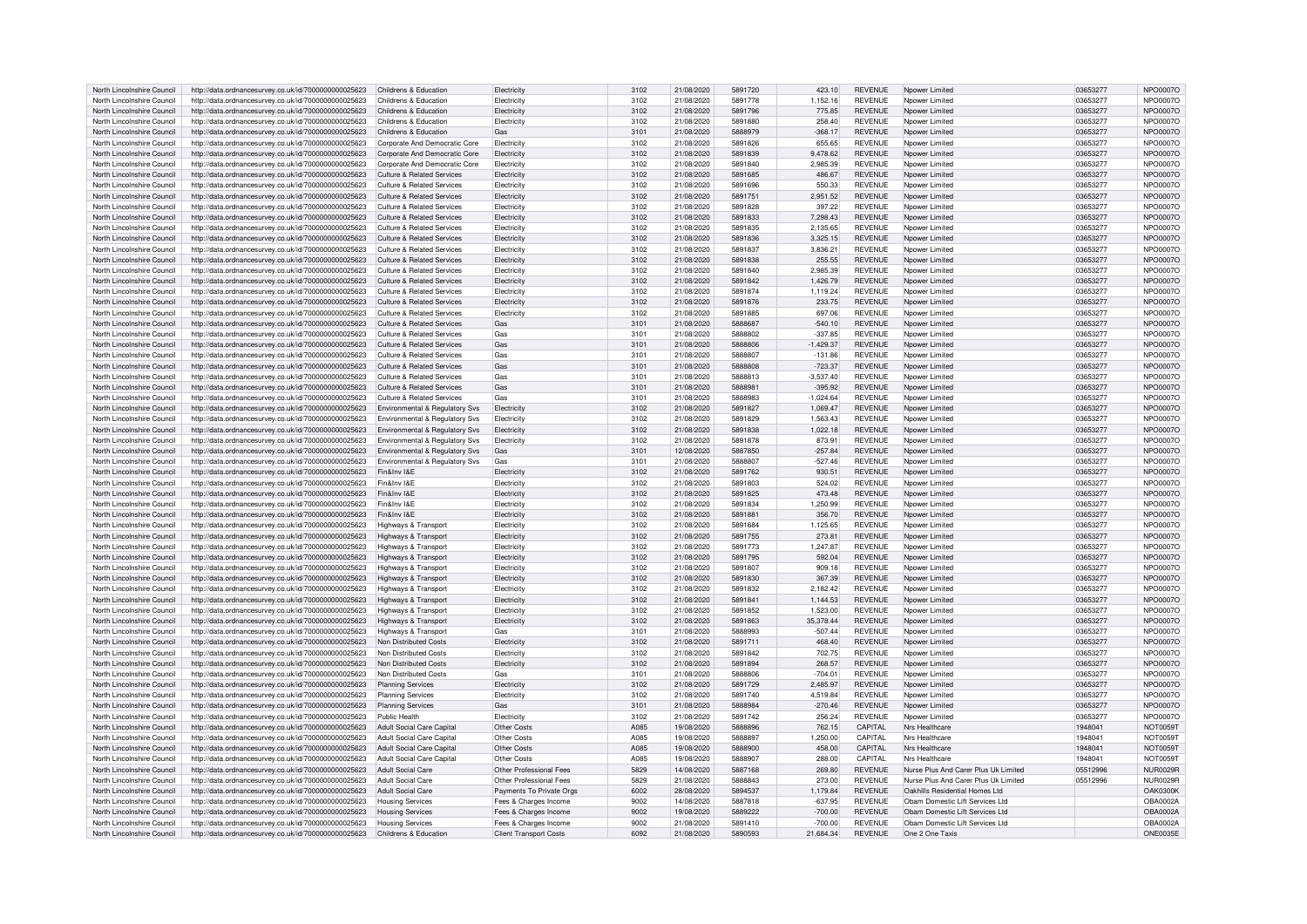| North Lincolnshire Council | http://data.ordnancesurvey.co.uk/id/7000000000025623 | Childrens & Education                 | Electricity                   | 3102             | 21/08/2020 | 5891720        | 423.10      | <b>REVENUE</b> | Npower Limited                       | 03653277 | NPO0007O        |
|----------------------------|------------------------------------------------------|---------------------------------------|-------------------------------|------------------|------------|----------------|-------------|----------------|--------------------------------------|----------|-----------------|
| North Lincolnshire Council | http://data.ordnancesurvey.co.uk/id/7000000000025623 | Childrens & Education                 | Electricity                   | 3102             | 21/08/2020 | 5891778        | 1,152.16    | <b>REVENUE</b> | Noower Limited                       | 03653277 | NPO0007O        |
| North Lincolnshire Council | http://data.ordnancesurvey.co.uk/id/7000000000025623 | Childrens & Education                 | Electricity                   | 3102             | 21/08/2020 | 5891796        | 775.85      | <b>REVENUE</b> | Noower Limited                       | 03653277 | NPO0007O        |
| North Lincolnshire Council | http://data.ordnancesurvey.co.uk/id/7000000000025623 | Childrens & Education                 | Flectricity                   | 3102             | 21/08/2020 | 5891880        | 258.40      | <b>REVENUE</b> |                                      | 03653277 | NPO0007C        |
|                            |                                                      |                                       |                               |                  |            |                |             |                | Nnower Limited                       |          |                 |
| North Lincolnshire Council | http://data.ordnancesurvey.co.uk/id/7000000000025623 | Childrens & Education                 | Gas                           | 3101             | 21/08/2020 | 5888979        | $-368.17$   | <b>REVENUE</b> | Nnower Limited                       | 03653277 | NPO0007O        |
| North Lincolnshire Council | http://data.ordnancesurvey.co.uk/id/7000000000025623 | Corporate And Democratic Core         | Electricit                    | 3102             | 21/08/2020 | 5891826        | 655.65      | <b>REVENUE</b> | Noower Limited                       | 03653277 | <b>NPO0007C</b> |
| North Lincolnshire Council | http://data.ordnancesurvey.co.uk/id/7000000000025623 | Corporate And Democratic Core         | Flectricit                    | 3102             | 21/08/2020 | 5891839        | 9,478.62    | <b>REVENUE</b> | Nnower I imited                      | 03653277 | NPO0007C        |
| North Lincolnshire Council | http://data.ordnancesurvey.co.uk/id/7000000000025623 | Corporate And Democratic Core         | Electricity                   | 3102             | 21/08/2020 | 5891840        | 2,985.39    | REVENUE        | Npower Limited                       | 03653277 | NPO0007O        |
| North Lincolnshire Council | http://data.ordnancesurvey.co.uk/id/7000000000025623 | <b>Culture &amp; Related Services</b> | Flectricity                   | 3102             | 21/08/2020 | 5891685        | 486.67      | <b>REVENUE</b> | Nnower Limited                       | 03653277 | NPO0007O        |
| North Lincolnshire Council | http://data.ordnancesurvey.co.uk/id/7000000000025623 | <b>Culture &amp; Related Services</b> | Flectricity                   | 3102             | 21/08/2020 | 5891696        | 550.33      | <b>REVENUE</b> | Nnower Limited                       | 03653277 | NPO0007O        |
| North Lincolnshire Council | http://data.ordnancesurvey.co.uk/id/7000000000025623 | <b>Culture &amp; Related Services</b> | Electricit                    | 3102             | 21/08/2020 | 5891751        | 2,951.52    | <b>REVENUE</b> | Noower Limited                       | 03653277 | NPO0007O        |
| North Lincolnshire Council |                                                      | Culture & Related Services            | Flectricity                   | 3102             | 21/08/2020 | 5891828        | 397.22      | <b>REVENUE</b> | Nnower I imited                      | 03653277 | NPO0007C        |
|                            | http://data.ordnancesurvey.co.uk/id/7000000000025623 |                                       |                               |                  |            |                |             |                |                                      |          |                 |
| North Lincolnshire Council | http://data.ordnancesurvey.co.uk/id/7000000000025623 | <b>Culture &amp; Related Services</b> | Electricity                   | 3102             | 21/08/2020 | 5891833        | 7,298.43    | <b>REVENUE</b> | Noower Limited                       | 03653277 | NPO0007O        |
| North Lincolnshire Council | http://data.ordnancesurvey.co.uk/id/7000000000025623 | Culture & Related Services            | Flectricity                   | 3102             | 21/08/2020 | 5891835        | 2.135.65    | <b>REVENUE</b> | Nnower Limited                       | 03653277 | NPO0007O        |
| North Lincolnshire Council | http://data.ordnancesurvey.co.uk/id/7000000000025623 | Culture & Related Services            | Electricity                   | 3102             | 21/08/2020 | 5891836        | 3,325.15    | REVENUE        | Noower Limited                       | 03653277 | NPO0007O        |
| North Lincolnshire Council | http://data.ordnancesurvey.co.uk/id/7000000000025623 | <b>Culture &amp; Related Services</b> | Electricit                    | 3102             | 21/08/2020 | 5891837        | 3,836.21    | REVENUE        | Noower Limited                       | 03653277 | NPO0007O        |
| North Lincolnshire Council | http://data.ordnancesurvey.co.uk/id/7000000000025623 | Culture & Related Services            | Electricity                   | 3102             | 21/08/2020 | 5891838        | 255.55      | <b>REVENUE</b> | Nnower I imited                      | 03653277 | NPO0007O        |
| North Lincolnshire Council | http://data.ordnancesurvey.co.uk/id/7000000000025623 | <b>Culture &amp; Related Services</b> | Electricity                   | 3102             | 21/08/2020 | 5891840        | 2.985.39    | REVENUE        | Npower Limited                       | 03653277 | NPO0007O        |
| North Lincolnshire Council | http://data.ordnancesurvey.co.uk/id/7000000000025623 | Culture & Related Services            | Flectricity                   | 3102             | 21/08/2020 | 5891842        | 1.426.79    | <b>REVENUE</b> | Nnower Limited                       | 03653277 | NPO0007O        |
| North Lincolnshire Council | http://data.ordnancesurvey.co.uk/id/7000000000025623 | Culture & Related Services            | Electricity                   | 3102             | 21/08/2020 | 5891874        | 1,119.24    | <b>REVENUE</b> | Noower Limited                       | 03653277 | NPO0007O        |
| North Lincolnshire Council | http://data.ordnancesurvey.co.uk/id/7000000000025623 | <b>Culture &amp; Related Services</b> | Electricity                   | 3102             | 21/08/2020 | 5891876        | 233.75      | REVENUE        | Noower Limited                       | 03653277 | NPO0007O        |
| North Lincolnshire Council |                                                      | Culture & Related Services            |                               | 3102             | 21/08/2020 | 5891885        | 697.06      | <b>REVENUE</b> | Nnower I imited                      | 03653277 | NPO0007C        |
|                            | http://data.ordnancesurvey.co.uk/id/7000000000025623 |                                       | Electricity                   |                  |            |                |             |                |                                      |          |                 |
| North Lincolnshire Council | http://data.ordnancesurvey.co.uk/id/7000000000025623 | <b>Culture &amp; Related Services</b> | Gas                           | 3101             | 21/08/2020 | 5888687        | $-540.10$   | REVENUE        | Noower Limited                       | 03653277 | NPO0007O        |
| North Lincolnshire Council | http://data.ordnancesurvey.co.uk/id/7000000000025623 | Culture & Related Services            | Gas                           | 3101             | 21/08/2020 | 5888802        | $-337.85$   | <b>REVENUE</b> | Nnower Limited                       | 03653277 | NPO0007O        |
| North Lincolnshire Council | http://data.ordnancesurvey.co.uk/id/7000000000025623 | <b>Culture &amp; Related Services</b> | Gas                           | 310 <sup>°</sup> | 21/08/2020 | 5888806        | 1.429.37    | <b>REVENUE</b> | Noower Limited                       | 03653277 | <b>NPO0007C</b> |
| North Lincolnshire Council | http://data.ordnancesurvey.co.uk/id/7000000000025623 | <b>Culture &amp; Related Services</b> | Gas                           | 3101             | 21/08/2020 | 5888807        | $-131.86$   | REVENUE        | Noower Limited                       | 03653277 | NPO0007O        |
| North Lincolnshire Council | http://data.ordnancesurvey.co.uk/id/7000000000025623 | <b>Culture &amp; Related Services</b> | Gas                           | 310 <sup>°</sup> | 21/08/2020 | 5888808        | $-723.37$   | <b>REVENUE</b> | Noower Limited                       | 03653277 | <b>NPO0007C</b> |
| North Lincolnshire Council | http://data.ordnancesurvey.co.uk/id/7000000000025623 | <b>Culture &amp; Related Services</b> | Gas                           | 310 <sup>1</sup> | 21/08/2020 | 5888813        | $-3.537.40$ | <b>REVENUE</b> | Nnower Limited                       | 03653277 | NPO0007O        |
| North Lincolnshire Council | http://data.ordnancesurvey.co.uk/id/7000000000025623 | Culture & Related Services            | Gas                           | 3101             | 21/08/2020 | <b>5888981</b> | $-395.92$   | <b>REVENUE</b> | Nnower Limiter                       | 03653277 | NPO0007O        |
| North Lincolnshire Council | http://data.ordnancesurvey.co.uk/id/7000000000025623 | Culture & Related Services            | Gas                           | 3101             | 21/08/2020 | 5888983        | $-1,024.64$ | <b>REVENUE</b> | Noower Limited                       | 03653277 | NPO0007O        |
| North Lincolnshire Council | http://data.ordnancesurvey.co.uk/id/7000000000025623 | Environmental & Regulatory Svs        | Electricity                   | 3102             | 21/08/2020 | 5891827        | 1,069.47    | <b>REVENUE</b> | Noower Limited                       | 03653277 | NPO0007O        |
| North Lincolnshire Council | http://data.ordnancesurvey.co.uk/id/7000000000025623 | Environmental & Regulatory Svs        | Flectricit                    | 3102             | 21/08/2020 | 5891829        | 1,563.43    | REVENUE        | Noower Limited                       | 03653277 | NPO0007O        |
| North Lincolnshire Council | http://data.ordnancesurvey.co.uk/id/7000000000025623 | Environmental & Regulatory Svs        | Flectricity                   | 3102             | 21/08/2020 | 5891838        | 1,022.18    | <b>REVENUE</b> | Noower Limited                       | 03653277 | NPO0007O        |
|                            |                                                      |                                       |                               |                  |            |                |             |                |                                      |          |                 |
| North Lincolnshire Council | http://data.ordnancesurvey.co.uk/id/7000000000025623 | Environmental & Regulatory Svs        | Flectricity                   | 3102             | 21/08/2020 | 5891878        | 873.91      | <b>REVENUE</b> | Nnower Limited                       | 03653277 | NPO0007O        |
| North Lincolnshire Council | http://data.ordnancesurvey.co.uk/id/7000000000025623 | Environmental & Regulatory Svs        | Gas                           | 3101             | 12/08/2020 | 5887850        | $-257.84$   | REVENUE        | Noower Limited                       | 03653277 | NPO0007O        |
| North Lincolnshire Council | http://data.ordnancesurvey.co.uk/id/7000000000025623 | Environmental & Regulatory Svs        | Gas                           | 3101             | 21/08/2020 | 5888807        | $-527.46$   | <b>REVENUE</b> | Nnower I imited                      | 03653277 | NPO0007O        |
| North Lincolnshire Council | http://data.ordnancesurvey.co.uk/id/7000000000025623 | Fin&Inv I&F                           | Electricit                    | 3102             | 21/08/2020 | 5891762        | 930.51      | REVENUE        | Noower Limited                       | 03653277 | NPO0007O        |
| North Lincolnshire Council | http://data.ordnancesurvey.co.uk/id/7000000000025623 | Fin&Inv I&E                           | Flectricity                   | 3102             | 21/08/2020 | 5891803        | 524.02      | REVENUE        | Nnower Limited                       | 03653277 | NPO0007O        |
| North Lincolnshire Council | http://data.ordnancesurvey.co.uk/id/7000000000025623 | Fin&Inv I&F                           | Electricity                   | 3102             | 21/08/2020 | 5891825        | 473.48      | REVENUE        | Noower Limited                       | 03653277 | NPO0007O        |
| North Lincolnshire Council | http://data.ordnancesurvey.co.uk/id/7000000000025623 | Fin&Inv I&F                           | Electricit                    | 3102             | 21/08/2020 | 5891834        | 1,250.99    | REVENUE        | Noower Limited                       | 03653277 | NPO0007O        |
| North Lincolnshire Council | http://data.ordnancesurvey.co.uk/id/7000000000025623 | Fin&Inv I&F                           | Flectricity                   | 3102             | 21/08/2020 | 5891881        | 356.70      | <b>REVENUE</b> | Nnower I imited                      | 03653277 | NPO0007O        |
| North Lincolnshire Council | http://data.ordnancesurvey.co.uk/id/7000000000025623 | <b>Highways &amp; Transport</b>       | Electricity                   | 3102             | 21/08/2020 | 5891684        | 1,125.65    | REVENUE        | Noower Limited                       | 03653277 | NPO0007O        |
| North Lincolnshire Council | http://data.ordnancesurvey.co.uk/id/7000000000025623 | Highways & Transport                  | Flectricity                   | 3102             | 21/08/2020 | 5891755        | 273.81      | <b>REVENUE</b> | Nnower Limited                       | 03653277 | NPO0007O        |
| North Lincolnshire Council | http://data.ordnancesurvey.co.uk/id/7000000000025623 | Highways & Transport                  | Electricity                   | 3102             | 21/08/2020 | 5891773        | 1.247.87    | REVENUE        | Noower Limited                       | 03653277 | <b>NPO0007C</b> |
|                            |                                                      |                                       |                               |                  |            | 5891795        |             |                |                                      |          |                 |
| North Lincolnshire Council | http://data.ordnancesurvey.co.uk/id/7000000000025623 | <b>Highways &amp; Transport</b>       | Electricit                    | 3102             | 21/08/2020 |                | 592.04      | REVENUE        | Noower Limited                       | 03653277 | NPO0007O        |
| North Lincolnshire Council | http://data.ordnancesurvey.co.uk/id/7000000000025623 | Highways & Transpor                   | Flectricit                    | 3102             | 21/08/2020 | 5891807        | 909.18      | <b>REVENUE</b> | Nnower I imited                      | 03653277 | NPO0007C        |
| North Lincolnshire Council | http://data.ordnancesurvey.co.uk/id/7000000000025623 | <b>Highways &amp; Transport</b>       | Electricity                   | 3102             | 21/08/2020 | 5891830        | 367.39      | REVENUE        | Noower Limited                       | 03653277 | NPO0007O        |
| North Lincolnshire Council | http://data.ordnancesurvey.co.uk/id/7000000000025623 | Highways & Transport                  | Flectricity                   | 3102             | 21/08/2020 | 5891832        | 2.182.42    | <b>REVENUE</b> | Nnower Limiter                       | 03653277 | NPO0007O        |
| North Lincolnshire Council | http://data.ordnancesurvey.co.uk/id/7000000000025623 | Highways & Transport                  | Electricity                   | 3102             | 21/08/2020 | 5891841        | 1.144.53    | <b>REVENUE</b> | Noower Limited                       | 03653277 | NPO0007O        |
| North Lincolnshire Council | http://data.ordnancesurvey.co.uk/id/7000000000025623 | Highways & Transport                  | Electricity                   | 3102             | 21/08/2020 | 5891852        | 1,523.00    | <b>REVENUE</b> | Noower Limited                       | 03653277 | NPO0007O        |
| North Lincolnshire Council | http://data.ordnancesurvey.co.uk/id/7000000000025623 | Highways & Transport                  | Electricity                   | 3102             | 21/08/2020 | 5891863        | 35,378.44   | <b>REVENUE</b> | Noower Limited                       | 03653277 | NPO0007O        |
| North Lincolnshire Council | http://data.ordnancesurvey.co.uk/id/7000000000025623 | Highways & Transport                  | Gas                           | 3101             | 21/08/2020 | 5888993        | $-507.44$   | <b>REVENUE</b> | Nnower I imited                      | 03653277 | NPO0007C        |
| North Lincolnshire Council | http://data.ordnancesurvey.co.uk/id/7000000000025623 | Non Distributed Costs                 | Flectricity                   | 3102             | 21/08/2020 | 5891711        | 468.40      | <b>REVENUE</b> | Nnower Limited                       | 03653277 | NPO0007O        |
| North Lincolnshire Council | http://data.ordnancesurvey.co.uk/id/7000000000025623 | Non Distributed Costs                 | Electricit                    | 3102             | 21/08/2020 | 5891842        | 702.75      | REVENUE        | Noower Limited                       | 03653277 | <b>NPO0007C</b> |
| North Lincolnshire Council | http://data.ordnancesurvey.co.uk/id/7000000000025623 | Non Distributed Costs                 | Electricit                    | 3102             | 21/08/2020 | 5891894        | 268.57      | REVENUE        | Noower Limited                       | 03653277 | NPO0007C        |
|                            |                                                      |                                       |                               |                  |            |                |             |                |                                      |          |                 |
| North Lincolnshire Council | http://data.ordnancesurvey.co.uk/id/7000000000025623 | Non Distributed Costs                 | Gas                           | 3101             | 21/08/2020 | 5888806        | $-704.01$   | <b>REVENUE</b> | Noower Limited                       | 03653277 | <b>NPO0007C</b> |
| North Lincolnshire Council | http://data.ordnancesurvey.co.uk/id/7000000000025623 | Planning Services                     | Flectricity                   | 3102             | 21/08/2020 | 5891729        | 2.485.97    | <b>REVENUE</b> | Nnower Limited                       | 03653277 | NPO0007O        |
| North Lincolnshire Council | http://data.ordnancesurvey.co.uk/id/7000000000025623 | Planning Services                     | Electricity                   | 3102             | 21/08/2020 | 5891740        | 451984      | <b>REVENUE</b> | Nnower Limiter                       | 03653277 | NPO0007O        |
| North Lincolnshire Council | http://data.ordnancesurvey.co.uk/id/7000000000025623 | <b>Planning Services</b>              | Gas                           | 3101             | 21/08/2020 | 5888984        | $-270.46$   | <b>REVENUE</b> | Noower Limited                       | 03653277 | NPO0007O        |
| North Lincolnshire Council | http://data.ordnancesurvey.co.uk/id/7000000000025623 | Public Health                         | Electricity                   | 3102             | 21/08/2020 | 5891742        | 256.24      | REVENUE        | Noower Limited                       | 03653277 | NPO0007O        |
| North Lincolnshire Council | http://data.ordnancesurvey.co.uk/id/7000000000025623 | Adult Social Care Capital             | Other Costs                   | A085             | 19/08/2020 | 5888896        | 762.15      | CAPITAL        | Nrs Healthcare                       | 194804   | <b>NOT0059T</b> |
| North Lincolnshire Council | http://data.ordnancesurvey.co.uk/id/7000000000025623 | Adult Social Care Capital             | Other Costs                   | A085             | 19/08/2020 | 5888897        | 1.250.00    | CAPITAL        | Nrs Healthcare                       | 1948041  | <b>NOT0059T</b> |
| North Lincolnshire Council | http://data.ordnancesurvey.co.uk/id/7000000000025623 | Adult Social Care Capital             | Other Costs                   | A085             | 19/08/2020 | 5888900        | 458.00      | <b>CAPITAL</b> | Nrs Healthcare                       | 194804   | <b>NOT0059T</b> |
| North Lincolnshire Council | http://data.ordnancesurvey.co.uk/id/7000000000025623 | Adult Social Care Capital             | Other Costs                   | A085             | 19/08/2020 | 5888907        | 288.00      | CAPITAL        | Nrs Healthcare                       | 1948041  | <b>NOT0059T</b> |
| North Lincolnshire Council | http://data.ordnancesurvey.co.uk/id/7000000000025623 | <b>Adult Social Care</b>              | Other Professional Fees       | 5829             | 14/08/2020 | 5887168        | 269.80      | <b>REVENUE</b> | Nurse Plus And Carer Plus Uk Limited | 05512996 | NUR0029B        |
| North Lincolnshire Council | http://data.ordnancesurvey.co.uk/id/7000000000025623 | <b>Adult Social Care</b>              | Other Professional Fees       | 5829             | 21/08/2020 | 5888843        | 273.00      | REVENUE        | Nurse Plus And Carer Plus Uk Limited | 05512996 | <b>NUR0029R</b> |
| North Lincolnshire Council | http://data.ordnancesurvey.co.uk/id/7000000000025623 | Adult Social Care                     | Payments To Private Orgs      | 6002             | 28/08/2020 | 5894537        | 1.179.84    | <b>REVENUE</b> | Oakhills Residential Homes Ltd       |          | <b>OAK0300K</b> |
| North Lincolnshire Council | http://data.ordnancesurvey.co.uk/id/7000000000025623 | <b>Housing Services</b>               | Fees & Charges Income         | 9002             | 14/08/2020 | 5887818        | $-637.95$   | <b>REVENUE</b> | Oham Domestic Lift Services Ltd      |          | OBA0002A        |
|                            |                                                      |                                       |                               | 9002             |            |                |             |                |                                      |          |                 |
| North Lincolnshire Council | http://data.ordnancesurvey.co.uk/id/7000000000025623 | <b>Housing Services</b>               | Fees & Charges Income         |                  | 19/08/2020 | 5889222        | $-700.00$   | <b>REVENUE</b> | Obam Domestic Lift Services Ltd      |          | OBA0002A        |
| North Lincolnshire Council | http://data.ordnancesurvey.co.uk/id/7000000000025623 | <b>Housing Services</b>               | Fees & Charges Income         | 9002             | 21/08/2020 | 5891410        | $-700.00$   | REVENUE        | Obam Domestic Lift Services Ltd      |          | OBA0002A        |
| North Lincolnshire Council | http://data.ordnancesurvey.co.uk/id/7000000000025623 | Childrens & Education                 | <b>Client Transport Costs</b> | 6092             | 21/08/2020 | 5890593        | 21.684.34   | <b>REVENUE</b> | One 2 One Taxis                      |          | ONE0035E        |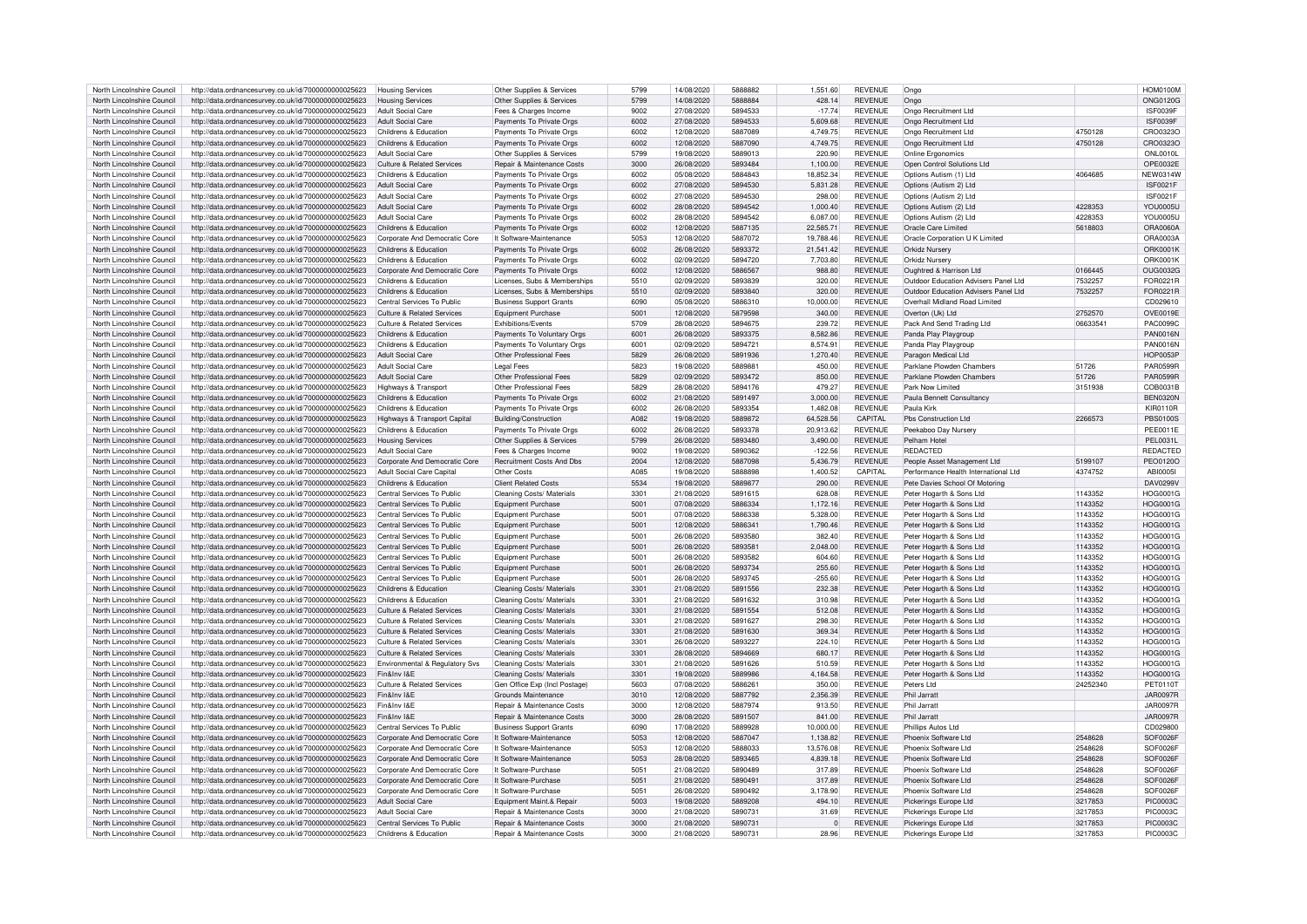| North Lincolnshire Council | http://data.ordnancesurvey.co.uk/id/7000000000025623 | <b>Housing Services</b>               | Other Supplies & Services        | 5799 | 14/08/2020 | 5888882 | 1,551.60  | <b>REVENUE</b> | Ongo                                 |          | <b>HOM0100M</b> |
|----------------------------|------------------------------------------------------|---------------------------------------|----------------------------------|------|------------|---------|-----------|----------------|--------------------------------------|----------|-----------------|
|                            |                                                      |                                       |                                  |      |            |         |           |                |                                      |          |                 |
| North Lincolnshire Council | http://data.ordnancesurvey.co.uk/id/7000000000025623 | <b>Housing Services</b>               | Other Supplies & Services        | 5799 | 14/08/2020 | 5888884 | 428.14    | <b>REVENUE</b> | Ongo                                 |          | ONG0120G        |
| North Lincolnshire Council | http://data.ordnancesurvey.co.uk/id/7000000000025623 | <b>Adult Social Care</b>              | Fees & Charges Income            | 9002 | 27/08/2020 | 5894533 | $-17.74$  | <b>REVENUE</b> | Ongo Recruitment Ltd                 |          | ISF0039F        |
|                            |                                                      |                                       |                                  |      |            |         |           |                |                                      |          |                 |
| North Lincolnshire Council | http://data.ordnancesurvey.co.uk/id/7000000000025623 | <b>Adult Social Care</b>              | Payments To Private Orgs         | 6002 | 27/08/2020 | 5894533 | 5.609.68  | <b>REVENUE</b> | Ongo Recruitment Ltd                 |          | ISF0039F        |
| North Lincolnshire Council | http://data.ordnancesurvey.co.uk/id/7000000000025623 | Childrens & Education                 | Payments To Private Orgs         | 6002 | 12/08/2020 | 5887089 | 4,749.75  | <b>REVENUE</b> | Ongo Recruitment Ltd                 | 4750128  | CRO0323C        |
| North Lincolnshire Council |                                                      | Childrens & Education                 | Payments To Private Orgs         | 6002 | 12/08/2020 | 5887090 | 4.749.75  | <b>REVENUE</b> | Ongo Recruitment Ltd                 | 4750128  | CRO0323C        |
|                            | http://data.ordnancesurvey.co.uk/id/7000000000025623 |                                       |                                  |      |            |         |           |                |                                      |          |                 |
| North Lincolnshire Council | http://data.ordnancesurvey.co.uk/id/7000000000025623 | <b>Adult Social Care</b>              | Other Supplies & Services        | 5799 | 19/08/2020 | 5889013 | 220.90    | <b>REVENUE</b> | Online Frannomics                    |          | ONL0010L        |
| North Lincolnshire Council | http://data.ordnancesurvey.co.uk/id/7000000000025623 | <b>Culture &amp; Related Services</b> | Repair & Maintenance Costs       | 3000 | 26/08/2020 | 5893484 | 1.100.00  | <b>REVENUE</b> | Open Control Solutions Ltd           |          | OPE0032E        |
|                            |                                                      |                                       |                                  |      |            |         |           |                |                                      |          |                 |
| North Lincolnshire Council | http://data.ordnancesurvey.co.uk/id/7000000000025623 | Childrens & Education                 | Payments To Private Orgs         | 6002 | 05/08/2020 | 5884843 | 18.852.34 | <b>REVENUE</b> | Options Autism (1) Ltd               | 4064685  | <b>NEW0314W</b> |
| North Lincolnshire Council | http://data.ordnancesurvey.co.uk/id/7000000000025623 | Adult Social Care                     | Payments To Private Orgs         | 6002 | 27/08/2020 | 5894530 | 5,831.28  | <b>REVENUE</b> | Options (Autism 2) Ltd               |          | <b>ISF0021F</b> |
|                            |                                                      |                                       |                                  |      |            |         |           |                |                                      |          |                 |
| North Lincolnshire Council | http://data.ordnancesurvey.co.uk/id/7000000000025623 | Adult Social Care                     | Payments To Private Orgs         | 6002 | 27/08/2020 | 5894530 | 298.00    | <b>REVENUE</b> | Options (Autism 2) Ltd               |          | <b>ISF0021F</b> |
| North Lincolnshire Council | http://data.ordnancesurvey.co.uk/id/7000000000025623 | Adult Social Care                     | Payments To Private Orgs         | 6002 | 28/08/2020 | 5894542 | 1.000.40  | <b>REVENUE</b> | Options Autism (2) Ltd               | 4228353  | <b>YOU0005U</b> |
| North Lincolnshire Council |                                                      | Adult Social Care                     |                                  | 6002 |            | 5894542 |           | <b>REVENUE</b> |                                      |          |                 |
|                            | http://data.ordnancesurvey.co.uk/id/7000000000025623 |                                       | Payments To Private Orgs         |      | 28/08/2020 |         | 6,087.00  |                | Options Autism (2) Ltd               | 4228353  | <b>YOU0005U</b> |
| North Lincolnshire Council | http://data.ordnancesurvey.co.uk/id/7000000000025623 | Childrens & Education                 | Payments To Private Orgs         | 6002 | 12/08/2020 | 5887135 | 22.585.71 | <b>REVENUE</b> | Oracle Care Limited                  | 5618803  | ORA0060A        |
| North Lincolnshire Council | http://data.ordnancesurvey.co.uk/id/7000000000025623 | Corporate And Democratic Core         | It Software-Maintenance          | 5053 | 12/08/2020 | 5887072 | 19.788.46 | <b>REVENUE</b> | Oracle Corporation U K Limited       |          | ORA0003A        |
|                            |                                                      |                                       |                                  |      |            |         |           |                |                                      |          |                 |
| North Lincolnshire Council | http://data.ordnancesurvey.co.uk/id/7000000000025623 | Childrens & Education                 | Payments To Private Orgs         | 6002 | 26/08/2020 | 5893372 | 21,541.42 | <b>REVENUE</b> | Orkidz Nursen                        |          | ORK0001K        |
| North Lincolnshire Council | http://data.ordnancesurvey.co.uk/id/7000000000025623 | Childrens & Education                 | Payments To Private Orgs         | 6002 | 02/09/2020 | 5894720 | 7,703.80  | <b>REVENUE</b> | Orkidz Nursery                       |          | <b>ORK0001K</b> |
|                            |                                                      |                                       |                                  |      |            |         |           |                |                                      |          |                 |
| North Lincolnshire Council | http://data.ordnancesurvey.co.uk/id/7000000000025623 | Corporate And Democratic Core         | Payments To Private Orgs         | 6002 | 12/08/2020 | 5886567 | 988.80    | <b>REVENUE</b> | Oughtred & Harrison Ltd              | 0166445  | <b>OUG0032G</b> |
| North Lincolnshire Council | http://data.ordnancesurvey.co.uk/id/7000000000025623 | Childrens & Education                 | Licenses, Subs & Memberships     | 5510 | 02/09/2020 | 5893839 | 320.00    | <b>REVENUE</b> | Outdoor Education Advisers Panel Ltd | 7532257  | FOR0221R        |
| North Lincolnshire Council | http://data.ordnancesurvey.co.uk/id/7000000000025623 | Childrens & Education                 | Licenses, Subs & Memberships     | 5510 | 02/09/2020 | 5893840 | 320.00    | <b>REVENUE</b> | Outdoor Education Advisers Panel Ltd | 7532257  | FOR0221R        |
|                            |                                                      |                                       |                                  |      |            |         |           |                |                                      |          |                 |
| North Lincolnshire Counci  | http://data.ordnancesurvey.co.uk/id/7000000000025623 | Central Services To Public            | <b>Business Support Grants</b>   | 6090 | 05/08/2020 | 5886310 | 10,000.00 | <b>REVENUE</b> | Overhall Midland Road Limited        |          | CD029610        |
| North Lincolnshire Council | http://data.ordnancesurvey.co.uk/id/7000000000025623 | Culture & Related Services            | <b>Equipment Purchase</b>        | 5001 | 12/08/2020 | 5879598 | 340.00    | <b>REVENUE</b> | Overton (Uk) Ltd                     | 2752570  | OVE0019E        |
|                            |                                                      |                                       |                                  |      |            |         |           |                |                                      |          |                 |
| North Lincolnshire Council | http://data.ordnancesurvey.co.uk/id/7000000000025623 | Culture & Related Services            | Exhibitions/Events               | 5709 | 28/08/2020 | 5894675 | 239.72    | <b>REVENUE</b> | Pack And Send Trading Ltd            | 06633541 | PAC0099C        |
| North Lincolnshire Council | http://data.ordnancesurvey.co.uk/id/7000000000025623 | Childrens & Education                 | Payments To Voluntary Orgs       | 6001 | 26/08/2020 | 5893375 | 8,582.86  | <b>REVENUE</b> | Panda Play Playgroup                 |          | <b>PAN0016N</b> |
|                            |                                                      |                                       |                                  |      |            |         |           |                |                                      |          |                 |
| North Lincolnshire Council | http://data.ordnancesurvey.co.uk/id/7000000000025623 | Childrens & Education                 | Payments To Voluntary Orgs       | 6001 | 02/09/2020 | 5894721 | 8,574.91  | <b>REVENUE</b> | Panda Play Playgroup                 |          | <b>PAN0016N</b> |
| North Lincolnshire Council | http://data.ordnancesurvey.co.uk/id/7000000000025623 | <b>Adult Social Care</b>              | Other Professional Fees          | 5829 | 26/08/2020 | 5891936 | 1,270.40  | <b>REVENUE</b> | Paragon Medical Ltd                  |          | <b>HOP0053P</b> |
| North Lincolnshire Council | http://data.ordnancesurvey.co.uk/id/7000000000025623 | <b>Adult Social Care</b>              | <b>Legal Fees</b>                | 5823 | 19/08/2020 | 588988  | 450.00    | <b>REVENUE</b> | Parklane Plowden Chambers            | 51726    | PAR0599F        |
|                            |                                                      |                                       |                                  |      |            |         |           |                |                                      |          |                 |
| North Lincolnshire Council | http://data.ordnancesurvey.co.uk/id/7000000000025623 | <b>Adult Social Care</b>              | Other Professional Fees          | 5829 | 02/09/2020 | 5893472 | 850.00    | <b>REVENUE</b> | Parklane Plowden Chambers            | 51726    | <b>PAR0599R</b> |
| North Lincolnshire Council | http://data.ordnancesurvey.co.uk/id/7000000000025623 | Highways & Transport                  | Other Professional Fees          | 5829 | 28/08/2020 | 5894176 | 479.27    | <b>REVENUE</b> | Park Now Limited                     | 3151938  | COB0031B        |
|                            |                                                      |                                       |                                  |      |            |         |           |                |                                      |          |                 |
| North Lincolnshire Council | http://data.ordnancesurvey.co.uk/id/7000000000025623 | Childrens & Education                 | Payments To Private Orgs         | 6002 | 21/08/2020 | 5891497 | 3.000.00  | <b>REVENUE</b> | Paula Bennett Consultancy            |          | <b>BEN0320N</b> |
| North Lincolnshire Council | http://data.ordnancesurvey.co.uk/id/7000000000025623 | Childrens & Education                 | Payments To Private Orgs         | 6002 | 26/08/2020 | 5893354 | 1,482.08  | REVENUE        | Paula Kirk                           |          | KIR0110R        |
|                            |                                                      |                                       |                                  |      |            |         |           |                |                                      |          |                 |
| North Lincolnshire Council | http://data.ordnancesurvey.co.uk/id/7000000000025623 | Highways & Transport Capital          | Building/Construction            | A082 | 19/08/2020 | 5889872 | 64,528.56 | CAPITAL        | Pbs Construction Ltd                 | 2266573  | <b>PBS0100S</b> |
| North Lincolnshire Council | http://data.ordnancesurvey.co.uk/id/7000000000025623 | Childrens & Education                 | Payments To Private Orgs         | 6002 | 26/08/2020 | 5893378 | 20.913.62 | <b>REVENUE</b> | Peekaboo Day Nursery                 |          | <b>PEE0011E</b> |
| North Lincolnshire Council |                                                      |                                       |                                  | 5799 | 26/08/2020 | 5893480 | 3.490.00  | <b>REVENUE</b> | Pelham Hote                          |          | <b>PEL0031L</b> |
|                            | http://data.ordnancesurvey.co.uk/id/7000000000025623 | <b>Housing Services</b>               | Other Supplies & Services        |      |            |         |           |                |                                      |          |                 |
| North Lincolnshire Council | http://data.ordnancesurvey.co.uk/id/7000000000025623 | <b>Adult Social Care</b>              | Fees & Charges Income            | 9002 | 19/08/2020 | 5890362 | $-122.56$ | <b>REVENUE</b> | <b>REDACTED</b>                      |          | REDACTED        |
| North Lincolnshire Council | http://data.ordnancesurvey.co.uk/id/7000000000025623 | Corporate And Democratic Core         | <b>Recruitment Costs And Dbs</b> | 2004 | 12/08/2020 | 5887098 | 5,436.79  | <b>REVENUE</b> | People Asset Management Ltd          | 5199107  | PEO0120O        |
|                            |                                                      |                                       |                                  |      |            |         |           |                |                                      |          |                 |
| North Lincolnshire Council | http://data.ordnancesurvey.co.uk/id/7000000000025623 | <b>Adult Social Care Capital</b>      | Other Costs                      | A085 | 19/08/2020 | 5888898 | 1,400.52  | CAPITAI        | Performance Health International Ltd | 4374752  | ABI0005         |
| North Lincolnshire Council | http://data.ordnancesurvey.co.uk/id/7000000000025623 | Childrens & Education                 | <b>Client Related Costs</b>      | 5534 | 19/08/2020 | 5889877 | 290.00    | <b>REVENUE</b> | Pete Davies School Of Motoring       |          | <b>DAV0299V</b> |
|                            |                                                      |                                       |                                  |      |            |         |           | <b>REVENUE</b> |                                      |          |                 |
|                            |                                                      |                                       |                                  |      |            |         |           |                | Peter Hogarth & Sons Ltd             |          |                 |
| North Lincolnshire Council | http://data.ordnancesurvey.co.uk/id/7000000000025623 | Central Services To Public            | Cleaning Costs/ Materials        | 3301 | 21/08/2020 | 5891615 | 628.08    |                |                                      | 1143352  | <b>HOG0001G</b> |
|                            |                                                      |                                       |                                  |      |            |         |           |                |                                      |          |                 |
| North Lincolnshire Council | http://data.ordnancesurvey.co.uk/id/7000000000025623 | Central Services To Public            | Equipment Purchase               | 5001 | 07/08/2020 | 5886334 | 1,172.16  | <b>REVENUE</b> | Peter Hogarth & Sons Ltd             | 1143352  | <b>HOG0001G</b> |
| North Lincolnshire Council | http://data.ordnancesurvey.co.uk/id/7000000000025623 | Central Services To Public            | <b>Equipment Purchase</b>        | 5001 | 07/08/2020 | 5886338 | 5,328.00  | <b>REVENUE</b> | Peter Hogarth & Sons Ltd             | 1143352  | HOG0001G        |
| North Lincolnshire Council | http://data.ordnancesurvey.co.uk/id/7000000000025623 | Central Services To Public            | <b>Equipment Purchase</b>        | 5001 | 12/08/2020 | 588634  | 1,790.46  | <b>REVENUE</b> | Peter Hogarth & Sons Ltd             | 1143352  | HOG0001G        |
|                            |                                                      |                                       |                                  |      |            |         |           |                |                                      |          |                 |
| North Lincolnshire Council | http://data.ordnancesurvey.co.uk/id/7000000000025623 | Central Services To Public            | <b>Equipment Purchase</b>        | 5001 | 26/08/2020 | 5893580 | 382.40    | <b>REVENUE</b> | Peter Hogarth & Sons Ltd             | 1143352  | HOG0001G        |
| North Lincolnshire Council | http://data.ordnancesurvey.co.uk/id/7000000000025623 | Central Services To Public            | <b>Equipment Purchase</b>        | 5001 | 26/08/2020 | 589358  | 2,048.00  | <b>REVENUE</b> | Peter Hogarth & Sons Ltd             | 1143352  | <b>HOG0001G</b> |
|                            |                                                      |                                       |                                  |      |            |         |           |                |                                      |          |                 |
| North Lincolnshire Council | http://data.ordnancesurvey.co.uk/id/7000000000025623 | Central Services To Public            | Equipment Purchase               | 5001 | 26/08/2020 | 5893582 | 604.60    | <b>REVENUE</b> | Peter Hogarth & Sons Ltd             | 1143352  | <b>HOG0001G</b> |
| North Lincolnshire Council | http://data.ordnancesurvey.co.uk/id/7000000000025623 | Central Services To Public            | <b>Equipment Purchase</b>        | 5001 | 26/08/2020 | 5893734 | 255.60    | <b>REVENUE</b> | Peter Hogarth & Sons Ltd             | 1143352  | HOG0001G        |
| North Lincolnshire Council |                                                      | Central Services To Public            | <b>Equipment Purchase</b>        | 5001 | 26/08/2020 | 5893745 | $-255.60$ | <b>REVENUE</b> |                                      | 1143352  | <b>HOG0001G</b> |
|                            | http://data.ordnancesurvey.co.uk/id/7000000000025623 |                                       |                                  |      |            |         |           |                | Peter Hogarth & Sons Ltd             |          |                 |
| North Lincolnshire Council | http://data.ordnancesurvey.co.uk/id/7000000000025623 | Childrens & Education                 | Cleaning Costs/ Materials        | 3301 | 21/08/2020 | 5891556 | 232.38    | <b>REVENUE</b> | Peter Hogarth & Sons Ltd             | 1143352  | HOG0001G        |
| North Lincolnshire Council | http://data.ordnancesurvey.co.uk/id/7000000000025623 | Childrens & Education                 | Cleaning Costs/ Materials        | 3301 | 21/08/2020 | 5891632 | 310.98    | <b>REVENUE</b> | Peter Hogarth & Sons Ltd             | 1143352  | HOG0001G        |
|                            |                                                      |                                       |                                  |      |            |         |           |                |                                      |          |                 |
| North Lincolnshire Council | http://data.ordnancesurvey.co.uk/id/7000000000025623 | <b>Culture &amp; Related Services</b> | Cleaning Costs/ Materials        | 3301 | 21/08/2020 | 5891554 | 512.08    | <b>REVENUE</b> | Peter Hogarth & Sons Ltd             | 1143352  | HOG0001G        |
| North Lincolnshire Council | http://data.ordnancesurvey.co.uk/id/7000000000025623 | Culture & Related Services            | Cleaning Costs/ Materials        | 3301 | 21/08/2020 | 5891627 | 298.30    | <b>REVENUE</b> | Peter Hogarth & Sons Ltd             | 1143352  | <b>HOG0001G</b> |
|                            |                                                      |                                       |                                  | 3301 |            |         |           | <b>REVENUE</b> |                                      |          |                 |
| North Lincolnshire Council | http://data.ordnancesurvey.co.uk/id/7000000000025623 | <b>Culture &amp; Related Services</b> | Cleaning Costs/ Materials        |      | 21/08/2020 | 5891630 | 369.34    |                | Peter Hogarth & Sons Ltd             | 1143352  | HOG0001G        |
| North Lincolnshire Council | http://data.ordnancesurvey.co.uk/id/7000000000025623 | <b>Culture &amp; Related Services</b> | Cleaning Costs/ Materials        | 3301 | 26/08/2020 | 5893227 | 224.10    | <b>REVENUE</b> | Peter Hogarth & Sons Ltd             | 1143352  | <b>HOG0001G</b> |
| North Lincolnshire Council | http://data.ordnancesurvey.co.uk/id/7000000000025623 | Culture & Related Services            | Cleaning Costs/ Materials        | 3301 | 28/08/2020 | 5894669 | 680.17    | <b>REVENUE</b> | Peter Hogarth & Sons Ltd             | 1143352  | HOG0001G        |
|                            |                                                      |                                       |                                  |      |            |         |           |                |                                      |          |                 |
| North Lincolnshire Council | http://data.ordnancesurvey.co.uk/id/7000000000025623 | Environmental & Regulatory Svs        | Cleaning Costs/ Materials        | 3301 | 21/08/2020 | 5891626 | 510.59    | <b>REVENUE</b> | Peter Hogarth & Sons Ltd             | 1143352  | <b>HOG0001G</b> |
| North Lincolnshire Council | http://data.ordnancesurvey.co.uk/id/7000000000025623 | Fin&Inv I&E                           | Cleaning Costs/ Materials        | 3301 | 19/08/2020 | 5889986 | 4.184.58  | <b>REVENUE</b> | Peter Hogarth & Sons Ltd             | 1143352  | <b>HOG0001G</b> |
| North Lincolnshire Council |                                                      | Culture & Related Services            |                                  | 5603 | 07/08/2020 | 588626  | 350.00    |                |                                      | 24252340 | PFT0110T        |
|                            | http://data.ordnancesurvey.co.uk/id/7000000000025623 |                                       | Gen Office Exp (Incl Postage)    |      |            |         |           | <b>REVENUE</b> | Peters Ltd                           |          |                 |
| North Lincolnshire Council | http://data.ordnancesurvey.co.uk/id/7000000000025623 | Fin&Inv I&F                           | Grounds Maintenance              | 3010 | 12/08/2020 | 5887792 | 2,356.39  | <b>REVENUE</b> | Phil Jarratt                         |          | <b>JAR0097R</b> |
| North Lincolnshire Council | http://data.ordnancesurvey.co.uk/id/7000000000025623 | Fin&Inv I&E                           | Repair & Maintenance Costs       | 3000 | 12/08/2020 | 5887974 | 913.50    | <b>REVENUE</b> | Phil Jarratt                         |          | <b>JAR0097R</b> |
|                            |                                                      |                                       |                                  |      |            |         |           |                |                                      |          |                 |
| North Lincolnshire Council | http://data.ordnancesurvey.co.uk/id/7000000000025623 | Fin&Inv I&F                           | Repair & Maintenance Costs       | 3000 | 28/08/2020 | 5891507 | 841.00    | <b>REVENUE</b> | Phil Jarratt                         |          | <b>JAR0097R</b> |
| North Lincolnshire Council | http://data.ordnancesurvey.co.uk/id/7000000000025623 | Central Services To Public            | <b>Business Support Grants</b>   | 6090 | 17/08/2020 | 5889928 | 10,000.00 | <b>REVENUE</b> | Phillips Autos Ltd                   |          | CD029800        |
|                            |                                                      |                                       |                                  |      |            |         |           |                |                                      |          |                 |
| North Lincolnshire Council | http://data.ordnancesurvey.co.uk/id/7000000000025623 | Corporate And Democratic Core         | It Software-Maintenance          | 5053 | 12/08/2020 | 5887047 | 1.138.82  | <b>REVENUE</b> | Phoenix Software Ltd                 | 2548628  | SOF0026F        |
| North Lincolnshire Council | http://data.ordnancesurvey.co.uk/id/7000000000025623 | Corporate And Democratic Core         | It Software-Maintenance          | 5053 | 12/08/2020 | 5888033 | 13,576.08 | <b>REVENUE</b> | Phoenix Software I td                | 2548628  | SOF0026F        |
| North Lincolnshire Council |                                                      |                                       |                                  |      |            |         |           |                |                                      |          |                 |
|                            | http://data.ordnancesurvey.co.uk/id/7000000000025623 | Corporate And Democratic Core         | It Software-Maintenance          | 5053 | 28/08/2020 | 5893465 | 4.839.18  | <b>REVENUE</b> | Phoenix Software Ltd                 | 2548628  | SOF0026F        |
| North Lincolnshire Council | http://data.ordnancesurvey.co.uk/id/7000000000025623 | Corporate And Democratic Core         | It Software-Purchase             | 5051 | 21/08/2020 | 5890489 | 317.89    | <b>REVENUE</b> | Phoenix Software I td                | 2548628  | SOF0026F        |
| North Lincolnshire Counci  |                                                      |                                       | It Software-Purchase             | 5051 |            | 5890491 |           | <b>REVENUE</b> | Phoenix Software I td                | 2548628  | SOF0026F        |
|                            | http://data.ordnancesurvey.co.uk/id/7000000000025623 | Corporate And Democratic Core         |                                  |      | 21/08/2020 |         | 317.89    |                |                                      |          |                 |
| North Lincolnshire Council | http://data.ordnancesurvey.co.uk/id/7000000000025623 | Corporate And Democratic Core         | It Software-Purchase             | 5051 | 26/08/2020 | 5890492 | 3,178.90  | REVENUE        | Phoenix Software Ltd                 | 2548628  | SOF0026F        |
| North Lincolnshire Council | http://data.ordnancesurvey.co.uk/id/7000000000025623 | <b>Adult Social Care</b>              | Foujoment Maint & Repai          | 5003 | 19/08/2020 | 5889208 | 494.10    | <b>REVENUE</b> | Pickerings Europe Ltd                | 3217853  | <b>PIC0003C</b> |
|                            |                                                      |                                       |                                  |      |            |         |           |                |                                      |          |                 |
| North Lincolnshire Council | http://data.ordnancesurvey.co.uk/id/7000000000025623 | Adult Social Care                     | Repair & Maintenance Costs       | 3000 | 21/08/2020 | 5890731 | 31.69     | <b>REVENUE</b> | Pickerings Europe Ltd                | 3217853  | <b>PIC0003C</b> |
| North Lincolnshire Council | http://data.ordnancesurvey.co.uk/id/7000000000025623 | Central Services To Public            | Repair & Maintenance Costs       | 3000 | 21/08/2020 | 589073  | $\Omega$  | <b>REVENUE</b> | Pickerings Europe Ltd                | 3217853  | PIC0003C        |
| North Lincolnshire Council | http://data.ordnancesurvey.co.uk/id/7000000000025623 | Childrens & Education                 | Repair & Maintenance Costs       | 3000 | 21/08/2020 | 589073  | 28.96     | REVENUE        | Pickerings Europe Ltd                | 3217853  | <b>PIC0003C</b> |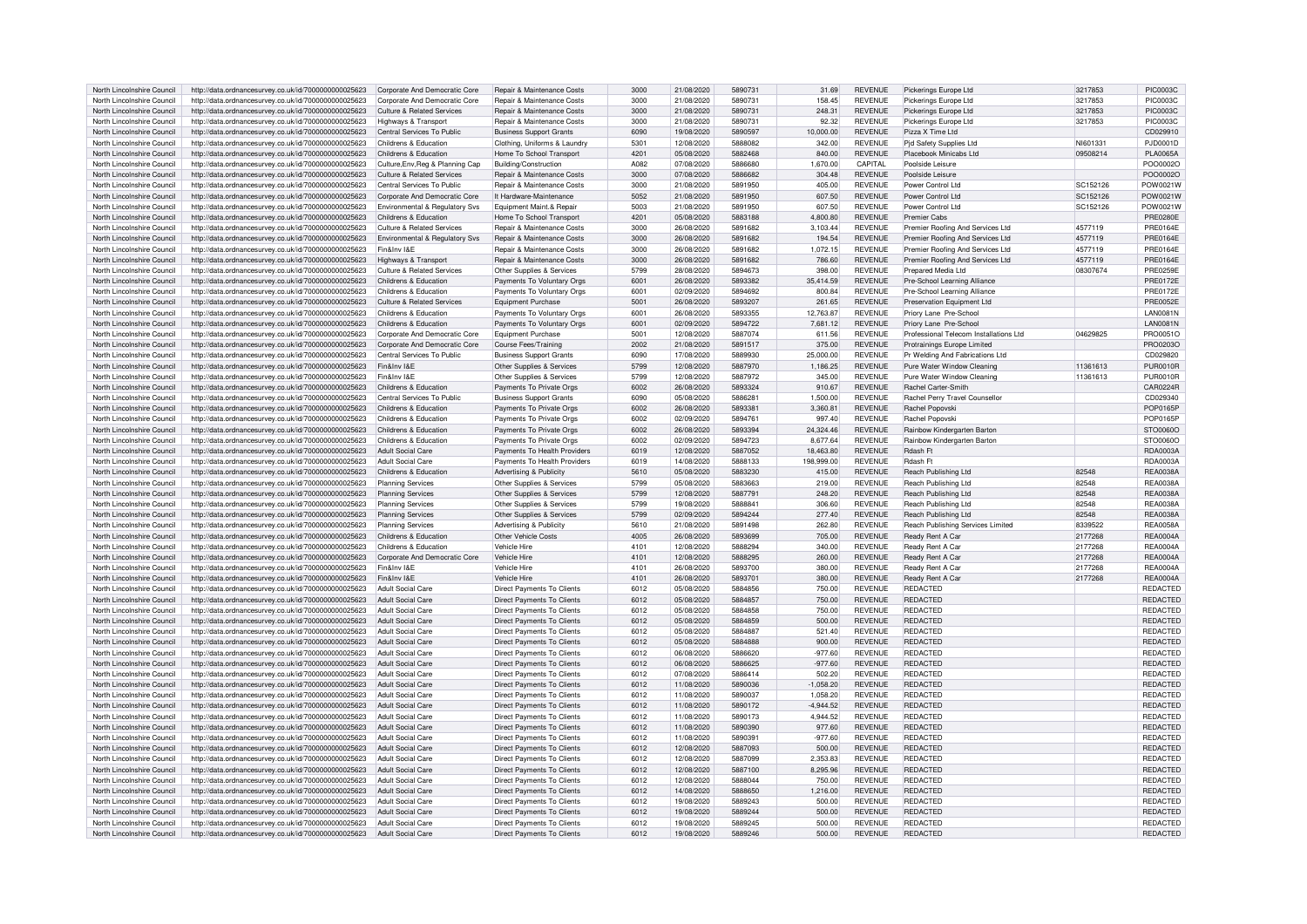| North Lincolnshire Council | http://data.ordnancesurvey.co.uk/id/7000000000025623                   | Corporate And Democratic Core         | Repair & Maintenance Costs        | 3000 | 21/08/2020 | 5890731 | 31.69       | <b>REVENUE</b> | Pickerings Europe Ltd                  | 3217853  | <b>PIC0003C</b> |
|----------------------------|------------------------------------------------------------------------|---------------------------------------|-----------------------------------|------|------------|---------|-------------|----------------|----------------------------------------|----------|-----------------|
|                            |                                                                        |                                       |                                   |      |            | 5890731 |             |                |                                        |          | PIC0003C        |
| North Lincolnshire Council | http://data.ordnancesurvey.co.uk/id/7000000000025623                   | Cornorate And Democratic Core         | Repair & Maintenance Costs        | 3000 | 21/08/2020 |         | 158.45      | <b>REVENUE</b> | Pickerings Europe Ltd                  | 3217853  |                 |
| North Lincolnshire Council | http://data.ordnancesurvey.co.uk/id/7000000000025623                   | <b>Culture &amp; Related Services</b> | Repair & Maintenance Costs        | 3000 | 21/08/2020 | 5890731 | 248.31      | <b>REVENUE</b> | Pickerings Europe Ltd                  | 3217853  | <b>PIC0003C</b> |
| North Lincolnshire Council | http://data.ordnancesurvey.co.uk/id/7000000000025623                   | Highways & Transport                  | Repair & Maintenance Costs        | 3000 | 21/08/2020 | 5890731 | 92.32       | <b>REVENUE</b> | Pickerings Europe Ltd                  | 3217853  | <b>PIC0003C</b> |
| North Lincolnshire Council | http://data.ordnancesurvey.co.uk/id/7000000000025623                   | Central Services To Public            | <b>Business Support Grants</b>    | 6090 | 19/08/2020 | 5890597 | 10,000.00   | <b>REVENUE</b> | Pizza X Time Ltd                       |          | CD029910        |
| North Lincolnshire Council | http://data.ordnancesurvey.co.uk/id/7000000000025623                   | Childrens & Education                 | Clothing, Uniforms & Laundry      | 5301 | 12/08/2020 | 5888082 | 342.00      | <b>REVENUE</b> | Pid Safety Supplies Ltd                | NI601331 | PJD0001D        |
|                            |                                                                        |                                       |                                   |      |            |         |             |                |                                        |          |                 |
| North Lincolnshire Council | http://data.ordnancesurvey.co.uk/id/7000000000025623                   | Childrens & Education                 | Home To School Transport          | 4201 | 05/08/2020 | 5882468 | 840.00      | <b>REVENUE</b> | Placebook Minicabs Ltd                 | 09508214 | <b>PLA0065A</b> |
| North Lincolnshire Council | http://data.ordnancesurvey.co.uk/id/7000000000025623                   | Culture, Env, Reg & Planning Cap      | Building/Construction             | A082 | 07/08/2020 | 5886680 | 1,670.00    | CAPITAL        | Poolside Leisure                       |          | PO00002C        |
| North Lincolnshire Council | http://data.ordnancesurvey.co.uk/id/7000000000025623                   | <b>Culture &amp; Related Services</b> | Repair & Maintenance Costs        | 3000 | 07/08/2020 | 5886682 | 304.48      | <b>REVENUE</b> | Poolside Leisure                       |          | PO000020        |
| North Lincolnshire Council | http://data.ordnancesurvey.co.uk/id/7000000000025623                   | Central Services To Public            | Repair & Maintenance Costs        | 3000 | 21/08/2020 | 5891950 | 405.00      | <b>REVENUE</b> | Power Control Ltd                      | SC152126 | POW0021W        |
| North Lincolnshire Council | http://data.ordnancesurvey.co.uk/id/7000000000025623                   |                                       | It Hardware-Maintenance           | 5052 |            | 5891950 |             | <b>REVENUE</b> | Power Control I td                     |          | POW0021W        |
|                            |                                                                        | Corporate And Democratic Core         |                                   |      | 21/08/2020 |         | 607.50      |                |                                        | SC152126 |                 |
| North Lincolnshire Council | http://data.ordnancesurvey.co.uk/id/7000000000025623                   | Environmental & Regulatory Svs        | Equipment Maint.& Repair          | 5003 | 21/08/2020 | 5891950 | 607.50      | <b>REVENUE</b> | Power Control Ltd                      | SC152126 | POW0021W        |
| North Lincolnshire Council | http://data.ordnancesurvey.co.uk/id/7000000000025623                   | Childrens & Education                 | Home To School Transport          | 4201 | 05/08/2020 | 5883188 | 4.800.80    | <b>REVENUE</b> | <b>Premier Cabs</b>                    |          | <b>PRE0280E</b> |
| North Lincolnshire Council | http://data.ordnancesurvey.co.uk/id/7000000000025623                   | <b>Culture &amp; Related Services</b> | Repair & Maintenance Costs        | 3000 | 26/08/2020 | 5891682 | 3,103.44    | <b>REVENUE</b> | Premier Roofing And Services Ltd       | 4577119  | <b>PRE0164E</b> |
| North Lincolnshire Council | http://data.ordnancesurvey.co.uk/id/7000000000025623                   | Environmental & Regulatory Svs        | Repair & Maintenance Costs        | 3000 | 26/08/2020 | 5891682 | 194.54      | <b>REVENUE</b> | Premier Roofing And Services Ltd       | 4577119  | <b>PRE0164E</b> |
| North Lincolnshire Council | http://data.ordnancesurvey.co.uk/id/7000000000025623                   | Fin&Inv I&E                           | Repair & Maintenance Costs        | 3000 | 26/08/2020 | 5891682 | 1.072.15    | <b>REVENUE</b> | Premier Roofing And Services Ltd       | 4577119  | <b>PRE0164E</b> |
|                            |                                                                        |                                       |                                   |      |            |         |             |                |                                        |          |                 |
| North Lincolnshire Council | http://data.ordnancesurvey.co.uk/id/7000000000025623                   | Highways & Transport                  | Repair & Maintenance Costs        | 3000 | 26/08/2020 | 5891682 | 786.60      | <b>REVENUE</b> | Premier Roofing And Services Ltd       | 4577119  | <b>PRE0164E</b> |
| North Lincolnshire Council | http://data.ordnancesurvey.co.uk/id/7000000000025623                   | <b>Culture &amp; Related Services</b> | Other Supplies & Services         | 5799 | 28/08/2020 | 5894673 | 398.00      | <b>REVENUE</b> | Prepared Media Ltd                     | 08307674 | <b>PRE0259E</b> |
| North Lincolnshire Council | http://data.ordnancesurvey.co.uk/id/7000000000025623                   | Childrens & Education                 | Payments To Voluntary Orgs        | 6001 | 26/08/2020 | 5893382 | 35,414.59   | <b>REVENUE</b> | Pre-School Learning Alliance           |          | <b>PRE0172E</b> |
| North Lincolnshire Council | http://data.ordnancesurvey.co.uk/id/7000000000025623                   | Childrens & Education                 | Payments To Voluntary Orgs        | 6001 | 02/09/2020 | 5894692 | 800.84      | <b>REVENUE</b> | Pre-School Learning Alliance           |          | <b>PRE0172E</b> |
| North Lincolnshire Council | http://data.ordnancesurvey.co.uk/id/7000000000025623                   | <b>Culture &amp; Related Services</b> | <b>Equipment Purchase</b>         | 5001 | 26/08/2020 | 5893207 | 261.65      | <b>REVENUE</b> | Preservation Equipment Ltd             |          | <b>PRE0052E</b> |
|                            |                                                                        |                                       |                                   |      |            |         |             |                |                                        |          |                 |
| North Lincolnshire Council | http://data.ordnancesurvey.co.uk/id/7000000000025623                   | Childrens & Education                 | Payments To Voluntary Orgs        | 6001 | 26/08/2020 | 5893355 | 12,763.87   | <b>REVENUE</b> | Priory Lane Pre-School                 |          | <b>LAN0081N</b> |
| North Lincolnshire Council | http://data.ordnancesurvey.co.uk/id/7000000000025623                   | Childrens & Education                 | Payments To Voluntary Orgs        | 6001 | 02/09/2020 | 5894722 | 7,681.12    | <b>REVENUE</b> | Priory Lane, Pre-School                |          | <b>LAN0081N</b> |
| North Lincolnshire Council | http://data.ordnancesurvey.co.uk/id/7000000000025623                   | Corporate And Democratic Core         | Equipment Purchase                | 5001 | 12/08/2020 | 5887074 | 611.56      | <b>REVENUE</b> | Professional Telecom Installations Ltd | 04629825 | PRO0051C        |
| North Lincolnshire Council | http://data.ordnancesurvey.co.uk/id/7000000000025623                   | Cornorate And Democratic Core         | Course Fees/Training              | 2002 | 21/08/2020 | 5891517 | 375.00      | <b>REVENUE</b> | Protrainings Europe Limited            |          | PRO02030        |
| North Lincolnshire Council | http://data.ordnancesurvey.co.uk/id/7000000000025623                   | Central Services To Public            | <b>Business Support Grants</b>    | 6090 | 17/08/2020 | 5889930 | 25,000.00   | REVENUE        | Pr Welding And Fabrications Ltd        |          | CD029820        |
| North Lincolnshire Council | http://data.ordnancesurvey.co.uk/id/7000000000025623                   | Fin&Inv I&E                           | Other Supplies & Services         | 5799 | 12/08/2020 | 5887970 | 1.186.25    | <b>REVENUE</b> | Pure Water Window Cleaning             | 11361613 | <b>PUR0010R</b> |
|                            |                                                                        |                                       |                                   |      |            |         |             |                |                                        |          |                 |
| North Lincolnshire Council | http://data.ordnancesurvey.co.uk/id/7000000000025623                   | Fin&Inv I&E                           | Other Supplies & Services         | 5799 | 12/08/2020 | 5887972 | 345.00      | <b>REVENUE</b> | Pure Water Window Cleaning             | 11361613 | <b>PUR0010R</b> |
| North Lincolnshire Council | http://data.ordnancesurvey.co.uk/id/7000000000025623                   | Childrens & Education                 | Payments To Private Orgs          | 6002 | 26/08/2020 | 5893324 | 910.67      | <b>REVENUE</b> | Rachel Carter-Smith                    |          | CAR0224R        |
| North Lincolnshire Council | http://data.ordnancesurvey.co.uk/id/7000000000025623                   | Central Services To Public            | <b>Business Support Grants</b>    | 6090 | 05/08/2020 | 5886281 | 1,500.00    | REVENUE        | Rachel Perry Travel Counsellor         |          | CD029340        |
| North Lincolnshire Council | http://data.ordnancesurvey.co.uk/id/7000000000025623                   | Childrens & Education                 | Payments To Private Orgs          | 6002 | 26/08/2020 | 589338  | 3,360.81    | <b>REVENUE</b> | Rachel Popovski                        |          | POP0165P        |
| North Lincolnshire Council | http://data.ordnancesurvey.co.uk/id/7000000000025623                   | Childrens & Education                 | Payments To Private Orgs          | 6002 | 02/09/2020 | 5894761 | 997 40      | <b>REVENUE</b> | <b>Rachel Ponovski</b>                 |          | POP0165P        |
|                            |                                                                        |                                       |                                   |      |            |         |             |                |                                        |          |                 |
| North Lincolnshire Council | http://data.ordnancesurvey.co.uk/id/7000000000025623                   | Childrens & Education                 | Payments To Private Orgs          | 6002 | 26/08/2020 | 5893394 | 24,324.46   | <b>REVENUE</b> | Rainbow Kindergarten Barton            |          | STO0060O        |
| North Lincolnshire Council | http://data.ordnancesurvey.co.uk/id/7000000000025623                   | Childrens & Education                 | Payments To Private Orgs          | 6002 | 02/09/2020 | 5894723 | 8.677.64    | <b>REVENUE</b> | Rainbow Kindergarten Barton            |          | STO0060C        |
| North Lincolnshire Council | http://data.ordnancesurvey.co.uk/id/7000000000025623                   | <b>Adult Social Care</b>              | Payments To Health Providers      | 6019 | 12/08/2020 | 5887052 | 18,463.80   | <b>REVENUE</b> | Rdash Ft                               |          | RDA0003A        |
| North Lincolnshire Council | http://data.ordnancesurvey.co.uk/id/7000000000025623                   | Adult Social Care                     | Payments To Health Providers      | 6019 | 14/08/2020 | 5888133 | 198,999.00  | <b>REVENUE</b> | Rdash Ft                               |          | RDA0003A        |
| North Lincolnshire Council | http://data.ordnancesurvey.co.uk/id/7000000000025623                   | Childrens & Education                 | Advertising & Publicity           | 5610 | 05/08/2020 | 5883230 | 415.00      | <b>REVENUE</b> | Reach Publishing Ltd                   | 82548    | <b>REA0038A</b> |
|                            |                                                                        |                                       |                                   | 5799 |            | 5883663 |             |                |                                        | 82548    |                 |
| North Lincolnshire Council | http://data.ordnancesurvey.co.uk/id/7000000000025623                   | <b>Planning Services</b>              | Other Supplies & Services         |      | 05/08/2020 |         | 219.00      | <b>REVENUE</b> | Reach Publishing Ltd                   |          | <b>REA0038A</b> |
| North Lincolnshire Council | http://data.ordnancesurvey.co.uk/id/7000000000025623                   | <b>Planning Services</b>              | Other Supplies & Services         | 5799 | 12/08/2020 | 5887791 | 248.20      | <b>REVENUE</b> | Reach Publishing Ltd                   | 82548    | <b>REA0038A</b> |
| North Lincolnshire Council | http://data.ordnancesurvey.co.uk/id/7000000000025623                   | <b>Planning Services</b>              | Other Supplies & Services         | 5799 | 19/08/2020 | 5888841 | 306.60      | <b>REVENUE</b> | Reach Publishing Ltd                   | 82548    | <b>REA0038A</b> |
| North Lincolnshire Council | http://data.ordnancesurvey.co.uk/id/7000000000025623                   | <b>Planning Services</b>              | Other Supplies & Services         | 5799 | 02/09/2020 | 5894244 | 277.40      | <b>REVENUE</b> | Reach Publishing Ltd                   | 82548    | <b>REA0038A</b> |
| North Lincolnshire Council | http://data.ordnancesurvey.co.uk/id/7000000000025623                   | Planning Services                     | Advertising & Publicity           | 5610 | 21/08/2020 | 5891498 | 262.80      | <b>REVENUE</b> | Reach Publishing Services Limited      | 8339522  | <b>REA0058A</b> |
| North Lincolnshire Council | http://data.ordnancesurvey.co.uk/id/7000000000025623                   | Childrens & Education                 | Other Vehicle Costs               | 4005 | 26/08/2020 | 5893699 | 705.00      | <b>REVENUE</b> |                                        |          |                 |
|                            |                                                                        |                                       |                                   |      |            |         |             |                | Ready Rent A Car                       |          |                 |
| North Lincolnshire Council |                                                                        |                                       |                                   |      |            |         |             |                |                                        | 2177268  | <b>REA0004A</b> |
|                            | http://data.ordnancesurvey.co.uk/id/7000000000025623                   | Childrens & Education                 | Vehicle Hire                      | 4101 | 12/08/2020 | 5888294 | 340.00      | <b>REVENUE</b> | Ready Rent A Car                       | 2177268  | <b>REA0004A</b> |
| North Lincolnshire Council | http://data.ordnancesurvey.co.uk/id/7000000000025623                   | Corporate And Democratic Core         | Vehicle Hire                      | 4101 | 12/08/2020 | 5888295 | 260.00      | <b>REVENUE</b> | Ready Rent A Car                       | 2177268  | <b>REA0004A</b> |
| North Lincolnshire Council | http://data.ordnancesurvey.co.uk/id/7000000000025623                   | Fin&Inv I&F                           | Vehicle Hire                      | 4101 | 26/08/2020 | 5893700 | 380.00      | <b>REVENUE</b> | Ready Rent A Car                       | 2177268  | <b>REA0004A</b> |
|                            |                                                                        | Fin&Inv I&F                           |                                   |      |            |         |             |                |                                        |          |                 |
| North Lincolnshire Council | http://data.ordnancesurvey.co.uk/id/7000000000025623                   |                                       | Vehicle Hire                      | 4101 | 26/08/2020 | 5893701 | 380.00      | <b>REVENUE</b> | Ready Rent A Car                       | 2177268  | <b>REA0004A</b> |
| North Lincolnshire Council | http://data.ordnancesurvey.co.uk/id/7000000000025623                   | Adult Social Care                     | Direct Payments To Clients        | 6012 | 05/08/2020 | 5884856 | 750.00      | <b>REVENUE</b> | REDACTED                               |          | REDACTED        |
| North Lincolnshire Council | http://data.ordnancesurvey.co.uk/id/7000000000025623                   | <b>Adult Social Care</b>              | Direct Payments To Clients        | 6012 | 05/08/2020 | 5884857 | 750.00      | <b>REVENUE</b> | <b>REDACTED</b>                        |          | REDACTED        |
| North Lincolnshire Council | http://data.ordnancesurvey.co.uk/id/7000000000025623                   | Adult Social Care                     | Direct Payments To Clients        | 6012 | 05/08/2020 | 5884858 | 750.00      | REVENUE        | REDACTED                               |          | REDACTED        |
| North Lincolnshire Council | http://data.ordnancesurvey.co.uk/id/7000000000025623                   | Adult Social Care                     | Direct Payments To Clients        | 6012 | 05/08/2020 | 5884859 | 500.00      | <b>REVENUE</b> | <b>REDACTED</b>                        |          | REDACTED        |
| North Lincolnshire Council | http://data.ordnancesurvey.co.uk/id/7000000000025623                   | Adult Social Care                     | <b>Direct Payments To Clients</b> | 6012 | 05/08/2020 | 5884887 | 521.40      | <b>REVENUE</b> | <b>REDACTED</b>                        |          | REDACTED        |
|                            |                                                                        |                                       |                                   |      |            | 5884888 |             |                |                                        |          |                 |
| North Lincolnshire Council | http://data.ordnancesurvey.co.uk/id/7000000000025623                   | <b>Adult Social Care</b>              | Direct Payments To Clients        | 6012 | 05/08/2020 |         | 900.00      | <b>REVENUE</b> | <b>REDACTED</b>                        |          | REDACTED        |
| North Lincolnshire Council | http://data.ordnancesurvey.co.uk/id/7000000000025623                   | Adult Social Care                     | Direct Payments To Clients        | 6012 | 06/08/2020 | 5886620 | $-977.60$   | <b>REVENUE</b> | <b>REDACTED</b>                        |          | REDACTED        |
| North Lincolnshire Council | http://data.ordnancesurvey.co.uk/id/7000000000025623                   | <b>Adult Social Care</b>              | Direct Payments To Clients        | 6012 | 06/08/2020 | 5886625 | $-977.60$   | <b>REVENUE</b> | <b>REDACTED</b>                        |          | REDACTED        |
| North Lincolnshire Council | http://data.ordnancesurvey.co.uk/id/7000000000025623                   | Adult Social Care                     | Direct Payments To Clients        | 6012 | 07/08/2020 | 5886414 | 502.20      | <b>REVENUE</b> | <b>REDACTED</b>                        |          | REDACTED        |
| North Lincolnshire Council | http://data.ordnancesurvey.co.uk/id/7000000000025623                   | Adult Social Care                     | Direct Payments To Clients        | 6012 | 11/08/2020 | 5890036 | $-1.058.20$ | <b>REVENUE</b> | <b>REDACTED</b>                        |          | REDACTED        |
| North Lincolnshire Council |                                                                        | <b>Adult Social Care</b>              |                                   | 6012 | 11/08/2020 | 5890037 |             | <b>REVENUE</b> | REDACTED                               |          | <b>REDACTED</b> |
|                            | http://data.ordnancesurvey.co.uk/id/7000000000025623                   |                                       | Direct Payments To Clients        |      |            |         | 1,058.20    |                |                                        |          |                 |
| North Lincolnshire Council | http://data.ordnancesurvey.co.uk/id/7000000000025623                   | <b>Adult Social Care</b>              | Direct Payments To Clients        | 6012 | 11/08/2020 | 5890172 | $-4,944.52$ | <b>REVENUE</b> | REDACTED                               |          | REDACTED        |
| North Lincolnshire Council | http://data.ordnancesurvey.co.uk/id/7000000000025623                   | Adult Social Care                     | Direct Payments To Clients        | 6012 | 11/08/2020 | 5890173 | 4,944.52    | <b>REVENUE</b> | <b>REDACTED</b>                        |          | REDACTED        |
| North Lincolnshire Council | http://data.ordnancesurvey.co.uk/id/7000000000025623                   | Adult Social Care                     | Direct Payments To Clients        | 6012 | 11/08/2020 | 5890390 | 977.60      | <b>REVENUE</b> | <b>REDACTED</b>                        |          | <b>REDACTED</b> |
| North Lincolnshire Council | http://data.ordnancesurvey.co.uk/id/7000000000025623                   | <b>Adult Social Care</b>              | <b>Direct Payments To Clients</b> | 6012 | 11/08/2020 | 5890391 | $-977.60$   | <b>REVENUE</b> | REDACTED                               |          | REDACTED        |
| North Lincolnshire Council | http://data.ordnancesurvey.co.uk/id/7000000000025623                   | Adult Social Care                     | <b>Direct Payments To Clients</b> | 6012 | 12/08/2020 | 5887093 | 500.00      | <b>REVENUE</b> | <b>REDACTED</b>                        |          | REDACTED        |
| North Lincolnshire Council |                                                                        | Adult Social Care                     |                                   | 6012 | 12/08/2020 | 5887099 |             | <b>REVENUE</b> | <b>REDACTED</b>                        |          |                 |
|                            | http://data.ordnancesurvey.co.uk/id/7000000000025623                   |                                       | Direct Payments To Clients        |      |            |         | 2,353.83    |                |                                        |          | REDACTED        |
| North Lincolnshire Council | http://data.ordnancesurvey.co.uk/id/7000000000025623                   | <b>Adult Social Care</b>              | Direct Payments To Clients        | 6012 | 12/08/2020 | 5887100 | 8,295.96    | <b>REVENUE</b> | <b>REDACTED</b>                        |          | REDACTED        |
| North Lincolnshire Council | http://data.ordnancesurvey.co.uk/id/7000000000025623                   | <b>Adult Social Care</b>              | Direct Payments To Clients        | 6012 | 12/08/2020 | 5888044 | 750.00      | <b>REVENUE</b> | <b>REDACTED</b>                        |          | <b>REDACTED</b> |
| North Lincolnshire Council | http://data.ordnancesurvey.co.uk/id/7000000000025623                   | <b>Adult Social Care</b>              | Direct Payments To Clients        | 6012 | 14/08/2020 | 5888650 | 1,216.00    | <b>REVENUE</b> | <b>REDACTED</b>                        |          | REDACTED        |
| North Lincolnshire Council | http://data.ordnancesurvey.co.uk/id/7000000000025623                   | <b>Adult Social Care</b>              | Direct Payments To Clients        | 6012 | 19/08/2020 | 5889243 | 500.00      | <b>REVENUE</b> | <b>REDACTED</b>                        |          | REDACTED        |
| North Lincolnshire Council | http://data.ordnancesurvey.co.uk/id/7000000000025623                   | <b>Adult Social Care</b>              | Direct Payments To Clients        | 6012 | 19/08/2020 | 5889244 | 500.00      | <b>REVENUE</b> | <b>REDACTED</b>                        |          | REDACTED        |
| North Lincolnshire Council | http://data.ordnancesurvey.co.uk/id/7000000000025623                   | Adult Social Care                     | Direct Payments To Clients        | 6012 | 19/08/2020 | 5889245 | 500.00      | <b>REVENUE</b> | <b>REDACTED</b>                        |          | REDACTED        |
| North Lincolnshire Council | http://data.ordnancesurvey.co.uk/id/7000000000025623 Adult Social Care |                                       | Direct Payments To Clients        | 6012 | 19/08/2020 | 5889246 | 500.00      | <b>REVENUE</b> | <b>REDACTED</b>                        |          | REDACTED        |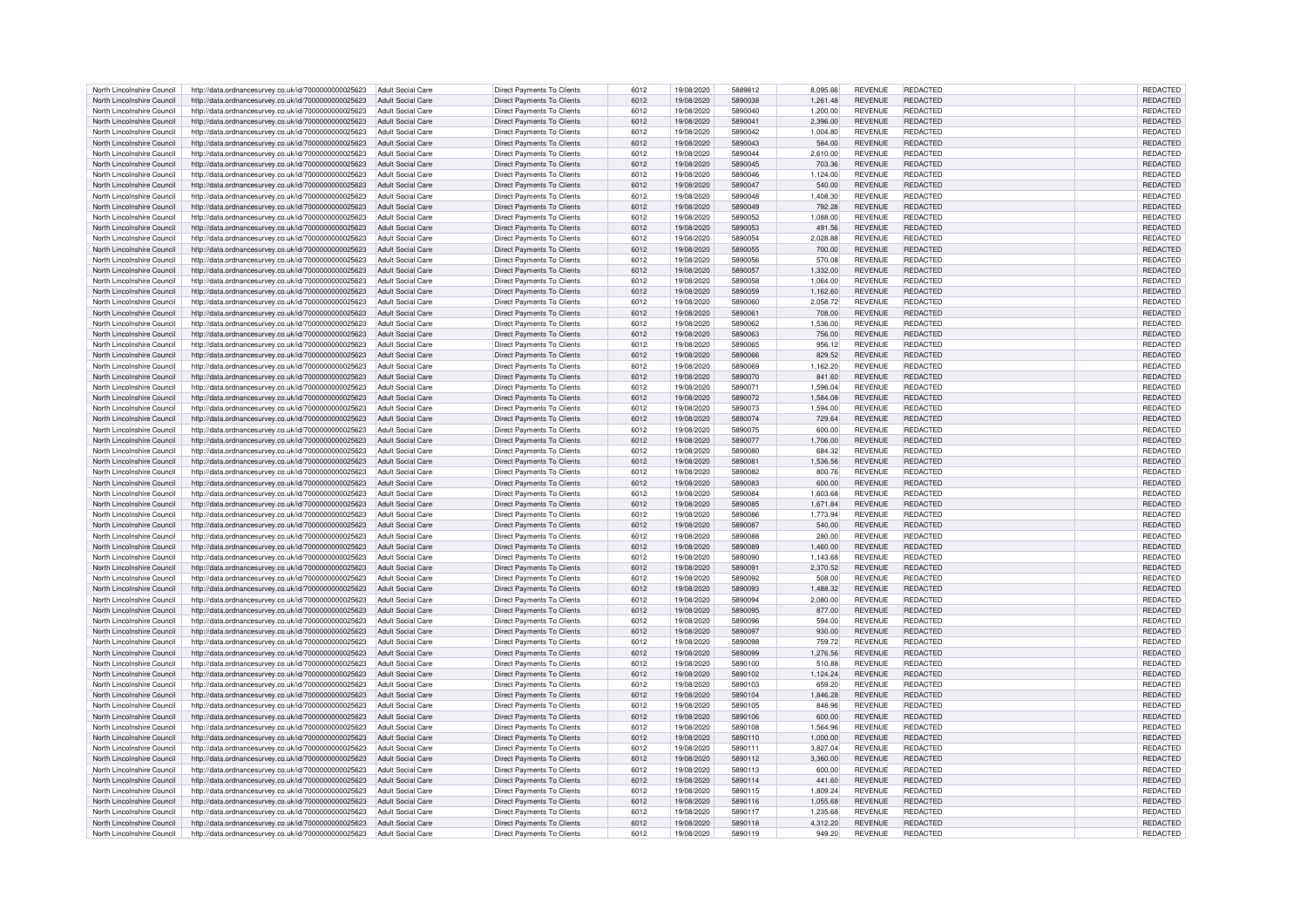| North Lincolnshire Council                               | http://data.ordnancesurvey.co.uk/id/7000000000025623                                                                           | Adult Social Care        | Direct Payments To Clients                                      | 6012         | 19/08/2020               | 5889812            | 8.095.66           | <b>REVENUE</b>                   | REDACTED                    | REDACTED             |
|----------------------------------------------------------|--------------------------------------------------------------------------------------------------------------------------------|--------------------------|-----------------------------------------------------------------|--------------|--------------------------|--------------------|--------------------|----------------------------------|-----------------------------|----------------------|
|                                                          |                                                                                                                                |                          |                                                                 |              |                          |                    |                    |                                  |                             |                      |
| North Lincolnshire Council                               | http://data.ordnancesurvey.co.uk/id/7000000000025623                                                                           | <b>Adult Social Care</b> | <b>Direct Payments To Clients</b>                               | 6012         | 19/08/2020               | 5890038            | 1,261.48           | <b>REVENUE</b>                   | REDACTED                    | REDACTED             |
| North Lincolnshire Council                               | http://data.ordnancesurvey.co.uk/id/7000000000025623                                                                           | <b>Adult Social Care</b> | <b>Direct Payments To Clients</b>                               | 6012         | 19/08/2020               | 5890040            | 1,200.00           | <b>REVENUE</b>                   | REDACTED                    | REDACTED             |
| North Lincolnshire Council                               | http://data.ordnancesurvey.co.uk/id/7000000000025623                                                                           | Adult Social Care        | <b>Direct Payments To Clients</b>                               | 6012         | 19/08/2020               | 5890041            | 2.396.00           | <b>REVENUE</b>                   | <b>REDACTED</b>             | <b>REDACTED</b>      |
| North Lincolnshire Council                               | http://data.ordnancesurvey.co.uk/id/7000000000025623                                                                           | <b>Adult Social Care</b> | Direct Payments To Clients                                      | 6012         | 19/08/2020               | 5890042            | 1,004.80           | <b>REVENUE</b>                   | REDACTED                    | REDACTED             |
|                                                          |                                                                                                                                |                          |                                                                 |              |                          |                    |                    |                                  |                             |                      |
| North Lincolnshire Council                               | http://data.ordnancesurvey.co.uk/id/7000000000025623                                                                           | <b>Adult Social Care</b> | Direct Payments To Clients                                      | 6012         | 19/08/2020               | 5890043            | 584.00             | <b>REVENUE</b>                   | REDACTED                    | REDACTED             |
| North Lincolnshire Council                               | http://data.ordnancesurvey.co.uk/id/7000000000025623                                                                           | <b>Adult Social Care</b> | Direct Payments To Clients                                      | 6012         | 19/08/2020               | 5890044            | 2,610.00           | <b>REVENUE</b>                   | REDACTED                    | REDACTED             |
| North Lincolnshire Council                               | http://data.ordnancesurvey.co.uk/id/7000000000025623                                                                           | <b>Adult Social Care</b> | <b>Direct Payments To Clients</b>                               | 6012         | 19/08/2020               | 5890045            | 703.36             | <b>REVENUE</b>                   | <b>REDACTED</b>             | REDACTED             |
| North Lincolnshire Council                               | http://data.ordnancesurvey.co.uk/id/7000000000025623                                                                           | Adult Social Care        | Direct Payments To Clients                                      | 6012         | 19/08/2020               | 5890046            | 1.124.00           | <b>REVENUE</b>                   | REDACTED                    | <b>REDACTED</b>      |
|                                                          |                                                                                                                                |                          |                                                                 |              |                          |                    |                    |                                  |                             |                      |
| North Lincolnshire Council                               | http://data.ordnancesurvey.co.uk/id/7000000000025623                                                                           | Adult Social Care        | Direct Payments To Clients                                      | 6012         | 19/08/2020               | 5890047            | 540.00             | <b>REVENUE</b>                   | REDACTED                    | REDACTED             |
| North Lincolnshire Council                               | http://data.ordnancesurvey.co.uk/id/7000000000025623                                                                           | Adult Social Care        | Direct Payments To Clients                                      | 6012         | 19/08/2020               | 5890048            | 1,408.30           | <b>REVENUE</b>                   | REDACTED                    | REDACTED             |
| North Lincolnshire Council                               | http://data.ordnancesurvey.co.uk/id/7000000000025623                                                                           | Adult Social Care        | Direct Payments To Clients                                      | 6012         | 19/08/2020               | 5890049            | 792.28             | <b>REVENUE</b>                   | REDACTED                    | REDACTED             |
|                                                          |                                                                                                                                |                          |                                                                 |              |                          |                    |                    |                                  |                             |                      |
| North Lincolnshire Council                               | http://data.ordnancesurvey.co.uk/id/7000000000025623                                                                           | <b>Adult Social Care</b> | <b>Direct Payments To Clients</b>                               | 6012         | 19/08/2020               | 5890052            | 1,088.00           | <b>REVENUE</b>                   | REDACTED                    | REDACTED             |
| North Lincolnshire Council                               | http://data.ordnancesurvey.co.uk/id/7000000000025623                                                                           | Adult Social Care        | Direct Payments To Clients                                      | 6012         | 19/08/2020               | 5890053            | 491.56             | <b>REVENUE</b>                   | <b>REDACTED</b>             | <b>REDACTED</b>      |
| North Lincolnshire Council                               | http://data.ordnancesurvey.co.uk/id/7000000000025623                                                                           | Adult Social Care        | Direct Payments To Clients                                      | 6012         | 19/08/2020               | 5890054            | 2,028.88           | <b>REVENUE</b>                   | REDACTED                    | REDACTED             |
|                                                          |                                                                                                                                |                          |                                                                 | 6012         |                          |                    |                    |                                  |                             |                      |
| North Lincolnshire Council                               | http://data.ordnancesurvey.co.uk/id/7000000000025623                                                                           | <b>Adult Social Care</b> | <b>Direct Payments To Clients</b>                               |              | 19/08/2020               | 5890055            | 700.00             | <b>REVENUE</b>                   | REDACTED                    | REDACTED             |
| North Lincolnshire Council                               | http://data.ordnancesurvey.co.uk/id/7000000000025623                                                                           | Adult Social Care        | Direct Payments To Clients                                      | 6012         | 19/08/2020               | 5890056            | 570.08             | <b>REVENUE</b>                   | REDACTED                    | REDACTED             |
| North Lincolnshire Council                               | http://data.ordnancesurvey.co.uk/id/7000000000025623                                                                           | <b>Adult Social Care</b> | <b>Direct Payments To Clients</b>                               | 6012         | 19/08/2020               | 5890057            | 1,332.00           | <b>REVENUE</b>                   | <b>REDACTED</b>             | REDACTED             |
| North Lincolnshire Council                               | http://data.ordnancesurvey.co.uk/id/7000000000025623                                                                           | <b>Adult Social Care</b> | <b>Direct Payments To Clients</b>                               | 6012         | 19/08/2020               | 5890058            | 1,064.00           | <b>REVENUE</b>                   | REDACTED                    | REDACTED             |
|                                                          |                                                                                                                                |                          |                                                                 |              |                          |                    |                    |                                  |                             |                      |
| North Lincolnshire Council                               | http://data.ordnancesurvey.co.uk/id/7000000000025623                                                                           | <b>Adult Social Care</b> | <b>Direct Payments To Clients</b>                               | 6012         | 19/08/2020               | 5890059            | 1,162.60           | <b>REVENUE</b>                   | REDACTED                    | REDACTED             |
| North Lincolnshire Council                               | http://data.ordnancesurvey.co.uk/id/7000000000025623                                                                           | Adult Social Care        | Direct Payments To Clients                                      | 6012         | 19/08/2020               | 5890060            | 2,058.72           | <b>REVENUE</b>                   | REDACTED                    | REDACTED             |
| North Lincolnshire Council                               | http://data.ordnancesurvey.co.uk/id/7000000000025623                                                                           | Adult Social Care        | <b>Direct Payments To Clients</b>                               | 6012         | 19/08/2020               | 5890061            | 708.00             | <b>REVENUE</b>                   | REDACTED                    | REDACTED             |
|                                                          |                                                                                                                                |                          |                                                                 |              |                          |                    |                    |                                  |                             |                      |
| North Lincolnshire Council                               | http://data.ordnancesurvey.co.uk/id/7000000000025623                                                                           | Adult Social Care        | <b>Direct Payments To Clients</b>                               | 6012         | 19/08/2020               | 5890062            | 1,536.00           | <b>REVENUE</b>                   | REDACTED                    | REDACTED             |
| North Lincolnshire Council                               | http://data.ordnancesurvey.co.uk/id/7000000000025623                                                                           | <b>Adult Social Care</b> | Direct Payments To Clients                                      | 6012         | 19/08/2020               | 5890063            | 756.00             | <b>REVENUE</b>                   | REDACTED                    | REDACTED             |
| North Lincolnshire Council                               | http://data.ordnancesurvey.co.uk/id/7000000000025623                                                                           | <b>Adult Social Care</b> | Direct Payments To Clients                                      | 6012         | 19/08/2020               | 5890065            | 956.12             | <b>REVENUE</b>                   | REDACTED                    | REDACTED             |
|                                                          |                                                                                                                                |                          |                                                                 |              |                          |                    |                    |                                  |                             |                      |
| North Lincolnshire Council                               | http://data.ordnancesurvey.co.uk/id/7000000000025623                                                                           | <b>Adult Social Care</b> | Direct Payments To Clients                                      | 6012         | 19/08/2020               | 5890066            | 829.52             | <b>REVENUE</b>                   | REDACTED                    | REDACTED             |
| North Lincolnshire Council                               | http://data.ordnancesurvey.co.uk/id/7000000000025623                                                                           | Adult Social Care        | <b>Direct Payments To Clients</b>                               | 6012         | 19/08/2020               | 5890069            | 1,162.20           | <b>REVENUE</b>                   | REDACTED                    | REDACTED             |
| North Lincolnshire Council                               | http://data.ordnancesurvey.co.uk/id/7000000000025623                                                                           | Adult Social Care        | <b>Direct Payments To Clients</b>                               | 6012         | 19/08/2020               | 5890070            | 841.60             | <b>REVENUE</b>                   | <b>REDACTED</b>             | <b>REDACTED</b>      |
| North Lincolnshire Council                               |                                                                                                                                | Adult Social Care        | Direct Payments To Clients                                      |              | 19/08/2020               | 5890071            | 1.596.04           | <b>REVENUE</b>                   | <b>REDACTED</b>             | <b>REDACTED</b>      |
|                                                          | http://data.ordnancesurvey.co.uk/id/7000000000025623                                                                           |                          |                                                                 | 6012         |                          |                    |                    |                                  |                             |                      |
| North Lincolnshire Council                               | http://data.ordnancesurvey.co.uk/id/7000000000025623                                                                           | Adult Social Care        | <b>Direct Payments To Clients</b>                               | 6012         | 19/08/2020               | 5890072            | 1,584.08           | <b>REVENUE</b>                   | <b>REDACTED</b>             | <b>REDACTED</b>      |
| North Lincolnshire Council                               | http://data.ordnancesurvey.co.uk/id/7000000000025623                                                                           | Adult Social Care        | Direct Payments To Clients                                      | 6012         | 19/08/2020               | 5890073            | 1,594.00           | <b>REVENUE</b>                   | REDACTED                    | REDACTED             |
| North Lincolnshire Council                               | http://data.ordnancesurvey.co.uk/id/7000000000025623                                                                           | <b>Adult Social Care</b> | <b>Direct Payments To Clients</b>                               | 6012         | 19/08/2020               | 5890074            | 729.64             | <b>REVENUE</b>                   | REDACTED                    | <b>REDACTED</b>      |
|                                                          |                                                                                                                                |                          |                                                                 |              |                          |                    |                    |                                  |                             |                      |
| North Lincolnshire Council                               | http://data.ordnancesurvey.co.uk/id/7000000000025623                                                                           | Adult Social Care        | <b>Direct Payments To Clients</b>                               | 6012         | 19/08/2020               | 5890075            | 600.00             | <b>REVENUE</b>                   | REDACTED                    | REDACTED             |
| North Lincolnshire Council                               | http://data.ordnancesurvey.co.uk/id/7000000000025623                                                                           | Adult Social Care        | <b>Direct Payments To Clients</b>                               | 6012         | 19/08/2020               | 5890077            | 1,706.00           | <b>REVENUE</b>                   | <b>REDACTED</b>             | <b>REDACTED</b>      |
| North Lincolnshire Council                               | http://data.ordnancesurvey.co.uk/id/7000000000025623                                                                           | <b>Adult Social Care</b> | Direct Payments To Clients                                      | 6012         | 19/08/2020               | 5890080            | 684.32             | <b>REVENUE</b>                   | REDACTED                    | REDACTED             |
|                                                          |                                                                                                                                |                          |                                                                 |              |                          |                    |                    |                                  |                             |                      |
| North Lincolnshire Council                               | http://data.ordnancesurvey.co.uk/id/7000000000025623                                                                           | <b>Adult Social Care</b> | Direct Payments To Clients                                      | 6012         | 19/08/2020               | 5890081            | 1,536.56           | <b>REVENUE</b>                   | REDACTED                    | REDACTED             |
| North Lincolnshire Council                               | http://data.ordnancesurvey.co.uk/id/7000000000025623                                                                           | <b>Adult Social Care</b> | Direct Payments To Clients                                      | 6012         | 19/08/2020               | 5890082            | 800.76             | <b>REVENUE</b>                   | <b>REDACTED</b>             | REDACTED             |
| North Lincolnshire Council                               | http://data.ordnancesurvey.co.uk/id/7000000000025623                                                                           | <b>Adult Social Care</b> | <b>Direct Payments To Clients</b>                               | 6012         | 19/08/2020               | 5890083            | 600.00             | <b>REVENUE</b>                   | REDACTED                    | REDACTED             |
| North Lincolnshire Council                               | http://data.ordnancesurvey.co.uk/id/7000000000025623                                                                           | Adult Social Care        | Direct Payments To Clients                                      | 6012         | 19/08/2020               | 5890084            | 1,603.68           | <b>REVENUE</b>                   | <b>REDACTED</b>             | <b>REDACTED</b>      |
|                                                          |                                                                                                                                |                          |                                                                 |              |                          |                    |                    |                                  |                             |                      |
| North Lincolnshire Council                               | http://data.ordnancesurvey.co.uk/id/7000000000025623                                                                           | <b>Adult Social Care</b> | Direct Payments To Clients                                      | 6012         | 19/08/2020               | 5890085            | 1,671.84           | <b>REVENUE</b>                   | REDACTED                    | REDACTED             |
| North Lincolnshire Council                               | http://data.ordnancesurvey.co.uk/id/7000000000025623                                                                           | <b>Adult Social Care</b> | <b>Direct Payments To Clients</b>                               | 6012         | 19/08/2020               | 5890086            | 1,773.94           | <b>REVENUE</b>                   | REDACTED                    | REDACTED             |
| North Lincolnshire Council                               | http://data.ordnancesurvey.co.uk/id/7000000000025623                                                                           | <b>Adult Social Care</b> | Direct Payments To Clients                                      | 6012         | 19/08/2020               | 5890087            | 540.00             | <b>REVENUE</b>                   | <b>REDACTED</b>             | REDACTED             |
|                                                          |                                                                                                                                |                          |                                                                 |              |                          |                    |                    |                                  |                             |                      |
| North Lincolnshire Council                               | http://data.ordnancesurvey.co.uk/id/7000000000025623                                                                           | <b>Adult Social Care</b> | <b>Direct Payments To Clients</b>                               | 6012         | 19/08/2020               | 5890088            | 280.00             | <b>REVENUE</b>                   | REDACTED                    | REDACTED             |
| North Lincolnshire Council                               | http://data.ordnancesurvey.co.uk/id/7000000000025623                                                                           | Adult Social Care        | <b>Direct Payments To Clients</b>                               | 6012         | 19/08/2020               | 5890089            | 1,460.00           | <b>REVENUE</b>                   | <b>REDACTED</b>             | <b>REDACTED</b>      |
| North Lincolnshire Council                               | http://data.ordnancesurvey.co.uk/id/7000000000025623                                                                           | <b>Adult Social Care</b> | Direct Payments To Clients                                      | 6012         | 19/08/2020               | 5890090            | 1,143.68           | <b>REVENUE</b>                   | REDACTED                    | REDACTED             |
|                                                          |                                                                                                                                |                          |                                                                 |              |                          |                    |                    |                                  |                             |                      |
| North Lincolnshire Council                               | http://data.ordnancesurvey.co.uk/id/7000000000025623                                                                           | <b>Adult Social Care</b> |                                                                 |              |                          |                    |                    |                                  |                             |                      |
| North Lincolnshire Council                               |                                                                                                                                |                          | <b>Direct Payments To Clients</b>                               | 6012         | 19/08/2020               | 5890091            | 2,370.52           | <b>REVENUE</b>                   | <b>REDACTED</b>             | REDACTED             |
| North Lincolnshire Council                               | http://data.ordnancesurvey.co.uk/id/7000000000025623                                                                           | Adult Social Care        | Direct Payments To Clients                                      | 6012         | 19/08/2020               | 5890092            | 508.00             | <b>REVENUE</b>                   | REDACTED                    | REDACTED             |
|                                                          |                                                                                                                                | Adult Social Care        |                                                                 | 6012         | 19/08/2020               | 5890093            | 1.488.32           | <b>REVENUE</b>                   | <b>REDACTED</b>             | <b>REDACTED</b>      |
|                                                          | http://data.ordnancesurvey.co.uk/id/7000000000025623                                                                           |                          | <b>Direct Payments To Clients</b>                               |              |                          |                    |                    |                                  |                             |                      |
| North Lincolnshire Council                               | http://data.ordnancesurvey.co.uk/id/7000000000025623                                                                           | Adult Social Care        | Direct Payments To Clients                                      | 6012         | 19/08/2020               | 5890094            | 2.080.00           | <b>REVENUE</b>                   | <b>REDACTED</b>             | <b>REDACTED</b>      |
| North Lincolnshire Council                               | http://data.ordnancesurvey.co.uk/id/7000000000025623                                                                           | Adult Social Care        | Direct Payments To Clients                                      | 6012         | 19/08/2020               | 5890095            | 877.00             | <b>REVENUE</b>                   | REDACTED                    | REDACTED             |
| North Lincolnshire Council                               | http://data.ordnancesurvey.co.uk/id/7000000000025623                                                                           | Adult Social Care        | <b>Direct Payments To Clients</b>                               | 6012         | 19/08/2020               | 5890096            | 594.00             | <b>REVENUE</b>                   | REDACTED                    | REDACTED             |
|                                                          |                                                                                                                                |                          |                                                                 |              |                          |                    |                    |                                  |                             |                      |
| North Lincolnshire Council                               | http://data.ordnancesurvey.co.uk/id/7000000000025623                                                                           | Adult Social Care        | <b>Direct Payments To Clients</b>                               | 6012         | 19/08/2020               | 5890097            | 930.00             | <b>REVENUE</b>                   | REDACTED                    | REDACTED             |
| North Lincolnshire Council                               | http://data.ordnancesurvey.co.uk/id/7000000000025623                                                                           | Adult Social Care        | Direct Payments To Clients                                      | 6012         | 19/08/2020               | 5890098            | 759.72             | <b>REVENUE</b>                   | REDACTED                    | REDACTED             |
| North Lincolnshire Council                               | http://data.ordnancesurvey.co.uk/id/7000000000025623                                                                           | Adult Social Care        | Direct Payments To Clients                                      | 6012         | 19/08/2020               | 5890099            | 1,276.56           | REVENUE                          | <b>REDACTED</b>             | REDACTED             |
| North Lincolnshire Council                               | http://data.ordnancesurvey.co.uk/id/7000000000025623                                                                           | <b>Adult Social Care</b> |                                                                 | 6012         | 19/08/2020               | 5890100            | 510.88             | <b>REVENUE</b>                   | REDACTED                    | REDACTED             |
|                                                          |                                                                                                                                |                          | Direct Payments To Clients                                      |              |                          |                    |                    |                                  |                             |                      |
| North Lincolnshire Council                               | http://data.ordnancesurvey.co.uk/id/7000000000025623                                                                           | <b>Adult Social Care</b> | <b>Direct Payments To Clients</b>                               | 6012         | 19/08/2020               | 5890102            | 1,124.24           | <b>REVENUE</b>                   | <b>REDACTED</b>             | <b>REDACTED</b>      |
| North Lincolnshire Council                               | http://data.ordnancesurvey.co.uk/id/7000000000025623                                                                           | <b>Adult Social Care</b> | <b>Direct Payments To Clients</b>                               | 6012         | 19/08/2020               | 5890103            | 659.20             | <b>REVENUE</b>                   | REDACTED                    | REDACTED             |
| North Lincolnshire Council                               | http://data.ordnancesurvey.co.uk/id/7000000000025623                                                                           | Adult Social Care        | Direct Payments To Clients                                      | 6012         | 19/08/2020               | 5890104            | 1.846.28           | <b>REVENUE</b>                   | <b>REDACTED</b>             | <b>REDACTED</b>      |
| North Lincolnshire Council                               |                                                                                                                                |                          |                                                                 |              |                          | 5890105            |                    | <b>REVENUE</b>                   | <b>REDACTED</b>             |                      |
|                                                          | http://data.ordnancesurvey.co.uk/id/7000000000025623                                                                           | <b>Adult Social Care</b> | <b>Direct Payments To Clients</b>                               | 6012         | 19/08/2020               |                    | 848.96             |                                  |                             | REDACTED             |
| North Lincolnshire Council                               | http://data.ordnancesurvey.co.uk/id/7000000000025623                                                                           | <b>Adult Social Care</b> | Direct Payments To Clients                                      | 6012         | 19/08/2020               | 5890106            | 600.00             | <b>REVENUE</b>                   | <b>REDACTED</b>             | REDACTED             |
| North Lincolnshire Council                               | http://data.ordnancesurvey.co.uk/id/7000000000025623                                                                           | <b>Adult Social Care</b> | <b>Direct Payments To Clients</b>                               | 6012         | 19/08/2020               | 5890108            | 1.564.96           | <b>REVENUE</b>                   | REDACTED                    | REDACTED             |
| North Lincolnshire Council                               | http://data.ordnancesurvey.co.uk/id/7000000000025623                                                                           | Adult Social Care        | <b>Direct Payments To Clients</b>                               | 6012         | 19/08/2020               | 5890110            | 1,000.00           | <b>REVENUE</b>                   | REDACTED                    | <b>REDACTED</b>      |
|                                                          |                                                                                                                                |                          |                                                                 |              |                          |                    |                    |                                  |                             |                      |
| North Lincolnshire Council                               | http://data.ordnancesurvey.co.uk/id/7000000000025623                                                                           | Adult Social Care        | Direct Payments To Clients                                      | 6012         | 19/08/2020               | 5890111            | 3.827.04           | <b>REVENUE</b>                   | REDACTED                    | <b>REDACTED</b>      |
| North Lincolnshire Council                               | http://data.ordnancesurvey.co.uk/id/7000000000025623                                                                           | Adult Social Care        | Direct Payments To Clients                                      | 6012         | 19/08/2020               | 5890112            | 3,360.00           | <b>REVENUE</b>                   | <b>REDACTED</b>             | REDACTED             |
| North Lincolnshire Council                               | http://data.ordnancesurvey.co.uk/id/7000000000025623                                                                           | <b>Adult Social Care</b> | <b>Direct Payments To Clients</b>                               | 6012         | 19/08/2020               | 5890113            | 600.00             | <b>REVENUE</b>                   | REDACTED                    | REDACTED             |
|                                                          |                                                                                                                                | <b>Adult Social Care</b> |                                                                 |              | 19/08/2020               | 5890114            |                    | <b>REVENUE</b>                   |                             |                      |
| North Lincolnshire Council                               | http://data.ordnancesurvey.co.uk/id/7000000000025623                                                                           |                          | <b>Direct Payments To Clients</b>                               | 6012         |                          |                    | 441.60             |                                  | REDACTED                    | REDACTED             |
| North Lincolnshire Council                               | http://data.ordnancesurvey.co.uk/id/7000000000025623                                                                           | <b>Adult Social Care</b> | Direct Payments To Clients                                      | 6012         | 19/08/2020               | 5890115            | 1,809.24           | <b>REVENUE</b>                   | <b>REDACTED</b>             | REDACTED             |
| North Lincolnshire Council                               | http://data.ordnancesurvey.co.uk/id/7000000000025623                                                                           | <b>Adult Social Care</b> | <b>Direct Payments To Clients</b>                               | 6012         | 19/08/2020               | 5890116            | 1,055.68           | <b>REVENUE</b>                   | REDACTED                    | REDACTED             |
|                                                          | http://data.ordnancesurvey.co.uk/id/7000000000025623                                                                           | <b>Adult Social Care</b> | Direct Payments To Clients                                      | 6012         | 19/08/2020               |                    | 1,235.68           | <b>REVENUE</b>                   | <b>REDACTED</b>             | <b>REDACTED</b>      |
| North Lincolnshire Council                               |                                                                                                                                |                          |                                                                 |              |                          | 5890117            |                    |                                  |                             |                      |
| North Lincolnshire Council<br>North Lincolnshire Council | http://data.ordnancesurvey.co.uk/id/7000000000025623<br>http://data.ordnancesurvey.co.uk/id/7000000000025623 Adult Social Care | Adult Social Care        | Direct Payments To Clients<br><b>Direct Payments To Clients</b> | 6012<br>6012 | 19/08/2020<br>19/08/2020 | 5890118<br>5890119 | 4,312.20<br>949.20 | <b>REVENUE</b><br><b>REVENUE</b> | <b>REDACTED</b><br>REDACTED | REDACTED<br>REDACTED |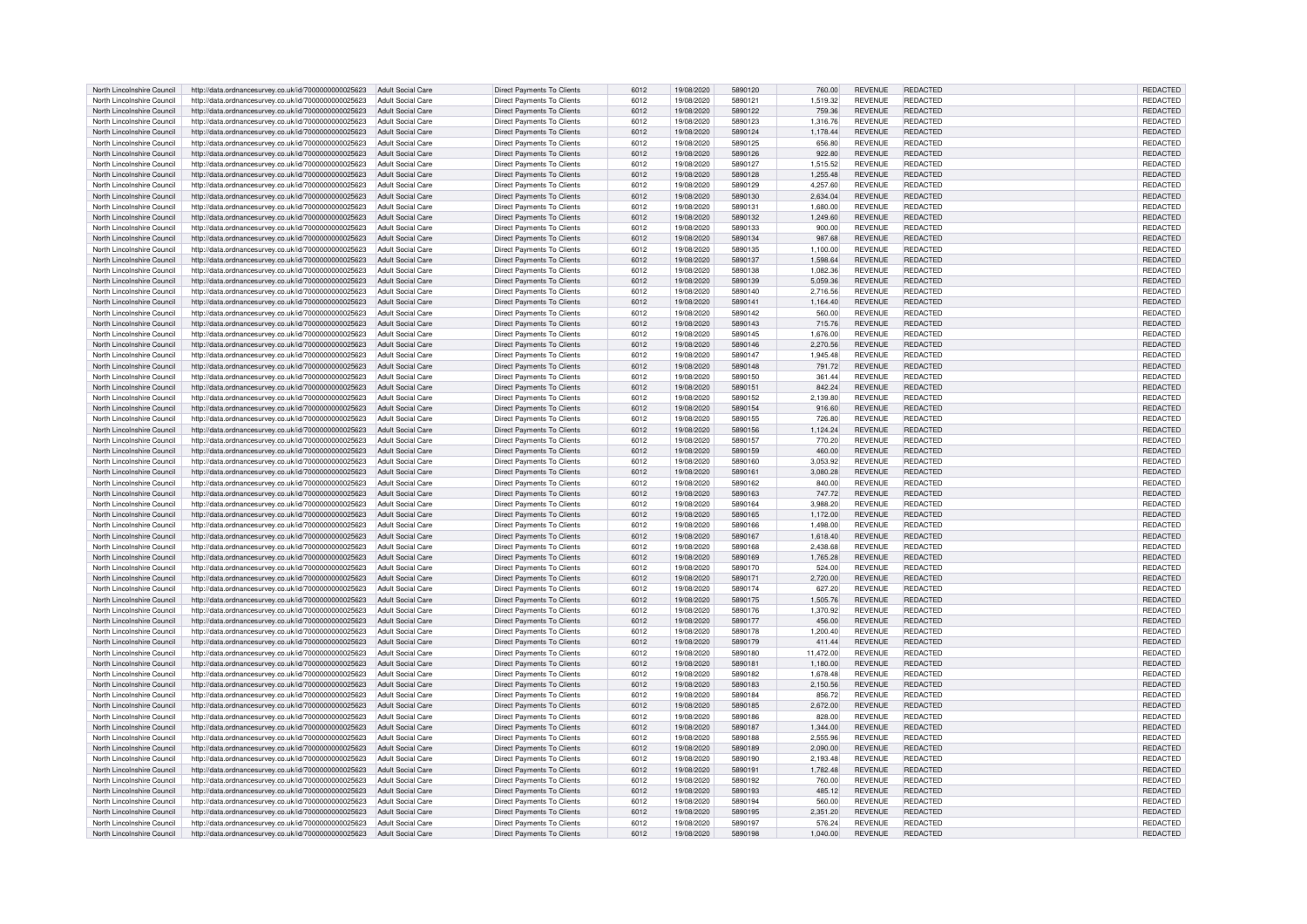| North Lincolnshire Council | http://data.ordnancesurvey.co.uk/id/7000000000025623                   | Adult Social Care        | <b>Direct Payments To Clients</b> | 6012 | 19/08/2020 | 5890120 | 760.00    | <b>REVENUE</b> | REDACTED        | REDACTED        |
|----------------------------|------------------------------------------------------------------------|--------------------------|-----------------------------------|------|------------|---------|-----------|----------------|-----------------|-----------------|
| North Lincolnshire Council | http://data.ordnancesurvey.co.uk/id/7000000000025623                   | Adult Social Care        | <b>Direct Payments To Clients</b> | 6012 | 19/08/2020 | 5890121 | 1.519.32  | <b>REVENUE</b> | REDACTED        | <b>REDACTED</b> |
| North Lincolnshire Council | http://data.ordnancesurvey.co.uk/id/7000000000025623                   | Adult Social Care        | Direct Payments To Clients        | 6012 | 19/08/2020 | 5890122 | 759.36    | <b>REVENUE</b> | <b>REDACTED</b> | REDACTED        |
|                            |                                                                        |                          |                                   |      |            |         |           |                |                 |                 |
| North Lincolnshire Council | http://data.ordnancesurvey.co.uk/id/7000000000025623                   | <b>Adult Social Care</b> | <b>Direct Payments To Clients</b> | 6012 | 19/08/2020 | 5890123 | 1,316.76  | <b>REVENUE</b> | REDACTED        | REDACTED        |
| North Lincolnshire Council | http://data.ordnancesurvey.co.uk/id/7000000000025623                   | <b>Adult Social Care</b> | Direct Payments To Clients        | 6012 | 19/08/2020 | 5890124 | 1,178.44  | <b>REVENUE</b> | REDACTED        | REDACTED        |
| North Lincolnshire Council | http://data.ordnancesurvey.co.uk/id/7000000000025623                   | <b>Adult Social Care</b> | <b>Direct Payments To Clients</b> | 6012 | 19/08/2020 | 5890125 | 656.80    | <b>REVENUE</b> | REDACTED        | REDACTED        |
| North Lincolnshire Council | http://data.ordnancesurvey.co.uk/id/7000000000025623                   | <b>Adult Social Care</b> | <b>Direct Payments To Clients</b> | 6012 | 19/08/2020 | 5890126 | 922.80    | <b>REVENUE</b> | REDACTED        | REDACTED        |
| North Lincolnshire Council | http://data.ordnancesurvey.co.uk/id/7000000000025623                   | <b>Adult Social Care</b> | Direct Payments To Clients        | 6012 | 19/08/2020 | 5890127 | 1.515.52  | <b>REVENUE</b> | REDACTED        | <b>REDACTED</b> |
| North Lincolnshire Council | http://data.ordnancesurvey.co.uk/id/7000000000025623                   | <b>Adult Social Care</b> | Direct Payments To Clients        | 6012 | 19/08/2020 | 5890128 | 1.255.48  | <b>REVENUE</b> | REDACTED        | REDACTED        |
| North Lincolnshire Council | http://data.ordnancesurvey.co.uk/id/7000000000025623                   | Adult Social Care        | Direct Payments To Clients        | 6012 | 19/08/2020 | 5890129 | 4,257.60  | <b>REVENUE</b> | REDACTED        | REDACTED        |
|                            | http://data.ordnancesurvey.co.uk/id/7000000000025623                   | <b>Adult Social Care</b> | <b>Direct Payments To Clients</b> |      | 19/08/2020 | 5890130 | 2,634.04  | <b>REVENUE</b> | REDACTED        | REDACTED        |
| North Lincolnshire Council |                                                                        |                          |                                   | 6012 |            |         |           |                |                 |                 |
| North Lincolnshire Council | http://data.ordnancesurvey.co.uk/id/7000000000025623                   | <b>Adult Social Care</b> | <b>Direct Payments To Clients</b> | 6012 | 19/08/2020 | 589013  | 1,680.00  | <b>REVENUE</b> | REDACTED        | REDACTED        |
| North Lincolnshire Council | http://data.ordnancesurvey.co.uk/id/7000000000025623                   | Adult Social Care        | <b>Direct Payments To Clients</b> | 6012 | 19/08/2020 | 5890132 | 1.249.60  | <b>REVENUE</b> | REDACTED        | REDACTED        |
| North Lincolnshire Council | http://data.ordnancesurvey.co.uk/id/7000000000025623                   | <b>Adult Social Care</b> | Direct Payments To Clients        | 6012 | 19/08/2020 | 5890133 | 900.00    | <b>REVENUE</b> | REDACTED        | REDACTED        |
| North Lincolnshire Council | http://data.ordnancesurvey.co.uk/id/7000000000025623                   | <b>Adult Social Care</b> | Direct Payments To Clients        | 6012 | 19/08/2020 | 5890134 | 987.68    | <b>REVENUE</b> | REDACTED        | REDACTED        |
| North Lincolnshire Council | http://data.ordnancesurvey.co.uk/id/7000000000025623                   | <b>Adult Social Care</b> | <b>Direct Payments To Clients</b> | 6012 | 19/08/2020 | 5890135 | 1,100.00  | REVENUE        | REDACTED        | REDACTED        |
| North Lincolnshire Council | http://data.ordnancesurvey.co.uk/id/7000000000025623                   | <b>Adult Social Care</b> | <b>Direct Payments To Clients</b> | 6012 | 19/08/2020 | 5890137 | 1,598.64  | REVENUE        | <b>REDACTED</b> | REDACTED        |
| North Lincolnshire Council | http://data.ordnancesurvey.co.uk/id/7000000000025623                   | Adult Social Care        | Direct Payments To Clients        | 6012 | 19/08/2020 | 5890138 | 1.082.36  | <b>REVENUE</b> | REDACTED        | REDACTED        |
| North Lincolnshire Council | http://data.ordnancesurvey.co.uk/id/7000000000025623                   | Adult Social Care        | Direct Payments To Clients        | 6012 | 19/08/2020 | 5890139 | 5,059.36  | <b>REVENUE</b> | <b>REDACTED</b> | REDACTED        |
| North Lincolnshire Council | http://data.ordnancesurvey.co.uk/id/7000000000025623                   | Adult Social Care        | Direct Payments To Clients        | 6012 | 19/08/2020 | 5890140 | 2,716.56  |                | REDACTED        | REDACTED        |
|                            |                                                                        |                          |                                   |      |            |         |           | REVENUE        |                 |                 |
| North Lincolnshire Council | http://data.ordnancesurvey.co.uk/id/7000000000025623                   | <b>Adult Social Care</b> | <b>Direct Payments To Clients</b> | 6012 | 19/08/2020 | 5890141 | 1,164.40  | <b>REVENUE</b> | REDACTED        | REDACTED        |
| North Lincolnshire Council | http://data.ordnancesurvey.co.uk/id/7000000000025623                   | Adult Social Care        | Direct Payments To Clients        | 6012 | 19/08/2020 | 5890142 | 560.00    | <b>REVENUE</b> | <b>REDACTED</b> | REDACTED        |
| North Lincolnshire Council | http://data.ordnancesurvey.co.uk/id/7000000000025623                   | <b>Adult Social Care</b> | <b>Direct Payments To Clients</b> | 6012 | 19/08/2020 | 5890143 | 715.76    | <b>REVENUE</b> | REDACTED        | REDACTED        |
| North Lincolnshire Council | http://data.ordnancesurvey.co.uk/id/7000000000025623                   | Adult Social Care        | Direct Payments To Clients        | 6012 | 19/08/2020 | 5890145 | 1,676.00  | <b>REVENUE</b> | REDACTED        | REDACTED        |
| North Lincolnshire Council | http://data.ordnancesurvey.co.uk/id/7000000000025623                   | Adult Social Care        | Direct Payments To Clients        | 6012 | 19/08/2020 | 5890146 | 2,270.56  | <b>REVENUE</b> | REDACTED        | REDACTED        |
| North Lincolnshire Council | http://data.ordnancesurvey.co.uk/id/7000000000025623                   | <b>Adult Social Care</b> | <b>Direct Payments To Clients</b> | 6012 | 19/08/2020 | 5890147 | 1,945.48  | <b>REVENUE</b> | REDACTED        | REDACTED        |
| North Lincolnshire Council | http://data.ordnancesurvey.co.uk/id/7000000000025623                   | Adult Social Care        | <b>Direct Payments To Clients</b> | 6012 | 19/08/2020 | 5890148 | 791.72    | <b>REVENUE</b> | REDACTED        | <b>REDACTED</b> |
| North Lincolnshire Council | http://data.ordnancesurvey.co.uk/id/7000000000025623                   | Adult Social Care        | <b>Direct Payments To Clients</b> | 6012 | 19/08/2020 | 5890150 | 361.44    | <b>REVENUE</b> | REDACTED        | REDACTED        |
|                            |                                                                        |                          |                                   |      |            | 5890151 |           |                |                 | REDACTED        |
| North Lincolnshire Council | http://data.ordnancesurvey.co.uk/id/7000000000025623                   | <b>Adult Social Care</b> | Direct Payments To Clients        | 6012 | 19/08/2020 |         | 842.24    | <b>REVENUE</b> | REDACTED        |                 |
| North Lincolnshire Council | http://data.ordnancesurvey.co.uk/id/7000000000025623                   | Adult Social Care        | Direct Payments To Clients        | 6012 | 19/08/2020 | 5890152 | 2,139.80  | <b>REVENUE</b> | REDACTED        | REDACTED        |
| North Lincolnshire Council | http://data.ordnancesurvey.co.uk/id/7000000000025623                   | Adult Social Care        | <b>Direct Payments To Clients</b> | 6012 | 19/08/2020 | 5890154 | 916.60    | <b>REVENUE</b> | REDACTED        | REDACTED        |
| North Lincolnshire Council | http://data.ordnancesurvey.co.uk/id/7000000000025623                   | <b>Adult Social Care</b> | <b>Direct Payments To Clients</b> | 6012 | 19/08/2020 | 5890155 | 726.80    | <b>REVENUE</b> | REDACTED        | REDACTED        |
| North Lincolnshire Council | http://data.ordnancesurvey.co.uk/id/7000000000025623                   | Adult Social Care        | <b>Direct Payments To Clients</b> | 6012 | 19/08/2020 | 5890156 | 1,124.24  | <b>REVENUE</b> | REDACTED        | REDACTED        |
| North Lincolnshire Council | http://data.ordnancesurvey.co.uk/id/7000000000025623                   | <b>Adult Social Care</b> | Direct Payments To Clients        | 6012 | 19/08/2020 | 5890157 | 770.20    | <b>REVENUE</b> | REDACTED        | REDACTED        |
| North Lincolnshire Council | http://data.ordnancesurvey.co.uk/id/7000000000025623                   | <b>Adult Social Care</b> | Direct Payments To Clients        | 6012 | 19/08/2020 | 5890159 | 460.00    | <b>REVENUE</b> | REDACTED        | REDACTED        |
| North Lincolnshire Council | http://data.ordnancesurvey.co.uk/id/7000000000025623                   | <b>Adult Social Care</b> | Direct Payments To Clients        | 6012 | 19/08/2020 | 5890160 | 3.053.92  | REVENUE        | REDACTED        | REDACTED        |
|                            |                                                                        |                          |                                   |      |            |         |           |                |                 |                 |
| North Lincolnshire Council | http://data.ordnancesurvey.co.uk/id/7000000000025623                   | <b>Adult Social Care</b> | <b>Direct Payments To Clients</b> | 6012 | 19/08/2020 | 5890161 | 3,080.28  | <b>REVENUE</b> | REDACTED        | REDACTED        |
| North Lincolnshire Council | http://data.ordnancesurvey.co.uk/id/7000000000025623                   | Adult Social Care        | <b>Direct Payments To Clients</b> | 6012 | 19/08/2020 | 5890162 | 840.00    | <b>REVENUE</b> | REDACTED        | REDACTED        |
| North Lincolnshire Council | http://data.ordnancesurvey.co.uk/id/7000000000025623                   | <b>Adult Social Care</b> | Direct Payments To Clients        | 6012 | 19/08/2020 | 5890163 | 747.72    | <b>REVENUE</b> | REDACTED        | REDACTED        |
| North Lincolnshire Council | http://data.ordnancesurvey.co.uk/id/7000000000025623                   | <b>Adult Social Care</b> | <b>Direct Payments To Clients</b> | 6012 | 19/08/2020 | 5890164 | 3,988.20  | <b>REVENUE</b> | REDACTED        | REDACTED        |
| North Lincolnshire Council | http://data.ordnancesurvey.co.uk/id/7000000000025623                   | <b>Adult Social Care</b> | <b>Direct Payments To Clients</b> | 6012 | 19/08/2020 | 5890165 | 1.172.00  | REVENUE        | REDACTED        | REDACTED        |
| North Lincolnshire Council | http://data.ordnancesurvey.co.uk/id/7000000000025623                   | Adult Social Care        | <b>Direct Payments To Clients</b> | 6012 | 19/08/2020 | 5890166 | 1,498.00  | <b>REVENUE</b> | <b>REDACTED</b> | REDACTED        |
| North Lincolnshire Council | http://data.ordnancesurvey.co.uk/id/7000000000025623                   | Adult Social Care        | <b>Direct Payments To Clients</b> | 6012 | 19/08/2020 | 5890167 | 1.618.40  | <b>REVENUE</b> | REDACTED        | REDACTED        |
| North Lincolnshire Council | http://data.ordnancesurvey.co.uk/id/7000000000025623                   | Adult Social Care        | <b>Direct Payments To Clients</b> | 6012 | 19/08/2020 | 5890168 | 2,438.68  | <b>REVENUE</b> | REDACTED        | REDACTED        |
| North Lincolnshire Council | http://data.ordnancesurvey.co.uk/id/7000000000025623                   | <b>Adult Social Care</b> | <b>Direct Payments To Clients</b> | 6012 | 19/08/2020 | 5890169 | 1,765.28  | <b>REVENUE</b> | <b>REDACTED</b> | REDACTED        |
|                            |                                                                        |                          |                                   |      |            |         |           |                |                 |                 |
| North Lincolnshire Council | http://data.ordnancesurvey.co.uk/id/7000000000025623                   | <b>Adult Social Care</b> | <b>Direct Payments To Clients</b> | 6012 | 19/08/2020 | 5890170 | 524.00    | <b>REVENUE</b> | REDACTED        | REDACTED        |
| North Lincolnshire Council | http://data.ordnancesurvey.co.uk/id/7000000000025623                   | Adult Social Care        | <b>Direct Payments To Clients</b> | 6012 | 19/08/2020 | 5890171 | 2.720.00  | <b>REVENUE</b> | <b>REDACTED</b> | REDACTED        |
| North Lincolnshire Council | http://data.ordnancesurvey.co.uk/id/7000000000025623                   | Adult Social Care        | <b>Direct Payments To Clients</b> | 6012 | 19/08/2020 | 5890174 | 627.20    | <b>REVENUE</b> | REDACTED        | REDACTED        |
| North Lincolnshire Council | http://data.ordnancesurvey.co.uk/id/7000000000025623                   | <b>Adult Social Care</b> | <b>Direct Payments To Clients</b> | 6012 | 19/08/2020 | 5890175 | 1,505.76  | <b>REVENUE</b> | REDACTED        | REDACTED        |
| North Lincolnshire Council | http://data.ordnancesurvey.co.uk/id/7000000000025623                   | Adult Social Care        | Direct Payments To Clients        | 6012 | 19/08/2020 | 5890176 | 1,370.92  | <b>REVENUE</b> | REDACTED        | REDACTED        |
| North Lincolnshire Council | http://data.ordnancesurvey.co.uk/id/7000000000025623                   | Adult Social Care        | <b>Direct Payments To Clients</b> | 6012 | 19/08/2020 | 5890177 | 456.00    | <b>REVENUE</b> | REDACTED        | REDACTED        |
| North Lincolnshire Council | http://data.ordnancesurvey.co.uk/id/7000000000025623                   | <b>Adult Social Care</b> | <b>Direct Payments To Clients</b> | 6012 | 19/08/2020 | 5890178 | 1,200.40  | <b>REVENUE</b> | REDACTED        | REDACTED        |
| North Lincolnshire Council | http://data.ordnancesurvey.co.uk/id/7000000000025623                   | Adult Social Care        | <b>Direct Payments To Clients</b> | 6012 | 19/08/2020 | 5890179 | 411.44    | <b>REVENUE</b> | REDACTED        | REDACTED        |
| North Lincolnshire Council |                                                                        | <b>Adult Social Care</b> | <b>Direct Payments To Clients</b> | 6012 | 19/08/2020 | 5890180 | 11,472.00 | <b>REVENUE</b> | REDACTED        | REDACTED        |
|                            | http://data.ordnancesurvey.co.uk/id/7000000000025623                   |                          |                                   |      |            |         |           |                |                 |                 |
| North Lincolnshire Council | http://data.ordnancesurvey.co.uk/id/7000000000025623                   | <b>Adult Social Care</b> | Direct Payments To Clients        | 6012 | 19/08/2020 | 5890181 | 1,180.00  | <b>REVENUE</b> | <b>REDACTED</b> | REDACTED        |
| North Lincolnshire Council | http://data.ordnancesurvey.co.uk/id/7000000000025623                   | <b>Adult Social Care</b> | <b>Direct Payments To Clients</b> | 6012 | 19/08/2020 | 5890182 | 1,678.48  | <b>REVENUE</b> | REDACTED        | REDACTED        |
| North Lincolnshire Council | http://data.ordnancesurvey.co.uk/id/7000000000025623                   | <b>Adult Social Care</b> | <b>Direct Payments To Clients</b> | 6012 | 19/08/2020 | 5890183 | 2,150.56  | <b>REVENUE</b> | REDACTED        | REDACTED        |
| North Lincolnshire Council | http://data.ordnancesurvey.co.uk/id/7000000000025623                   | Adult Social Care        | Direct Payments To Clients        | 6012 | 19/08/2020 | 5890184 | 856.72    | <b>REVENUE</b> | REDACTED        | REDACTED        |
| North Lincolnshire Council | http://data.ordnancesurvey.co.uk/id/7000000000025623                   | <b>Adult Social Care</b> | Direct Payments To Clients        | 6012 | 19/08/2020 | 5890185 | 2,672.00  | <b>REVENUE</b> | <b>REDACTED</b> | REDACTED        |
| North Lincolnshire Council | http://data.ordnancesurvey.co.uk/id/7000000000025623                   | <b>Adult Social Care</b> | Direct Payments To Clients        | 6012 | 19/08/2020 | 5890186 | 828.00    | <b>REVENUE</b> | REDACTED        | REDACTED        |
| North Lincolnshire Council | http://data.ordnancesurvey.co.uk/id/7000000000025623                   | <b>Adult Social Care</b> | <b>Direct Payments To Clients</b> | 6012 | 19/08/2020 | 5890187 | 1.344.00  | <b>REVENUE</b> | REDACTED        | REDACTED        |
| North Lincolnshire Council | http://data.ordnancesurvey.co.uk/id/7000000000025623                   | <b>Adult Social Care</b> | <b>Direct Payments To Clients</b> | 6012 | 19/08/2020 | 5890188 | 2,555.96  | <b>REVENUE</b> | REDACTED        | REDACTED        |
| North Lincolnshire Council | http://data.ordnancesurvey.co.uk/id/7000000000025623                   | <b>Adult Social Care</b> | <b>Direct Payments To Clients</b> | 6012 | 19/08/2020 | 5890189 | 2.090.00  | <b>REVENUE</b> | REDACTED        | <b>REDACTED</b> |
|                            |                                                                        |                          |                                   |      |            |         |           |                |                 |                 |
| North Lincolnshire Council | http://data.ordnancesurvey.co.uk/id/7000000000025623                   | <b>Adult Social Care</b> | Direct Payments To Clients        | 6012 | 19/08/2020 | 5890190 | 2,193.48  | <b>REVENUE</b> | REDACTED        | REDACTED        |
| North Lincolnshire Council | http://data.ordnancesurvey.co.uk/id/7000000000025623                   | <b>Adult Social Care</b> | <b>Direct Payments To Clients</b> | 6012 | 19/08/2020 | 5890191 | 1,782.48  | <b>REVENUE</b> | REDACTED        | REDACTED        |
| North Lincolnshire Council | http://data.ordnancesurvey.co.uk/id/7000000000025623                   | <b>Adult Social Care</b> | <b>Direct Payments To Clients</b> | 6012 | 19/08/2020 | 5890192 | 760.00    | <b>REVENUE</b> | REDACTED        | REDACTED        |
| North Lincolnshire Council | http://data.ordnancesurvey.co.uk/id/7000000000025623                   | <b>Adult Social Care</b> | <b>Direct Payments To Clients</b> | 6012 | 19/08/2020 | 5890193 | 485.12    | <b>REVENUE</b> | <b>REDACTED</b> | REDACTED        |
| North Lincolnshire Council | http://data.ordnancesurvey.co.uk/id/7000000000025623                   | <b>Adult Social Care</b> | <b>Direct Payments To Clients</b> | 6012 | 19/08/2020 | 5890194 | 560.00    | <b>REVENUE</b> | REDACTED        | REDACTED        |
| North Lincolnshire Council | http://data.ordnancesurvey.co.uk/id/7000000000025623                   | <b>Adult Social Care</b> | <b>Direct Payments To Clients</b> | 6012 | 19/08/2020 | 5890195 | 2.351.20  | <b>REVENUE</b> | REDACTED        | REDACTED        |
| North Lincolnshire Council | http://data.ordnancesurvey.co.uk/id/7000000000025623                   | Adult Social Care        | Direct Payments To Clients        | 6012 | 19/08/2020 | 5890197 | 576.24    | <b>REVENUE</b> | REDACTED        | REDACTED        |
| North Lincolnshire Council | http://data.ordnancesurvey.co.uk/id/7000000000025623 Adult Social Care |                          | <b>Direct Payments To Clients</b> | 6012 | 19/08/2020 | 5890198 | 1,040.00  | <b>REVENUE</b> | <b>REDACTED</b> | REDACTED        |
|                            |                                                                        |                          |                                   |      |            |         |           |                |                 |                 |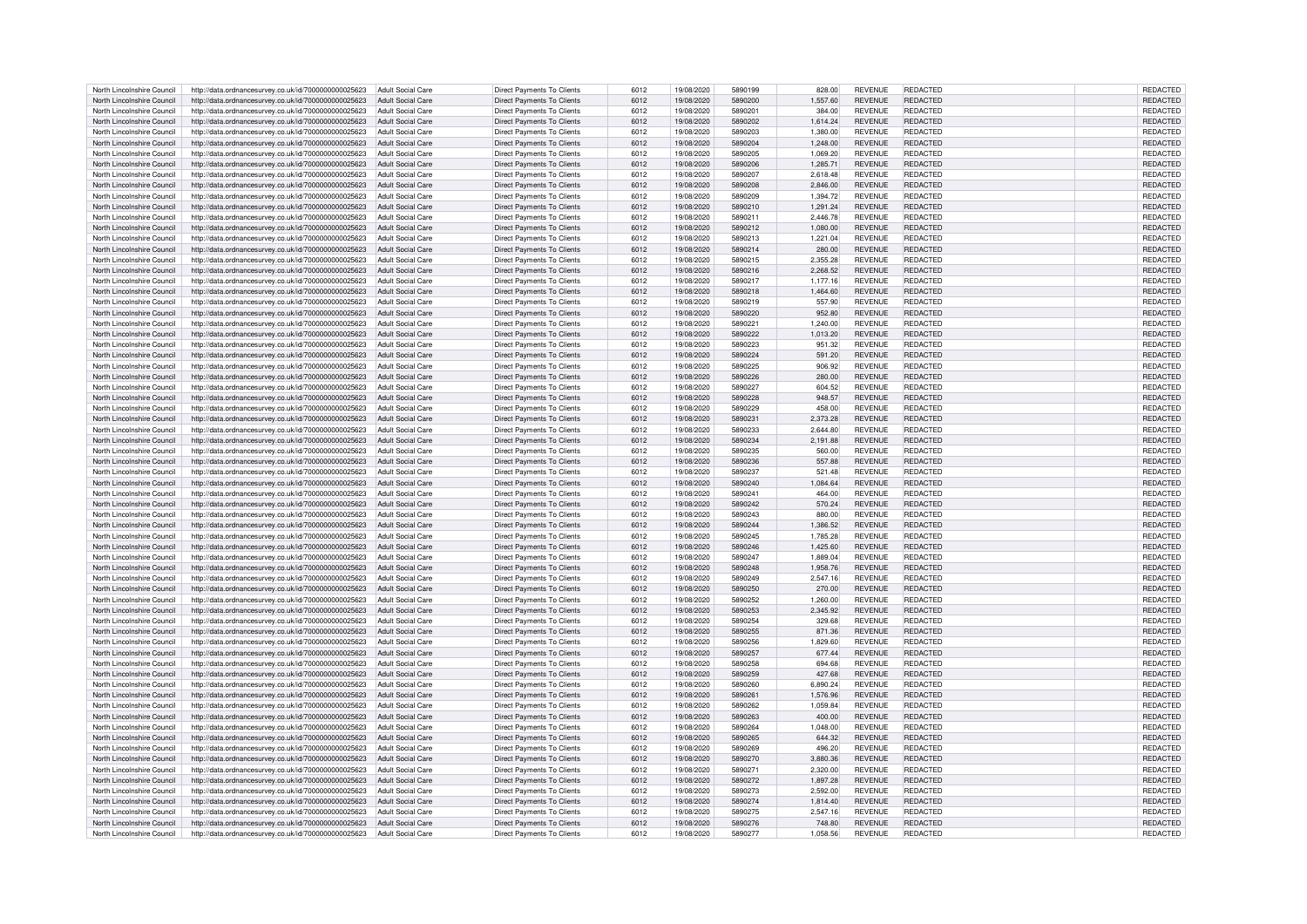| North Lincolnshire Council | http://data.ordnancesurvey.co.uk/id/7000000000025623                   | Adult Social Care        | <b>Direct Payments To Clients</b> | 6012 | 19/08/2020 | 5890199 | 828.00   | <b>REVENUE</b> | REDACTED        | REDACTED        |
|----------------------------|------------------------------------------------------------------------|--------------------------|-----------------------------------|------|------------|---------|----------|----------------|-----------------|-----------------|
| North Lincolnshire Council | http://data.ordnancesurvey.co.uk/id/7000000000025623                   | Adult Social Care        | <b>Direct Payments To Clients</b> | 6012 | 19/08/2020 | 5890200 | 1.557.60 | <b>REVENUE</b> | <b>REDACTED</b> | <b>REDACTED</b> |
| North Lincolnshire Council | http://data.ordnancesurvey.co.uk/id/7000000000025623                   | Adult Social Care        | <b>Direct Payments To Clients</b> | 6012 | 19/08/2020 | 5890201 | 384.00   | <b>REVENUE</b> | REDACTED        | REDACTED        |
|                            |                                                                        |                          |                                   |      |            |         |          |                |                 |                 |
| North Lincolnshire Council | http://data.ordnancesurvey.co.uk/id/7000000000025623                   | Adult Social Care        | Direct Payments To Clients        | 6012 | 19/08/2020 | 5890202 | 1,614.24 | <b>REVENUE</b> | REDACTED        | REDACTED        |
| North Lincolnshire Council | http://data.ordnancesurvey.co.uk/id/7000000000025623                   | Adult Social Care        | Direct Payments To Clients        | 6012 | 19/08/2020 | 5890203 | 1.380.00 | <b>REVENUE</b> | REDACTED        | REDACTED        |
| North Lincolnshire Council | http://data.ordnancesurvey.co.uk/id/7000000000025623                   | <b>Adult Social Care</b> | <b>Direct Payments To Clients</b> | 6012 | 19/08/2020 | 5890204 | 1,248.00 | <b>REVENUE</b> | <b>REDACTED</b> | REDACTED        |
| North Lincolnshire Council | http://data.ordnancesurvey.co.uk/id/7000000000025623                   | <b>Adult Social Care</b> | <b>Direct Payments To Clients</b> | 6012 | 19/08/2020 | 5890205 | 1,069.20 | <b>REVENUE</b> | REDACTED        | REDACTED        |
| North Lincolnshire Council | http://data.ordnancesurvey.co.uk/id/7000000000025623                   | <b>Adult Social Care</b> | <b>Direct Payments To Clients</b> | 6012 | 19/08/2020 | 5890206 | 1.285.71 | <b>REVENUE</b> | REDACTED        | <b>REDACTED</b> |
| North Lincolnshire Council | http://data.ordnancesurvey.co.uk/id/7000000000025623                   | Adult Social Care        | Direct Payments To Clients        | 6012 | 19/08/2020 | 5890207 | 2.618.48 | <b>REVENUE</b> | <b>REDACTED</b> | REDACTED        |
| North Lincolnshire Council | http://data.ordnancesurvey.co.uk/id/7000000000025623                   | <b>Adult Social Care</b> | Direct Payments To Clients        | 6012 | 19/08/2020 | 5890208 | 2,846.00 | <b>REVENUE</b> | REDACTED        | REDACTED        |
|                            | http://data.ordnancesurvey.co.uk/id/7000000000025623                   | Adult Social Care        | <b>Direct Payments To Clients</b> |      |            | 5890209 |          | REVENUE        | REDACTED        | <b>REDACTED</b> |
| North Lincolnshire Council |                                                                        |                          |                                   | 6012 | 19/08/2020 |         | 1,394.72 |                |                 |                 |
| North Lincolnshire Council | http://data.ordnancesurvey.co.uk/id/7000000000025623                   | <b>Adult Social Care</b> | <b>Direct Payments To Clients</b> | 6012 | 19/08/2020 | 5890210 | 1,291.24 | <b>REVENUE</b> | REDACTED        | REDACTED        |
| North Lincolnshire Council | http://data.ordnancesurvey.co.uk/id/7000000000025623                   | Adult Social Care        | Direct Payments To Clients        | 6012 | 19/08/2020 | 5890211 | 2.446.78 | <b>REVENUE</b> | REDACTED        | REDACTED        |
| North Lincolnshire Council | http://data.ordnancesurvey.co.uk/id/7000000000025623                   | <b>Adult Social Care</b> | Direct Payments To Clients        | 6012 | 19/08/2020 | 5890212 | 1,080.00 | REVENUE        | REDACTED        | REDACTED        |
| North Lincolnshire Council | http://data.ordnancesurvey.co.uk/id/7000000000025623                   | Adult Social Care        | Direct Payments To Clients        | 6012 | 19/08/2020 | 5890213 | 1,221.04 | <b>REVENUE</b> | REDACTED        | REDACTED        |
| North Lincolnshire Council | http://data.ordnancesurvey.co.uk/id/7000000000025623                   | <b>Adult Social Care</b> | Direct Payments To Clients        | 6012 | 19/08/2020 | 5890214 | 280.00   | REVENUE        | REDACTED        | REDACTED        |
| North Lincolnshire Council | http://data.ordnancesurvey.co.uk/id/7000000000025623                   | <b>Adult Social Care</b> | <b>Direct Payments To Clients</b> | 6012 | 19/08/2020 | 5890215 | 2,355.28 | REVENUE        | <b>REDACTED</b> | REDACTED        |
| North Lincolnshire Council | http://data.ordnancesurvey.co.uk/id/7000000000025623                   | <b>Adult Social Care</b> | <b>Direct Payments To Clients</b> | 6012 | 19/08/2020 | 5890216 | 2.268.52 | <b>REVENUE</b> | <b>REDACTED</b> | <b>REDACTED</b> |
| North Lincolnshire Council | http://data.ordnancesurvey.co.uk/id/7000000000025623                   | <b>Adult Social Care</b> | <b>Direct Payments To Clients</b> | 6012 | 19/08/2020 | 5890217 | 1,177.16 | <b>REVENUE</b> | <b>REDACTED</b> | REDACTED        |
| North Lincolnshire Council | http://data.ordnancesurvey.co.uk/id/7000000000025623                   | <b>Adult Social Care</b> | <b>Direct Payments To Clients</b> | 6012 | 19/08/2020 | 5890218 | 1,464.60 | REVENUE        | <b>REDACTED</b> | REDACTED        |
|                            |                                                                        |                          |                                   |      |            |         |          |                |                 |                 |
| North Lincolnshire Council | http://data.ordnancesurvey.co.uk/id/7000000000025623                   | Adult Social Care        | <b>Direct Payments To Clients</b> | 6012 | 19/08/2020 | 5890219 | 557.90   | REVENUE        | REDACTED        | REDACTED        |
| North Lincolnshire Council | http://data.ordnancesurvey.co.uk/id/7000000000025623                   | Adult Social Care        | <b>Direct Payments To Clients</b> | 6012 | 19/08/2020 | 5890220 | 952.80   | REVENUE        | <b>REDACTED</b> | REDACTED        |
| North Lincolnshire Council | http://data.ordnancesurvey.co.uk/id/7000000000025623                   | <b>Adult Social Care</b> | Direct Payments To Clients        | 6012 | 19/08/2020 | 5890221 | 1,240.00 | <b>REVENUE</b> | REDACTED        | REDACTED        |
| North Lincolnshire Council | http://data.ordnancesurvey.co.uk/id/7000000000025623                   | <b>Adult Social Care</b> | Direct Payments To Clients        | 6012 | 19/08/2020 | 5890222 | 1,013.20 | <b>REVENUE</b> | REDACTED        | REDACTED        |
| North Lincolnshire Council | http://data.ordnancesurvey.co.uk/id/7000000000025623                   | Adult Social Care        | Direct Payments To Clients        | 6012 | 19/08/2020 | 5890223 | 951.32   | <b>REVENUE</b> | <b>REDACTED</b> | REDACTED        |
| North Lincolnshire Council | http://data.ordnancesurvey.co.uk/id/7000000000025623                   | <b>Adult Social Care</b> | <b>Direct Payments To Clients</b> | 6012 | 19/08/2020 | 5890224 | 591.20   | REVENUE        | <b>REDACTED</b> | REDACTED        |
| North Lincolnshire Council | http://data.ordnancesurvey.co.uk/id/7000000000025623                   | Adult Social Care        | Direct Payments To Clients        | 6012 | 19/08/2020 | 5890225 | 906.92   | <b>REVENUE</b> | <b>REDACTED</b> | REDACTED        |
| North Lincolnshire Council | http://data.ordnancesurvey.co.uk/id/7000000000025623                   | Adult Social Care        | <b>Direct Payments To Clients</b> | 6012 | 19/08/2020 | 5890226 | 280.00   | <b>REVENUE</b> | <b>REDACTED</b> | REDACTED        |
|                            |                                                                        |                          |                                   |      |            |         |          |                |                 |                 |
| North Lincolnshire Council | http://data.ordnancesurvey.co.uk/id/7000000000025623                   | Adult Social Care        | <b>Direct Payments To Clients</b> | 6012 | 19/08/2020 | 5890227 | 604.52   | <b>REVENUE</b> | REDACTED        | REDACTED        |
| North Lincolnshire Council | http://data.ordnancesurvey.co.uk/id/7000000000025623                   | <b>Adult Social Care</b> | Direct Payments To Clients        | 6012 | 19/08/2020 | 5890228 | 948.57   | <b>REVENUE</b> | <b>REDACTED</b> | REDACTED        |
| North Lincolnshire Council | http://data.ordnancesurvey.co.uk/id/7000000000025623                   | Adult Social Care        | <b>Direct Payments To Clients</b> | 6012 | 19/08/2020 | 5890229 | 458.00   | <b>REVENUE</b> | REDACTED        | REDACTED        |
| North Lincolnshire Council | http://data.ordnancesurvey.co.uk/id/7000000000025623                   | Adult Social Care        | <b>Direct Payments To Clients</b> | 6012 | 19/08/2020 | 5890231 | 2,373.28 | <b>REVENUE</b> | REDACTED        | REDACTED        |
| North Lincolnshire Council | http://data.ordnancesurvey.co.uk/id/7000000000025623                   | Adult Social Care        | Direct Payments To Clients        | 6012 | 19/08/2020 | 5890233 | 2,644.80 | <b>REVENUE</b> | <b>REDACTED</b> | REDACTED        |
| North Lincolnshire Council | http://data.ordnancesurvey.co.uk/id/7000000000025623                   | <b>Adult Social Care</b> | Direct Payments To Clients        | 6012 | 19/08/2020 | 5890234 | 2,191.88 | REVENUE        | <b>REDACTED</b> | REDACTED        |
| North Lincolnshire Council | http://data.ordnancesurvey.co.uk/id/7000000000025623                   | <b>Adult Social Care</b> | Direct Payments To Clients        | 6012 | 19/08/2020 | 5890235 | 560.00   | REVENUE        | REDACTED        | REDACTED        |
|                            |                                                                        |                          |                                   |      |            | 5890236 | 557.88   |                | <b>REDACTED</b> |                 |
| North Lincolnshire Council | http://data.ordnancesurvey.co.uk/id/7000000000025623                   | <b>Adult Social Care</b> | Direct Payments To Clients        | 6012 | 19/08/2020 |         |          | REVENUE        |                 | REDACTED        |
| North Lincolnshire Council | http://data.ordnancesurvey.co.uk/id/7000000000025623                   | <b>Adult Social Care</b> | <b>Direct Payments To Clients</b> | 6012 | 19/08/2020 | 5890237 | 521.48   | <b>REVENUE</b> | REDACTED        | REDACTED        |
| North Lincolnshire Council | http://data.ordnancesurvey.co.uk/id/7000000000025623                   | Adult Social Care        | <b>Direct Payments To Clients</b> | 6012 | 19/08/2020 | 5890240 | 1.084.64 | <b>REVENUE</b> | REDACTED        | REDACTED        |
| North Lincolnshire Council | http://data.ordnancesurvey.co.uk/id/7000000000025623                   | <b>Adult Social Care</b> | Direct Payments To Clients        | 6012 | 19/08/2020 | 5890241 | 464.00   | <b>REVENUE</b> | REDACTED        | REDACTED        |
| North Lincolnshire Council | http://data.ordnancesurvey.co.uk/id/7000000000025623                   | <b>Adult Social Care</b> | <b>Direct Payments To Clients</b> | 6012 | 19/08/2020 | 5890242 | 570.24   | REVENUE        | REDACTED        | REDACTED        |
| North Lincolnshire Council | http://data.ordnancesurvey.co.uk/id/7000000000025623                   | Adult Social Care        | <b>Direct Payments To Clients</b> | 6012 | 19/08/2020 | 5890243 | 880.00   | REVENUE        | REDACTED        | REDACTED        |
| North Lincolnshire Council | http://data.ordnancesurvey.co.uk/id/7000000000025623                   | <b>Adult Social Care</b> | <b>Direct Payments To Clients</b> | 6012 | 19/08/2020 | 5890244 | 1,386.52 | REVENUE        | REDACTED        | REDACTED        |
| North Lincolnshire Council | http://data.ordnancesurvey.co.uk/id/7000000000025623                   | Adult Social Care        | Direct Payments To Clients        | 6012 | 19/08/2020 | 5890245 | 1,785.28 | <b>REVENUE</b> | <b>REDACTED</b> | REDACTED        |
| North Lincolnshire Council | http://data.ordnancesurvey.co.uk/id/7000000000025623                   | <b>Adult Social Care</b> | Direct Payments To Clients        | 6012 | 19/08/2020 | 5890246 | 1,425.60 | REVENUE        | <b>REDACTED</b> | REDACTED        |
| North Lincolnshire Council | http://data.ordnancesurvey.co.uk/id/7000000000025623                   | <b>Adult Social Care</b> | Direct Payments To Clients        | 6012 | 19/08/2020 | 5890247 | 1,889.04 | <b>REVENUE</b> | <b>REDACTED</b> | REDACTED        |
|                            |                                                                        |                          |                                   |      |            |         |          |                |                 |                 |
| North Lincolnshire Council | http://data.ordnancesurvey.co.uk/id/7000000000025623                   | <b>Adult Social Care</b> | <b>Direct Payments To Clients</b> | 6012 | 19/08/2020 | 5890248 | 1,958.76 | REVENUE        | <b>REDACTED</b> | REDACTED        |
| North Lincolnshire Council | http://data.ordnancesurvey.co.uk/id/7000000000025623                   | Adult Social Care        | <b>Direct Payments To Clients</b> | 6012 | 19/08/2020 | 5890249 | 2,547.16 | <b>REVENUE</b> | <b>REDACTED</b> | REDACTED        |
| North Lincolnshire Council | http://data.ordnancesurvey.co.uk/id/7000000000025623                   | <b>Adult Social Care</b> | <b>Direct Payments To Clients</b> | 6012 | 19/08/2020 | 5890250 | 270.00   | <b>REVENUE</b> | <b>REDACTED</b> | REDACTED        |
| North Lincolnshire Council | http://data.ordnancesurvey.co.uk/id/7000000000025623                   | Adult Social Care        | Direct Payments To Clients        | 6012 | 19/08/2020 | 5890252 | 1,260.00 | <b>REVENUE</b> | REDACTED        | REDACTED        |
| North Lincolnshire Council | http://data.ordnancesurvey.co.uk/id/7000000000025623                   | Adult Social Care        | Direct Payments To Clients        | 6012 | 19/08/2020 | 5890253 | 2,345.92 | <b>REVENUE</b> | <b>REDACTED</b> | REDACTED        |
| North Lincolnshire Council | http://data.ordnancesurvey.co.uk/id/7000000000025623                   | Adult Social Care        | <b>Direct Payments To Clients</b> | 6012 | 19/08/2020 | 5890254 | 329.68   | <b>REVENUE</b> | REDACTED        | REDACTED        |
| North Lincolnshire Council | http://data.ordnancesurvey.co.uk/id/7000000000025623                   | Adult Social Care        | <b>Direct Payments To Clients</b> | 6012 | 19/08/2020 | 5890255 | 871.36   | <b>REVENUE</b> | REDACTED        | REDACTED        |
| North Lincolnshire Council | http://data.ordnancesurvey.co.uk/id/7000000000025623                   | Adult Social Care        | Direct Payments To Clients        | 6012 | 19/08/2020 | 5890256 | 1,829.60 | <b>REVENUE</b> | <b>REDACTED</b> | REDACTED        |
| North Lincolnshire Council | http://data.ordnancesurvey.co.uk/id/7000000000025623                   | <b>Adult Social Care</b> | <b>Direct Payments To Clients</b> | 6012 | 19/08/2020 | 5890257 | 677.44   | <b>REVENUE</b> | REDACTED        | REDACTED        |
| North Lincolnshire Council | http://data.ordnancesurvey.co.uk/id/7000000000025623                   | <b>Adult Social Care</b> | Direct Payments To Clients        | 6012 | 19/08/2020 | 5890258 | 694.68   | <b>REVENUE</b> | REDACTED        | REDACTED        |
|                            |                                                                        |                          |                                   |      |            |         |          |                |                 |                 |
| North Lincolnshire Council | http://data.ordnancesurvey.co.uk/id/7000000000025623                   | <b>Adult Social Care</b> | <b>Direct Payments To Clients</b> | 6012 | 19/08/2020 | 5890259 | 427.68   | REVENUE        | REDACTED        | REDACTED        |
| North Lincolnshire Council | http://data.ordnancesurvey.co.uk/id/7000000000025623                   | <b>Adult Social Care</b> | <b>Direct Payments To Clients</b> | 6012 | 19/08/2020 | 5890260 | 6,890.24 | REVENUE        | REDACTED        | REDACTED        |
| North Lincolnshire Council | http://data.ordnancesurvey.co.uk/id/7000000000025623                   | Adult Social Care        | <b>Direct Payments To Clients</b> | 6012 | 19/08/2020 | 5890261 | 1,576.96 | <b>REVENUE</b> | REDACTED        | <b>REDACTED</b> |
| North Lincolnshire Council | http://data.ordnancesurvey.co.uk/id/7000000000025623                   | <b>Adult Social Care</b> | Direct Payments To Clients        | 6012 | 19/08/2020 | 5890262 | 1,059.84 | REVENUE        | <b>REDACTED</b> | REDACTED        |
| North Lincolnshire Council | http://data.ordnancesurvey.co.uk/id/7000000000025623                   | <b>Adult Social Care</b> | Direct Payments To Clients        | 6012 | 19/08/2020 | 5890263 | 400.00   | <b>REVENUE</b> | REDACTED        | REDACTED        |
| North Lincolnshire Council | http://data.ordnancesurvey.co.uk/id/7000000000025623                   | Adult Social Care        | Direct Payments To Clients        | 6012 | 19/08/2020 | 5890264 | 1,048.00 | <b>REVENUE</b> | REDACTED        | REDACTED        |
| North Lincolnshire Council | http://data.ordnancesurvey.co.uk/id/7000000000025623                   | <b>Adult Social Care</b> | <b>Direct Payments To Clients</b> | 6012 | 19/08/2020 | 5890265 | 644.32   | REVENUE        | REDACTED        | REDACTED        |
| North Lincolnshire Council | http://data.ordnancesurvey.co.uk/id/7000000000025623                   | Adult Social Care        | Direct Payments To Clients        | 6012 | 19/08/2020 | 5890269 | 496.20   | <b>REVENUE</b> | <b>REDACTED</b> | <b>REDACTED</b> |
| North Lincolnshire Council | http://data.ordnancesurvey.co.uk/id/7000000000025623                   | <b>Adult Social Care</b> | Direct Payments To Clients        | 6012 | 19/08/2020 | 5890270 | 3,880.36 | <b>REVENUE</b> | REDACTED        | REDACTED        |
|                            |                                                                        |                          |                                   |      |            |         |          |                |                 |                 |
| North Lincolnshire Council | http://data.ordnancesurvey.co.uk/id/7000000000025623                   | <b>Adult Social Care</b> | <b>Direct Payments To Clients</b> | 6012 | 19/08/2020 | 5890271 | 2,320.00 | <b>REVENUE</b> | REDACTED        | REDACTED        |
| North Lincolnshire Council | http://data.ordnancesurvey.co.uk/id/7000000000025623                   | <b>Adult Social Care</b> | <b>Direct Payments To Clients</b> | 6012 | 19/08/2020 | 5890272 | 1.897.28 | <b>REVENUE</b> | REDACTED        | REDACTED        |
| North Lincolnshire Council | http://data.ordnancesurvey.co.uk/id/7000000000025623                   | <b>Adult Social Care</b> | <b>Direct Payments To Clients</b> | 6012 | 19/08/2020 | 5890273 | 2,592.00 | <b>REVENUE</b> | <b>REDACTED</b> | REDACTED        |
| North Lincolnshire Council | http://data.ordnancesurvey.co.uk/id/7000000000025623                   | <b>Adult Social Care</b> | <b>Direct Payments To Clients</b> | 6012 | 19/08/2020 | 5890274 | 1,814.40 | <b>REVENUE</b> | REDACTED        | REDACTED        |
| North Lincolnshire Council | http://data.ordnancesurvey.co.uk/id/7000000000025623                   | Adult Social Care        | Direct Payments To Clients        | 6012 | 19/08/2020 | 5890275 | 2.547.16 | <b>REVENUE</b> | REDACTED        | REDACTED        |
| North Lincolnshire Council | http://data.ordnancesurvey.co.uk/id/7000000000025623                   | <b>Adult Social Care</b> | Direct Payments To Clients        | 6012 | 19/08/2020 | 5890276 | 748.80   | <b>REVENUE</b> | REDACTED        | REDACTED        |
| North Lincolnshire Council | http://data.ordnancesurvey.co.uk/id/7000000000025623 Adult Social Care |                          | Direct Payments To Clients        | 6012 | 19/08/2020 | 5890277 | 1,058.56 | <b>REVENUE</b> | REDACTED        | REDACTED        |
|                            |                                                                        |                          |                                   |      |            |         |          |                |                 |                 |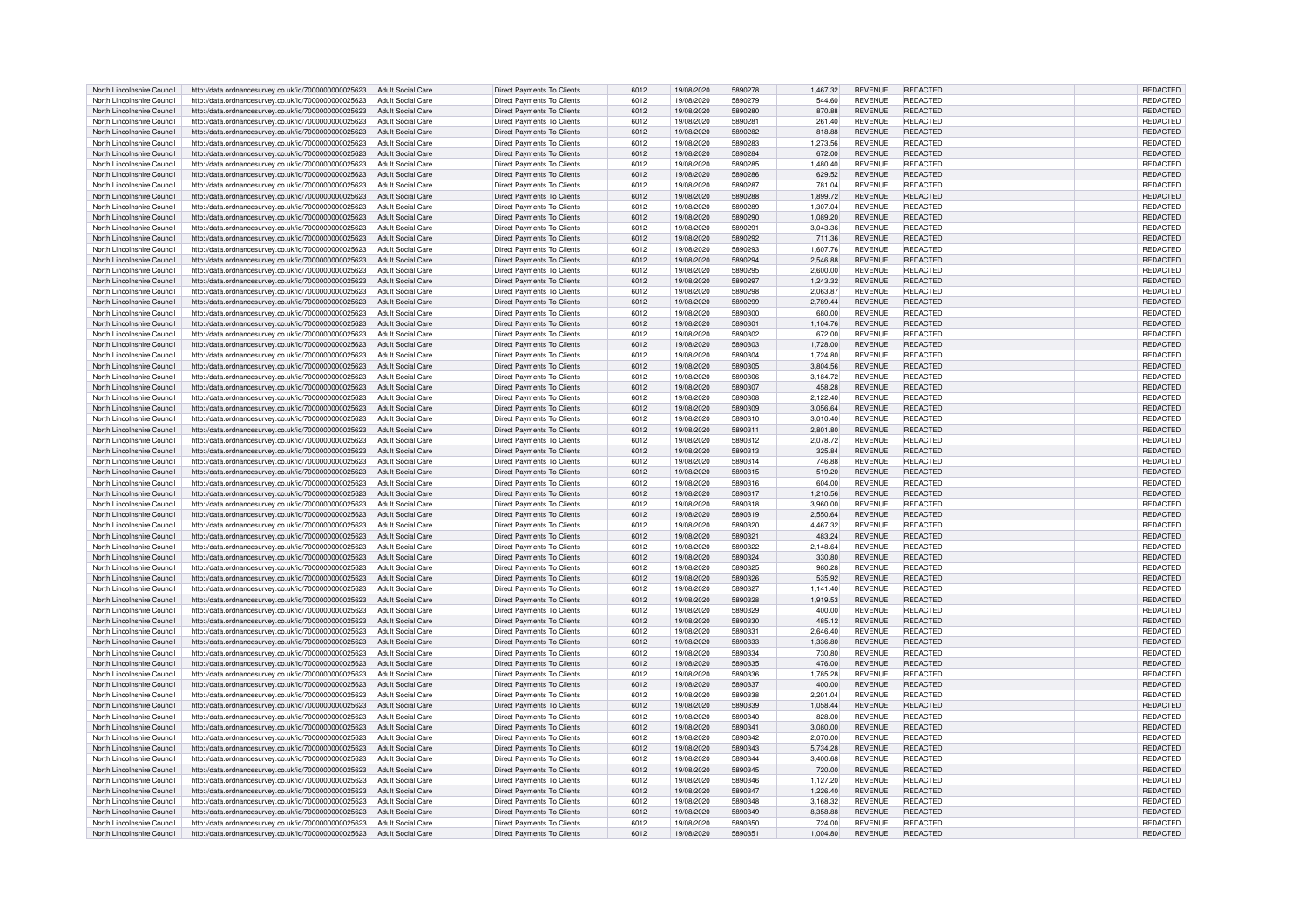| North Lincolnshire Council | http://data.ordnancesurvey.co.uk/id/7000000000025623                  | <b>Adult Social Care</b> | <b>Direct Payments To Clients</b> | 6012 | 19/08/2020 | 5890278 | 1,467.32 | <b>REVENUE</b> | REDACTED        | REDACTED        |
|----------------------------|-----------------------------------------------------------------------|--------------------------|-----------------------------------|------|------------|---------|----------|----------------|-----------------|-----------------|
| North Lincolnshire Council | http://data.ordnancesurvey.co.uk/id/7000000000025623                  | Adult Social Care        | Direct Payments To Clients        | 6012 | 19/08/2020 | 5890279 | 544.60   | <b>REVENUE</b> | REDACTED        | <b>REDACTED</b> |
|                            |                                                                       |                          |                                   |      |            |         |          |                |                 |                 |
| North Lincolnshire Council | http://data.ordnancesurvey.co.uk/id/7000000000025623                  | Adult Social Care        | <b>Direct Payments To Clients</b> | 6012 | 19/08/2020 | 5890280 | 870.88   | <b>REVENUE</b> | <b>REDACTED</b> | <b>REDACTED</b> |
| North Lincolnshire Council | http://data.ordnancesurvey.co.uk/id/7000000000025623                  | <b>Adult Social Care</b> | Direct Payments To Clients        | 6012 | 19/08/2020 | 5890281 | 261.40   | <b>REVENUE</b> | REDACTED        | <b>REDACTED</b> |
| North Lincolnshire Council | http://data.ordnancesurvey.co.uk/id/7000000000025623                  | <b>Adult Social Care</b> | Direct Payments To Clients        | 6012 | 19/08/2020 | 5890282 | 818.88   | <b>REVENUE</b> | REDACTED        | REDACTED        |
| North Lincolnshire Council | http://data.ordnancesurvey.co.uk/id/7000000000025623                  | <b>Adult Social Care</b> | <b>Direct Payments To Clients</b> | 6012 | 19/08/2020 | 5890283 | 1,273.56 | <b>REVENUE</b> | REDACTED        | REDACTED        |
| North Lincolnshire Council | http://data.ordnancesurvey.co.uk/id/7000000000025623                  | <b>Adult Social Care</b> | <b>Direct Payments To Clients</b> | 6012 | 19/08/2020 | 5890284 | 672.00   | <b>REVENUE</b> | REDACTED        | REDACTED        |
| North Lincolnshire Council | http://data.ordnancesurvey.co.uk/id/7000000000025623                  | Adult Social Care        | Direct Payments To Clients        | 6012 | 19/08/2020 | 5890285 | 1.480.40 | <b>REVENUE</b> | REDACTED        | <b>REDACTED</b> |
|                            |                                                                       |                          |                                   |      |            |         |          |                |                 |                 |
| North Lincolnshire Council | http://data.ordnancesurvey.co.uk/id/7000000000025623                  | Adult Social Care        | Direct Payments To Clients        | 6012 | 19/08/2020 | 5890286 | 629.52   | <b>REVENUE</b> | <b>REDACTED</b> | <b>REDACTED</b> |
| North Lincolnshire Council | http://data.ordnancesurvey.co.uk/id/7000000000025623                  | Adult Social Care        | Direct Payments To Clients        | 6012 | 19/08/2020 | 5890287 | 781.04   | <b>REVENUE</b> | REDACTED        | REDACTED        |
| North Lincolnshire Council | http://data.ordnancesurvey.co.uk/id/7000000000025623                  | Adult Social Care        | <b>Direct Payments To Clients</b> | 6012 | 19/08/2020 | 5890288 | 1,899.72 | <b>REVENUE</b> | REDACTED        | <b>REDACTED</b> |
| North Lincolnshire Council | http://data.ordnancesurvey.co.uk/id/7000000000025623                  | <b>Adult Social Care</b> | <b>Direct Payments To Clients</b> | 6012 | 19/08/2020 | 5890289 | 1,307.04 | <b>REVENUE</b> | REDACTED        | REDACTED        |
| North Lincolnshire Council | http://data.ordnancesurvey.co.uk/id/7000000000025623                  | Adult Social Care        | <b>Direct Payments To Clients</b> | 6012 | 19/08/2020 | 5890290 | 1.089.20 | <b>REVENUE</b> | <b>REDACTED</b> | <b>REDACTED</b> |
|                            |                                                                       |                          |                                   |      |            |         |          |                |                 |                 |
| North Lincolnshire Council | http://data.ordnancesurvey.co.uk/id/7000000000025623                  | Adult Social Care        | Direct Payments To Clients        | 6012 | 19/08/2020 | 5890291 | 3,043.36 | <b>REVENUE</b> | REDACTED        | REDACTED        |
| North Lincolnshire Council | http://data.ordnancesurvey.co.uk/id/7000000000025623                  | <b>Adult Social Care</b> | Direct Payments To Clients        | 6012 | 19/08/2020 | 5890292 | 711.36   | <b>REVENUE</b> | <b>REDACTED</b> | REDACTED        |
| North Lincolnshire Council | http://data.ordnancesurvey.co.uk/id/7000000000025623                  | <b>Adult Social Care</b> | Direct Payments To Clients        | 6012 | 19/08/2020 | 5890293 | 1,607.76 | <b>REVENUE</b> | REDACTED        | REDACTED        |
| North Lincolnshire Council | http://data.ordnancesurvey.co.uk/id/7000000000025623                  | <b>Adult Social Care</b> | <b>Direct Payments To Clients</b> | 6012 | 19/08/2020 | 5890294 | 2,546.88 | <b>REVENUE</b> | <b>REDACTED</b> | REDACTED        |
| North Lincolnshire Council | http://data.ordnancesurvey.co.uk/id/7000000000025623                  | Adult Social Care        | Direct Payments To Clients        | 6012 | 19/08/2020 | 5890295 | 2.600.00 | <b>REVENUE</b> | <b>REDACTED</b> | <b>REDACTED</b> |
| North Lincolnshire Council |                                                                       |                          | <b>Direct Payments To Clients</b> |      |            | 5890297 |          |                |                 |                 |
|                            | http://data.ordnancesurvey.co.uk/id/7000000000025623                  | <b>Adult Social Care</b> |                                   | 6012 | 19/08/2020 |         | 1,243.32 | <b>REVENUE</b> | REDACTED        | REDACTED        |
| North Lincolnshire Council | http://data.ordnancesurvey.co.uk/id/7000000000025623                  | <b>Adult Social Care</b> | <b>Direct Payments To Clients</b> | 6012 | 19/08/2020 | 5890298 | 2,063.87 | <b>REVENUE</b> | REDACTED        | REDACTED        |
| North Lincolnshire Council | http://data.ordnancesurvey.co.uk/id/7000000000025623                  | <b>Adult Social Care</b> | <b>Direct Payments To Clients</b> | 6012 | 19/08/2020 | 5890299 | 2,789.44 | <b>REVENUE</b> | REDACTED        | REDACTED        |
| North Lincolnshire Council | http://data.ordnancesurvey.co.uk/id/7000000000025623                  | Adult Social Care        | <b>Direct Payments To Clients</b> | 6012 | 19/08/2020 | 5890300 | 680.00   | <b>REVENUE</b> | REDACTED        | REDACTED        |
| North Lincolnshire Council | http://data.ordnancesurvey.co.uk/id/7000000000025623                  | <b>Adult Social Care</b> | <b>Direct Payments To Clients</b> | 6012 | 19/08/2020 | 5890301 | 1,104.76 | <b>REVENUE</b> | REDACTED        | REDACTED        |
|                            |                                                                       |                          |                                   |      |            | 5890302 |          |                |                 |                 |
| North Lincolnshire Council | http://data.ordnancesurvey.co.uk/id/7000000000025623                  | <b>Adult Social Care</b> | Direct Payments To Clients        | 6012 | 19/08/2020 |         | 672.00   | <b>REVENUE</b> | REDACTED        | REDACTED        |
| North Lincolnshire Council | http://data.ordnancesurvey.co.uk/id/7000000000025623                  | Adult Social Care        | Direct Payments To Clients        | 6012 | 19/08/2020 | 5890303 | 1,728.00 | <b>REVENUE</b> | <b>REDACTED</b> | REDACTED        |
| North Lincolnshire Council | http://data.ordnancesurvey.co.uk/id/7000000000025623                  | <b>Adult Social Care</b> | <b>Direct Payments To Clients</b> | 6012 | 19/08/2020 | 5890304 | 1,724.80 | <b>REVENUE</b> | REDACTED        | REDACTED        |
| North Lincolnshire Council | http://data.ordnancesurvey.co.uk/id/7000000000025623                  | Adult Social Care        | <b>Direct Payments To Clients</b> | 6012 | 19/08/2020 | 5890305 | 3.804.56 | <b>REVENUE</b> | <b>REDACTED</b> | <b>REDACTED</b> |
| North Lincolnshire Council | http://data.ordnancesurvey.co.uk/id/7000000000025623                  | Adult Social Care        | Direct Payments To Clients        | 6012 | 19/08/2020 | 5890306 | 3.184.72 | <b>REVENUE</b> | <b>REDACTED</b> | <b>REDACTED</b> |
|                            | http://data.ordnancesurvey.co.uk/id/7000000000025623                  | Adult Social Care        | <b>Direct Payments To Clients</b> | 6012 | 19/08/2020 | 5890307 | 458.28   | <b>REVENUE</b> | <b>REDACTED</b> | <b>REDACTED</b> |
| North Lincolnshire Council |                                                                       |                          |                                   |      |            |         |          |                |                 |                 |
| North Lincolnshire Council | http://data.ordnancesurvey.co.uk/id/7000000000025623                  | Adult Social Care        | Direct Payments To Clients        | 6012 | 19/08/2020 | 5890308 | 2,122.40 | <b>REVENUE</b> | REDACTED        | REDACTED        |
| North Lincolnshire Council | http://data.ordnancesurvey.co.uk/id/7000000000025623                  | Adult Social Care        | <b>Direct Payments To Clients</b> | 6012 | 19/08/2020 | 5890309 | 3,056.64 | <b>REVENUE</b> | REDACTED        | REDACTED        |
| North Lincolnshire Council | http://data.ordnancesurvey.co.uk/id/7000000000025623                  | Adult Social Care        | <b>Direct Payments To Clients</b> | 6012 | 19/08/2020 | 5890310 | 3,010.40 | <b>REVENUE</b> | REDACTED        | REDACTED        |
| North Lincolnshire Council | http://data.ordnancesurvey.co.uk/id/7000000000025623                  | Adult Social Care        | <b>Direct Payments To Clients</b> | 6012 | 19/08/2020 | 5890311 | 2,801.80 | <b>REVENUE</b> | <b>REDACTED</b> | <b>REDACTED</b> |
| North Lincolnshire Council |                                                                       |                          |                                   |      |            | 5890312 |          | <b>REVENUE</b> | REDACTED        |                 |
|                            | http://data.ordnancesurvey.co.uk/id/7000000000025623                  | Adult Social Care        | Direct Payments To Clients        | 6012 | 19/08/2020 |         | 2,078.72 |                |                 | REDACTED        |
| North Lincolnshire Council | http://data.ordnancesurvey.co.uk/id/7000000000025623                  | Adult Social Care        | Direct Payments To Clients        | 6012 | 19/08/2020 | 5890313 | 325.84   | REVENUE        | <b>REDACTED</b> | REDACTED        |
| North Lincolnshire Council | http://data.ordnancesurvey.co.uk/id/7000000000025623                  | Adult Social Care        | Direct Payments To Clients        | 6012 | 19/08/2020 | 5890314 | 746.88   | <b>REVENUE</b> | <b>REDACTED</b> | REDACTED        |
| North Lincolnshire Council | http://data.ordnancesurvey.co.uk/id/7000000000025623                  | <b>Adult Social Care</b> | <b>Direct Payments To Clients</b> | 6012 | 19/08/2020 | 5890315 | 519.20   | <b>REVENUE</b> | REDACTED        | REDACTED        |
| North Lincolnshire Council | http://data.ordnancesurvey.co.uk/id/7000000000025623                  | Adult Social Care        | Direct Payments To Clients        | 6012 | 19/08/2020 | 5890316 | 604.00   | <b>REVENUE</b> | <b>REDACTED</b> | <b>REDACTED</b> |
| North Lincolnshire Council | http://data.ordnancesurvey.co.uk/id/7000000000025623                  | <b>Adult Social Care</b> | Direct Payments To Clients        | 6012 | 19/08/2020 | 5890317 | 1,210.56 | <b>REVENUE</b> | REDACTED        | REDACTED        |
|                            |                                                                       |                          |                                   |      |            |         |          |                |                 |                 |
| North Lincolnshire Council | http://data.ordnancesurvey.co.uk/id/7000000000025623                  | <b>Adult Social Care</b> | <b>Direct Payments To Clients</b> | 6012 | 19/08/2020 | 5890318 | 3,960.00 | <b>REVENUE</b> | REDACTED        | REDACTED        |
| North Lincolnshire Council | http://data.ordnancesurvey.co.uk/id/7000000000025623                  | <b>Adult Social Care</b> | <b>Direct Payments To Clients</b> | 6012 | 19/08/2020 | 5890319 | 2,550.64 | <b>REVENUE</b> | REDACTED        | REDACTED        |
| North Lincolnshire Council | http://data.ordnancesurvey.co.uk/id/7000000000025623                  | Adult Social Care        | <b>Direct Payments To Clients</b> | 6012 | 19/08/2020 | 5890320 | 4,467.32 | <b>REVENUE</b> | REDACTED        | REDACTED        |
| North Lincolnshire Council | http://data.ordnancesurvey.co.uk/id/7000000000025623                  | Adult Social Care        | Direct Payments To Clients        | 6012 | 19/08/2020 | 5890321 | 483.24   | <b>REVENUE</b> | <b>REDACTED</b> | <b>REDACTED</b> |
| North Lincolnshire Council | http://data.ordnancesurvey.co.uk/id/7000000000025623                  | <b>Adult Social Care</b> | Direct Payments To Clients        | 6012 | 19/08/2020 | 5890322 | 2,148.64 | <b>REVENUE</b> | REDACTED        | REDACTED        |
|                            |                                                                       |                          |                                   |      |            |         |          |                |                 |                 |
| North Lincolnshire Council | http://data.ordnancesurvey.co.uk/id/7000000000025623                  | <b>Adult Social Care</b> | <b>Direct Payments To Clients</b> | 6012 | 19/08/2020 | 5890324 | 330.80   | <b>REVENUE</b> | <b>REDACTED</b> | <b>REDACTED</b> |
| North Lincolnshire Council | http://data.ordnancesurvey.co.uk/id/7000000000025623                  | Adult Social Care        | <b>Direct Payments To Clients</b> | 6012 | 19/08/2020 | 5890325 | 980.28   | <b>REVENUE</b> | REDACTED        | REDACTED        |
| North Lincolnshire Council | http://data.ordnancesurvey.co.uk/id/7000000000025623                  | Adult Social Care        | Direct Payments To Clients        | 6012 | 19/08/2020 | 5890326 | 535.92   | <b>REVENUE</b> | <b>REDACTED</b> | REDACTED        |
| North Lincolnshire Council | http://data.ordnancesurvey.co.uk/id/7000000000025623                  | <b>Adult Social Care</b> | Direct Payments To Clients        | 6012 | 19/08/2020 | 5890327 | 1.141.40 | <b>REVENUE</b> | <b>REDACTED</b> | <b>REDACTED</b> |
| North Lincolnshire Council | http://data.ordnancesurvey.co.uk/id/7000000000025623                  | Adult Social Care        | <b>Direct Payments To Clients</b> | 6012 | 19/08/2020 | 5890328 | 1,919.53 | <b>REVENUE</b> | <b>REDACTED</b> | <b>REDACTED</b> |
|                            |                                                                       |                          |                                   |      |            |         |          |                |                 |                 |
| North Lincolnshire Council | http://data.ordnancesurvey.co.uk/id/7000000000025623                  | Adult Social Care        | Direct Payments To Clients        | 6012 | 19/08/2020 | 5890329 | 400.00   | <b>REVENUE</b> | REDACTED        | REDACTED        |
| North Lincolnshire Council | http://data.ordnancesurvey.co.uk/id/7000000000025623                  | Adult Social Care        | <b>Direct Payments To Clients</b> | 6012 | 19/08/2020 | 5890330 | 485.12   | <b>REVENUE</b> | REDACTED        | REDACTED        |
| North Lincolnshire Council | http://data.ordnancesurvey.co.uk/id/7000000000025623                  | Adult Social Care        | <b>Direct Payments To Clients</b> | 6012 | 19/08/2020 | 5890331 | 2,646.40 | <b>REVENUE</b> | REDACTED        | REDACTED        |
| North Lincolnshire Council | http://data.ordnancesurvey.co.uk/id/7000000000025623                  | Adult Social Care        | Direct Payments To Clients        | 6012 | 19/08/2020 | 5890333 | 1,336.80 | <b>REVENUE</b> | <b>REDACTED</b> | <b>REDACTED</b> |
| North Lincolnshire Council | http://data.ordnancesurvey.co.uk/id/7000000000025623                  | <b>Adult Social Care</b> | <b>Direct Payments To Clients</b> | 6012 | 19/08/2020 | 5890334 | 730.80   | <b>REVENUE</b> | REDACTED        | <b>REDACTED</b> |
| North Lincolnshire Council |                                                                       |                          |                                   | 6012 | 19/08/2020 | 5890335 |          |                | <b>REDACTED</b> |                 |
|                            | http://data.ordnancesurvey.co.uk/id/7000000000025623                  | <b>Adult Social Care</b> | Direct Payments To Clients        |      |            |         | 476.00   | <b>REVENUE</b> |                 | REDACTED        |
| North Lincolnshire Council | http://data.ordnancesurvey.co.uk/id/7000000000025623                  | <b>Adult Social Care</b> | <b>Direct Payments To Clients</b> | 6012 | 19/08/2020 | 5890336 | 1,785.28 | <b>REVENUE</b> | REDACTED        | REDACTED        |
| North Lincolnshire Council | http://data.ordnancesurvey.co.uk/id/7000000000025623                  | Adult Social Care        | <b>Direct Payments To Clients</b> | 6012 | 19/08/2020 | 5890337 | 400.00   | <b>REVENUE</b> | REDACTED        | REDACTED        |
| North Lincolnshire Council | http://data.ordnancesurvey.co.uk/id/7000000000025623                  | Adult Social Care        | Direct Payments To Clients        | 6012 | 19/08/2020 | 5890338 | 2.201.04 | <b>REVENUE</b> | REDACTED        | <b>REDACTED</b> |
| North Lincolnshire Council | http://data.ordnancesurvey.co.uk/id/7000000000025623                  | <b>Adult Social Care</b> | Direct Payments To Clients        | 6012 | 19/08/2020 | 5890339 | 1,058.44 | <b>REVENUE</b> | REDACTED        | REDACTED        |
| North Lincolnshire Council | http://data.ordnancesurvey.co.uk/id/7000000000025623                  | <b>Adult Social Care</b> | Direct Payments To Clients        | 6012 | 19/08/2020 | 5890340 | 828.00   | <b>REVENUE</b> | REDACTED        | REDACTED        |
|                            |                                                                       |                          |                                   |      |            |         |          |                |                 |                 |
| North Lincolnshire Council | http://data.ordnancesurvey.co.uk/id/7000000000025623                  | <b>Adult Social Care</b> | Direct Payments To Clients        | 6012 | 19/08/2020 | 5890341 | 3,080.00 | <b>REVENUE</b> | REDACTED        | <b>REDACTED</b> |
| North Lincolnshire Council | http://data.ordnancesurvey.co.uk/id/7000000000025623                  | <b>Adult Social Care</b> | <b>Direct Payments To Clients</b> | 6012 | 19/08/2020 | 5890342 | 2,070.00 | <b>REVENUE</b> | REDACTED        | REDACTED        |
| North Lincolnshire Council | http://data.ordnancesurvey.co.uk/id/7000000000025623                  | Adult Social Care        | <b>Direct Payments To Clients</b> | 6012 | 19/08/2020 | 5890343 | 5.734.28 | <b>REVENUE</b> | <b>REDACTED</b> | <b>REDACTED</b> |
| North Lincolnshire Council | http://data.ordnancesurvey.co.uk/id/7000000000025623                  | <b>Adult Social Care</b> | Direct Payments To Clients        | 6012 | 19/08/2020 | 5890344 | 3,400.68 | <b>REVENUE</b> | REDACTED        | REDACTED        |
| North Lincolnshire Council | http://data.ordnancesurvey.co.uk/id/7000000000025623                  | <b>Adult Social Care</b> | <b>Direct Payments To Clients</b> | 6012 | 19/08/2020 | 5890345 | 720.00   | <b>REVENUE</b> | <b>REDACTED</b> | REDACTED        |
|                            |                                                                       |                          |                                   |      |            |         |          |                |                 |                 |
| North Lincolnshire Council | http://data.ordnancesurvey.co.uk/id/7000000000025623                  | Adult Social Care        | <b>Direct Payments To Clients</b> | 6012 | 19/08/2020 | 5890346 | 1,127.20 | <b>REVENUE</b> | REDACTED        | REDACTED        |
| North Lincolnshire Council | http://data.ordnancesurvey.co.uk/id/7000000000025623                  | <b>Adult Social Care</b> | Direct Payments To Clients        | 6012 | 19/08/2020 | 5890347 | 1,226.40 | <b>REVENUE</b> | <b>REDACTED</b> | REDACTED        |
| North Lincolnshire Council | http://data.ordnancesurvey.co.uk/id/7000000000025623                  | <b>Adult Social Care</b> | <b>Direct Payments To Clients</b> | 6012 | 19/08/2020 | 5890348 | 3,168.32 | <b>REVENUE</b> | REDACTED        | REDACTED        |
| North Lincolnshire Council | http://data.ordnancesurvey.co.uk/id/7000000000025623                  | <b>Adult Social Care</b> | <b>Direct Payments To Clients</b> | 6012 | 19/08/2020 | 5890349 | 8,358.88 | <b>REVENUE</b> | <b>REDACTED</b> | <b>REDACTED</b> |
| North Lincolnshire Council | http://data.ordnancesurvey.co.uk/id/7000000000025623                  | Adult Social Care        | Direct Payments To Clients        | 6012 | 19/08/2020 | 5890350 | 724.00   | <b>REVENUE</b> | <b>REDACTED</b> | <b>REDACTED</b> |
|                            |                                                                       |                          |                                   |      |            |         |          |                |                 |                 |
| North Lincolnshire Council | http://data.ordnancesurvey.co.uk/id/700000000025623 Adult Social Care |                          | Direct Payments To Clients        | 6012 | 19/08/2020 | 5890351 | 1,004.80 | <b>REVENUE</b> | <b>REDACTED</b> | REDACTED        |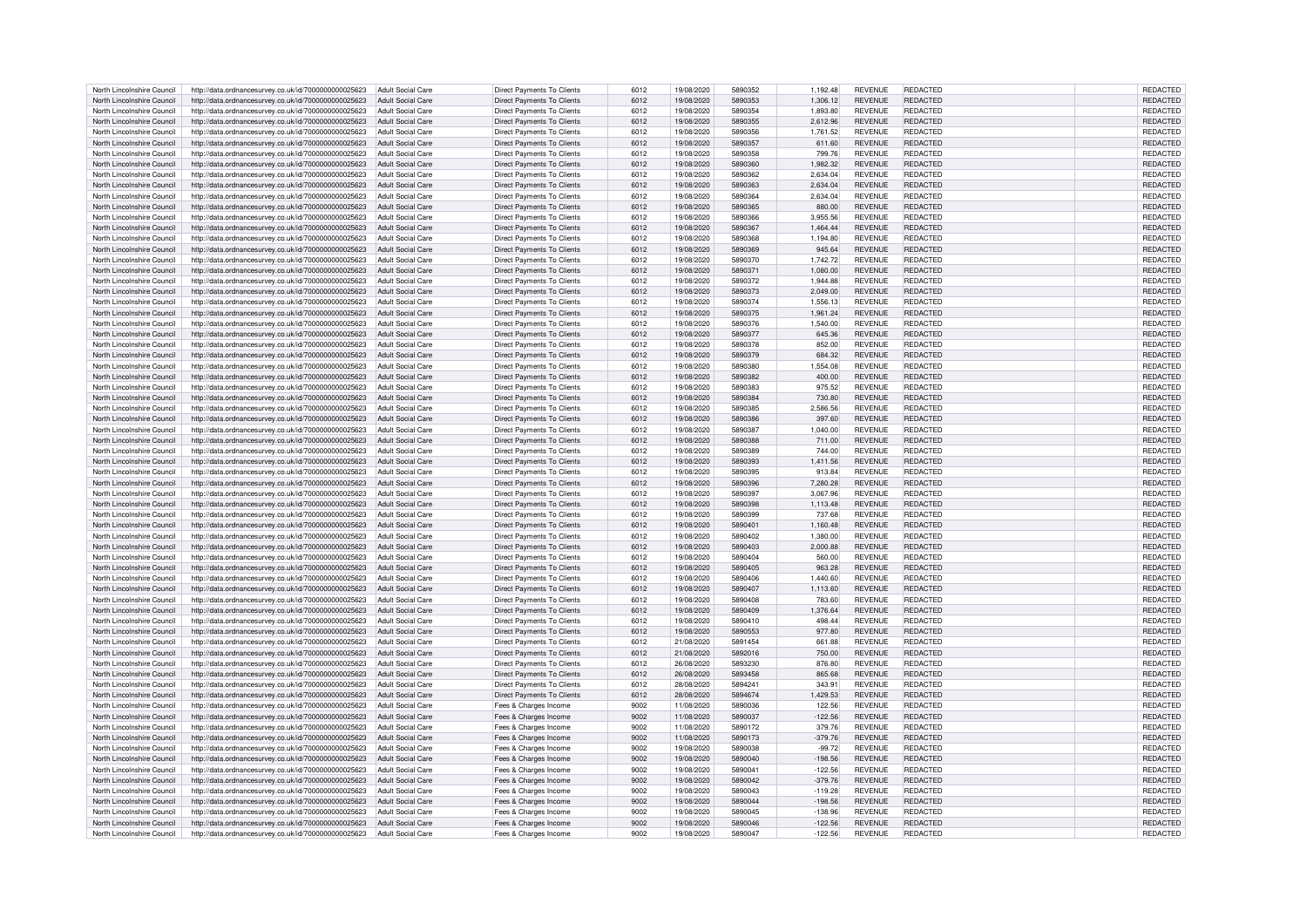| North Lincolnshire Council | http://data.ordnancesurvey.co.uk/id/7000000000025623                   | Adult Social Care        | <b>Direct Payments To Clients</b> | 6012 | 19/08/2020 | 5890352 | 1,192.48  | <b>REVENUE</b> | REDACTED        | REDACTED        |
|----------------------------|------------------------------------------------------------------------|--------------------------|-----------------------------------|------|------------|---------|-----------|----------------|-----------------|-----------------|
|                            |                                                                        |                          |                                   |      |            |         |           |                |                 |                 |
| North Lincolnshire Council | http://data.ordnancesurvey.co.uk/id/7000000000025623                   | Adult Social Care        | <b>Direct Payments To Clients</b> | 6012 | 19/08/2020 | 5890353 | 1,306.12  | <b>REVENUE</b> | REDACTED        | <b>REDACTED</b> |
| North Lincolnshire Council | http://data.ordnancesurvey.co.uk/id/7000000000025623                   | Adult Social Care        | Direct Payments To Clients        | 6012 | 19/08/2020 | 5890354 | 1,893.80  | <b>REVENUE</b> | REDACTED        | <b>REDACTED</b> |
|                            |                                                                        |                          |                                   |      |            |         |           |                |                 |                 |
| North Lincolnshire Council | http://data.ordnancesurvey.co.uk/id/7000000000025623                   | Adult Social Care        | <b>Direct Payments To Clients</b> | 6012 | 19/08/2020 | 5890355 | 2,612.96  | <b>REVENUE</b> | <b>REDACTED</b> | <b>REDACTED</b> |
| North Lincolnshire Council | http://data.ordnancesurvey.co.uk/id/7000000000025623                   | <b>Adult Social Care</b> | Direct Payments To Clients        | 6012 | 19/08/2020 | 5890356 | 1,761.52  | <b>REVENUE</b> | REDACTED        | REDACTED        |
| North Lincolnshire Council | http://data.ordnancesurvey.co.uk/id/7000000000025623                   | <b>Adult Social Care</b> | <b>Direct Payments To Clients</b> | 6012 | 19/08/2020 | 5890357 | 611.60    | <b>REVENUE</b> | REDACTED        | REDACTED        |
|                            |                                                                        |                          |                                   |      |            |         |           |                |                 |                 |
| North Lincolnshire Council | http://data.ordnancesurvey.co.uk/id/7000000000025623                   | <b>Adult Social Care</b> | <b>Direct Payments To Clients</b> | 6012 | 19/08/2020 | 5890358 | 799.76    | <b>REVENUE</b> | REDACTED        | REDACTED        |
| North Lincolnshire Council | http://data.ordnancesurvey.co.uk/id/7000000000025623                   | Adult Social Care        | <b>Direct Payments To Clients</b> | 6012 | 19/08/2020 | 5890360 | 1.982.32  | <b>REVENUE</b> | <b>REDACTED</b> | <b>REDACTED</b> |
|                            |                                                                        |                          |                                   |      | 19/08/2020 | 5890362 |           | <b>REVENUE</b> | <b>REDACTED</b> |                 |
| North Lincolnshire Council | http://data.ordnancesurvey.co.uk/id/7000000000025623                   | Adult Social Care        | Direct Payments To Clients        | 6012 |            |         | 2.634.04  |                |                 | <b>REDACTED</b> |
| North Lincolnshire Council | http://data.ordnancesurvey.co.uk/id/7000000000025623                   | Adult Social Care        | Direct Payments To Clients        | 6012 | 19/08/2020 | 5890363 | 2,634.04  | <b>REVENUE</b> | <b>REDACTED</b> | REDACTED        |
| North Lincolnshire Council | http://data.ordnancesurvey.co.uk/id/7000000000025623                   | Adult Social Care        | Direct Payments To Clients        | 6012 | 19/08/2020 | 5890364 | 2,634.04  | <b>REVENUE</b> | REDACTED        | <b>REDACTED</b> |
|                            |                                                                        |                          |                                   |      |            |         |           |                |                 |                 |
| North Lincolnshire Council | http://data.ordnancesurvey.co.uk/id/7000000000025623                   | Adult Social Care        | <b>Direct Payments To Clients</b> | 6012 | 19/08/2020 | 5890365 | 880.00    | <b>REVENUE</b> | REDACTED        | REDACTED        |
| North Lincolnshire Council | http://data.ordnancesurvey.co.uk/id/7000000000025623                   | Adult Social Care        | Direct Payments To Clients        | 6012 | 19/08/2020 | 5890366 | 3.955.56  | <b>REVENUE</b> | REDACTED        | <b>REDACTED</b> |
|                            |                                                                        |                          |                                   |      |            | 5890367 |           |                |                 |                 |
| North Lincolnshire Council | http://data.ordnancesurvey.co.uk/id/7000000000025623                   | <b>Adult Social Care</b> | Direct Payments To Clients        | 6012 | 19/08/2020 |         | 1,464.44  | <b>REVENUE</b> | <b>REDACTED</b> | REDACTED        |
| North Lincolnshire Council | http://data.ordnancesurvey.co.uk/id/7000000000025623                   | <b>Adult Social Care</b> | Direct Payments To Clients        | 6012 | 19/08/2020 | 5890368 | 1,194.80  | <b>REVENUE</b> | REDACTED        | REDACTED        |
| North Lincolnshire Council | http://data.ordnancesurvey.co.uk/id/7000000000025623                   | <b>Adult Social Care</b> | Direct Payments To Clients        | 6012 | 19/08/2020 | 5890369 | 945.64    | <b>REVENUE</b> | REDACTED        | REDACTED        |
|                            |                                                                        |                          |                                   |      |            |         |           |                |                 |                 |
| North Lincolnshire Council | http://data.ordnancesurvey.co.uk/id/7000000000025623                   | <b>Adult Social Care</b> | <b>Direct Payments To Clients</b> | 6012 | 19/08/2020 | 5890370 | 1,742.72  | <b>REVENUE</b> | <b>REDACTED</b> | REDACTED        |
| North Lincolnshire Council | http://data.ordnancesurvey.co.uk/id/7000000000025623                   | <b>Adult Social Care</b> | Direct Payments To Clients        | 6012 | 19/08/2020 | 5890371 | 1.080.00  | <b>REVENUE</b> | <b>REDACTED</b> | <b>REDACTED</b> |
| North Lincolnshire Council |                                                                        |                          |                                   | 6012 | 19/08/2020 | 5890372 |           | <b>REVENUE</b> | REDACTED        | <b>REDACTED</b> |
|                            | http://data.ordnancesurvey.co.uk/id/7000000000025623                   | <b>Adult Social Care</b> | Direct Payments To Clients        |      |            |         | 1,944.88  |                |                 |                 |
| North Lincolnshire Council | http://data.ordnancesurvey.co.uk/id/7000000000025623                   | <b>Adult Social Care</b> | <b>Direct Payments To Clients</b> | 6012 | 19/08/2020 | 5890373 | 2,049.00  | <b>REVENUE</b> | REDACTED        | REDACTED        |
| North Lincolnshire Council | http://data.ordnancesurvey.co.uk/id/7000000000025623                   | <b>Adult Social Care</b> | <b>Direct Payments To Clients</b> | 6012 | 19/08/2020 | 5890374 | 1.556.13  | <b>REVENUE</b> | REDACTED        | REDACTED        |
|                            |                                                                        |                          |                                   |      |            |         |           |                |                 |                 |
| North Lincolnshire Council | http://data.ordnancesurvey.co.uk/id/7000000000025623                   | Adult Social Care        | <b>Direct Payments To Clients</b> | 6012 | 19/08/2020 | 5890375 | 1,961.24  | <b>REVENUE</b> | REDACTED        | REDACTED        |
| North Lincolnshire Council | http://data.ordnancesurvey.co.uk/id/7000000000025623                   | <b>Adult Social Care</b> | <b>Direct Payments To Clients</b> | 6012 | 19/08/2020 | 5890376 | 1,540.00  | <b>REVENUE</b> | REDACTED        | REDACTED        |
|                            |                                                                        |                          |                                   |      |            |         |           |                |                 |                 |
| North Lincolnshire Council | http://data.ordnancesurvey.co.uk/id/7000000000025623                   | <b>Adult Social Care</b> | Direct Payments To Clients        | 6012 | 19/08/2020 | 5890377 | 645.36    | <b>REVENUE</b> | <b>REDACTED</b> | REDACTED        |
| North Lincolnshire Council | http://data.ordnancesurvey.co.uk/id/7000000000025623                   | Adult Social Care        | Direct Payments To Clients        | 6012 | 19/08/2020 | 5890378 | 852.00    | <b>REVENUE</b> | REDACTED        | REDACTED        |
|                            |                                                                        |                          |                                   |      |            |         |           |                |                 |                 |
| North Lincolnshire Council | http://data.ordnancesurvey.co.uk/id/7000000000025623                   | <b>Adult Social Care</b> | <b>Direct Payments To Clients</b> | 6012 | 19/08/2020 | 5890379 | 684.32    | <b>REVENUE</b> | REDACTED        | REDACTED        |
| North Lincolnshire Council | http://data.ordnancesurvey.co.uk/id/7000000000025623                   | Adult Social Care        | Direct Payments To Clients        | 6012 | 19/08/2020 | 5890380 | 1.554.08  | <b>REVENUE</b> | <b>REDACTED</b> | <b>REDACTED</b> |
| North Lincolnshire Council | http://data.ordnancesurvey.co.uk/id/7000000000025623                   | Adult Social Care        | <b>Direct Payments To Clients</b> | 6012 | 19/08/2020 | 5890382 | 400.00    | <b>REVENUE</b> | <b>REDACTED</b> | <b>REDACTED</b> |
|                            |                                                                        |                          |                                   |      |            |         |           |                |                 |                 |
| North Lincolnshire Council | http://data.ordnancesurvey.co.uk/id/7000000000025623                   | Adult Social Care        | Direct Payments To Clients        | 6012 | 19/08/2020 | 5890383 | 975.52    | <b>REVENUE</b> | <b>REDACTED</b> | <b>REDACTED</b> |
| North Lincolnshire Council | http://data.ordnancesurvey.co.uk/id/7000000000025623                   | Adult Social Care        | Direct Payments To Clients        | 6012 | 19/08/2020 | 5890384 | 730.80    | <b>REVENUE</b> | <b>REDACTED</b> | REDACTED        |
|                            |                                                                        |                          |                                   |      |            |         |           |                |                 |                 |
| North Lincolnshire Council | http://data.ordnancesurvey.co.uk/id/7000000000025623                   | Adult Social Care        | <b>Direct Payments To Clients</b> | 6012 | 19/08/2020 | 5890385 | 2,586.56  | <b>REVENUE</b> | REDACTED        | REDACTED        |
| North Lincolnshire Council | http://data.ordnancesurvey.co.uk/id/7000000000025623                   | Adult Social Care        | <b>Direct Payments To Clients</b> | 6012 | 19/08/2020 | 5890386 | 397.60    | <b>REVENUE</b> | REDACTED        | REDACTED        |
| North Lincolnshire Council | http://data.ordnancesurvey.co.uk/id/7000000000025623                   | Adult Social Care        | Direct Payments To Clients        | 6012 | 19/08/2020 | 5890387 | 1,040.00  | <b>REVENUE</b> | REDACTED        | REDACTED        |
|                            |                                                                        |                          |                                   |      |            |         |           |                |                 |                 |
| North Lincolnshire Council | http://data.ordnancesurvey.co.uk/id/7000000000025623                   | Adult Social Care        | Direct Payments To Clients        | 6012 | 19/08/2020 | 5890388 | 711.00    | <b>REVENUE</b> | <b>REDACTED</b> | REDACTED        |
| North Lincolnshire Council | http://data.ordnancesurvey.co.uk/id/7000000000025623                   | Adult Social Care        | Direct Payments To Clients        | 6012 | 19/08/2020 | 5890389 | 744.00    | <b>REVENUE</b> | REDACTED        | REDACTED        |
|                            |                                                                        |                          |                                   |      |            |         |           |                |                 |                 |
| North Lincolnshire Council | http://data.ordnancesurvey.co.uk/id/7000000000025623                   | Adult Social Care        | Direct Payments To Clients        | 6012 | 19/08/2020 | 5890393 | 1,411.56  | <b>REVENUE</b> | <b>REDACTED</b> | REDACTED        |
| North Lincolnshire Council | http://data.ordnancesurvey.co.uk/id/7000000000025623                   | <b>Adult Social Care</b> | <b>Direct Payments To Clients</b> | 6012 | 19/08/2020 | 5890395 | 913.84    | <b>REVENUE</b> | REDACTED        | REDACTED        |
| North Lincolnshire Council | http://data.ordnancesurvey.co.uk/id/7000000000025623                   | Adult Social Care        | Direct Payments To Clients        | 6012 | 19/08/2020 | 5890396 | 7.280.28  | <b>REVENUE</b> | <b>REDACTED</b> | <b>REDACTED</b> |
|                            |                                                                        |                          |                                   |      |            |         |           |                |                 |                 |
| North Lincolnshire Council | http://data.ordnancesurvey.co.uk/id/7000000000025623                   | <b>Adult Social Care</b> | Direct Payments To Clients        | 6012 | 19/08/2020 | 5890397 | 3,067.96  | <b>REVENUE</b> | REDACTED        | REDACTED        |
| North Lincolnshire Council | http://data.ordnancesurvey.co.uk/id/7000000000025623                   | <b>Adult Social Care</b> | <b>Direct Payments To Clients</b> | 6012 | 19/08/2020 | 5890398 | 1,113.48  | <b>REVENUE</b> | REDACTED        | REDACTED        |
|                            |                                                                        |                          |                                   |      |            |         |           |                |                 |                 |
| North Lincolnshire Council | http://data.ordnancesurvey.co.uk/id/7000000000025623                   | Adult Social Care        | <b>Direct Payments To Clients</b> | 6012 | 19/08/2020 | 5890399 | 737.68    | <b>REVENUE</b> | REDACTED        | REDACTED        |
| North Lincolnshire Council | http://data.ordnancesurvey.co.uk/id/7000000000025623                   | <b>Adult Social Care</b> | <b>Direct Payments To Clients</b> | 6012 | 19/08/2020 | 5890401 | 1,160.48  | <b>REVENUE</b> | REDACTED        | <b>REDACTED</b> |
| North Lincolnshire Council |                                                                        | Adult Social Care        |                                   | 6012 | 19/08/2020 | 5890402 | 1.380.00  | <b>REVENUE</b> | REDACTED        | <b>REDACTED</b> |
|                            | http://data.ordnancesurvey.co.uk/id/7000000000025623                   |                          | Direct Payments To Clients        |      |            |         |           |                |                 |                 |
| North Lincolnshire Council | http://data.ordnancesurvey.co.uk/id/7000000000025623                   | <b>Adult Social Care</b> | Direct Payments To Clients        | 6012 | 19/08/2020 | 5890403 | 2,000.88  | <b>REVENUE</b> | REDACTED        | REDACTED        |
| North Lincolnshire Council | http://data.ordnancesurvey.co.uk/id/7000000000025623                   | <b>Adult Social Care</b> | Direct Payments To Clients        | 6012 | 19/08/2020 | 5890404 | 560.00    | <b>REVENUE</b> | <b>REDACTED</b> | <b>REDACTED</b> |
|                            |                                                                        |                          |                                   |      |            |         |           |                |                 |                 |
| North Lincolnshire Council | http://data.ordnancesurvey.co.uk/id/7000000000025623                   | <b>Adult Social Care</b> | <b>Direct Payments To Clients</b> | 6012 | 19/08/2020 | 5890405 | 963.28    | <b>REVENUE</b> | REDACTED        | REDACTED        |
| North Lincolnshire Council | http://data.ordnancesurvey.co.uk/id/7000000000025623                   | Adult Social Care        | Direct Payments To Clients        | 6012 | 19/08/2020 | 5890406 | 1,440.60  | <b>REVENUE</b> | <b>REDACTED</b> | REDACTED        |
| North Lincolnshire Council | http://data.ordnancesurvey.co.uk/id/7000000000025623                   | Adult Social Care        | <b>Direct Payments To Clients</b> | 6012 | 19/08/2020 | 5890407 | 1,113.60  | <b>REVENUE</b> | <b>REDACTED</b> | <b>REDACTED</b> |
|                            |                                                                        |                          |                                   |      |            |         |           |                |                 |                 |
| North Lincolnshire Council | http://data.ordnancesurvey.co.uk/id/7000000000025623                   | Adult Social Care        | Direct Payments To Clients        | 6012 | 19/08/2020 | 5890408 | 783.60    | <b>REVENUE</b> | <b>REDACTED</b> | <b>REDACTED</b> |
| North Lincolnshire Council | http://data.ordnancesurvey.co.uk/id/7000000000025623                   | Adult Social Care        | Direct Payments To Clients        | 6012 | 19/08/2020 | 5890409 | 1,376.64  | <b>REVENUE</b> | <b>REDACTED</b> | REDACTED        |
|                            |                                                                        |                          |                                   |      |            |         |           |                |                 |                 |
| North Lincolnshire Council | http://data.ordnancesurvey.co.uk/id/7000000000025623                   | Adult Social Care        | <b>Direct Payments To Clients</b> | 6012 | 19/08/2020 | 5890410 | 498.44    | <b>REVENUE</b> | REDACTED        | REDACTED        |
| North Lincolnshire Council | http://data.ordnancesurvey.co.uk/id/7000000000025623                   | Adult Social Care        | <b>Direct Payments To Clients</b> | 6012 | 19/08/2020 | 5890553 | 977.80    | <b>REVENUE</b> | REDACTED        | REDACTED        |
| North Lincolnshire Council | http://data.ordnancesurvey.co.uk/id/7000000000025623                   | Adult Social Care        | Direct Payments To Clients        | 6012 | 21/08/2020 | 5891454 | 661.88    | <b>REVENUE</b> | REDACTED        | <b>REDACTED</b> |
|                            |                                                                        |                          |                                   |      |            |         |           |                |                 |                 |
| North Lincolnshire Council | http://data.ordnancesurvey.co.uk/id/7000000000025623                   | Adult Social Care        | <b>Direct Payments To Clients</b> | 6012 | 21/08/2020 | 5892016 | 750.00    | <b>REVENUE</b> | <b>REDACTED</b> | <b>REDACTED</b> |
| North Lincolnshire Council | http://data.ordnancesurvey.co.uk/id/7000000000025623                   | <b>Adult Social Care</b> | Direct Payments To Clients        | 6012 | 26/08/2020 | 5893230 | 876.80    | <b>REVENUE</b> | REDACTED        | REDACTED        |
| North Lincolnshire Council | http://data.ordnancesurvey.co.uk/id/7000000000025623                   | <b>Adult Social Care</b> | <b>Direct Payments To Clients</b> | 6012 | 26/08/2020 | 5893458 | 865.68    | <b>REVENUE</b> | <b>REDACTED</b> | REDACTED        |
|                            |                                                                        |                          |                                   |      |            |         |           |                |                 |                 |
| North Lincolnshire Council | http://data.ordnancesurvey.co.uk/id/7000000000025623                   | <b>Adult Social Care</b> | <b>Direct Payments To Clients</b> | 6012 | 28/08/2020 | 5894241 | 343.91    | <b>REVENUE</b> | REDACTED        | REDACTED        |
| North Lincolnshire Council | http://data.ordnancesurvey.co.uk/id/7000000000025623                   | Adult Social Care        | <b>Direct Payments To Clients</b> | 6012 | 28/08/2020 | 5894674 | 1,429.53  | <b>REVENUE</b> | <b>REDACTED</b> | <b>REDACTED</b> |
|                            |                                                                        |                          |                                   |      |            | 5890036 |           |                |                 |                 |
| North Lincolnshire Council | http://data.ordnancesurvey.co.uk/id/7000000000025623                   | <b>Adult Social Care</b> | Fees & Charges Income             | 9002 | 11/08/2020 |         | 122.56    | <b>REVENUE</b> | REDACTED        | REDACTED        |
| North Lincolnshire Council | http://data.ordnancesurvey.co.uk/id/7000000000025623                   | <b>Adult Social Care</b> | Fees & Charges Income             | 9002 | 11/08/2020 | 5890037 | $-122.56$ | <b>REVENUE</b> | REDACTED        | REDACTED        |
| North Lincolnshire Council | http://data.ordnancesurvey.co.uk/id/7000000000025623                   | Adult Social Care        | Fees & Charges Income             | 9002 | 11/08/2020 | 5890172 | 379.76    | <b>REVENUE</b> | REDACTED        | <b>REDACTED</b> |
|                            |                                                                        |                          |                                   |      |            |         |           |                |                 |                 |
| North Lincolnshire Council | http://data.ordnancesurvey.co.uk/id/7000000000025623                   | <b>Adult Social Care</b> | Fees & Charges Income             | 9002 | 11/08/2020 | 5890173 | $-379.76$ | <b>REVENUE</b> | REDACTED        | <b>REDACTED</b> |
| North Lincolnshire Council | http://data.ordnancesurvey.co.uk/id/7000000000025623                   | Adult Social Care        | Fees & Charges Income             | 9002 | 19/08/2020 | 5890038 | $-99.72$  | <b>REVENUE</b> | REDACTED        | <b>REDACTED</b> |
|                            |                                                                        |                          |                                   |      |            | 5890040 |           |                |                 |                 |
| North Lincolnshire Council | http://data.ordnancesurvey.co.uk/id/7000000000025623                   | Adult Social Care        | Fees & Charges Income             | 9002 | 19/08/2020 |         | $-198.56$ | <b>REVENUE</b> | REDACTED        | REDACTED        |
| North Lincolnshire Council | http://data.ordnancesurvey.co.uk/id/7000000000025623                   | <b>Adult Social Care</b> | Fees & Charges Income             | 9002 | 19/08/2020 | 5890041 | $-122.56$ | <b>REVENUE</b> | REDACTED        | REDACTED        |
| North Lincolnshire Council | http://data.ordnancesurvey.co.uk/id/7000000000025623                   | <b>Adult Social Care</b> | Fees & Charges Income             | 9002 | 19/08/2020 | 5890042 | $-379.76$ | <b>REVENUE</b> | REDACTED        | REDACTED        |
|                            |                                                                        |                          |                                   |      |            |         |           |                |                 |                 |
| North Lincolnshire Council | http://data.ordnancesurvey.co.uk/id/7000000000025623                   | <b>Adult Social Care</b> | Fees & Charges Income             | 9002 | 19/08/2020 | 5890043 | $-119.28$ | <b>REVENUE</b> | <b>REDACTED</b> | REDACTED        |
|                            |                                                                        |                          |                                   |      |            | 5890044 | $-198.56$ | <b>REVENUE</b> |                 | REDACTED        |
|                            |                                                                        |                          |                                   |      |            |         |           |                |                 |                 |
| North Lincolnshire Council | http://data.ordnancesurvey.co.uk/id/7000000000025623                   | <b>Adult Social Care</b> | Fees & Charges Income             | 9002 | 19/08/2020 |         |           |                | REDACTED        |                 |
| North Lincolnshire Council | http://data.ordnancesurvey.co.uk/id/7000000000025623                   | <b>Adult Social Care</b> | Fees & Charges Income             | 9002 | 19/08/2020 | 5890045 | $-138.96$ | <b>REVENUE</b> | <b>REDACTED</b> | <b>REDACTED</b> |
| North Lincolnshire Council | http://data.ordnancesurvey.co.uk/id/7000000000025623                   | Adult Social Care        | Fees & Charges Income             | 9002 | 19/08/2020 | 5890046 | $-122.56$ | <b>REVENUE</b> | <b>REDACTED</b> | REDACTED        |
| North Lincolnshire Council | http://data.ordnancesurvey.co.uk/id/7000000000025623 Adult Social Care |                          | Fees & Charges Income             | 9002 | 19/08/2020 | 5890047 | $-122.56$ | <b>REVENUE</b> | REDACTED        | REDACTED        |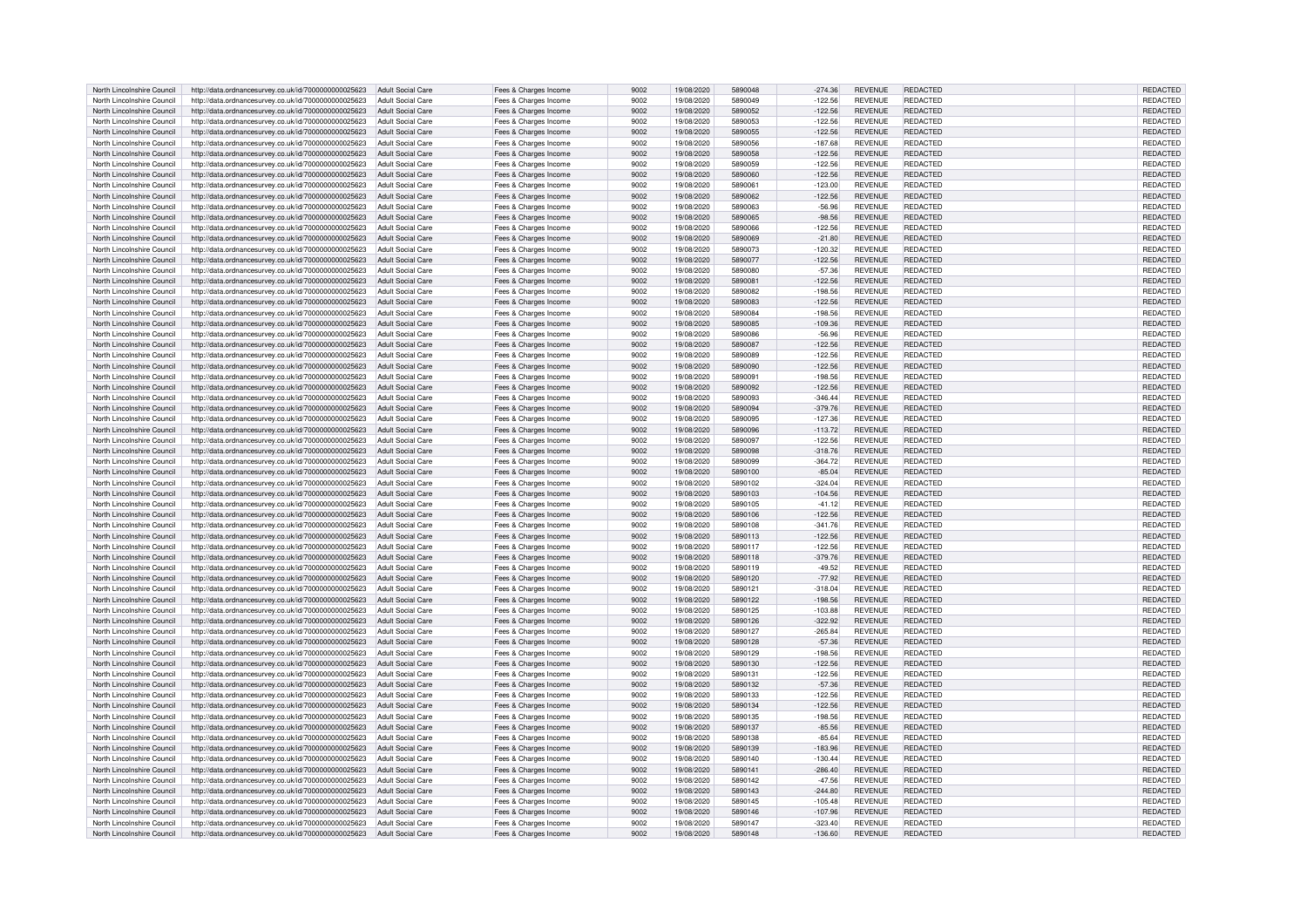| North Lincolnshire Council | http://data.ordnancesurvey.co.uk/id/7000000000025623                   | <b>Adult Social Care</b> | Fees & Charges Income | 9002 | 19/08/2020 | 5890048 | $-274.36$ | <b>REVENUE</b> | REDACTED        | REDACTED        |
|----------------------------|------------------------------------------------------------------------|--------------------------|-----------------------|------|------------|---------|-----------|----------------|-----------------|-----------------|
| North Lincolnshire Council | http://data.ordnancesurvey.co.uk/id/7000000000025623                   | Adult Social Care        | Fees & Charges Income | 9002 | 19/08/2020 | 5890049 | $-122.56$ | <b>REVENUE</b> | REDACTED        | <b>REDACTED</b> |
| North Lincolnshire Council | http://data.ordnancesurvey.co.uk/id/7000000000025623                   | Adult Social Care        | Fees & Charges Income | 9002 | 19/08/2020 | 5890052 | $-122.56$ | <b>REVENUE</b> | REDACTED        | REDACTED        |
|                            |                                                                        |                          |                       |      |            | 5890053 |           |                |                 |                 |
| North Lincolnshire Council | http://data.ordnancesurvey.co.uk/id/7000000000025623                   | Adult Social Care        | Fees & Charges Income | 9002 | 19/08/2020 |         | $-122.56$ | <b>REVENUE</b> | REDACTED        | REDACTED        |
| North Lincolnshire Council | http://data.ordnancesurvey.co.uk/id/7000000000025623                   | <b>Adult Social Care</b> | Fees & Charges Income | 9002 | 19/08/2020 | 5890055 | $-122.56$ | <b>REVENUE</b> | <b>REDACTED</b> | REDACTED        |
| North Lincolnshire Council | http://data.ordnancesurvey.co.uk/id/7000000000025623                   | <b>Adult Social Care</b> | Fees & Charges Income | 9002 | 19/08/2020 | 5890056 | $-187.68$ | <b>REVENUE</b> | REDACTED        | REDACTED        |
| North Lincolnshire Council | http://data.ordnancesurvey.co.uk/id/7000000000025623                   | <b>Adult Social Care</b> | Fees & Charges Income | 9002 | 19/08/2020 | 5890058 | $-122.56$ | REVENUE        | REDACTED        | REDACTED        |
| North Lincolnshire Council | http://data.ordnancesurvey.co.uk/id/7000000000025623                   | Adult Social Care        | Fees & Charges Income | 9002 | 19/08/2020 | 5890059 | $-122.56$ | <b>REVENUE</b> | REDACTED        | <b>REDACTED</b> |
| North Lincolnshire Council | http://data.ordnancesurvey.co.uk/id/7000000000025623                   | Adult Social Care        | Fees & Charges Income | 9002 | 19/08/2020 | 5890060 | $-122.56$ | <b>REVENUE</b> | <b>REDACTED</b> | REDACTED        |
| North Lincolnshire Council | http://data.ordnancesurvey.co.uk/id/7000000000025623                   | Adult Social Care        | Fees & Charges Income | 9002 | 19/08/2020 | 589006  | $-123.00$ | <b>REVENUE</b> | REDACTED        | REDACTED        |
|                            |                                                                        | Adult Social Care        |                       | 9002 |            | 5890062 | $-122.56$ | <b>REVENUE</b> | REDACTED        | REDACTED        |
| North Lincolnshire Council | http://data.ordnancesurvey.co.uk/id/7000000000025623                   |                          | Fees & Charges Income |      | 19/08/2020 |         |           |                |                 |                 |
| North Lincolnshire Council | http://data.ordnancesurvey.co.uk/id/7000000000025623                   | <b>Adult Social Care</b> | Fees & Charges Income | 9002 | 19/08/2020 | 5890063 | $-56.96$  | <b>REVENUE</b> | <b>REDACTED</b> | REDACTED        |
| North Lincolnshire Council | http://data.ordnancesurvey.co.uk/id/7000000000025623                   | Adult Social Care        | Fees & Charges Income | 9002 | 19/08/2020 | 5890065 | $-98.56$  | <b>REVENUE</b> | <b>REDACTED</b> | REDACTED        |
| North Lincolnshire Council | http://data.ordnancesurvey.co.uk/id/7000000000025623                   | <b>Adult Social Care</b> | Fees & Charges Income | 9002 | 19/08/2020 | 5890066 | $-122.56$ | <b>REVENUE</b> | <b>REDACTED</b> | REDACTED        |
| North Lincolnshire Council | http://data.ordnancesurvey.co.uk/id/7000000000025623                   | <b>Adult Social Care</b> | Fees & Charges Income | 9002 | 19/08/2020 | 5890069 | $-21.80$  | <b>REVENUE</b> | <b>REDACTED</b> | REDACTED        |
| North Lincolnshire Council | http://data.ordnancesurvey.co.uk/id/7000000000025623                   | <b>Adult Social Care</b> | Fees & Charges Income | 9002 | 19/08/2020 | 5890073 | $-120.32$ | REVENUE        | REDACTED        | REDACTED        |
| North Lincolnshire Council | http://data.ordnancesurvey.co.uk/id/7000000000025623                   | <b>Adult Social Care</b> | Fees & Charges Income | 9002 | 19/08/2020 | 5890077 | $-122.56$ | REVENUE        | <b>REDACTED</b> | REDACTED        |
| North Lincolnshire Council | http://data.ordnancesurvey.co.uk/id/7000000000025623                   | Adult Social Care        | Fees & Charges Income | 9002 | 19/08/2020 | 5890080 | $-57.36$  | REVENUE        | <b>REDACTED</b> | REDACTED        |
| North Lincolnshire Council |                                                                        |                          |                       | 9002 | 19/08/2020 | 589008  |           | REVENUE        | <b>REDACTED</b> | REDACTED        |
|                            | http://data.ordnancesurvey.co.uk/id/7000000000025623                   | <b>Adult Social Care</b> | Fees & Charges Income |      |            |         | $-122.56$ |                |                 |                 |
| North Lincolnshire Council | http://data.ordnancesurvey.co.uk/id/7000000000025623                   | <b>Adult Social Care</b> | Fees & Charges Income | 9002 | 19/08/2020 | 5890082 | $-198.56$ | REVENUE        | REDACTED        | REDACTED        |
| North Lincolnshire Council | http://data.ordnancesurvey.co.uk/id/7000000000025623                   | <b>Adult Social Care</b> | Fees & Charges Income | 9002 | 19/08/2020 | 5890083 | $-122.56$ | REVENUE        | REDACTED        | REDACTED        |
| North Lincolnshire Council | http://data.ordnancesurvey.co.uk/id/7000000000025623                   | <b>Adult Social Care</b> | Fees & Charges Income | 9002 | 19/08/2020 | 5890084 | $-198.56$ | REVENUE        | <b>REDACTED</b> | REDACTED        |
| North Lincolnshire Council | http://data.ordnancesurvey.co.uk/id/7000000000025623                   | <b>Adult Social Care</b> | Fees & Charges Income | 9002 | 19/08/2020 | 5890085 | $-109.36$ | REVENUE        | REDACTED        | REDACTED        |
| North Lincolnshire Council | http://data.ordnancesurvey.co.uk/id/7000000000025623                   | <b>Adult Social Care</b> | Fees & Charges Income | 9002 | 19/08/2020 | 5890086 | $-56.96$  | <b>REVENUE</b> | REDACTED        | REDACTED        |
| North Lincolnshire Council | http://data.ordnancesurvey.co.uk/id/7000000000025623                   | <b>Adult Social Care</b> | Fees & Charges Income | 9002 | 19/08/2020 | 5890087 | $-122.56$ | <b>REVENUE</b> | <b>REDACTED</b> | REDACTED        |
|                            |                                                                        |                          |                       |      |            |         |           |                |                 |                 |
| North Lincolnshire Council | http://data.ordnancesurvey.co.uk/id/7000000000025623                   | <b>Adult Social Care</b> | Fees & Charges Income | 9002 | 19/08/2020 | 5890089 | $-122.56$ | <b>REVENUE</b> | REDACTED        | REDACTED        |
| North Lincolnshire Council | http://data.ordnancesurvey.co.uk/id/7000000000025623                   | <b>Adult Social Care</b> | Fees & Charges Income | 9002 | 19/08/2020 | 5890090 | $-122.56$ | <b>REVENUE</b> | <b>REDACTED</b> | <b>REDACTED</b> |
| North Lincolnshire Council | http://data.ordnancesurvey.co.uk/id/7000000000025623                   | Adult Social Care        | Fees & Charges Income | 9002 | 19/08/2020 | 589009  | $-198.56$ | <b>REVENUE</b> | REDACTED        | REDACTED        |
| North Lincolnshire Council | http://data.ordnancesurvey.co.uk/id/7000000000025623                   | Adult Social Care        | Fees & Charges Income | 9002 | 19/08/2020 | 5890092 | $-122.56$ | <b>REVENUE</b> | <b>REDACTED</b> | <b>REDACTED</b> |
| North Lincolnshire Council | http://data.ordnancesurvey.co.uk/id/7000000000025623                   | Adult Social Care        | Fees & Charges Income | 9002 | 19/08/2020 | 5890093 | $-346.44$ | <b>REVENUE</b> | <b>REDACTED</b> | REDACTED        |
| North Lincolnshire Council | http://data.ordnancesurvey.co.uk/id/7000000000025623                   | Adult Social Care        | Fees & Charges Income | 9002 | 19/08/2020 | 5890094 | $-379.76$ | <b>REVENUE</b> | REDACTED        | REDACTED        |
| North Lincolnshire Council | http://data.ordnancesurvey.co.uk/id/7000000000025623                   | <b>Adult Social Care</b> | Fees & Charges Income | 9002 | 19/08/2020 | 5890095 | $-127.36$ | REVENUE        | <b>REDACTED</b> | REDACTED        |
| North Lincolnshire Council | http://data.ordnancesurvey.co.uk/id/7000000000025623                   | Adult Social Care        | Fees & Charges Income | 9002 | 19/08/2020 | 5890096 | $-113.72$ | <b>REVENUE</b> | REDACTED        | REDACTED        |
|                            |                                                                        |                          |                       | 9002 |            | 5890097 |           |                | <b>REDACTED</b> |                 |
| North Lincolnshire Council | http://data.ordnancesurvey.co.uk/id/7000000000025623                   | Adult Social Care        | Fees & Charges Income |      | 19/08/2020 |         | $-122.56$ | <b>REVENUE</b> |                 | REDACTED        |
| North Lincolnshire Council | http://data.ordnancesurvey.co.uk/id/7000000000025623                   | <b>Adult Social Care</b> | Fees & Charges Income | 9002 | 19/08/2020 | 5890098 | $-318.76$ | REVENUE        | <b>REDACTED</b> | REDACTED        |
| North Lincolnshire Council | http://data.ordnancesurvey.co.uk/id/7000000000025623                   | <b>Adult Social Care</b> | Fees & Charges Income | 9002 | 19/08/2020 | 5890099 | $-364.72$ | <b>REVENUE</b> | REDACTED        | <b>REDACTED</b> |
| North Lincolnshire Council | http://data.ordnancesurvey.co.uk/id/7000000000025623                   | <b>Adult Social Care</b> | Fees & Charges Income | 9002 | 19/08/2020 | 5890100 | $-85.04$  | REVENUE        | <b>REDACTED</b> | REDACTED        |
| North Lincolnshire Council | http://data.ordnancesurvey.co.uk/id/7000000000025623                   | Adult Social Care        | Fees & Charges Income | 9002 | 19/08/2020 | 5890102 | $-324.04$ | REVENUE        | REDACTED        | REDACTED        |
| North Lincolnshire Council | http://data.ordnancesurvey.co.uk/id/7000000000025623                   | <b>Adult Social Care</b> | Fees & Charges Income | 9002 | 19/08/2020 | 5890103 | $-104.56$ | <b>REVENUE</b> | <b>REDACTED</b> | REDACTED        |
| North Lincolnshire Council | http://data.ordnancesurvey.co.uk/id/7000000000025623                   | <b>Adult Social Care</b> | Fees & Charges Income | 9002 | 19/08/2020 | 5890105 | $-41.12$  | REVENUE        | <b>REDACTED</b> | REDACTED        |
|                            |                                                                        |                          |                       |      |            |         |           |                |                 |                 |
| North Lincolnshire Council | http://data.ordnancesurvey.co.uk/id/7000000000025623                   | <b>Adult Social Care</b> | Fees & Charges Income | 9002 | 19/08/2020 | 5890106 | $-122.56$ | REVENUE        | REDACTED        | REDACTED        |
| North Lincolnshire Council | http://data.ordnancesurvey.co.uk/id/7000000000025623                   | <b>Adult Social Care</b> | Fees & Charges Income | 9002 | 19/08/2020 | 5890108 | $-341.76$ | REVENUE        | <b>REDACTED</b> | REDACTED        |
| North Lincolnshire Council | http://data.ordnancesurvey.co.uk/id/7000000000025623                   | Adult Social Care        | Fees & Charges Income | 9002 | 19/08/2020 | 5890113 | $-122.56$ | <b>REVENUE</b> | REDACTED        | REDACTED        |
| North Lincolnshire Council | http://data.ordnancesurvey.co.uk/id/7000000000025623                   | <b>Adult Social Care</b> | Fees & Charges Income | 9002 | 19/08/2020 | 5890117 | $-122.56$ | <b>REVENUE</b> | <b>REDACTED</b> | REDACTED        |
| North Lincolnshire Council | http://data.ordnancesurvey.co.uk/id/7000000000025623                   | <b>Adult Social Care</b> | Fees & Charges Income | 9002 | 19/08/2020 | 5890118 | $-379.76$ | <b>REVENUE</b> | <b>REDACTED</b> | REDACTED        |
| North Lincolnshire Council | http://data.ordnancesurvey.co.uk/id/7000000000025623                   | Adult Social Care        | Fees & Charges Income | 9002 | 19/08/2020 | 5890119 | $-49.52$  | <b>REVENUE</b> | REDACTED        | REDACTED        |
| North Lincolnshire Council | http://data.ordnancesurvey.co.uk/id/7000000000025623                   | <b>Adult Social Care</b> | Fees & Charges Income | 9002 | 19/08/2020 | 5890120 | $-77.92$  | REVENUE        | <b>REDACTED</b> | REDACTED        |
| North Lincolnshire Council | http://data.ordnancesurvey.co.uk/id/7000000000025623                   | Adult Social Care        | Fees & Charges Income | 9002 | 19/08/2020 | 5890121 | $-318.04$ | <b>REVENUE</b> | REDACTED        | REDACTED        |
|                            |                                                                        |                          |                       |      |            | 5890122 |           |                |                 |                 |
| North Lincolnshire Council | http://data.ordnancesurvey.co.uk/id/7000000000025623                   | <b>Adult Social Care</b> | Fees & Charges Income | 9002 | 19/08/2020 |         | $-198.56$ | <b>REVENUE</b> | <b>REDACTED</b> | REDACTED        |
| North Lincolnshire Council | http://data.ordnancesurvey.co.uk/id/7000000000025623                   | Adult Social Care        | Fees & Charges Income | 9002 | 19/08/2020 | 5890125 | $-103.88$ | <b>REVENUE</b> | REDACTED        | REDACTED        |
| North Lincolnshire Council | http://data.ordnancesurvey.co.uk/id/7000000000025623                   | Adult Social Care        | Fees & Charges Income | 9002 | 19/08/2020 | 5890126 | $-322.92$ | <b>REVENUE</b> | REDACTED        | REDACTED        |
| North Lincolnshire Council | http://data.ordnancesurvey.co.uk/id/7000000000025623                   | Adult Social Care        | Fees & Charges Income | 9002 | 19/08/2020 | 5890127 | $-265.84$ | <b>REVENUE</b> | <b>REDACTED</b> | REDACTED        |
| North Lincolnshire Council | http://data.ordnancesurvey.co.uk/id/7000000000025623                   | Adult Social Care        | Fees & Charges Income | 9002 | 19/08/2020 | 5890128 | $-57.36$  | <b>REVENUE</b> | REDACTED        | REDACTED        |
| North Lincolnshire Council | http://data.ordnancesurvey.co.uk/id/7000000000025623                   | <b>Adult Social Care</b> | Fees & Charges Income | 9002 | 19/08/2020 | 5890129 | $-198.56$ | <b>REVENUE</b> | REDACTED        | REDACTED        |
| North Lincolnshire Council | http://data.ordnancesurvey.co.uk/id/7000000000025623                   | Adult Social Care        | Fees & Charges Income | 9002 | 19/08/2020 | 5890130 | $-122.56$ | REVENUE        | <b>REDACTED</b> | REDACTED        |
| North Lincolnshire Council | http://data.ordnancesurvey.co.uk/id/7000000000025623                   | <b>Adult Social Care</b> | Fees & Charges Income | 9002 | 19/08/2020 | 5890131 | $-122.56$ | REVENUE        | REDACTED        | REDACTED        |
| North Lincolnshire Council | http://data.ordnancesurvey.co.uk/id/7000000000025623                   | <b>Adult Social Care</b> | Fees & Charges Income | 9002 | 19/08/2020 | 5890132 | $-57.36$  | REVENUE        | <b>REDACTED</b> | REDACTED        |
|                            |                                                                        |                          |                       |      |            |         |           |                |                 |                 |
| North Lincolnshire Council | http://data.ordnancesurvey.co.uk/id/7000000000025623                   | Adult Social Care        | Fees & Charges Income | 9002 | 19/08/2020 | 5890133 | $-122.56$ | REVENUE        | REDACTED        | REDACTED        |
| North Lincolnshire Council | http://data.ordnancesurvey.co.uk/id/7000000000025623                   | Adult Social Care        | Fees & Charges Income | 9002 | 19/08/2020 | 5890134 | $-122.56$ | <b>REVENUE</b> | <b>REDACTED</b> | REDACTED        |
| North Lincolnshire Council | http://data.ordnancesurvey.co.uk/id/7000000000025623                   | Adult Social Care        | Fees & Charges Income | 9002 | 19/08/2020 | 5890135 | $-198.56$ | <b>REVENUE</b> | REDACTED        | REDACTED        |
| North Lincolnshire Council | http://data.ordnancesurvey.co.uk/id/7000000000025623                   | Adult Social Care        | Fees & Charges Income | 9002 | 19/08/2020 | 5890137 | $-85.56$  | <b>REVENUE</b> | <b>REDACTED</b> | REDACTED        |
| North Lincolnshire Council | http://data.ordnancesurvey.co.uk/id/7000000000025623                   | <b>Adult Social Care</b> | Fees & Charges Income | 9002 | 19/08/2020 | 5890138 | $-85.64$  | REVENUE        | <b>REDACTED</b> | REDACTED        |
| North Lincolnshire Council | http://data.ordnancesurvey.co.uk/id/7000000000025623                   | Adult Social Care        | Fees & Charges Income | 9002 | 19/08/2020 | 5890139 | $-183.96$ | <b>REVENUE</b> | REDACTED        | REDACTED        |
| North Lincolnshire Council | http://data.ordnancesurvey.co.uk/id/7000000000025623                   | <b>Adult Social Care</b> | Fees & Charges Income | 9002 | 19/08/2020 | 5890140 | $-130.44$ | <b>REVENUE</b> | REDACTED        | REDACTED        |
|                            |                                                                        |                          |                       | 9002 |            | 5890141 |           |                |                 |                 |
| North Lincolnshire Council | http://data.ordnancesurvey.co.uk/id/7000000000025623                   | <b>Adult Social Care</b> | Fees & Charges Income |      | 19/08/2020 |         | $-286.40$ | <b>REVENUE</b> | <b>REDACTED</b> | REDACTED        |
| North Lincolnshire Council | http://data.ordnancesurvey.co.uk/id/7000000000025623                   | <b>Adult Social Care</b> | Fees & Charges Income | 9002 | 19/08/2020 | 5890142 | $-47.56$  | <b>REVENUE</b> | REDACTED        | REDACTED        |
| North Lincolnshire Council | http://data.ordnancesurvey.co.uk/id/7000000000025623                   | Adult Social Care        | Fees & Charges Income | 9002 | 19/08/2020 | 5890143 | $-244.80$ | <b>REVENUE</b> | <b>REDACTED</b> | REDACTED        |
| North Lincolnshire Council | http://data.ordnancesurvey.co.uk/id/7000000000025623                   | <b>Adult Social Care</b> | Fees & Charges Income | 9002 | 19/08/2020 | 5890145 | $-105.48$ | <b>REVENUE</b> | REDACTED        | REDACTED        |
| North Lincolnshire Council | http://data.ordnancesurvey.co.uk/id/7000000000025623                   | <b>Adult Social Care</b> | Fees & Charges Income | 9002 | 19/08/2020 | 5890146 | $-107.96$ | <b>REVENUE</b> | REDACTED        | REDACTED        |
| North Lincolnshire Council | http://data.ordnancesurvey.co.uk/id/7000000000025623                   | Adult Social Care        | Fees & Charges Income | 9002 | 19/08/2020 | 5890147 | $-323.40$ | <b>REVENUE</b> | REDACTED        | REDACTED        |
| North Lincolnshire Council | http://data.ordnancesurvey.co.uk/id/7000000000025623 Adult Social Care |                          | Fees & Charges Income | 9002 | 19/08/2020 | 5890148 | $-136.60$ | <b>REVENUE</b> | REDACTED        | REDACTED        |
|                            |                                                                        |                          |                       |      |            |         |           |                |                 |                 |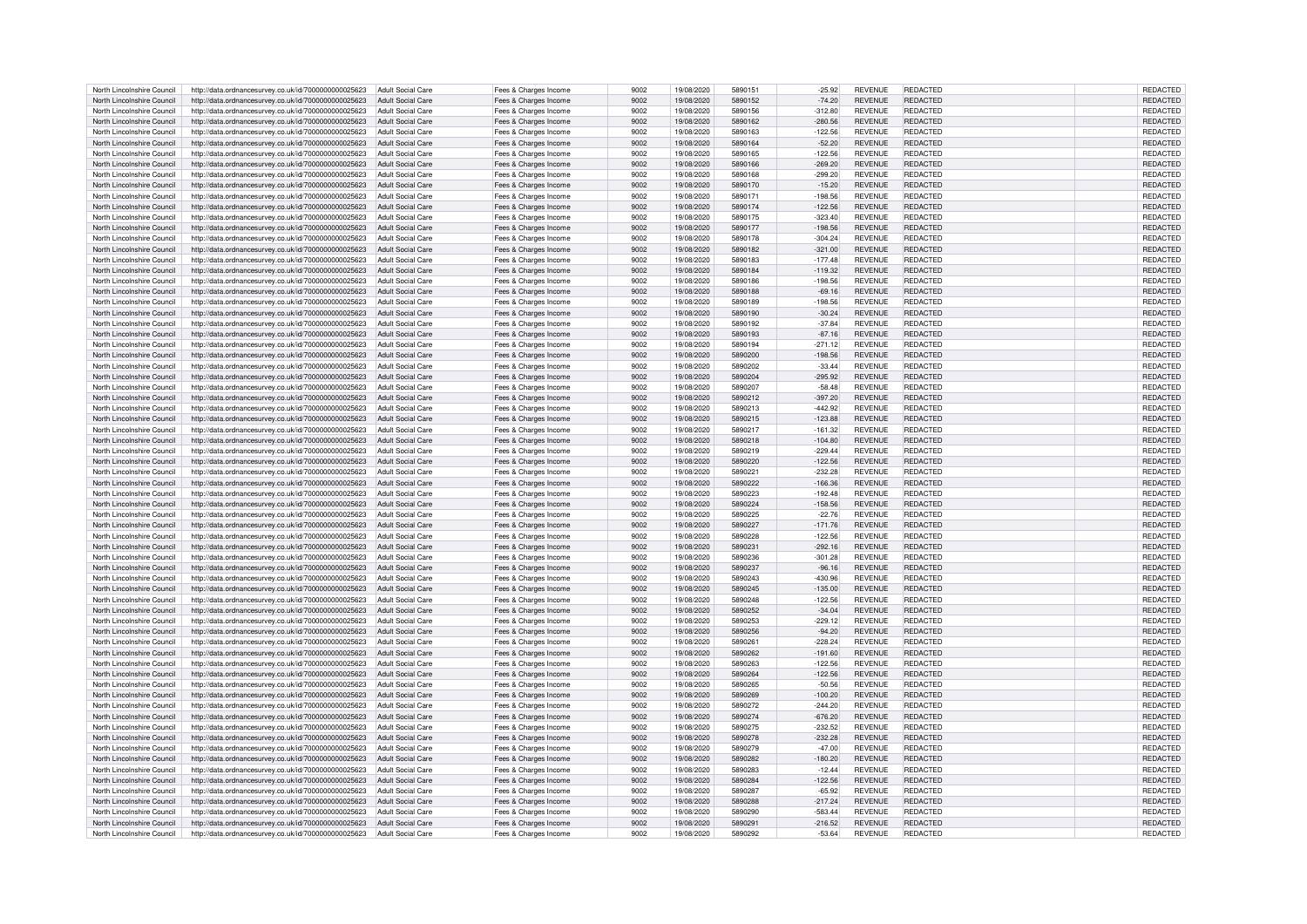| North Lincolnshire Council | http://data.ordnancesurvey.co.uk/id/7000000000025623                                                                           | Adult Social Care        | Fees & Charges Income                          | 9002 | 19/08/2020 | 5890151 | $-25.92$  | <b>REVENUE</b> | <b>REDACTED</b> | REDACTED        |
|----------------------------|--------------------------------------------------------------------------------------------------------------------------------|--------------------------|------------------------------------------------|------|------------|---------|-----------|----------------|-----------------|-----------------|
| North Lincolnshire Council | http://data.ordnancesurvey.co.uk/id/7000000000025623                                                                           | Adult Social Care        | Fees & Charges Income                          | 9002 | 19/08/2020 | 5890152 | $-74.20$  | <b>REVENUE</b> | REDACTED        | REDACTED        |
|                            |                                                                                                                                |                          |                                                | 9002 |            | 5890156 |           |                | <b>REDACTED</b> |                 |
| North Lincolnshire Council | http://data.ordnancesurvey.co.uk/id/7000000000025623                                                                           | <b>Adult Social Care</b> | Fees & Charges Income                          |      | 19/08/2020 |         | $-312.80$ | <b>REVENUE</b> |                 | REDACTED        |
| North Lincolnshire Council | http://data.ordnancesurvey.co.uk/id/7000000000025623                                                                           | Adult Social Care        | Fees & Charges Income                          | 9002 | 19/08/2020 | 5890162 | $-280.56$ | <b>REVENUE</b> | <b>REDACTED</b> | <b>REDACTED</b> |
| North Lincolnshire Council | http://data.ordnancesurvey.co.uk/id/7000000000025623                                                                           | <b>Adult Social Care</b> | Fees & Charges Income                          | 9002 | 19/08/2020 | 5890163 | $-122.56$ | <b>REVENUE</b> | <b>REDACTED</b> | REDACTED        |
| North Lincolnshire Council | http://data.ordnancesurvey.co.uk/id/7000000000025623                                                                           | <b>Adult Social Care</b> | Fees & Charges Income                          | 9002 | 19/08/2020 | 5890164 | $-52.20$  | <b>REVENUE</b> | REDACTED        | REDACTED        |
| North Lincolnshire Council | http://data.ordnancesurvey.co.uk/id/7000000000025623                                                                           | <b>Adult Social Care</b> | Fees & Charges Income                          | 9002 | 19/08/2020 | 5890165 | $-122.56$ | <b>REVENUE</b> | REDACTED        | REDACTED        |
| North Lincolnshire Council | http://data.ordnancesurvey.co.uk/id/7000000000025623                                                                           | <b>Adult Social Care</b> | Fees & Charges Income                          | 9002 | 19/08/2020 | 5890166 | $-269.20$ | REVENUE        | <b>REDACTED</b> | REDACTED        |
|                            |                                                                                                                                |                          |                                                |      |            |         |           |                |                 |                 |
| North Lincolnshire Council | http://data.ordnancesurvey.co.uk/id/7000000000025623                                                                           | Adult Social Care        | Fees & Charges Income                          | 9002 | 19/08/2020 | 5890168 | $-299.20$ | <b>REVENUE</b> | REDACTED        | REDACTED        |
| North Lincolnshire Council | http://data.ordnancesurvey.co.uk/id/7000000000025623                                                                           | <b>Adult Social Care</b> | Fees & Charges Income                          | 9002 | 19/08/2020 | 5890170 | $-15.20$  | <b>REVENUE</b> | <b>REDACTED</b> | REDACTED        |
| North Lincolnshire Council | http://data.ordnancesurvey.co.uk/id/7000000000025623                                                                           | Adult Social Care        | Fees & Charges Income                          | 9002 | 19/08/2020 | 5890171 | $-198.56$ | <b>REVENUE</b> | <b>REDACTED</b> | REDACTED        |
| North Lincolnshire Council | http://data.ordnancesurvey.co.uk/id/7000000000025623                                                                           | Adult Social Care        | Fees & Charges Income                          | 9002 | 19/08/2020 | 5890174 | $-122.56$ | <b>REVENUE</b> | REDACTED        | REDACTED        |
| North Lincolnshire Council | http://data.ordnancesurvey.co.uk/id/7000000000025623                                                                           | <b>Adult Social Care</b> | Fees & Charges Income                          | 9002 | 19/08/2020 | 5890175 | $-323.40$ | REVENUE        | <b>REDACTED</b> | REDACTED        |
|                            |                                                                                                                                |                          |                                                |      |            |         |           |                |                 |                 |
| North Lincolnshire Council | http://data.ordnancesurvey.co.uk/id/7000000000025623                                                                           | Adult Social Care        | Fees & Charges Income                          | 9002 | 19/08/2020 | 5890177 | $-198.56$ | <b>REVENUE</b> | <b>REDACTED</b> | <b>REDACTED</b> |
| North Lincolnshire Council | http://data.ordnancesurvey.co.uk/id/7000000000025623                                                                           | Adult Social Care        | Fees & Charges Income                          | 9002 | 19/08/2020 | 5890178 | $-304.24$ | <b>REVENUE</b> | <b>REDACTED</b> | REDACTED        |
| North Lincolnshire Council | http://data.ordnancesurvey.co.uk/id/7000000000025623                                                                           | <b>Adult Social Care</b> | Fees & Charges Income                          | 9002 | 19/08/2020 | 5890182 | $-321.00$ | REVENUE        | <b>REDACTED</b> | REDACTED        |
| North Lincolnshire Council | http://data.ordnancesurvey.co.uk/id/7000000000025623                                                                           | Adult Social Care        | Fees & Charges Income                          | 9002 | 19/08/2020 | 5890183 | $-177.48$ | <b>REVENUE</b> | REDACTED        | <b>REDACTED</b> |
| North Lincolnshire Council | http://data.ordnancesurvey.co.uk/id/7000000000025623                                                                           | <b>Adult Social Care</b> | Fees & Charges Income                          | 9002 | 19/08/2020 | 5890184 | $-119.32$ | REVENUE        | <b>REDACTED</b> | REDACTED        |
|                            |                                                                                                                                |                          |                                                |      |            |         |           |                |                 |                 |
| North Lincolnshire Council | http://data.ordnancesurvey.co.uk/id/7000000000025623                                                                           | <b>Adult Social Care</b> | Fees & Charges Income                          | 9002 | 19/08/2020 | 5890186 | $-198.56$ | REVENUE        | REDACTED        | REDACTED        |
| North Lincolnshire Council | http://data.ordnancesurvey.co.uk/id/7000000000025623                                                                           | <b>Adult Social Care</b> | Fees & Charges Income                          | 9002 | 19/08/2020 | 5890188 | $-69.16$  | <b>REVENUE</b> | REDACTED        | REDACTED        |
| North Lincolnshire Council | http://data.ordnancesurvey.co.uk/id/7000000000025623                                                                           | Adult Social Care        | Fees & Charges Income                          | 9002 | 19/08/2020 | 5890189 | $-198.56$ | <b>REVENUE</b> | <b>REDACTED</b> | REDACTED        |
| North Lincolnshire Council | http://data.ordnancesurvey.co.uk/id/7000000000025623                                                                           | <b>Adult Social Care</b> | Fees & Charges Income                          | 9002 | 19/08/2020 | 5890190 | $-30.24$  | REVENUE        | REDACTED        | REDACTED        |
| North Lincolnshire Council | http://data.ordnancesurvey.co.uk/id/7000000000025623                                                                           | Adult Social Care        | Fees & Charges Income                          | 9002 | 19/08/2020 | 5890192 | $-37.84$  | REVENUE        | <b>REDACTED</b> | REDACTED        |
|                            |                                                                                                                                |                          |                                                |      |            |         |           |                |                 |                 |
| North Lincolnshire Council | http://data.ordnancesurvey.co.uk/id/7000000000025623                                                                           | Adult Social Care        | Fees & Charges Income                          | 9002 | 19/08/2020 | 5890193 | $-87.16$  | <b>REVENUE</b> | REDACTED        | REDACTED        |
| North Lincolnshire Council | http://data.ordnancesurvey.co.uk/id/7000000000025623                                                                           | <b>Adult Social Care</b> | Fees & Charges Income                          | 9002 | 19/08/2020 | 5890194 | $-271.12$ | <b>REVENUE</b> | <b>REDACTED</b> | REDACTED        |
| North Lincolnshire Council | http://data.ordnancesurvey.co.uk/id/7000000000025623                                                                           | Adult Social Care        | Fees & Charges Income                          | 9002 | 19/08/2020 | 5890200 | $-198.56$ | <b>REVENUE</b> | <b>REDACTED</b> | REDACTED        |
| North Lincolnshire Council | http://data.ordnancesurvey.co.uk/id/7000000000025623                                                                           | Adult Social Care        | Fees & Charges Income                          | 9002 | 19/08/2020 | 5890202 | $-33.44$  | REVENUE        | REDACTED        | REDACTED        |
| North Lincolnshire Council | http://data.ordnancesurvey.co.uk/id/7000000000025623                                                                           | <b>Adult Social Care</b> | Fees & Charges Income                          | 9002 | 19/08/2020 | 5890204 | $-295.92$ | <b>REVENUE</b> | REDACTED        | REDACTED        |
| North Lincolnshire Council |                                                                                                                                | Adult Social Care        |                                                | 9002 | 19/08/2020 | 5890207 | $-58.48$  | <b>REVENUE</b> | REDACTED        |                 |
|                            | http://data.ordnancesurvey.co.uk/id/7000000000025623                                                                           |                          | Fees & Charges Income                          |      |            |         |           |                |                 | REDACTED        |
| North Lincolnshire Council | http://data.ordnancesurvey.co.uk/id/7000000000025623                                                                           | <b>Adult Social Care</b> | Fees & Charges Income                          | 9002 | 19/08/2020 | 5890212 | $-397.20$ | <b>REVENUE</b> | <b>REDACTED</b> | REDACTED        |
| North Lincolnshire Council | http://data.ordnancesurvey.co.uk/id/7000000000025623                                                                           | Adult Social Care        | Fees & Charges Income                          | 9002 | 19/08/2020 | 5890213 | $-442.92$ | <b>REVENUE</b> | REDACTED        | <b>REDACTED</b> |
| North Lincolnshire Council | http://data.ordnancesurvey.co.uk/id/7000000000025623                                                                           | <b>Adult Social Care</b> | Fees & Charges Income                          | 9002 | 19/08/2020 | 5890215 | $-123.88$ | REVENUE        | <b>REDACTED</b> | REDACTED        |
| North Lincolnshire Council | http://data.ordnancesurvey.co.uk/id/7000000000025623                                                                           | <b>Adult Social Care</b> | Fees & Charges Income                          | 9002 | 19/08/2020 | 5890217 | $-161.32$ | <b>REVENUE</b> | REDACTED        | REDACTED        |
| North Lincolnshire Council |                                                                                                                                |                          |                                                | 9002 | 19/08/2020 | 5890218 | $-104.80$ | <b>REVENUE</b> | REDACTED        | REDACTED        |
|                            | http://data.ordnancesurvey.co.uk/id/7000000000025623                                                                           | Adult Social Care        | Fees & Charges Income                          |      |            |         |           |                |                 |                 |
| North Lincolnshire Council | http://data.ordnancesurvey.co.uk/id/7000000000025623                                                                           | <b>Adult Social Care</b> | Fees & Charges Income                          | 9002 | 19/08/2020 | 5890219 | $-229.44$ | <b>REVENUE</b> | REDACTED        | <b>REDACTED</b> |
| North Lincolnshire Council | http://data.ordnancesurvey.co.uk/id/7000000000025623                                                                           | <b>Adult Social Care</b> | Fees & Charges Income                          | 9002 | 19/08/2020 | 5890220 | $-122.56$ | REVENUE        | REDACTED        | REDACTED        |
| North Lincolnshire Council | http://data.ordnancesurvey.co.uk/id/7000000000025623                                                                           | <b>Adult Social Care</b> | Fees & Charges Income                          | 9002 | 19/08/2020 | 589022  | $-232.28$ | REVENUE        | <b>REDACTED</b> | REDACTED        |
| North Lincolnshire Council | http://data.ordnancesurvey.co.uk/id/7000000000025623                                                                           | <b>Adult Social Care</b> | Fees & Charges Income                          | 9002 | 19/08/2020 | 5890222 | $-166.36$ | REVENUE        | REDACTED        | REDACTED        |
| North Lincolnshire Council | http://data.ordnancesurvey.co.uk/id/7000000000025623                                                                           | Adult Social Care        | Fees & Charges Income                          | 9002 | 19/08/2020 | 5890223 | $-192.48$ | REVENUE        | REDACTED        | REDACTED        |
|                            |                                                                                                                                |                          |                                                |      |            |         |           |                |                 |                 |
| North Lincolnshire Council | http://data.ordnancesurvey.co.uk/id/7000000000025623                                                                           | <b>Adult Social Care</b> | Fees & Charges Income                          | 9002 | 19/08/2020 | 5890224 | $-158.56$ | REVENUE        | REDACTED        | REDACTED        |
| North Lincolnshire Council | http://data.ordnancesurvey.co.uk/id/7000000000025623                                                                           | <b>Adult Social Care</b> | Fees & Charges Income                          | 9002 | 19/08/2020 | 5890225 | $-22.76$  | REVENUE        | REDACTED        | REDACTED        |
| North Lincolnshire Council | http://data.ordnancesurvey.co.uk/id/7000000000025623                                                                           | Adult Social Care        | Fees & Charges Income                          | 9002 | 19/08/2020 | 5890227 | $-171.76$ | <b>REVENUE</b> | <b>REDACTED</b> | REDACTED        |
| North Lincolnshire Council | http://data.ordnancesurvey.co.uk/id/7000000000025623                                                                           | <b>Adult Social Care</b> | Fees & Charges Income                          | 9002 | 19/08/2020 | 5890228 | $-122.56$ | <b>REVENUE</b> | REDACTED        | REDACTED        |
| North Lincolnshire Council |                                                                                                                                | Adult Social Care        |                                                | 9002 | 19/08/2020 | 589023  | $-292.16$ | <b>REVENUE</b> | REDACTED        | REDACTED        |
|                            | http://data.ordnancesurvey.co.uk/id/7000000000025623                                                                           |                          | Fees & Charges Income                          |      |            |         |           |                |                 |                 |
| North Lincolnshire Council | http://data.ordnancesurvey.co.uk/id/7000000000025623                                                                           | <b>Adult Social Care</b> | Fees & Charges Income                          | 9002 | 19/08/2020 | 5890236 | $-301.28$ | <b>REVENUE</b> | REDACTED        | REDACTED        |
| North Lincolnshire Council | http://data.ordnancesurvey.co.uk/id/7000000000025623                                                                           | <b>Adult Social Care</b> | Fees & Charges Income                          | 9002 | 19/08/2020 | 5890237 | $-96.16$  | REVENUE        | REDACTED        | REDACTED        |
| North Lincolnshire Council | http://data.ordnancesurvey.co.uk/id/7000000000025623                                                                           | <b>Adult Social Care</b> | Fees & Charges Income                          | 9002 | 19/08/2020 | 5890243 | $-430.96$ | <b>REVENUE</b> | REDACTED        | REDACTED        |
| North Lincolnshire Council | http://data.ordnancesurvey.co.uk/id/7000000000025623                                                                           | Adult Social Care        | Fees & Charges Income                          | 9002 | 19/08/2020 | 5890245 | $-135.00$ | <b>REVENUE</b> | <b>REDACTED</b> | REDACTED        |
| North Lincolnshire Council |                                                                                                                                | Adult Social Care        |                                                | 9002 | 19/08/2020 | 5890248 | $-122.56$ | <b>REVENUE</b> | <b>REDACTED</b> | REDACTED        |
|                            | http://data.ordnancesurvey.co.uk/id/7000000000025623                                                                           |                          | Fees & Charges Income                          |      |            |         |           |                |                 |                 |
| North Lincolnshire Council | http://data.ordnancesurvey.co.uk/id/7000000000025623                                                                           | Adult Social Care        | Fees & Charges Income                          | 9002 | 19/08/2020 | 5890252 | $-34.04$  | <b>REVENUE</b> | <b>REDACTED</b> | REDACTED        |
| North Lincolnshire Council | http://data.ordnancesurvey.co.uk/id/7000000000025623                                                                           | Adult Social Care        | Fees & Charges Income                          | 9002 | 19/08/2020 | 5890253 | $-229.12$ | <b>REVENUE</b> | <b>REDACTED</b> | REDACTED        |
| North Lincolnshire Council | http://data.ordnancesurvey.co.uk/id/7000000000025623                                                                           | <b>Adult Social Care</b> | Fees & Charges Income                          | 9002 | 19/08/2020 | 5890256 | $-94.20$  | <b>REVENUE</b> | <b>REDACTED</b> | REDACTED        |
| North Lincolnshire Council | http://data.ordnancesurvey.co.uk/id/7000000000025623                                                                           | Adult Social Care        | Fees & Charges Income                          | 9002 | 19/08/2020 | 5890261 | $-228.24$ | <b>REVENUE</b> | REDACTED        | REDACTED        |
| North Lincolnshire Council | http://data.ordnancesurvey.co.uk/id/7000000000025623                                                                           | Adult Social Care        | Fees & Charges Income                          | 9002 | 19/08/2020 | 5890262 | $-191.60$ | <b>REVENUE</b> | <b>REDACTED</b> | REDACTED        |
|                            |                                                                                                                                |                          |                                                | 9002 |            | 5890263 |           | <b>REVENUE</b> | <b>REDACTED</b> |                 |
| North Lincolnshire Council | http://data.ordnancesurvey.co.uk/id/7000000000025623                                                                           | Adult Social Care        | Fees & Charges Income                          |      | 19/08/2020 |         | $-122.56$ |                |                 | REDACTED        |
| North Lincolnshire Council | http://data.ordnancesurvey.co.uk/id/7000000000025623                                                                           | <b>Adult Social Care</b> | Fees & Charges Income                          | 9002 | 19/08/2020 | 5890264 | $-122.56$ | <b>REVENUE</b> | <b>REDACTED</b> | REDACTED        |
| North Lincolnshire Council | http://data.ordnancesurvey.co.uk/id/7000000000025623                                                                           | <b>Adult Social Care</b> | Fees & Charges Income                          | 9002 | 19/08/2020 | 5890265 | $-50.56$  | REVENUE        | <b>REDACTED</b> | REDACTED        |
| North Lincolnshire Council | http://data.ordnancesurvey.co.uk/id/7000000000025623                                                                           | <b>Adult Social Care</b> | Fees & Charges Income                          | 9002 | 19/08/2020 | 5890269 | $-100.20$ | <b>REVENUE</b> | <b>REDACTED</b> | REDACTED        |
| North Lincolnshire Council | http://data.ordnancesurvey.co.uk/id/7000000000025623                                                                           | Adult Social Care        | Fees & Charges Income                          | 9002 | 19/08/2020 | 5890272 | $-244.20$ | REVENUE        | REDACTED        | REDACTED        |
|                            |                                                                                                                                |                          |                                                | 9002 |            | 5890274 |           |                |                 |                 |
| North Lincolnshire Council | http://data.ordnancesurvey.co.uk/id/7000000000025623                                                                           | Adult Social Care        | Fees & Charges Income                          |      | 19/08/2020 |         | $-676.20$ | REVENUE        | REDACTED        | REDACTED        |
| North Lincolnshire Council | http://data.ordnancesurvey.co.uk/id/7000000000025623                                                                           | Adult Social Care        | Fees & Charges Income                          | 9002 | 19/08/2020 | 5890275 | $-232.52$ | REVENUE        | REDACTED        | REDACTED        |
| North Lincolnshire Council | http://data.ordnancesurvey.co.uk/id/7000000000025623                                                                           | Adult Social Care        | Fees & Charges Income                          | 9002 | 19/08/2020 | 5890278 | $-232.28$ | REVENUE        | <b>REDACTED</b> | REDACTED        |
| North Lincolnshire Council | http://data.ordnancesurvey.co.uk/id/7000000000025623                                                                           | Adult Social Care        | Fees & Charges Income                          | 9002 | 19/08/2020 | 5890279 | $-47.00$  | <b>REVENUE</b> | REDACTED        | REDACTED        |
| North Lincolnshire Council | http://data.ordnancesurvey.co.uk/id/7000000000025623                                                                           | <b>Adult Social Care</b> | Fees & Charges Income                          | 9002 | 19/08/2020 | 5890282 | $-180.20$ | <b>REVENUE</b> | REDACTED        | REDACTED        |
|                            |                                                                                                                                |                          |                                                | 9002 |            | 5890283 |           |                |                 |                 |
| North Lincolnshire Council | http://data.ordnancesurvey.co.uk/id/7000000000025623                                                                           | <b>Adult Social Care</b> | Fees & Charges Income                          |      | 19/08/2020 |         | $-12.44$  | <b>REVENUE</b> | REDACTED        | REDACTED        |
| North Lincolnshire Council | http://data.ordnancesurvey.co.uk/id/7000000000025623                                                                           | <b>Adult Social Care</b> | Fees & Charges Income                          | 9002 | 19/08/2020 | 5890284 | $-122.56$ | <b>REVENUE</b> | REDACTED        | REDACTED        |
| North Lincolnshire Council | http://data.ordnancesurvey.co.uk/id/7000000000025623                                                                           | <b>Adult Social Care</b> | Fees & Charges Income                          | 9002 | 19/08/2020 | 5890287 | $-65.92$  | REVENUE        | <b>REDACTED</b> | REDACTED        |
| North Lincolnshire Council | http://data.ordnancesurvey.co.uk/id/7000000000025623                                                                           | <b>Adult Social Care</b> | Fees & Charges Income                          | 9002 | 19/08/2020 | 5890288 | $-217.24$ | <b>REVENUE</b> | REDACTED        | REDACTED        |
| North Lincolnshire Council | http://data.ordnancesurvey.co.uk/id/7000000000025623                                                                           | Adult Social Care        | Fees & Charges Income                          | 9002 | 19/08/2020 | 5890290 | $-583.44$ | <b>REVENUE</b> | <b>REDACTED</b> | REDACTED        |
|                            |                                                                                                                                |                          |                                                | 9002 | 19/08/2020 | 5890291 | $-216.52$ | <b>REVENUE</b> | REDACTED        |                 |
| North Lincolnshire Council | http://data.ordnancesurvey.co.uk/id/7000000000025623<br>http://data.ordnancesurvey.co.uk/id/7000000000025623 Adult Social Care | <b>Adult Social Care</b> | Fees & Charges Income<br>Fees & Charges Income |      |            |         |           |                |                 | REDACTED        |
| North Lincolnshire Council |                                                                                                                                |                          |                                                | 9002 | 19/08/2020 | 5890292 | $-53.64$  | <b>REVENUE</b> | REDACTED        | REDACTED        |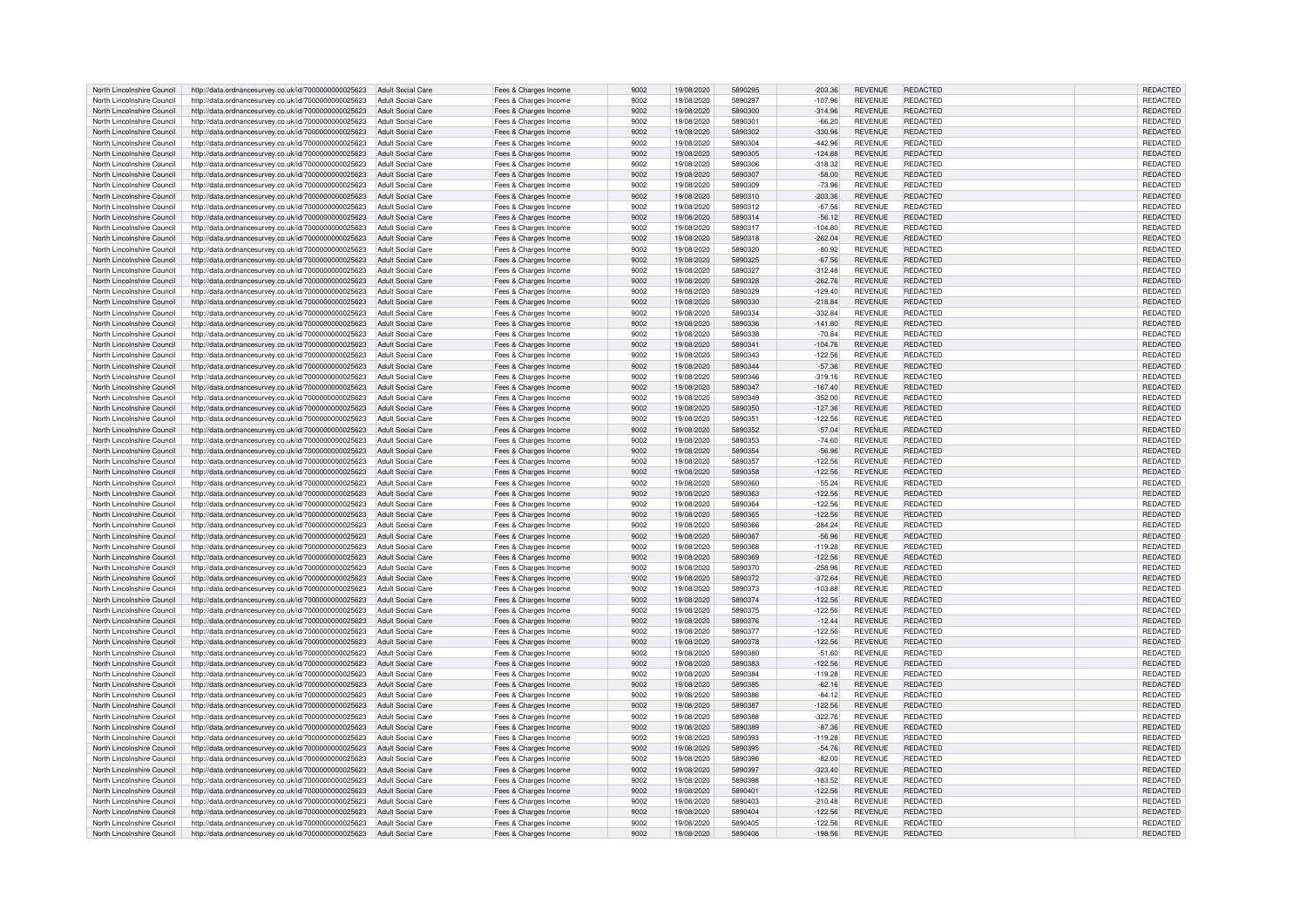| North Lincolnshire Council | http://data.ordnancesurvey.co.uk/id/7000000000025623                   | Adult Social Care        | Fees & Charges Income | 9002 | 19/08/2020 | 5890295 | $-203.36$ | <b>REVENUE</b> | REDACTED        | REDACTED        |
|----------------------------|------------------------------------------------------------------------|--------------------------|-----------------------|------|------------|---------|-----------|----------------|-----------------|-----------------|
| North Lincolnshire Council | http://data.ordnancesurvey.co.uk/id/7000000000025623                   | Adult Social Care        | Fees & Charges Income | 9002 | 19/08/2020 | 5890297 | $-107.96$ | <b>REVENUE</b> | REDACTED        | REDACTED        |
| North Lincolnshire Council | http://data.ordnancesurvey.co.uk/id/7000000000025623                   | <b>Adult Social Care</b> | Fees & Charges Income | 9002 | 19/08/2020 | 5890300 | $-314.96$ | <b>REVENUE</b> | REDACTED        | REDACTED        |
| North Lincolnshire Council | http://data.ordnancesurvey.co.uk/id/7000000000025623                   | Adult Social Care        |                       | 9002 | 19/08/2020 | 5890301 | $-66.20$  | <b>REVENUE</b> | REDACTED        | <b>REDACTED</b> |
|                            |                                                                        |                          | Fees & Charges Income |      |            |         |           |                |                 |                 |
| North Lincolnshire Council | http://data.ordnancesurvey.co.uk/id/7000000000025623                   | <b>Adult Social Care</b> | Fees & Charges Income | 9002 | 19/08/2020 | 5890302 | $-330.96$ | <b>REVENUE</b> | <b>REDACTED</b> | REDACTED        |
| North Lincolnshire Council | http://data.ordnancesurvey.co.uk/id/7000000000025623                   | <b>Adult Social Care</b> | Fees & Charges Income | 9002 | 19/08/2020 | 5890304 | $-442.96$ | <b>REVENUE</b> | REDACTED        | REDACTED        |
| North Lincolnshire Council | http://data.ordnancesurvey.co.uk/id/7000000000025623                   | Adult Social Care        | Fees & Charges Income | 9002 | 19/08/2020 | 5890305 | $-124.88$ | <b>REVENUE</b> | <b>REDACTED</b> | <b>REDACTED</b> |
| North Lincolnshire Council | http://data.ordnancesurvey.co.uk/id/7000000000025623                   | <b>Adult Social Care</b> | Fees & Charges Income | 9002 | 19/08/2020 | 5890306 | $-318.32$ | REVENUE        | <b>REDACTED</b> | REDACTED        |
| North Lincolnshire Council | http://data.ordnancesurvey.co.uk/id/7000000000025623                   | Adult Social Care        | Fees & Charges Income | 9002 | 19/08/2020 | 5890307 | $-58.00$  | <b>REVENUE</b> | REDACTED        | <b>REDACTED</b> |
| North Lincolnshire Council | http://data.ordnancesurvey.co.uk/id/7000000000025623                   | <b>Adult Social Care</b> | Fees & Charges Income | 9002 | 19/08/2020 | 5890309 | $-73.96$  | <b>REVENUE</b> | <b>REDACTED</b> | REDACTED        |
| North Lincolnshire Council | http://data.ordnancesurvey.co.uk/id/7000000000025623                   | Adult Social Care        | Fees & Charges Income | 9002 | 19/08/2020 | 5890310 | $-203.36$ | <b>REVENUE</b> | <b>REDACTED</b> | REDACTED        |
|                            |                                                                        |                          |                       |      |            |         |           |                |                 |                 |
| North Lincolnshire Council | http://data.ordnancesurvey.co.uk/id/7000000000025623                   | Adult Social Care        | Fees & Charges Income | 9002 | 19/08/2020 | 5890312 | $-67.56$  | <b>REVENUE</b> | REDACTED        | REDACTED        |
| North Lincolnshire Council | http://data.ordnancesurvey.co.uk/id/7000000000025623                   | <b>Adult Social Care</b> | Fees & Charges Income | 9002 | 19/08/2020 | 5890314 | $-56.12$  | <b>REVENUE</b> | <b>REDACTED</b> | REDACTED        |
| North Lincolnshire Council | http://data.ordnancesurvey.co.uk/id/7000000000025623                   | Adult Social Care        | Fees & Charges Income | 9002 | 19/08/2020 | 5890317 | $-104.80$ | <b>REVENUE</b> | <b>REDACTED</b> | REDACTED        |
| North Lincolnshire Council | http://data.ordnancesurvey.co.uk/id/7000000000025623                   | Adult Social Care        | Fees & Charges Income | 9002 | 19/08/2020 | 5890318 | $-262.04$ | <b>REVENUE</b> | <b>REDACTED</b> | REDACTED        |
| North Lincolnshire Council | http://data.ordnancesurvey.co.uk/id/7000000000025623                   | <b>Adult Social Care</b> | Fees & Charges Income | 9002 | 19/08/2020 | 5890320 | $-80.92$  | REVENUE        | <b>REDACTED</b> | REDACTED        |
| North Lincolnshire Council | http://data.ordnancesurvey.co.uk/id/7000000000025623                   | <b>Adult Social Care</b> | Fees & Charges Income | 9002 | 19/08/2020 | 5890325 | $-67.56$  | <b>REVENUE</b> | REDACTED        | <b>REDACTED</b> |
| North Lincolnshire Council | http://data.ordnancesurvey.co.uk/id/7000000000025623                   | <b>Adult Social Care</b> | Fees & Charges Income | 9002 | 19/08/2020 | 5890327 | $-312.48$ | REVENUE        | <b>REDACTED</b> | REDACTED        |
| North Lincolnshire Council | http://data.ordnancesurvey.co.uk/id/7000000000025623                   | <b>Adult Social Care</b> | Fees & Charges Income | 9002 | 19/08/2020 | 5890328 | $-262.76$ | REVENUE        | REDACTED        | REDACTED        |
| North Lincolnshire Council |                                                                        |                          |                       | 9002 |            | 5890329 | $-129.40$ | <b>REVENUE</b> | REDACTED        |                 |
|                            | http://data.ordnancesurvey.co.uk/id/7000000000025623                   | <b>Adult Social Care</b> | Fees & Charges Income |      | 19/08/2020 |         |           |                |                 | REDACTED        |
| North Lincolnshire Council | http://data.ordnancesurvey.co.uk/id/7000000000025623                   | <b>Adult Social Care</b> | Fees & Charges Income | 9002 | 19/08/2020 | 5890330 | $-218.84$ | <b>REVENUE</b> | <b>REDACTED</b> | REDACTED        |
| North Lincolnshire Council | http://data.ordnancesurvey.co.uk/id/7000000000025623                   | <b>Adult Social Care</b> | Fees & Charges Income | 9002 | 19/08/2020 | 5890334 | $-332.84$ | REVENUE        | REDACTED        | REDACTED        |
| North Lincolnshire Council | http://data.ordnancesurvey.co.uk/id/7000000000025623                   | Adult Social Care        | Fees & Charges Income | 9002 | 19/08/2020 | 5890336 | $-141.80$ | REVENUE        | <b>REDACTED</b> | REDACTED        |
| North Lincolnshire Council | http://data.ordnancesurvey.co.uk/id/7000000000025623                   | <b>Adult Social Care</b> | Fees & Charges Income | 9002 | 19/08/2020 | 5890338 | $-70.84$  | <b>REVENUE</b> | REDACTED        | REDACTED        |
| North Lincolnshire Council | http://data.ordnancesurvey.co.uk/id/7000000000025623                   | <b>Adult Social Care</b> | Fees & Charges Income | 9002 | 19/08/2020 | 5890341 | $-104.76$ | <b>REVENUE</b> | <b>REDACTED</b> | REDACTED        |
| North Lincolnshire Council | http://data.ordnancesurvey.co.uk/id/7000000000025623                   | <b>Adult Social Care</b> | Fees & Charges Income | 9002 | 19/08/2020 | 5890343 | $-122.56$ | <b>REVENUE</b> | REDACTED        | REDACTED        |
| North Lincolnshire Council | http://data.ordnancesurvey.co.uk/id/7000000000025623                   | <b>Adult Social Care</b> | Fees & Charges Income | 9002 | 19/08/2020 | 5890344 | $-57.36$  | REVENUE        | REDACTED        | REDACTED        |
| North Lincolnshire Council | http://data.ordnancesurvey.co.uk/id/7000000000025623                   | <b>Adult Social Care</b> | Fees & Charges Income | 9002 | 19/08/2020 | 5890346 | $-319.16$ | <b>REVENUE</b> | REDACTED        | REDACTED        |
|                            |                                                                        |                          |                       |      |            |         |           |                |                 |                 |
| North Lincolnshire Council | http://data.ordnancesurvey.co.uk/id/7000000000025623                   | Adult Social Care        | Fees & Charges Income | 9002 | 19/08/2020 | 5890347 | $-167.40$ | <b>REVENUE</b> | <b>REDACTED</b> | <b>REDACTED</b> |
| North Lincolnshire Council | http://data.ordnancesurvey.co.uk/id/7000000000025623                   | Adult Social Care        | Fees & Charges Income | 9002 | 19/08/2020 | 5890349 | $-352.00$ | <b>REVENUE</b> | <b>REDACTED</b> | REDACTED        |
| North Lincolnshire Council | http://data.ordnancesurvey.co.uk/id/7000000000025623                   | <b>Adult Social Care</b> | Fees & Charges Income | 9002 | 19/08/2020 | 5890350 | $-127.36$ | <b>REVENUE</b> | REDACTED        | REDACTED        |
| North Lincolnshire Council | http://data.ordnancesurvey.co.uk/id/7000000000025623                   | <b>Adult Social Care</b> | Fees & Charges Income | 9002 | 19/08/2020 | 5890351 | $-122.56$ | REVENUE        | <b>REDACTED</b> | REDACTED        |
| North Lincolnshire Council | http://data.ordnancesurvey.co.uk/id/7000000000025623                   | Adult Social Care        | Fees & Charges Income | 9002 | 19/08/2020 | 5890352 | $-57.04$  | <b>REVENUE</b> | REDACTED        | REDACTED        |
| North Lincolnshire Council | http://data.ordnancesurvey.co.uk/id/7000000000025623                   | <b>Adult Social Care</b> | Fees & Charges Income | 9002 | 19/08/2020 | 5890353 | $-74.60$  | <b>REVENUE</b> | REDACTED        | REDACTED        |
| North Lincolnshire Council | http://data.ordnancesurvey.co.uk/id/7000000000025623                   | <b>Adult Social Care</b> | Fees & Charges Income | 9002 | 19/08/2020 | 5890354 | $-56.96$  | <b>REVENUE</b> | REDACTED        | REDACTED        |
|                            |                                                                        |                          |                       |      |            |         |           |                |                 |                 |
| North Lincolnshire Council | http://data.ordnancesurvey.co.uk/id/7000000000025623                   | <b>Adult Social Care</b> | Fees & Charges Income | 9002 | 19/08/2020 | 5890357 | $-122.56$ | REVENUE        | REDACTED        | REDACTED        |
| North Lincolnshire Council | http://data.ordnancesurvey.co.uk/id/7000000000025623                   | <b>Adult Social Care</b> | Fees & Charges Income | 9002 | 19/08/2020 | 5890358 | $-122.56$ | REVENUE        | <b>REDACTED</b> | <b>REDACTED</b> |
| North Lincolnshire Council | http://data.ordnancesurvey.co.uk/id/7000000000025623                   | <b>Adult Social Care</b> | Fees & Charges Income | 9002 | 19/08/2020 | 5890360 | $-55.24$  | REVENUE        | <b>REDACTED</b> | REDACTED        |
| North Lincolnshire Council | http://data.ordnancesurvey.co.uk/id/7000000000025623                   | Adult Social Care        | Fees & Charges Income | 9002 | 19/08/2020 | 5890363 | $-122.56$ | <b>REVENUE</b> | <b>REDACTED</b> | <b>REDACTED</b> |
| North Lincolnshire Council | http://data.ordnancesurvey.co.uk/id/7000000000025623                   | Adult Social Care        | Fees & Charges Income | 9002 | 19/08/2020 | 5890364 | $-122.56$ | REVENUE        | REDACTED        | REDACTED        |
| North Lincolnshire Council | http://data.ordnancesurvey.co.uk/id/7000000000025623                   | <b>Adult Social Care</b> | Fees & Charges Income | 9002 | 19/08/2020 | 5890365 | $-122.56$ | REVENUE        | REDACTED        | REDACTED        |
| North Lincolnshire Council | http://data.ordnancesurvey.co.uk/id/7000000000025623                   | Adult Social Care        | Fees & Charges Income | 9002 | 19/08/2020 | 5890366 | $-284.24$ | REVENUE        | REDACTED        | REDACTED        |
| North Lincolnshire Council | http://data.ordnancesurvey.co.uk/id/7000000000025623                   | <b>Adult Social Care</b> | Fees & Charges Income | 9002 | 19/08/2020 | 5890367 | $-56.96$  | REVENUE        | REDACTED        | REDACTED        |
| North Lincolnshire Council | http://data.ordnancesurvey.co.uk/id/7000000000025623                   | Adult Social Care        | Fees & Charges Income | 9002 | 19/08/2020 | 5890368 | $-119.28$ | <b>REVENUE</b> | REDACTED        | <b>REDACTED</b> |
| North Lincolnshire Council |                                                                        | <b>Adult Social Care</b> |                       | 9002 | 19/08/2020 | 5890369 | $-122.56$ | <b>REVENUE</b> | REDACTED        | REDACTED        |
|                            | http://data.ordnancesurvey.co.uk/id/7000000000025623                   |                          | Fees & Charges Income | 9002 |            |         |           |                |                 |                 |
| North Lincolnshire Council | http://data.ordnancesurvey.co.uk/id/7000000000025623                   | <b>Adult Social Care</b> | Fees & Charges Income |      | 19/08/2020 | 5890370 | $-258.96$ | <b>REVENUE</b> | REDACTED        | REDACTED        |
| North Lincolnshire Council | http://data.ordnancesurvey.co.uk/id/7000000000025623                   | <b>Adult Social Care</b> | Fees & Charges Income | 9002 | 19/08/2020 | 5890372 | $-372.64$ | <b>REVENUE</b> | REDACTED        | REDACTED        |
| North Lincolnshire Council | http://data.ordnancesurvey.co.uk/id/7000000000025623                   | Adult Social Care        | Fees & Charges Income | 9002 | 19/08/2020 | 5890373 | $-103.88$ | <b>REVENUE</b> | REDACTED        | REDACTED        |
| North Lincolnshire Council | http://data.ordnancesurvey.co.uk/id/7000000000025623                   | Adult Social Care        | Fees & Charges Income | 9002 | 19/08/2020 | 5890374 | $-122.56$ | <b>REVENUE</b> | <b>REDACTED</b> | REDACTED        |
| North Lincolnshire Council | http://data.ordnancesurvey.co.uk/id/7000000000025623                   | Adult Social Care        | Fees & Charges Income | 9002 | 19/08/2020 | 5890375 | $-122.56$ | <b>REVENUE</b> | <b>REDACTED</b> | REDACTED        |
| North Lincolnshire Council | http://data.ordnancesurvey.co.uk/id/7000000000025623                   | Adult Social Care        | Fees & Charges Income | 9002 | 19/08/2020 | 5890376 | $-12.44$  | <b>REVENUE</b> | <b>REDACTED</b> | REDACTED        |
| North Lincolnshire Council | http://data.ordnancesurvey.co.uk/id/7000000000025623                   | Adult Social Care        | Fees & Charges Income | 9002 | 19/08/2020 | 5890377 | $-122.56$ | REVENUE        | <b>REDACTED</b> | REDACTED        |
| North Lincolnshire Council | http://data.ordnancesurvey.co.uk/id/7000000000025623                   | Adult Social Care        | Fees & Charges Income | 9002 | 19/08/2020 | 5890378 | $-122.56$ | <b>REVENUE</b> | REDACTED        | REDACTED        |
| North Lincolnshire Council | http://data.ordnancesurvey.co.uk/id/7000000000025623                   | Adult Social Care        | Fees & Charges Income | 9002 | 19/08/2020 | 5890380 | $-51.60$  | <b>REVENUE</b> | <b>REDACTED</b> | REDACTED        |
| North Lincolnshire Council |                                                                        | <b>Adult Social Care</b> |                       | 9002 | 19/08/2020 | 5890383 | $-122.56$ | REVENUE        | <b>REDACTED</b> | REDACTED        |
|                            | http://data.ordnancesurvey.co.uk/id/7000000000025623                   |                          | Fees & Charges Income |      |            |         |           |                |                 |                 |
| North Lincolnshire Council | http://data.ordnancesurvey.co.uk/id/7000000000025623                   | <b>Adult Social Care</b> | Fees & Charges Income | 9002 | 19/08/2020 | 5890384 | $-119.28$ | <b>REVENUE</b> | <b>REDACTED</b> | REDACTED        |
| North Lincolnshire Council | http://data.ordnancesurvey.co.uk/id/7000000000025623                   | <b>Adult Social Care</b> | Fees & Charges Income | 9002 | 19/08/2020 | 5890385 | $-62.16$  | REVENUE        | <b>REDACTED</b> | REDACTED        |
| North Lincolnshire Council | http://data.ordnancesurvey.co.uk/id/7000000000025623                   | Adult Social Care        | Fees & Charges Income | 9002 | 19/08/2020 | 5890386 | $-84.12$  | REVENUE        | REDACTED        | REDACTED        |
| North Lincolnshire Council | http://data.ordnancesurvey.co.uk/id/7000000000025623                   | <b>Adult Social Care</b> | Fees & Charges Income | 9002 | 19/08/2020 | 5890387 | $-122.56$ | REVENUE        | <b>REDACTED</b> | REDACTED        |
| North Lincolnshire Council | http://data.ordnancesurvey.co.uk/id/7000000000025623                   | Adult Social Care        | Fees & Charges Income | 9002 | 19/08/2020 | 5890388 | $-322.76$ | REVENUE        | <b>REDACTED</b> | REDACTED        |
| North Lincolnshire Council | http://data.ordnancesurvey.co.uk/id/7000000000025623                   | Adult Social Care        | Fees & Charges Income | 9002 | 19/08/2020 | 5890389 | $-87.36$  | REVENUE        | REDACTED        | REDACTED        |
| North Lincolnshire Council | http://data.ordnancesurvey.co.uk/id/7000000000025623                   | Adult Social Care        | Fees & Charges Income | 9002 | 19/08/2020 | 5890393 | $-119.28$ | REVENUE        | <b>REDACTED</b> | REDACTED        |
| North Lincolnshire Council | http://data.ordnancesurvey.co.uk/id/7000000000025623                   | <b>Adult Social Care</b> | Fees & Charges Income | 9002 | 19/08/2020 | 5890395 | $-54.76$  | <b>REVENUE</b> | REDACTED        | REDACTED        |
| North Lincolnshire Council | http://data.ordnancesurvey.co.uk/id/7000000000025623                   | <b>Adult Social Care</b> | Fees & Charges Income | 9002 | 19/08/2020 | 5890396 | $-82.00$  | <b>REVENUE</b> | <b>REDACTED</b> | REDACTED        |
|                            |                                                                        |                          |                       | 9002 |            | 5890397 |           |                | <b>REDACTED</b> |                 |
| North Lincolnshire Council | http://data.ordnancesurvey.co.uk/id/7000000000025623                   | <b>Adult Social Care</b> | Fees & Charges Income |      | 19/08/2020 |         | $-323.40$ | <b>REVENUE</b> |                 | REDACTED        |
| North Lincolnshire Council | http://data.ordnancesurvey.co.uk/id/7000000000025623                   | Adult Social Care        | Fees & Charges Income | 9002 | 19/08/2020 | 5890398 | $-183.52$ | <b>REVENUE</b> | REDACTED        | REDACTED        |
| North Lincolnshire Council | http://data.ordnancesurvey.co.uk/id/7000000000025623                   | <b>Adult Social Care</b> | Fees & Charges Income | 9002 | 19/08/2020 | 589040  | $-122.56$ | <b>REVENUE</b> | <b>REDACTED</b> | REDACTED        |
| North Lincolnshire Council | http://data.ordnancesurvey.co.uk/id/7000000000025623                   | <b>Adult Social Care</b> | Fees & Charges Income | 9002 | 19/08/2020 | 5890403 | $-210.48$ | <b>REVENUE</b> | REDACTED        | REDACTED        |
| North Lincolnshire Council | http://data.ordnancesurvey.co.uk/id/7000000000025623                   | <b>Adult Social Care</b> | Fees & Charges Income | 9002 | 19/08/2020 | 5890404 | $-122.56$ | <b>REVENUE</b> | REDACTED        | REDACTED        |
| North Lincolnshire Council | http://data.ordnancesurvey.co.uk/id/7000000000025623                   | Adult Social Care        | Fees & Charges Income | 9002 | 19/08/2020 | 5890405 | $-122.56$ | <b>REVENUE</b> | <b>REDACTED</b> | <b>REDACTED</b> |
| North Lincolnshire Council | http://data.ordnancesurvey.co.uk/id/7000000000025623 Adult Social Care |                          | Fees & Charges Income | 9002 | 19/08/2020 | 5890406 | $-198.56$ | <b>REVENUE</b> | REDACTED        | REDACTED        |
|                            |                                                                        |                          |                       |      |            |         |           |                |                 |                 |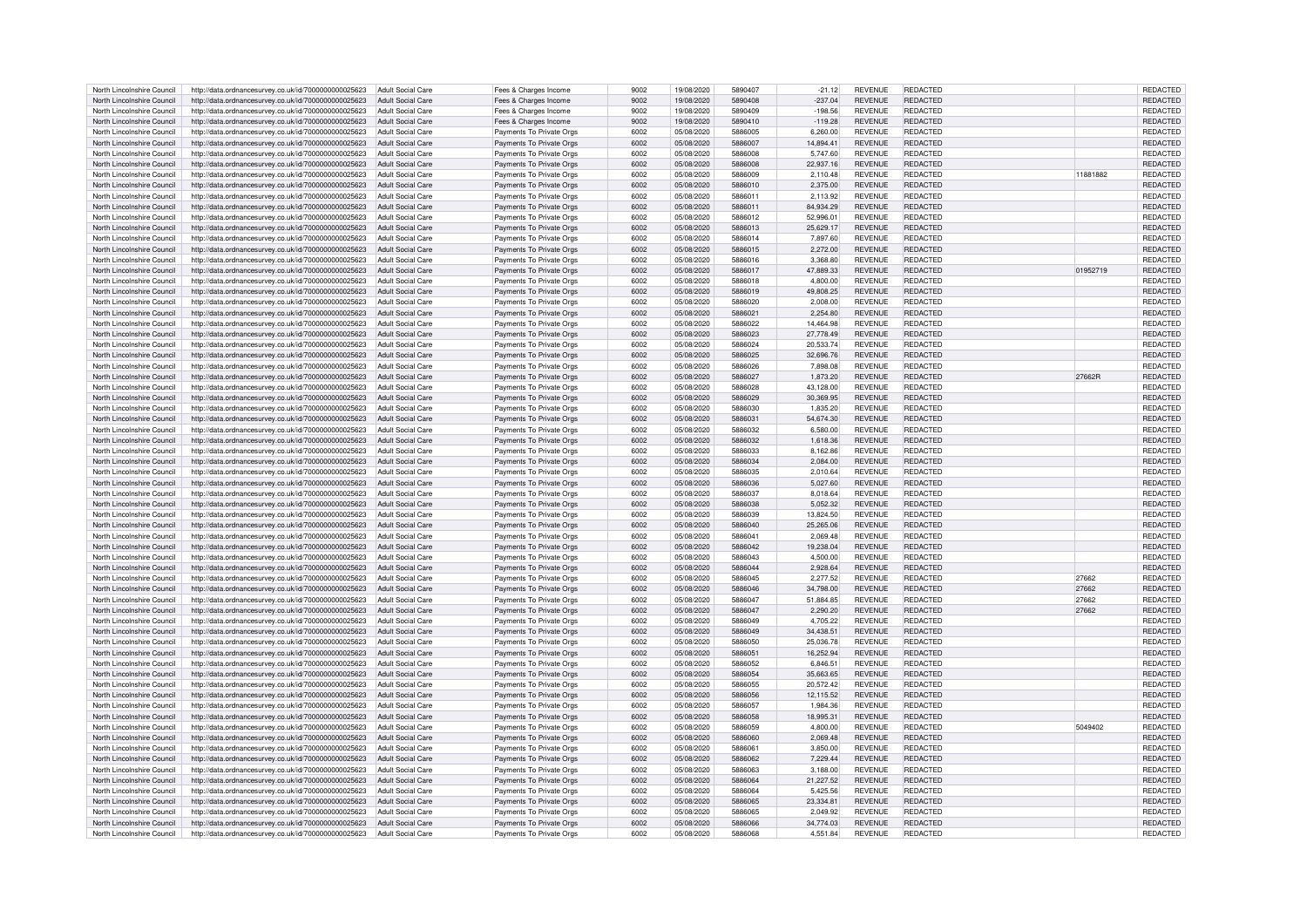| North Lincolnshire Council | http://data.ordnancesurvey.co.uk/id/7000000000025623                   | Adult Social Care        | Fees & Charges Income    | 9002 | 19/08/2020 | 5890407 | $-21.12$  | <b>REVENUE</b> | <b>REDACTED</b> |          | REDACTED        |
|----------------------------|------------------------------------------------------------------------|--------------------------|--------------------------|------|------------|---------|-----------|----------------|-----------------|----------|-----------------|
|                            |                                                                        |                          |                          |      |            |         |           |                |                 |          |                 |
| North Lincolnshire Council | http://data.ordnancesurvey.co.uk/id/7000000000025623                   | Adult Social Care        | Fees & Charges Income    | 9002 | 19/08/2020 | 5890408 | $-237.04$ | <b>REVENUE</b> | REDACTED        |          | REDACTED        |
| North Lincolnshire Council | http://data.ordnancesurvey.co.uk/id/7000000000025623                   | Adult Social Care        | Fees & Charges Income    | 9002 | 19/08/2020 | 5890409 | $-198.56$ | <b>REVENUE</b> | REDACTED        |          | REDACTED        |
| North Lincolnshire Council | http://data.ordnancesurvey.co.uk/id/7000000000025623                   | Adult Social Care        | Fees & Charges Income    | 9002 | 19/08/2020 | 5890410 | $-119.28$ | <b>REVENUE</b> | <b>REDACTED</b> |          | <b>REDACTED</b> |
| North Lincolnshire Council | http://data.ordnancesurvey.co.uk/id/7000000000025623                   | <b>Adult Social Care</b> | Payments To Private Orgs | 6002 | 05/08/2020 | 5886005 | 6,260.00  | <b>REVENUE</b> | <b>REDACTED</b> |          | <b>REDACTED</b> |
|                            |                                                                        |                          |                          | 6002 |            |         |           | <b>REVENUE</b> |                 |          |                 |
| North Lincolnshire Council | http://data.ordnancesurvey.co.uk/id/7000000000025623                   | <b>Adult Social Care</b> | Payments To Private Orgs |      | 05/08/2020 | 5886007 | 14,894.41 |                | <b>REDACTED</b> |          | <b>REDACTED</b> |
| North Lincolnshire Council | http://data.ordnancesurvey.co.uk/id/7000000000025623                   | <b>Adult Social Care</b> | Payments To Private Orgs | 6002 | 05/08/2020 | 5886008 | 5.747.60  | <b>REVENUE</b> | REDACTED        |          | REDACTED        |
| North Lincolnshire Council | http://data.ordnancesurvey.co.uk/id/7000000000025623                   | <b>Adult Social Care</b> | Payments To Private Orgs | 6002 | 05/08/2020 | 5886008 | 22,937.16 | <b>REVENUE</b> | REDACTED        |          | REDACTED        |
| North Lincolnshire Council | http://data.ordnancesurvey.co.uk/id/7000000000025623                   | Adult Social Care        | Payments To Private Orgs | 6002 | 05/08/2020 | 5886009 | 2.110.48  | <b>REVENUE</b> | REDACTED        | 11881882 | <b>REDACTED</b> |
|                            |                                                                        |                          |                          |      |            |         |           |                |                 |          |                 |
| North Lincolnshire Council | http://data.ordnancesurvey.co.uk/id/7000000000025623                   | Adult Social Care        | Payments To Private Orgs | 6002 | 05/08/2020 | 5886010 | 2,375.00  | <b>REVENUE</b> | <b>REDACTED</b> |          | <b>REDACTED</b> |
| North Lincolnshire Council | http://data.ordnancesurvey.co.uk/id/7000000000025623                   | Adult Social Care        | Payments To Private Orgs | 6002 | 05/08/2020 | 5886011 | 2,113.92  | <b>REVENUE</b> | <b>REDACTED</b> |          | REDACTED        |
| North Lincolnshire Council | http://data.ordnancesurvey.co.uk/id/7000000000025623                   | Adult Social Care        | Payments To Private Orgs | 6002 | 05/08/2020 | 5886011 | 84,934.29 | <b>REVENUE</b> | REDACTED        |          | REDACTED        |
| North Lincolnshire Council | http://data.ordnancesurvey.co.uk/id/7000000000025623                   | Adult Social Care        | Payments To Private Orgs | 6002 | 05/08/2020 | 5886012 | 52,996.01 | <b>REVENUE</b> | REDACTED        |          | REDACTED        |
|                            |                                                                        |                          |                          |      |            |         |           |                |                 |          |                 |
| North Lincolnshire Council | http://data.ordnancesurvey.co.uk/id/7000000000025623                   | Adult Social Care        | Payments To Private Orgs | 6002 | 05/08/2020 | 5886013 | 25.629.17 | <b>REVENUE</b> | <b>REDACTED</b> |          | <b>REDACTED</b> |
| North Lincolnshire Council | http://data.ordnancesurvey.co.uk/id/7000000000025623                   | Adult Social Care        | Payments To Private Orgs | 6002 | 05/08/2020 | 5886014 | 7,897.60  | <b>REVENUE</b> | REDACTED        |          | <b>REDACTED</b> |
| North Lincolnshire Council | http://data.ordnancesurvey.co.uk/id/7000000000025623                   | <b>Adult Social Care</b> | Payments To Private Orgs | 6002 | 05/08/2020 | 5886015 | 2,272.00  | <b>REVENUE</b> | <b>REDACTED</b> |          | REDACTED        |
| North Lincolnshire Council | http://data.ordnancesurvey.co.uk/id/7000000000025623                   | Adult Social Care        | Payments To Private Orgs | 6002 | 05/08/2020 | 5886016 | 3,368.80  | <b>REVENUE</b> | REDACTED        |          | REDACTED        |
|                            |                                                                        |                          |                          |      |            |         |           |                |                 |          |                 |
| North Lincolnshire Council | http://data.ordnancesurvey.co.uk/id/7000000000025623                   | Adult Social Care        | Payments To Private Orgs | 6002 | 05/08/2020 | 5886017 | 47,889.33 | <b>REVENUE</b> | <b>REDACTED</b> | 01952719 | REDACTED        |
| North Lincolnshire Council | http://data.ordnancesurvey.co.uk/id/7000000000025623                   | Adult Social Care        | Payments To Private Orgs | 6002 | 05/08/2020 | 5886018 | 4,800.00  | <b>REVENUE</b> | REDACTED        |          | REDACTED        |
| North Lincolnshire Council | http://data.ordnancesurvey.co.uk/id/7000000000025623                   | <b>Adult Social Care</b> | Payments To Private Orgs | 6002 | 05/08/2020 | 5886019 | 49.808.25 | <b>REVENUE</b> | <b>REDACTED</b> |          | REDACTED        |
| North Lincolnshire Council |                                                                        | Adult Social Care        |                          | 6002 |            | 5886020 |           | <b>REVENUE</b> | <b>REDACTED</b> |          |                 |
|                            | http://data.ordnancesurvey.co.uk/id/7000000000025623                   |                          | Payments To Private Orgs |      | 05/08/2020 |         | 2,008.00  |                |                 |          | REDACTED        |
| North Lincolnshire Council | http://data.ordnancesurvey.co.uk/id/7000000000025623                   | Adult Social Care        | Payments To Private Orgs | 6002 | 05/08/2020 | 5886021 | 2,254.80  | <b>REVENUE</b> | REDACTED        |          | REDACTED        |
| North Lincolnshire Council | http://data.ordnancesurvey.co.uk/id/7000000000025623                   | Adult Social Care        | Payments To Private Orgs | 6002 | 05/08/2020 | 5886022 | 14,464.98 | <b>REVENUE</b> | REDACTED        |          | <b>REDACTED</b> |
| North Lincolnshire Council | http://data.ordnancesurvey.co.uk/id/7000000000025623                   | Adult Social Care        | Payments To Private Orgs | 6002 | 05/08/2020 | 5886023 | 27,778.49 | <b>REVENUE</b> | <b>REDACTED</b> |          | REDACTED        |
| North Lincolnshire Council | http://data.ordnancesurvey.co.uk/id/7000000000025623                   | <b>Adult Social Care</b> |                          | 6002 | 05/08/2020 | 5886024 | 20,533.74 | <b>REVENUE</b> | <b>REDACTED</b> |          | REDACTED        |
|                            |                                                                        |                          | Payments To Private Orgs |      |            |         |           |                |                 |          |                 |
| North Lincolnshire Council | http://data.ordnancesurvey.co.uk/id/7000000000025623                   | Adult Social Care        | Payments To Private Orgs | 6002 | 05/08/2020 | 5886025 | 32,696.76 | <b>REVENUE</b> | <b>REDACTED</b> |          | REDACTED        |
| North Lincolnshire Council | http://data.ordnancesurvey.co.uk/id/7000000000025623                   | Adult Social Care        | Payments To Private Orgs | 6002 | 05/08/2020 | 5886026 | 7,898.08  | <b>REVENUE</b> | REDACTED        |          | REDACTED        |
| North Lincolnshire Council | http://data.ordnancesurvey.co.uk/id/7000000000025623                   | Adult Social Care        | Payments To Private Orgs | 6002 | 05/08/2020 | 5886027 | 1.873.20  | <b>REVENUE</b> | REDACTED        | 27662R   | <b>REDACTED</b> |
| North Lincolnshire Council |                                                                        | <b>Adult Social Care</b> |                          | 6002 | 05/08/2020 | 5886028 | 43.128.00 | <b>REVENUE</b> | REDACTED        |          | <b>REDACTED</b> |
|                            | http://data.ordnancesurvey.co.uk/id/7000000000025623                   |                          | Payments To Private Orgs |      |            |         |           |                |                 |          |                 |
| North Lincolnshire Council | http://data.ordnancesurvey.co.uk/id/7000000000025623                   | Adult Social Care        | Payments To Private Orgs | 6002 | 05/08/2020 | 5886029 | 30.369.95 | <b>REVENUE</b> | <b>REDACTED</b> |          | <b>REDACTED</b> |
| North Lincolnshire Council | http://data.ordnancesurvey.co.uk/id/7000000000025623                   | Adult Social Care        | Payments To Private Orgs | 6002 | 05/08/2020 | 5886030 | 1,835.20  | <b>REVENUE</b> | REDACTED        |          | REDACTED        |
| North Lincolnshire Council | http://data.ordnancesurvey.co.uk/id/7000000000025623                   | Adult Social Care        | Payments To Private Orgs | 6002 | 05/08/2020 | 5886031 | 54,674.30 | <b>REVENUE</b> | REDACTED        |          | <b>REDACTED</b> |
|                            |                                                                        |                          |                          |      |            | 5886032 |           |                |                 |          |                 |
| North Lincolnshire Council | http://data.ordnancesurvey.co.uk/id/7000000000025623                   | Adult Social Care        | Payments To Private Orgs | 6002 | 05/08/2020 |         | 6,580.00  | <b>REVENUE</b> | REDACTED        |          | REDACTED        |
| North Lincolnshire Council | http://data.ordnancesurvey.co.uk/id/7000000000025623                   | Adult Social Care        | Payments To Private Orgs | 6002 | 05/08/2020 | 5886032 | 1,618.36  | <b>REVENUE</b> | <b>REDACTED</b> |          | <b>REDACTED</b> |
| North Lincolnshire Council | http://data.ordnancesurvey.co.uk/id/7000000000025623                   | <b>Adult Social Care</b> | Payments To Private Orgs | 6002 | 05/08/2020 | 5886033 | 8,162.86  | <b>REVENUE</b> | <b>REDACTED</b> |          | <b>REDACTED</b> |
| North Lincolnshire Council | http://data.ordnancesurvey.co.uk/id/7000000000025623                   | <b>Adult Social Care</b> | Payments To Private Orgs | 6002 | 05/08/2020 | 5886034 | 2,084.00  | <b>REVENUE</b> | REDACTED        |          | REDACTED        |
|                            |                                                                        |                          |                          |      |            |         |           |                |                 |          |                 |
| North Lincolnshire Council | http://data.ordnancesurvey.co.uk/id/7000000000025623                   | <b>Adult Social Care</b> | Payments To Private Orgs | 6002 | 05/08/2020 | 5886035 | 2.010.64  | <b>REVENUE</b> | REDACTED        |          | <b>REDACTED</b> |
| North Lincolnshire Council | http://data.ordnancesurvey.co.uk/id/7000000000025623                   | Adult Social Care        | Payments To Private Orgs | 6002 | 05/08/2020 | 5886036 | 5,027.60  | <b>REVENUE</b> | <b>REDACTED</b> |          | REDACTED        |
| North Lincolnshire Council | http://data.ordnancesurvey.co.uk/id/7000000000025623                   | <b>Adult Social Care</b> | Payments To Private Orgs | 6002 | 05/08/2020 | 5886037 | 8.018.64  | <b>REVENUE</b> | REDACTED        |          | <b>REDACTED</b> |
| North Lincolnshire Council |                                                                        |                          | Payments To Private Orgs | 6002 | 05/08/2020 | 5886038 | 5,052.32  | <b>REVENUE</b> | REDACTED        |          | REDACTED        |
|                            | http://data.ordnancesurvey.co.uk/id/7000000000025623                   | <b>Adult Social Care</b> |                          |      |            |         |           |                |                 |          |                 |
| North Lincolnshire Council | http://data.ordnancesurvey.co.uk/id/7000000000025623                   | Adult Social Care        | Payments To Private Orgs | 6002 | 05/08/2020 | 5886039 | 13,824.50 | <b>REVENUE</b> | REDACTED        |          | REDACTED        |
| North Lincolnshire Council | http://data.ordnancesurvey.co.uk/id/7000000000025623                   | Adult Social Care        | Payments To Private Orgs | 6002 | 05/08/2020 | 5886040 | 25,265.06 | <b>REVENUE</b> | REDACTED        |          | <b>REDACTED</b> |
| North Lincolnshire Council | http://data.ordnancesurvey.co.uk/id/7000000000025623                   | <b>Adult Social Care</b> | Payments To Private Orgs | 6002 | 05/08/2020 | 5886041 | 2,069.48  | <b>REVENUE</b> | REDACTED        |          | REDACTED        |
| North Lincolnshire Council | http://data.ordnancesurvey.co.uk/id/7000000000025623                   | Adult Social Care        | Payments To Private Orgs | 6002 | 05/08/2020 | 5886042 | 19,238.04 | <b>REVENUE</b> | <b>REDACTED</b> |          | <b>REDACTED</b> |
|                            |                                                                        |                          |                          |      |            |         |           |                |                 |          |                 |
| North Lincolnshire Council | http://data.ordnancesurvey.co.uk/id/7000000000025623                   | <b>Adult Social Care</b> | Payments To Private Orgs | 6002 | 05/08/2020 | 5886043 | 4,500.00  | <b>REVENUE</b> | REDACTED        |          | REDACTED        |
| North Lincolnshire Council | http://data.ordnancesurvey.co.uk/id/7000000000025623                   | <b>Adult Social Care</b> | Payments To Private Orgs | 6002 | 05/08/2020 | 5886044 | 2,928.64  | <b>REVENUE</b> | REDACTED        |          | REDACTED        |
| North Lincolnshire Council | http://data.ordnancesurvey.co.uk/id/7000000000025623                   | <b>Adult Social Care</b> | Payments To Private Orgs | 6002 | 05/08/2020 | 5886045 | 2.277.52  | <b>REVENUE</b> | REDACTED        | 27662    | REDACTED        |
| North Lincolnshire Council | http://data.ordnancesurvey.co.uk/id/7000000000025623                   | Adult Social Care        | Payments To Private Orgs | 6002 | 05/08/2020 | 5886046 | 34.798.00 | <b>REVENUE</b> | <b>REDACTED</b> | 27662    | <b>REDACTED</b> |
|                            |                                                                        |                          |                          |      |            |         |           |                |                 |          |                 |
| North Lincolnshire Council | http://data.ordnancesurvey.co.uk/id/7000000000025623                   | Adult Social Care        | Payments To Private Orgs | 6002 | 05/08/2020 | 5886047 | 51 884 85 | <b>REVENUE</b> | <b>REDACTED</b> | 27662    | <b>REDACTED</b> |
| North Lincolnshire Council | http://data.ordnancesurvey.co.uk/id/7000000000025623                   | Adult Social Care        | Payments To Private Orgs | 6002 | 05/08/2020 | 5886047 | 2,290.20  | <b>REVENUE</b> | <b>REDACTED</b> | 27662    | REDACTED        |
| North Lincolnshire Council | http://data.ordnancesurvey.co.uk/id/7000000000025623                   | Adult Social Care        | Payments To Private Orgs | 6002 | 05/08/2020 | 5886049 | 4,705.22  | <b>REVENUE</b> | <b>REDACTED</b> |          | REDACTED        |
| North Lincolnshire Council | http://data.ordnancesurvey.co.uk/id/7000000000025623                   | Adult Social Care        | Payments To Private Orgs | 6002 | 05/08/2020 | 5886049 | 34,438.51 | <b>REVENUE</b> | <b>REDACTED</b> |          | REDACTED        |
|                            |                                                                        |                          |                          |      |            |         |           |                |                 |          |                 |
| North Lincolnshire Council | http://data.ordnancesurvey.co.uk/id/7000000000025623                   | Adult Social Care        | Payments To Private Orgs | 6002 | 05/08/2020 | 5886050 | 25.036.78 | <b>REVENUE</b> | REDACTED        |          | <b>REDACTED</b> |
| North Lincolnshire Council | http://data.ordnancesurvey.co.uk/id/7000000000025623                   | Adult Social Care        | Payments To Private Orgs | 6002 | 05/08/2020 | 5886051 | 16,252.94 | <b>REVENUE</b> | <b>REDACTED</b> |          | REDACTED        |
| North Lincolnshire Council | http://data.ordnancesurvey.co.uk/id/7000000000025623                   | Adult Social Care        | Payments To Private Orgs | 6002 | 05/08/2020 | 5886052 | 6,846.51  | <b>REVENUE</b> | <b>REDACTED</b> |          | REDACTED        |
| North Lincolnshire Council | http://data.ordnancesurvey.co.uk/id/7000000000025623                   | <b>Adult Social Care</b> | Payments To Private Orgs | 6002 | 05/08/2020 | 5886054 | 35,663.65 | <b>REVENUE</b> | <b>REDACTED</b> |          | <b>REDACTED</b> |
|                            |                                                                        |                          |                          |      |            |         |           |                |                 |          |                 |
| North Lincolnshire Council | http://data.ordnancesurvey.co.uk/id/7000000000025623                   | <b>Adult Social Care</b> | Payments To Private Orgs | 6002 | 05/08/2020 | 5886055 | 20,572.42 | <b>REVENUE</b> | REDACTED        |          | REDACTED        |
| North Lincolnshire Council | http://data.ordnancesurvey.co.uk/id/7000000000025623                   | Adult Social Care        | Payments To Private Orgs | 6002 | 05/08/2020 | 5886056 | 12.115.52 | <b>REVENUE</b> | <b>REDACTED</b> |          | <b>REDACTED</b> |
| North Lincolnshire Council | http://data.ordnancesurvey.co.uk/id/7000000000025623                   | <b>Adult Social Care</b> | Payments To Private Orgs | 6002 | 05/08/2020 | 5886057 | 1,984.36  | <b>REVENUE</b> | REDACTED        |          | <b>REDACTED</b> |
| North Lincolnshire Council | http://data.ordnancesurvey.co.uk/id/7000000000025623                   | Adult Social Care        | Payments To Private Orgs | 6002 | 05/08/2020 | 5886058 | 18,995.31 | <b>REVENUE</b> | <b>REDACTED</b> |          | REDACTED        |
|                            |                                                                        |                          |                          |      |            |         |           |                |                 |          |                 |
| North Lincolnshire Council | http://data.ordnancesurvey.co.uk/id/7000000000025623                   | Adult Social Care        | Payments To Private Orgs | 6002 | 05/08/2020 | 5886059 | 4,800.00  | <b>REVENUE</b> | REDACTED        | 5049402  | REDACTED        |
| North Lincolnshire Council | http://data.ordnancesurvey.co.uk/id/7000000000025623                   | Adult Social Care        | Payments To Private Orgs | 6002 | 05/08/2020 | 5886060 | 2,069.48  | <b>REVENUE</b> | <b>REDACTED</b> |          | REDACTED        |
| North Lincolnshire Council | http://data.ordnancesurvey.co.uk/id/7000000000025623                   | Adult Social Care        | Payments To Private Orgs | 6002 | 05/08/2020 | 5886061 | 3.850.00  | <b>REVENUE</b> | REDACTED        |          | <b>REDACTED</b> |
| North Lincolnshire Council | http://data.ordnancesurvey.co.uk/id/7000000000025623                   | Adult Social Care        | Payments To Private Orgs | 6002 | 05/08/2020 | 5886062 | 7,229.44  | <b>REVENUE</b> | <b>REDACTED</b> |          | REDACTED        |
|                            |                                                                        |                          |                          |      |            |         |           |                |                 |          |                 |
| North Lincolnshire Council | http://data.ordnancesurvey.co.uk/id/7000000000025623                   | <b>Adult Social Care</b> | Payments To Private Orgs | 6002 | 05/08/2020 | 5886063 | 3,188.00  | <b>REVENUE</b> | REDACTED        |          | REDACTED        |
| North Lincolnshire Council | http://data.ordnancesurvey.co.uk/id/7000000000025623                   | <b>Adult Social Care</b> | Payments To Private Orgs | 6002 | 05/08/2020 | 5886064 | 21,227.52 | <b>REVENUE</b> | REDACTED        |          | REDACTED        |
| North Lincolnshire Council | http://data.ordnancesurvey.co.uk/id/7000000000025623                   | <b>Adult Social Care</b> | Payments To Private Orgs | 6002 | 05/08/2020 | 5886064 | 5,425.56  | <b>REVENUE</b> | REDACTED        |          | REDACTED        |
| North Lincolnshire Council | http://data.ordnancesurvey.co.uk/id/7000000000025623                   | Adult Social Care        | Payments To Private Orgs | 6002 | 05/08/2020 | 5886065 | 23,334.81 | <b>REVENUE</b> | REDACTED        |          | REDACTED        |
|                            |                                                                        |                          |                          |      |            | 5886065 |           | <b>REVENUE</b> | <b>REDACTED</b> |          |                 |
| North Lincolnshire Council | http://data.ordnancesurvey.co.uk/id/7000000000025623                   | Adult Social Care        | Payments To Private Orgs | 6002 | 05/08/2020 |         | 2.049.92  |                |                 |          | <b>REDACTED</b> |
| North Lincolnshire Council | http://data.ordnancesurvey.co.uk/id/7000000000025623                   | Adult Social Care        | Payments To Private Orgs | 6002 | 05/08/2020 | 5886066 | 34.774.03 | <b>REVENUE</b> | <b>REDACTED</b> |          | <b>REDACTED</b> |
| North Lincolnshire Council | http://data.ordnancesurvey.co.uk/id/7000000000025623 Adult Social Care |                          | Payments To Private Orgs | 6002 | 05/08/2020 | 5886068 | 4,551.84  | <b>REVENUE</b> | <b>REDACTED</b> |          | REDACTED        |
|                            |                                                                        |                          |                          |      |            |         |           |                |                 |          |                 |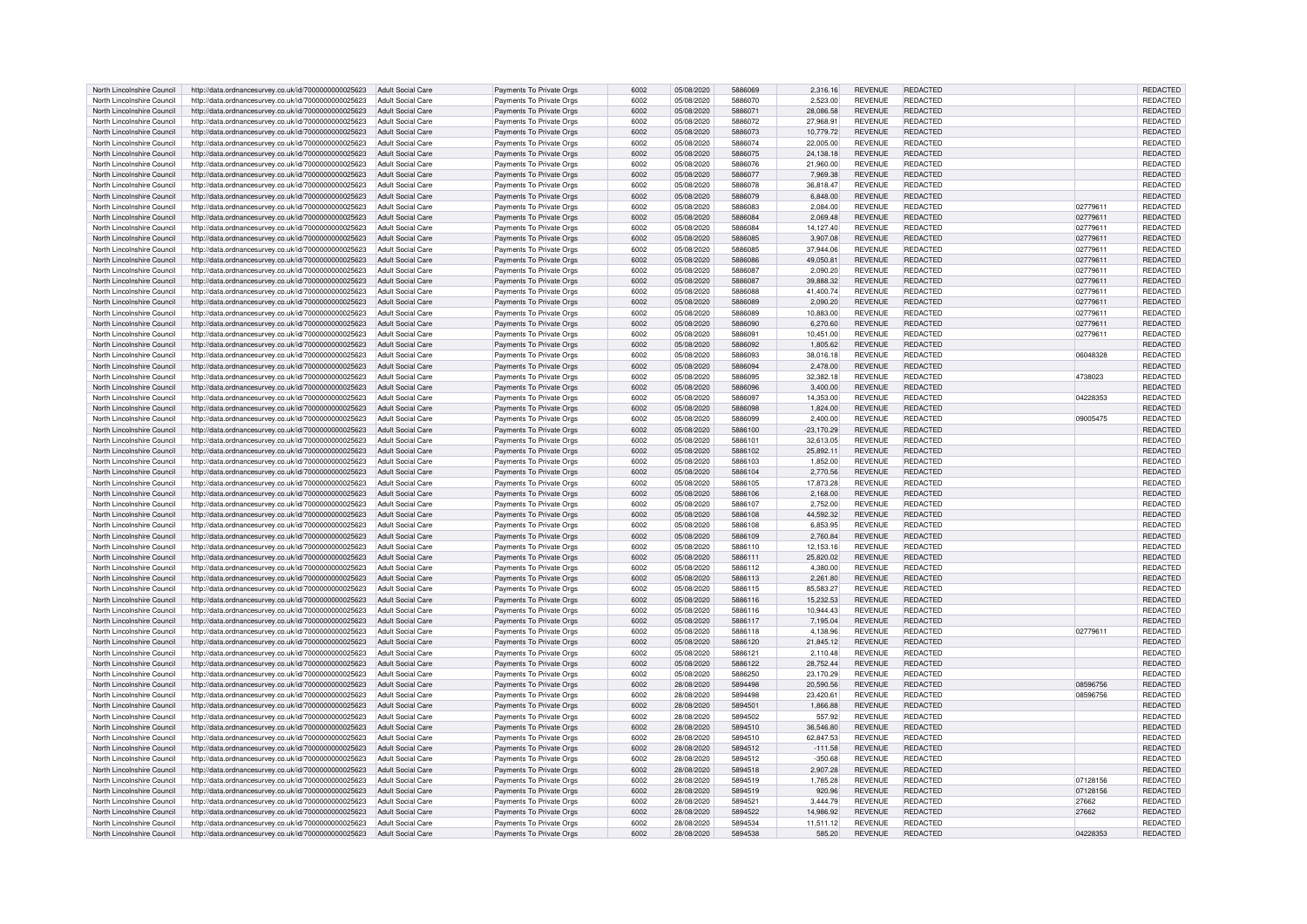| North Lincolnshire Council | http://data.ordnancesurvey.co.uk/id/7000000000025623                  | Adult Social Care        | Payments To Private Orgs | 6002 | 05/08/2020 | 5886069 | 2,316.16     | <b>REVENUE</b> | REDACTED        |          | REDACTED        |
|----------------------------|-----------------------------------------------------------------------|--------------------------|--------------------------|------|------------|---------|--------------|----------------|-----------------|----------|-----------------|
| North Lincolnshire Council | http://data.ordnancesurvey.co.uk/id/7000000000025623                  | Adult Social Care        | Payments To Private Orgs | 6002 | 05/08/2020 | 5886070 | 2.523.00     | <b>REVENUE</b> | REDACTED        |          | <b>REDACTED</b> |
| North Lincolnshire Council | http://data.ordnancesurvey.co.uk/id/7000000000025623                  | Adult Social Care        |                          | 6002 | 05/08/2020 | 5886071 | 28,086.58    | <b>REVENUE</b> | <b>REDACTED</b> |          | REDACTED        |
|                            |                                                                       |                          | Payments To Private Orgs |      |            |         |              |                |                 |          |                 |
| North Lincolnshire Council | http://data.ordnancesurvey.co.uk/id/7000000000025623                  | Adult Social Care        | Payments To Private Orgs | 6002 | 05/08/2020 | 5886072 | 27,968.91    | <b>REVENUE</b> | REDACTED        |          | REDACTED        |
| North Lincolnshire Council | http://data.ordnancesurvey.co.uk/id/7000000000025623                  | <b>Adult Social Care</b> | Payments To Private Orgs | 6002 | 05/08/2020 | 5886073 | 10,779.72    | <b>REVENUE</b> | <b>REDACTED</b> |          | REDACTED        |
| North Lincolnshire Council | http://data.ordnancesurvey.co.uk/id/7000000000025623                  | <b>Adult Social Care</b> | Payments To Private Orgs | 6002 | 05/08/2020 | 5886074 | 22,005.00    | <b>REVENUE</b> | REDACTED        |          | REDACTED        |
| North Lincolnshire Council | http://data.ordnancesurvey.co.uk/id/7000000000025623                  | <b>Adult Social Care</b> | Payments To Private Orgs | 6002 | 05/08/2020 | 5886075 | 24,138.18    | <b>REVENUE</b> | <b>REDACTED</b> |          | REDACTED        |
| North Lincolnshire Council | http://data.ordnancesurvey.co.uk/id/7000000000025623                  | Adult Social Care        | Payments To Private Orgs | 6002 | 05/08/2020 | 5886076 | 21.960.00    | <b>REVENUE</b> | REDACTED        |          | <b>REDACTED</b> |
| North Lincolnshire Council | http://data.ordnancesurvey.co.uk/id/7000000000025623                  | Adult Social Care        | Payments To Private Orgs | 6002 | 05/08/2020 | 5886077 | 7.969.38     | <b>REVENUE</b> | <b>REDACTED</b> |          | REDACTED        |
|                            |                                                                       |                          |                          |      |            |         |              |                |                 |          |                 |
| North Lincolnshire Council | http://data.ordnancesurvey.co.uk/id/7000000000025623                  | Adult Social Care        | Payments To Private Orgs | 6002 | 05/08/2020 | 5886078 | 36,818.47    | <b>REVENUE</b> | REDACTED        |          | REDACTED        |
| North Lincolnshire Council | http://data.ordnancesurvey.co.uk/id/7000000000025623                  | Adult Social Care        | Payments To Private Orgs | 6002 | 05/08/2020 | 5886079 | 6,848.00     | <b>REVENUE</b> | REDACTED        |          | <b>REDACTED</b> |
| North Lincolnshire Council | http://data.ordnancesurvey.co.uk/id/7000000000025623                  | <b>Adult Social Care</b> | Payments To Private Orgs | 6002 | 05/08/2020 | 5886083 | 2,084.00     | <b>REVENUE</b> | <b>REDACTED</b> | 02779611 | REDACTED        |
| North Lincolnshire Council | http://data.ordnancesurvey.co.uk/id/7000000000025623                  | Adult Social Care        | Payments To Private Orgs | 6002 | 05/08/2020 | 5886084 | 2.069.48     | <b>REVENUE</b> | <b>REDACTED</b> | 02779611 | REDACTED        |
| North Lincolnshire Council | http://data.ordnancesurvey.co.uk/id/7000000000025623                  | <b>Adult Social Care</b> | Payments To Private Orgs | 6002 | 05/08/2020 | 5886084 | 14,127.40    | <b>REVENUE</b> | <b>REDACTED</b> | 02779611 | REDACTED        |
| North Lincolnshire Council | http://data.ordnancesurvey.co.uk/id/7000000000025623                  | <b>Adult Social Care</b> | Payments To Private Orgs | 6002 | 05/08/2020 | 5886085 | 3,907.08     | <b>REVENUE</b> | <b>REDACTED</b> | 02779611 | REDACTED        |
|                            |                                                                       |                          |                          |      |            |         |              |                |                 |          |                 |
| North Lincolnshire Council | http://data.ordnancesurvey.co.uk/id/7000000000025623                  | <b>Adult Social Care</b> | Payments To Private Orgs | 6002 | 05/08/2020 | 5886085 | 37,944.06    | <b>REVENUE</b> | REDACTED        | 02779611 | REDACTED        |
| North Lincolnshire Council | http://data.ordnancesurvey.co.uk/id/7000000000025623                  | <b>Adult Social Care</b> | Payments To Private Orgs | 6002 | 05/08/2020 | 5886086 | 49,050.81    | <b>REVENUE</b> | <b>REDACTED</b> | 02779611 | REDACTED        |
| North Lincolnshire Council | http://data.ordnancesurvey.co.uk/id/7000000000025623                  | Adult Social Care        | Payments To Private Oras | 6002 | 05/08/2020 | 5886087 | 2.090.20     | <b>REVENUE</b> | <b>REDACTED</b> | 02779611 | REDACTED        |
| North Lincolnshire Council | http://data.ordnancesurvey.co.uk/id/7000000000025623                  | Adult Social Care        | Payments To Private Orgs | 6002 | 05/08/2020 | 5886087 | 39,888.32    | <b>REVENUE</b> | <b>REDACTED</b> | 02779611 | REDACTED        |
| North Lincolnshire Council | http://data.ordnancesurvey.co.uk/id/7000000000025623                  | <b>Adult Social Care</b> | Payments To Private Orgs | 6002 | 05/08/2020 | 5886088 | 41,400.74    | <b>REVENUE</b> | <b>REDACTED</b> | 02779611 | REDACTED        |
| North Lincolnshire Council | http://data.ordnancesurvey.co.uk/id/7000000000025623                  | <b>Adult Social Care</b> | Payments To Private Orgs | 6002 | 05/08/2020 | 5886089 | 2.090.20     | <b>REVENUE</b> | <b>REDACTED</b> | 02779611 | REDACTED        |
| North Lincolnshire Council |                                                                       | Adult Social Care        |                          |      |            | 5886089 |              |                | <b>REDACTED</b> |          | <b>REDACTED</b> |
|                            | http://data.ordnancesurvey.co.uk/id/7000000000025623                  |                          | Payments To Private Orgs | 6002 | 05/08/2020 |         | 10,883.00    | <b>REVENUE</b> |                 | 02779611 |                 |
| North Lincolnshire Council | http://data.ordnancesurvey.co.uk/id/7000000000025623                  | <b>Adult Social Care</b> | Payments To Private Orgs | 6002 | 05/08/2020 | 5886090 | 6,270.60     | <b>REVENUE</b> | <b>REDACTED</b> | 02779611 | REDACTED        |
| North Lincolnshire Council | http://data.ordnancesurvey.co.uk/id/7000000000025623                  | <b>Adult Social Care</b> | Payments To Private Orgs | 6002 | 05/08/2020 | 5886091 | 10,451.00    | <b>REVENUE</b> | <b>REDACTED</b> | 02779611 | REDACTED        |
| North Lincolnshire Council | http://data.ordnancesurvey.co.uk/id/7000000000025623                  | Adult Social Care        | Payments To Private Orgs | 6002 | 05/08/2020 | 5886092 | 1,805.62     | <b>REVENUE</b> | <b>REDACTED</b> |          | REDACTED        |
| North Lincolnshire Council | http://data.ordnancesurvey.co.uk/id/7000000000025623                  | Adult Social Care        | Payments To Private Orgs | 6002 | 05/08/2020 | 5886093 | 38,016.18    | <b>REVENUE</b> | <b>REDACTED</b> | 06048328 | REDACTED        |
| North Lincolnshire Council | http://data.ordnancesurvey.co.uk/id/7000000000025623                  | <b>Adult Social Care</b> | Payments To Private Orgs | 6002 | 05/08/2020 | 5886094 | 2.478.00     | <b>REVENUE</b> | <b>REDACTED</b> |          | REDACTED        |
| North Lincolnshire Council |                                                                       | Adult Social Care        |                          | 6002 | 05/08/2020 | 5886095 | 32.382.18    | <b>REVENUE</b> | <b>REDACTED</b> | 4738023  | REDACTED        |
|                            | http://data.ordnancesurvey.co.uk/id/7000000000025623                  |                          | Payments To Private Orgs |      |            |         |              |                |                 |          |                 |
| North Lincolnshire Council | http://data.ordnancesurvey.co.uk/id/7000000000025623                  | Adult Social Care        | Payments To Private Orgs | 6002 | 05/08/2020 | 5886096 | 3.400.00     | <b>REVENUE</b> | <b>REDACTED</b> |          | REDACTED        |
| North Lincolnshire Council | http://data.ordnancesurvey.co.uk/id/7000000000025623                  | Adult Social Care        | Payments To Private Orgs | 6002 | 05/08/2020 | 5886097 | 14,353.00    | <b>REVENUE</b> | <b>REDACTED</b> | 04228353 | REDACTED        |
| North Lincolnshire Council | http://data.ordnancesurvey.co.uk/id/7000000000025623                  | Adult Social Care        | Payments To Private Orgs | 6002 | 05/08/2020 | 5886098 | 1,824.00     | <b>REVENUE</b> | <b>REDACTED</b> |          | REDACTED        |
| North Lincolnshire Council | http://data.ordnancesurvey.co.uk/id/7000000000025623                  | <b>Adult Social Care</b> | Payments To Private Orgs | 6002 | 05/08/2020 | 5886099 | 2,400.00     | <b>REVENUE</b> | <b>REDACTED</b> | 09005475 | REDACTED        |
| North Lincolnshire Council | http://data.ordnancesurvey.co.uk/id/7000000000025623                  | Adult Social Care        | Payments To Private Orgs | 6002 | 05/08/2020 | 5886100 | $-23.170.29$ | <b>REVENUE</b> | <b>REDACTED</b> |          | REDACTED        |
|                            |                                                                       |                          |                          |      |            | 5886101 |              |                |                 |          |                 |
| North Lincolnshire Council | http://data.ordnancesurvey.co.uk/id/7000000000025623                  | Adult Social Care        | Payments To Private Orgs | 6002 | 05/08/2020 |         | 32,613.05    | <b>REVENUE</b> | REDACTED        |          | REDACTED        |
| North Lincolnshire Council | http://data.ordnancesurvey.co.uk/id/7000000000025623                  | <b>Adult Social Care</b> | Payments To Private Orgs | 6002 | 05/08/2020 | 5886102 | 25,892.11    | <b>REVENUE</b> | <b>REDACTED</b> |          | REDACTED        |
| North Lincolnshire Council | http://data.ordnancesurvey.co.uk/id/7000000000025623                  | Adult Social Care        | Payments To Private Orgs | 6002 | 05/08/2020 | 5886103 | 1.852.00     | <b>REVENUE</b> | <b>REDACTED</b> |          | <b>REDACTED</b> |
| North Lincolnshire Council | http://data.ordnancesurvey.co.uk/id/7000000000025623                  | <b>Adult Social Care</b> | Payments To Private Orgs | 6002 | 05/08/2020 | 5886104 | 2,770.56     | <b>REVENUE</b> | <b>REDACTED</b> |          | REDACTED        |
| North Lincolnshire Council | http://data.ordnancesurvey.co.uk/id/7000000000025623                  | Adult Social Care        | Payments To Private Orgs | 6002 | 05/08/2020 | 5886105 | 17.873.28    | <b>REVENUE</b> | REDACTED        |          | REDACTED        |
| North Lincolnshire Council | http://data.ordnancesurvey.co.uk/id/7000000000025623                  | <b>Adult Social Care</b> | Payments To Private Orgs | 6002 | 05/08/2020 | 5886106 | 2,168.00     | <b>REVENUE</b> | <b>REDACTED</b> |          | REDACTED        |
|                            |                                                                       |                          |                          |      |            |         |              |                |                 |          |                 |
| North Lincolnshire Council | http://data.ordnancesurvey.co.uk/id/7000000000025623                  | <b>Adult Social Care</b> | Payments To Private Orgs | 6002 | 05/08/2020 | 5886107 | 2,752.00     | <b>REVENUE</b> | <b>REDACTED</b> |          | REDACTED        |
| North Lincolnshire Council | http://data.ordnancesurvey.co.uk/id/7000000000025623                  | <b>Adult Social Care</b> | Payments To Private Orgs | 6002 | 05/08/2020 | 5886108 | 44,592.32    | <b>REVENUE</b> | <b>REDACTED</b> |          | REDACTED        |
| North Lincolnshire Council | http://data.ordnancesurvey.co.uk/id/7000000000025623                  | <b>Adult Social Care</b> | Payments To Private Orgs | 6002 | 05/08/2020 | 5886108 | 6,853.95     | <b>REVENUE</b> | <b>REDACTED</b> |          | REDACTED        |
| North Lincolnshire Council | http://data.ordnancesurvey.co.uk/id/7000000000025623                  | Adult Social Care        | Payments To Private Orgs | 6002 | 05/08/2020 | 5886109 | 2.760.84     | <b>REVENUE</b> | <b>REDACTED</b> |          | REDACTED        |
| North Lincolnshire Council | http://data.ordnancesurvey.co.uk/id/7000000000025623                  | <b>Adult Social Care</b> | Payments To Private Orgs | 6002 | 05/08/2020 | 5886110 | 12,153.16    | <b>REVENUE</b> | <b>REDACTED</b> |          | REDACTED        |
| North Lincolnshire Council | http://data.ordnancesurvey.co.uk/id/7000000000025623                  | <b>Adult Social Care</b> | Payments To Private Orgs | 6002 | 05/08/2020 | 5886111 | 25,820.02    | <b>REVENUE</b> | <b>REDACTED</b> |          | <b>REDACTED</b> |
|                            |                                                                       |                          |                          |      |            |         |              |                |                 |          |                 |
| North Lincolnshire Council | http://data.ordnancesurvey.co.uk/id/7000000000025623                  | Adult Social Care        | Payments To Private Orgs | 6002 | 05/08/2020 | 5886112 | 4,380.00     | <b>REVENUE</b> | <b>REDACTED</b> |          | REDACTED        |
| North Lincolnshire Council | http://data.ordnancesurvey.co.uk/id/7000000000025623                  | Adult Social Care        | Payments To Private Orgs | 6002 | 05/08/2020 | 5886113 | 2.261.80     | <b>REVENUE</b> | <b>REDACTED</b> |          | REDACTED        |
| North Lincolnshire Council | http://data.ordnancesurvey.co.uk/id/7000000000025623                  | Adult Social Care        | Payments To Private Orgs | 6002 | 05/08/2020 | 5886115 | 85.583.27    | <b>REVENUE</b> | <b>REDACTED</b> |          | REDACTED        |
| North Lincolnshire Council | http://data.ordnancesurvey.co.uk/id/7000000000025623                  | <b>Adult Social Care</b> | Payments To Private Orgs | 6002 | 05/08/2020 | 5886116 | 15,232.53    | <b>REVENUE</b> | <b>REDACTED</b> |          | REDACTED        |
| North Lincolnshire Council | http://data.ordnancesurvey.co.uk/id/7000000000025623                  | Adult Social Care        | Payments To Private Orgs | 6002 | 05/08/2020 | 5886116 | 10.944.43    | <b>REVENUE</b> | <b>REDACTED</b> |          | REDACTED        |
| North Lincolnshire Council | http://data.ordnancesurvey.co.uk/id/7000000000025623                  | Adult Social Care        | Payments To Private Orgs | 6002 | 05/08/2020 | 5886117 | 7,195.04     | <b>REVENUE</b> | <b>REDACTED</b> |          | REDACTED        |
| North Lincolnshire Council | http://data.ordnancesurvey.co.uk/id/7000000000025623                  | <b>Adult Social Care</b> | Payments To Private Orgs | 6002 | 05/08/2020 | 5886118 | 4,138.96     | <b>REVENUE</b> | <b>REDACTED</b> | 02779611 | REDACTED        |
|                            |                                                                       |                          |                          |      |            |         |              |                |                 |          |                 |
| North Lincolnshire Council | http://data.ordnancesurvey.co.uk/id/7000000000025623                  | Adult Social Care        | Payments To Private Orgs | 6002 | 05/08/2020 | 5886120 | 21,845.12    | <b>REVENUE</b> | <b>REDACTED</b> |          | REDACTED        |
| North Lincolnshire Council | http://data.ordnancesurvey.co.uk/id/7000000000025623                  | <b>Adult Social Care</b> | Payments To Private Orgs | 6002 | 05/08/2020 | 5886121 | 2.110.48     | <b>REVENUE</b> | <b>REDACTED</b> |          | REDACTED        |
| North Lincolnshire Council | http://data.ordnancesurvey.co.uk/id/7000000000025623                  | Adult Social Care        | Payments To Private Orgs | 6002 | 05/08/2020 | 5886122 | 28,752.44    | <b>REVENUE</b> | <b>REDACTED</b> |          | REDACTED        |
| North Lincolnshire Council | http://data.ordnancesurvey.co.uk/id/7000000000025623                  | <b>Adult Social Care</b> | Payments To Private Orgs | 6002 | 05/08/2020 | 5886250 | 23,170.29    | <b>REVENUE</b> | REDACTED        |          | REDACTED        |
| North Lincolnshire Council | http://data.ordnancesurvey.co.uk/id/7000000000025623                  | <b>Adult Social Care</b> | Payments To Private Orgs | 6002 | 28/08/2020 | 5894498 | 20,590.56    | <b>REVENUE</b> | <b>REDACTED</b> | 08596756 | REDACTED        |
| North Lincolnshire Council | http://data.ordnancesurvey.co.uk/id/7000000000025623                  | Adult Social Care        | Payments To Private Orgs | 6002 | 28/08/2020 | 5894498 | 23.420.61    | <b>REVENUE</b> | REDACTED        | 08596756 | REDACTED        |
|                            |                                                                       |                          |                          |      |            | 5894501 |              |                | <b>REDACTED</b> |          |                 |
| North Lincolnshire Council | http://data.ordnancesurvey.co.uk/id/7000000000025623                  | <b>Adult Social Care</b> | Payments To Private Orgs | 6002 | 28/08/2020 |         | 1,866.88     | <b>REVENUE</b> |                 |          | REDACTED        |
| North Lincolnshire Council | http://data.ordnancesurvey.co.uk/id/7000000000025623                  | <b>Adult Social Care</b> | Payments To Private Orgs | 6002 | 28/08/2020 | 5894502 | 557.92       | <b>REVENUE</b> | <b>REDACTED</b> |          | REDACTED        |
| North Lincolnshire Council | http://data.ordnancesurvey.co.uk/id/7000000000025623                  | Adult Social Care        | Payments To Private Orgs | 6002 | 28/08/2020 | 5894510 | 36,546.80    | <b>REVENUE</b> | <b>REDACTED</b> |          | REDACTED        |
| North Lincolnshire Council | http://data.ordnancesurvey.co.uk/id/7000000000025623                  | Adult Social Care        | Payments To Private Orgs | 6002 | 28/08/2020 | 5894510 | 62,847.53    | <b>REVENUE</b> | <b>REDACTED</b> |          | REDACTED        |
| North Lincolnshire Council | http://data.ordnancesurvey.co.uk/id/7000000000025623                  | Adult Social Care        | Payments To Private Orgs | 6002 | 28/08/2020 | 5894512 | $-111.58$    | <b>REVENUE</b> | <b>REDACTED</b> |          | <b>REDACTED</b> |
| North Lincolnshire Council | http://data.ordnancesurvey.co.uk/id/7000000000025623                  | <b>Adult Social Care</b> | Payments To Private Orgs | 6002 | 28/08/2020 | 5894512 | $-350.68$    | <b>REVENUE</b> | <b>REDACTED</b> |          | REDACTED        |
|                            |                                                                       |                          |                          | 6002 |            | 5894518 |              |                |                 |          |                 |
| North Lincolnshire Council | http://data.ordnancesurvey.co.uk/id/7000000000025623                  | <b>Adult Social Care</b> | Payments To Private Orgs |      | 28/08/2020 |         | 2,907.28     | <b>REVENUE</b> | <b>REDACTED</b> |          | REDACTED        |
| North Lincolnshire Council | http://data.ordnancesurvey.co.uk/id/7000000000025623                  | <b>Adult Social Care</b> | Payments To Private Orgs | 6002 | 28/08/2020 | 5894519 | 1.785.28     | <b>REVENUE</b> | REDACTED        | 07128156 | REDACTED        |
| North Lincolnshire Council | http://data.ordnancesurvey.co.uk/id/7000000000025623                  | Adult Social Care        | Payments To Private Orgs | 6002 | 28/08/2020 | 5894519 | 920.96       | <b>REVENUE</b> | <b>REDACTED</b> | 07128156 | REDACTED        |
| North Lincolnshire Council | http://data.ordnancesurvey.co.uk/id/7000000000025623                  | <b>Adult Social Care</b> | Payments To Private Orgs | 6002 | 28/08/2020 | 5894521 | 3,444.79     | <b>REVENUE</b> | REDACTED        | 27662    | REDACTED        |
| North Lincolnshire Council | http://data.ordnancesurvey.co.uk/id/7000000000025623                  | <b>Adult Social Care</b> | Payments To Private Orgs | 6002 | 28/08/2020 | 5894522 | 14.986.92    | <b>REVENUE</b> | REDACTED        | 27662    | REDACTED        |
| North Lincolnshire Council | http://data.ordnancesurvey.co.uk/id/7000000000025623                  | Adult Social Care        | Payments To Private Orgs | 6002 | 28/08/2020 | 5894534 | 11.511.12    | <b>REVENUE</b> | <b>REDACTED</b> |          | REDACTED        |
|                            |                                                                       |                          |                          |      |            |         |              |                |                 |          |                 |
| North Lincolnshire Council | http://data.ordnancesurvey.co.uk/id/700000000025623 Adult Social Care |                          | Payments To Private Orgs | 6002 | 28/08/2020 | 5894538 | 585.20       | <b>REVENUE</b> | <b>REDACTED</b> | 04228353 | REDACTED        |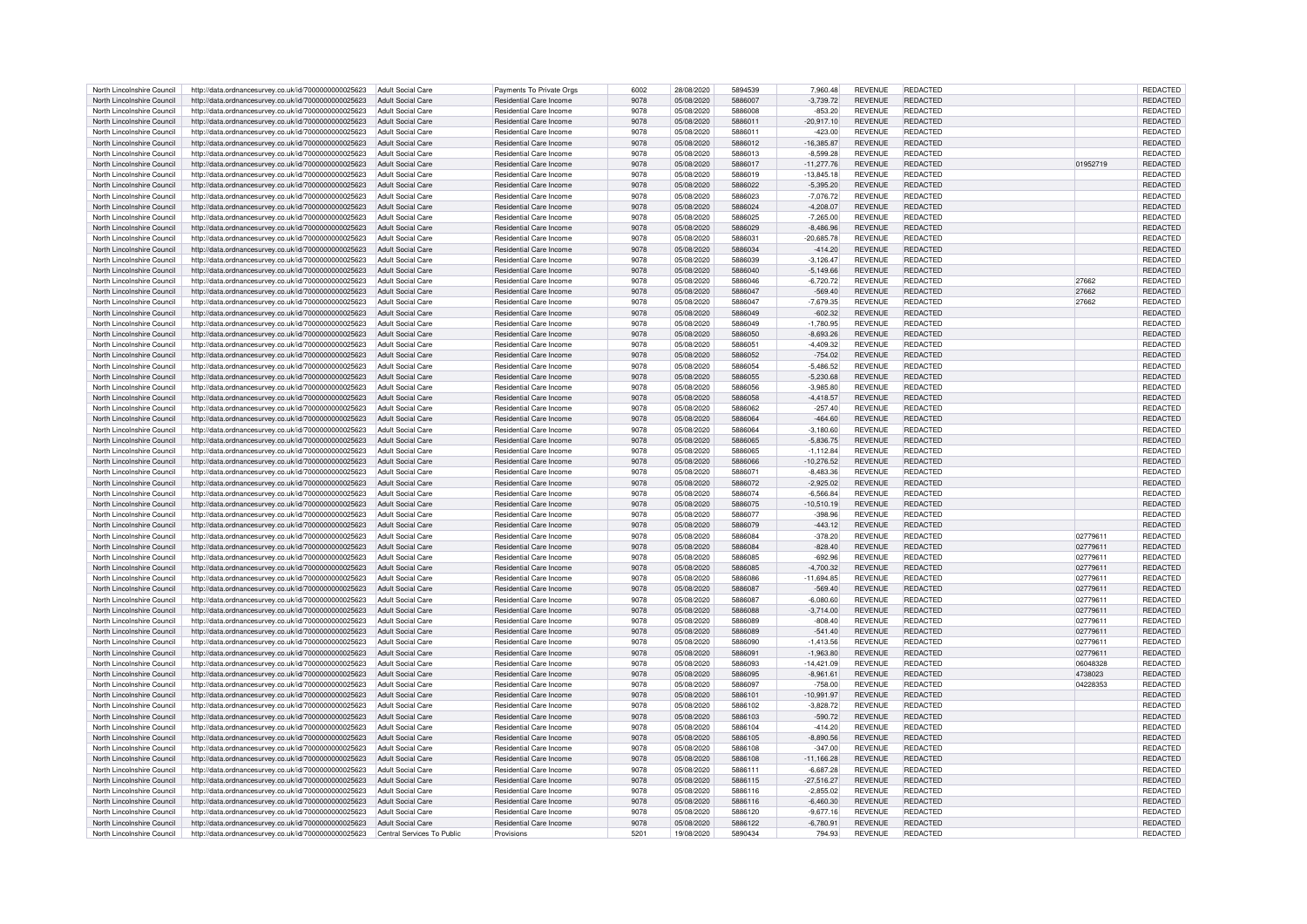| North Lincolnshire Council | http://data.ordnancesurvey.co.uk/id/7000000000025623                           | Adult Social Care        | Payments To Private Orgs       | 6002 | 28/08/2020 | 5894539 | 7,960.48     | <b>REVENUE</b> | REDACTED        |          | REDACTED        |
|----------------------------|--------------------------------------------------------------------------------|--------------------------|--------------------------------|------|------------|---------|--------------|----------------|-----------------|----------|-----------------|
|                            |                                                                                |                          |                                |      |            |         |              |                |                 |          |                 |
| North Lincolnshire Council | http://data.ordnancesurvey.co.uk/id/7000000000025623                           | Adult Social Care        | <b>Residential Care Income</b> | 9078 | 05/08/2020 | 5886007 | $-3,739.72$  | <b>REVENUE</b> | <b>REDACTED</b> |          | <b>REDACTED</b> |
| North Lincolnshire Council | http://data.ordnancesurvey.co.uk/id/7000000000025623                           | Adult Social Care        | Residential Care Income        | 9078 | 05/08/2020 | 5886008 | $-853.20$    | <b>REVENUE</b> | REDACTED        |          | <b>REDACTED</b> |
| North Lincolnshire Council | http://data.ordnancesurvey.co.uk/id/7000000000025623                           | Adult Social Care        | Residential Care Income        | 9078 | 05/08/2020 | 5886011 | $-20,917.10$ | <b>REVENUE</b> | <b>REDACTED</b> |          | <b>REDACTED</b> |
| North Lincolnshire Council | http://data.ordnancesurvey.co.uk/id/7000000000025623                           | Adult Social Care        | Residential Care Income        | 9078 | 05/08/2020 | 5886011 | $-423.00$    | <b>REVENUE</b> | <b>REDACTED</b> |          | REDACTED        |
|                            |                                                                                |                          |                                |      |            |         |              |                |                 |          |                 |
| North Lincolnshire Council | http://data.ordnancesurvey.co.uk/id/7000000000025623                           | Adult Social Care        | Residential Care Income        | 9078 | 05/08/2020 | 5886012 | 16,385.87    | <b>REVENUE</b> | REDACTED        |          | REDACTED        |
| North Lincolnshire Council | http://data.ordnancesurvey.co.uk/id/7000000000025623                           | <b>Adult Social Care</b> | Residential Care Income        | 9078 | 05/08/2020 | 5886013 | $-8,599.28$  | <b>REVENUE</b> | REDACTED        |          | REDACTED        |
| North Lincolnshire Council | http://data.ordnancesurvey.co.uk/id/7000000000025623                           | Adult Social Care        | Residential Care Income        | 9078 | 05/08/2020 | 5886017 | $-11.277.76$ | <b>REVENUE</b> | <b>REDACTED</b> | 01952719 | <b>REDACTED</b> |
| North Lincolnshire Council | http://data.ordnancesurvey.co.uk/id/7000000000025623                           | <b>Adult Social Care</b> | Residential Care Income        | 9078 | 05/08/2020 | 5886019 | $-13.845.18$ | <b>REVENUE</b> | <b>REDACTED</b> |          | <b>REDACTED</b> |
|                            |                                                                                |                          |                                |      |            |         |              |                |                 |          |                 |
| North Lincolnshire Council | http://data.ordnancesurvey.co.uk/id/7000000000025623                           | Adult Social Care        | Residential Care Income        | 9078 | 05/08/2020 | 5886022 | $-5,395.20$  | <b>REVENUE</b> | REDACTED        |          | REDACTED        |
| North Lincolnshire Council | http://data.ordnancesurvey.co.uk/id/7000000000025623                           | Adult Social Care        | Residential Care Income        | 9078 | 05/08/2020 | 5886023 | $-7,076.72$  | <b>REVENUE</b> | REDACTED        |          | <b>REDACTED</b> |
| North Lincolnshire Council | http://data.ordnancesurvey.co.uk/id/7000000000025623                           | Adult Social Care        | Residential Care Income        | 9078 | 05/08/2020 | 5886024 | $-4,208.07$  | <b>REVENUE</b> | REDACTED        |          | REDACTED        |
| North Lincolnshire Council | http://data.ordnancesurvey.co.uk/id/7000000000025623                           | Adult Social Care        | Residential Care Income        | 9078 | 05/08/2020 | 5886025 | $-7.265.00$  | <b>REVENUE</b> | REDACTED        |          | <b>REDACTED</b> |
|                            |                                                                                |                          |                                |      |            |         |              |                |                 |          |                 |
| North Lincolnshire Council | http://data.ordnancesurvey.co.uk/id/7000000000025623                           | Adult Social Care        | Residential Care Income        | 9078 | 05/08/2020 | 5886029 | $-8,486.96$  | <b>REVENUE</b> | <b>REDACTED</b> |          | REDACTED        |
| North Lincolnshire Council | http://data.ordnancesurvey.co.uk/id/7000000000025623                           | Adult Social Care        | Residential Care Income        | 9078 | 05/08/2020 | 5886031 | $-20,685.78$ | <b>REVENUE</b> | <b>REDACTED</b> |          | REDACTED        |
| North Lincolnshire Council | http://data.ordnancesurvey.co.uk/id/7000000000025623                           | <b>Adult Social Care</b> | Residential Care Income        | 9078 | 05/08/2020 | 5886034 | $-414.20$    | <b>REVENUE</b> | REDACTED        |          | REDACTED        |
| North Lincolnshire Council | http://data.ordnancesurvey.co.uk/id/7000000000025623                           | <b>Adult Social Care</b> | Residential Care Income        | 9078 | 05/08/2020 | 5886039 | $-3,126.47$  | <b>REVENUE</b> | <b>REDACTED</b> |          | REDACTED        |
|                            |                                                                                |                          |                                |      |            |         |              |                |                 |          |                 |
| North Lincolnshire Council | http://data.ordnancesurvey.co.uk/id/7000000000025623                           | Adult Social Care        | Residential Care Income        | 9078 | 05/08/2020 | 5886040 | $-5.149.66$  | <b>REVENUE</b> | <b>REDACTED</b> |          | <b>REDACTED</b> |
| North Lincolnshire Council | http://data.ordnancesurvey.co.uk/id/7000000000025623                           | <b>Adult Social Care</b> | Residential Care Income        | 9078 | 05/08/2020 | 5886046 | $-6,720.72$  | <b>REVENUE</b> | REDACTED        | 27662    | <b>REDACTED</b> |
| North Lincolnshire Council | http://data.ordnancesurvey.co.uk/id/7000000000025623                           | <b>Adult Social Care</b> | Residential Care Income        | 9078 | 05/08/2020 | 5886047 | $-569.40$    | <b>REVENUE</b> | <b>REDACTED</b> | 27662    | REDACTED        |
|                            |                                                                                |                          |                                |      |            |         |              |                |                 |          |                 |
| North Lincolnshire Council | http://data.ordnancesurvey.co.uk/id/7000000000025623                           | Adult Social Care        | Residential Care Income        | 9078 | 05/08/2020 | 5886047 | $-7,679.35$  | <b>REVENUE</b> | REDACTED        | 27662    | REDACTED        |
| North Lincolnshire Council | http://data.ordnancesurvey.co.uk/id/7000000000025623                           | Adult Social Care        | Residential Care Income        | 9078 | 05/08/2020 | 5886049 | $-602.32$    | <b>REVENUE</b> | REDACTED        |          | REDACTED        |
| North Lincolnshire Council | http://data.ordnancesurvey.co.uk/id/7000000000025623                           | Adult Social Care        | Residential Care Income        | 9078 | 05/08/2020 | 5886049 | $-1,780.95$  | <b>REVENUE</b> | REDACTED        |          | REDACTED        |
| North Lincolnshire Council | http://data.ordnancesurvey.co.uk/id/7000000000025623                           | Adult Social Care        | <b>Residential Care Income</b> | 9078 | 05/08/2020 | 5886050 | $-8,693.26$  | <b>REVENUE</b> | <b>REDACTED</b> |          | REDACTED        |
|                            |                                                                                |                          |                                |      |            |         |              |                |                 |          |                 |
| North Lincolnshire Council | http://data.ordnancesurvey.co.uk/id/7000000000025623                           | <b>Adult Social Care</b> | Residential Care Income        | 9078 | 05/08/2020 | 5886051 | $-4,409.32$  | <b>REVENUE</b> | <b>REDACTED</b> |          | REDACTED        |
| North Lincolnshire Council | http://data.ordnancesurvey.co.uk/id/7000000000025623                           | <b>Adult Social Care</b> | Residential Care Income        | 9078 | 05/08/2020 | 5886052 | $-754.02$    | <b>REVENUE</b> | REDACTED        |          | REDACTED        |
| North Lincolnshire Council | http://data.ordnancesurvey.co.uk/id/7000000000025623                           | <b>Adult Social Care</b> | Residential Care Income        | 9078 | 05/08/2020 | 5886054 | 5.486.52     | <b>REVENUE</b> | <b>REDACTED</b> |          | <b>REDACTED</b> |
| North Lincolnshire Council | http://data.ordnancesurvey.co.uk/id/7000000000025623                           | Adult Social Care        | <b>Residential Care Income</b> | 9078 | 05/08/2020 | 5886055 | $-5.230.68$  | <b>REVENUE</b> | <b>REDACTED</b> |          | <b>REDACTED</b> |
|                            |                                                                                |                          |                                |      |            |         |              | <b>REVENUE</b> | <b>REDACTED</b> |          |                 |
| North Lincolnshire Council | http://data.ordnancesurvey.co.uk/id/7000000000025623                           | Adult Social Care        | Residential Care Income        | 9078 | 05/08/2020 | 5886056 | $-3.985.80$  |                |                 |          | <b>REDACTED</b> |
| North Lincolnshire Council | http://data.ordnancesurvey.co.uk/id/7000000000025623                           | Adult Social Care        | Residential Care Income        | 9078 | 05/08/2020 | 5886058 | $-4,418.57$  | <b>REVENUE</b> | <b>REDACTED</b> |          | REDACTED        |
| North Lincolnshire Council | http://data.ordnancesurvey.co.uk/id/7000000000025623                           | Adult Social Care        | Residential Care Income        | 9078 | 05/08/2020 | 5886062 | $-257.40$    | <b>REVENUE</b> | REDACTED        |          | REDACTED        |
| North Lincolnshire Council | http://data.ordnancesurvey.co.uk/id/7000000000025623                           | Adult Social Care        | Residential Care Income        | 9078 | 05/08/2020 | 5886064 | $-464.60$    | <b>REVENUE</b> | REDACTED        |          | REDACTED        |
|                            |                                                                                |                          |                                |      |            |         |              |                |                 |          |                 |
| North Lincolnshire Council | http://data.ordnancesurvey.co.uk/id/7000000000025623                           | Adult Social Care        | Residential Care Income        | 9078 | 05/08/2020 | 5886064 | $-3.180.60$  | <b>REVENUE</b> | <b>REDACTED</b> |          | REDACTED        |
| North Lincolnshire Council | http://data.ordnancesurvey.co.uk/id/7000000000025623                           | Adult Social Care        | Residential Care Income        | 9078 | 05/08/2020 | 5886065 | $-5,836.75$  | <b>REVENUE</b> | REDACTED        |          | REDACTED        |
| North Lincolnshire Council | http://data.ordnancesurvey.co.uk/id/7000000000025623                           | Adult Social Care        | Residential Care Income        | 9078 | 05/08/2020 | 5886065 | $-1,112.84$  | <b>REVENUE</b> | REDACTED        |          | REDACTED        |
| North Lincolnshire Council |                                                                                | <b>Adult Social Care</b> | Residential Care Income        | 9078 | 05/08/2020 | 5886066 | $-10,276.52$ | <b>REVENUE</b> | <b>REDACTED</b> |          |                 |
|                            | http://data.ordnancesurvey.co.uk/id/7000000000025623                           |                          |                                |      |            |         |              |                |                 |          | REDACTED        |
| North Lincolnshire Council | http://data.ordnancesurvey.co.uk/id/7000000000025623                           | <b>Adult Social Care</b> | Residential Care Income        | 9078 | 05/08/2020 | 5886071 | $-8,483.36$  | <b>REVENUE</b> | <b>REDACTED</b> |          | REDACTED        |
| North Lincolnshire Council | http://data.ordnancesurvey.co.uk/id/7000000000025623                           | Adult Social Care        | Residential Care Income        | 9078 | 05/08/2020 | 5886072 | $-2.925.02$  | <b>REVENUE</b> | <b>REDACTED</b> |          | <b>REDACTED</b> |
| North Lincolnshire Council | http://data.ordnancesurvey.co.uk/id/7000000000025623                           | <b>Adult Social Care</b> | Residential Care Income        | 9078 | 05/08/2020 | 5886074 | $-6,566.84$  | <b>REVENUE</b> | <b>REDACTED</b> |          | REDACTED        |
| North Lincolnshire Council | http://data.ordnancesurvey.co.uk/id/7000000000025623                           | <b>Adult Social Care</b> | Residential Care Income        | 9078 | 05/08/2020 | 5886075 | $-10,510.19$ | <b>REVENUE</b> | REDACTED        |          | REDACTED        |
|                            |                                                                                |                          |                                |      |            |         |              |                |                 |          |                 |
| North Lincolnshire Council | http://data.ordnancesurvey.co.uk/id/7000000000025623                           | <b>Adult Social Care</b> | Residential Care Income        | 9078 | 05/08/2020 | 5886077 | $-398.96$    | <b>REVENUE</b> | REDACTED        |          | REDACTED        |
| North Lincolnshire Council | http://data.ordnancesurvey.co.uk/id/7000000000025623                           | Adult Social Care        | Residential Care Income        | 9078 | 05/08/2020 | 5886079 | $-443.12$    | <b>REVENUE</b> | REDACTED        |          | <b>REDACTED</b> |
| North Lincolnshire Council | http://data.ordnancesurvey.co.uk/id/7000000000025623                           | Adult Social Care        | Residential Care Income        | 9078 | 05/08/2020 | 5886084 | $-378.20$    | <b>REVENUE</b> | REDACTED        | 02779611 | <b>REDACTED</b> |
|                            |                                                                                |                          |                                |      |            | 5886084 |              |                |                 |          |                 |
| North Lincolnshire Council | http://data.ordnancesurvey.co.uk/id/7000000000025623                           | <b>Adult Social Care</b> | Residential Care Income        | 9078 | 05/08/2020 |         | $-828.40$    | <b>REVENUE</b> | <b>REDACTED</b> | 02779611 | REDACTED        |
| North Lincolnshire Council | http://data.ordnancesurvey.co.uk/id/7000000000025623                           | <b>Adult Social Care</b> | Residential Care Income        | 9078 | 05/08/2020 | 5886085 | $-692.96$    | <b>REVENUE</b> | REDACTED        | 02779611 | <b>REDACTED</b> |
| North Lincolnshire Council | http://data.ordnancesurvey.co.uk/id/7000000000025623                           | <b>Adult Social Care</b> | Residential Care Income        | 9078 | 05/08/2020 | 5886085 | $-4,700.32$  | <b>REVENUE</b> | REDACTED        | 02779611 | REDACTED        |
| North Lincolnshire Council | http://data.ordnancesurvey.co.uk/id/7000000000025623                           | <b>Adult Social Care</b> | Residential Care Income        | 9078 | 05/08/2020 | 5886086 | $-11,694.85$ | <b>REVENUE</b> | <b>REDACTED</b> | 02779611 | REDACTED        |
| North Lincolnshire Council | http://data.ordnancesurvey.co.uk/id/7000000000025623                           | Adult Social Care        | <b>Residential Care Income</b> | 9078 | 05/08/2020 | 5886087 | $-569.40$    | <b>REVENUE</b> | <b>REDACTED</b> | 02779611 | <b>REDACTED</b> |
|                            |                                                                                |                          |                                |      |            |         |              |                |                 |          |                 |
| North Lincolnshire Council | http://data.ordnancesurvey.co.uk/id/7000000000025623                           | Adult Social Care        | Residential Care Income        | 9078 | 05/08/2020 | 5886087 | $-6,080.60$  | <b>REVENUE</b> | <b>REDACTED</b> | 02779611 | <b>REDACTED</b> |
| North Lincolnshire Council | http://data.ordnancesurvey.co.uk/id/7000000000025623                           | Adult Social Care        | Residential Care Income        | 9078 | 05/08/2020 | 5886088 | $-3,714.00$  | <b>REVENUE</b> | <b>REDACTED</b> | 02779611 | REDACTED        |
| North Lincolnshire Council | http://data.ordnancesurvey.co.uk/id/7000000000025623                           | Adult Social Care        | Residential Care Income        | 9078 | 05/08/2020 | 5886089 | $-808.40$    | <b>REVENUE</b> | REDACTED        | 02779611 | REDACTED        |
| North Lincolnshire Council | http://data.ordnancesurvey.co.uk/id/7000000000025623                           | Adult Social Care        | Residential Care Income        | 9078 | 05/08/2020 | 5886089 | $-541.40$    | <b>REVENUE</b> | REDACTED        | 02779611 | REDACTED        |
|                            |                                                                                |                          |                                |      |            |         |              |                |                 |          |                 |
| North Lincolnshire Council | http://data.ordnancesurvey.co.uk/id/7000000000025623                           | Adult Social Care        | Residential Care Income        | 9078 | 05/08/2020 | 5886090 | $-1,413.56$  | <b>REVENUE</b> | <b>REDACTED</b> | 02779611 | <b>REDACTED</b> |
| North Lincolnshire Council | http://data.ordnancesurvey.co.uk/id/7000000000025623                           | Adult Social Care        | Residential Care Income        | 9078 | 05/08/2020 | 5886091 | $-1,963.80$  | <b>REVENUE</b> | <b>REDACTED</b> | 02779611 | <b>REDACTED</b> |
| North Lincolnshire Council | http://data.ordnancesurvey.co.uk/id/7000000000025623                           | Adult Social Care        | Residential Care Income        | 9078 | 05/08/2020 | 5886093 | $-14,421.09$ | <b>REVENUE</b> | <b>REDACTED</b> | 06048328 | REDACTED        |
| North Lincolnshire Council | http://data.ordnancesurvey.co.uk/id/7000000000025623                           | Adult Social Care        | Residential Care Income        | 9078 | 05/08/2020 | 5886095 | $-8,961.61$  | <b>REVENUE</b> | REDACTED        | 4738023  | REDACTED        |
|                            |                                                                                |                          |                                |      |            |         |              |                |                 |          |                 |
| North Lincolnshire Council | http://data.ordnancesurvey.co.uk/id/7000000000025623                           | Adult Social Care        | Residential Care Income        | 9078 | 05/08/2020 | 5886097 | $-758.00$    | <b>REVENUE</b> | REDACTED        | 04228353 | REDACTED        |
| North Lincolnshire Council | http://data.ordnancesurvey.co.uk/id/7000000000025623                           | Adult Social Care        | Residential Care Income        | 9078 | 05/08/2020 | 5886101 | $-10.991.97$ | <b>REVENUE</b> | <b>REDACTED</b> |          | <b>REDACTED</b> |
| North Lincolnshire Council | http://data.ordnancesurvey.co.uk/id/7000000000025623                           | Adult Social Care        | Residential Care Income        | 9078 | 05/08/2020 | 5886102 | $-3,828.72$  | <b>REVENUE</b> | <b>REDACTED</b> |          | REDACTED        |
| North Lincolnshire Council | http://data.ordnancesurvey.co.uk/id/7000000000025623                           | Adult Social Care        | Residential Care Income        | 9078 | 05/08/2020 | 5886103 | $-590.72$    | <b>REVENUE</b> | REDACTED        |          | <b>REDACTED</b> |
|                            |                                                                                |                          |                                |      |            |         |              |                |                 |          |                 |
| North Lincolnshire Council | http://data.ordnancesurvey.co.uk/id/7000000000025623                           | Adult Social Care        | Residential Care Income        | 9078 | 05/08/2020 | 5886104 | $-414.20$    | <b>REVENUE</b> | REDACTED        |          | <b>REDACTED</b> |
| North Lincolnshire Council | http://data.ordnancesurvey.co.uk/id/7000000000025623                           | Adult Social Care        | Residential Care Income        | 9078 | 05/08/2020 | 5886105 | $-8,890.56$  | <b>REVENUE</b> | REDACTED        |          | REDACTED        |
| North Lincolnshire Council | http://data.ordnancesurvey.co.uk/id/7000000000025623                           | Adult Social Care        | Residential Care Income        | 9078 | 05/08/2020 | 5886108 | $-347.00$    | <b>REVENUE</b> | REDACTED        |          | <b>REDACTED</b> |
| North Lincolnshire Council | http://data.ordnancesurvey.co.uk/id/7000000000025623                           | Adult Social Care        | Residential Care Income        | 9078 | 05/08/2020 | 5886108 | $-11,166.28$ | <b>REVENUE</b> | <b>REDACTED</b> |          | REDACTED        |
|                            |                                                                                |                          |                                |      |            |         |              |                |                 |          |                 |
| North Lincolnshire Council | http://data.ordnancesurvey.co.uk/id/7000000000025623                           | <b>Adult Social Care</b> | Residential Care Income        | 9078 | 05/08/2020 | 5886111 | $-6,687.28$  | <b>REVENUE</b> | <b>REDACTED</b> |          | REDACTED        |
| North Lincolnshire Council | http://data.ordnancesurvey.co.uk/id/7000000000025623                           | <b>Adult Social Care</b> | Residential Care Income        | 9078 | 05/08/2020 | 5886115 | $-27.516.27$ | <b>REVENUE</b> | <b>REDACTED</b> |          | <b>REDACTED</b> |
| North Lincolnshire Council | http://data.ordnancesurvey.co.uk/id/7000000000025623                           | <b>Adult Social Care</b> | Residential Care Income        | 9078 | 05/08/2020 | 5886116 | $-2,855.02$  | <b>REVENUE</b> | <b>REDACTED</b> |          | REDACTED        |
| North Lincolnshire Council | http://data.ordnancesurvey.co.uk/id/7000000000025623                           | Adult Social Care        | Residential Care Income        | 9078 | 05/08/2020 | 5886116 | $-6,460.30$  | <b>REVENUE</b> | <b>REDACTED</b> |          | REDACTED        |
|                            |                                                                                |                          |                                |      |            |         |              |                |                 |          |                 |
| North Lincolnshire Council | http://data.ordnancesurvey.co.uk/id/7000000000025623                           | Adult Social Care        | Residential Care Income        | 9078 | 05/08/2020 | 5886120 | $-9.677.16$  | <b>REVENUE</b> | REDACTED        |          | <b>REDACTED</b> |
| North Lincolnshire Council | http://data.ordnancesurvey.co.uk/id/7000000000025623                           | Adult Social Care        | Residential Care Income        | 9078 | 05/08/2020 | 5886122 | $-6.780.91$  | <b>REVENUE</b> | <b>REDACTED</b> |          | REDACTED        |
| North Lincolnshire Council | http://data.ordnancesurvey.co.uk/id/700000000025623 Central Services To Public |                          | Provisions                     | 5201 | 19/08/2020 | 5890434 | 794.93       | <b>REVENUE</b> | REDACTED        |          | REDACTED        |
|                            |                                                                                |                          |                                |      |            |         |              |                |                 |          |                 |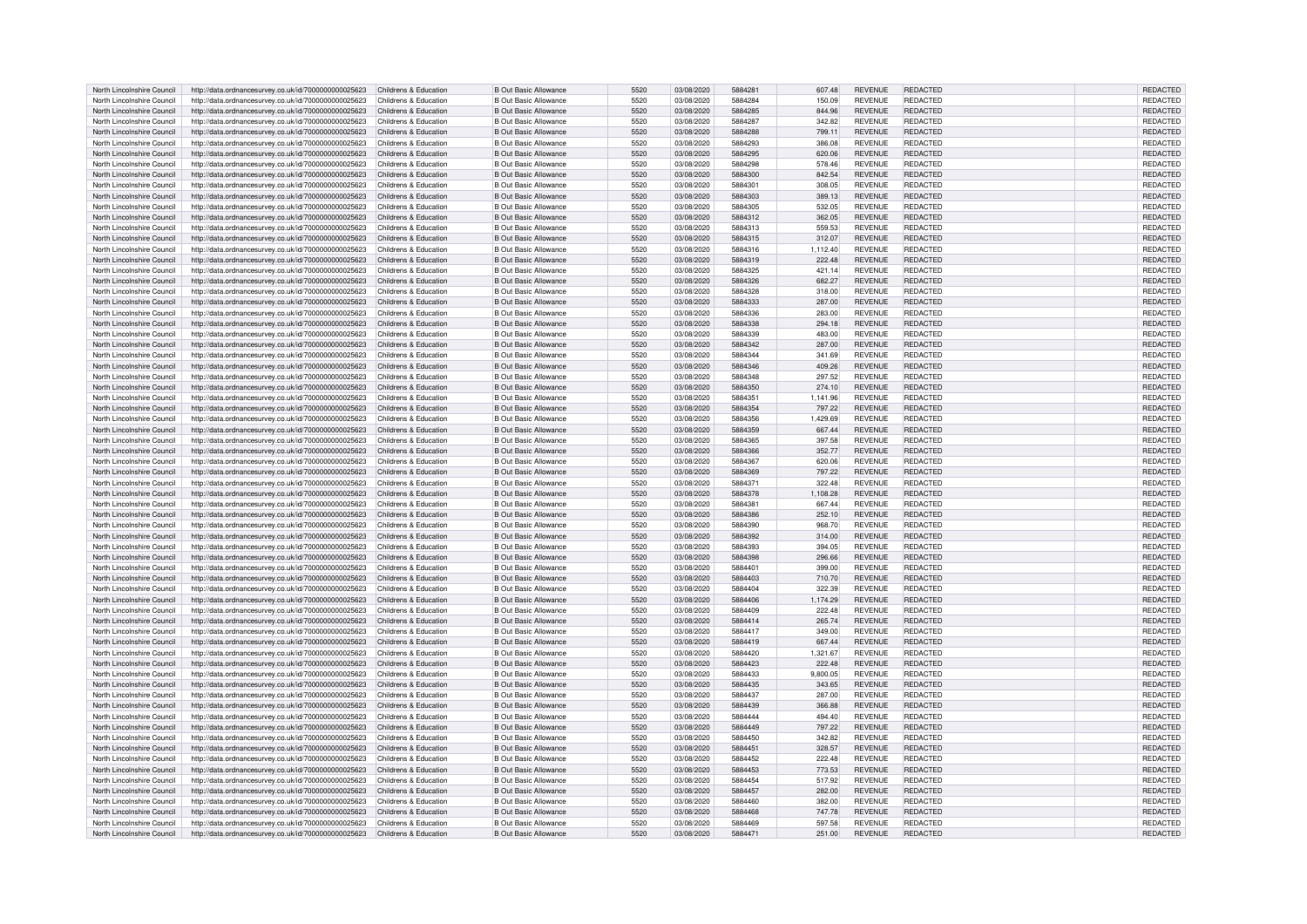| North Lincolnshire Council | http://data.ordnancesurvey.co.uk/id/7000000000025623                       | Childrens & Education | <b>B Out Basic Allowance</b> | 5520 | 03/08/2020 | 5884281 | 607.48   | <b>REVENUE</b> | <b>REDACTED</b> | <b>REDACTED</b> |
|----------------------------|----------------------------------------------------------------------------|-----------------------|------------------------------|------|------------|---------|----------|----------------|-----------------|-----------------|
| North Lincolnshire Council | http://data.ordnancesurvey.co.uk/id/7000000000025623                       | Childrens & Education | <b>B Out Basic Allowance</b> | 5520 | 03/08/2020 | 5884284 | 150.09   | <b>REVENUE</b> | REDACTED        | REDACTED        |
| North Lincolnshire Council | http://data.ordnancesurvey.co.uk/id/7000000000025623                       | Childrens & Education | <b>B Out Basic Allowance</b> | 5520 | 03/08/2020 | 5884285 | 844.96   | <b>REVENUE</b> | <b>REDACTED</b> | REDACTED        |
| North Lincolnshire Council | http://data.ordnancesurvey.co.uk/id/7000000000025623                       | Childrens & Education | <b>B Out Basic Allowance</b> | 5520 | 03/08/2020 | 5884287 | 342.82   | <b>REVENUE</b> | <b>REDACTED</b> | REDACTED        |
|                            |                                                                            |                       |                              |      |            |         |          |                |                 |                 |
| North Lincolnshire Council | http://data.ordnancesurvey.co.uk/id/7000000000025623                       | Childrens & Education | <b>B Out Basic Allowance</b> | 5520 | 03/08/2020 | 5884288 | 799.11   | <b>REVENUE</b> | <b>REDACTED</b> | <b>REDACTED</b> |
| North Lincolnshire Council | http://data.ordnancesurvey.co.uk/id/7000000000025623                       | Childrens & Education | <b>B Out Basic Allowance</b> | 5520 | 03/08/2020 | 5884293 | 386.08   | <b>REVENUE</b> | <b>REDACTED</b> | REDACTED        |
| North Lincolnshire Council | http://data.ordnancesurvey.co.uk/id/7000000000025623                       | Childrens & Education | <b>B Out Basic Allowance</b> | 5520 | 03/08/2020 | 5884295 | 620.06   | <b>REVENUE</b> | <b>REDACTED</b> | REDACTED        |
| North Lincolnshire Council | http://data.ordnancesurvey.co.uk/id/7000000000025623                       | Childrens & Education | <b>B Out Basic Allowance</b> | 5520 | 03/08/2020 | 5884298 | 578.46   | <b>REVENUE</b> | <b>REDACTED</b> | REDACTED        |
| North Lincolnshire Council | http://data.ordnancesurvey.co.uk/id/7000000000025623                       | Childrens & Education | <b>B Out Basic Allowance</b> | 5520 | 03/08/2020 | 5884300 | 842.54   | <b>REVENUE</b> | <b>REDACTED</b> | <b>REDACTED</b> |
| North Lincolnshire Council | http://data.ordnancesurvey.co.uk/id/7000000000025623                       | Childrens & Education | <b>B Out Basic Allowance</b> | 5520 | 03/08/2020 | 5884301 | 308.05   | <b>REVENUE</b> | <b>REDACTED</b> | REDACTED        |
| North Lincolnshire Council | http://data.ordnancesurvey.co.uk/id/7000000000025623                       | Childrens & Education | <b>B Out Basic Allowance</b> | 5520 | 03/08/2020 | 5884303 | 389.13   | <b>REVENUE</b> | <b>REDACTED</b> | REDACTED        |
|                            |                                                                            |                       |                              |      |            |         |          |                |                 |                 |
| North Lincolnshire Council | http://data.ordnancesurvey.co.uk/id/7000000000025623                       | Childrens & Education | <b>B Out Basic Allowance</b> | 5520 | 03/08/2020 | 5884305 | 532.05   | <b>REVENUE</b> | REDACTED        | REDACTED        |
| North Lincolnshire Council | http://data.ordnancesurvey.co.uk/id/7000000000025623                       | Childrens & Education | <b>B Out Basic Allowance</b> | 5520 | 03/08/2020 | 5884312 | 362.05   | <b>REVENUE</b> | <b>REDACTED</b> | REDACTED        |
| North Lincolnshire Council | http://data.ordnancesurvey.co.uk/id/7000000000025623                       | Childrens & Education | <b>B Out Basic Allowance</b> | 5520 | 03/08/2020 | 5884313 | 559.53   | <b>REVENUE</b> | <b>REDACTED</b> | REDACTED        |
| North Lincolnshire Council | http://data.ordnancesurvey.co.uk/id/7000000000025623                       | Childrens & Education | <b>B Out Basic Allowance</b> | 5520 | 03/08/2020 | 5884315 | 312.07   | <b>REVENUE</b> | <b>REDACTED</b> | REDACTED        |
| North Lincolnshire Council | http://data.ordnancesurvey.co.uk/id/7000000000025623                       | Childrens & Education | <b>B Out Basic Allowance</b> | 5520 | 03/08/2020 | 5884316 | 1,112.40 | <b>REVENUE</b> | <b>REDACTED</b> | REDACTED        |
| North Lincolnshire Council | http://data.ordnancesurvey.co.uk/id/7000000000025623                       | Childrens & Education | <b>B Out Basic Allowance</b> | 5520 | 03/08/2020 | 5884319 | 222.48   | <b>REVENUE</b> | <b>REDACTED</b> | <b>REDACTED</b> |
| North Lincolnshire Council | http://data.ordnancesurvey.co.uk/id/7000000000025623                       | Childrens & Education | <b>B Out Basic Allowance</b> | 5520 | 03/08/2020 | 5884325 | 421.14   | <b>REVENUE</b> | <b>REDACTED</b> | REDACTED        |
| North Lincolnshire Council |                                                                            | Childrens & Education | <b>B Out Basic Allowance</b> | 5520 | 03/08/2020 | 5884326 | 682.27   | <b>REVENUE</b> | <b>REDACTED</b> | REDACTED        |
|                            | http://data.ordnancesurvey.co.uk/id/7000000000025623                       |                       |                              |      |            |         |          |                |                 |                 |
| North Lincolnshire Council | http://data.ordnancesurvey.co.uk/id/7000000000025623                       | Childrens & Education | <b>B Out Basic Allowance</b> | 5520 | 03/08/2020 | 5884328 | 318.00   | <b>REVENUE</b> | REDACTED        | <b>REDACTED</b> |
| North Lincolnshire Council | http://data.ordnancesurvey.co.uk/id/7000000000025623                       | Childrens & Education | <b>B Out Basic Allowance</b> | 5520 | 03/08/2020 | 5884333 | 287.00   | <b>REVENUE</b> | <b>REDACTED</b> | REDACTED        |
| North Lincolnshire Council | http://data.ordnancesurvey.co.uk/id/7000000000025623                       | Childrens & Education | <b>B Out Basic Allowance</b> | 5520 | 03/08/2020 | 5884336 | 283.00   | <b>REVENUE</b> | <b>REDACTED</b> | REDACTED        |
| North Lincolnshire Council | http://data.ordnancesurvey.co.uk/id/7000000000025623                       | Childrens & Education | <b>B Out Basic Allowance</b> | 5520 | 03/08/2020 | 5884338 | 294.18   | <b>REVENUE</b> | <b>REDACTED</b> | <b>REDACTED</b> |
| North Lincolnshire Council | http://data.ordnancesurvey.co.uk/id/7000000000025623                       | Childrens & Education | <b>B Out Basic Allowance</b> | 5520 | 03/08/2020 | 5884339 | 483.00   | <b>REVENUE</b> | <b>REDACTED</b> | REDACTED        |
| North Lincolnshire Council | http://data.ordnancesurvey.co.uk/id/7000000000025623                       | Childrens & Education | <b>B Out Basic Allowance</b> | 5520 | 03/08/2020 | 5884342 | 287.00   | <b>REVENUE</b> | <b>REDACTED</b> | REDACTED        |
|                            |                                                                            | Childrens & Education |                              | 5520 |            | 5884344 |          |                | <b>REDACTED</b> |                 |
| North Lincolnshire Council | http://data.ordnancesurvey.co.uk/id/7000000000025623                       |                       | <b>B Out Basic Allowance</b> |      | 03/08/2020 |         | 341.69   | <b>REVENUE</b> |                 | REDACTED        |
| North Lincolnshire Council | http://data.ordnancesurvey.co.uk/id/7000000000025623                       | Childrens & Education | <b>B Out Basic Allowance</b> | 5520 | 03/08/2020 | 5884346 | 409.26   | <b>REVENUE</b> | <b>REDACTED</b> | REDACTED        |
| North Lincolnshire Council | http://data.ordnancesurvey.co.uk/id/7000000000025623                       | Childrens & Education | <b>B Out Basic Allowance</b> | 5520 | 03/08/2020 | 5884348 | 297.52   | <b>REVENUE</b> | <b>REDACTED</b> | REDACTED        |
| North Lincolnshire Council | http://data.ordnancesurvey.co.uk/id/7000000000025623                       | Childrens & Education | <b>B Out Basic Allowance</b> | 5520 | 03/08/2020 | 5884350 | 274.10   | <b>REVENUE</b> | <b>REDACTED</b> | <b>REDACTED</b> |
| North Lincolnshire Council | http://data.ordnancesurvey.co.uk/id/7000000000025623                       | Childrens & Education | <b>B Out Basic Allowance</b> | 5520 | 03/08/2020 | 5884351 | 1,141.96 | <b>REVENUE</b> | <b>REDACTED</b> | REDACTED        |
| North Lincolnshire Council | http://data.ordnancesurvey.co.uk/id/7000000000025623                       | Childrens & Education | <b>B Out Basic Allowance</b> | 5520 | 03/08/2020 | 5884354 | 797.22   | <b>REVENUE</b> | <b>REDACTED</b> | REDACTED        |
| North Lincolnshire Council | http://data.ordnancesurvey.co.uk/id/7000000000025623                       | Childrens & Education | <b>B Out Basic Allowance</b> | 5520 | 03/08/2020 | 5884356 | 1,429.69 | <b>REVENUE</b> | <b>REDACTED</b> | <b>REDACTED</b> |
| North Lincolnshire Council | http://data.ordnancesurvey.co.uk/id/7000000000025623                       | Childrens & Education | <b>B Out Basic Allowance</b> | 5520 | 03/08/2020 | 5884359 | 667.44   | <b>REVENUE</b> | <b>REDACTED</b> | REDACTED        |
|                            |                                                                            |                       |                              |      |            |         |          |                |                 |                 |
| North Lincolnshire Council | http://data.ordnancesurvey.co.uk/id/7000000000025623                       | Childrens & Education | <b>B Out Basic Allowance</b> | 5520 | 03/08/2020 | 5884365 | 397.58   | <b>REVENUE</b> | <b>REDACTED</b> | <b>REDACTED</b> |
| North Lincolnshire Council | http://data.ordnancesurvey.co.uk/id/7000000000025623                       | Childrens & Education | <b>B Out Basic Allowance</b> | 5520 | 03/08/2020 | 5884366 | 352.77   | <b>REVENUE</b> | REDACTED        | REDACTED        |
| North Lincolnshire Council | http://data.ordnancesurvey.co.uk/id/7000000000025623                       | Childrens & Education | <b>B Out Basic Allowance</b> | 5520 | 03/08/2020 | 5884367 | 620.06   | <b>REVENUE</b> | REDACTED        | REDACTED        |
| North Lincolnshire Council | http://data.ordnancesurvey.co.uk/id/7000000000025623                       | Childrens & Education | <b>B Out Basic Allowance</b> | 5520 | 03/08/2020 | 5884369 | 797.22   | <b>REVENUE</b> | <b>REDACTED</b> | <b>REDACTED</b> |
| North Lincolnshire Council | http://data.ordnancesurvey.co.uk/id/7000000000025623                       | Childrens & Education | <b>B Out Basic Allowance</b> | 5520 | 03/08/2020 | 5884371 | 322.48   | <b>REVENUE</b> | REDACTED        | REDACTED        |
| North Lincolnshire Council | http://data.ordnancesurvey.co.uk/id/7000000000025623                       | Childrens & Education | <b>B Out Basic Allowance</b> | 5520 | 03/08/2020 | 5884378 | 1,108.28 | <b>REVENUE</b> | REDACTED        | <b>REDACTED</b> |
| North Lincolnshire Council | http://data.ordnancesurvey.co.uk/id/7000000000025623                       | Childrens & Education | <b>B Out Basic Allowance</b> | 5520 | 03/08/2020 | 5884381 | 667.44   | <b>REVENUE</b> | <b>REDACTED</b> | REDACTED        |
| North Lincolnshire Council | http://data.ordnancesurvey.co.uk/id/7000000000025623                       | Childrens & Education | <b>B Out Basic Allowance</b> | 5520 | 03/08/2020 | 5884386 | 252.10   | <b>REVENUE</b> | <b>REDACTED</b> | REDACTED        |
|                            |                                                                            |                       |                              |      |            |         |          |                |                 |                 |
| North Lincolnshire Council | http://data.ordnancesurvey.co.uk/id/7000000000025623                       | Childrens & Education | <b>B Out Basic Allowance</b> | 5520 | 03/08/2020 | 5884390 | 968.70   | <b>REVENUE</b> | <b>REDACTED</b> | <b>REDACTED</b> |
| North Lincolnshire Council | http://data.ordnancesurvey.co.uk/id/7000000000025623                       | Childrens & Education | <b>B Out Basic Allowance</b> | 5520 | 03/08/2020 | 5884392 | 314.00   | <b>REVENUE</b> | REDACTED        | REDACTED        |
| North Lincolnshire Council | http://data.ordnancesurvey.co.uk/id/7000000000025623                       | Childrens & Education | <b>B Out Basic Allowance</b> | 5520 | 03/08/2020 | 5884393 | 394.05   | <b>REVENUE</b> | REDACTED        | REDACTED        |
| North Lincolnshire Council | http://data.ordnancesurvey.co.uk/id/7000000000025623                       | Childrens & Education | <b>B Out Basic Allowance</b> | 5520 | 03/08/2020 | 5884398 | 296.66   | <b>REVENUE</b> | <b>REDACTED</b> | REDACTED        |
| North Lincolnshire Council | http://data.ordnancesurvey.co.uk/id/7000000000025623                       | Childrens & Education | <b>B Out Basic Allowance</b> | 5520 | 03/08/2020 | 5884401 | 399.00   | <b>REVENUE</b> | REDACTED        | REDACTED        |
| North Lincolnshire Council | http://data.ordnancesurvey.co.uk/id/7000000000025623                       | Childrens & Education | <b>B Out Basic Allowance</b> | 5520 | 03/08/2020 | 5884403 | 710.70   | <b>REVENUE</b> | <b>REDACTED</b> | REDACTED        |
| North Lincolnshire Council | http://data.ordnancesurvey.co.uk/id/7000000000025623                       | Childrens & Education | <b>B Out Basic Allowance</b> | 5520 | 03/08/2020 | 5884404 | 322.39   | <b>REVENUE</b> | REDACTED        | REDACTED        |
|                            |                                                                            |                       |                              |      |            |         |          |                |                 |                 |
| North Lincolnshire Council | http://data.ordnancesurvey.co.uk/id/7000000000025623                       | Childrens & Education | <b>B Out Basic Allowance</b> | 5520 | 03/08/2020 | 5884406 | 1.174.29 | <b>REVENUE</b> | <b>REDACTED</b> | REDACTED        |
| North Lincolnshire Council | http://data.ordnancesurvey.co.uk/id/7000000000025623                       | Childrens & Education | <b>B Out Basic Allowance</b> | 5520 | 03/08/2020 | 5884409 | 222.48   | <b>REVENUE</b> | <b>REDACTED</b> | REDACTED        |
| North Lincolnshire Council | http://data.ordnancesurvey.co.uk/id/7000000000025623                       | Childrens & Education | <b>B Out Basic Allowance</b> | 5520 | 03/08/2020 | 5884414 | 265.74   | <b>REVENUE</b> | <b>REDACTED</b> | REDACTED        |
| North Lincolnshire Council | http://data.ordnancesurvey.co.uk/id/7000000000025623                       | Childrens & Education | <b>B Out Basic Allowance</b> | 5520 | 03/08/2020 | 5884417 | 349.00   | <b>REVENUE</b> | <b>REDACTED</b> | REDACTED        |
| North Lincolnshire Council | http://data.ordnancesurvey.co.uk/id/7000000000025623                       | Childrens & Education | <b>B Out Basic Allowance</b> | 5520 | 03/08/2020 | 5884419 | 667.44   | <b>REVENUE</b> | REDACTED        | <b>REDACTED</b> |
| North Lincolnshire Council | http://data.ordnancesurvey.co.uk/id/7000000000025623                       | Childrens & Education | <b>B Out Basic Allowance</b> | 5520 | 03/08/2020 | 5884420 | 1,321.67 | <b>REVENUE</b> | <b>REDACTED</b> | REDACTED        |
| North Lincolnshire Council | http://data.ordnancesurvey.co.uk/id/7000000000025623                       | Childrens & Education | <b>B Out Basic Allowance</b> | 5520 | 03/08/2020 | 5884423 | 222.48   | <b>REVENUE</b> | <b>REDACTED</b> | REDACTED        |
| North Lincolnshire Council | http://data.ordnancesurvey.co.uk/id/7000000000025623                       | Childrens & Education | <b>B Out Basic Allowance</b> | 5520 | 03/08/2020 | 5884433 | 9,800.05 | <b>REVENUE</b> | <b>REDACTED</b> | REDACTED        |
| North Lincolnshire Council | http://data.ordnancesurvey.co.uk/id/7000000000025623                       | Childrens & Education | <b>B Out Basic Allowance</b> | 5520 | 03/08/2020 | 5884435 | 343.65   | <b>REVENUE</b> | <b>REDACTED</b> | REDACTED        |
|                            |                                                                            |                       |                              |      |            |         |          |                |                 |                 |
| North Lincolnshire Council | http://data.ordnancesurvey.co.uk/id/7000000000025623                       | Childrens & Education | <b>B Out Basic Allowance</b> | 5520 | 03/08/2020 | 5884437 | 287.00   | <b>REVENUE</b> | <b>REDACTED</b> | REDACTED        |
| North Lincolnshire Council | http://data.ordnancesurvey.co.uk/id/7000000000025623                       | Childrens & Education | <b>B Out Basic Allowance</b> | 5520 | 03/08/2020 | 5884439 | 366.88   | <b>REVENUE</b> | <b>REDACTED</b> | REDACTED        |
| North Lincolnshire Council | http://data.ordnancesurvey.co.uk/id/7000000000025623                       | Childrens & Education | <b>B Out Basic Allowance</b> | 5520 | 03/08/2020 | 5884444 | 494.40   | <b>REVENUE</b> | <b>REDACTED</b> | REDACTED        |
| North Lincolnshire Council | http://data.ordnancesurvey.co.uk/id/7000000000025623                       | Childrens & Education | <b>B Out Basic Allowance</b> | 5520 | 03/08/2020 | 5884449 | 797.22   | <b>REVENUE</b> | <b>REDACTED</b> | REDACTED        |
| North Lincolnshire Council | http://data.ordnancesurvey.co.uk/id/7000000000025623                       | Childrens & Education | <b>B Out Basic Allowance</b> | 5520 | 03/08/2020 | 5884450 | 342.82   | <b>REVENUE</b> | <b>REDACTED</b> | REDACTED        |
| North Lincolnshire Council | http://data.ordnancesurvey.co.uk/id/7000000000025623                       | Childrens & Education | <b>B Out Basic Allowance</b> | 5520 | 03/08/2020 | 5884451 | 328.57   | <b>REVENUE</b> | REDACTED        | <b>REDACTED</b> |
| North Lincolnshire Council | http://data.ordnancesurvey.co.uk/id/7000000000025623                       | Childrens & Education | <b>B Out Basic Allowance</b> | 5520 | 03/08/2020 | 5884452 | 222.48   | <b>REVENUE</b> | REDACTED        | REDACTED        |
|                            |                                                                            |                       |                              | 5520 |            | 5884453 |          |                | <b>REDACTED</b> |                 |
| North Lincolnshire Council | http://data.ordnancesurvey.co.uk/id/7000000000025623                       | Childrens & Education | <b>B Out Basic Allowance</b> |      | 03/08/2020 |         | 773.53   | <b>REVENUE</b> |                 | REDACTED        |
| North Lincolnshire Council | http://data.ordnancesurvey.co.uk/id/7000000000025623                       | Childrens & Education | <b>B Out Basic Allowance</b> | 5520 | 03/08/2020 | 5884454 | 517.92   | <b>REVENUE</b> | REDACTED        | REDACTED        |
| North Lincolnshire Council | http://data.ordnancesurvey.co.uk/id/7000000000025623                       | Childrens & Education | <b>B Out Basic Allowance</b> | 5520 | 03/08/2020 | 5884457 | 282.00   | <b>REVENUE</b> | <b>REDACTED</b> | REDACTED        |
| North Lincolnshire Council | http://data.ordnancesurvey.co.uk/id/7000000000025623                       | Childrens & Education | <b>B Out Basic Allowance</b> | 5520 | 03/08/2020 | 5884460 | 382.00   | <b>REVENUE</b> | REDACTED        | REDACTED        |
| North Lincolnshire Council | http://data.ordnancesurvey.co.uk/id/7000000000025623                       | Childrens & Education | <b>B Out Basic Allowance</b> | 5520 | 03/08/2020 | 5884468 | 747.78   | <b>REVENUE</b> | REDACTED        | REDACTED        |
| North Lincolnshire Council | http://data.ordnancesurvey.co.uk/id/7000000000025623                       | Childrens & Education | <b>B Out Basic Allowance</b> | 5520 | 03/08/2020 | 5884469 | 597.58   | <b>REVENUE</b> | REDACTED        | <b>REDACTED</b> |
|                            |                                                                            |                       |                              | 5520 | 03/08/2020 | 5884471 | 251.00   | <b>REVENUE</b> | <b>REDACTED</b> | REDACTED        |
| North Lincolnshire Council | http://data.ordnancesurvey.co.uk/id/7000000000025623 Childrens & Education |                       | <b>B Out Basic Allowance</b> |      |            |         |          |                |                 |                 |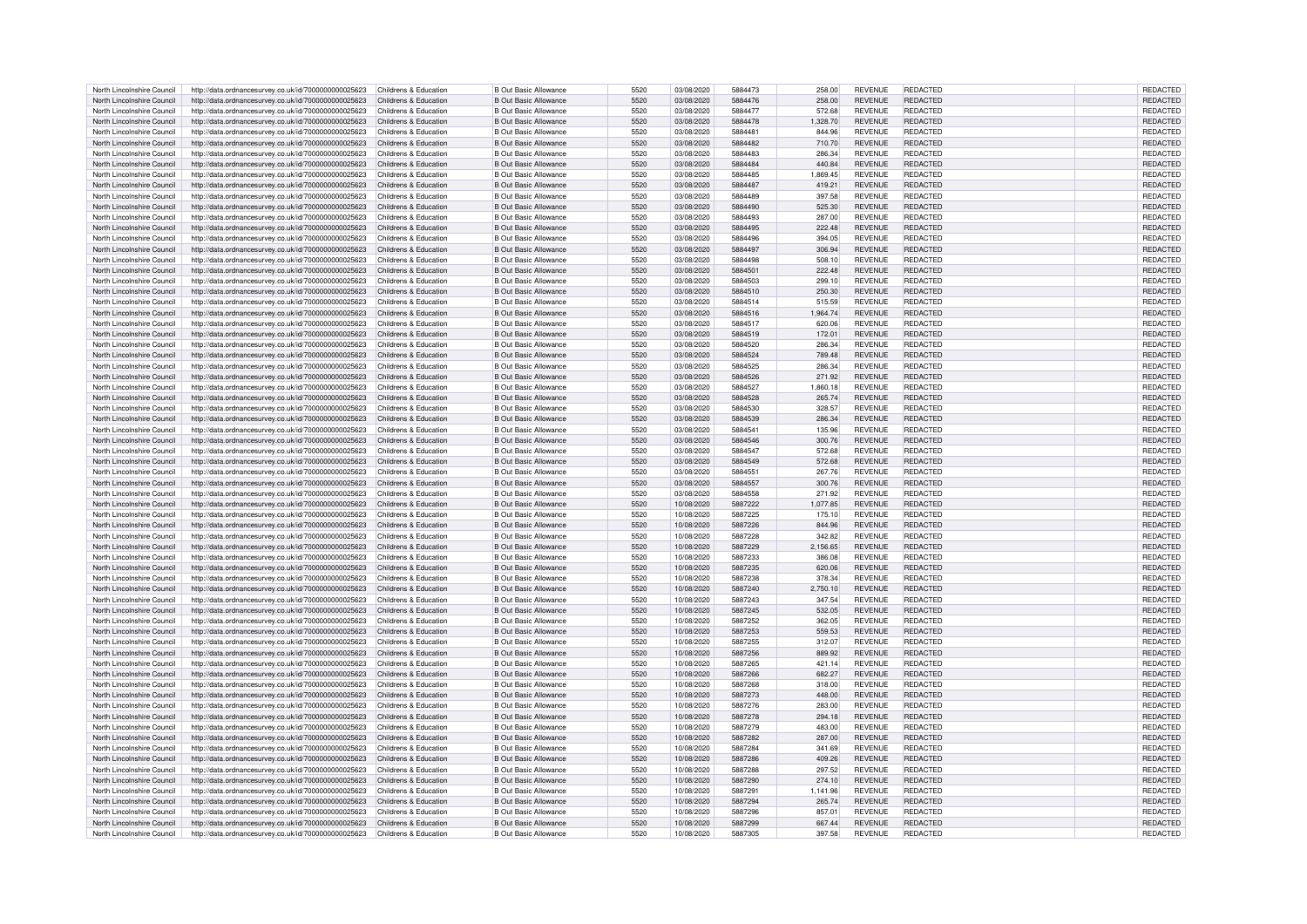| North Lincolnshire Council | http://data.ordnancesurvey.co.uk/id/7000000000025623                       | Childrens & Education | <b>B Out Basic Allowance</b> | 5520 | 03/08/2020 | 5884473 | 258.00   | <b>REVENUE</b> | REDACTED        | REDACTED        |
|----------------------------|----------------------------------------------------------------------------|-----------------------|------------------------------|------|------------|---------|----------|----------------|-----------------|-----------------|
| North Lincolnshire Council | http://data.ordnancesurvey.co.uk/id/7000000000025623                       | Childrens & Education | <b>B Out Basic Allowance</b> | 5520 | 03/08/2020 | 5884476 | 258.00   | <b>REVENUE</b> | <b>REDACTED</b> | <b>REDACTED</b> |
|                            |                                                                            |                       |                              |      |            |         |          |                |                 |                 |
| North Lincolnshire Council | http://data.ordnancesurvey.co.uk/id/7000000000025623                       | Childrens & Education | <b>B Out Basic Allowance</b> | 5520 | 03/08/2020 | 5884477 | 572.68   | <b>REVENUE</b> | <b>REDACTED</b> | REDACTED        |
| North Lincolnshire Council | http://data.ordnancesurvey.co.uk/id/7000000000025623                       | Childrens & Education | <b>B Out Basic Allowance</b> | 5520 | 03/08/2020 | 5884478 | 1,328.70 | <b>REVENUE</b> | <b>REDACTED</b> | REDACTED        |
| North Lincolnshire Council | http://data.ordnancesurvey.co.uk/id/7000000000025623                       | Childrens & Education | <b>B Out Basic Allowance</b> | 5520 | 03/08/2020 | 5884481 | 844.96   | <b>REVENUE</b> | <b>REDACTED</b> | REDACTED        |
| North Lincolnshire Council | http://data.ordnancesurvey.co.uk/id/7000000000025623                       | Childrens & Education | <b>B Out Basic Allowance</b> | 5520 | 03/08/2020 | 5884482 | 710.70   | <b>REVENUE</b> | <b>REDACTED</b> | REDACTED        |
| North Lincolnshire Council | http://data.ordnancesurvey.co.uk/id/7000000000025623                       | Childrens & Education | <b>B Out Basic Allowance</b> | 5520 | 03/08/2020 | 5884483 | 286.34   | <b>REVENUE</b> | <b>REDACTED</b> | REDACTED        |
|                            |                                                                            |                       |                              |      |            |         |          |                |                 |                 |
| North Lincolnshire Council | http://data.ordnancesurvey.co.uk/id/7000000000025623                       | Childrens & Education | <b>B Out Basic Allowance</b> | 5520 | 03/08/2020 | 5884484 | 440.84   | <b>REVENUE</b> | <b>REDACTED</b> | <b>REDACTED</b> |
| North Lincolnshire Council | http://data.ordnancesurvey.co.uk/id/7000000000025623                       | Childrens & Education | <b>B Out Basic Allowance</b> | 5520 | 03/08/2020 | 5884485 | 1.869.45 | <b>REVENUE</b> | <b>REDACTED</b> | REDACTED        |
| North Lincolnshire Council | http://data.ordnancesurvey.co.uk/id/7000000000025623                       | Childrens & Education | <b>B Out Basic Allowance</b> | 5520 | 03/08/2020 | 5884487 | 419.21   | <b>REVENUE</b> | <b>REDACTED</b> | REDACTED        |
| North Lincolnshire Council | http://data.ordnancesurvey.co.uk/id/7000000000025623                       | Childrens & Education | <b>B Out Basic Allowance</b> | 5520 | 03/08/2020 | 5884489 | 397.58   | <b>REVENUE</b> | REDACTED        | <b>REDACTED</b> |
|                            |                                                                            |                       |                              |      |            | 5884490 |          |                | <b>REDACTED</b> |                 |
| North Lincolnshire Council | http://data.ordnancesurvey.co.uk/id/7000000000025623                       | Childrens & Education | <b>B Out Basic Allowance</b> | 5520 | 03/08/2020 |         | 525.30   | <b>REVENUE</b> |                 | REDACTED        |
| North Lincolnshire Council | http://data.ordnancesurvey.co.uk/id/7000000000025623                       | Childrens & Education | <b>B Out Basic Allowance</b> | 5520 | 03/08/2020 | 5884493 | 287.00   | <b>REVENUE</b> | <b>REDACTED</b> | REDACTED        |
| North Lincolnshire Council | http://data.ordnancesurvey.co.uk/id/7000000000025623                       | Childrens & Education | <b>B Out Basic Allowance</b> | 5520 | 03/08/2020 | 5884495 | 222.48   | <b>REVENUE</b> | REDACTED        | REDACTED        |
| North Lincolnshire Council | http://data.ordnancesurvey.co.uk/id/7000000000025623                       | Childrens & Education | <b>B Out Basic Allowance</b> | 5520 | 03/08/2020 | 5884496 | 394.05   | <b>REVENUE</b> | <b>REDACTED</b> | REDACTED        |
| North Lincolnshire Council |                                                                            | Childrens & Education | <b>B Out Basic Allowance</b> | 5520 | 03/08/2020 | 5884497 | 306.94   | <b>REVENUE</b> | <b>REDACTED</b> | <b>REDACTED</b> |
|                            | http://data.ordnancesurvey.co.uk/id/7000000000025623                       |                       |                              |      |            |         |          |                |                 |                 |
| North Lincolnshire Council | http://data.ordnancesurvey.co.uk/id/7000000000025623                       | Childrens & Education | <b>B Out Basic Allowance</b> | 5520 | 03/08/2020 | 5884498 | 508.10   | <b>REVENUE</b> | <b>REDACTED</b> | REDACTED        |
| North Lincolnshire Council | http://data.ordnancesurvey.co.uk/id/7000000000025623                       | Childrens & Education | <b>B Out Basic Allowance</b> | 5520 | 03/08/2020 | 5884501 | 222.48   | <b>REVENUE</b> | <b>REDACTED</b> | REDACTED        |
| North Lincolnshire Council | http://data.ordnancesurvey.co.uk/id/7000000000025623                       | Childrens & Education | <b>B Out Basic Allowance</b> | 5520 | 03/08/2020 | 5884503 | 299.10   | <b>REVENUE</b> | <b>REDACTED</b> | REDACTED        |
| North Lincolnshire Council | http://data.ordnancesurvey.co.uk/id/7000000000025623                       | Childrens & Education | <b>B Out Basic Allowance</b> | 5520 | 03/08/2020 | 5884510 | 250.30   | <b>REVENUE</b> | <b>REDACTED</b> | REDACTED        |
|                            |                                                                            |                       |                              |      |            |         |          |                |                 |                 |
| North Lincolnshire Council | http://data.ordnancesurvey.co.uk/id/7000000000025623                       | Childrens & Education | <b>B Out Basic Allowance</b> | 5520 | 03/08/2020 | 5884514 | 515.59   | <b>REVENUE</b> | REDACTED        | REDACTED        |
| North Lincolnshire Council | http://data.ordnancesurvey.co.uk/id/7000000000025623                       | Childrens & Education | <b>B Out Basic Allowance</b> | 5520 | 03/08/2020 | 5884516 | 1,964.74 | <b>REVENUE</b> | <b>REDACTED</b> | REDACTED        |
| North Lincolnshire Council | http://data.ordnancesurvey.co.uk/id/7000000000025623                       | Childrens & Education | <b>B Out Basic Allowance</b> | 5520 | 03/08/2020 | 5884517 | 620.06   | <b>REVENUE</b> | REDACTED        | REDACTED        |
| North Lincolnshire Council | http://data.ordnancesurvey.co.uk/id/7000000000025623                       | Childrens & Education | <b>B Out Basic Allowance</b> | 5520 | 03/08/2020 | 5884519 | 172.01   | <b>REVENUE</b> | <b>REDACTED</b> | REDACTED        |
| North Lincolnshire Council | http://data.ordnancesurvey.co.uk/id/7000000000025623                       | Childrens & Education | <b>B Out Basic Allowance</b> | 5520 | 03/08/2020 | 5884520 | 286.34   | <b>REVENUE</b> | <b>REDACTED</b> | REDACTED        |
|                            |                                                                            |                       |                              |      |            |         |          |                |                 |                 |
| North Lincolnshire Council | http://data.ordnancesurvey.co.uk/id/7000000000025623                       | Childrens & Education | <b>B Out Basic Allowance</b> | 5520 | 03/08/2020 | 5884524 | 789.48   | <b>REVENUE</b> | <b>REDACTED</b> | REDACTED        |
| North Lincolnshire Council | http://data.ordnancesurvey.co.uk/id/7000000000025623                       | Childrens & Education | <b>B Out Basic Allowance</b> | 5520 | 03/08/2020 | 5884525 | 286.34   | <b>REVENUE</b> | <b>REDACTED</b> | <b>REDACTED</b> |
| North Lincolnshire Council | http://data.ordnancesurvey.co.uk/id/7000000000025623                       | Childrens & Education | <b>B Out Basic Allowance</b> | 5520 | 03/08/2020 | 5884526 | 271.92   | <b>REVENUE</b> | <b>REDACTED</b> | <b>REDACTED</b> |
| North Lincolnshire Council | http://data.ordnancesurvey.co.uk/id/7000000000025623                       | Childrens & Education | <b>B Out Basic Allowance</b> | 5520 | 03/08/2020 | 5884527 | 1.860.18 | <b>REVENUE</b> | <b>REDACTED</b> | REDACTED        |
|                            |                                                                            |                       |                              |      |            |         |          |                |                 |                 |
| North Lincolnshire Council | http://data.ordnancesurvey.co.uk/id/7000000000025623                       | Childrens & Education | <b>B Out Basic Allowance</b> | 5520 | 03/08/2020 | 5884528 | 265.74   | <b>REVENUE</b> | <b>REDACTED</b> | REDACTED        |
| North Lincolnshire Council | http://data.ordnancesurvey.co.uk/id/7000000000025623                       | Childrens & Education | <b>B Out Basic Allowance</b> | 5520 | 03/08/2020 | 5884530 | 328.57   | <b>REVENUE</b> | <b>REDACTED</b> | REDACTED        |
| North Lincolnshire Council | http://data.ordnancesurvey.co.uk/id/7000000000025623                       | Childrens & Education | <b>B Out Basic Allowance</b> | 5520 | 03/08/2020 | 5884539 | 286.34   | <b>REVENUE</b> | <b>REDACTED</b> | REDACTED        |
| North Lincolnshire Council | http://data.ordnancesurvey.co.uk/id/7000000000025623                       | Childrens & Education | <b>B Out Basic Allowance</b> | 5520 | 03/08/2020 | 5884541 | 135.96   | <b>REVENUE</b> | REDACTED        | REDACTED        |
|                            |                                                                            |                       |                              |      |            |         |          |                |                 |                 |
| North Lincolnshire Council | http://data.ordnancesurvey.co.uk/id/7000000000025623                       | Childrens & Education | <b>B Out Basic Allowance</b> | 5520 | 03/08/2020 | 5884546 | 300.76   | <b>REVENUE</b> | REDACTED        | REDACTED        |
| North Lincolnshire Council | http://data.ordnancesurvey.co.uk/id/7000000000025623                       | Childrens & Education | <b>B Out Basic Allowance</b> | 5520 | 03/08/2020 | 5884547 | 572.68   | <b>REVENUE</b> | REDACTED        | <b>REDACTED</b> |
| North Lincolnshire Council | http://data.ordnancesurvey.co.uk/id/7000000000025623                       | Childrens & Education | <b>B Out Basic Allowance</b> | 5520 | 03/08/2020 | 5884549 | 572.68   | <b>REVENUE</b> | <b>REDACTED</b> | <b>REDACTED</b> |
| North Lincolnshire Council | http://data.ordnancesurvey.co.uk/id/7000000000025623                       | Childrens & Education | <b>B Out Basic Allowance</b> | 5520 | 03/08/2020 | 5884551 | 267.76   | <b>REVENUE</b> | <b>REDACTED</b> | REDACTED        |
| North Lincolnshire Council |                                                                            | Childrens & Education | <b>B Out Basic Allowance</b> | 5520 | 03/08/2020 | 5884557 | 300.76   | <b>REVENUE</b> | <b>REDACTED</b> | <b>REDACTED</b> |
|                            | http://data.ordnancesurvey.co.uk/id/7000000000025623                       |                       |                              |      |            |         |          |                |                 |                 |
| North Lincolnshire Council | http://data.ordnancesurvey.co.uk/id/7000000000025623                       | Childrens & Education | <b>B Out Basic Allowance</b> | 5520 | 03/08/2020 | 5884558 | 271.92   | <b>REVENUE</b> | <b>REDACTED</b> | REDACTED        |
| North Lincolnshire Council | http://data.ordnancesurvey.co.uk/id/7000000000025623                       | Childrens & Education | <b>B Out Basic Allowance</b> | 5520 | 10/08/2020 | 5887222 | 1,077.85 | <b>REVENUE</b> | <b>REDACTED</b> | REDACTED        |
| North Lincolnshire Council | http://data.ordnancesurvey.co.uk/id/7000000000025623                       | Childrens & Education | <b>B Out Basic Allowance</b> | 5520 | 10/08/2020 | 5887225 | 175.10   | <b>REVENUE</b> | REDACTED        | REDACTED        |
| North Lincolnshire Council | http://data.ordnancesurvey.co.uk/id/7000000000025623                       | Childrens & Education | <b>B Out Basic Allowance</b> | 5520 | 10/08/2020 | 5887226 | 844.96   | <b>REVENUE</b> | REDACTED        | REDACTED        |
|                            |                                                                            |                       |                              |      |            |         |          |                |                 |                 |
| North Lincolnshire Council | http://data.ordnancesurvey.co.uk/id/7000000000025623                       | Childrens & Education | <b>B Out Basic Allowance</b> | 5520 | 10/08/2020 | 5887228 | 342.82   | <b>REVENUE</b> | REDACTED        | REDACTED        |
| North Lincolnshire Council | http://data.ordnancesurvey.co.uk/id/7000000000025623                       | Childrens & Education | <b>B Out Basic Allowance</b> | 5520 | 10/08/2020 | 5887229 | 2,156.65 | <b>REVENUE</b> | <b>REDACTED</b> | REDACTED        |
| North Lincolnshire Council | http://data.ordnancesurvey.co.uk/id/7000000000025623                       | Childrens & Education | <b>B Out Basic Allowance</b> | 5520 | 10/08/2020 | 5887233 | 386.08   | <b>REVENUE</b> | <b>REDACTED</b> | REDACTED        |
| North Lincolnshire Council | http://data.ordnancesurvey.co.uk/id/7000000000025623                       | Childrens & Education | <b>B Out Basic Allowance</b> | 5520 | 10/08/2020 | 5887235 | 620.06   | <b>REVENUE</b> | <b>REDACTED</b> | REDACTED        |
|                            |                                                                            |                       |                              |      |            |         |          |                |                 |                 |
| North Lincolnshire Council | http://data.ordnancesurvey.co.uk/id/7000000000025623                       | Childrens & Education | <b>B Out Basic Allowance</b> | 5520 | 10/08/2020 | 5887238 | 378.34   | <b>REVENUE</b> | <b>REDACTED</b> | <b>REDACTED</b> |
| North Lincolnshire Council | http://data.ordnancesurvey.co.uk/id/7000000000025623                       | Childrens & Education | <b>B Out Basic Allowance</b> | 5520 | 10/08/2020 | 5887240 | 2,750.10 | <b>REVENUE</b> | <b>REDACTED</b> | <b>REDACTED</b> |
| North Lincolnshire Council | http://data.ordnancesurvey.co.uk/id/7000000000025623                       | Childrens & Education | <b>B Out Basic Allowance</b> | 5520 | 10/08/2020 | 5887243 | 347.54   | <b>REVENUE</b> | REDACTED        | REDACTED        |
| North Lincolnshire Council | http://data.ordnancesurvey.co.uk/id/7000000000025623                       | Childrens & Education | <b>B Out Basic Allowance</b> | 5520 | 10/08/2020 | 5887245 | 532.05   | <b>REVENUE</b> | <b>REDACTED</b> | REDACTED        |
| North Lincolnshire Council | http://data.ordnancesurvey.co.uk/id/7000000000025623                       | Childrens & Education | <b>B Out Basic Allowance</b> | 5520 | 10/08/2020 | 5887252 | 362.05   | <b>REVENUE</b> | REDACTED        | REDACTED        |
|                            |                                                                            |                       |                              |      |            |         |          |                |                 |                 |
| North Lincolnshire Council | http://data.ordnancesurvey.co.uk/id/7000000000025623                       | Childrens & Education | <b>B Out Basic Allowance</b> | 5520 | 10/08/2020 | 5887253 | 559.53   | <b>REVENUE</b> | REDACTED        | REDACTED        |
| North Lincolnshire Council | http://data.ordnancesurvey.co.uk/id/7000000000025623                       | Childrens & Education | <b>B Out Basic Allowance</b> | 5520 | 10/08/2020 | 5887255 | 312.07   | <b>REVENUE</b> | <b>REDACTED</b> | <b>REDACTED</b> |
| North Lincolnshire Council | http://data.ordnancesurvey.co.uk/id/7000000000025623                       | Childrens & Education | <b>B Out Basic Allowance</b> | 5520 | 10/08/2020 | 5887256 | 889.92   | <b>REVENUE</b> | <b>REDACTED</b> | <b>REDACTED</b> |
| North Lincolnshire Council | http://data.ordnancesurvey.co.uk/id/7000000000025623                       | Childrens & Education | <b>B Out Basic Allowance</b> | 5520 | 10/08/2020 | 5887265 | 421.14   | <b>REVENUE</b> | REDACTED        | REDACTED        |
|                            |                                                                            |                       |                              |      |            |         |          |                |                 |                 |
| North Lincolnshire Council | http://data.ordnancesurvey.co.uk/id/7000000000025623                       | Childrens & Education | <b>B Out Basic Allowance</b> | 5520 | 10/08/2020 | 5887266 | 682.27   | <b>REVENUE</b> | <b>REDACTED</b> | REDACTED        |
| North Lincolnshire Council | http://data.ordnancesurvey.co.uk/id/7000000000025623                       | Childrens & Education | <b>B Out Basic Allowance</b> | 5520 | 10/08/2020 | 5887268 | 318.00   | <b>REVENUE</b> | <b>REDACTED</b> | REDACTED        |
| North Lincolnshire Council | http://data.ordnancesurvey.co.uk/id/7000000000025623                       | Childrens & Education | <b>B Out Basic Allowance</b> | 5520 | 10/08/2020 | 5887273 | 448.00   | <b>REVENUE</b> | <b>REDACTED</b> | REDACTED        |
| North Lincolnshire Council | http://data.ordnancesurvey.co.uk/id/7000000000025623                       | Childrens & Education | <b>B Out Basic Allowance</b> | 5520 | 10/08/2020 | 5887276 | 283.00   | <b>REVENUE</b> | <b>REDACTED</b> | REDACTED        |
| North Lincolnshire Council | http://data.ordnancesurvey.co.uk/id/7000000000025623                       | Childrens & Education | <b>B Out Basic Allowance</b> | 5520 | 10/08/2020 | 5887278 | 294.18   | <b>REVENUE</b> | <b>REDACTED</b> | REDACTED        |
|                            |                                                                            |                       |                              |      |            |         |          |                |                 |                 |
| North Lincolnshire Council | http://data.ordnancesurvey.co.uk/id/7000000000025623                       | Childrens & Education | <b>B Out Basic Allowance</b> | 5520 | 10/08/2020 | 5887279 | 483.00   | <b>REVENUE</b> | <b>REDACTED</b> | REDACTED        |
| North Lincolnshire Council | http://data.ordnancesurvey.co.uk/id/7000000000025623                       | Childrens & Education | <b>B Out Basic Allowance</b> | 5520 | 10/08/2020 | 5887282 | 287.00   | <b>REVENUE</b> | REDACTED        | REDACTED        |
| North Lincolnshire Council | http://data.ordnancesurvey.co.uk/id/7000000000025623                       | Childrens & Education | <b>B Out Basic Allowance</b> | 5520 | 10/08/2020 | 5887284 | 341.69   | <b>REVENUE</b> | <b>REDACTED</b> | REDACTED        |
| North Lincolnshire Council | http://data.ordnancesurvey.co.uk/id/7000000000025623                       | Childrens & Education | <b>B Out Basic Allowance</b> | 5520 | 10/08/2020 | 5887286 | 409.26   | <b>REVENUE</b> | <b>REDACTED</b> | REDACTED        |
|                            |                                                                            |                       |                              |      |            |         |          |                |                 |                 |
| North Lincolnshire Council | http://data.ordnancesurvey.co.uk/id/7000000000025623                       | Childrens & Education | <b>B Out Basic Allowance</b> | 5520 | 10/08/2020 | 5887288 | 297.52   | <b>REVENUE</b> | REDACTED        | REDACTED        |
| North Lincolnshire Council | http://data.ordnancesurvey.co.uk/id/7000000000025623                       | Childrens & Education | <b>B Out Basic Allowance</b> | 5520 | 10/08/2020 | 5887290 | 274.10   | <b>REVENUE</b> | <b>REDACTED</b> | REDACTED        |
| North Lincolnshire Council | http://data.ordnancesurvey.co.uk/id/7000000000025623                       | Childrens & Education | <b>B Out Basic Allowance</b> | 5520 | 10/08/2020 | 5887291 | 1,141.96 | <b>REVENUE</b> | <b>REDACTED</b> | REDACTED        |
| North Lincolnshire Council | http://data.ordnancesurvey.co.uk/id/7000000000025623                       | Childrens & Education | <b>B Out Basic Allowance</b> | 5520 | 10/08/2020 | 5887294 | 265.74   | <b>REVENUE</b> | <b>REDACTED</b> | REDACTED        |
| North Lincolnshire Council | http://data.ordnancesurvey.co.uk/id/7000000000025623                       | Childrens & Education | <b>B Out Basic Allowance</b> | 5520 | 10/08/2020 | 5887296 | 857.01   | <b>REVENUE</b> | <b>REDACTED</b> | REDACTED        |
|                            |                                                                            |                       |                              |      |            |         |          |                |                 |                 |
| North Lincolnshire Council | http://data.ordnancesurvey.co.uk/id/7000000000025623                       | Childrens & Education | <b>B Out Basic Allowance</b> | 5520 | 10/08/2020 | 5887299 | 667.44   | <b>REVENUE</b> | <b>REDACTED</b> | REDACTED        |
| North Lincolnshire Council | http://data.ordnancesurvey.co.uk/id/7000000000025623 Childrens & Education |                       | <b>B Out Basic Allowance</b> | 5520 | 10/08/2020 | 5887305 | 397.58   | <b>REVENUE</b> | REDACTED        | REDACTED        |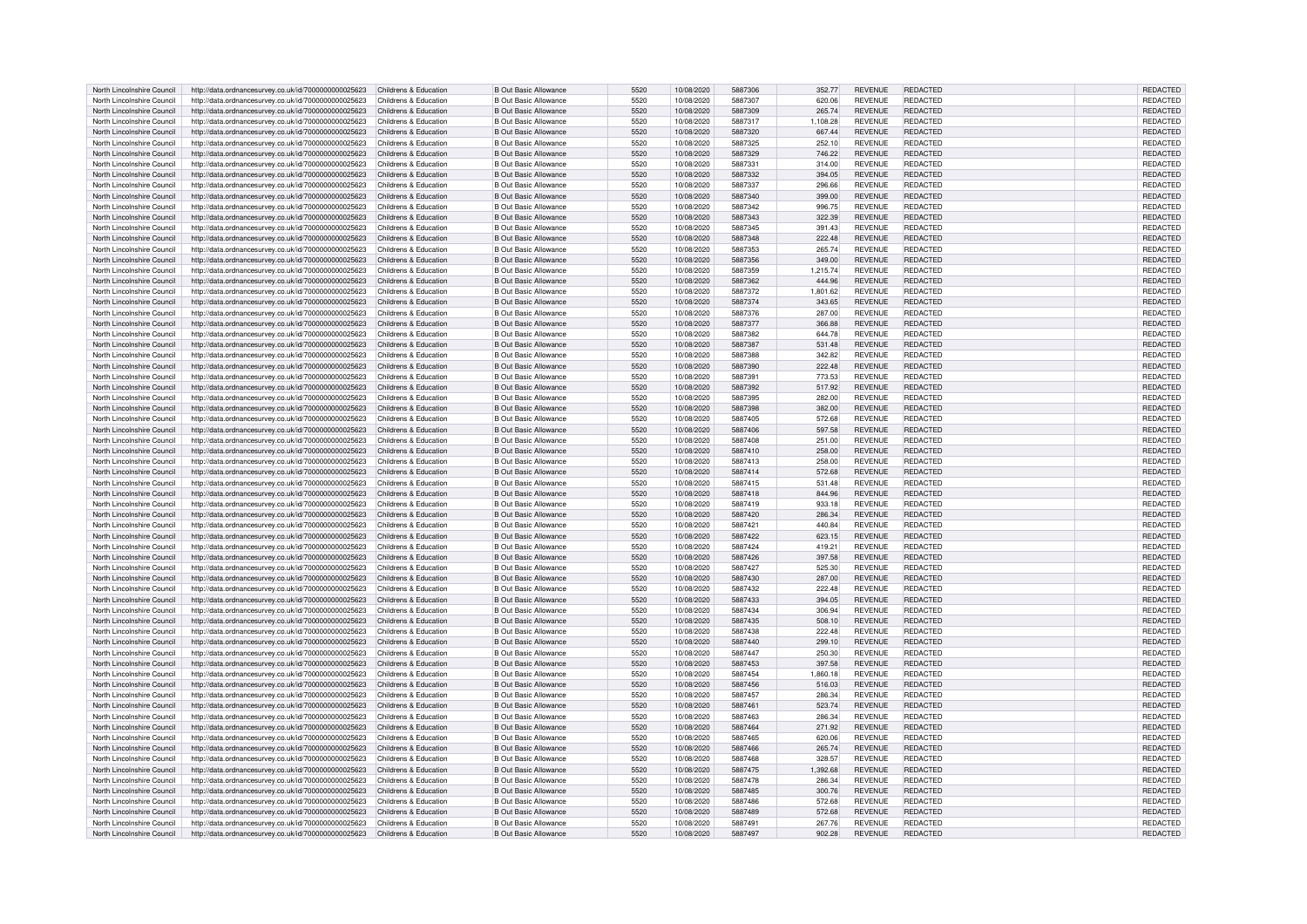| North Lincolnshire Council | http://data.ordnancesurvey.co.uk/id/7000000000025623                       | Childrens & Education | <b>B Out Basic Allowance</b>                                 | 5520         | 10/08/2020               | 5887306 | 352.77   | <b>REVENUE</b> | <b>REDACTED</b> | <b>REDACTED</b> |
|----------------------------|----------------------------------------------------------------------------|-----------------------|--------------------------------------------------------------|--------------|--------------------------|---------|----------|----------------|-----------------|-----------------|
| North Lincolnshire Council | http://data.ordnancesurvey.co.uk/id/7000000000025623                       | Childrens & Education | <b>B Out Basic Allowance</b>                                 | 5520         | 10/08/2020               | 5887307 | 620.06   | <b>REVENUE</b> | REDACTED        | REDACTED        |
| North Lincolnshire Council | http://data.ordnancesurvey.co.uk/id/7000000000025623                       | Childrens & Education | <b>B Out Basic Allowance</b>                                 | 5520         | 10/08/2020               | 5887309 | 265.74   | <b>REVENUE</b> | <b>REDACTED</b> | REDACTED        |
| North Lincolnshire Council | http://data.ordnancesurvey.co.uk/id/7000000000025623                       | Childrens & Education | <b>B Out Basic Allowance</b>                                 | 5520         | 10/08/2020               | 5887317 | 1.108.28 | <b>REVENUE</b> | <b>REDACTED</b> | REDACTED        |
|                            |                                                                            |                       |                                                              |              |                          |         |          |                |                 |                 |
| North Lincolnshire Council | http://data.ordnancesurvey.co.uk/id/7000000000025623                       | Childrens & Education | <b>B Out Basic Allowance</b>                                 | 5520         | 10/08/2020               | 5887320 | 667.44   | <b>REVENUE</b> | <b>REDACTED</b> | <b>REDACTED</b> |
| North Lincolnshire Council | http://data.ordnancesurvey.co.uk/id/7000000000025623                       | Childrens & Education | <b>B Out Basic Allowance</b>                                 | 5520         | 10/08/2020               | 5887325 | 252.10   | <b>REVENUE</b> | REDACTED        | REDACTED        |
| North Lincolnshire Council | http://data.ordnancesurvey.co.uk/id/7000000000025623                       | Childrens & Education | <b>B Out Basic Allowance</b>                                 | 5520         | 10/08/2020               | 5887329 | 746.22   | <b>REVENUE</b> | <b>REDACTED</b> | REDACTED        |
| North Lincolnshire Council | http://data.ordnancesurvey.co.uk/id/7000000000025623                       | Childrens & Education | <b>B Out Basic Allowance</b>                                 | 5520         | 10/08/2020               | 5887331 | 314.00   | <b>REVENUE</b> | <b>REDACTED</b> | REDACTED        |
| North Lincolnshire Council | http://data.ordnancesurvey.co.uk/id/7000000000025623                       | Childrens & Education | <b>B Out Basic Allowance</b>                                 | 5520         | 10/08/2020               | 5887332 | 394.05   | <b>REVENUE</b> | <b>REDACTED</b> | <b>REDACTED</b> |
| North Lincolnshire Council | http://data.ordnancesurvey.co.uk/id/7000000000025623                       | Childrens & Education | <b>B Out Basic Allowance</b>                                 | 5520         | 10/08/2020               | 5887337 | 296.66   | <b>REVENUE</b> | <b>REDACTED</b> | REDACTED        |
| North Lincolnshire Council | http://data.ordnancesurvey.co.uk/id/7000000000025623                       | Childrens & Education | <b>B Out Basic Allowance</b>                                 | 5520         | 10/08/2020               | 5887340 | 399.00   | <b>REVENUE</b> | <b>REDACTED</b> | REDACTED        |
|                            |                                                                            |                       |                                                              |              |                          |         |          |                |                 |                 |
| North Lincolnshire Council | http://data.ordnancesurvey.co.uk/id/7000000000025623                       | Childrens & Education | <b>B Out Basic Allowance</b>                                 | 5520         | 10/08/2020               | 5887342 | 996.75   | <b>REVENUE</b> | REDACTED        | REDACTED        |
| North Lincolnshire Council | http://data.ordnancesurvey.co.uk/id/7000000000025623                       | Childrens & Education | <b>B Out Basic Allowance</b>                                 | 5520         | 10/08/2020               | 5887343 | 322.39   | <b>REVENUE</b> | <b>REDACTED</b> | REDACTED        |
| North Lincolnshire Council | http://data.ordnancesurvey.co.uk/id/7000000000025623                       | Childrens & Education | <b>B Out Basic Allowance</b>                                 | 5520         | 10/08/2020               | 5887345 | 391.43   | <b>REVENUE</b> | <b>REDACTED</b> | REDACTED        |
| North Lincolnshire Council | http://data.ordnancesurvey.co.uk/id/7000000000025623                       | Childrens & Education | <b>B Out Basic Allowance</b>                                 | 5520         | 10/08/2020               | 5887348 | 222.48   | <b>REVENUE</b> | <b>REDACTED</b> | REDACTED        |
| North Lincolnshire Council | http://data.ordnancesurvey.co.uk/id/7000000000025623                       | Childrens & Education | <b>B Out Basic Allowance</b>                                 | 5520         | 10/08/2020               | 5887353 | 265.74   | <b>REVENUE</b> | <b>REDACTED</b> | REDACTED        |
| North Lincolnshire Council | http://data.ordnancesurvey.co.uk/id/7000000000025623                       | Childrens & Education | <b>B Out Basic Allowance</b>                                 | 5520         | 10/08/2020               | 5887356 | 349.00   | <b>REVENUE</b> | <b>REDACTED</b> | <b>REDACTED</b> |
| North Lincolnshire Council | http://data.ordnancesurvey.co.uk/id/7000000000025623                       | Childrens & Education | <b>B Out Basic Allowance</b>                                 | 5520         | 10/08/2020               | 5887359 | 1,215.74 | <b>REVENUE</b> | <b>REDACTED</b> | REDACTED        |
| North Lincolnshire Council | http://data.ordnancesurvey.co.uk/id/7000000000025623                       | Childrens & Education | <b>B Out Basic Allowance</b>                                 | 5520         | 10/08/2020               | 5887362 | 444.96   | <b>REVENUE</b> | <b>REDACTED</b> | REDACTED        |
|                            |                                                                            | Childrens & Education | <b>B Out Basic Allowance</b>                                 | 5520         |                          | 5887372 |          | <b>REVENUE</b> | <b>REDACTED</b> | <b>REDACTED</b> |
| North Lincolnshire Council | http://data.ordnancesurvey.co.uk/id/7000000000025623                       |                       |                                                              |              | 10/08/2020               |         | 1,801.62 |                |                 |                 |
| North Lincolnshire Council | http://data.ordnancesurvey.co.uk/id/7000000000025623                       | Childrens & Education | <b>B Out Basic Allowance</b>                                 | 5520         | 10/08/2020               | 5887374 | 343.65   | <b>REVENUE</b> | <b>REDACTED</b> | REDACTED        |
| North Lincolnshire Council | http://data.ordnancesurvey.co.uk/id/7000000000025623                       | Childrens & Education | <b>B Out Basic Allowance</b>                                 | 5520         | 10/08/2020               | 5887376 | 287.00   | <b>REVENUE</b> | <b>REDACTED</b> | REDACTED        |
| North Lincolnshire Council | http://data.ordnancesurvey.co.uk/id/7000000000025623                       | Childrens & Education | <b>B Out Basic Allowance</b>                                 | 5520         | 10/08/2020               | 5887377 | 366.88   | <b>REVENUE</b> | <b>REDACTED</b> | <b>REDACTED</b> |
| North Lincolnshire Council | http://data.ordnancesurvey.co.uk/id/7000000000025623                       | Childrens & Education | <b>B Out Basic Allowance</b>                                 | 5520         | 10/08/2020               | 5887382 | 644.78   | <b>REVENUE</b> | <b>REDACTED</b> | REDACTED        |
| North Lincolnshire Council | http://data.ordnancesurvey.co.uk/id/7000000000025623                       | Childrens & Education | <b>B Out Basic Allowance</b>                                 | 5520         | 10/08/2020               | 5887387 | 531.48   | <b>REVENUE</b> | <b>REDACTED</b> | REDACTED        |
| North Lincolnshire Council | http://data.ordnancesurvey.co.uk/id/7000000000025623                       | Childrens & Education | <b>B Out Basic Allowance</b>                                 | 5520         | 10/08/2020               | 5887388 | 342.82   | <b>REVENUE</b> | <b>REDACTED</b> | REDACTED        |
| North Lincolnshire Council | http://data.ordnancesurvey.co.uk/id/7000000000025623                       | Childrens & Education | <b>B Out Basic Allowance</b>                                 | 5520         | 10/08/2020               | 5887390 | 222.48   | <b>REVENUE</b> | <b>REDACTED</b> | REDACTED        |
|                            |                                                                            |                       |                                                              |              |                          | 5887391 |          |                | <b>REDACTED</b> |                 |
| North Lincolnshire Council | http://data.ordnancesurvey.co.uk/id/7000000000025623                       | Childrens & Education | <b>B Out Basic Allowance</b>                                 | 5520         | 10/08/2020               |         | 773.53   | <b>REVENUE</b> |                 | REDACTED        |
| North Lincolnshire Council | http://data.ordnancesurvey.co.uk/id/7000000000025623                       | Childrens & Education | <b>B Out Basic Allowance</b>                                 | 5520         | 10/08/2020               | 5887392 | 517.92   | <b>REVENUE</b> | <b>REDACTED</b> | <b>REDACTED</b> |
| North Lincolnshire Council | http://data.ordnancesurvey.co.uk/id/7000000000025623                       | Childrens & Education | <b>B Out Basic Allowance</b>                                 | 5520         | 10/08/2020               | 5887395 | 282.00   | <b>REVENUE</b> | <b>REDACTED</b> | REDACTED        |
| North Lincolnshire Council | http://data.ordnancesurvey.co.uk/id/7000000000025623                       | Childrens & Education | <b>B Out Basic Allowance</b>                                 | 5520         | 10/08/2020               | 5887398 | 382.00   | <b>REVENUE</b> | <b>REDACTED</b> | REDACTED        |
| North Lincolnshire Council | http://data.ordnancesurvey.co.uk/id/7000000000025623                       | Childrens & Education | <b>B Out Basic Allowance</b>                                 | 5520         | 10/08/2020               | 5887405 | 572.68   | <b>REVENUE</b> | <b>REDACTED</b> | <b>REDACTED</b> |
| North Lincolnshire Council | http://data.ordnancesurvey.co.uk/id/7000000000025623                       | Childrens & Education | <b>B Out Basic Allowance</b>                                 | 5520         | 10/08/2020               | 5887406 | 597.58   | <b>REVENUE</b> | <b>REDACTED</b> | REDACTED        |
| North Lincolnshire Council | http://data.ordnancesurvey.co.uk/id/7000000000025623                       | Childrens & Education | <b>B Out Basic Allowance</b>                                 | 5520         | 10/08/2020               | 5887408 | 251.00   | <b>REVENUE</b> | <b>REDACTED</b> | <b>REDACTED</b> |
| North Lincolnshire Council |                                                                            | Childrens & Education | <b>B Out Basic Allowance</b>                                 | 5520         | 10/08/2020               | 5887410 | 258.00   | <b>REVENUE</b> | REDACTED        | REDACTED        |
|                            | http://data.ordnancesurvey.co.uk/id/7000000000025623                       |                       |                                                              |              |                          |         |          |                |                 |                 |
| North Lincolnshire Council | http://data.ordnancesurvey.co.uk/id/7000000000025623                       | Childrens & Education | <b>B Out Basic Allowance</b>                                 | 5520         | 10/08/2020               | 5887413 | 258.00   | <b>REVENUE</b> | REDACTED        | REDACTED        |
| North Lincolnshire Council | http://data.ordnancesurvey.co.uk/id/7000000000025623                       | Childrens & Education | <b>B Out Basic Allowance</b>                                 | 5520         | 10/08/2020               | 5887414 | 572.68   | <b>REVENUE</b> | <b>REDACTED</b> | <b>REDACTED</b> |
| North Lincolnshire Council | http://data.ordnancesurvey.co.uk/id/7000000000025623                       | Childrens & Education | <b>B Out Basic Allowance</b>                                 | 5520         | 10/08/2020               | 5887415 | 531.48   | <b>REVENUE</b> | REDACTED        | REDACTED        |
| North Lincolnshire Council | http://data.ordnancesurvey.co.uk/id/7000000000025623                       | Childrens & Education | <b>B Out Basic Allowance</b>                                 | 5520         | 10/08/2020               | 5887418 | 844.96   | <b>REVENUE</b> | REDACTED        | <b>REDACTED</b> |
| North Lincolnshire Council | http://data.ordnancesurvey.co.uk/id/7000000000025623                       | Childrens & Education | <b>B Out Basic Allowance</b>                                 | 5520         | 10/08/2020               | 5887419 | 933.18   | <b>REVENUE</b> | <b>REDACTED</b> | REDACTED        |
| North Lincolnshire Council | http://data.ordnancesurvey.co.uk/id/7000000000025623                       | Childrens & Education | <b>B Out Basic Allowance</b>                                 | 5520         | 10/08/2020               | 5887420 | 286.34   | <b>REVENUE</b> | <b>REDACTED</b> | REDACTED        |
| North Lincolnshire Council | http://data.ordnancesurvey.co.uk/id/7000000000025623                       | Childrens & Education | <b>B Out Basic Allowance</b>                                 | 5520         | 10/08/2020               | 5887421 | 440.84   | <b>REVENUE</b> | <b>REDACTED</b> | <b>REDACTED</b> |
| North Lincolnshire Council | http://data.ordnancesurvey.co.uk/id/7000000000025623                       | Childrens & Education | <b>B Out Basic Allowance</b>                                 | 5520         | 10/08/2020               | 5887422 | 623.15   | <b>REVENUE</b> | REDACTED        | REDACTED        |
| North Lincolnshire Council |                                                                            | Childrens & Education | <b>B Out Basic Allowance</b>                                 | 5520         | 10/08/2020               | 5887424 |          | <b>REVENUE</b> | REDACTED        | REDACTED        |
|                            | http://data.ordnancesurvey.co.uk/id/7000000000025623                       |                       |                                                              |              |                          |         | 419.21   |                |                 |                 |
| North Lincolnshire Council | http://data.ordnancesurvey.co.uk/id/7000000000025623                       | Childrens & Education | <b>B Out Basic Allowance</b>                                 | 5520         | 10/08/2020               | 5887426 | 397.58   | <b>REVENUE</b> | <b>REDACTED</b> | REDACTED        |
| North Lincolnshire Council | http://data.ordnancesurvey.co.uk/id/7000000000025623                       | Childrens & Education | <b>B Out Basic Allowance</b>                                 | 5520         | 10/08/2020               | 5887427 | 525.30   | <b>REVENUE</b> | REDACTED        | REDACTED        |
| North Lincolnshire Council | http://data.ordnancesurvey.co.uk/id/7000000000025623                       | Childrens & Education | <b>B Out Basic Allowance</b>                                 | 5520         | 10/08/2020               | 5887430 | 287.00   | <b>REVENUE</b> | <b>REDACTED</b> | REDACTED        |
| North Lincolnshire Council | http://data.ordnancesurvey.co.uk/id/7000000000025623                       | Childrens & Education | <b>B Out Basic Allowance</b>                                 | 5520         | 10/08/2020               | 5887432 | 222.48   | <b>REVENUE</b> | REDACTED        | REDACTED        |
| North Lincolnshire Council | http://data.ordnancesurvey.co.uk/id/7000000000025623                       | Childrens & Education | <b>B Out Basic Allowance</b>                                 | 5520         | 10/08/2020               | 5887433 | 394.05   | <b>REVENUE</b> | <b>REDACTED</b> | REDACTED        |
| North Lincolnshire Council | http://data.ordnancesurvey.co.uk/id/7000000000025623                       | Childrens & Education | <b>B Out Basic Allowance</b>                                 | 5520         | 10/08/2020               | 5887434 | 306.94   | <b>REVENUE</b> | <b>REDACTED</b> | REDACTED        |
| North Lincolnshire Council | http://data.ordnancesurvey.co.uk/id/7000000000025623                       | Childrens & Education | <b>B Out Basic Allowance</b>                                 | 5520         | 10/08/2020               | 5887435 | 508.10   | <b>REVENUE</b> | <b>REDACTED</b> | REDACTED        |
| North Lincolnshire Council | http://data.ordnancesurvey.co.uk/id/7000000000025623                       | Childrens & Education | <b>B Out Basic Allowance</b>                                 | 5520         | 10/08/2020               | 5887438 | 222.48   | <b>REVENUE</b> | <b>REDACTED</b> | REDACTED        |
|                            |                                                                            |                       |                                                              |              |                          |         |          |                |                 |                 |
| North Lincolnshire Council | http://data.ordnancesurvey.co.uk/id/7000000000025623                       | Childrens & Education | <b>B Out Basic Allowance</b>                                 | 5520         | 10/08/2020               | 5887440 | 299.10   | <b>REVENUE</b> | REDACTED        | <b>REDACTED</b> |
| North Lincolnshire Council | http://data.ordnancesurvey.co.uk/id/7000000000025623                       | Childrens & Education | <b>B Out Basic Allowance</b>                                 | 5520         | 10/08/2020               | 5887447 | 250.30   | <b>REVENUE</b> | <b>REDACTED</b> | REDACTED        |
| North Lincolnshire Council | http://data.ordnancesurvey.co.uk/id/7000000000025623                       | Childrens & Education | <b>B Out Basic Allowance</b>                                 | 5520         | 10/08/2020               | 5887453 | 397.58   | <b>REVENUE</b> | <b>REDACTED</b> | REDACTED        |
| North Lincolnshire Council | http://data.ordnancesurvey.co.uk/id/7000000000025623                       | Childrens & Education | <b>B Out Basic Allowance</b>                                 | 5520         | 10/08/2020               | 5887454 | 1,860.18 | <b>REVENUE</b> | <b>REDACTED</b> | REDACTED        |
| North Lincolnshire Council | http://data.ordnancesurvey.co.uk/id/7000000000025623                       | Childrens & Education | <b>B Out Basic Allowance</b>                                 | 5520         | 10/08/2020               | 5887456 | 516.03   | <b>REVENUE</b> | <b>REDACTED</b> | REDACTED        |
| North Lincolnshire Council | http://data.ordnancesurvey.co.uk/id/7000000000025623                       | Childrens & Education | <b>B Out Basic Allowance</b>                                 | 5520         | 10/08/2020               | 5887457 | 286.34   | <b>REVENUE</b> | <b>REDACTED</b> | REDACTED        |
| North Lincolnshire Council | http://data.ordnancesurvey.co.uk/id/7000000000025623                       | Childrens & Education | <b>B Out Basic Allowance</b>                                 | 5520         | 10/08/2020               | 5887461 | 523.74   | <b>REVENUE</b> | <b>REDACTED</b> | REDACTED        |
| North Lincolnshire Council | http://data.ordnancesurvey.co.uk/id/7000000000025623                       | Childrens & Education | <b>B Out Basic Allowance</b>                                 | 5520         | 10/08/2020               | 5887463 | 286.34   | <b>REVENUE</b> | <b>REDACTED</b> | REDACTED        |
|                            |                                                                            |                       |                                                              |              |                          |         |          |                |                 |                 |
| North Lincolnshire Council | http://data.ordnancesurvey.co.uk/id/7000000000025623                       | Childrens & Education | <b>B Out Basic Allowance</b>                                 | 5520         | 10/08/2020               | 5887464 | 271.92   | <b>REVENUE</b> | <b>REDACTED</b> | REDACTED        |
| North Lincolnshire Council | http://data.ordnancesurvey.co.uk/id/7000000000025623                       | Childrens & Education | <b>B Out Basic Allowance</b>                                 | 5520         | 10/08/2020               | 5887465 | 620.06   | <b>REVENUE</b> | <b>REDACTED</b> | REDACTED        |
| North Lincolnshire Council | http://data.ordnancesurvey.co.uk/id/7000000000025623                       | Childrens & Education | <b>B Out Basic Allowance</b>                                 | 5520         | 10/08/2020               | 5887466 | 265.74   | <b>REVENUE</b> | REDACTED        | <b>REDACTED</b> |
| North Lincolnshire Council | http://data.ordnancesurvey.co.uk/id/7000000000025623                       | Childrens & Education | <b>B Out Basic Allowance</b>                                 | 5520         | 10/08/2020               | 5887468 | 328.57   | <b>REVENUE</b> | <b>REDACTED</b> | REDACTED        |
| North Lincolnshire Council | http://data.ordnancesurvey.co.uk/id/7000000000025623                       | Childrens & Education | <b>B Out Basic Allowance</b>                                 | 5520         | 10/08/2020               | 5887475 | 1,392.68 | <b>REVENUE</b> | <b>REDACTED</b> | REDACTED        |
| North Lincolnshire Council | http://data.ordnancesurvey.co.uk/id/7000000000025623                       | Childrens & Education | <b>B Out Basic Allowance</b>                                 | 5520         | 10/08/2020               | 5887478 | 286.34   | <b>REVENUE</b> | REDACTED        | REDACTED        |
| North Lincolnshire Council | http://data.ordnancesurvey.co.uk/id/7000000000025623                       | Childrens & Education | <b>B Out Basic Allowance</b>                                 | 5520         | 10/08/2020               | 5887485 | 300.76   | <b>REVENUE</b> | <b>REDACTED</b> | REDACTED        |
| North Lincolnshire Council | http://data.ordnancesurvey.co.uk/id/7000000000025623                       | Childrens & Education | <b>B Out Basic Allowance</b>                                 | 5520         | 10/08/2020               | 5887486 | 572.68   | <b>REVENUE</b> | REDACTED        | REDACTED        |
| North Lincolnshire Council |                                                                            | Childrens & Education | <b>B Out Basic Allowance</b>                                 | 5520         | 10/08/2020               | 5887489 | 572.68   | <b>REVENUE</b> | REDACTED        | REDACTED        |
|                            | http://data.ordnancesurvey.co.uk/id/7000000000025623                       |                       |                                                              |              |                          |         |          |                |                 |                 |
| North Lincolnshire Council | http://data.ordnancesurvey.co.uk/id/7000000000025623                       | Childrens & Education | <b>B Out Basic Allowance</b><br><b>B Out Basic Allowance</b> | 5520<br>5520 | 10/08/2020<br>10/08/2020 | 5887491 | 267.76   | <b>REVENUE</b> | REDACTED        | <b>REDACTED</b> |
| North Lincolnshire Council | http://data.ordnancesurvey.co.uk/id/7000000000025623 Childrens & Education |                       |                                                              |              |                          | 5887497 | 902.28   | <b>REVENUE</b> | REDACTED        | REDACTED        |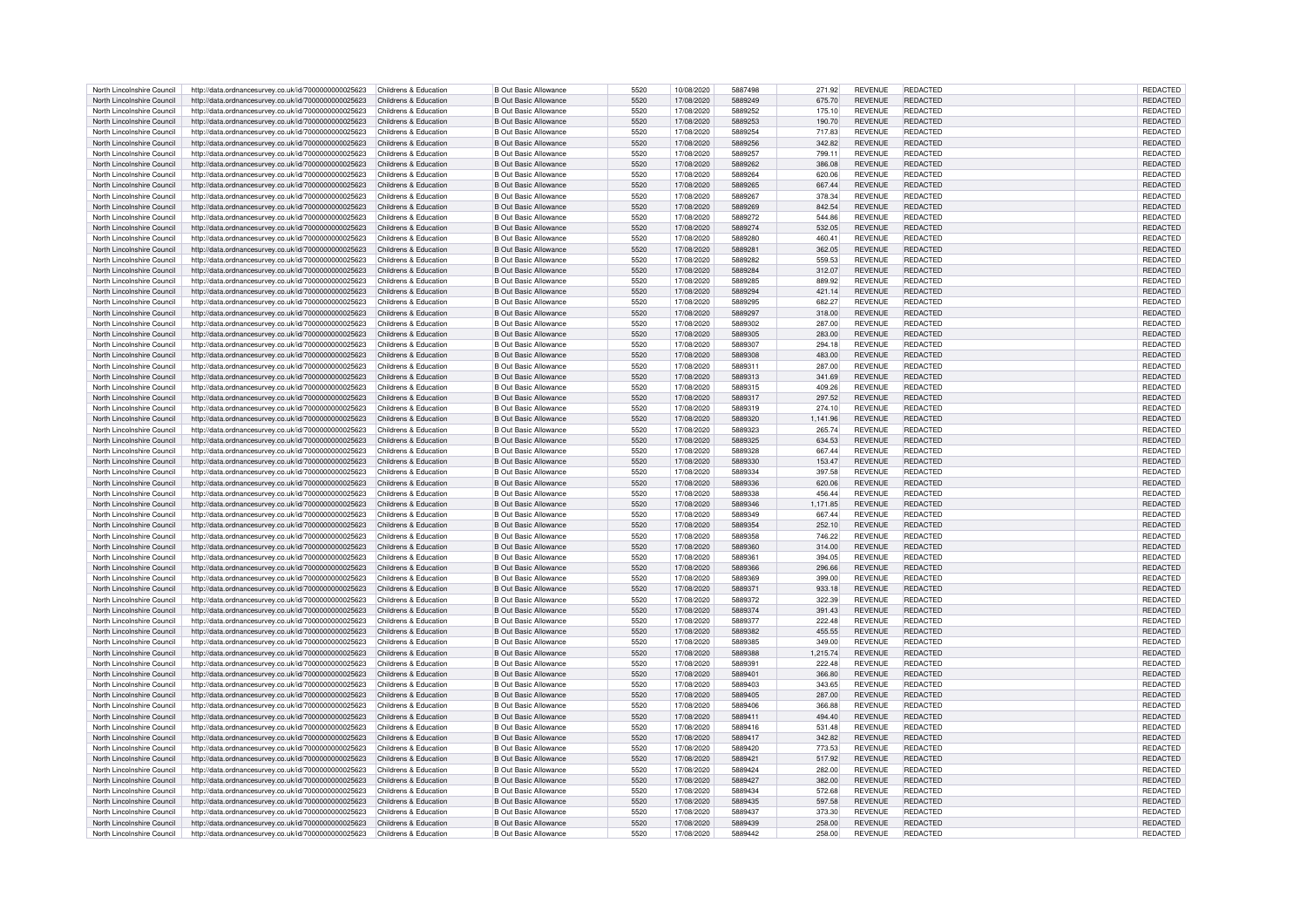| North Lincolnshire Council                               | http://data.ordnancesurvey.co.uk/id/7000000000025623                                                                               | Childrens & Education | <b>B Out Basic Allowance</b> | 5520 | 10/08/2020 | 5887498 | 271.92   | <b>REVENUE</b> | REDACTED        | REDACTED             |
|----------------------------------------------------------|------------------------------------------------------------------------------------------------------------------------------------|-----------------------|------------------------------|------|------------|---------|----------|----------------|-----------------|----------------------|
| North Lincolnshire Council                               | http://data.ordnancesurvey.co.uk/id/7000000000025623                                                                               | Childrens & Education | <b>B Out Basic Allowance</b> | 5520 | 17/08/2020 | 5889249 | 675.70   | <b>REVENUE</b> | <b>REDACTED</b> | <b>REDACTED</b>      |
|                                                          |                                                                                                                                    |                       |                              |      |            |         |          |                |                 |                      |
| North Lincolnshire Council                               | http://data.ordnancesurvey.co.uk/id/7000000000025623                                                                               | Childrens & Education | <b>B Out Basic Allowance</b> | 5520 | 17/08/2020 | 5889252 | 175.10   | <b>REVENUE</b> | <b>REDACTED</b> | REDACTED             |
| North Lincolnshire Council                               | http://data.ordnancesurvey.co.uk/id/7000000000025623                                                                               | Childrens & Education | <b>B Out Basic Allowance</b> | 5520 | 17/08/2020 | 5889253 | 190.70   | <b>REVENUE</b> | <b>REDACTED</b> | REDACTED             |
| North Lincolnshire Council                               | http://data.ordnancesurvey.co.uk/id/7000000000025623                                                                               | Childrens & Education | <b>B Out Basic Allowance</b> | 5520 | 17/08/2020 | 5889254 | 717.83   | <b>REVENUE</b> | <b>REDACTED</b> | REDACTED             |
| North Lincolnshire Council                               | http://data.ordnancesurvey.co.uk/id/7000000000025623                                                                               | Childrens & Education | <b>B Out Basic Allowance</b> | 5520 | 17/08/2020 | 5889256 | 342.82   | <b>REVENUE</b> | <b>REDACTED</b> | REDACTED             |
| North Lincolnshire Council                               | http://data.ordnancesurvey.co.uk/id/7000000000025623                                                                               | Childrens & Education | <b>B Out Basic Allowance</b> | 5520 | 17/08/2020 | 5889257 | 799.11   | <b>REVENUE</b> | <b>REDACTED</b> | REDACTED             |
|                                                          |                                                                                                                                    |                       |                              |      |            |         |          |                |                 |                      |
| North Lincolnshire Council                               | http://data.ordnancesurvey.co.uk/id/7000000000025623                                                                               | Childrens & Education | <b>B Out Basic Allowance</b> | 5520 | 17/08/2020 | 5889262 | 386.08   | <b>REVENUE</b> | <b>REDACTED</b> | <b>REDACTED</b>      |
| North Lincolnshire Council                               | http://data.ordnancesurvey.co.uk/id/7000000000025623                                                                               | Childrens & Education | <b>B Out Basic Allowance</b> | 5520 | 17/08/2020 | 5889264 | 620.06   | <b>REVENUE</b> | <b>REDACTED</b> | REDACTED             |
| North Lincolnshire Council                               | http://data.ordnancesurvey.co.uk/id/7000000000025623                                                                               | Childrens & Education | <b>B Out Basic Allowance</b> | 5520 | 17/08/2020 | 5889265 | 667.44   | <b>REVENUE</b> | <b>REDACTED</b> | REDACTED             |
| North Lincolnshire Council                               | http://data.ordnancesurvey.co.uk/id/7000000000025623                                                                               | Childrens & Education | <b>B Out Basic Allowance</b> | 5520 | 17/08/2020 | 5889267 | 378.34   | <b>REVENUE</b> | REDACTED        | <b>REDACTED</b>      |
|                                                          |                                                                                                                                    |                       |                              |      |            | 5889269 |          |                | <b>REDACTED</b> |                      |
| North Lincolnshire Council                               | http://data.ordnancesurvey.co.uk/id/7000000000025623                                                                               | Childrens & Education | <b>B Out Basic Allowance</b> | 5520 | 17/08/2020 |         | 842.54   | <b>REVENUE</b> |                 | REDACTED             |
| North Lincolnshire Council                               | http://data.ordnancesurvey.co.uk/id/7000000000025623                                                                               | Childrens & Education | <b>B Out Basic Allowance</b> | 5520 | 17/08/2020 | 5889272 | 544.86   | <b>REVENUE</b> | <b>REDACTED</b> | REDACTED             |
| North Lincolnshire Council                               | http://data.ordnancesurvey.co.uk/id/7000000000025623                                                                               | Childrens & Education | <b>B Out Basic Allowance</b> | 5520 | 17/08/2020 | 5889274 | 532.05   | <b>REVENUE</b> | REDACTED        | REDACTED             |
| North Lincolnshire Council                               | http://data.ordnancesurvey.co.uk/id/7000000000025623                                                                               | Childrens & Education | <b>B Out Basic Allowance</b> | 5520 | 17/08/2020 | 5889280 | 460.41   | <b>REVENUE</b> | <b>REDACTED</b> | REDACTED             |
| North Lincolnshire Council                               |                                                                                                                                    | Childrens & Education | <b>B Out Basic Allowance</b> | 5520 | 17/08/2020 | 5889281 | 362.05   | <b>REVENUE</b> | <b>REDACTED</b> | <b>REDACTED</b>      |
|                                                          | http://data.ordnancesurvey.co.uk/id/7000000000025623                                                                               |                       |                              |      |            |         |          |                |                 |                      |
| North Lincolnshire Council                               | http://data.ordnancesurvey.co.uk/id/7000000000025623                                                                               | Childrens & Education | <b>B Out Basic Allowance</b> | 5520 | 17/08/2020 | 5889282 | 559.53   | <b>REVENUE</b> | <b>REDACTED</b> | REDACTED             |
| North Lincolnshire Council                               | http://data.ordnancesurvey.co.uk/id/7000000000025623                                                                               | Childrens & Education | <b>B Out Basic Allowance</b> | 5520 | 17/08/2020 | 5889284 | 312.07   | <b>REVENUE</b> | <b>REDACTED</b> | REDACTED             |
| North Lincolnshire Council                               | http://data.ordnancesurvey.co.uk/id/7000000000025623                                                                               | Childrens & Education | <b>B Out Basic Allowance</b> | 5520 | 17/08/2020 | 5889285 | 889.92   | <b>REVENUE</b> | <b>REDACTED</b> | REDACTED             |
| North Lincolnshire Council                               | http://data.ordnancesurvey.co.uk/id/7000000000025623                                                                               | Childrens & Education | <b>B Out Basic Allowance</b> | 5520 | 17/08/2020 | 5889294 | 421.14   | <b>REVENUE</b> | <b>REDACTED</b> | REDACTED             |
|                                                          |                                                                                                                                    |                       |                              |      |            |         |          |                |                 |                      |
| North Lincolnshire Council                               | http://data.ordnancesurvey.co.uk/id/7000000000025623                                                                               | Childrens & Education | <b>B Out Basic Allowance</b> | 5520 | 17/08/2020 | 5889295 | 682.27   | <b>REVENUE</b> | REDACTED        | REDACTED             |
| North Lincolnshire Council                               | http://data.ordnancesurvey.co.uk/id/7000000000025623                                                                               | Childrens & Education | <b>B Out Basic Allowance</b> | 5520 | 17/08/2020 | 5889297 | 318.00   | <b>REVENUE</b> | <b>REDACTED</b> | REDACTED             |
| North Lincolnshire Council                               | http://data.ordnancesurvey.co.uk/id/7000000000025623                                                                               | Childrens & Education | <b>B Out Basic Allowance</b> | 5520 | 17/08/2020 | 5889302 | 287.00   | <b>REVENUE</b> | REDACTED        | REDACTED             |
| North Lincolnshire Council                               | http://data.ordnancesurvey.co.uk/id/7000000000025623                                                                               | Childrens & Education | <b>B Out Basic Allowance</b> | 5520 | 17/08/2020 | 5889305 | 283.00   | <b>REVENUE</b> | REDACTED        | REDACTED             |
|                                                          |                                                                                                                                    | Childrens & Education | <b>B Out Basic Allowance</b> | 5520 |            | 5889307 |          |                | <b>REDACTED</b> |                      |
| North Lincolnshire Council                               | http://data.ordnancesurvey.co.uk/id/7000000000025623                                                                               |                       |                              |      | 17/08/2020 |         | 294.18   | <b>REVENUE</b> |                 | REDACTED             |
| North Lincolnshire Council                               | http://data.ordnancesurvey.co.uk/id/7000000000025623                                                                               | Childrens & Education | <b>B Out Basic Allowance</b> | 5520 | 17/08/2020 | 5889308 | 483.00   | <b>REVENUE</b> | REDACTED        | REDACTED             |
| North Lincolnshire Council                               | http://data.ordnancesurvey.co.uk/id/7000000000025623                                                                               | Childrens & Education | <b>B Out Basic Allowance</b> | 5520 | 17/08/2020 | 5889311 | 287.00   | <b>REVENUE</b> | <b>REDACTED</b> | <b>REDACTED</b>      |
| North Lincolnshire Council                               | http://data.ordnancesurvey.co.uk/id/7000000000025623                                                                               | Childrens & Education | <b>B Out Basic Allowance</b> | 5520 | 17/08/2020 | 5889313 | 341.69   | <b>REVENUE</b> | <b>REDACTED</b> | <b>REDACTED</b>      |
| North Lincolnshire Council                               | http://data.ordnancesurvey.co.uk/id/7000000000025623                                                                               | Childrens & Education | <b>B Out Basic Allowance</b> | 5520 | 17/08/2020 | 5889315 | 409.26   | <b>REVENUE</b> | <b>REDACTED</b> | REDACTED             |
|                                                          |                                                                                                                                    |                       |                              |      |            |         |          |                |                 |                      |
| North Lincolnshire Council                               | http://data.ordnancesurvey.co.uk/id/7000000000025623                                                                               | Childrens & Education | <b>B Out Basic Allowance</b> | 5520 | 17/08/2020 | 5889317 | 297.52   | <b>REVENUE</b> | REDACTED        | REDACTED             |
| North Lincolnshire Council                               | http://data.ordnancesurvey.co.uk/id/7000000000025623                                                                               | Childrens & Education | <b>B Out Basic Allowance</b> | 5520 | 17/08/2020 | 5889319 | 274.10   | <b>REVENUE</b> | <b>REDACTED</b> | REDACTED             |
| North Lincolnshire Council                               | http://data.ordnancesurvey.co.uk/id/7000000000025623                                                                               | Childrens & Education | <b>B Out Basic Allowance</b> | 5520 | 17/08/2020 | 5889320 | 1,141.96 | <b>REVENUE</b> | <b>REDACTED</b> | REDACTED             |
| North Lincolnshire Council                               | http://data.ordnancesurvey.co.uk/id/7000000000025623                                                                               | Childrens & Education | <b>B Out Basic Allowance</b> | 5520 | 17/08/2020 | 5889323 | 265.74   | <b>REVENUE</b> | REDACTED        | REDACTED             |
| North Lincolnshire Council                               |                                                                                                                                    | Childrens & Education | <b>B Out Basic Allowance</b> | 5520 | 17/08/2020 | 5889325 |          | <b>REVENUE</b> | REDACTED        | REDACTED             |
|                                                          | http://data.ordnancesurvey.co.uk/id/7000000000025623                                                                               |                       |                              |      |            |         | 634.53   |                |                 |                      |
| North Lincolnshire Council                               | http://data.ordnancesurvey.co.uk/id/7000000000025623                                                                               | Childrens & Education | <b>B Out Basic Allowance</b> | 5520 | 17/08/2020 | 5889328 | 667.44   | <b>REVENUE</b> | REDACTED        | <b>REDACTED</b>      |
| North Lincolnshire Council                               | http://data.ordnancesurvey.co.uk/id/7000000000025623                                                                               | Childrens & Education | <b>B Out Basic Allowance</b> | 5520 | 17/08/2020 | 5889330 | 153.47   | <b>REVENUE</b> | <b>REDACTED</b> | <b>REDACTED</b>      |
| North Lincolnshire Council                               | http://data.ordnancesurvey.co.uk/id/7000000000025623                                                                               | Childrens & Education | <b>B Out Basic Allowance</b> | 5520 | 17/08/2020 | 5889334 | 397.58   | <b>REVENUE</b> | <b>REDACTED</b> | REDACTED             |
| North Lincolnshire Council                               | http://data.ordnancesurvey.co.uk/id/7000000000025623                                                                               | Childrens & Education | <b>B Out Basic Allowance</b> | 5520 | 17/08/2020 | 5889336 | 620.06   | <b>REVENUE</b> | <b>REDACTED</b> | <b>REDACTED</b>      |
|                                                          |                                                                                                                                    |                       |                              |      |            |         |          |                |                 |                      |
| North Lincolnshire Council                               | http://data.ordnancesurvey.co.uk/id/7000000000025623                                                                               | Childrens & Education | <b>B Out Basic Allowance</b> | 5520 | 17/08/2020 | 5889338 | 456.44   | <b>REVENUE</b> | <b>REDACTED</b> | REDACTED             |
| North Lincolnshire Council                               | http://data.ordnancesurvey.co.uk/id/7000000000025623                                                                               | Childrens & Education | <b>B Out Basic Allowance</b> | 5520 | 17/08/2020 | 5889346 | 1,171.85 | <b>REVENUE</b> | REDACTED        | REDACTED             |
| North Lincolnshire Council                               | http://data.ordnancesurvey.co.uk/id/7000000000025623                                                                               | Childrens & Education | <b>B Out Basic Allowance</b> | 5520 | 17/08/2020 | 5889349 | 667.44   | <b>REVENUE</b> | REDACTED        | REDACTED             |
| North Lincolnshire Council                               | http://data.ordnancesurvey.co.uk/id/7000000000025623                                                                               | Childrens & Education | <b>B Out Basic Allowance</b> | 5520 | 17/08/2020 | 5889354 | 252.10   | <b>REVENUE</b> | REDACTED        | REDACTED             |
| North Lincolnshire Council                               |                                                                                                                                    | Childrens & Education | <b>B Out Basic Allowance</b> | 5520 | 17/08/2020 | 5889358 | 746.22   | <b>REVENUE</b> | REDACTED        | REDACTED             |
|                                                          | http://data.ordnancesurvey.co.uk/id/7000000000025623                                                                               |                       |                              |      |            |         |          |                |                 |                      |
| North Lincolnshire Council                               | http://data.ordnancesurvey.co.uk/id/7000000000025623                                                                               | Childrens & Education | <b>B Out Basic Allowance</b> | 5520 | 17/08/2020 | 5889360 | 314.00   | <b>REVENUE</b> | REDACTED        | <b>REDACTED</b>      |
| North Lincolnshire Council                               | http://data.ordnancesurvey.co.uk/id/7000000000025623                                                                               | Childrens & Education | <b>B Out Basic Allowance</b> | 5520 | 17/08/2020 | 5889361 | 394.05   | <b>REVENUE</b> | <b>REDACTED</b> | REDACTED             |
| North Lincolnshire Council                               | http://data.ordnancesurvey.co.uk/id/7000000000025623                                                                               | Childrens & Education | <b>B Out Basic Allowance</b> | 5520 | 17/08/2020 | 5889366 | 296.66   | <b>REVENUE</b> | REDACTED        | REDACTED             |
| North Lincolnshire Council                               | http://data.ordnancesurvey.co.uk/id/7000000000025623                                                                               | Childrens & Education | <b>B Out Basic Allowance</b> | 5520 | 17/08/2020 | 5889369 | 399.00   | <b>REVENUE</b> | <b>REDACTED</b> | <b>REDACTED</b>      |
|                                                          |                                                                                                                                    |                       |                              |      |            |         |          |                |                 |                      |
| North Lincolnshire Council                               | http://data.ordnancesurvey.co.uk/id/7000000000025623                                                                               | Childrens & Education | <b>B Out Basic Allowance</b> | 5520 | 17/08/2020 | 5889371 | 933.18   | <b>REVENUE</b> | REDACTED        | <b>REDACTED</b>      |
| North Lincolnshire Council                               | http://data.ordnancesurvey.co.uk/id/7000000000025623                                                                               | Childrens & Education | <b>B Out Basic Allowance</b> | 5520 | 17/08/2020 | 5889372 | 322.39   | <b>REVENUE</b> | REDACTED        | REDACTED             |
| North Lincolnshire Council                               | http://data.ordnancesurvey.co.uk/id/7000000000025623                                                                               | Childrens & Education | <b>B Out Basic Allowance</b> | 5520 | 17/08/2020 | 5889374 | 391.43   | <b>REVENUE</b> | <b>REDACTED</b> | REDACTED             |
| North Lincolnshire Council                               | http://data.ordnancesurvey.co.uk/id/7000000000025623                                                                               | Childrens & Education | <b>B Out Basic Allowance</b> | 5520 | 17/08/2020 | 5889377 | 222.48   | <b>REVENUE</b> | REDACTED        | REDACTED             |
| North Lincolnshire Council                               | http://data.ordnancesurvey.co.uk/id/7000000000025623                                                                               | Childrens & Education | <b>B Out Basic Allowance</b> | 5520 | 17/08/2020 | 5889382 | 455.55   | <b>REVENUE</b> | REDACTED        | REDACTED             |
|                                                          |                                                                                                                                    |                       |                              |      |            |         |          |                |                 |                      |
| North Lincolnshire Council                               | http://data.ordnancesurvey.co.uk/id/7000000000025623                                                                               | Childrens & Education | <b>B Out Basic Allowance</b> | 5520 | 17/08/2020 | 5889385 | 349.00   | <b>REVENUE</b> | <b>REDACTED</b> | <b>REDACTED</b>      |
| North Lincolnshire Council                               | http://data.ordnancesurvey.co.uk/id/7000000000025623                                                                               | Childrens & Education | <b>B Out Basic Allowance</b> | 5520 | 17/08/2020 | 5889388 | 1,215.74 | <b>REVENUE</b> | <b>REDACTED</b> | <b>REDACTED</b>      |
| North Lincolnshire Council                               | http://data.ordnancesurvey.co.uk/id/7000000000025623                                                                               | Childrens & Education | <b>B Out Basic Allowance</b> | 5520 | 17/08/2020 | 5889391 | 222.48   | <b>REVENUE</b> | REDACTED        | REDACTED             |
| North Lincolnshire Council                               | http://data.ordnancesurvey.co.uk/id/7000000000025623                                                                               | Childrens & Education | <b>B Out Basic Allowance</b> | 5520 | 17/08/2020 | 5889401 | 366.80   | <b>REVENUE</b> | REDACTED        | REDACTED             |
|                                                          |                                                                                                                                    |                       |                              |      |            | 5889403 |          |                | <b>REDACTED</b> |                      |
| North Lincolnshire Council                               | http://data.ordnancesurvey.co.uk/id/7000000000025623                                                                               | Childrens & Education | <b>B Out Basic Allowance</b> | 5520 | 17/08/2020 |         | 343.65   | <b>REVENUE</b> |                 | REDACTED             |
| North Lincolnshire Council                               | http://data.ordnancesurvey.co.uk/id/7000000000025623                                                                               | Childrens & Education | <b>B Out Basic Allowance</b> | 5520 | 17/08/2020 | 5889405 | 287.00   | <b>REVENUE</b> | <b>REDACTED</b> | REDACTED             |
| North Lincolnshire Council                               | http://data.ordnancesurvey.co.uk/id/7000000000025623                                                                               | Childrens & Education | <b>B Out Basic Allowance</b> | 5520 | 17/08/2020 | 5889406 | 366.88   | <b>REVENUE</b> | <b>REDACTED</b> | REDACTED             |
| North Lincolnshire Council                               | http://data.ordnancesurvey.co.uk/id/7000000000025623                                                                               | Childrens & Education | <b>B Out Basic Allowance</b> | 5520 | 17/08/2020 | 5889411 | 494.40   | <b>REVENUE</b> | <b>REDACTED</b> | REDACTED             |
| North Lincolnshire Council                               | http://data.ordnancesurvey.co.uk/id/7000000000025623                                                                               | Childrens & Education | <b>B Out Basic Allowance</b> | 5520 | 17/08/2020 | 5889416 | 531.48   | <b>REVENUE</b> | <b>REDACTED</b> | REDACTED             |
|                                                          |                                                                                                                                    |                       |                              |      |            | 5889417 |          |                |                 |                      |
| North Lincolnshire Council                               | http://data.ordnancesurvey.co.uk/id/7000000000025623                                                                               | Childrens & Education | <b>B Out Basic Allowance</b> | 5520 | 17/08/2020 |         | 342.82   | <b>REVENUE</b> | REDACTED        | REDACTED             |
| North Lincolnshire Council                               | http://data.ordnancesurvey.co.uk/id/7000000000025623                                                                               | Childrens & Education | <b>B Out Basic Allowance</b> | 5520 | 17/08/2020 | 5889420 | 773.53   | <b>REVENUE</b> | <b>REDACTED</b> | REDACTED             |
| North Lincolnshire Council                               | http://data.ordnancesurvey.co.uk/id/7000000000025623                                                                               | Childrens & Education | <b>B Out Basic Allowance</b> | 5520 | 17/08/2020 | 5889421 | 517.92   | <b>REVENUE</b> | REDACTED        | REDACTED             |
| North Lincolnshire Council                               | http://data.ordnancesurvey.co.uk/id/7000000000025623                                                                               | Childrens & Education | <b>B Out Basic Allowance</b> | 5520 | 17/08/2020 | 5889424 | 282.00   | <b>REVENUE</b> | REDACTED        | REDACTED             |
| North Lincolnshire Council                               | http://data.ordnancesurvey.co.uk/id/7000000000025623                                                                               | Childrens & Education | <b>B Out Basic Allowance</b> | 5520 | 17/08/2020 | 5889427 | 382.00   | <b>REVENUE</b> | REDACTED        | REDACTED             |
|                                                          |                                                                                                                                    |                       |                              |      |            |         |          |                |                 |                      |
| North Lincolnshire Council                               | http://data.ordnancesurvey.co.uk/id/7000000000025623                                                                               | Childrens & Education | <b>B Out Basic Allowance</b> | 5520 | 17/08/2020 | 5889434 | 572.68   | <b>REVENUE</b> | <b>REDACTED</b> | REDACTED             |
| North Lincolnshire Council                               | http://data.ordnancesurvey.co.uk/id/7000000000025623                                                                               | Childrens & Education | <b>B Out Basic Allowance</b> | 5520 | 17/08/2020 | 5889435 | 597.58   | <b>REVENUE</b> | <b>REDACTED</b> | REDACTED             |
| North Lincolnshire Council                               | http://data.ordnancesurvey.co.uk/id/7000000000025623                                                                               | Childrens & Education | <b>B Out Basic Allowance</b> | 5520 | 17/08/2020 | 5889437 | 373.30   | <b>REVENUE</b> | <b>REDACTED</b> | REDACTED             |
|                                                          |                                                                                                                                    |                       |                              |      |            |         |          |                |                 |                      |
|                                                          |                                                                                                                                    | Childrens & Education | <b>B Out Basic Allowance</b> | 5520 | 17/08/2020 | 5889439 | 258.00   | <b>REVENUE</b> | <b>REDACTED</b> |                      |
| North Lincolnshire Council<br>North Lincolnshire Council | http://data.ordnancesurvey.co.uk/id/7000000000025623<br>http://data.ordnancesurvey.co.uk/id/7000000000025623 Childrens & Education |                       | <b>B Out Basic Allowance</b> | 5520 | 17/08/2020 | 5889442 | 258.00   | <b>REVENUE</b> | REDACTED        | REDACTED<br>REDACTED |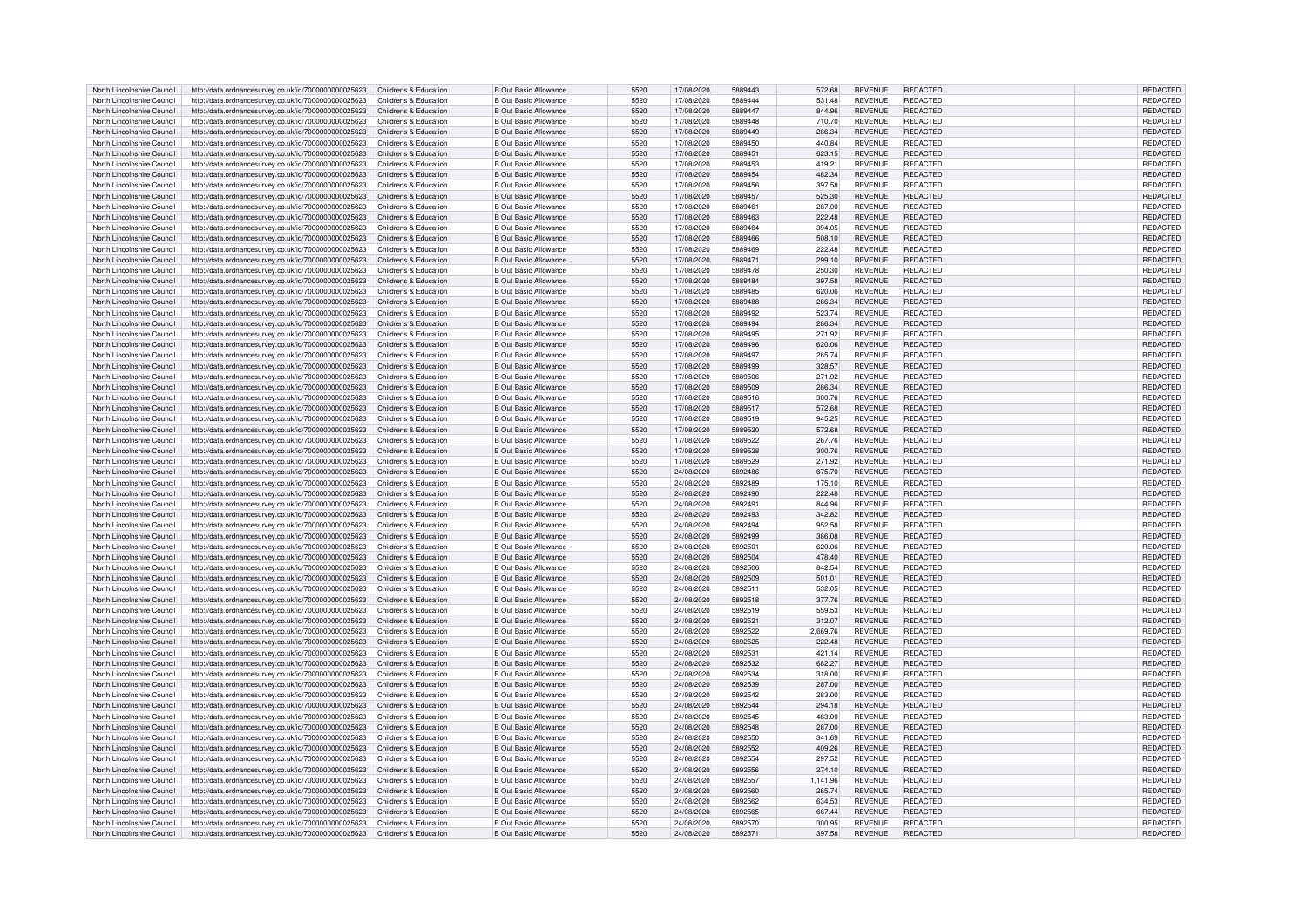| North Lincolnshire Council | http://data.ordnancesurvey.co.uk/id/7000000000025623                       | Childrens & Education | <b>B Out Basic Allowance</b> | 5520 | 17/08/2020 | 5889443 | <b>REVENUE</b><br>572.68   | <b>REDACTED</b> | <b>REDACTED</b> |  |
|----------------------------|----------------------------------------------------------------------------|-----------------------|------------------------------|------|------------|---------|----------------------------|-----------------|-----------------|--|
| North Lincolnshire Council | http://data.ordnancesurvey.co.uk/id/7000000000025623                       | Childrens & Education | <b>B Out Basic Allowance</b> | 5520 | 17/08/2020 | 5889444 | 531.48<br><b>REVENUE</b>   | REDACTED        | REDACTED        |  |
| North Lincolnshire Council | http://data.ordnancesurvey.co.uk/id/7000000000025623                       | Childrens & Education | <b>B Out Basic Allowance</b> | 5520 | 17/08/2020 | 5889447 | 844.96<br><b>REVENUE</b>   | <b>REDACTED</b> | REDACTED        |  |
| North Lincolnshire Council | http://data.ordnancesurvey.co.uk/id/7000000000025623                       | Childrens & Education | <b>B Out Basic Allowance</b> | 5520 | 17/08/2020 | 5889448 | <b>REVENUE</b><br>710.70   | <b>REDACTED</b> | REDACTED        |  |
|                            |                                                                            |                       |                              |      |            |         |                            |                 |                 |  |
| North Lincolnshire Council | http://data.ordnancesurvey.co.uk/id/7000000000025623                       | Childrens & Education | <b>B Out Basic Allowance</b> | 5520 | 17/08/2020 | 5889449 | 286.34<br><b>REVENUE</b>   | <b>REDACTED</b> | <b>REDACTED</b> |  |
| North Lincolnshire Council | http://data.ordnancesurvey.co.uk/id/7000000000025623                       | Childrens & Education | <b>B Out Basic Allowance</b> | 5520 | 17/08/2020 | 5889450 | 440.84<br><b>REVENUE</b>   | REDACTED        | REDACTED        |  |
| North Lincolnshire Council | http://data.ordnancesurvey.co.uk/id/7000000000025623                       | Childrens & Education | <b>B Out Basic Allowance</b> | 5520 | 17/08/2020 | 5889451 | 623.15<br><b>REVENUE</b>   | <b>REDACTED</b> | REDACTED        |  |
| North Lincolnshire Council | http://data.ordnancesurvey.co.uk/id/7000000000025623                       | Childrens & Education | <b>B Out Basic Allowance</b> | 5520 | 17/08/2020 | 5889453 | 419.21<br><b>REVENUE</b>   | <b>REDACTED</b> | REDACTED        |  |
| North Lincolnshire Council | http://data.ordnancesurvey.co.uk/id/7000000000025623                       | Childrens & Education | <b>B Out Basic Allowance</b> | 5520 | 17/08/2020 | 5889454 | 482.34<br><b>REVENUE</b>   | <b>REDACTED</b> | <b>REDACTED</b> |  |
| North Lincolnshire Council | http://data.ordnancesurvey.co.uk/id/7000000000025623                       | Childrens & Education | <b>B Out Basic Allowance</b> | 5520 | 17/08/2020 | 5889456 | 397.58<br><b>REVENUE</b>   | <b>REDACTED</b> | REDACTED        |  |
| North Lincolnshire Council | http://data.ordnancesurvey.co.uk/id/7000000000025623                       | Childrens & Education | <b>B Out Basic Allowance</b> | 5520 | 17/08/2020 | 5889457 | 525.30<br><b>REVENUE</b>   | <b>REDACTED</b> | REDACTED        |  |
|                            |                                                                            |                       |                              |      |            |         |                            |                 |                 |  |
| North Lincolnshire Council | http://data.ordnancesurvey.co.uk/id/7000000000025623                       | Childrens & Education | <b>B Out Basic Allowance</b> | 5520 | 17/08/2020 | 5889461 | 287.00<br><b>REVENUE</b>   | REDACTED        | REDACTED        |  |
| North Lincolnshire Council | http://data.ordnancesurvey.co.uk/id/7000000000025623                       | Childrens & Education | <b>B Out Basic Allowance</b> | 5520 | 17/08/2020 | 5889463 | 222.48<br><b>REVENUE</b>   | <b>REDACTED</b> | REDACTED        |  |
| North Lincolnshire Council | http://data.ordnancesurvey.co.uk/id/7000000000025623                       | Childrens & Education | <b>B Out Basic Allowance</b> | 5520 | 17/08/2020 | 5889464 | 394.05<br><b>REVENUE</b>   | <b>REDACTED</b> | REDACTED        |  |
| North Lincolnshire Council | http://data.ordnancesurvey.co.uk/id/7000000000025623                       | Childrens & Education | <b>B Out Basic Allowance</b> | 5520 | 17/08/2020 | 5889466 | 508.10<br><b>REVENUE</b>   | <b>REDACTED</b> | REDACTED        |  |
| North Lincolnshire Council | http://data.ordnancesurvey.co.uk/id/7000000000025623                       | Childrens & Education | <b>B Out Basic Allowance</b> | 5520 | 17/08/2020 | 5889469 | 222.48<br><b>REVENUE</b>   | <b>REDACTED</b> | REDACTED        |  |
| North Lincolnshire Council | http://data.ordnancesurvey.co.uk/id/7000000000025623                       | Childrens & Education | <b>B Out Basic Allowance</b> | 5520 | 17/08/2020 | 5889471 | 299.10<br><b>REVENUE</b>   | <b>REDACTED</b> | <b>REDACTED</b> |  |
| North Lincolnshire Council | http://data.ordnancesurvey.co.uk/id/7000000000025623                       | Childrens & Education | <b>B Out Basic Allowance</b> | 5520 | 17/08/2020 | 5889478 | 250.30<br><b>REVENUE</b>   | <b>REDACTED</b> | REDACTED        |  |
| North Lincolnshire Council | http://data.ordnancesurvey.co.uk/id/7000000000025623                       | Childrens & Education | <b>B Out Basic Allowance</b> | 5520 | 17/08/2020 | 5889484 | 397.58<br><b>REVENUE</b>   | <b>REDACTED</b> | REDACTED        |  |
| North Lincolnshire Council | http://data.ordnancesurvey.co.uk/id/7000000000025623                       | Childrens & Education | <b>B Out Basic Allowance</b> | 5520 | 17/08/2020 | 5889485 | <b>REVENUE</b><br>620.06   | REDACTED        | <b>REDACTED</b> |  |
|                            |                                                                            |                       |                              | 5520 |            | 5889488 |                            | <b>REDACTED</b> |                 |  |
| North Lincolnshire Council | http://data.ordnancesurvey.co.uk/id/7000000000025623                       | Childrens & Education | <b>B Out Basic Allowance</b> |      | 17/08/2020 |         | 286.34<br><b>REVENUE</b>   |                 | REDACTED        |  |
| North Lincolnshire Council | http://data.ordnancesurvey.co.uk/id/7000000000025623                       | Childrens & Education | <b>B Out Basic Allowance</b> | 5520 | 17/08/2020 | 5889492 | <b>REVENUE</b><br>523.74   | <b>REDACTED</b> | REDACTED        |  |
| North Lincolnshire Council | http://data.ordnancesurvey.co.uk/id/7000000000025623                       | Childrens & Education | <b>B Out Basic Allowance</b> | 5520 | 17/08/2020 | 5889494 | 286.34<br><b>REVENUE</b>   | <b>REDACTED</b> | <b>REDACTED</b> |  |
| North Lincolnshire Council | http://data.ordnancesurvey.co.uk/id/7000000000025623                       | Childrens & Education | <b>B Out Basic Allowance</b> | 5520 | 17/08/2020 | 5889495 | 271.92<br><b>REVENUE</b>   | <b>REDACTED</b> | REDACTED        |  |
| North Lincolnshire Council | http://data.ordnancesurvey.co.uk/id/7000000000025623                       | Childrens & Education | <b>B Out Basic Allowance</b> | 5520 | 17/08/2020 | 5889496 | 620.06<br><b>REVENUE</b>   | <b>REDACTED</b> | REDACTED        |  |
| North Lincolnshire Council | http://data.ordnancesurvey.co.uk/id/7000000000025623                       | Childrens & Education | <b>B Out Basic Allowance</b> | 5520 | 17/08/2020 | 5889497 | 265.74<br><b>REVENUE</b>   | <b>REDACTED</b> | REDACTED        |  |
| North Lincolnshire Council | http://data.ordnancesurvey.co.uk/id/7000000000025623                       | Childrens & Education | <b>B Out Basic Allowance</b> | 5520 | 17/08/2020 | 5889499 | 328.57<br><b>REVENUE</b>   | <b>REDACTED</b> | REDACTED        |  |
| North Lincolnshire Council | http://data.ordnancesurvey.co.uk/id/7000000000025623                       | Childrens & Education | <b>B Out Basic Allowance</b> | 5520 | 17/08/2020 | 5889506 | 271.92<br><b>REVENUE</b>   | REDACTED        | REDACTED        |  |
| North Lincolnshire Council |                                                                            | Childrens & Education | <b>B Out Basic Allowance</b> | 5520 | 17/08/2020 | 5889509 | <b>REVENUE</b><br>286.34   | REDACTED        | <b>REDACTED</b> |  |
|                            | http://data.ordnancesurvey.co.uk/id/7000000000025623                       |                       |                              |      |            |         |                            |                 |                 |  |
| North Lincolnshire Council | http://data.ordnancesurvey.co.uk/id/7000000000025623                       | Childrens & Education | <b>B Out Basic Allowance</b> | 5520 | 17/08/2020 | 5889516 | 300.76<br><b>REVENUE</b>   | <b>REDACTED</b> | REDACTED        |  |
| North Lincolnshire Council | http://data.ordnancesurvey.co.uk/id/7000000000025623                       | Childrens & Education | <b>B Out Basic Allowance</b> | 5520 | 17/08/2020 | 5889517 | 572.68<br><b>REVENUE</b>   | <b>REDACTED</b> | REDACTED        |  |
| North Lincolnshire Council | http://data.ordnancesurvey.co.uk/id/7000000000025623                       | Childrens & Education | <b>B Out Basic Allowance</b> | 5520 | 17/08/2020 | 5889519 | 945.25<br><b>REVENUE</b>   | <b>REDACTED</b> | <b>REDACTED</b> |  |
| North Lincolnshire Council | http://data.ordnancesurvey.co.uk/id/7000000000025623                       | Childrens & Education | <b>B Out Basic Allowance</b> | 5520 | 17/08/2020 | 5889520 | 572.68<br><b>REVENUE</b>   | <b>REDACTED</b> | REDACTED        |  |
| North Lincolnshire Council | http://data.ordnancesurvey.co.uk/id/7000000000025623                       | Childrens & Education | <b>B Out Basic Allowance</b> | 5520 | 17/08/2020 | 5889522 | 267.76<br><b>REVENUE</b>   | <b>REDACTED</b> | <b>REDACTED</b> |  |
| North Lincolnshire Council | http://data.ordnancesurvey.co.uk/id/7000000000025623                       | Childrens & Education | <b>B Out Basic Allowance</b> | 5520 | 17/08/2020 | 5889528 | <b>REVENUE</b><br>300.76   | REDACTED        | REDACTED        |  |
| North Lincolnshire Council | http://data.ordnancesurvey.co.uk/id/7000000000025623                       | Childrens & Education | <b>B Out Basic Allowance</b> | 5520 | 17/08/2020 | 5889529 | 271.92<br><b>REVENUE</b>   | REDACTED        | REDACTED        |  |
| North Lincolnshire Council | http://data.ordnancesurvey.co.uk/id/7000000000025623                       | Childrens & Education | <b>B Out Basic Allowance</b> | 5520 | 24/08/2020 | 5892486 | 675.70<br><b>REVENUE</b>   | <b>REDACTED</b> | <b>REDACTED</b> |  |
| North Lincolnshire Council | http://data.ordnancesurvey.co.uk/id/7000000000025623                       | Childrens & Education | <b>B Out Basic Allowance</b> | 5520 | 24/08/2020 | 5892489 | 175.10<br><b>REVENUE</b>   | REDACTED        | REDACTED        |  |
|                            |                                                                            |                       |                              |      |            |         |                            |                 |                 |  |
| North Lincolnshire Council | http://data.ordnancesurvey.co.uk/id/7000000000025623                       | Childrens & Education | <b>B Out Basic Allowance</b> | 5520 | 24/08/2020 | 5892490 | 222.48<br><b>REVENUE</b>   | REDACTED        | REDACTED        |  |
| North Lincolnshire Council | http://data.ordnancesurvey.co.uk/id/7000000000025623                       | Childrens & Education | <b>B Out Basic Allowance</b> | 5520 | 24/08/2020 | 5892491 | <b>REVENUE</b><br>844.96   | <b>REDACTED</b> | REDACTED        |  |
| North Lincolnshire Council | http://data.ordnancesurvey.co.uk/id/7000000000025623                       | Childrens & Education | <b>B Out Basic Allowance</b> | 5520 | 24/08/2020 | 5892493 | 342.82<br><b>REVENUE</b>   | <b>REDACTED</b> | REDACTED        |  |
| North Lincolnshire Council | http://data.ordnancesurvey.co.uk/id/7000000000025623                       | Childrens & Education | <b>B Out Basic Allowance</b> | 5520 | 24/08/2020 | 5892494 | 952.58<br><b>REVENUE</b>   | <b>REDACTED</b> | <b>REDACTED</b> |  |
| North Lincolnshire Council | http://data.ordnancesurvey.co.uk/id/7000000000025623                       | Childrens & Education | <b>B Out Basic Allowance</b> | 5520 | 24/08/2020 | 5892499 | 386.08<br><b>REVENUE</b>   | REDACTED        | REDACTED        |  |
| North Lincolnshire Council | http://data.ordnancesurvey.co.uk/id/7000000000025623                       | Childrens & Education | <b>B Out Basic Allowance</b> | 5520 | 24/08/2020 | 5892501 | <b>REVENUE</b><br>620.06   | REDACTED        | REDACTED        |  |
| North Lincolnshire Council | http://data.ordnancesurvey.co.uk/id/7000000000025623                       | Childrens & Education | <b>B Out Basic Allowance</b> | 5520 | 24/08/2020 | 5892504 | 478.40<br><b>REVENUE</b>   | <b>REDACTED</b> | REDACTED        |  |
| North Lincolnshire Council | http://data.ordnancesurvey.co.uk/id/7000000000025623                       | Childrens & Education | <b>B Out Basic Allowance</b> | 5520 | 24/08/2020 | 5892506 | 842.54<br><b>REVENUE</b>   | REDACTED        | REDACTED        |  |
| North Lincolnshire Council | http://data.ordnancesurvey.co.uk/id/7000000000025623                       | Childrens & Education | <b>B Out Basic Allowance</b> | 5520 | 24/08/2020 | 5892509 | 501.01<br><b>REVENUE</b>   | <b>REDACTED</b> | REDACTED        |  |
|                            |                                                                            |                       |                              |      |            |         |                            |                 |                 |  |
| North Lincolnshire Council | http://data.ordnancesurvey.co.uk/id/7000000000025623                       | Childrens & Education | <b>B Out Basic Allowance</b> | 5520 | 24/08/2020 | 5892511 | 532.05<br><b>REVENUE</b>   | REDACTED        | REDACTED        |  |
| North Lincolnshire Council | http://data.ordnancesurvey.co.uk/id/7000000000025623                       | Childrens & Education | <b>B Out Basic Allowance</b> | 5520 | 24/08/2020 | 5892518 | 377.76<br><b>REVENUE</b>   | <b>REDACTED</b> | REDACTED        |  |
| North Lincolnshire Council | http://data.ordnancesurvey.co.uk/id/7000000000025623                       | Childrens & Education | <b>B Out Basic Allowance</b> | 5520 | 24/08/2020 | 5892519 | 559.53<br><b>REVENUE</b>   | <b>REDACTED</b> | REDACTED        |  |
| North Lincolnshire Council | http://data.ordnancesurvey.co.uk/id/7000000000025623                       | Childrens & Education | <b>B Out Basic Allowance</b> | 5520 | 24/08/2020 | 5892521 | 312.07<br><b>REVENUE</b>   | <b>REDACTED</b> | REDACTED        |  |
| North Lincolnshire Council | http://data.ordnancesurvey.co.uk/id/7000000000025623                       | Childrens & Education | <b>B Out Basic Allowance</b> | 5520 | 24/08/2020 | 5892522 | 2,669.76<br><b>REVENUE</b> | <b>REDACTED</b> | REDACTED        |  |
| North Lincolnshire Council | http://data.ordnancesurvey.co.uk/id/7000000000025623                       | Childrens & Education | <b>B Out Basic Allowance</b> | 5520 | 24/08/2020 | 5892525 | 222.48<br><b>REVENUE</b>   | REDACTED        | <b>REDACTED</b> |  |
| North Lincolnshire Council | http://data.ordnancesurvey.co.uk/id/7000000000025623                       | Childrens & Education | <b>B Out Basic Allowance</b> | 5520 | 24/08/2020 | 5892531 | 421.14<br><b>REVENUE</b>   | <b>REDACTED</b> | REDACTED        |  |
| North Lincolnshire Council | http://data.ordnancesurvey.co.uk/id/7000000000025623                       | Childrens & Education | <b>B Out Basic Allowance</b> | 5520 | 24/08/2020 | 5892532 | 682.27<br><b>REVENUE</b>   | <b>REDACTED</b> | REDACTED        |  |
| North Lincolnshire Council | http://data.ordnancesurvey.co.uk/id/7000000000025623                       | Childrens & Education | <b>B Out Basic Allowance</b> | 5520 | 24/08/2020 | 5892534 | 318.00<br><b>REVENUE</b>   | <b>REDACTED</b> | REDACTED        |  |
|                            |                                                                            |                       |                              |      |            | 5892539 |                            | <b>REDACTED</b> |                 |  |
| North Lincolnshire Council | http://data.ordnancesurvey.co.uk/id/7000000000025623                       | Childrens & Education | <b>B Out Basic Allowance</b> | 5520 | 24/08/2020 |         | 287.00<br><b>REVENUE</b>   |                 | REDACTED        |  |
| North Lincolnshire Council | http://data.ordnancesurvey.co.uk/id/7000000000025623                       | Childrens & Education | <b>B Out Basic Allowance</b> | 5520 | 24/08/2020 | 5892542 | 283.00<br><b>REVENUE</b>   | <b>REDACTED</b> | REDACTED        |  |
| North Lincolnshire Council | http://data.ordnancesurvey.co.uk/id/7000000000025623                       | Childrens & Education | <b>B Out Basic Allowance</b> | 5520 | 24/08/2020 | 5892544 | 294.18<br><b>REVENUE</b>   | <b>REDACTED</b> | REDACTED        |  |
| North Lincolnshire Council | http://data.ordnancesurvey.co.uk/id/7000000000025623                       | Childrens & Education | <b>B Out Basic Allowance</b> | 5520 | 24/08/2020 | 5892545 | 483.00<br><b>REVENUE</b>   | <b>REDACTED</b> | REDACTED        |  |
| North Lincolnshire Council | http://data.ordnancesurvey.co.uk/id/7000000000025623                       | Childrens & Education | <b>B Out Basic Allowance</b> | 5520 | 24/08/2020 | 5892548 | <b>REVENUE</b><br>287.00   | <b>REDACTED</b> | REDACTED        |  |
| North Lincolnshire Council | http://data.ordnancesurvey.co.uk/id/7000000000025623                       | Childrens & Education | <b>B Out Basic Allowance</b> | 5520 | 24/08/2020 | 5892550 | 341.69<br><b>REVENUE</b>   | <b>REDACTED</b> | REDACTED        |  |
| North Lincolnshire Council | http://data.ordnancesurvey.co.uk/id/7000000000025623                       | Childrens & Education | <b>B Out Basic Allowance</b> | 5520 | 24/08/2020 | 5892552 | 409.26<br><b>REVENUE</b>   | REDACTED        | <b>REDACTED</b> |  |
| North Lincolnshire Council | http://data.ordnancesurvey.co.uk/id/7000000000025623                       | Childrens & Education | <b>B Out Basic Allowance</b> | 5520 | 24/08/2020 | 5892554 | 297.52<br><b>REVENUE</b>   | REDACTED        | REDACTED        |  |
| North Lincolnshire Council | http://data.ordnancesurvey.co.uk/id/7000000000025623                       | Childrens & Education | <b>B Out Basic Allowance</b> | 5520 | 24/08/2020 | 5892556 | 274.10<br><b>REVENUE</b>   | <b>REDACTED</b> | REDACTED        |  |
|                            |                                                                            |                       |                              |      |            |         |                            |                 |                 |  |
| North Lincolnshire Council | http://data.ordnancesurvey.co.uk/id/7000000000025623                       | Childrens & Education | <b>B Out Basic Allowance</b> | 5520 | 24/08/2020 | 5892557 | <b>REVENUE</b><br>1.141.96 | REDACTED        | REDACTED        |  |
| North Lincolnshire Council | http://data.ordnancesurvey.co.uk/id/7000000000025623                       | Childrens & Education | <b>B Out Basic Allowance</b> | 5520 | 24/08/2020 | 5892560 | 265.74<br><b>REVENUE</b>   | <b>REDACTED</b> | REDACTED        |  |
| North Lincolnshire Council | http://data.ordnancesurvey.co.uk/id/7000000000025623                       | Childrens & Education | <b>B Out Basic Allowance</b> | 5520 | 24/08/2020 | 5892562 | 634.53<br><b>REVENUE</b>   | REDACTED        | REDACTED        |  |
| North Lincolnshire Council | http://data.ordnancesurvey.co.uk/id/7000000000025623                       | Childrens & Education | <b>B Out Basic Allowance</b> | 5520 | 24/08/2020 | 5892565 | 667.44<br><b>REVENUE</b>   | REDACTED        | REDACTED        |  |
| North Lincolnshire Council | http://data.ordnancesurvey.co.uk/id/7000000000025623                       | Childrens & Education | <b>B Out Basic Allowance</b> | 5520 | 24/08/2020 | 5892570 | 300.95<br><b>REVENUE</b>   | REDACTED        | <b>REDACTED</b> |  |
| North Lincolnshire Council | http://data.ordnancesurvey.co.uk/id/7000000000025623 Childrens & Education |                       | <b>B Out Basic Allowance</b> | 5520 | 24/08/2020 | 5892571 | 397.58<br><b>REVENUE</b>   | <b>REDACTED</b> | REDACTED        |  |
|                            |                                                                            |                       |                              |      |            |         |                            |                 |                 |  |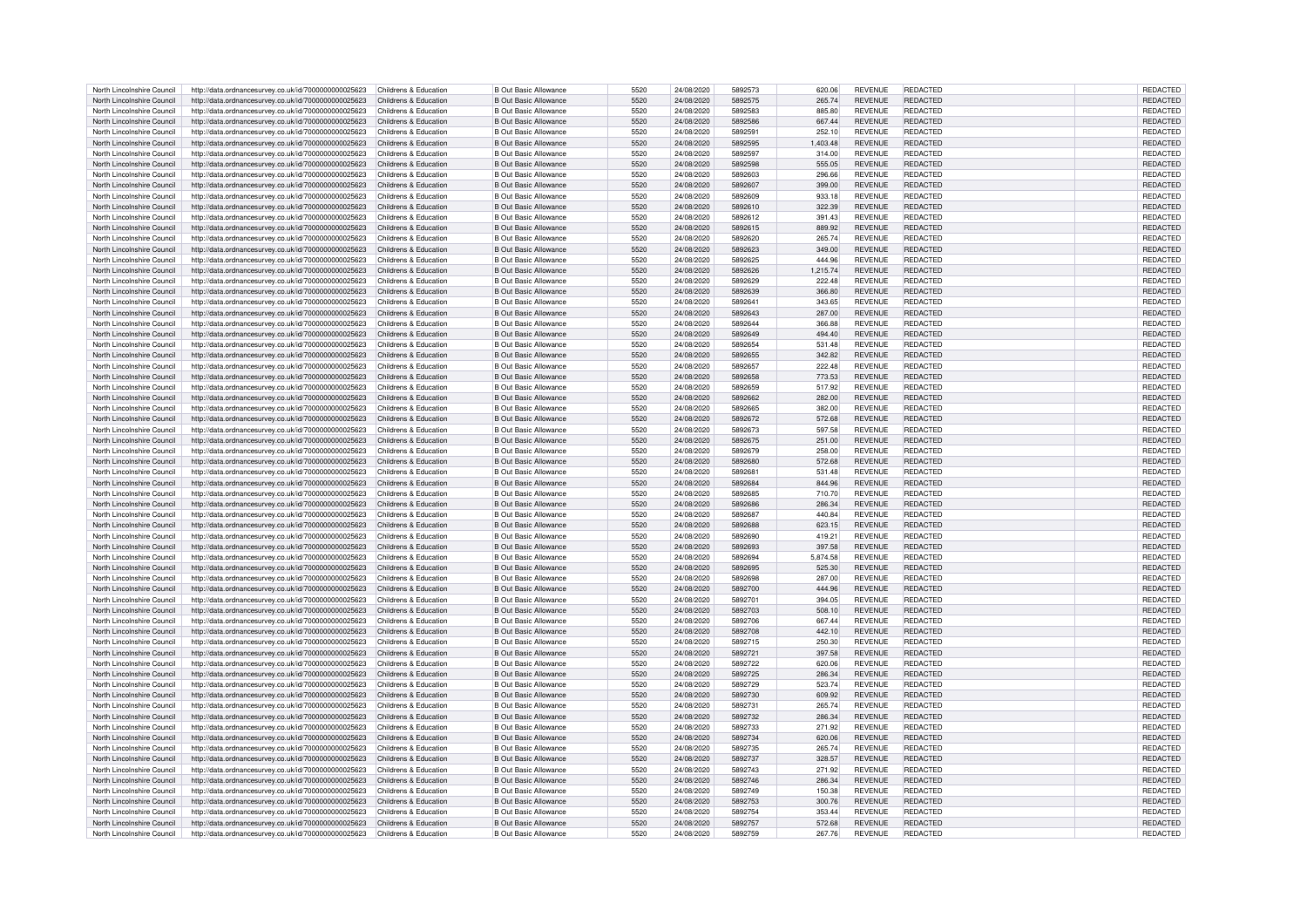| North Lincolnshire Council                               | http://data.ordnancesurvey.co.uk/id/7000000000025623                                                                               | Childrens & Education | <b>B Out Basic Allowance</b>                                 | 5520         | 24/08/2020               | 5892573            | 620.06           | <b>REVENUE</b>                   | REDACTED                    | REDACTED             |
|----------------------------------------------------------|------------------------------------------------------------------------------------------------------------------------------------|-----------------------|--------------------------------------------------------------|--------------|--------------------------|--------------------|------------------|----------------------------------|-----------------------------|----------------------|
| North Lincolnshire Council                               | http://data.ordnancesurvey.co.uk/id/7000000000025623                                                                               | Childrens & Education | <b>B Out Basic Allowance</b>                                 | 5520         | 24/08/2020               | 5892575            | 265.74           | <b>REVENUE</b>                   | <b>REDACTED</b>             | <b>REDACTED</b>      |
|                                                          |                                                                                                                                    |                       |                                                              |              |                          |                    |                  |                                  |                             |                      |
| North Lincolnshire Council                               | http://data.ordnancesurvey.co.uk/id/7000000000025623                                                                               | Childrens & Education | <b>B Out Basic Allowance</b>                                 | 5520         | 24/08/2020               | 5892583            | 885.80           | <b>REVENUE</b>                   | <b>REDACTED</b>             | REDACTED             |
| North Lincolnshire Council                               | http://data.ordnancesurvey.co.uk/id/7000000000025623                                                                               | Childrens & Education | <b>B Out Basic Allowance</b>                                 | 5520         | 24/08/2020               | 5892586            | 667.44           | <b>REVENUE</b>                   | <b>REDACTED</b>             | REDACTED             |
| North Lincolnshire Council                               | http://data.ordnancesurvey.co.uk/id/7000000000025623                                                                               | Childrens & Education | <b>B Out Basic Allowance</b>                                 | 5520         | 24/08/2020               | 5892591            | 252.10           | <b>REVENUE</b>                   | <b>REDACTED</b>             | REDACTED             |
| North Lincolnshire Council                               | http://data.ordnancesurvey.co.uk/id/7000000000025623                                                                               | Childrens & Education | <b>B Out Basic Allowance</b>                                 | 5520         | 24/08/2020               | 5892595            | 1,403.48         | <b>REVENUE</b>                   | <b>REDACTED</b>             | REDACTED             |
| North Lincolnshire Council                               | http://data.ordnancesurvey.co.uk/id/7000000000025623                                                                               | Childrens & Education | <b>B Out Basic Allowance</b>                                 | 5520         | 24/08/2020               | 5892597            | 314.00           | <b>REVENUE</b>                   | <b>REDACTED</b>             | REDACTED             |
|                                                          |                                                                                                                                    |                       |                                                              |              |                          |                    |                  |                                  |                             |                      |
| North Lincolnshire Council                               | http://data.ordnancesurvey.co.uk/id/7000000000025623                                                                               | Childrens & Education | <b>B Out Basic Allowance</b>                                 | 5520         | 24/08/2020               | 5892598            | 555.05           | <b>REVENUE</b>                   | <b>REDACTED</b>             | <b>REDACTED</b>      |
| North Lincolnshire Council                               | http://data.ordnancesurvey.co.uk/id/7000000000025623                                                                               | Childrens & Education | <b>B Out Basic Allowance</b>                                 | 5520         | 24/08/2020               | 5892603            | 296.66           | <b>REVENUE</b>                   | <b>REDACTED</b>             | REDACTED             |
| North Lincolnshire Council                               | http://data.ordnancesurvey.co.uk/id/7000000000025623                                                                               | Childrens & Education | <b>B Out Basic Allowance</b>                                 | 5520         | 24/08/2020               | 5892607            | 399.00           | <b>REVENUE</b>                   | <b>REDACTED</b>             | REDACTED             |
| North Lincolnshire Council                               | http://data.ordnancesurvey.co.uk/id/7000000000025623                                                                               | Childrens & Education | <b>B Out Basic Allowance</b>                                 | 5520         | 24/08/2020               | 5892609            | 933.18           | <b>REVENUE</b>                   | REDACTED                    | <b>REDACTED</b>      |
|                                                          |                                                                                                                                    |                       |                                                              |              |                          |                    |                  |                                  |                             |                      |
| North Lincolnshire Council                               | http://data.ordnancesurvey.co.uk/id/7000000000025623                                                                               | Childrens & Education | <b>B Out Basic Allowance</b>                                 | 5520         | 24/08/2020               | 5892610            | 322.39           | <b>REVENUE</b>                   | <b>REDACTED</b>             | REDACTED             |
| North Lincolnshire Council                               | http://data.ordnancesurvey.co.uk/id/7000000000025623                                                                               | Childrens & Education | <b>B Out Basic Allowance</b>                                 | 5520         | 24/08/2020               | 5892612            | 391.43           | <b>REVENUE</b>                   | <b>REDACTED</b>             | REDACTED             |
| North Lincolnshire Council                               | http://data.ordnancesurvey.co.uk/id/7000000000025623                                                                               | Childrens & Education | <b>B Out Basic Allowance</b>                                 | 5520         | 24/08/2020               | 5892615            | 889.92           | <b>REVENUE</b>                   | <b>REDACTED</b>             | REDACTED             |
| North Lincolnshire Council                               | http://data.ordnancesurvey.co.uk/id/7000000000025623                                                                               | Childrens & Education | <b>B Out Basic Allowance</b>                                 | 5520         | 24/08/2020               | 5892620            | 265.74           | <b>REVENUE</b>                   | <b>REDACTED</b>             | REDACTED             |
|                                                          |                                                                                                                                    |                       |                                                              |              |                          |                    |                  |                                  |                             |                      |
| North Lincolnshire Council                               | http://data.ordnancesurvey.co.uk/id/7000000000025623                                                                               | Childrens & Education | <b>B Out Basic Allowance</b>                                 | 5520         | 24/08/2020               | 5892623            | 349.00           | <b>REVENUE</b>                   | <b>REDACTED</b>             | <b>REDACTED</b>      |
| North Lincolnshire Council                               | http://data.ordnancesurvey.co.uk/id/7000000000025623                                                                               | Childrens & Education | <b>B Out Basic Allowance</b>                                 | 5520         | 24/08/2020               | 5892625            | 444.96           | <b>REVENUE</b>                   | <b>REDACTED</b>             | REDACTED             |
| North Lincolnshire Council                               | http://data.ordnancesurvey.co.uk/id/7000000000025623                                                                               | Childrens & Education | <b>B Out Basic Allowance</b>                                 | 5520         | 24/08/2020               | 5892626            | 1.215.74         | <b>REVENUE</b>                   | <b>REDACTED</b>             | REDACTED             |
| North Lincolnshire Council                               | http://data.ordnancesurvey.co.uk/id/7000000000025623                                                                               | Childrens & Education | <b>B Out Basic Allowance</b>                                 | 5520         | 24/08/2020               | 5892629            | 222.48           | <b>REVENUE</b>                   | <b>REDACTED</b>             | REDACTED             |
|                                                          |                                                                                                                                    |                       |                                                              |              |                          |                    |                  |                                  | <b>REDACTED</b>             |                      |
| North Lincolnshire Council                               | http://data.ordnancesurvey.co.uk/id/7000000000025623                                                                               | Childrens & Education | <b>B Out Basic Allowance</b>                                 | 5520         | 24/08/2020               | 5892639            | 366.80           | <b>REVENUE</b>                   |                             | REDACTED             |
| North Lincolnshire Council                               | http://data.ordnancesurvey.co.uk/id/7000000000025623                                                                               | Childrens & Education | <b>B Out Basic Allowance</b>                                 | 5520         | 24/08/2020               | 5892641            | 343.65           | <b>REVENUE</b>                   | REDACTED                    | REDACTED             |
| North Lincolnshire Council                               | http://data.ordnancesurvey.co.uk/id/7000000000025623                                                                               | Childrens & Education | <b>B Out Basic Allowance</b>                                 | 5520         | 24/08/2020               | 5892643            | 287.00           | <b>REVENUE</b>                   | <b>REDACTED</b>             | REDACTED             |
| North Lincolnshire Council                               | http://data.ordnancesurvey.co.uk/id/7000000000025623                                                                               | Childrens & Education | <b>B Out Basic Allowance</b>                                 | 5520         | 24/08/2020               | 5892644            | 366.88           | <b>REVENUE</b>                   | REDACTED                    | REDACTED             |
|                                                          |                                                                                                                                    |                       |                                                              | 5520         |                          | 5892649            |                  |                                  |                             |                      |
| North Lincolnshire Council                               | http://data.ordnancesurvey.co.uk/id/7000000000025623                                                                               | Childrens & Education | <b>B Out Basic Allowance</b>                                 |              | 24/08/2020               |                    | 494.40           | <b>REVENUE</b>                   | <b>REDACTED</b>             | REDACTED             |
| North Lincolnshire Council                               | http://data.ordnancesurvey.co.uk/id/7000000000025623                                                                               | Childrens & Education | <b>B Out Basic Allowance</b>                                 | 5520         | 24/08/2020               | 5892654            | 531.48           | <b>REVENUE</b>                   | <b>REDACTED</b>             | REDACTED             |
| North Lincolnshire Council                               | http://data.ordnancesurvey.co.uk/id/7000000000025623                                                                               | Childrens & Education | <b>B Out Basic Allowance</b>                                 | 5520         | 24/08/2020               | 5892655            | 342.82           | <b>REVENUE</b>                   | <b>REDACTED</b>             | REDACTED             |
| North Lincolnshire Council                               | http://data.ordnancesurvey.co.uk/id/7000000000025623                                                                               | Childrens & Education | <b>B Out Basic Allowance</b>                                 | 5520         | 24/08/2020               | 5892657            | 222.48           | <b>REVENUE</b>                   | <b>REDACTED</b>             | <b>REDACTED</b>      |
| North Lincolnshire Council                               | http://data.ordnancesurvey.co.uk/id/7000000000025623                                                                               | Childrens & Education | <b>B Out Basic Allowance</b>                                 | 5520         | 24/08/2020               | 5892658            | 773.53           | <b>REVENUE</b>                   | <b>REDACTED</b>             | <b>REDACTED</b>      |
|                                                          |                                                                                                                                    |                       |                                                              |              |                          |                    |                  |                                  |                             |                      |
| North Lincolnshire Council                               | http://data.ordnancesurvey.co.uk/id/7000000000025623                                                                               | Childrens & Education | <b>B Out Basic Allowance</b>                                 | 5520         | 24/08/2020               | 5892659            | 517.92           | <b>REVENUE</b>                   | <b>REDACTED</b>             | REDACTED             |
| North Lincolnshire Council                               | http://data.ordnancesurvey.co.uk/id/7000000000025623                                                                               | Childrens & Education | <b>B Out Basic Allowance</b>                                 | 5520         | 24/08/2020               | 5892662            | 282.00           | <b>REVENUE</b>                   | <b>REDACTED</b>             | REDACTED             |
| North Lincolnshire Council                               | http://data.ordnancesurvey.co.uk/id/7000000000025623                                                                               | Childrens & Education | <b>B Out Basic Allowance</b>                                 | 5520         | 24/08/2020               | 5892665            | 382.00           | <b>REVENUE</b>                   | <b>REDACTED</b>             | REDACTED             |
| North Lincolnshire Council                               | http://data.ordnancesurvey.co.uk/id/7000000000025623                                                                               | Childrens & Education | <b>B Out Basic Allowance</b>                                 | 5520         | 24/08/2020               | 5892672            | 572.68           | <b>REVENUE</b>                   | <b>REDACTED</b>             | REDACTED             |
|                                                          |                                                                                                                                    |                       |                                                              |              |                          |                    |                  |                                  |                             |                      |
| North Lincolnshire Council                               | http://data.ordnancesurvey.co.uk/id/7000000000025623                                                                               | Childrens & Education | <b>B Out Basic Allowance</b>                                 | 5520         | 24/08/2020               | 5892673            | 597.58           | <b>REVENUE</b>                   | REDACTED                    | REDACTED             |
| North Lincolnshire Council                               | http://data.ordnancesurvey.co.uk/id/7000000000025623                                                                               | Childrens & Education | <b>B Out Basic Allowance</b>                                 | 5520         | 24/08/2020               | 5892675            | 251.00           | <b>REVENUE</b>                   | REDACTED                    | REDACTED             |
| North Lincolnshire Council                               | http://data.ordnancesurvey.co.uk/id/7000000000025623                                                                               | Childrens & Education | <b>B Out Basic Allowance</b>                                 | 5520         | 24/08/2020               | 5892679            | 258.00           | <b>REVENUE</b>                   | REDACTED                    | <b>REDACTED</b>      |
| North Lincolnshire Council                               |                                                                                                                                    | Childrens & Education | <b>B Out Basic Allowance</b>                                 | 5520         | 24/08/2020               | 5892680            |                  | <b>REVENUE</b>                   | <b>REDACTED</b>             | <b>REDACTED</b>      |
|                                                          | http://data.ordnancesurvey.co.uk/id/7000000000025623                                                                               |                       |                                                              |              |                          |                    | 572.68           |                                  |                             |                      |
| North Lincolnshire Council                               | http://data.ordnancesurvey.co.uk/id/7000000000025623                                                                               | Childrens & Education | <b>B Out Basic Allowance</b>                                 | 5520         | 24/08/2020               | 5892681            | 531.48           | <b>REVENUE</b>                   | <b>REDACTED</b>             | REDACTED             |
| North Lincolnshire Council                               | http://data.ordnancesurvey.co.uk/id/7000000000025623                                                                               | Childrens & Education | <b>B Out Basic Allowance</b>                                 | 5520         | 24/08/2020               | 5892684            | 844.96           | <b>REVENUE</b>                   | <b>REDACTED</b>             | <b>REDACTED</b>      |
| North Lincolnshire Council                               | http://data.ordnancesurvey.co.uk/id/7000000000025623                                                                               | Childrens & Education | <b>B Out Basic Allowance</b>                                 | 5520         | 24/08/2020               | 5892685            | 710.70           | <b>REVENUE</b>                   | <b>REDACTED</b>             | REDACTED             |
| North Lincolnshire Council                               | http://data.ordnancesurvey.co.uk/id/7000000000025623                                                                               | Childrens & Education | <b>B Out Basic Allowance</b>                                 | 5520         | 24/08/2020               | 5892686            | 286.34           | <b>REVENUE</b>                   | <b>REDACTED</b>             | REDACTED             |
|                                                          |                                                                                                                                    |                       |                                                              |              |                          |                    |                  |                                  |                             |                      |
| North Lincolnshire Council                               | http://data.ordnancesurvey.co.uk/id/7000000000025623                                                                               | Childrens & Education | <b>B Out Basic Allowance</b>                                 | 5520         | 24/08/2020               | 5892687            | 440.84           | <b>REVENUE</b>                   | REDACTED                    | REDACTED             |
| North Lincolnshire Council                               | http://data.ordnancesurvey.co.uk/id/7000000000025623                                                                               | Childrens & Education | <b>B Out Basic Allowance</b>                                 | 5520         | 24/08/2020               | 5892688            | 623.15           | <b>REVENUE</b>                   | REDACTED                    | REDACTED             |
| North Lincolnshire Council                               | http://data.ordnancesurvey.co.uk/id/7000000000025623                                                                               | Childrens & Education | <b>B Out Basic Allowance</b>                                 | 5520         | 24/08/2020               | 5892690            | 419.21           | <b>REVENUE</b>                   | REDACTED                    | REDACTED             |
| North Lincolnshire Council                               | http://data.ordnancesurvey.co.uk/id/7000000000025623                                                                               | Childrens & Education | <b>B Out Basic Allowance</b>                                 | 5520         | 24/08/2020               | 5892693            | 397.58           | <b>REVENUE</b>                   | <b>REDACTED</b>             | REDACTED             |
|                                                          |                                                                                                                                    |                       |                                                              |              |                          |                    |                  |                                  |                             |                      |
| North Lincolnshire Council                               | http://data.ordnancesurvey.co.uk/id/7000000000025623                                                                               | Childrens & Education | <b>B Out Basic Allowance</b>                                 | 5520         | 24/08/2020               | 5892694            | 5,874.58         | <b>REVENUE</b>                   | <b>REDACTED</b>             | REDACTED             |
| North Lincolnshire Council                               | http://data.ordnancesurvey.co.uk/id/7000000000025623                                                                               | Childrens & Education | <b>B Out Basic Allowance</b>                                 | 5520         | 24/08/2020               | 5892695            | 525.30           | <b>REVENUE</b>                   | <b>REDACTED</b>             | REDACTED             |
| North Lincolnshire Council                               | http://data.ordnancesurvey.co.uk/id/7000000000025623                                                                               | Childrens & Education | <b>B Out Basic Allowance</b>                                 | 5520         | 24/08/2020               | 5892698            | 287.00           | <b>REVENUE</b>                   | <b>REDACTED</b>             | <b>REDACTED</b>      |
| North Lincolnshire Council                               | http://data.ordnancesurvey.co.uk/id/7000000000025623                                                                               | Childrens & Education | <b>B Out Basic Allowance</b>                                 | 5520         | 24/08/2020               | 5892700            | 444.96           | <b>REVENUE</b>                   | <b>REDACTED</b>             | REDACTED             |
|                                                          |                                                                                                                                    |                       |                                                              |              |                          |                    |                  |                                  |                             |                      |
| North Lincolnshire Council                               | http://data.ordnancesurvey.co.uk/id/7000000000025623                                                                               | Childrens & Education | <b>B Out Basic Allowance</b>                                 | 5520         | 24/08/2020               | 5892701            | 394.05           | <b>REVENUE</b>                   | REDACTED                    | REDACTED             |
| North Lincolnshire Council                               | http://data.ordnancesurvey.co.uk/id/7000000000025623                                                                               | Childrens & Education | <b>B Out Basic Allowance</b>                                 | 5520         | 24/08/2020               | 5892703            | 508.10           | <b>REVENUE</b>                   | <b>REDACTED</b>             | REDACTED             |
| North Lincolnshire Council                               | http://data.ordnancesurvey.co.uk/id/7000000000025623                                                                               | Childrens & Education | <b>B Out Basic Allowance</b>                                 | 5520         | 24/08/2020               | 5892706            | 667.44           | <b>REVENUE</b>                   | REDACTED                    | REDACTED             |
| North Lincolnshire Council                               | http://data.ordnancesurvey.co.uk/id/7000000000025623                                                                               | Childrens & Education | <b>B Out Basic Allowance</b>                                 | 5520         | 24/08/2020               | 5892708            | 442.10           | <b>REVENUE</b>                   | REDACTED                    | REDACTED             |
| North Lincolnshire Council                               | http://data.ordnancesurvey.co.uk/id/7000000000025623                                                                               | Childrens & Education | <b>B Out Basic Allowance</b>                                 | 5520         | 24/08/2020               | 5892715            | 250.30           | <b>REVENUE</b>                   | <b>REDACTED</b>             | <b>REDACTED</b>      |
|                                                          |                                                                                                                                    |                       |                                                              |              |                          |                    |                  |                                  |                             |                      |
| North Lincolnshire Council                               | http://data.ordnancesurvey.co.uk/id/7000000000025623                                                                               | Childrens & Education | <b>B Out Basic Allowance</b>                                 | 5520         | 24/08/2020               | 5892721            | 397.58           | <b>REVENUE</b>                   | <b>REDACTED</b>             | <b>REDACTED</b>      |
| North Lincolnshire Council                               | http://data.ordnancesurvey.co.uk/id/7000000000025623                                                                               | Childrens & Education | <b>B Out Basic Allowance</b>                                 | 5520         | 24/08/2020               | 5892722            | 620.06           | <b>REVENUE</b>                   | REDACTED                    | REDACTED             |
| North Lincolnshire Council                               | http://data.ordnancesurvey.co.uk/id/7000000000025623                                                                               | Childrens & Education | <b>B Out Basic Allowance</b>                                 | 5520         | 24/08/2020               | 5892725            | 286.34           | <b>REVENUE</b>                   | <b>REDACTED</b>             | REDACTED             |
| North Lincolnshire Council                               | http://data.ordnancesurvey.co.uk/id/7000000000025623                                                                               | Childrens & Education | <b>B Out Basic Allowance</b>                                 | 5520         | 24/08/2020               | 5892729            | 523.74           | <b>REVENUE</b>                   | <b>REDACTED</b>             | REDACTED             |
|                                                          |                                                                                                                                    |                       |                                                              |              |                          |                    |                  |                                  |                             |                      |
| North Lincolnshire Council                               | http://data.ordnancesurvey.co.uk/id/7000000000025623                                                                               | Childrens & Education | <b>B Out Basic Allowance</b>                                 | 5520         | 24/08/2020               | 5892730            | 609.92           | <b>REVENUE</b>                   | <b>REDACTED</b>             | REDACTED             |
| North Lincolnshire Council                               | http://data.ordnancesurvey.co.uk/id/7000000000025623                                                                               | Childrens & Education | <b>B Out Basic Allowance</b>                                 | 5520         | 24/08/2020               | 5892731            | 265.74           | <b>REVENUE</b>                   | <b>REDACTED</b>             | REDACTED             |
| North Lincolnshire Council                               | http://data.ordnancesurvey.co.uk/id/7000000000025623                                                                               | Childrens & Education | <b>B Out Basic Allowance</b>                                 | 5520         | 24/08/2020               | 5892732            | 286.34           | <b>REVENUE</b>                   | <b>REDACTED</b>             | REDACTED             |
| North Lincolnshire Council                               | http://data.ordnancesurvey.co.uk/id/7000000000025623                                                                               | Childrens & Education | <b>B Out Basic Allowance</b>                                 | 5520         | 24/08/2020               | 5892733            | 271.92           | <b>REVENUE</b>                   | <b>REDACTED</b>             | <b>REDACTED</b>      |
|                                                          |                                                                                                                                    |                       |                                                              |              |                          |                    |                  |                                  |                             |                      |
| North Lincolnshire Council                               | http://data.ordnancesurvey.co.uk/id/7000000000025623                                                                               | Childrens & Education | <b>B Out Basic Allowance</b>                                 | 5520         | 24/08/2020               | 5892734            | 620.06           | <b>REVENUE</b>                   | REDACTED                    | REDACTED             |
| North Lincolnshire Council                               | http://data.ordnancesurvey.co.uk/id/7000000000025623                                                                               | Childrens & Education | <b>B Out Basic Allowance</b>                                 | 5520         | 24/08/2020               | 5892735            | 265.74           | <b>REVENUE</b>                   | REDACTED                    | REDACTED             |
| North Lincolnshire Council                               | http://data.ordnancesurvey.co.uk/id/7000000000025623                                                                               | Childrens & Education | <b>B Out Basic Allowance</b>                                 | 5520         | 24/08/2020               | 5892737            | 328.57           | <b>REVENUE</b>                   | <b>REDACTED</b>             | REDACTED             |
| North Lincolnshire Council                               | http://data.ordnancesurvey.co.uk/id/7000000000025623                                                                               | Childrens & Education | <b>B Out Basic Allowance</b>                                 | 5520         | 24/08/2020               | 5892743            | 271.92           | <b>REVENUE</b>                   | REDACTED                    | REDACTED             |
| North Lincolnshire Council                               | http://data.ordnancesurvey.co.uk/id/7000000000025623                                                                               | Childrens & Education | <b>B Out Basic Allowance</b>                                 | 5520         | 24/08/2020               | 5892746            | 286.34           | <b>REVENUE</b>                   | <b>REDACTED</b>             | REDACTED             |
|                                                          |                                                                                                                                    |                       |                                                              |              |                          |                    |                  |                                  |                             |                      |
| North Lincolnshire Council                               | http://data.ordnancesurvey.co.uk/id/7000000000025623                                                                               | Childrens & Education | <b>B Out Basic Allowance</b>                                 | 5520         | 24/08/2020               | 5892749            | 150.38           | <b>REVENUE</b>                   | <b>REDACTED</b>             | REDACTED             |
| North Lincolnshire Council                               |                                                                                                                                    | Childrens & Education | <b>B Out Basic Allowance</b>                                 | 5520         | 24/08/2020               | 5892753            | 300.76           | <b>REVENUE</b>                   | <b>REDACTED</b>             | REDACTED             |
|                                                          | http://data.ordnancesurvey.co.uk/id/7000000000025623                                                                               |                       |                                                              |              |                          |                    |                  |                                  |                             |                      |
| North Lincolnshire Council                               |                                                                                                                                    | Childrens & Education | <b>B Out Basic Allowance</b>                                 | 5520         | 24/08/2020               | 5892754            | 353.44           | <b>REVENUE</b>                   | <b>REDACTED</b>             | REDACTED             |
|                                                          | http://data.ordnancesurvey.co.uk/id/7000000000025623                                                                               |                       |                                                              |              |                          |                    |                  |                                  |                             |                      |
| North Lincolnshire Council<br>North Lincolnshire Council | http://data.ordnancesurvey.co.uk/id/7000000000025623<br>http://data.ordnancesurvey.co.uk/id/7000000000025623 Childrens & Education | Childrens & Education | <b>B Out Basic Allowance</b><br><b>B Out Basic Allowance</b> | 5520<br>5520 | 24/08/2020<br>24/08/2020 | 5892757<br>5892759 | 572.68<br>267.76 | <b>REVENUE</b><br><b>REVENUE</b> | <b>REDACTED</b><br>REDACTED | REDACTED<br>REDACTED |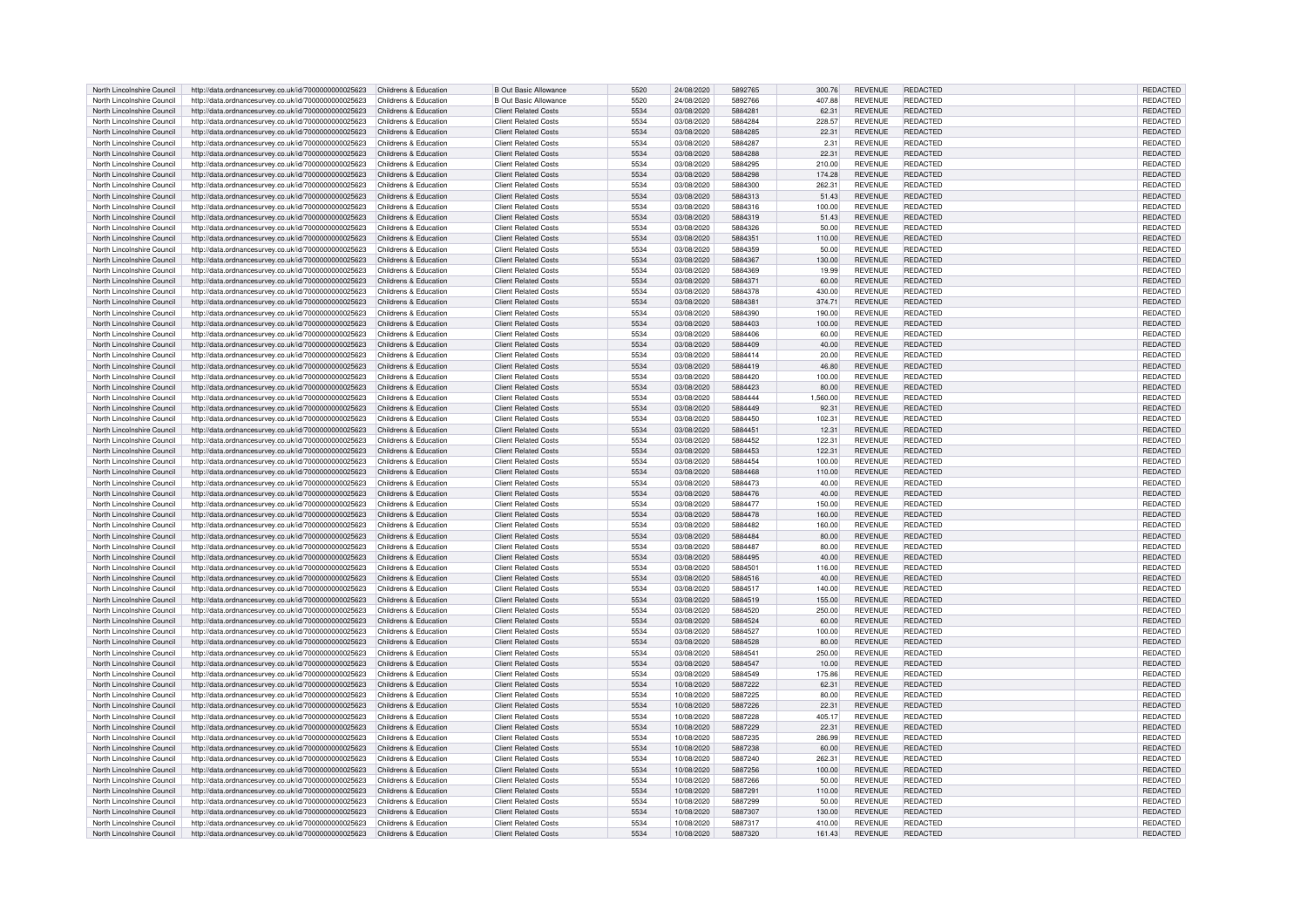| North Lincolnshire Council | http://data.ordnancesurvey.co.uk/id/7000000000025623                       | Childrens & Education | <b>B Out Basic Allowance</b> | 5520 | 24/08/2020 | 5892765 | 300.76   | <b>REVENUE</b> | <b>REDACTED</b> | <b>REDACTED</b> |
|----------------------------|----------------------------------------------------------------------------|-----------------------|------------------------------|------|------------|---------|----------|----------------|-----------------|-----------------|
| North Lincolnshire Council | http://data.ordnancesurvey.co.uk/id/7000000000025623                       | Childrens & Education | <b>B Out Basic Allowance</b> | 5520 | 24/08/2020 | 5892766 | 407.88   | <b>REVENUE</b> | REDACTED        | REDACTED        |
| North Lincolnshire Council | http://data.ordnancesurvey.co.uk/id/7000000000025623                       | Childrens & Education | <b>Client Related Costs</b>  | 5534 | 03/08/2020 | 5884281 | 62.31    | <b>REVENUE</b> | <b>REDACTED</b> | REDACTED        |
|                            |                                                                            |                       |                              |      |            |         |          |                |                 |                 |
| North Lincolnshire Council | http://data.ordnancesurvey.co.uk/id/7000000000025623                       | Childrens & Education | <b>Client Related Costs</b>  | 5534 | 03/08/2020 | 5884284 | 228.57   | <b>REVENUE</b> | REDACTED        | REDACTED        |
| North Lincolnshire Council | http://data.ordnancesurvey.co.uk/id/7000000000025623                       | Childrens & Education | <b>Client Related Costs</b>  | 5534 | 03/08/2020 | 5884285 | 22.31    | <b>REVENUE</b> | REDACTED        | REDACTED        |
| North Lincolnshire Council | http://data.ordnancesurvey.co.uk/id/7000000000025623                       | Childrens & Education | <b>Client Related Costs</b>  | 5534 | 03/08/2020 | 5884287 | 2.31     | <b>REVENUE</b> | REDACTED        | REDACTED        |
| North Lincolnshire Council | http://data.ordnancesurvey.co.uk/id/7000000000025623                       | Childrens & Education | <b>Client Related Costs</b>  | 5534 | 03/08/2020 | 5884288 | 22.31    | <b>REVENUE</b> | <b>REDACTED</b> | REDACTED        |
| North Lincolnshire Council | http://data.ordnancesurvey.co.uk/id/7000000000025623                       | Childrens & Education | <b>Client Related Costs</b>  | 5534 | 03/08/2020 | 5884295 | 210.00   | <b>REVENUE</b> | <b>REDACTED</b> | REDACTED        |
| North Lincolnshire Council | http://data.ordnancesurvey.co.uk/id/7000000000025623                       | Childrens & Education | <b>Client Related Costs</b>  | 5534 | 03/08/2020 | 5884298 | 174.28   | <b>REVENUE</b> | <b>REDACTED</b> | <b>REDACTED</b> |
|                            |                                                                            |                       | <b>Client Related Costs</b>  |      |            | 5884300 |          |                | <b>REDACTED</b> |                 |
| North Lincolnshire Council | http://data.ordnancesurvey.co.uk/id/7000000000025623                       | Childrens & Education |                              | 5534 | 03/08/2020 |         | 262.31   | <b>REVENUE</b> |                 | REDACTED        |
| North Lincolnshire Council | http://data.ordnancesurvey.co.uk/id/7000000000025623                       | Childrens & Education | <b>Client Related Costs</b>  | 5534 | 03/08/2020 | 5884313 | 51.43    | <b>REVENUE</b> | <b>REDACTED</b> | REDACTED        |
| North Lincolnshire Council | http://data.ordnancesurvey.co.uk/id/7000000000025623                       | Childrens & Education | <b>Client Related Costs</b>  | 5534 | 03/08/2020 | 5884316 | 100.00   | <b>REVENUE</b> | REDACTED        | REDACTED        |
| North Lincolnshire Council | http://data.ordnancesurvey.co.uk/id/7000000000025623                       | Childrens & Education | <b>Client Related Costs</b>  | 5534 | 03/08/2020 | 5884319 | 51.43    | <b>REVENUE</b> | <b>REDACTED</b> | REDACTED        |
| North Lincolnshire Council | http://data.ordnancesurvey.co.uk/id/7000000000025623                       | Childrens & Education | <b>Client Related Costs</b>  | 5534 | 03/08/2020 | 5884326 | 50.00    | <b>REVENUE</b> | <b>REDACTED</b> | REDACTED        |
| North Lincolnshire Council | http://data.ordnancesurvey.co.uk/id/7000000000025623                       | Childrens & Education | <b>Client Related Costs</b>  | 5534 | 03/08/2020 | 5884351 | 110.00   | <b>REVENUE</b> | <b>REDACTED</b> | REDACTED        |
|                            |                                                                            |                       | <b>Client Related Costs</b>  | 5534 |            | 5884359 |          |                | <b>REDACTED</b> |                 |
| North Lincolnshire Council | http://data.ordnancesurvey.co.uk/id/7000000000025623                       | Childrens & Education |                              |      | 03/08/2020 |         | 50.00    | <b>REVENUE</b> |                 | REDACTED        |
| North Lincolnshire Council | http://data.ordnancesurvey.co.uk/id/7000000000025623                       | Childrens & Education | <b>Client Related Costs</b>  | 5534 | 03/08/2020 | 5884367 | 130.00   | <b>REVENUE</b> | <b>REDACTED</b> | <b>REDACTED</b> |
| North Lincolnshire Council | http://data.ordnancesurvey.co.uk/id/7000000000025623                       | Childrens & Education | <b>Client Related Costs</b>  | 5534 | 03/08/2020 | 5884369 | 19.99    | <b>REVENUE</b> | <b>REDACTED</b> | REDACTED        |
| North Lincolnshire Council | http://data.ordnancesurvey.co.uk/id/7000000000025623                       | Childrens & Education | <b>Client Related Costs</b>  | 5534 | 03/08/2020 | 5884371 | 60.00    | <b>REVENUE</b> | <b>REDACTED</b> | REDACTED        |
| North Lincolnshire Council | http://data.ordnancesurvey.co.uk/id/7000000000025623                       | Childrens & Education | <b>Client Related Costs</b>  | 5534 | 03/08/2020 | 5884378 | 430.00   | <b>REVENUE</b> | <b>REDACTED</b> | <b>REDACTED</b> |
| North Lincolnshire Council | http://data.ordnancesurvey.co.uk/id/7000000000025623                       | Childrens & Education | <b>Client Related Costs</b>  | 5534 | 03/08/2020 | 5884381 | 374.71   | <b>REVENUE</b> | <b>REDACTED</b> | REDACTED        |
| North Lincolnshire Council | http://data.ordnancesurvey.co.uk/id/7000000000025623                       | Childrens & Education | <b>Client Related Costs</b>  | 5534 | 03/08/2020 | 5884390 | 190.00   | <b>REVENUE</b> | REDACTED        | REDACTED        |
| North Lincolnshire Council |                                                                            | Childrens & Education | <b>Client Related Costs</b>  | 5534 |            | 5884403 |          | <b>REVENUE</b> | <b>REDACTED</b> | <b>REDACTED</b> |
|                            | http://data.ordnancesurvey.co.uk/id/7000000000025623                       |                       |                              |      | 03/08/2020 |         | 100.00   |                |                 |                 |
| North Lincolnshire Council | http://data.ordnancesurvey.co.uk/id/7000000000025623                       | Childrens & Education | <b>Client Related Costs</b>  | 5534 | 03/08/2020 | 5884406 | 60.00    | <b>REVENUE</b> | <b>REDACTED</b> | REDACTED        |
| North Lincolnshire Council | http://data.ordnancesurvey.co.uk/id/7000000000025623                       | Childrens & Education | <b>Client Related Costs</b>  | 5534 | 03/08/2020 | 5884409 | 40.00    | <b>REVENUE</b> | <b>REDACTED</b> | <b>REDACTED</b> |
| North Lincolnshire Council | http://data.ordnancesurvey.co.uk/id/7000000000025623                       | Childrens & Education | <b>Client Related Costs</b>  | 5534 | 03/08/2020 | 5884414 | 20.00    | <b>REVENUE</b> | <b>REDACTED</b> | REDACTED        |
| North Lincolnshire Council | http://data.ordnancesurvey.co.uk/id/7000000000025623                       | Childrens & Education | <b>Client Related Costs</b>  | 5534 | 03/08/2020 | 5884419 | 46.80    | <b>REVENUE</b> | REDACTED        | REDACTED        |
| North Lincolnshire Council | http://data.ordnancesurvey.co.uk/id/7000000000025623                       | Childrens & Education | <b>Client Related Costs</b>  | 5534 | 03/08/2020 | 5884420 | 100.00   | <b>REVENUE</b> | <b>REDACTED</b> | REDACTED        |
|                            |                                                                            |                       |                              |      |            |         |          |                |                 |                 |
| North Lincolnshire Council | http://data.ordnancesurvey.co.uk/id/7000000000025623                       | Childrens & Education | <b>Client Related Costs</b>  | 5534 | 03/08/2020 | 5884423 | 80.00    | <b>REVENUE</b> | <b>REDACTED</b> | <b>REDACTED</b> |
| North Lincolnshire Council | http://data.ordnancesurvey.co.uk/id/7000000000025623                       | Childrens & Education | <b>Client Related Costs</b>  | 5534 | 03/08/2020 | 5884444 | 1.560.00 | <b>REVENUE</b> | <b>REDACTED</b> | REDACTED        |
| North Lincolnshire Council | http://data.ordnancesurvey.co.uk/id/7000000000025623                       | Childrens & Education | <b>Client Related Costs</b>  | 5534 | 03/08/2020 | 5884449 | 92.31    | <b>REVENUE</b> | REDACTED        | REDACTED        |
| North Lincolnshire Council | http://data.ordnancesurvey.co.uk/id/7000000000025623                       | Childrens & Education | <b>Client Related Costs</b>  | 5534 | 03/08/2020 | 5884450 | 102.31   | <b>REVENUE</b> | <b>REDACTED</b> | <b>REDACTED</b> |
| North Lincolnshire Council | http://data.ordnancesurvey.co.uk/id/7000000000025623                       | Childrens & Education | <b>Client Related Costs</b>  | 5534 | 03/08/2020 | 5884451 | 12.31    | <b>REVENUE</b> | <b>REDACTED</b> | REDACTED        |
| North Lincolnshire Council | http://data.ordnancesurvey.co.uk/id/7000000000025623                       | Childrens & Education | <b>Client Related Costs</b>  | 5534 | 03/08/2020 | 5884452 | 122.31   | <b>REVENUE</b> | <b>REDACTED</b> | REDACTED        |
|                            |                                                                            |                       |                              | 5534 |            | 5884453 |          | <b>REVENUE</b> | <b>REDACTED</b> |                 |
| North Lincolnshire Council | http://data.ordnancesurvey.co.uk/id/7000000000025623                       | Childrens & Education | <b>Client Related Costs</b>  |      | 03/08/2020 |         | 122.31   |                |                 | REDACTED        |
| North Lincolnshire Council | http://data.ordnancesurvey.co.uk/id/7000000000025623                       | Childrens & Education | <b>Client Related Costs</b>  | 5534 | 03/08/2020 | 5884454 | 100.00   | <b>REVENUE</b> | REDACTED        | REDACTED        |
| North Lincolnshire Council | http://data.ordnancesurvey.co.uk/id/7000000000025623                       | Childrens & Education | <b>Client Related Costs</b>  | 5534 | 03/08/2020 | 5884468 | 110.00   | <b>REVENUE</b> | <b>REDACTED</b> | REDACTED        |
| North Lincolnshire Council | http://data.ordnancesurvey.co.uk/id/7000000000025623                       | Childrens & Education | <b>Client Related Costs</b>  | 5534 | 03/08/2020 | 5884473 | 40.00    | <b>REVENUE</b> | REDACTED        | REDACTED        |
| North Lincolnshire Council | http://data.ordnancesurvey.co.uk/id/7000000000025623                       | Childrens & Education | <b>Client Related Costs</b>  | 5534 | 03/08/2020 | 5884476 | 40.00    | <b>REVENUE</b> | <b>REDACTED</b> | <b>REDACTED</b> |
| North Lincolnshire Council | http://data.ordnancesurvey.co.uk/id/7000000000025623                       | Childrens & Education | <b>Client Related Costs</b>  | 5534 | 03/08/2020 | 5884477 | 150.00   | <b>REVENUE</b> | <b>REDACTED</b> | REDACTED        |
|                            |                                                                            |                       |                              |      |            |         |          |                |                 |                 |
| North Lincolnshire Council | http://data.ordnancesurvey.co.uk/id/7000000000025623                       | Childrens & Education | <b>Client Related Costs</b>  | 5534 | 03/08/2020 | 5884478 | 160.00   | <b>REVENUE</b> | <b>REDACTED</b> | REDACTED        |
| North Lincolnshire Council | http://data.ordnancesurvey.co.uk/id/7000000000025623                       | Childrens & Education | <b>Client Related Costs</b>  | 5534 | 03/08/2020 | 5884482 | 160.00   | <b>REVENUE</b> | <b>REDACTED</b> | <b>REDACTED</b> |
| North Lincolnshire Council | http://data.ordnancesurvey.co.uk/id/7000000000025623                       | Childrens & Education | <b>Client Related Costs</b>  | 5534 | 03/08/2020 | 5884484 | 80.00    | <b>REVENUE</b> | <b>REDACTED</b> | REDACTED        |
| North Lincolnshire Council | http://data.ordnancesurvey.co.uk/id/7000000000025623                       | Childrens & Education | <b>Client Related Costs</b>  | 5534 | 03/08/2020 | 5884487 | 80.00    | <b>REVENUE</b> | REDACTED        | <b>REDACTED</b> |
| North Lincolnshire Council | http://data.ordnancesurvey.co.uk/id/7000000000025623                       | Childrens & Education | <b>Client Related Costs</b>  | 5534 | 03/08/2020 | 5884495 | 40.00    | <b>REVENUE</b> | <b>REDACTED</b> | REDACTED        |
| North Lincolnshire Council | http://data.ordnancesurvey.co.uk/id/7000000000025623                       | Childrens & Education | <b>Client Related Costs</b>  | 5534 | 03/08/2020 | 5884501 | 116.00   | <b>REVENUE</b> | REDACTED        | REDACTED        |
| North Lincolnshire Council |                                                                            | Childrens & Education | <b>Client Related Costs</b>  |      | 03/08/2020 | 5884516 | 40.00    | <b>REVENUE</b> | <b>REDACTED</b> | <b>REDACTED</b> |
|                            | http://data.ordnancesurvey.co.uk/id/7000000000025623                       |                       |                              | 5534 |            |         |          |                |                 |                 |
| North Lincolnshire Council | http://data.ordnancesurvey.co.uk/id/7000000000025623                       | Childrens & Education | <b>Client Related Costs</b>  | 5534 | 03/08/2020 | 5884517 | 140.00   | <b>REVENUE</b> | REDACTED        | REDACTED        |
| North Lincolnshire Council | http://data.ordnancesurvey.co.uk/id/7000000000025623                       | Childrens & Education | <b>Client Related Costs</b>  | 5534 | 03/08/2020 | 5884519 | 155.00   | <b>REVENUE</b> | <b>REDACTED</b> | <b>REDACTED</b> |
| North Lincolnshire Council | http://data.ordnancesurvey.co.uk/id/7000000000025623                       | Childrens & Education | <b>Client Related Costs</b>  | 5534 | 03/08/2020 | 5884520 | 250.00   | <b>REVENUE</b> | <b>REDACTED</b> | REDACTED        |
| North Lincolnshire Council | http://data.ordnancesurvey.co.uk/id/7000000000025623                       | Childrens & Education | <b>Client Related Costs</b>  | 5534 | 03/08/2020 | 5884524 | 60.00    | <b>REVENUE</b> | REDACTED        | REDACTED        |
| North Lincolnshire Council | http://data.ordnancesurvey.co.uk/id/7000000000025623                       | Childrens & Education | <b>Client Related Costs</b>  | 5534 | 03/08/2020 | 5884527 | 100.00   | <b>REVENUE</b> | <b>REDACTED</b> | REDACTED        |
| North Lincolnshire Council | http://data.ordnancesurvey.co.uk/id/7000000000025623                       | Childrens & Education | <b>Client Related Costs</b>  | 5534 | 03/08/2020 | 5884528 | 80.00    | <b>REVENUE</b> | <b>REDACTED</b> | <b>REDACTED</b> |
|                            |                                                                            |                       |                              |      |            | 5884541 |          |                | <b>REDACTED</b> |                 |
| North Lincolnshire Council | http://data.ordnancesurvey.co.uk/id/7000000000025623                       | Childrens & Education | <b>Client Related Costs</b>  | 5534 | 03/08/2020 |         | 250.00   | <b>REVENUE</b> |                 | REDACTED        |
| North Lincolnshire Council | http://data.ordnancesurvey.co.uk/id/7000000000025623                       | Childrens & Education | <b>Client Related Costs</b>  | 5534 | 03/08/2020 | 5884547 | 10.00    | <b>REVENUE</b> | <b>REDACTED</b> | REDACTED        |
| North Lincolnshire Council | http://data.ordnancesurvey.co.uk/id/7000000000025623                       | Childrens & Education | <b>Client Related Costs</b>  | 5534 | 03/08/2020 | 5884549 | 175.86   | <b>REVENUE</b> | <b>REDACTED</b> | <b>REDACTED</b> |
| North Lincolnshire Council | http://data.ordnancesurvey.co.uk/id/7000000000025623                       | Childrens & Education | <b>Client Related Costs</b>  | 5534 | 10/08/2020 | 5887222 | 62.31    | <b>REVENUE</b> | <b>REDACTED</b> | REDACTED        |
| North Lincolnshire Council | http://data.ordnancesurvey.co.uk/id/7000000000025623                       | Childrens & Education | <b>Client Related Costs</b>  | 5534 | 10/08/2020 | 5887225 | 80.00    | <b>REVENUE</b> | REDACTED        | REDACTED        |
| North Lincolnshire Council | http://data.ordnancesurvey.co.uk/id/7000000000025623                       | Childrens & Education | <b>Client Related Costs</b>  | 5534 | 10/08/2020 | 5887226 | 22.31    | <b>REVENUE</b> | <b>REDACTED</b> | REDACTED        |
|                            |                                                                            |                       | <b>Client Related Costs</b>  |      |            | 5887228 |          |                | <b>REDACTED</b> |                 |
| North Lincolnshire Council | http://data.ordnancesurvey.co.uk/id/7000000000025623                       | Childrens & Education |                              | 5534 | 10/08/2020 |         | 405.17   | <b>REVENUE</b> |                 | REDACTED        |
| North Lincolnshire Council | http://data.ordnancesurvey.co.uk/id/7000000000025623                       | Childrens & Education | <b>Client Related Costs</b>  | 5534 | 10/08/2020 | 5887229 | 22.31    | <b>REVENUE</b> | <b>REDACTED</b> | REDACTED        |
| North Lincolnshire Council | http://data.ordnancesurvey.co.uk/id/7000000000025623                       | Childrens & Education | <b>Client Related Costs</b>  | 5534 | 10/08/2020 | 5887235 | 286.99   | <b>REVENUE</b> | <b>REDACTED</b> | REDACTED        |
| North Lincolnshire Council | http://data.ordnancesurvey.co.uk/id/7000000000025623                       | Childrens & Education | <b>Client Related Costs</b>  | 5534 | 10/08/2020 | 5887238 | 60.00    | <b>REVENUE</b> | <b>REDACTED</b> | <b>REDACTED</b> |
| North Lincolnshire Council | http://data.ordnancesurvey.co.uk/id/7000000000025623                       | Childrens & Education | <b>Client Related Costs</b>  | 5534 | 10/08/2020 | 5887240 | 262.31   | <b>REVENUE</b> | REDACTED        | REDACTED        |
| North Lincolnshire Council | http://data.ordnancesurvey.co.uk/id/7000000000025623                       | Childrens & Education | <b>Client Related Costs</b>  | 5534 | 10/08/2020 | 5887256 | 100.00   | <b>REVENUE</b> | <b>REDACTED</b> | REDACTED        |
|                            |                                                                            |                       |                              |      |            |         |          |                |                 |                 |
| North Lincolnshire Council | http://data.ordnancesurvey.co.uk/id/7000000000025623                       | Childrens & Education | <b>Client Related Costs</b>  | 5534 | 10/08/2020 | 5887266 | 50.00    | <b>REVENUE</b> | REDACTED        | REDACTED        |
| North Lincolnshire Council | http://data.ordnancesurvey.co.uk/id/7000000000025623                       | Childrens & Education | <b>Client Related Costs</b>  | 5534 | 10/08/2020 | 5887291 | 110.00   | <b>REVENUE</b> | <b>REDACTED</b> | REDACTED        |
| North Lincolnshire Council | http://data.ordnancesurvey.co.uk/id/7000000000025623                       | Childrens & Education | <b>Client Related Costs</b>  | 5534 | 10/08/2020 | 5887299 | 50.00    | <b>REVENUE</b> | REDACTED        | REDACTED        |
| North Lincolnshire Council | http://data.ordnancesurvey.co.uk/id/7000000000025623                       | Childrens & Education | <b>Client Related Costs</b>  | 5534 | 10/08/2020 | 5887307 | 130.00   | <b>REVENUE</b> | <b>REDACTED</b> | REDACTED        |
| North Lincolnshire Council | http://data.ordnancesurvey.co.uk/id/7000000000025623                       | Childrens & Education | <b>Client Related Costs</b>  | 5534 | 10/08/2020 | 5887317 | 410.00   | <b>REVENUE</b> | <b>REDACTED</b> | <b>REDACTED</b> |
| North Lincolnshire Council | http://data.ordnancesurvey.co.uk/id/7000000000025623 Childrens & Education |                       | <b>Client Related Costs</b>  | 5534 | 10/08/2020 | 5887320 | 161.43   | <b>REVENUE</b> | REDACTED        | REDACTED        |
|                            |                                                                            |                       |                              |      |            |         |          |                |                 |                 |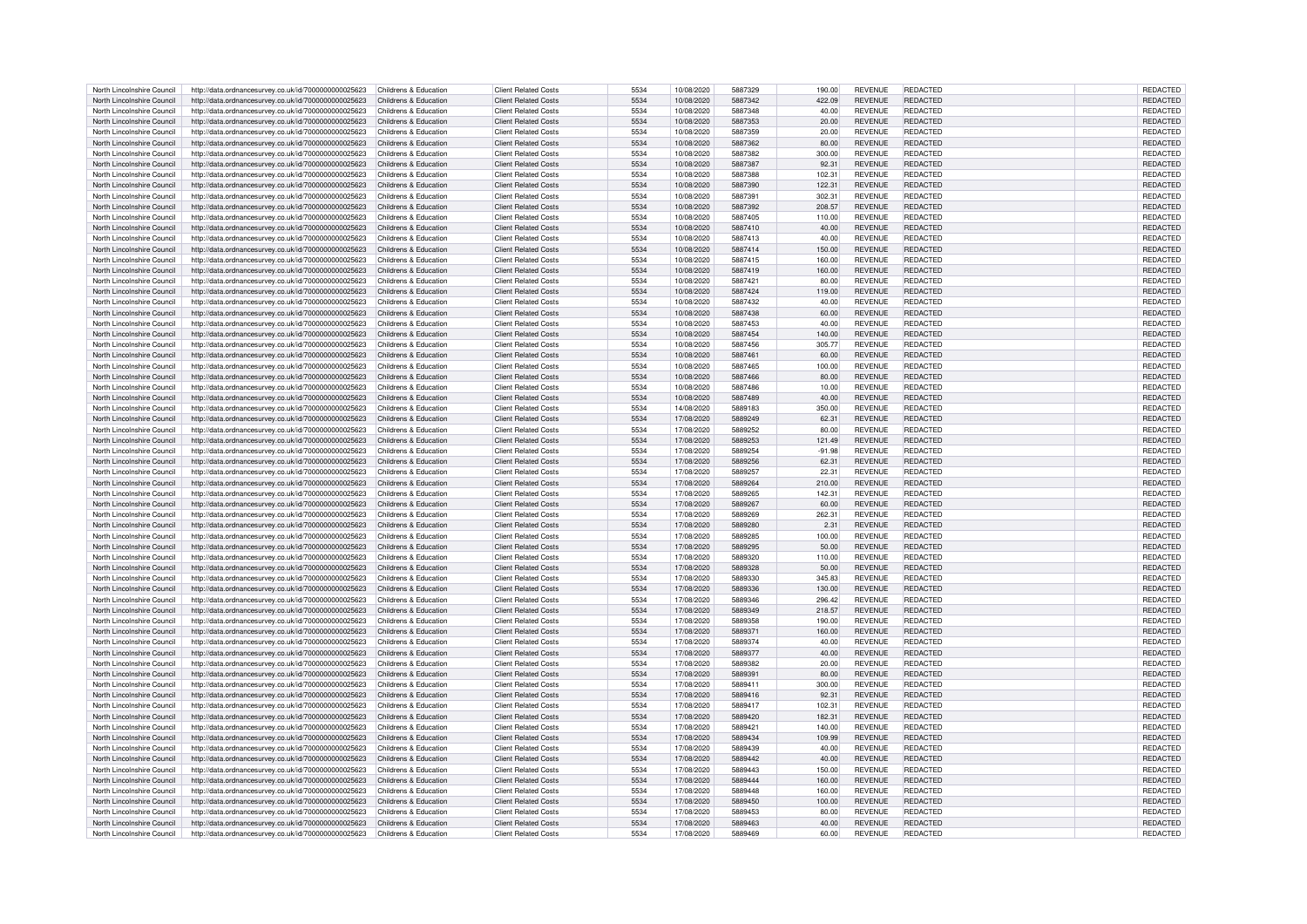| North Lincolnshire Council | http://data.ordnancesurvey.co.uk/id/7000000000025623                       | Childrens & Education | <b>Client Related Costs</b> | 5534 | 10/08/2020 | 5887329 | 190.00   | <b>REVENUE</b> | <b>REDACTED</b> | <b>REDACTED</b> |
|----------------------------|----------------------------------------------------------------------------|-----------------------|-----------------------------|------|------------|---------|----------|----------------|-----------------|-----------------|
| North Lincolnshire Council | http://data.ordnancesurvey.co.uk/id/7000000000025623                       | Childrens & Education | <b>Client Related Costs</b> | 5534 | 10/08/2020 | 5887342 | 422.09   | <b>REVENUE</b> | REDACTED        | REDACTED        |
| North Lincolnshire Council | http://data.ordnancesurvey.co.uk/id/7000000000025623                       | Childrens & Education | <b>Client Related Costs</b> | 5534 | 10/08/2020 | 5887348 | 40.00    | <b>REVENUE</b> | REDACTED        | REDACTED        |
| North Lincolnshire Council | http://data.ordnancesurvey.co.uk/id/7000000000025623                       | Childrens & Education | <b>Client Related Costs</b> | 5534 | 10/08/2020 | 5887353 | 20.00    | <b>REVENUE</b> | <b>REDACTED</b> | REDACTED        |
|                            |                                                                            |                       |                             |      |            |         |          |                |                 |                 |
| North Lincolnshire Council | http://data.ordnancesurvey.co.uk/id/7000000000025623                       | Childrens & Education | <b>Client Related Costs</b> | 5534 | 10/08/2020 | 5887359 | 20.00    | <b>REVENUE</b> | <b>REDACTED</b> | REDACTED        |
| North Lincolnshire Council | http://data.ordnancesurvey.co.uk/id/7000000000025623                       | Childrens & Education | <b>Client Related Costs</b> | 5534 | 10/08/2020 | 5887362 | 80.00    | <b>REVENUE</b> | <b>REDACTED</b> | REDACTED        |
| North Lincolnshire Council | http://data.ordnancesurvey.co.uk/id/7000000000025623                       | Childrens & Education | <b>Client Related Costs</b> | 5534 | 10/08/2020 | 5887382 | 300.00   | <b>REVENUE</b> | <b>REDACTED</b> | REDACTED        |
| North Lincolnshire Council | http://data.ordnancesurvey.co.uk/id/7000000000025623                       | Childrens & Education | <b>Client Related Costs</b> | 5534 | 10/08/2020 | 5887387 | 92.31    | <b>REVENUE</b> | <b>REDACTED</b> | REDACTED        |
| North Lincolnshire Council | http://data.ordnancesurvey.co.uk/id/7000000000025623                       | Childrens & Education | <b>Client Related Costs</b> | 5534 | 10/08/2020 | 5887388 | 102.31   | <b>REVENUE</b> | REDACTED        | REDACTED        |
| North Lincolnshire Council | http://data.ordnancesurvey.co.uk/id/7000000000025623                       | Childrens & Education | <b>Client Related Costs</b> | 5534 | 10/08/2020 | 5887390 | 122.31   | <b>REVENUE</b> | <b>REDACTED</b> | REDACTED        |
| North Lincolnshire Council | http://data.ordnancesurvey.co.uk/id/7000000000025623                       | Childrens & Education | <b>Client Related Costs</b> | 5534 | 10/08/2020 | 5887391 | 302.31   | <b>REVENUE</b> | <b>REDACTED</b> | REDACTED        |
|                            |                                                                            |                       |                             |      |            |         |          |                |                 |                 |
| North Lincolnshire Council | http://data.ordnancesurvey.co.uk/id/7000000000025623                       | Childrens & Education | <b>Client Related Costs</b> | 5534 | 10/08/2020 | 5887392 | 208.57   | <b>REVENUE</b> | REDACTED        | REDACTED        |
| North Lincolnshire Council | http://data.ordnancesurvey.co.uk/id/7000000000025623                       | Childrens & Education | <b>Client Related Costs</b> | 5534 | 10/08/2020 | 5887405 | 110.00   | <b>REVENUE</b> | <b>REDACTED</b> | REDACTED        |
| North Lincolnshire Council | http://data.ordnancesurvey.co.uk/id/7000000000025623                       | Childrens & Education | <b>Client Related Costs</b> | 5534 | 10/08/2020 | 5887410 | 40.00    | <b>REVENUE</b> | <b>REDACTED</b> | <b>REDACTED</b> |
| North Lincolnshire Council | http://data.ordnancesurvey.co.uk/id/7000000000025623                       | Childrens & Education | <b>Client Related Costs</b> | 5534 | 10/08/2020 | 5887413 | 40.00    | <b>REVENUE</b> | <b>REDACTED</b> | REDACTED        |
| North Lincolnshire Council | http://data.ordnancesurvey.co.uk/id/7000000000025623                       | Childrens & Education | <b>Client Related Costs</b> | 5534 | 10/08/2020 | 5887414 | 150.00   | <b>REVENUE</b> | <b>REDACTED</b> | REDACTED        |
| North Lincolnshire Council | http://data.ordnancesurvey.co.uk/id/7000000000025623                       | Childrens & Education | <b>Client Related Costs</b> | 5534 | 10/08/2020 | 5887415 | 160.00   | <b>REVENUE</b> | REDACTED        | <b>REDACTED</b> |
| North Lincolnshire Council | http://data.ordnancesurvey.co.uk/id/7000000000025623                       | Childrens & Education | <b>Client Related Costs</b> | 5534 | 10/08/2020 | 5887419 | 160.00   | <b>REVENUE</b> | <b>REDACTED</b> | REDACTED        |
| North Lincolnshire Council | http://data.ordnancesurvey.co.uk/id/7000000000025623                       | Childrens & Education | <b>Client Related Costs</b> | 5534 | 10/08/2020 | 5887421 | 80.00    | <b>REVENUE</b> | REDACTED        | REDACTED        |
|                            |                                                                            |                       |                             |      |            |         |          |                |                 |                 |
| North Lincolnshire Council | http://data.ordnancesurvey.co.uk/id/7000000000025623                       | Childrens & Education | <b>Client Related Costs</b> | 5534 | 10/08/2020 | 5887424 | 119.00   | <b>REVENUE</b> | <b>REDACTED</b> | REDACTED        |
| North Lincolnshire Council | http://data.ordnancesurvey.co.uk/id/7000000000025623                       | Childrens & Education | <b>Client Related Costs</b> | 5534 | 10/08/2020 | 5887432 | 40.00    | <b>REVENUE</b> | <b>REDACTED</b> | REDACTED        |
| North Lincolnshire Council | http://data.ordnancesurvey.co.uk/id/7000000000025623                       | Childrens & Education | <b>Client Related Costs</b> | 5534 | 10/08/2020 | 5887438 | 60.00    | <b>REVENUE</b> | <b>REDACTED</b> | REDACTED        |
| North Lincolnshire Council | http://data.ordnancesurvey.co.uk/id/7000000000025623                       | Childrens & Education | <b>Client Related Costs</b> | 5534 | 10/08/2020 | 5887453 | 40.00    | <b>REVENUE</b> | <b>REDACTED</b> | <b>REDACTED</b> |
| North Lincolnshire Council | http://data.ordnancesurvey.co.uk/id/7000000000025623                       | Childrens & Education | <b>Client Related Costs</b> | 5534 | 10/08/2020 | 5887454 | 140.00   | <b>REVENUE</b> | <b>REDACTED</b> | REDACTED        |
| North Lincolnshire Council | http://data.ordnancesurvey.co.uk/id/7000000000025623                       | Childrens & Education | <b>Client Related Costs</b> | 5534 | 10/08/2020 | 5887456 | 305.77   | <b>REVENUE</b> | <b>REDACTED</b> | REDACTED        |
| North Lincolnshire Council | http://data.ordnancesurvey.co.uk/id/7000000000025623                       | Childrens & Education | <b>Client Related Costs</b> | 5534 | 10/08/2020 | 5887461 | 60.00    | <b>REVENUE</b> | <b>REDACTED</b> | REDACTED        |
|                            |                                                                            |                       |                             |      |            |         |          |                |                 |                 |
| North Lincolnshire Council | http://data.ordnancesurvey.co.uk/id/7000000000025623                       | Childrens & Education | <b>Client Related Costs</b> | 5534 | 10/08/2020 | 5887465 | 100.00   | <b>REVENUE</b> | <b>REDACTED</b> | REDACTED        |
| North Lincolnshire Council | http://data.ordnancesurvey.co.uk/id/7000000000025623                       | Childrens & Education | <b>Client Related Costs</b> | 5534 | 10/08/2020 | 5887466 | 80.00    | <b>REVENUE</b> | <b>REDACTED</b> | REDACTED        |
| North Lincolnshire Council | http://data.ordnancesurvey.co.uk/id/7000000000025623                       | Childrens & Education | <b>Client Related Costs</b> | 5534 | 10/08/2020 | 5887486 | 10.00    | <b>REVENUE</b> | REDACTED        | REDACTED        |
| North Lincolnshire Council | http://data.ordnancesurvey.co.uk/id/7000000000025623                       | Childrens & Education | <b>Client Related Costs</b> | 5534 | 10/08/2020 | 5887489 | 40.00    | <b>REVENUE</b> | <b>REDACTED</b> | REDACTED        |
| North Lincolnshire Council | http://data.ordnancesurvey.co.uk/id/7000000000025623                       | Childrens & Education | <b>Client Related Costs</b> | 5534 | 14/08/2020 | 5889183 | 350.00   | <b>REVENUE</b> | <b>REDACTED</b> | <b>REDACTED</b> |
| North Lincolnshire Council | http://data.ordnancesurvey.co.uk/id/7000000000025623                       | Childrens & Education | <b>Client Related Costs</b> | 5534 | 17/08/2020 | 5889249 | 62.31    | <b>REVENUE</b> | <b>REDACTED</b> | REDACTED        |
| North Lincolnshire Council | http://data.ordnancesurvey.co.uk/id/7000000000025623                       | Childrens & Education | <b>Client Related Costs</b> | 5534 | 17/08/2020 | 5889252 | 80.00    | <b>REVENUE</b> | REDACTED        | REDACTED        |
| North Lincolnshire Council |                                                                            | Childrens & Education | <b>Client Related Costs</b> | 5534 | 17/08/2020 | 5889253 |          |                | <b>REDACTED</b> |                 |
|                            | http://data.ordnancesurvey.co.uk/id/7000000000025623                       |                       |                             |      |            |         | 121.49   | <b>REVENUE</b> |                 | REDACTED        |
| North Lincolnshire Council | http://data.ordnancesurvey.co.uk/id/7000000000025623                       | Childrens & Education | <b>Client Related Costs</b> | 5534 | 17/08/2020 | 5889254 | $-91.98$ | <b>REVENUE</b> | REDACTED        | REDACTED        |
| North Lincolnshire Council | http://data.ordnancesurvey.co.uk/id/7000000000025623                       | Childrens & Education | <b>Client Related Costs</b> | 5534 | 17/08/2020 | 5889256 | 62.31    | <b>REVENUE</b> | REDACTED        | REDACTED        |
| North Lincolnshire Council | http://data.ordnancesurvey.co.uk/id/7000000000025623                       | Childrens & Education | <b>Client Related Costs</b> | 5534 | 17/08/2020 | 5889257 | 22.31    | <b>REVENUE</b> | <b>REDACTED</b> | REDACTED        |
| North Lincolnshire Council | http://data.ordnancesurvey.co.uk/id/7000000000025623                       | Childrens & Education | <b>Client Related Costs</b> | 5534 | 17/08/2020 | 5889264 | 210.00   | <b>REVENUE</b> | REDACTED        | REDACTED        |
| North Lincolnshire Council | http://data.ordnancesurvey.co.uk/id/7000000000025623                       | Childrens & Education | <b>Client Related Costs</b> | 5534 | 17/08/2020 | 5889265 | 142.31   | <b>REVENUE</b> | REDACTED        | REDACTED        |
| North Lincolnshire Council | http://data.ordnancesurvey.co.uk/id/7000000000025623                       | Childrens & Education | <b>Client Related Costs</b> | 5534 | 17/08/2020 | 5889267 | 60.00    | <b>REVENUE</b> | REDACTED        | REDACTED        |
| North Lincolnshire Council | http://data.ordnancesurvey.co.uk/id/7000000000025623                       | Childrens & Education | <b>Client Related Costs</b> | 5534 | 17/08/2020 | 5889269 | 262.31   | <b>REVENUE</b> | <b>REDACTED</b> | REDACTED        |
|                            |                                                                            |                       |                             |      |            |         |          |                |                 |                 |
| North Lincolnshire Council | http://data.ordnancesurvey.co.uk/id/7000000000025623                       | Childrens & Education | <b>Client Related Costs</b> | 5534 | 17/08/2020 | 5889280 | 2.31     | <b>REVENUE</b> | <b>REDACTED</b> | <b>REDACTED</b> |
| North Lincolnshire Council | http://data.ordnancesurvey.co.uk/id/7000000000025623                       | Childrens & Education | <b>Client Related Costs</b> | 5534 | 17/08/2020 | 5889285 | 100.00   | <b>REVENUE</b> | REDACTED        | REDACTED        |
| North Lincolnshire Council | http://data.ordnancesurvey.co.uk/id/7000000000025623                       | Childrens & Education | <b>Client Related Costs</b> | 5534 | 17/08/2020 | 5889295 | 50.00    | <b>REVENUE</b> | <b>REDACTED</b> | REDACTED        |
| North Lincolnshire Council | http://data.ordnancesurvey.co.uk/id/7000000000025623                       | Childrens & Education | <b>Client Related Costs</b> | 5534 | 17/08/2020 | 5889320 | 110.00   | <b>REVENUE</b> | REDACTED        | REDACTED        |
| North Lincolnshire Council | http://data.ordnancesurvey.co.uk/id/7000000000025623                       | Childrens & Education | <b>Client Related Costs</b> | 5534 | 17/08/2020 | 5889328 | 50.00    | <b>REVENUE</b> | <b>REDACTED</b> | REDACTED        |
| North Lincolnshire Council | http://data.ordnancesurvey.co.uk/id/7000000000025623                       | Childrens & Education | <b>Client Related Costs</b> | 5534 | 17/08/2020 | 5889330 | 345.83   | <b>REVENUE</b> | <b>REDACTED</b> | <b>REDACTED</b> |
| North Lincolnshire Council | http://data.ordnancesurvey.co.uk/id/7000000000025623                       | Childrens & Education | <b>Client Related Costs</b> | 5534 | 17/08/2020 | 5889336 | 130.00   | <b>REVENUE</b> | <b>REDACTED</b> | <b>REDACTED</b> |
|                            |                                                                            |                       |                             |      |            | 5889346 |          |                | <b>REDACTED</b> |                 |
| North Lincolnshire Council | http://data.ordnancesurvey.co.uk/id/7000000000025623                       | Childrens & Education | <b>Client Related Costs</b> | 5534 | 17/08/2020 |         | 296.42   | <b>REVENUE</b> |                 | REDACTED        |
| North Lincolnshire Council | http://data.ordnancesurvey.co.uk/id/7000000000025623                       | Childrens & Education | <b>Client Related Costs</b> | 5534 | 17/08/2020 | 5889349 | 218.57   | <b>REVENUE</b> | <b>REDACTED</b> | REDACTED        |
| North Lincolnshire Council | http://data.ordnancesurvey.co.uk/id/7000000000025623                       | Childrens & Education | <b>Client Related Costs</b> | 5534 | 17/08/2020 | 5889358 | 190.00   | <b>REVENUE</b> | <b>REDACTED</b> | REDACTED        |
| North Lincolnshire Council | http://data.ordnancesurvey.co.uk/id/7000000000025623                       | Childrens & Education | <b>Client Related Costs</b> | 5534 | 17/08/2020 | 5889371 | 160.00   | <b>REVENUE</b> | <b>REDACTED</b> | REDACTED        |
| North Lincolnshire Council | http://data.ordnancesurvey.co.uk/id/7000000000025623                       | Childrens & Education | <b>Client Related Costs</b> | 5534 | 17/08/2020 | 5889374 | 40.00    | <b>REVENUE</b> | REDACTED        | <b>REDACTED</b> |
| North Lincolnshire Council | http://data.ordnancesurvey.co.uk/id/7000000000025623                       | Childrens & Education | <b>Client Related Costs</b> | 5534 | 17/08/2020 | 5889377 | 40.00    | <b>REVENUE</b> | <b>REDACTED</b> | REDACTED        |
| North Lincolnshire Council | http://data.ordnancesurvey.co.uk/id/7000000000025623                       | Childrens & Education | <b>Client Related Costs</b> | 5534 | 17/08/2020 | 5889382 | 20.00    | <b>REVENUE</b> | <b>REDACTED</b> | REDACTED        |
| North Lincolnshire Council | http://data.ordnancesurvey.co.uk/id/7000000000025623                       | Childrens & Education | <b>Client Related Costs</b> | 5534 | 17/08/2020 | 5889391 | 80.00    | <b>REVENUE</b> | <b>REDACTED</b> | <b>REDACTED</b> |
| North Lincolnshire Council | http://data.ordnancesurvey.co.uk/id/7000000000025623                       | Childrens & Education | <b>Client Related Costs</b> | 5534 | 17/08/2020 | 5889411 | 300.00   | <b>REVENUE</b> | <b>REDACTED</b> | REDACTED        |
|                            |                                                                            |                       |                             |      |            |         |          |                |                 |                 |
| North Lincolnshire Council | http://data.ordnancesurvey.co.uk/id/7000000000025623                       | Childrens & Education | <b>Client Related Costs</b> | 5534 | 17/08/2020 | 5889416 | 92.31    | <b>REVENUE</b> | <b>REDACTED</b> | REDACTED        |
| North Lincolnshire Council | http://data.ordnancesurvey.co.uk/id/7000000000025623                       | Childrens & Education | <b>Client Related Costs</b> | 5534 | 17/08/2020 | 5889417 | 102.31   | <b>REVENUE</b> | <b>REDACTED</b> | REDACTED        |
| North Lincolnshire Council | http://data.ordnancesurvey.co.uk/id/7000000000025623                       | Childrens & Education | <b>Client Related Costs</b> | 5534 | 17/08/2020 | 5889420 | 182.31   | <b>REVENUE</b> | REDACTED        | REDACTED        |
| North Lincolnshire Council | http://data.ordnancesurvey.co.uk/id/7000000000025623                       | Childrens & Education | <b>Client Related Costs</b> | 5534 | 17/08/2020 | 5889421 | 140.00   | <b>REVENUE</b> | REDACTED        | REDACTED        |
| North Lincolnshire Council | http://data.ordnancesurvey.co.uk/id/7000000000025623                       | Childrens & Education | <b>Client Related Costs</b> | 5534 | 17/08/2020 | 5889434 | 109.99   | <b>REVENUE</b> | <b>REDACTED</b> | REDACTED        |
| North Lincolnshire Council | http://data.ordnancesurvey.co.uk/id/7000000000025623                       | Childrens & Education | <b>Client Related Costs</b> | 5534 | 17/08/2020 | 5889439 | 40.00    | <b>REVENUE</b> | REDACTED        | <b>REDACTED</b> |
| North Lincolnshire Council | http://data.ordnancesurvey.co.uk/id/7000000000025623                       | Childrens & Education | <b>Client Related Costs</b> | 5534 | 17/08/2020 | 5889442 | 40.00    | <b>REVENUE</b> | REDACTED        | REDACTED        |
|                            |                                                                            |                       |                             | 5534 |            | 5889443 |          |                |                 |                 |
| North Lincolnshire Council | http://data.ordnancesurvey.co.uk/id/7000000000025623                       | Childrens & Education | <b>Client Related Costs</b> |      | 17/08/2020 |         | 150.00   | <b>REVENUE</b> | REDACTED        | REDACTED        |
| North Lincolnshire Council | http://data.ordnancesurvey.co.uk/id/7000000000025623                       | Childrens & Education | <b>Client Related Costs</b> | 5534 | 17/08/2020 | 5889444 | 160.00   | <b>REVENUE</b> | REDACTED        | REDACTED        |
| North Lincolnshire Council | http://data.ordnancesurvey.co.uk/id/7000000000025623                       | Childrens & Education | <b>Client Related Costs</b> | 5534 | 17/08/2020 | 5889448 | 160.00   | <b>REVENUE</b> | <b>REDACTED</b> | REDACTED        |
| North Lincolnshire Council | http://data.ordnancesurvey.co.uk/id/7000000000025623                       | Childrens & Education | <b>Client Related Costs</b> | 5534 | 17/08/2020 | 5889450 | 100.00   | <b>REVENUE</b> | <b>REDACTED</b> | REDACTED        |
| North Lincolnshire Council | http://data.ordnancesurvey.co.uk/id/7000000000025623                       | Childrens & Education | <b>Client Related Costs</b> | 5534 | 17/08/2020 | 5889453 | 80.00    | <b>REVENUE</b> | REDACTED        | <b>REDACTED</b> |
| North Lincolnshire Council | http://data.ordnancesurvey.co.uk/id/7000000000025623                       | Childrens & Education | <b>Client Related Costs</b> | 5534 | 17/08/2020 | 5889463 | 40.00    | <b>REVENUE</b> | <b>REDACTED</b> | REDACTED        |
|                            | http://data.ordnancesurvey.co.uk/id/7000000000025623 Childrens & Education |                       | <b>Client Related Costs</b> | 5534 | 17/08/2020 | 5889469 | 60.00    | <b>REVENUE</b> | REDACTED        | REDACTED        |
| North Lincolnshire Council |                                                                            |                       |                             |      |            |         |          |                |                 |                 |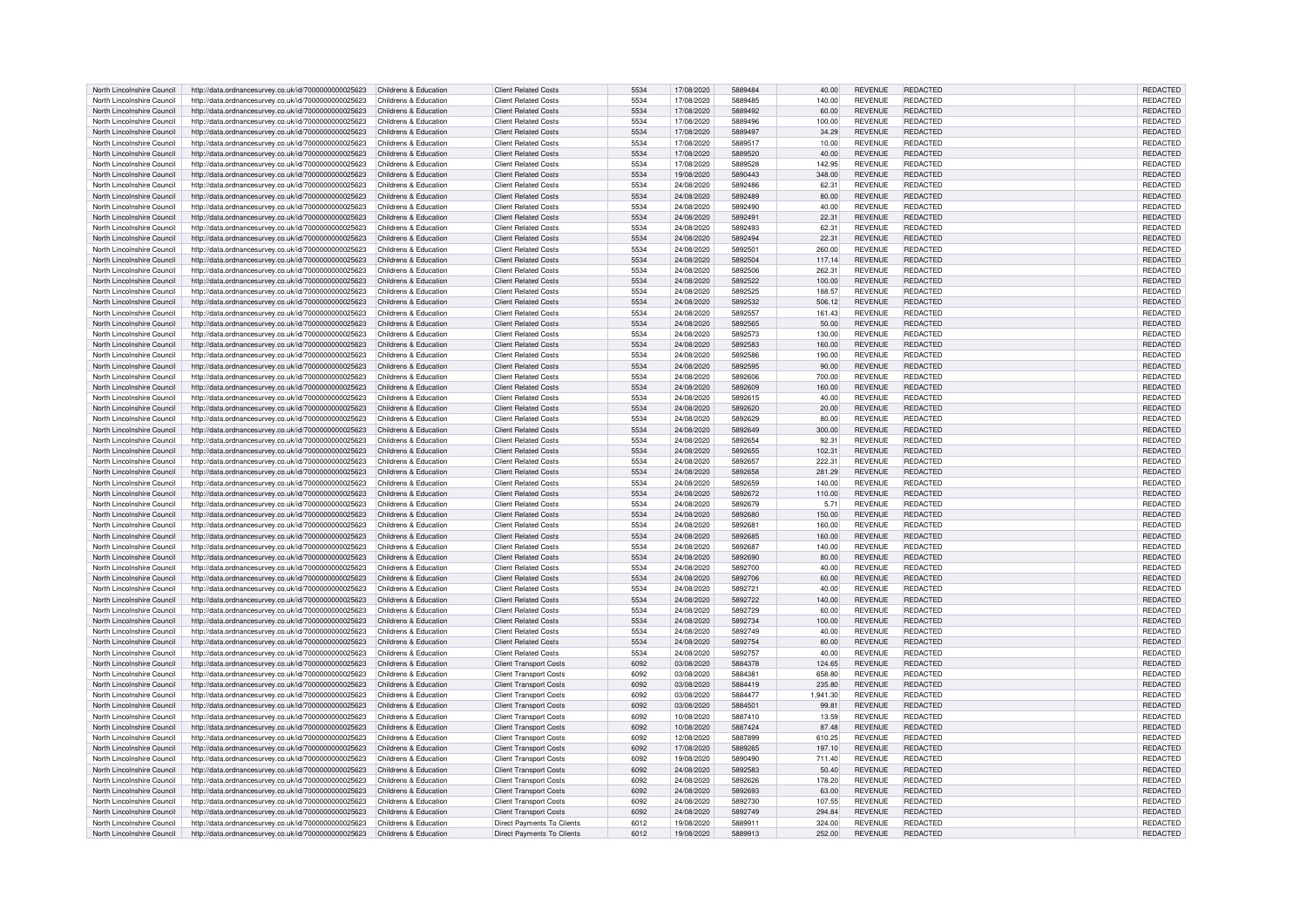| North Lincolnshire Council | http://data.ordnancesurvey.co.uk/id/7000000000025623                       | Childrens & Education | <b>Client Related Costs</b>       | 5534 | 17/08/2020 | 5889484 | 40.00    | <b>REVENUE</b> | <b>REDACTED</b> | REDACTED        |
|----------------------------|----------------------------------------------------------------------------|-----------------------|-----------------------------------|------|------------|---------|----------|----------------|-----------------|-----------------|
|                            |                                                                            |                       |                                   |      |            |         |          |                |                 |                 |
| North Lincolnshire Council | http://data.ordnancesurvey.co.uk/id/7000000000025623                       | Childrens & Education | <b>Client Related Costs</b>       | 5534 | 17/08/2020 | 5889485 | 140.00   | <b>REVENUE</b> | REDACTED        | REDACTED        |
| North Lincolnshire Council | http://data.ordnancesurvey.co.uk/id/7000000000025623                       | Childrens & Education | <b>Client Related Costs</b>       | 5534 | 17/08/2020 | 5889492 | 60.00    | <b>REVENUE</b> | REDACTED        | REDACTED        |
| North Lincolnshire Council | http://data.ordnancesurvey.co.uk/id/7000000000025623                       | Childrens & Education | <b>Client Related Costs</b>       | 5534 | 17/08/2020 | 5889496 | 100.00   | <b>REVENUE</b> | <b>REDACTED</b> | <b>REDACTED</b> |
| North Lincolnshire Council | http://data.ordnancesurvey.co.uk/id/7000000000025623                       | Childrens & Education | <b>Client Related Costs</b>       | 5534 | 17/08/2020 | 5889497 | 34.29    | <b>REVENUE</b> | REDACTED        | REDACTED        |
|                            |                                                                            |                       |                                   |      |            |         |          |                |                 |                 |
| North Lincolnshire Council | http://data.ordnancesurvey.co.uk/id/7000000000025623                       | Childrens & Education | <b>Client Related Costs</b>       | 5534 | 17/08/2020 | 5889517 | 10.00    | <b>REVENUE</b> | REDACTED        | REDACTED        |
| North Lincolnshire Council | http://data.ordnancesurvey.co.uk/id/7000000000025623                       | Childrens & Education | <b>Client Related Costs</b>       | 5534 | 17/08/2020 | 5889520 | 40.00    | <b>REVENUE</b> | <b>REDACTED</b> | <b>REDACTED</b> |
| North Lincolnshire Council | http://data.ordnancesurvey.co.uk/id/7000000000025623                       | Childrens & Education | <b>Client Related Costs</b>       | 5534 | 17/08/2020 | 5889528 | 142.95   | <b>REVENUE</b> | REDACTED        | REDACTED        |
| North Lincolnshire Council | http://data.ordnancesurvey.co.uk/id/7000000000025623                       | Childrens & Education | <b>Client Related Costs</b>       | 5534 | 19/08/2020 | 5890443 | 348.00   | <b>REVENUE</b> | REDACTED        | <b>REDACTED</b> |
|                            |                                                                            |                       |                                   |      |            |         |          |                |                 |                 |
| North Lincolnshire Council | http://data.ordnancesurvey.co.uk/id/7000000000025623                       | Childrens & Education | <b>Client Related Costs</b>       | 5534 | 24/08/2020 | 5892486 | 62.31    | <b>REVENUE</b> | <b>REDACTED</b> | REDACTED        |
| North Lincolnshire Council | http://data.ordnancesurvey.co.uk/id/7000000000025623                       | Childrens & Education | <b>Client Related Costs</b>       | 5534 | 24/08/2020 | 5892489 | 80.00    | <b>REVENUE</b> | REDACTED        | REDACTED        |
| North Lincolnshire Council | http://data.ordnancesurvey.co.uk/id/7000000000025623                       | Childrens & Education | <b>Client Related Costs</b>       | 5534 | 24/08/2020 | 5892490 | 40.00    | <b>REVENUE</b> | REDACTED        | REDACTED        |
| North Lincolnshire Council | http://data.ordnancesurvey.co.uk/id/7000000000025623                       | Childrens & Education | <b>Client Related Costs</b>       | 5534 | 24/08/2020 | 589249  | 22.31    | <b>REVENUE</b> | REDACTED        | REDACTED        |
|                            |                                                                            |                       |                                   |      |            |         |          |                |                 |                 |
| North Lincolnshire Council | http://data.ordnancesurvey.co.uk/id/7000000000025623                       | Childrens & Education | <b>Client Related Costs</b>       | 5534 | 24/08/2020 | 5892493 | 62.31    | <b>REVENUE</b> | REDACTED        | <b>REDACTED</b> |
| North Lincolnshire Council | http://data.ordnancesurvey.co.uk/id/7000000000025623                       | Childrens & Education | <b>Client Related Costs</b>       | 5534 | 24/08/2020 | 5892494 | 22.31    | <b>REVENUE</b> | <b>REDACTED</b> | REDACTED        |
| North Lincolnshire Council | http://data.ordnancesurvey.co.uk/id/7000000000025623                       | Childrens & Education | <b>Client Related Costs</b>       | 5534 | 24/08/2020 | 589250  | 260.00   | <b>REVENUE</b> | <b>REDACTED</b> | REDACTED        |
| North Lincolnshire Council | http://data.ordnancesurvey.co.uk/id/7000000000025623                       | Childrens & Education | <b>Client Related Costs</b>       | 5534 | 24/08/2020 | 5892504 | 117.14   | <b>REVENUE</b> | REDACTED        | <b>REDACTED</b> |
|                            |                                                                            |                       |                                   |      |            |         |          |                |                 |                 |
| North Lincolnshire Council | http://data.ordnancesurvey.co.uk/id/7000000000025623                       | Childrens & Education | <b>Client Related Costs</b>       | 5534 | 24/08/2020 | 5892506 | 262.31   | <b>REVENUE</b> | <b>REDACTED</b> | REDACTED        |
| North Lincolnshire Council | http://data.ordnancesurvey.co.uk/id/7000000000025623                       | Childrens & Education | <b>Client Related Costs</b>       | 5534 | 24/08/2020 | 5892522 | 100.00   | <b>REVENUE</b> | REDACTED        | REDACTED        |
| North Lincolnshire Council | http://data.ordnancesurvey.co.uk/id/7000000000025623                       | Childrens & Education | <b>Client Related Costs</b>       | 5534 | 24/08/2020 | 5892525 | 188.57   | <b>REVENUE</b> | REDACTED        | REDACTED        |
| North Lincolnshire Council | http://data.ordnancesurvey.co.uk/id/7000000000025623                       | Childrens & Education | <b>Client Related Costs</b>       | 5534 | 24/08/2020 | 5892532 | 506.12   | <b>REVENUE</b> | REDACTED        | REDACTED        |
|                            |                                                                            |                       |                                   |      |            |         |          |                |                 |                 |
| North Lincolnshire Council | http://data.ordnancesurvey.co.uk/id/7000000000025623                       | Childrens & Education | <b>Client Related Costs</b>       | 5534 | 24/08/2020 | 5892557 | 161.43   | <b>REVENUE</b> | REDACTED        | REDACTED        |
| North Lincolnshire Council | http://data.ordnancesurvey.co.uk/id/7000000000025623                       | Childrens & Education | <b>Client Related Costs</b>       | 5534 | 24/08/2020 | 5892565 | 50.00    | <b>REVENUE</b> | REDACTED        | REDACTED        |
| North Lincolnshire Council | http://data.ordnancesurvey.co.uk/id/7000000000025623                       | Childrens & Education | <b>Client Related Costs</b>       | 5534 | 24/08/2020 | 5892573 | 130.00   | <b>REVENUE</b> | REDACTED        | REDACTED        |
| North Lincolnshire Council | http://data.ordnancesurvey.co.uk/id/7000000000025623                       | Childrens & Education | <b>Client Related Costs</b>       | 5534 | 24/08/2020 | 5892583 | 160.00   | <b>REVENUE</b> | REDACTED        | REDACTED        |
|                            |                                                                            |                       |                                   |      |            |         |          |                |                 |                 |
| North Lincolnshire Council | http://data.ordnancesurvey.co.uk/id/7000000000025623                       | Childrens & Education | <b>Client Related Costs</b>       | 5534 | 24/08/2020 | 5892586 | 190.00   | <b>REVENUE</b> | <b>REDACTED</b> | REDACTED        |
| North Lincolnshire Council | http://data.ordnancesurvey.co.uk/id/7000000000025623                       | Childrens & Education | <b>Client Related Costs</b>       | 5534 | 24/08/2020 | 5892595 | 90.00    | <b>REVENUE</b> | REDACTED        | REDACTED        |
| North Lincolnshire Council | http://data.ordnancesurvey.co.uk/id/7000000000025623                       | Childrens & Education | <b>Client Related Costs</b>       | 5534 | 24/08/2020 | 5892606 | 700.00   | <b>REVENUE</b> | REDACTED        | <b>REDACTED</b> |
| North Lincolnshire Council |                                                                            | Childrens & Education | <b>Client Related Costs</b>       | 5534 | 24/08/2020 | 5892609 | 160.00   | <b>REVENUE</b> | <b>REDACTED</b> | <b>REDACTED</b> |
|                            | http://data.ordnancesurvey.co.uk/id/7000000000025623                       |                       |                                   |      |            |         |          |                |                 |                 |
| North Lincolnshire Council | http://data.ordnancesurvey.co.uk/id/7000000000025623                       | Childrens & Education | <b>Client Related Costs</b>       | 5534 | 24/08/2020 | 5892615 | 40.00    | <b>REVENUE</b> | <b>REDACTED</b> | <b>REDACTED</b> |
| North Lincolnshire Council | http://data.ordnancesurvey.co.uk/id/7000000000025623                       | Childrens & Education | <b>Client Related Costs</b>       | 5534 | 24/08/2020 | 5892620 | 20.00    | <b>REVENUE</b> | REDACTED        | <b>REDACTED</b> |
| North Lincolnshire Council | http://data.ordnancesurvey.co.uk/id/7000000000025623                       | Childrens & Education | <b>Client Related Costs</b>       | 5534 | 24/08/2020 | 5892629 | 80.00    | <b>REVENUE</b> | REDACTED        | <b>REDACTED</b> |
|                            |                                                                            |                       |                                   |      |            |         |          |                |                 |                 |
| North Lincolnshire Council | http://data.ordnancesurvey.co.uk/id/7000000000025623                       | Childrens & Education | <b>Client Related Costs</b>       | 5534 | 24/08/2020 | 5892649 | 300.00   | <b>REVENUE</b> | REDACTED        | REDACTED        |
| North Lincolnshire Council | http://data.ordnancesurvey.co.uk/id/7000000000025623                       | Childrens & Education | <b>Client Related Costs</b>       | 5534 | 24/08/2020 | 5892654 | 92.31    | <b>REVENUE</b> | <b>REDACTED</b> | <b>REDACTED</b> |
| North Lincolnshire Council | http://data.ordnancesurvey.co.uk/id/7000000000025623                       | Childrens & Education | <b>Client Related Costs</b>       | 5534 | 24/08/2020 | 5892655 | 102.31   | <b>REVENUE</b> | <b>REDACTED</b> | <b>REDACTED</b> |
| North Lincolnshire Council | http://data.ordnancesurvey.co.uk/id/7000000000025623                       | Childrens & Education | <b>Client Related Costs</b>       | 5534 | 24/08/2020 | 5892657 | 222.31   | <b>REVENUE</b> | REDACTED        | REDACTED        |
|                            |                                                                            |                       |                                   |      |            |         |          |                |                 |                 |
| North Lincolnshire Council | http://data.ordnancesurvey.co.uk/id/7000000000025623                       | Childrens & Education | <b>Client Related Costs</b>       | 5534 | 24/08/2020 | 5892658 | 281.29   | <b>REVENUE</b> | REDACTED        | <b>REDACTED</b> |
| North Lincolnshire Council | http://data.ordnancesurvey.co.uk/id/7000000000025623                       | Childrens & Education | <b>Client Related Costs</b>       | 5534 | 24/08/2020 | 5892659 | 140.00   | <b>REVENUE</b> | REDACTED        | REDACTED        |
| North Lincolnshire Council | http://data.ordnancesurvey.co.uk/id/7000000000025623                       | Childrens & Education | <b>Client Related Costs</b>       | 5534 | 24/08/2020 | 5892672 | 110.00   | <b>REVENUE</b> | <b>REDACTED</b> | <b>REDACTED</b> |
| North Lincolnshire Council |                                                                            | Childrens & Education | <b>Client Related Costs</b>       | 5534 |            | 5892679 |          | <b>REVENUE</b> | REDACTED        |                 |
|                            | http://data.ordnancesurvey.co.uk/id/7000000000025623                       |                       |                                   |      | 24/08/2020 |         | 5.71     |                |                 | REDACTED        |
| North Lincolnshire Council | http://data.ordnancesurvey.co.uk/id/7000000000025623                       | Childrens & Education | <b>Client Related Costs</b>       | 5534 | 24/08/2020 | 5892680 | 150.00   | <b>REVENUE</b> | REDACTED        | REDACTED        |
| North Lincolnshire Council | http://data.ordnancesurvey.co.uk/id/7000000000025623                       | Childrens & Education | <b>Client Related Costs</b>       | 5534 | 24/08/2020 | 5892681 | 160.00   | <b>REVENUE</b> | REDACTED        | <b>REDACTED</b> |
| North Lincolnshire Council | http://data.ordnancesurvey.co.uk/id/7000000000025623                       | Childrens & Education | <b>Client Related Costs</b>       | 5534 | 24/08/2020 | 5892685 | 160.00   | <b>REVENUE</b> | REDACTED        | REDACTED        |
| North Lincolnshire Council | http://data.ordnancesurvey.co.uk/id/7000000000025623                       | Childrens & Education | <b>Client Related Costs</b>       | 5534 | 24/08/2020 | 5892687 | 140.00   | <b>REVENUE</b> | <b>REDACTED</b> | REDACTED        |
|                            |                                                                            |                       |                                   |      |            |         |          |                |                 |                 |
| North Lincolnshire Council | http://data.ordnancesurvey.co.uk/id/7000000000025623                       | Childrens & Education | <b>Client Related Costs</b>       | 5534 | 24/08/2020 | 5892690 | 80.00    | <b>REVENUE</b> | REDACTED        | REDACTED        |
| North Lincolnshire Council | http://data.ordnancesurvey.co.uk/id/7000000000025623                       | Childrens & Education | <b>Client Related Costs</b>       | 5534 | 24/08/2020 | 5892700 | 40.00    | <b>REVENUE</b> | REDACTED        | REDACTED        |
| North Lincolnshire Council | http://data.ordnancesurvey.co.uk/id/7000000000025623                       | Childrens & Education | <b>Client Related Costs</b>       | 5534 | 24/08/2020 | 5892706 | 60.00    | <b>REVENUE</b> | <b>REDACTED</b> | <b>REDACTED</b> |
| North Lincolnshire Council | http://data.ordnancesurvey.co.uk/id/7000000000025623                       | Childrens & Education | <b>Client Related Costs</b>       | 5534 | 24/08/2020 | 5892721 | 40.00    | <b>REVENUE</b> | <b>REDACTED</b> | <b>REDACTED</b> |
|                            |                                                                            |                       |                                   |      |            |         |          |                |                 |                 |
| North Lincolnshire Council | http://data.ordnancesurvey.co.uk/id/7000000000025623                       | Childrens & Education | <b>Client Related Costs</b>       | 5534 | 24/08/2020 | 5892722 | 140.00   | <b>REVENUE</b> | <b>REDACTED</b> | <b>REDACTED</b> |
| North Lincolnshire Council | http://data.ordnancesurvey.co.uk/id/7000000000025623                       | Childrens & Education | <b>Client Related Costs</b>       | 5534 | 24/08/2020 | 5892729 | 60.00    | <b>REVENUE</b> | REDACTED        | REDACTED        |
| North Lincolnshire Council | http://data.ordnancesurvey.co.uk/id/7000000000025623                       | Childrens & Education | <b>Client Related Costs</b>       | 5534 | 24/08/2020 | 5892734 | 100.00   | <b>REVENUE</b> | REDACTED        | REDACTED        |
| North Lincolnshire Council | http://data.ordnancesurvey.co.uk/id/7000000000025623                       | Childrens & Education | <b>Client Related Costs</b>       | 5534 | 24/08/2020 | 5892749 | 40.00    | <b>REVENUE</b> | REDACTED        | REDACTED        |
|                            |                                                                            |                       |                                   |      |            |         |          |                |                 |                 |
| North Lincolnshire Council | http://data.ordnancesurvey.co.uk/id/7000000000025623                       | Childrens & Education | <b>Client Related Costs</b>       | 5534 | 24/08/2020 | 5892754 | 80.00    | <b>REVENUE</b> | REDACTED        | <b>REDACTED</b> |
| North Lincolnshire Council | http://data.ordnancesurvey.co.uk/id/7000000000025623                       | Childrens & Education | <b>Client Related Costs</b>       | 5534 | 24/08/2020 | 5892757 | 40.00    | <b>REVENUE</b> | REDACTED        | REDACTED        |
| North Lincolnshire Council | http://data.ordnancesurvey.co.uk/id/7000000000025623                       | Childrens & Education | <b>Client Transport Costs</b>     | 6092 | 03/08/2020 | 5884378 | 124.65   | <b>REVENUE</b> | <b>REDACTED</b> | REDACTED        |
| North Lincolnshire Council | http://data.ordnancesurvey.co.uk/id/7000000000025623                       | Childrens & Education | <b>Client Transport Costs</b>     | 6092 | 03/08/2020 | 5884381 | 658.80   | <b>REVENUE</b> | REDACTED        | <b>REDACTED</b> |
|                            |                                                                            |                       |                                   |      |            |         |          |                |                 |                 |
| North Lincolnshire Council | http://data.ordnancesurvey.co.uk/id/7000000000025623                       | Childrens & Education | <b>Client Transport Costs</b>     | 6092 | 03/08/2020 | 5884419 | 235.80   | <b>REVENUE</b> | REDACTED        | REDACTED        |
| North Lincolnshire Council | http://data.ordnancesurvey.co.uk/id/7000000000025623                       | Childrens & Education | <b>Client Transport Costs</b>     | 6092 | 03/08/2020 | 5884477 | 1.941.30 | <b>REVENUE</b> | REDACTED        | <b>REDACTED</b> |
| North Lincolnshire Council | http://data.ordnancesurvey.co.uk/id/7000000000025623                       | Childrens & Education | <b>Client Transport Costs</b>     | 6092 | 03/08/2020 | 5884501 | 99.81    | <b>REVENUE</b> | <b>REDACTED</b> | REDACTED        |
| North Lincolnshire Council | http://data.ordnancesurvey.co.uk/id/7000000000025623                       | Childrens & Education | <b>Client Transport Costs</b>     | 6092 | 10/08/2020 | 5887410 | 13.59    | <b>REVENUE</b> | REDACTED        | REDACTED        |
|                            |                                                                            |                       |                                   |      |            |         |          |                |                 |                 |
| North Lincolnshire Council | http://data.ordnancesurvey.co.uk/id/7000000000025623                       | Childrens & Education | <b>Client Transport Costs</b>     | 6092 | 10/08/2020 | 5887424 | 87.48    | <b>REVENUE</b> | REDACTED        | REDACTED        |
| North Lincolnshire Council | http://data.ordnancesurvey.co.uk/id/7000000000025623                       | Childrens & Education | <b>Client Transport Costs</b>     | 6092 | 12/08/2020 | 5887899 | 610.25   | <b>REVENUE</b> | REDACTED        | REDACTED        |
| North Lincolnshire Council | http://data.ordnancesurvey.co.uk/id/7000000000025623                       | Childrens & Education | <b>Client Transport Costs</b>     | 6092 | 17/08/2020 | 5889265 | 197.10   | <b>REVENUE</b> | REDACTED        | <b>REDACTED</b> |
| North Lincolnshire Council | http://data.ordnancesurvey.co.uk/id/7000000000025623                       | Childrens & Education | <b>Client Transport Costs</b>     | 6092 | 19/08/2020 | 5890490 | 711.40   | <b>REVENUE</b> | REDACTED        | REDACTED        |
|                            |                                                                            |                       |                                   |      |            |         |          |                |                 |                 |
| North Lincolnshire Council | http://data.ordnancesurvey.co.uk/id/7000000000025623                       | Childrens & Education | <b>Client Transport Costs</b>     | 6092 | 24/08/2020 | 5892583 | 50.40    | <b>REVENUE</b> | REDACTED        | REDACTED        |
| North Lincolnshire Council | http://data.ordnancesurvey.co.uk/id/7000000000025623                       | Childrens & Education | <b>Client Transport Costs</b>     | 6092 | 24/08/2020 | 5892626 | 178.20   | <b>REVENUE</b> | REDACTED        | REDACTED        |
| North Lincolnshire Council | http://data.ordnancesurvey.co.uk/id/7000000000025623                       | Childrens & Education | <b>Client Transport Costs</b>     | 6092 | 24/08/2020 | 5892693 | 63.00    | <b>REVENUE</b> | <b>REDACTED</b> | REDACTED        |
| North Lincolnshire Council |                                                                            |                       |                                   | 6092 | 24/08/2020 | 5892730 | 107.55   | <b>REVENUE</b> | REDACTED        | REDACTED        |
|                            |                                                                            |                       |                                   |      |            |         |          |                |                 |                 |
|                            | http://data.ordnancesurvey.co.uk/id/7000000000025623                       | Childrens & Education | <b>Client Transport Costs</b>     |      |            |         |          |                |                 |                 |
| North Lincolnshire Council | http://data.ordnancesurvey.co.uk/id/7000000000025623                       | Childrens & Education | <b>Client Transport Costs</b>     | 6092 | 24/08/2020 | 5892749 | 294.84   | <b>REVENUE</b> | <b>REDACTED</b> | <b>REDACTED</b> |
| North Lincolnshire Council | http://data.ordnancesurvey.co.uk/id/7000000000025623                       | Childrens & Education | Direct Payments To Clients        | 6012 | 19/08/2020 | 5889911 | 324.00   | <b>REVENUE</b> | <b>REDACTED</b> | <b>REDACTED</b> |
| North Lincolnshire Council | http://data.ordnancesurvey.co.uk/id/7000000000025623 Childrens & Education |                       | <b>Direct Payments To Clients</b> | 6012 | 19/08/2020 | 5889913 | 252.00   | <b>REVENUE</b> | <b>REDACTED</b> | REDACTED        |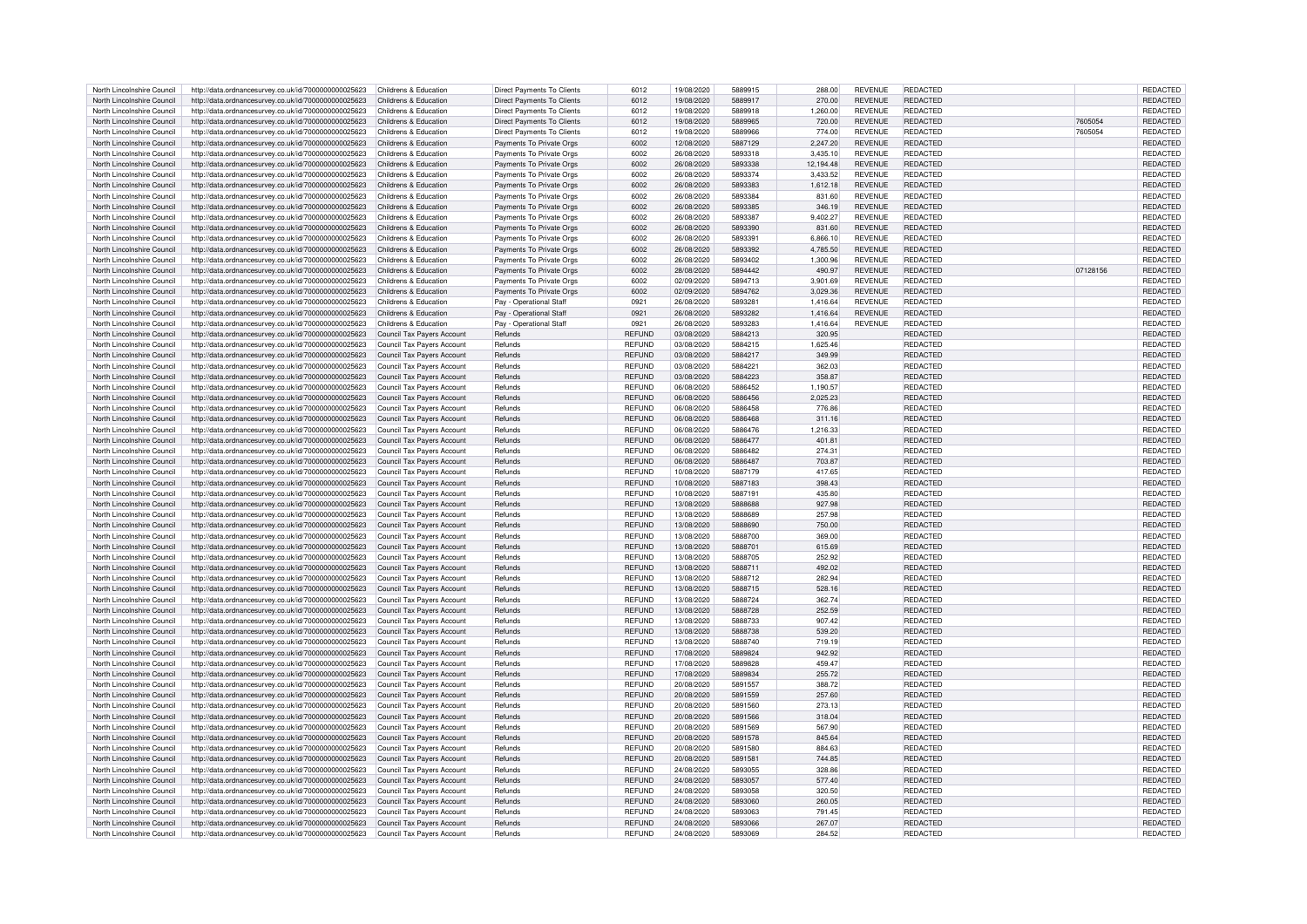| North Lincolnshire Council | http://data.ordnancesurvey.co.uk/id/7000000000025623                            | Childrens & Education             | <b>Direct Payments To Clients</b> | 6012          | 19/08/2020 | 5889915 | 288.00    | <b>REVENUE</b> | REDACTED        |          | REDACTED        |
|----------------------------|---------------------------------------------------------------------------------|-----------------------------------|-----------------------------------|---------------|------------|---------|-----------|----------------|-----------------|----------|-----------------|
| North Lincolnshire Council | http://data.ordnancesurvey.co.uk/id/7000000000025623                            | Childrens & Education             | Direct Payments To Clients        | 6012          | 19/08/2020 | 5889917 | 270.00    | <b>REVENUE</b> | <b>REDACTED</b> |          | <b>REDACTED</b> |
|                            |                                                                                 |                                   |                                   |               |            |         |           |                |                 |          |                 |
| North Lincolnshire Council | http://data.ordnancesurvey.co.uk/id/7000000000025623                            | Childrens & Education             | Direct Payments To Clients        | 6012          | 19/08/2020 | 5889918 | 1,260.00  | <b>REVENUE</b> | REDACTED        |          | REDACTED        |
| North Lincolnshire Council | http://data.ordnancesurvey.co.uk/id/7000000000025623                            | Childrens & Education             | <b>Direct Payments To Clients</b> | 6012          | 19/08/2020 | 5889965 | 720.00    | <b>REVENUE</b> | <b>REDACTED</b> | 7605054  | REDACTED        |
| North Lincolnshire Council | http://data.ordnancesurvey.co.uk/id/7000000000025623                            | Childrens & Education             | Direct Payments To Clients        | 6012          | 19/08/2020 | 5889966 | 774.00    | <b>REVENUE</b> | REDACTED        | 7605054  | REDACTED        |
| North Lincolnshire Council | http://data.ordnancesurvey.co.uk/id/7000000000025623                            | Childrens & Education             | Payments To Private Orgs          | 6002          | 12/08/2020 | 5887129 | 2.247.20  | <b>REVENUE</b> | <b>REDACTED</b> |          | REDACTED        |
| North Lincolnshire Council |                                                                                 | Childrens & Education             |                                   | 6002          | 26/08/2020 | 5893318 |           | <b>REVENUE</b> | <b>REDACTED</b> |          |                 |
|                            | http://data.ordnancesurvey.co.uk/id/7000000000025623                            |                                   | Payments To Private Orgs          |               |            |         | 3,435.10  |                |                 |          | REDACTED        |
| North Lincolnshire Council | http://data.ordnancesurvey.co.uk/id/7000000000025623                            | Childrens & Education             | Payments To Private Orgs          | 6002          | 26/08/2020 | 5893338 | 12,194.48 | <b>REVENUE</b> | <b>REDACTED</b> |          | REDACTED        |
| North Lincolnshire Council | http://data.ordnancesurvey.co.uk/id/7000000000025623                            | Childrens & Education             | Payments To Private Orgs          | 6002          | 26/08/2020 | 5893374 | 3,433.52  | <b>REVENUE</b> | REDACTED        |          | REDACTED        |
| North Lincolnshire Council | http://data.ordnancesurvey.co.uk/id/7000000000025623                            | Childrens & Education             | Payments To Private Orgs          | 6002          | 26/08/2020 | 5893383 | 1,612.18  | <b>REVENUE</b> | REDACTED        |          | REDACTED        |
| North Lincolnshire Council | http://data.ordnancesurvey.co.uk/id/7000000000025623                            | Childrens & Education             | Payments To Private Orgs          | 6002          | 26/08/2020 | 5893384 | 831.60    | <b>REVENUE</b> | REDACTED        |          | REDACTED        |
|                            |                                                                                 |                                   |                                   |               |            |         |           |                |                 |          |                 |
| North Lincolnshire Council | http://data.ordnancesurvey.co.uk/id/7000000000025623                            | Childrens & Education             | Payments To Private Orgs          | 6002          | 26/08/2020 | 5893385 | 346.19    | <b>REVENUE</b> | <b>REDACTED</b> |          | REDACTED        |
| North Lincolnshire Council | http://data.ordnancesurvey.co.uk/id/7000000000025623                            | Childrens & Education             | Payments To Private Orgs          | 6002          | 26/08/2020 | 5893387 | 9,402.27  | <b>REVENUE</b> | <b>REDACTED</b> |          | REDACTED        |
| North Lincolnshire Council | http://data.ordnancesurvey.co.uk/id/7000000000025623                            | Childrens & Education             | Payments To Private Orgs          | 6002          | 26/08/2020 | 5893390 | 831.60    | <b>REVENUE</b> | <b>REDACTED</b> |          | REDACTED        |
| North Lincolnshire Council | http://data.ordnancesurvey.co.uk/id/7000000000025623                            | Childrens & Education             | Payments To Private Orgs          | 6002          | 26/08/2020 | 5893391 | 6,866.10  | <b>REVENUE</b> | REDACTED        |          | REDACTED        |
|                            |                                                                                 |                                   |                                   |               |            |         |           |                |                 |          |                 |
| North Lincolnshire Council | http://data.ordnancesurvey.co.uk/id/7000000000025623                            | Childrens & Education             | Payments To Private Orgs          | 6002          | 26/08/2020 | 5893392 | 4,785.50  | <b>REVENUE</b> | <b>REDACTED</b> |          | REDACTED        |
| North Lincolnshire Council | http://data.ordnancesurvey.co.uk/id/7000000000025623                            | Childrens & Education             | Payments To Private Oras          | 6002          | 26/08/2020 | 5893402 | 1.300.96  | <b>REVENUE</b> | REDACTED        |          | REDACTED        |
| North Lincolnshire Council | http://data.ordnancesurvey.co.uk/id/7000000000025623                            | Childrens & Education             | Payments To Private Orgs          | 6002          | 28/08/2020 | 5894442 | 490.97    | <b>REVENUE</b> | <b>REDACTED</b> | 07128156 | REDACTED        |
| North Lincolnshire Council | http://data.ordnancesurvey.co.uk/id/7000000000025623                            | Childrens & Education             | Payments To Private Orgs          | 6002          | 02/09/2020 | 5894713 | 3,901.69  | <b>REVENUE</b> | <b>REDACTED</b> |          | REDACTED        |
|                            |                                                                                 |                                   |                                   |               |            |         |           |                |                 |          |                 |
| North Lincolnshire Council | http://data.ordnancesurvey.co.uk/id/7000000000025623                            | Childrens & Education             | Payments To Private Orgs          | 6002          | 02/09/2020 | 5894762 | 3,029.36  | <b>REVENUE</b> | <b>REDACTED</b> |          | REDACTED        |
| North Lincolnshire Council | http://data.ordnancesurvey.co.uk/id/7000000000025623                            | Childrens & Education             | Pay - Operational Staff           | 0921          | 26/08/2020 | 5893281 | 1,416.64  | <b>REVENUE</b> | <b>REDACTED</b> |          | REDACTED        |
| North Lincolnshire Council | http://data.ordnancesurvey.co.uk/id/7000000000025623                            | Childrens & Education             | Pay - Operational Staff           | 0921          | 26/08/2020 | 5893282 | 1,416.64  | <b>REVENUE</b> | <b>REDACTED</b> |          | REDACTED        |
| North Lincolnshire Council | http://data.ordnancesurvey.co.uk/id/7000000000025623                            | Childrens & Education             | Pay - Operational Staff           | 0921          | 26/08/2020 | 5893283 | 1,416.64  | <b>REVENUE</b> | <b>REDACTED</b> |          | REDACTED        |
|                            |                                                                                 |                                   |                                   |               |            |         |           |                |                 |          |                 |
| North Lincolnshire Council | http://data.ordnancesurvey.co.uk/id/7000000000025623                            | Council Tax Payers Account        | Refunds                           | <b>REFUND</b> | 03/08/2020 | 5884213 | 320.95    |                | <b>REDACTED</b> |          | REDACTED        |
| North Lincolnshire Council | http://data.ordnancesurvey.co.uk/id/7000000000025623                            | Council Tax Payers Account        | Refunds                           | <b>REFUND</b> | 03/08/2020 | 5884215 | 1,625.46  |                | REDACTED        |          | REDACTED        |
| North Lincolnshire Council | http://data.ordnancesurvey.co.uk/id/7000000000025623                            | Council Tax Payers Account        | Refunds                           | <b>REFUND</b> | 03/08/2020 | 5884217 | 349.99    |                | <b>REDACTED</b> |          | <b>REDACTED</b> |
| North Lincolnshire Council | http://data.ordnancesurvey.co.uk/id/7000000000025623                            | Council Tax Payers Account        | Refunds                           | <b>REFUND</b> | 03/08/2020 | 5884221 | 362.03    |                | REDACTED        |          | REDACTED        |
| North Lincolnshire Council |                                                                                 |                                   |                                   | <b>REFUND</b> | 03/08/2020 | 5884223 | 358.87    |                | REDACTED        |          |                 |
|                            | http://data.ordnancesurvey.co.uk/id/7000000000025623                            | Council Tax Payers Account        | Refunds                           |               |            |         |           |                |                 |          | REDACTED        |
| North Lincolnshire Council | http://data.ordnancesurvey.co.uk/id/7000000000025623                            | Council Tax Payers Account        | Refunds                           | <b>REFUND</b> | 06/08/2020 | 5886452 | 1.190.57  |                | REDACTED        |          | REDACTED        |
| North Lincolnshire Council | http://data.ordnancesurvey.co.uk/id/7000000000025623                            | Council Tax Payers Account        | Refunds                           | <b>REFUND</b> | 06/08/2020 | 5886456 | 2,025.23  |                | REDACTED        |          | REDACTED        |
| North Lincolnshire Council | http://data.ordnancesurvey.co.uk/id/7000000000025623                            | Council Tax Payers Account        | Refunds                           | <b>REFUND</b> | 06/08/2020 | 5886458 | 776.86    |                | <b>REDACTED</b> |          | REDACTED        |
| North Lincolnshire Council |                                                                                 |                                   | Refunds                           | <b>REFUND</b> | 06/08/2020 | 5886468 | 311.16    |                | REDACTED        |          |                 |
|                            | http://data.ordnancesurvey.co.uk/id/7000000000025623                            | Council Tax Payers Account        |                                   |               |            |         |           |                |                 |          | REDACTED        |
| North Lincolnshire Council | http://data.ordnancesurvey.co.uk/id/7000000000025623                            | Council Tax Payers Account        | Refunds                           | REFUND        | 06/08/2020 | 5886476 | 1,216.33  |                | <b>REDACTED</b> |          | REDACTED        |
| North Lincolnshire Council | http://data.ordnancesurvey.co.uk/id/7000000000025623                            | Council Tax Payers Account        | Refunds                           | <b>REFUND</b> | 06/08/2020 | 5886477 | 401.81    |                | REDACTED        |          | REDACTED        |
| North Lincolnshire Council | http://data.ordnancesurvey.co.uk/id/7000000000025623                            | Council Tax Payers Account        | Refunds                           | <b>REFUND</b> | 06/08/2020 | 5886482 | 274.31    |                | <b>REDACTED</b> |          | REDACTED        |
| North Lincolnshire Council | http://data.ordnancesurvey.co.uk/id/7000000000025623                            | <b>Council Tax Payers Account</b> | Refunds                           | <b>REFUND</b> | 06/08/2020 | 5886487 | 703.87    |                | REDACTED        |          | REDACTED        |
|                            |                                                                                 |                                   |                                   |               |            |         |           |                |                 |          |                 |
| North Lincolnshire Council | http://data.ordnancesurvey.co.uk/id/7000000000025623                            | Council Tax Pavers Account        | Refunds                           | <b>REFUND</b> | 10/08/2020 | 5887179 | 417.65    |                | REDACTED        |          | REDACTED        |
| North Lincolnshire Council | http://data.ordnancesurvey.co.uk/id/7000000000025623                            | Council Tax Payers Account        | Refunds                           | <b>REFUND</b> | 10/08/2020 | 5887183 | 398.43    |                | REDACTED        |          | REDACTED        |
| North Lincolnshire Council | http://data.ordnancesurvey.co.uk/id/7000000000025623                            | Council Tax Payers Account        | Refunds                           | <b>REFUND</b> | 10/08/2020 | 5887191 | 435.80    |                | REDACTED        |          | REDACTED        |
| North Lincolnshire Council | http://data.ordnancesurvey.co.uk/id/7000000000025623                            | Council Tax Payers Account        | Refunds                           | <b>REFUND</b> | 13/08/2020 | 5888688 | 927.98    |                | REDACTED        |          | REDACTED        |
|                            |                                                                                 |                                   |                                   |               |            |         |           |                |                 |          |                 |
| North Lincolnshire Council | http://data.ordnancesurvey.co.uk/id/7000000000025623                            | Council Tax Payers Account        | Refunds                           | <b>REFUND</b> | 13/08/2020 | 5888689 | 257.98    |                | REDACTED        |          | REDACTED        |
| North Lincolnshire Council | http://data.ordnancesurvey.co.uk/id/7000000000025623                            | <b>Council Tax Payers Account</b> | Refunds                           | <b>REFUND</b> | 13/08/2020 | 5888690 | 750.00    |                | REDACTED        |          | REDACTED        |
| North Lincolnshire Council | http://data.ordnancesurvey.co.uk/id/7000000000025623                            | Council Tax Payers Account        | Refunds                           | REFUND        | 13/08/2020 | 5888700 | 369.00    |                | REDACTED        |          | REDACTED        |
| North Lincolnshire Council | http://data.ordnancesurvey.co.uk/id/7000000000025623                            | Council Tax Payers Account        | Refunds                           | <b>REFUND</b> | 13/08/2020 | 5888701 | 615.69    |                | REDACTED        |          | REDACTED        |
|                            |                                                                                 |                                   |                                   |               |            |         |           |                |                 |          |                 |
| North Lincolnshire Council | http://data.ordnancesurvey.co.uk/id/7000000000025623                            | Council Tax Payers Account        | Refunds                           | <b>REFUND</b> | 13/08/2020 | 5888705 | 252.92    |                | <b>REDACTED</b> |          | REDACTED        |
| North Lincolnshire Council | http://data.ordnancesurvey.co.uk/id/7000000000025623                            | Council Tax Payers Account        | Refunds                           | <b>REFUND</b> | 13/08/2020 | 5888711 | 492.02    |                | <b>REDACTED</b> |          | REDACTED        |
| North Lincolnshire Council | http://data.ordnancesurvey.co.uk/id/7000000000025623                            | Council Tax Payers Account        | Refunds                           | <b>REFUND</b> | 13/08/2020 | 5888712 | 282.94    |                | <b>REDACTED</b> |          | REDACTED        |
| North Lincolnshire Council | http://data.ordnancesurvey.co.uk/id/7000000000025623                            | Council Tax Payers Account        | Refunds                           | <b>REFUND</b> | 13/08/2020 | 5888715 | 528.16    |                | REDACTED        |          | <b>REDACTED</b> |
|                            |                                                                                 |                                   |                                   |               |            |         |           |                |                 |          |                 |
| North Lincolnshire Council | http://data.ordnancesurvey.co.uk/id/7000000000025623                            | Council Tax Payers Account        | Refunds                           | <b>REFUND</b> | 13/08/2020 | 5888724 | 362.74    |                | REDACTED        |          | REDACTED        |
| North Lincolnshire Council | http://data.ordnancesurvey.co.uk/id/7000000000025623                            | Council Tax Payers Account        | Refunds                           | <b>REFUND</b> | 13/08/2020 | 5888728 | 252.59    |                | REDACTED        |          | REDACTED        |
| North Lincolnshire Council | http://data.ordnancesurvey.co.uk/id/7000000000025623                            | Council Tax Payers Account        | Refunds                           | <b>REFUND</b> | 13/08/2020 | 5888733 | 907.42    |                | REDACTED        |          | REDACTED        |
| North Lincolnshire Council | http://data.ordnancesurvey.co.uk/id/7000000000025623                            | Council Tax Pavers Account        | Refunds                           | <b>REFUND</b> | 13/08/2020 | 5888738 | 539.20    |                | REDACTED        |          | REDACTED        |
| North Lincolnshire Council | http://data.ordnancesurvey.co.uk/id/7000000000025623                            | Council Tax Payers Account        | Refunds                           | <b>REFUND</b> | 13/08/2020 | 5888740 | 719.19    |                | REDACTED        |          | REDACTED        |
|                            |                                                                                 |                                   |                                   |               |            |         |           |                |                 |          |                 |
| North Lincolnshire Council | http://data.ordnancesurvey.co.uk/id/7000000000025623                            | Council Tax Payers Account        | Refunds                           | <b>REFUND</b> | 17/08/2020 | 5889824 | 942.92    |                | <b>REDACTED</b> |          | REDACTED        |
| North Lincolnshire Council | http://data.ordnancesurvey.co.uk/id/7000000000025623                            | Council Tax Payers Account        | Refunds                           | <b>REFUND</b> | 17/08/2020 | 5889828 | 459.47    |                | <b>REDACTED</b> |          | REDACTED        |
| North Lincolnshire Council | http://data.ordnancesurvey.co.uk/id/7000000000025623                            | Council Tax Payers Account        | Refunds                           | <b>REFUND</b> | 17/08/2020 | 5889834 | 255.72    |                | REDACTED        |          | REDACTED        |
| North Lincolnshire Council | http://data.ordnancesurvey.co.uk/id/7000000000025623                            | Council Tax Payers Account        | Refunds                           | <b>REFUND</b> | 20/08/2020 | 5891557 | 388.72    |                | REDACTED        |          | REDACTED        |
| North Lincolnshire Council |                                                                                 |                                   | Refunds                           | <b>REFUND</b> | 20/08/2020 | 5891559 | 257.60    |                | REDACTED        |          |                 |
|                            | http://data.ordnancesurvey.co.uk/id/7000000000025623                            | Council Tax Payers Account        |                                   |               |            |         |           |                |                 |          | REDACTED        |
| North Lincolnshire Council | http://data.ordnancesurvey.co.uk/id/7000000000025623                            | Council Tax Payers Account        | Refunds                           | <b>REFUND</b> | 20/08/2020 | 5891560 | 273.13    |                | REDACTED        |          | REDACTED        |
| North Lincolnshire Council | http://data.ordnancesurvey.co.uk/id/7000000000025623                            | Council Tax Payers Account        | Refunds                           | <b>REFUND</b> | 20/08/2020 | 5891566 | 318.04    |                | <b>REDACTED</b> |          | REDACTED        |
| North Lincolnshire Council | http://data.ordnancesurvey.co.uk/id/7000000000025623                            | Council Tax Payers Accoun         | Refunds                           | <b>REFUND</b> | 20/08/2020 | 5891569 | 567.90    |                | REDACTED        |          | REDACTED        |
| North Lincolnshire Council | http://data.ordnancesurvey.co.uk/id/7000000000025623                            | Council Tax Payers Account        | Refunds                           | <b>REFUND</b> | 20/08/2020 | 5891578 | 845.64    |                | REDACTED        |          | REDACTED        |
|                            |                                                                                 |                                   |                                   |               |            |         |           |                |                 |          |                 |
| North Lincolnshire Council | http://data.ordnancesurvey.co.uk/id/7000000000025623                            | Council Tax Payers Account        | Refunds                           | REFUND        | 20/08/2020 | 5891580 | 884.63    |                | REDACTED        |          | REDACTED        |
| North Lincolnshire Council | http://data.ordnancesurvey.co.uk/id/7000000000025623                            | Council Tax Payers Account        | Refunds                           | REFUND        | 20/08/2020 | 5891581 | 744.85    |                | REDACTED        |          | REDACTED        |
| North Lincolnshire Council | http://data.ordnancesurvey.co.uk/id/7000000000025623                            | Council Tax Payers Account        | Refunds                           | <b>REFUND</b> | 24/08/2020 | 5893055 | 328.86    |                | REDACTED        |          | REDACTED        |
| North Lincolnshire Council | http://data.ordnancesurvey.co.uk/id/7000000000025623                            | Council Tax Payers Account        | Refunds                           | <b>REFUND</b> | 24/08/2020 | 5893057 | 577.40    |                | REDACTED        |          | REDACTED        |
|                            |                                                                                 |                                   |                                   |               |            | 5893058 |           |                |                 |          |                 |
| North Lincolnshire Council | http://data.ordnancesurvey.co.uk/id/7000000000025623                            | Council Tax Payers Account        | Refunds                           | <b>REFUND</b> | 24/08/2020 |         | 320.50    |                | REDACTED        |          | REDACTED        |
| North Lincolnshire Council | http://data.ordnancesurvey.co.uk/id/7000000000025623                            | Council Tax Pavers Account        | Refunds                           | <b>REFUND</b> | 24/08/2020 | 5893060 | 260.05    |                | REDACTED        |          | REDACTED        |
| North Lincolnshire Council | http://data.ordnancesurvey.co.uk/id/7000000000025623                            | Council Tax Payers Account        | Refunds                           | <b>REFUND</b> | 24/08/2020 | 5893063 | 791.45    |                | <b>REDACTED</b> |          | REDACTED        |
| North Lincolnshire Council | http://data.ordnancesurvey.co.uk/id/7000000000025623                            | Council Tax Payers Account        | Refunds                           | <b>REFUND</b> | 24/08/2020 | 5893066 | 267.07    |                | <b>REDACTED</b> |          | REDACTED        |
| North Lincolnshire Council | http://data.ordnancesurvey.co.uk/id/7000000000025623 Council Tax Payers Account |                                   | Refunds                           | <b>REFUND</b> | 24/08/2020 | 5893069 | 284.52    |                | REDACTED        |          | REDACTED        |
|                            |                                                                                 |                                   |                                   |               |            |         |           |                |                 |          |                 |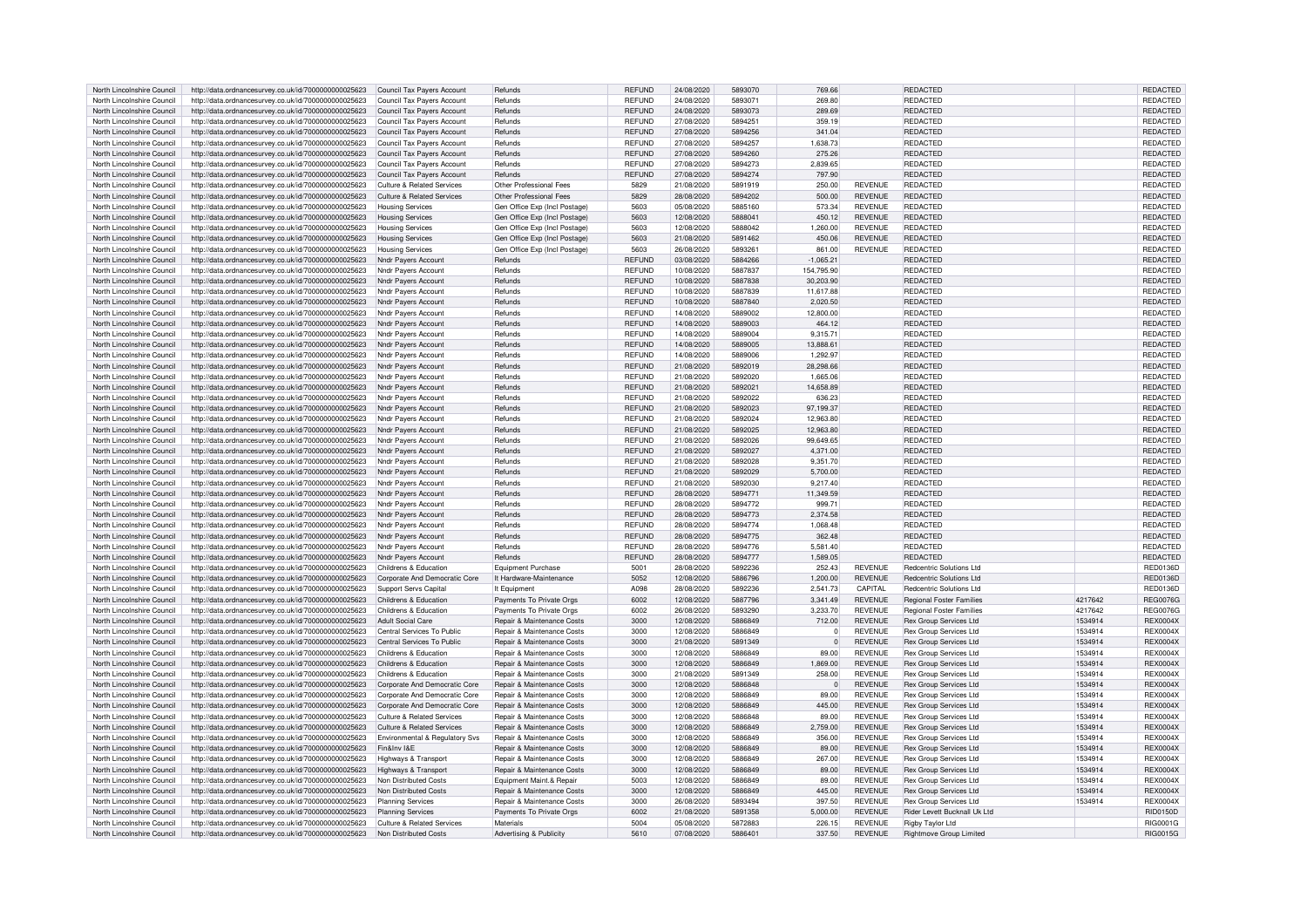| North Lincolnshire Council | http://data.ordnancesurvey.co.uk/id/7000000000025623 | Council Tax Payers Account            | Refunds                               | REFUND        | 24/08/2020 | 5893070 | 769.66      |                | REDACTED                        |         | REDACTED        |
|----------------------------|------------------------------------------------------|---------------------------------------|---------------------------------------|---------------|------------|---------|-------------|----------------|---------------------------------|---------|-----------------|
| North Lincolnshire Council | http://data.ordnancesurvey.co.uk/id/7000000000025623 | Council Tax Payers Account            | Refunds                               | REFUND        | 24/08/2020 | 5893071 | 269.80      |                | REDACTED                        |         | <b>REDACTED</b> |
|                            |                                                      |                                       |                                       |               |            |         |             |                |                                 |         |                 |
| North Lincolnshire Council | http://data.ordnancesurvey.co.uk/id/7000000000025623 | Council Tax Payers Account            | Refunds                               | <b>REFUND</b> | 24/08/2020 | 5893073 | 289.69      |                | REDACTED                        |         | <b>REDACTED</b> |
| North Lincolnshire Council | http://data.ordnancesurvey.co.uk/id/7000000000025623 | Council Tax Payers Account            | Refunds                               | REFUND        | 27/08/2020 | 5894251 | 359.19      |                | REDACTED                        |         | <b>REDACTED</b> |
| North Lincolnshire Council | http://data.ordnancesurvey.co.uk/id/7000000000025623 | Council Tax Payers Account            | Refunds                               | <b>REFUND</b> | 27/08/2020 | 5894256 | 341.04      |                | REDACTED                        |         | REDACTED        |
| North Lincolnshire Council | http://data.ordnancesurvey.co.uk/id/7000000000025623 | Council Tax Payers Account            | Refunds                               | <b>REFUND</b> | 27/08/2020 | 5894257 | 1,638.73    |                | REDACTED                        |         | REDACTED        |
|                            |                                                      |                                       |                                       |               |            |         |             |                |                                 |         |                 |
| North Lincolnshire Council | http://data.ordnancesurvey.co.uk/id/7000000000025623 | Council Tax Payers Account            | Refunds                               | REFUND        | 27/08/2020 | 5894260 | 275.26      |                | <b>REDACTED</b>                 |         | REDACTED        |
| North Lincolnshire Council | http://data.ordnancesurvey.co.uk/id/7000000000025623 | Council Tax Payers Account            | Refunds                               | <b>REFUND</b> | 27/08/2020 | 5894273 | 2.839.65    |                | <b>REDACTED</b>                 |         | <b>REDACTED</b> |
| North Lincolnshire Council | http://data.ordnancesurvey.co.uk/id/7000000000025623 | Council Tax Payers Account            | Refunds                               | <b>REFUND</b> | 27/08/2020 | 5894274 | 797.90      |                | <b>REDACTED</b>                 |         | <b>REDACTED</b> |
| North Lincolnshire Council | http://data.ordnancesurvey.co.uk/id/7000000000025623 | Culture & Related Services            | Other Professional Fees               | 5829          | 21/08/2020 | 5891919 | 250.00      | <b>REVENUE</b> | REDACTED                        |         | REDACTED        |
| North Lincolnshire Council | http://data.ordnancesurvey.co.uk/id/7000000000025623 | <b>Culture &amp; Related Services</b> | Other Professional Fees               | 5829          | 28/08/2020 | 5894202 | 500.00      | <b>REVENUE</b> | REDACTED                        |         | <b>REDACTED</b> |
|                            |                                                      |                                       |                                       |               |            |         |             |                |                                 |         |                 |
| North Lincolnshire Council | http://data.ordnancesurvey.co.uk/id/7000000000025623 | <b>Housing Services</b>               | Gen Office Exp (Incl Postage)         | 5603          | 05/08/2020 | 5885160 | 573.34      | <b>REVENUE</b> | REDACTED                        |         | REDACTED        |
| North Lincolnshire Council | http://data.ordnancesurvey.co.uk/id/7000000000025623 | <b>Housing Services</b>               | Gen Office Exp (Incl Postage)         | 5603          | 12/08/2020 | 5888041 | 450.12      | <b>REVENUE</b> | <b>REDACTED</b>                 |         | <b>REDACTED</b> |
| North Lincolnshire Council | http://data.ordnancesurvey.co.uk/id/7000000000025623 | <b>Housing Services</b>               | Gen Office Exp (Incl Postage)         | 5603          | 12/08/2020 | 5888042 | 1,260.00    | <b>REVENUE</b> | <b>REDACTED</b>                 |         | REDACTED        |
| North Lincolnshire Council | http://data.ordnancesurvey.co.uk/id/7000000000025623 | <b>Housing Services</b>               | Gen Office Exp (Incl Postage)         | 5603          | 21/08/2020 | 5891462 | 450.06      | <b>REVENUE</b> | <b>REDACTED</b>                 |         | REDACTED        |
|                            |                                                      |                                       |                                       |               |            |         |             |                |                                 |         |                 |
| North Lincolnshire Council | http://data.ordnancesurvey.co.uk/id/7000000000025623 | <b>Housing Services</b>               | Gen Office Exp (Incl Postage          | 5603          | 26/08/2020 | 5893261 | 861.00      | <b>REVENUE</b> | <b>REDACTED</b>                 |         | <b>REDACTED</b> |
| North Lincolnshire Council | http://data.ordnancesurvey.co.uk/id/7000000000025623 | Nndr Payers Account                   | Refunds                               | REFUND        | 03/08/2020 | 5884266 | $-1,065.21$ |                | <b>REDACTED</b>                 |         | REDACTED        |
| North Lincolnshire Council | http://data.ordnancesurvey.co.uk/id/7000000000025623 | Nndr Payers Account                   | Refunds                               | <b>REFUND</b> | 10/08/2020 | 5887837 | 154.795.90  |                | <b>REDACTED</b>                 |         | <b>REDACTED</b> |
| North Lincolnshire Council | http://data.ordnancesurvey.co.uk/id/7000000000025623 | Nndr Payers Account                   | Refunds                               | <b>REFUND</b> | 10/08/2020 | 5887838 | 30,203.90   |                | REDACTED                        |         | REDACTED        |
|                            |                                                      |                                       |                                       |               |            |         |             |                |                                 |         |                 |
| North Lincolnshire Council | http://data.ordnancesurvey.co.uk/id/7000000000025623 | Nndr Payers Account                   | Refunds                               | <b>REFUND</b> | 10/08/2020 | 5887839 | 11,617.88   |                | REDACTED                        |         | REDACTED        |
| North Lincolnshire Council | http://data.ordnancesurvey.co.uk/id/7000000000025623 | Nndr Payers Account                   | Refunds                               | <b>REFUND</b> | 10/08/2020 | 5887840 | 2.020.50    |                | <b>REDACTED</b>                 |         | REDACTED        |
| North Lincolnshire Council | http://data.ordnancesurvey.co.uk/id/7000000000025623 | Nndr Payers Account                   | Refunds                               | REFUND        | 14/08/2020 | 5889002 | 12,800.00   |                | REDACTED                        |         | REDACTED        |
| North Lincolnshire Council | http://data.ordnancesurvey.co.uk/id/7000000000025623 | Nndr Payers Account                   | Refunds                               | <b>REFUND</b> | 14/08/2020 | 5889003 | 464.12      |                | <b>REDACTED</b>                 |         | <b>REDACTED</b> |
| North Lincolnshire Council | http://data.ordnancesurvey.co.uk/id/7000000000025623 |                                       | Refunds                               | REFUND        | 14/08/2020 | 5889004 | 9,315.71    |                | <b>REDACTED</b>                 |         | REDACTED        |
|                            |                                                      | Nndr Payers Account                   |                                       |               |            |         |             |                |                                 |         |                 |
| North Lincolnshire Council | http://data.ordnancesurvey.co.uk/id/7000000000025623 | <b>Nndr Pavers Account</b>            | Refunds                               | <b>REFUND</b> | 14/08/2020 | 5889005 | 13,888.61   |                | REDACTED                        |         | REDACTED        |
| North Lincolnshire Council | http://data.ordnancesurvey.co.uk/id/7000000000025623 | Nndr Pavers Account                   | Refunds                               | <b>REFUND</b> | 14/08/2020 | 5889006 | 1,292.97    |                | REDACTED                        |         | REDACTED        |
| North Lincolnshire Council | http://data.ordnancesurvey.co.uk/id/7000000000025623 | Nndr Payers Account                   | Refunds                               | <b>REFUND</b> | 21/08/2020 | 5892019 | 28,298.66   |                | <b>REDACTED</b>                 |         | REDACTED        |
| North Lincolnshire Council | http://data.ordnancesurvey.co.uk/id/7000000000025623 | Nndr Payers Account                   | Refunds                               | <b>REFUND</b> | 21/08/2020 | 5892020 | 1,665.06    |                | <b>REDACTED</b>                 |         | <b>REDACTED</b> |
|                            |                                                      |                                       |                                       |               |            |         |             |                |                                 |         |                 |
| North Lincolnshire Council | http://data.ordnancesurvey.co.uk/id/7000000000025623 | Nndr Payers Account                   | Refunds                               | <b>REFUND</b> | 21/08/2020 | 5892021 | 14,658.89   |                | REDACTED                        |         | REDACTED        |
| North Lincolnshire Council | http://data.ordnancesurvey.co.uk/id/7000000000025623 | Nndr Payers Account                   | Refunds                               | <b>REFUND</b> | 21/08/2020 | 5892022 | 636.23      |                | REDACTED                        |         | REDACTED        |
| North Lincolnshire Council | http://data.ordnancesurvey.co.uk/id/7000000000025623 | Nndr Pavers Account                   | Refunds                               | <b>REFUND</b> | 21/08/2020 | 5892023 | 97,199.37   |                | REDACTED                        |         | REDACTED        |
| North Lincolnshire Council | http://data.ordnancesurvey.co.uk/id/7000000000025623 | Nndr Pavers Account                   | Refunds                               | <b>REFUND</b> | 21/08/2020 | 5892024 | 12.963.80   |                | <b>REDACTED</b>                 |         | <b>REDACTED</b> |
| North Lincolnshire Council |                                                      |                                       |                                       |               |            | 5892025 |             |                |                                 |         |                 |
|                            | http://data.ordnancesurvey.co.uk/id/7000000000025623 | Nndr Payers Account                   | Refunds                               | <b>REFUND</b> | 21/08/2020 |         | 12,963.80   |                | REDACTED                        |         | REDACTED        |
| North Lincolnshire Council | http://data.ordnancesurvey.co.uk/id/7000000000025623 | Nndr Pavers Account                   | Refunds                               | <b>REFUND</b> | 21/08/2020 | 5892026 | 99,649.65   |                | REDACTED                        |         | REDACTED        |
| North Lincolnshire Council | http://data.ordnancesurvey.co.uk/id/7000000000025623 | Nndr Payers Account                   | Refunds                               | <b>REFUND</b> | 21/08/2020 | 5892027 | 4,371.00    |                | <b>REDACTED</b>                 |         | REDACTED        |
| North Lincolnshire Council | http://data.ordnancesurvey.co.uk/id/7000000000025623 | Nndr Payers Account                   | Refunds                               | <b>REFUND</b> | 21/08/2020 | 5892028 | 9,351.70    |                | <b>REDACTED</b>                 |         | REDACTED        |
| North Lincolnshire Council | http://data.ordnancesurvey.co.uk/id/7000000000025623 | Nndr Pavers Account                   | Refunds                               | <b>REFUND</b> | 21/08/2020 | 5892029 | 5.700.00    |                | <b>REDACTED</b>                 |         | <b>REDACTED</b> |
|                            |                                                      |                                       |                                       |               |            |         |             |                |                                 |         |                 |
| North Lincolnshire Council | http://data.ordnancesurvey.co.uk/id/7000000000025623 | Nndr Payers Account                   | Refunds                               | <b>REFUND</b> | 21/08/2020 | 5892030 | 9.217.40    |                | <b>REDACTED</b>                 |         | REDACTED        |
| North Lincolnshire Council | http://data.ordnancesurvey.co.uk/id/7000000000025623 | Nndr Payers Account                   | Refunds                               | <b>REFUND</b> | 28/08/2020 | 5894771 | 11,349.59   |                | REDACTED                        |         | REDACTED        |
| North Lincolnshire Council | http://data.ordnancesurvey.co.uk/id/7000000000025623 | Nndr Pavers Accoun                    | Refunds                               | <b>REFUND</b> | 28/08/2020 | 5894772 | 999.71      |                | REDACTED                        |         | REDACTED        |
| North Lincolnshire Council | http://data.ordnancesurvey.co.uk/id/7000000000025623 | Nndr Payers Account                   | Refunds                               | REFUND        | 28/08/2020 | 5894773 | 2,374.58    |                | <b>REDACTED</b>                 |         | REDACTED        |
|                            |                                                      |                                       |                                       |               |            |         |             |                |                                 |         |                 |
| North Lincolnshire Council | http://data.ordnancesurvey.co.uk/id/7000000000025623 | Nndr Pavers Account                   | Refunds                               | <b>REFUND</b> | 28/08/2020 | 5894774 | 1,068.48    |                | REDACTED                        |         | REDACTED        |
| North Lincolnshire Council | http://data.ordnancesurvey.co.uk/id/7000000000025623 | Nndr Payers Account                   | Refunds                               | <b>REFUND</b> | 28/08/2020 | 5894775 | 362.48      |                | <b>REDACTED</b>                 |         | REDACTED        |
| North Lincolnshire Council | http://data.ordnancesurvey.co.uk/id/7000000000025623 | Nndr Payers Account                   | Refunds                               | REFUND        | 28/08/2020 | 5894776 | 5,581.40    |                | <b>REDACTED</b>                 |         | REDACTED        |
| North Lincolnshire Council | http://data.ordnancesurvey.co.uk/id/7000000000025623 | <b>Nndr Pavers Account</b>            | Refunds                               | <b>REFUND</b> | 28/08/2020 | 5894777 | 1,589.05    |                | <b>REDACTED</b>                 |         | REDACTED        |
|                            |                                                      | Childrens & Education                 |                                       | 5001          | 28/08/2020 | 5892236 | 252.43      | <b>REVENUE</b> | Redcentric Solutions Ltd        |         | <b>RED0136D</b> |
| North Lincolnshire Council | http://data.ordnancesurvey.co.uk/id/7000000000025623 |                                       | <b>Equipment Purchase</b>             |               |            |         |             |                |                                 |         |                 |
| North Lincolnshire Council | http://data.ordnancesurvey.co.uk/id/7000000000025623 | Corporate And Democratic Core         | It Hardware-Maintenance               | 5052          | 12/08/2020 | 5886796 | 1,200.00    | <b>REVENUE</b> | <b>Redcentric Solutions Ltd</b> |         | RED0136D        |
| North Lincolnshire Council | http://data.ordnancesurvey.co.uk/id/7000000000025623 | Support Servs Capital                 | It Equipment                          | A098          | 28/08/2020 | 5892236 | 2.541.73    | CAPITAL        | Redcentric Solutions Ltd        |         | <b>RED0136D</b> |
| North Lincolnshire Council | http://data.ordnancesurvey.co.uk/id/7000000000025623 | Childrens & Education                 | Payments To Private Orgs              | 6002          | 12/08/2020 | 5887796 | 3,341.49    | REVENUE        | <b>Regional Foster Families</b> | 4217642 | <b>REG0076G</b> |
| North Lincolnshire Council | http://data.ordnancesurvey.co.uk/id/7000000000025623 | Childrens & Education                 | Payments To Private Orgs              | 6002          | 26/08/2020 | 5893290 | 3,233.70    | <b>REVENUE</b> | <b>Regional Foster Families</b> | 4217642 | <b>REG0076G</b> |
|                            |                                                      | Adult Social Care                     | <b>Repair &amp; Maintenance Costs</b> | 3000          |            | 5886849 | 712.00      |                |                                 |         | <b>REX0004X</b> |
| North Lincolnshire Council | http://data.ordnancesurvey.co.uk/id/7000000000025623 |                                       |                                       |               | 12/08/2020 |         |             | <b>REVENUE</b> | Rex Group Services Ltd          | 1534914 |                 |
| North Lincolnshire Council | http://data.ordnancesurvey.co.uk/id/7000000000025623 | Central Services To Public            | <b>Repair &amp; Maintenance Costs</b> | 3000          | 12/08/2020 | 5886849 | $\Omega$    | <b>REVENUE</b> | Rex Group Services Ltd          | 1534914 | <b>REX0004X</b> |
| North Lincolnshire Council | http://data.ordnancesurvey.co.uk/id/7000000000025623 | Central Services To Public            | Repair & Maintenance Costs            | 3000          | 21/08/2020 | 5891349 | $\Omega$    | <b>REVENUE</b> | Rex Group Services Ltd          | 1534914 | <b>REX0004X</b> |
| North Lincolnshire Council | http://data.ordnancesurvey.co.uk/id/7000000000025623 | Childrens & Education                 | Repair & Maintenance Costs            | 3000          | 12/08/2020 | 5886849 | 89.00       | <b>REVENUE</b> | Rex Group Services Ltd          | 1534914 | <b>REX0004X</b> |
| North Lincolnshire Council | http://data.ordnancesurvey.co.uk/id/7000000000025623 | Childrens & Education                 | Repair & Maintenance Costs            | 3000          | 12/08/2020 | 5886849 | 1,869.00    | <b>REVENUE</b> | Rex Group Services Ltd          | 1534914 | <b>REX0004X</b> |
|                            |                                                      |                                       |                                       |               |            |         |             |                |                                 |         |                 |
| North Lincolnshire Council | http://data.ordnancesurvey.co.uk/id/7000000000025623 | Childrens & Education                 | Repair & Maintenance Costs            | 3000          | 21/08/2020 | 5891349 | 258.00      | <b>REVENUE</b> | Rex Group Services Ltd          | 1534914 | <b>REX0004X</b> |
| North Lincolnshire Council | http://data.ordnancesurvey.co.uk/id/7000000000025623 | Corporate And Democratic Core         | Repair & Maintenance Costs            | 3000          | 12/08/2020 | 5886848 | $\Omega$    | <b>REVENUE</b> | Rex Group Services Ltd          | 1534914 | <b>REX0004X</b> |
| North Lincolnshire Council | http://data.ordnancesurvey.co.uk/id/7000000000025623 | Corporate And Democratic Core         | Repair & Maintenance Costs            | 3000          | 12/08/2020 | 5886849 | 89.00       | <b>REVENUE</b> | Rex Group Services Ltd          | 1534914 | <b>REX0004X</b> |
| North Lincolnshire Council | http://data.ordnancesurvey.co.uk/id/7000000000025623 | Corporate And Democratic Core         | Repair & Maintenance Costs            | 3000          | 12/08/2020 | 5886849 | 445.00      | <b>REVENUE</b> | Rex Group Services Ltd          | 1534914 | <b>REX0004X</b> |
| North Lincolnshire Council | http://data.ordnancesurvey.co.uk/id/7000000000025623 | <b>Culture &amp; Related Services</b> | Repair & Maintenance Costs            | 3000          | 12/08/2020 | 5886848 | 89.00       | <b>REVENUE</b> | Rex Group Services Ltd          | 1534914 | <b>REX0004X</b> |
|                            |                                                      |                                       |                                       |               |            |         |             |                |                                 |         |                 |
| North Lincolnshire Council | http://data.ordnancesurvey.co.uk/id/7000000000025623 | <b>Culture &amp; Related Services</b> | Repair & Maintenance Costs            | 3000          | 12/08/2020 | 5886849 | 2,759.00    | <b>REVENUE</b> | Rex Group Services Ltd          | 1534914 | <b>REX0004X</b> |
| North Lincolnshire Council | http://data.ordnancesurvey.co.uk/id/7000000000025623 | Environmental & Regulatory Svs        | Repair & Maintenance Costs            | 3000          | 12/08/2020 | 5886849 | 356.00      | <b>REVENUE</b> | <b>Rex Group Services Ltd</b>   | 1534914 | <b>REX0004X</b> |
| North Lincolnshire Council | http://data.ordnancesurvey.co.uk/id/7000000000025623 | Fin&Inv I&F                           | Repair & Maintenance Costs            | 3000          | 12/08/2020 | 5886849 | 89.00       | <b>REVENUE</b> | Rex Group Services Ltd          | 1534914 | <b>REX0004X</b> |
| North Lincolnshire Council | http://data.ordnancesurvey.co.uk/id/7000000000025623 | Highways & Transport                  | Repair & Maintenance Costs            | 3000          | 12/08/2020 | 5886849 | 267.00      | <b>REVENUE</b> | Rex Group Services Ltd          | 1534914 | <b>REX0004X</b> |
|                            |                                                      |                                       | Repair & Maintenance Costs            |               |            |         |             |                |                                 | 1534914 | <b>REX0004X</b> |
| North Lincolnshire Council | http://data.ordnancesurvey.co.uk/id/7000000000025623 | Highways & Transport                  |                                       | 3000          | 12/08/2020 | 5886849 | 89.00       | <b>REVENUE</b> | Rex Group Services Ltd          |         |                 |
| North Lincolnshire Council | http://data.ordnancesurvey.co.uk/id/7000000000025623 | Non Distributed Costs                 | Equipment Maint.& Repair              | 5003          | 12/08/2020 | 5886849 | 89.00       | <b>REVENUE</b> | Rex Group Services Ltd          | 1534914 | <b>REX0004X</b> |
| North Lincolnshire Council | http://data.ordnancesurvey.co.uk/id/7000000000025623 | Non Distributed Costs                 | Repair & Maintenance Costs            | 3000          | 12/08/2020 | 5886849 | 445.00      | <b>REVENUE</b> | Rex Group Services Ltd          | 1534914 | <b>REX0004X</b> |
| North Lincolnshire Council | http://data.ordnancesurvey.co.uk/id/7000000000025623 | <b>Planning Services</b>              | Repair & Maintenance Costs            | 3000          | 26/08/2020 | 5893494 | 397.50      | <b>REVENUE</b> | Rex Group Services Ltd          | 1534914 | <b>REX0004X</b> |
| North Lincolnshire Council | http://data.ordnancesurvey.co.uk/id/7000000000025623 | <b>Planning Services</b>              | Payments To Private Orgs              | 6002          | 21/08/2020 | 5891358 | 5,000.00    | <b>REVENUE</b> | Rider Levett Bucknall Uk Ltd    |         | RID0150D        |
|                            |                                                      | Culture & Related Services            | Materials                             | 5004          | 05/08/2020 | 5872883 | 226.15      |                |                                 |         |                 |
| North Lincolnshire Council | http://data.ordnancesurvey.co.uk/id/7000000000025623 |                                       |                                       |               |            |         |             | <b>REVENUE</b> | Rigby Taylor Ltd                |         | RIG0001G        |
| North Lincolnshire Council | http://data.ordnancesurvey.co.uk/id/7000000000025623 | Non Distributed Costs                 | Advertising & Publicity               | 5610          | 07/08/2020 | 5886401 | 337.50      | <b>REVENUE</b> | <b>Rightmove Group Limited</b>  |         | RIG0015G        |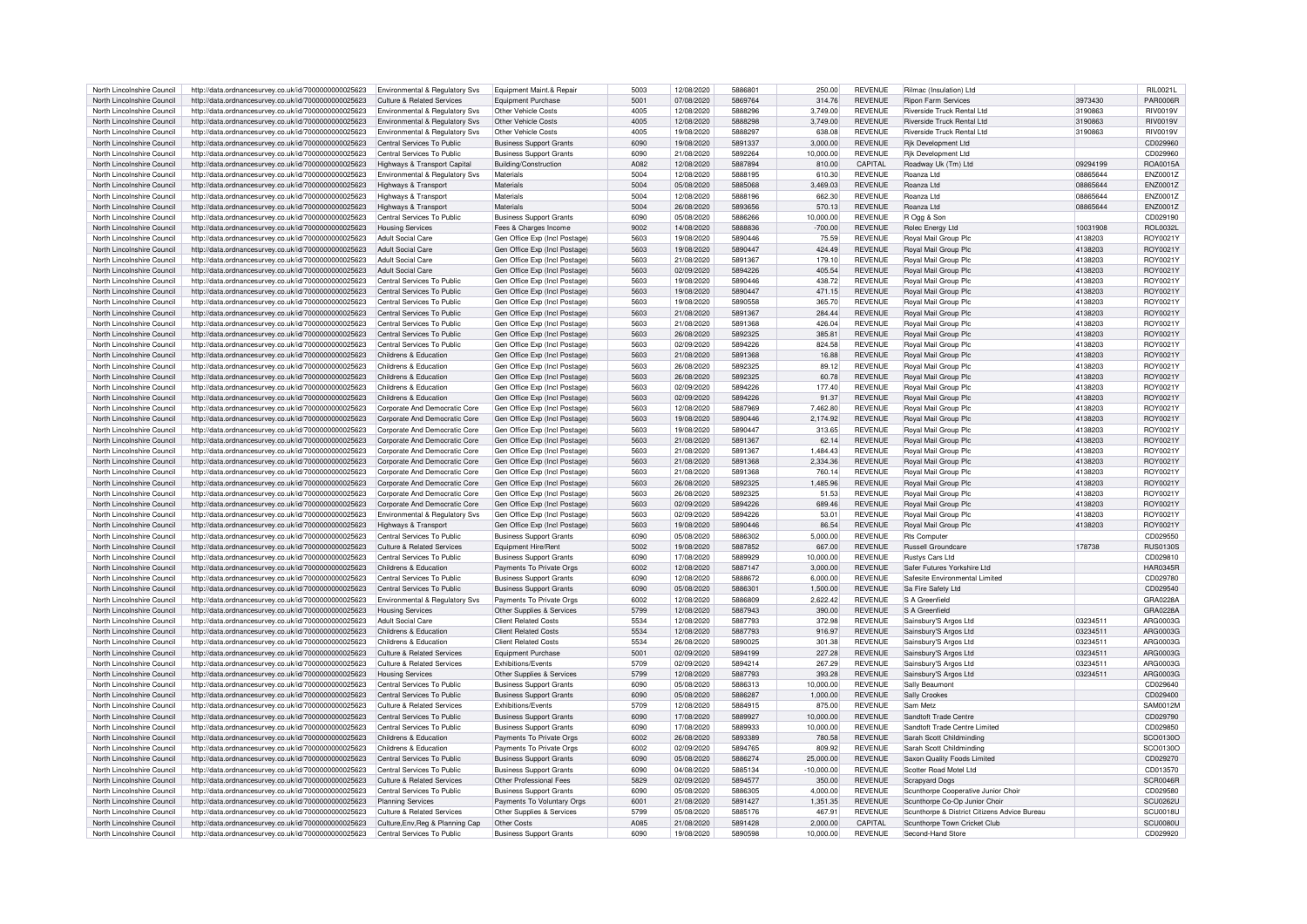| North Lincolnshire Council | http://data.ordnancesurvey.co.uk/id/7000000000025623 | Environmental & Regulatory Svs        | Equipment Maint.& Repair       | 5003 | 12/08/2020 | 5886801 | 250.00       | <b>REVENUE</b> | Rilmac (Insulation) Ltd                      |          | RII 0021I       |
|----------------------------|------------------------------------------------------|---------------------------------------|--------------------------------|------|------------|---------|--------------|----------------|----------------------------------------------|----------|-----------------|
|                            |                                                      |                                       |                                |      |            |         |              |                |                                              |          |                 |
| North Lincolnshire Council | http://data.ordnancesurvey.co.uk/id/7000000000025623 | Culture & Related Services            | <b>Foujoment Purchase</b>      | 5001 | 07/08/2020 | 5869764 | 314.76       | <b>REVENUE</b> | <b>Rinon Farm Services</b>                   | 3973430  | <b>PAR0006R</b> |
| North Lincolnshire Council | http://data.ordnancesurvey.co.uk/id/7000000000025623 | Environmental & Regulatory Sys        | Other Vehicle Costs            | 4005 | 12/08/2020 | 5888296 | 3,749.00     | <b>REVENUE</b> | Riverside Truck Rental Ltd                   | 3190863  | <b>RIV0019V</b> |
| North Lincolnshire Council | http://data.ordnancesurvey.co.uk/id/7000000000025623 | Environmental & Regulatory Svs        | Other Vehicle Costs            | 4005 | 12/08/2020 | 5888298 | 3,749.00     | <b>REVENUE</b> | <b>Riverside Truck Rental Ltd</b>            | 3190863  | <b>RIV0019V</b> |
| North Lincolnshire Council | http://data.ordnancesurvey.co.uk/id/7000000000025623 | Environmental & Regulatory Svs        | Other Vehicle Costs            | 4005 | 19/08/2020 | 5888297 | 638.08       | <b>REVENUE</b> | Riverside Truck Rental Ltd                   | 3190863  | <b>RIV0019V</b> |
|                            |                                                      |                                       |                                |      |            |         |              |                |                                              |          |                 |
| North Lincolnshire Council | http://data.ordnancesurvey.co.uk/id/7000000000025623 | Central Services To Public            | <b>Business Support Grants</b> | 6090 | 19/08/2020 | 5891337 | 3.000.00     | <b>REVENUE</b> | <b>Rik Development Ltd</b>                   |          | CD029960        |
| North Lincolnshire Council | http://data.ordnancesurvey.co.uk/id/7000000000025623 | Central Services To Public            | <b>Business Support Grants</b> | 6090 | 21/08/2020 | 5892264 | 10.000.00    | <b>REVENUE</b> | Rik Development Ltd                          |          | CD029960        |
| North Lincolnshire Council | http://data.ordnancesurvey.co.uk/id/7000000000025623 | Highways & Transport Capital          | Building/Construction          | A082 | 12/08/2020 | 5887894 | 810.00       | CAPITAL        | Roadway Uk (Tm) Ltd                          | 09294199 | <b>ROA0015A</b> |
| North Lincolnshire Council |                                                      |                                       | Materials                      | 5004 | 12/08/2020 | 5888195 | 610.30       |                | Roanza I td                                  | 08865644 |                 |
|                            | http://data.ordnancesurvey.co.uk/id/7000000000025623 | Environmental & Regulatory Svs        |                                |      |            |         |              | <b>REVENUE</b> |                                              |          | ENZ0001Z        |
| North Lincolnshire Council | http://data.ordnancesurvey.co.uk/id/7000000000025623 | Highways & Transport                  | Materials                      | 5004 | 05/08/2020 | 5885068 | 3,469.03     | <b>REVENUE</b> | Roanza Ltd                                   | 08865644 | ENZ0001Z        |
| North Lincolnshire Council | http://data.ordnancesurvey.co.uk/id/7000000000025623 | Highways & Transport                  | Materials                      | 5004 | 12/08/2020 | 5888196 | 662.30       | <b>REVENUE</b> | Roanza Ltd                                   | 08865644 | ENZ0001Z        |
| North Lincolnshire Council | http://data.ordnancesurvey.co.uk/id/7000000000025623 | Highways & Transport                  | Materials                      | 5004 | 26/08/2020 | 5893656 | 570.13       | <b>REVENUE</b> | Roanza Ltd                                   | 08865644 | ENZ0001Z        |
|                            |                                                      |                                       |                                |      |            |         |              |                |                                              |          |                 |
| North Lincolnshire Council | http://data.ordnancesurvey.co.uk/id/7000000000025623 | Central Services To Public            | <b>Business Support Grants</b> | 6090 | 05/08/2020 | 5886266 | 10.000.00    | <b>REVENUE</b> | R Ogg & Son                                  |          | CD029190        |
| North Lincolnshire Council | http://data.ordnancesurvey.co.uk/id/7000000000025623 | <b>Housing Services</b>               | Fees & Charges Income          | 9002 | 14/08/2020 | 5888836 | $-700.00$    | <b>REVENUE</b> | Rolec Energy Ltd                             | 10031908 | ROL0032L        |
| North Lincolnshire Council | http://data.ordnancesurvey.co.uk/id/7000000000025623 | Adult Social Care                     | Gen Office Exp (Incl Postage)  | 5603 | 19/08/2020 | 5890446 | 75.59        | <b>REVENUE</b> | Royal Mail Group Plc                         | 4138203  | ROY0021Y        |
|                            |                                                      |                                       |                                |      |            |         |              |                |                                              |          |                 |
| North Lincolnshire Council | http://data.ordnancesurvey.co.uk/id/7000000000025623 | <b>Adult Social Care</b>              | Gen Office Exp (Incl Postage)  | 5603 | 19/08/2020 | 5890447 | 424.49       | <b>REVENUE</b> | Royal Mail Group Plc                         | 4138203  | ROY0021Y        |
| North Lincolnshire Council | http://data.ordnancesurvey.co.uk/id/7000000000025623 | <b>Adult Social Care</b>              | Gen Office Exp (Incl Postage)  | 5603 | 21/08/2020 | 5891367 | 179.10       | <b>REVENUE</b> | <b>Royal Mail Group Plc</b>                  | 4138203  | ROY0021Y        |
| North Lincolnshire Council | http://data.ordnancesurvey.co.uk/id/7000000000025623 | <b>Adult Social Care</b>              | Gen Office Exp (Incl Postage)  | 5603 | 02/09/2020 | 5894226 | 405.54       | <b>REVENUE</b> | Royal Mail Group Plc                         | 4138203  | ROY0021Y        |
|                            |                                                      |                                       |                                |      |            | 5890446 |              |                |                                              |          |                 |
| North Lincolnshire Council | http://data.ordnancesurvey.co.uk/id/7000000000025623 | Central Services To Public            | Gen Office Exp (Incl Postage)  | 5603 | 19/08/2020 |         | 438.72       | <b>REVENUE</b> | Royal Mail Group Plc                         | 4138203  | ROY0021Y        |
| North Lincolnshire Council | http://data.ordnancesurvey.co.uk/id/7000000000025623 | Central Services To Public            | Gen Office Exp (Incl Postage)  | 5603 | 19/08/2020 | 5890447 | 471.15       | <b>REVENUE</b> | Royal Mail Group Plc                         | 4138203  | ROY0021Y        |
| North Lincolnshire Council | http://data.ordnancesurvey.co.uk/id/7000000000025623 | Central Services To Public            | Gen Office Exp (Incl Postage)  | 5603 | 19/08/2020 | 5890558 | 365.70       | <b>REVENUE</b> | Royal Mail Group Plc                         | 4138203  | ROY0021Y        |
| North Lincolnshire Council | http://data.ordnancesurvey.co.uk/id/7000000000025623 | Central Services To Public            | Gen Office Exp (Incl Postage)  | 5603 | 21/08/2020 | 5891367 | 284.44       | <b>REVENUE</b> | Royal Mail Group Plc                         | 4138203  | ROY0021Y        |
|                            |                                                      |                                       |                                |      |            |         |              |                |                                              |          |                 |
| North Lincolnshire Council | http://data.ordnancesurvey.co.uk/id/7000000000025623 | Central Services To Public            | Gen Office Exp (Incl Postage)  | 5603 | 21/08/2020 | 5891368 | 426.04       | <b>REVENUE</b> | Royal Mail Group Plc                         | 4138203  | ROY0021Y        |
| North Lincolnshire Council | http://data.ordnancesurvey.co.uk/id/7000000000025623 | Central Services To Public            | Gen Office Exp (Incl Postage)  | 5603 | 26/08/2020 | 5892325 | 385.81       | <b>REVENUE</b> | Royal Mail Group Plc                         | 4138203  | ROY0021Y        |
| North Lincolnshire Council | http://data.ordnancesurvey.co.uk/id/7000000000025623 | Central Services To Public            | Gen Office Exp (Incl Postage)  | 5603 | 02/09/2020 | 5894226 | 824.58       | <b>REVENUE</b> | Roval Mail Group Plc                         | 4138203  | ROY0021Y        |
|                            |                                                      |                                       |                                |      |            |         |              |                |                                              |          |                 |
| North Lincolnshire Council | http://data.ordnancesurvey.co.uk/id/7000000000025623 | Childrens & Education                 | Gen Office Exp (Incl Postage)  | 5603 | 21/08/2020 | 5891368 | 16.88        | <b>REVENUE</b> | Royal Mail Group Plc                         | 4138203  | ROY0021Y        |
| North Lincolnshire Council | http://data.ordnancesurvey.co.uk/id/7000000000025623 | Childrens & Education                 | Gen Office Exp (Incl Postage)  | 5603 | 26/08/2020 | 5892325 | 89.12        | <b>REVENUE</b> | Roval Mail Group Plc                         | 4138203  | ROY0021Y        |
| North Lincolnshire Council | http://data.ordnancesurvey.co.uk/id/7000000000025623 | Childrens & Education                 | Gen Office Exp (Incl Postage)  | 5603 | 26/08/2020 | 5892325 | 60.78        | <b>REVENUE</b> | Royal Mail Group Plc                         | 4138203  | ROY0021Y        |
|                            |                                                      |                                       |                                |      |            |         |              |                |                                              |          |                 |
| North Lincolnshire Council | http://data.ordnancesurvey.co.uk/id/7000000000025623 | Childrens & Education                 | Gen Office Exp (Incl Postage)  | 5603 | 02/09/2020 | 5894226 | 177.40       | <b>REVENUE</b> | Royal Mail Group Plc                         | 4138203  | ROY0021Y        |
| North Lincolnshire Council | http://data.ordnancesurvey.co.uk/id/7000000000025623 | Childrens & Education                 | Gen Office Exp (Incl Postage)  | 5603 | 02/09/2020 | 5894226 | 91.37        | <b>REVENUE</b> | Royal Mail Group Plc                         | 4138203  | ROY0021Y        |
| North Lincolnshire Council | http://data.ordnancesurvey.co.uk/id/7000000000025623 | Corporate And Democratic Core         | Gen Office Exp (Incl Postage)  | 5603 | 12/08/2020 | 5887969 | 7,462.80     | <b>REVENUE</b> | Royal Mail Group Plc                         | 4138203  | ROY0021Y        |
| North Lincolnshire Council |                                                      |                                       |                                | 5603 | 19/08/2020 | 5890446 | 2.174.92     | <b>REVENUE</b> |                                              |          | ROY0021Y        |
|                            | http://data.ordnancesurvey.co.uk/id/7000000000025623 | Corporate And Democratic Core         | Gen Office Exp (Incl Postage)  |      |            |         |              |                | Royal Mail Group Plc                         | 4138203  |                 |
| North Lincolnshire Council | http://data.ordnancesurvey.co.uk/id/7000000000025623 | Corporate And Democratic Core         | Gen Office Exp (Incl Postage)  | 5603 | 19/08/2020 | 5890447 | 313.65       | <b>REVENUE</b> | Royal Mail Group Plc                         | 4138203  | ROY0021Y        |
| North Lincolnshire Council | http://data.ordnancesurvey.co.uk/id/7000000000025623 | Corporate And Democratic Core         | Gen Office Exp (Incl Postage)  | 5603 | 21/08/2020 | 5891367 | 62.14        | <b>REVENUE</b> | Royal Mail Group Plc                         | 4138203  | ROY0021Y        |
| North Lincolnshire Council | http://data.ordnancesurvey.co.uk/id/7000000000025623 | Corporate And Democratic Core         | Gen Office Exp (Incl Postage)  | 5603 | 21/08/2020 | 5891367 | 1,484.43     | <b>REVENUE</b> | Royal Mail Group Plc                         | 4138203  | ROY0021Y        |
|                            |                                                      |                                       |                                |      |            |         |              |                |                                              |          |                 |
| North Lincolnshire Council | http://data.ordnancesurvey.co.uk/id/7000000000025623 | Corporate And Democratic Core         | Gen Office Exp (Incl Postage)  | 5603 | 21/08/2020 | 5891368 | 2,334.36     | <b>REVENUE</b> | Royal Mail Group Plc                         | 4138203  | ROY0021Y        |
| North Lincolnshire Council | http://data.ordnancesurvey.co.uk/id/7000000000025623 | Corporate And Democratic Core         | Gen Office Exp (Incl Postage)  | 5603 | 21/08/2020 | 5891368 | 760.14       | <b>REVENUE</b> | <b>Royal Mail Group Plc</b>                  | 4138203  | ROY0021Y        |
| North Lincolnshire Council | http://data.ordnancesurvey.co.uk/id/7000000000025623 | Corporate And Democratic Core         | Gen Office Exp (Incl Postage)  | 5603 | 26/08/2020 | 5892325 | 1.485.96     | <b>REVENUE</b> | Royal Mail Group Plc                         | 4138203  | ROY0021Y        |
|                            |                                                      |                                       |                                | 5603 |            |         |              |                |                                              |          |                 |
| North Lincolnshire Council | http://data.ordnancesurvey.co.uk/id/7000000000025623 | Corporate And Democratic Core         | Gen Office Exp (Incl Postage)  |      | 26/08/2020 | 5892325 | 51.53        | <b>REVENUE</b> | Royal Mail Group Plc                         | 4138203  | ROY0021Y        |
| North Lincolnshire Council | http://data.ordnancesurvey.co.uk/id/7000000000025623 | Corporate And Democratic Core         | Gen Office Exp (Incl Postage)  | 5603 | 02/09/2020 | 5894226 | 689.46       | <b>REVENUE</b> | Royal Mail Group Plc                         | 4138203  | ROY0021Y        |
| North Lincolnshire Council | http://data.ordnancesurvey.co.uk/id/7000000000025623 | Environmental & Regulatory Svs        | Gen Office Exp (Incl Postage)  | 5603 | 02/09/2020 | 5894226 | 53.01        | <b>REVENUE</b> | Royal Mail Group Plc                         | 4138203  | ROY0021Y        |
| North Lincolnshire Council | http://data.ordnancesurvey.co.uk/id/7000000000025623 | Highways & Transport                  | Gen Office Exp (Incl Postage)  | 5603 | 19/08/2020 | 5890446 | 86.54        | <b>REVENUE</b> | Roval Mail Group Plc                         | 4138203  | ROY0021Y        |
|                            |                                                      |                                       |                                |      |            |         |              |                |                                              |          |                 |
| North Lincolnshire Council | http://data.ordnancesurvey.co.uk/id/7000000000025623 | Central Services To Public            | <b>Business Support Grants</b> | 6090 | 05/08/2020 | 5886302 | 5,000.00     | <b>REVENUE</b> | <b>Rts Compute</b>                           |          | CD029550        |
| North Lincolnshire Council | http://data.ordnancesurvey.co.uk/id/7000000000025623 | <b>Culture &amp; Related Services</b> | Equipment Hire/Ren             | 5002 | 19/08/2020 | 5887852 | 667.00       | <b>REVENUE</b> | Russell Groundcare                           | 178738   | <b>RUS0130S</b> |
| North Lincolnshire Council | http://data.ordnancesurvey.co.uk/id/7000000000025623 | Central Services To Public            | <b>Business Support Grants</b> | 6090 | 17/08/2020 | 5889929 | 10.000.00    | <b>REVENUE</b> | <b>Rustys Cars Ltd</b>                       |          | CD029810        |
|                            |                                                      |                                       |                                |      |            |         |              |                |                                              |          |                 |
| North Lincolnshire Council | http://data.ordnancesurvey.co.uk/id/7000000000025623 | Childrens & Education                 | Payments To Private Orgs       | 6002 | 12/08/2020 | 5887147 | 3,000.00     | <b>REVENUE</b> | Safer Futures Yorkshire Ltd                  |          | <b>HAR0345R</b> |
| North Lincolnshire Council | http://data.ordnancesurvey.co.uk/id/7000000000025623 | Central Services To Public            | <b>Business Support Grants</b> | 6090 | 12/08/2020 | 5888672 | 6.000.00     | <b>REVENUE</b> | Safesite Environmental Limited               |          | CD029780        |
| North Lincolnshire Council | http://data.ordnancesurvey.co.uk/id/7000000000025623 | Central Services To Public            | <b>Business Support Grants</b> | 6090 | 05/08/2020 | 5886301 | 1,500.00     | <b>REVENUE</b> | Sa Fire Safety Ltd                           |          | CD029540        |
| North Lincolnshire Council | http://data.ordnancesurvey.co.uk/id/7000000000025623 | Environmental & Regulatory Svs        | Payments To Private Orgs       | 6002 | 12/08/2020 | 5886809 | 2,622.42     | <b>REVENUE</b> | S A Greenfield                               |          | GRA0228A        |
|                            |                                                      |                                       |                                |      |            |         |              |                |                                              |          |                 |
| North Lincolnshire Council | http://data.ordnancesurvey.co.uk/id/7000000000025623 | Housing Services                      | Other Supplies & Services      | 5799 | 12/08/2020 | 5887943 | 390.00       | <b>REVENUE</b> | S A Greenfield                               |          | GRA0228A        |
| North Lincolnshire Council | http://data.ordnancesurvey.co.uk/id/7000000000025623 | Adult Social Care                     | <b>Client Related Costs</b>    | 5534 | 12/08/2020 | 5887793 | 372.98       | <b>REVENUE</b> | Sainsbury'S Argos Ltd                        | 03234511 | ARG0003G        |
| North Lincolnshire Council | http://data.ordnancesurvey.co.uk/id/7000000000025623 | Childrens & Education                 | <b>Client Related Costs</b>    | 5534 | 12/08/2020 | 5887793 | 916.97       | <b>REVENUE</b> | Sainsbury'S Argos Ltd                        | 03234511 | ARG0003G        |
|                            |                                                      |                                       |                                |      |            |         |              |                |                                              |          |                 |
| North Lincolnshire Council | http://data.ordnancesurvey.co.uk/id/7000000000025623 | Childrens & Education                 | <b>Client Related Costs</b>    | 5534 | 26/08/2020 | 5890025 | 301.38       | <b>REVENUE</b> | Sainsbury'S Argos Ltd                        | 03234511 | ABG0003G        |
| North Lincolnshire Council | http://data.ordnancesurvey.co.uk/id/7000000000025623 | <b>Culture &amp; Related Services</b> | <b>Equipment Purchase</b>      | 5001 | 02/09/2020 | 5894199 | 227.28       | <b>REVENUE</b> | Sainsbury'S Argos Ltd                        | 03234511 | ARG0003G        |
| North Lincolnshire Council | http://data.ordnancesurvey.co.uk/id/7000000000025623 | <b>Culture &amp; Related Services</b> | Exhibitions/Events             | 5709 | 02/09/2020 | 5894214 | 267.29       | <b>REVENUE</b> | Sainsbury'S Argos Ltd                        | 03234511 | ARG0003G        |
| North Lincolnshire Council | http://data.ordnancesurvey.co.uk/id/7000000000025623 | <b>Housing Services</b>               | Other Supplies & Services      | 5799 | 12/08/2020 | 5887793 | 393.28       | <b>REVENUE</b> | Sainsbury'S Argos Ltd                        | 03234511 | ABG0003G        |
|                            |                                                      |                                       |                                |      |            |         |              |                |                                              |          |                 |
| North Lincolnshire Council | http://data.ordnancesurvey.co.uk/id/7000000000025623 | Central Services To Public            | <b>Business Support Grants</b> | 6090 | 05/08/2020 | 5886313 | 10.000.00    | <b>REVENUE</b> | Sally Beaumont                               |          | CD029640        |
| North Lincolnshire Council | http://data.ordnancesurvey.co.uk/id/7000000000025623 | Central Services To Public            | <b>Business Support Grants</b> | 6090 | 05/08/2020 | 5886287 | 1,000.00     | <b>REVENUE</b> | Sally Crookes                                |          | CD029400        |
| North Lincolnshire Council | http://data.ordnancesurvey.co.uk/id/7000000000025623 | <b>Culture &amp; Related Services</b> | Exhibitions/Events             | 5709 | 12/08/2020 | 5884915 | 875.00       | <b>REVENUE</b> | Sam Metz                                     |          | SAM0012M        |
| North Lincolnshire Council | http://data.ordnancesurvey.co.uk/id/7000000000025623 | Central Services To Public            | <b>Business Support Grants</b> | 6090 | 17/08/2020 | 5889927 | 10,000.00    | <b>REVENUE</b> | Sandtoft Trade Centre                        |          | CD029790        |
|                            |                                                      |                                       |                                |      |            |         |              |                |                                              |          |                 |
| North Lincolnshire Council | http://data.ordnancesurvey.co.uk/id/7000000000025623 | Central Services To Public            | <b>Business Support Grants</b> | 6090 | 17/08/2020 | 5889933 | 10,000.00    | <b>REVENUE</b> | Sandtoft Trade Centre Limited                |          | CD029850        |
| North Lincolnshire Council | http://data.ordnancesurvey.co.uk/id/7000000000025623 | Childrens & Education                 | Payments To Private Orgs       | 6002 | 26/08/2020 | 5893389 | 780.58       | <b>REVENUE</b> | Sarah Scott Childminding                     |          | SCO0130O        |
| North Lincolnshire Council | http://data.ordnancesurvey.co.uk/id/7000000000025623 | Childrens & Education                 | Payments To Private Orgs       | 6002 | 02/09/2020 | 5894765 | 809.92       | <b>REVENUE</b> | Sarah Scott Childminding                     |          | SCO0130O        |
|                            |                                                      |                                       |                                |      |            |         |              |                |                                              |          |                 |
| North Lincolnshire Council | http://data.ordnancesurvey.co.uk/id/7000000000025623 | Central Services To Public            | <b>Business Support Grants</b> | 6090 | 05/08/2020 | 5886274 | 25,000.00    | <b>REVENUE</b> | Saxon Quality Foods Limited                  |          | CD029270        |
| North Lincolnshire Council | http://data.ordnancesurvey.co.uk/id/7000000000025623 | Central Services To Public            | <b>Business Support Grants</b> | 6090 | 04/08/2020 | 5885134 | $-10,000,00$ | <b>REVENUE</b> | Scotter Road Motel Ltd                       |          | CD013570        |
| North Lincolnshire Council | http://data.ordnancesurvey.co.uk/id/7000000000025623 | <b>Culture &amp; Related Services</b> | Other Professional Fees        | 5829 | 02/09/2020 | 5894577 | 350.00       | <b>REVENUE</b> | <b>Scrapyard Dogs</b>                        |          | SCR0046R        |
| North Lincolnshire Council | http://data.ordnancesurvey.co.uk/id/7000000000025623 | Central Services To Public            | <b>Business Support Grants</b> | 6090 | 05/08/2020 | 5886305 | 4.000.00     | <b>REVENUE</b> | Scunthorne Cooperative Junior Choir          |          | CD029580        |
|                            |                                                      |                                       |                                |      |            |         |              |                |                                              |          |                 |
| North Lincolnshire Council | http://data.ordnancesurvey.co.uk/id/7000000000025623 | <b>Planning Services</b>              | Payments To Voluntary Orgs     | 6001 | 21/08/2020 | 5891427 | 1,351.35     | <b>REVENUE</b> | Scunthorpe Co-Op Junior Choir                |          | <b>SCU0262U</b> |
| North Lincolnshire Council | http://data.ordnancesurvey.co.uk/id/7000000000025623 | <b>Culture &amp; Related Services</b> | Other Supplies & Services      | 5799 | 05/08/2020 | 5885176 | 467.91       | <b>REVENUE</b> | Scunthorpe & District Citizens Advice Bureau |          | <b>SCU0018U</b> |
| North Lincolnshire Council | http://data.ordnancesurvey.co.uk/id/7000000000025623 | Culture Env. Reg & Planning Cap       | Other Costs                    | A085 | 21/08/2020 | 5891428 | 2,000.00     | CAPITAL        | Scunthorpe Town Cricket Club                 |          | SCU0080U        |
| North Lincolnshire Council |                                                      | Central Services To Public            |                                | 6090 | 19/08/2020 | 5890598 | 10.000.00    | <b>REVENUE</b> | Second-Hand Store                            |          | CD029920        |
|                            | http://data.ordnancesurvey.co.uk/id/7000000000025623 |                                       | <b>Business Support Grants</b> |      |            |         |              |                |                                              |          |                 |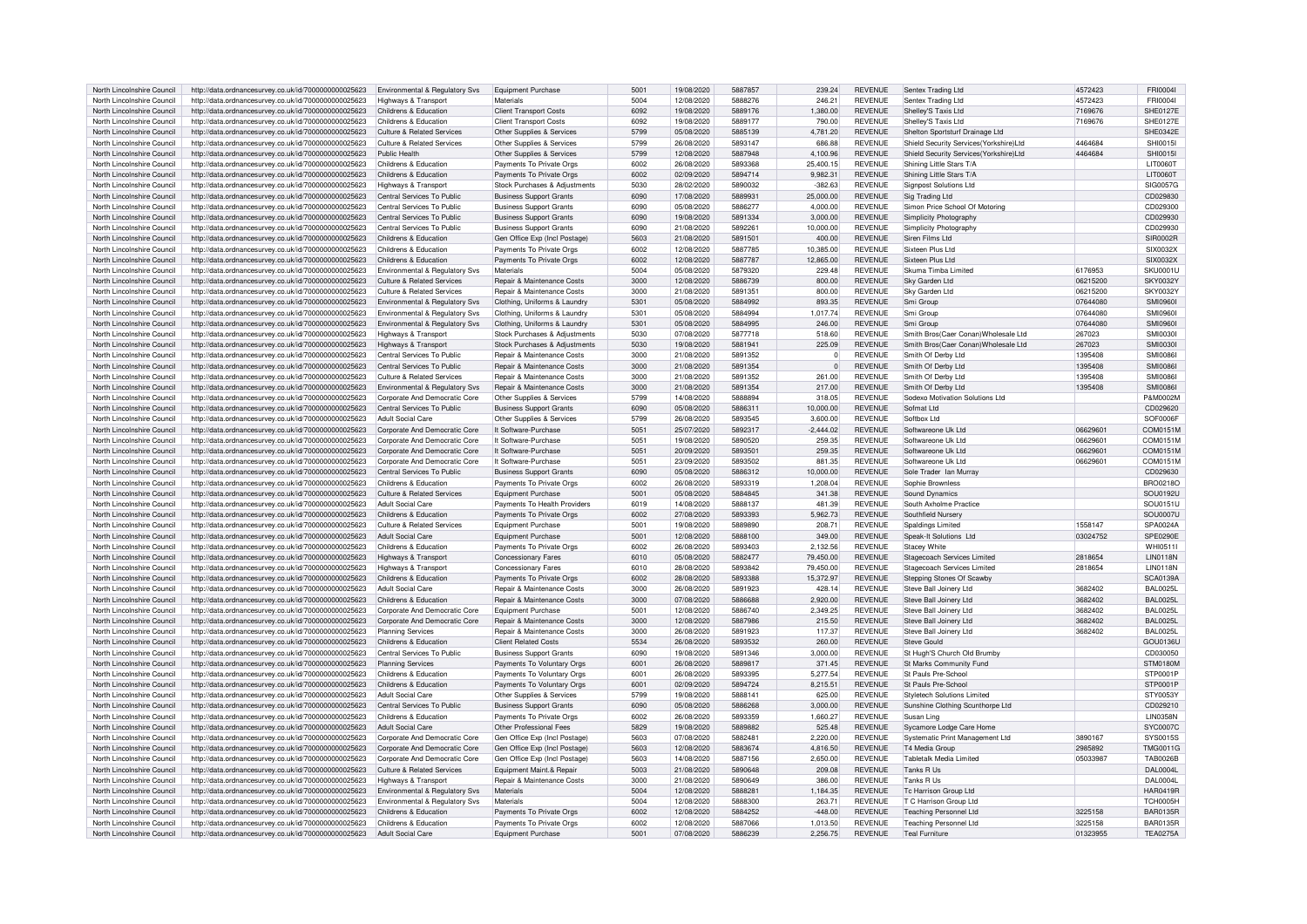| North Lincolnshire Council | http://data.ordnancesurvey.co.uk/id/7000000000025623 | Environmental & Regulatory Svs        | <b>Equipment Purchase</b>             | 5001 | 19/08/2020 | 5887857 | 239.24      | <b>REVENUE</b> | Sentex Trading Ltd                     | 4572423  | FRI0004          |
|----------------------------|------------------------------------------------------|---------------------------------------|---------------------------------------|------|------------|---------|-------------|----------------|----------------------------------------|----------|------------------|
| North Lincolnshire Council | http://data.ordnancesurvey.co.uk/id/7000000000025623 | Highways & Transport                  | Materials                             | 5004 | 12/08/2020 | 5888276 | 246.21      | <b>REVENUE</b> | Sentex Trading Ltd                     | 4572423  | FRI00041         |
| North Lincolnshire Council | http://data.ordnancesurvey.co.uk/id/7000000000025623 | Childrens & Education                 | <b>Client Transport Costs</b>         | 6092 | 19/08/2020 | 5889176 | 1,380.00    | <b>REVENUE</b> | Shelley'S Taxis Ltd                    | 7169676  | <b>SHE0127E</b>  |
| North Lincolnshire Council | http://data.ordnancesurvey.co.uk/id/7000000000025623 | Childrens & Education                 | <b>Client Transport Costs</b>         | 6092 | 19/08/2020 | 5889177 | 790.00      | <b>REVENUE</b> | Shelley'S Taxis Ltd                    | 7169676  | <b>SHF0127E</b>  |
| North Lincolnshire Council | http://data.ordnancesurvey.co.uk/id/7000000000025623 | <b>Culture &amp; Related Services</b> | Other Supplies & Services             | 5799 | 05/08/2020 | 5885139 | 4,781.20    | <b>REVENUE</b> | Shelton Sportsturf Drainage Ltd        |          | SHE0342E         |
| North Lincolnshire Council | http://data.ordnancesurvey.co.uk/id/7000000000025623 | Culture & Related Services            | Other Supplies & Services             | 5799 | 26/08/2020 | 5893147 | 686.88      | <b>REVENUE</b> | Shield Security Services(Yorkshire)Ltd | 4464684  | <b>SHI0015</b>   |
| North Lincolnshire Council | http://data.ordnancesurvey.co.uk/id/7000000000025623 | Public Health                         | Other Supplies & Services             | 5799 | 12/08/2020 | 5887948 | 4.100.96    | <b>REVENUE</b> | Shield Security Services(Yorkshire)Ltd | 4464684  | <b>SHI0015I</b>  |
| North Lincolnshire Council | http://data.ordnancesurvey.co.uk/id/7000000000025623 | Childrens & Education                 | Payments To Private Orgs              | 6002 | 26/08/2020 | 5893368 | 25.400.15   | <b>REVENUE</b> | Shining Little Stars T/A               |          | LIT0060T         |
|                            |                                                      |                                       |                                       |      |            |         |             |                |                                        |          |                  |
| North Lincolnshire Council | http://data.ordnancesurvey.co.uk/id/7000000000025623 | Childrens & Education                 | Payments To Private Orgs              | 6002 | 02/09/2020 | 5894714 | 9,982.31    | <b>REVENUE</b> | Shining Little Stars T/A               |          | LIT0060T         |
| North Lincolnshire Council | http://data.ordnancesurvey.co.uk/id/7000000000025623 | Highways & Transport                  | Stock Purchases & Adjustments         | 5030 | 28/02/2020 | 5890032 | $-382.63$   | <b>REVENUE</b> | <b>Signpost Solutions Ltd</b>          |          | SIG0057G         |
| North Lincolnshire Council | http://data.ordnancesurvey.co.uk/id/7000000000025623 | Central Services To Public            | <b>Business Support Grants</b>        | 6090 | 17/08/2020 | 5889931 | 25,000.00   | <b>REVENUE</b> | Sig Trading Ltd                        |          | CD029830         |
| North Lincolnshire Council | http://data.ordnancesurvey.co.uk/id/7000000000025623 | Central Services To Public            | <b>Business Support Grants</b>        | 6090 | 05/08/2020 | 5886277 | 4.000.00    | <b>REVENUE</b> | Simon Price School Of Motoring         |          | CD029300         |
| North Lincolnshire Council | http://data.ordnancesurvey.co.uk/id/7000000000025623 | Central Services To Public            | <b>Business Support Grants</b>        | 6090 | 19/08/2020 | 5891334 | 3.000.00    | <b>REVENUE</b> | Simplicity Photography                 |          | CD029930         |
| North Lincolnshire Council | http://data.ordnancesurvey.co.uk/id/7000000000025623 | Central Services To Public            | <b>Business Support Grants</b>        | 6090 | 21/08/2020 | 589226  | 10.000.00   | <b>REVENUE</b> | Simplicity Photography                 |          | CD029930         |
| North Lincolnshire Council | http://data.ordnancesurvey.co.uk/id/7000000000025623 | Childrens & Education                 | Gen Office Exp (Incl Postage)         | 5603 | 21/08/2020 | 589150  | 400.00      | <b>REVENUE</b> | Siren Films Ltd                        |          | SIR0002F         |
| North Lincolnshire Council | http://data.ordnancesurvey.co.uk/id/7000000000025623 | Childrens & Education                 | Payments To Private Orgs              | 6002 | 12/08/2020 | 5887785 | 10,385.00   | <b>REVENUE</b> | Sixteen Plus I td                      |          | SIX0032X         |
| North Lincolnshire Council |                                                      | Childrens & Education                 |                                       | 6002 | 12/08/2020 | 5887787 | 12.865.00   | <b>REVENUE</b> | Sixteen Plus Ltd                       |          | SIX0032X         |
|                            | http://data.ordnancesurvey.co.uk/id/7000000000025623 |                                       | Payments To Private Orgs              |      |            |         |             |                |                                        |          |                  |
| North Lincolnshire Council | http://data.ordnancesurvey.co.uk/id/7000000000025623 | Environmental & Regulatory Svs        | Materials                             | 5004 | 05/08/2020 | 5879320 | 229.48      | <b>REVENUE</b> | Skuma Timba Limited                    | 6176953  | <b>SKLI0001L</b> |
| North Lincolnshire Council | http://data.ordnancesurvey.co.uk/id/7000000000025623 | Culture & Related Services            | Repair & Maintenance Costs            | 3000 | 12/08/2020 | 5886739 | 800.00      | <b>REVENUE</b> | Sky Garden Ltd                         | 06215200 | SKY0032\         |
| North Lincolnshire Council | http://data.ordnancesurvey.co.uk/id/7000000000025623 | Culture & Related Services            | Repair & Maintenance Costs            | 3000 | 21/08/2020 | 589135  | 800.00      | <b>REVENUE</b> | Sky Garden Ltd                         | 06215200 | <b>SKY0032Y</b>  |
| North Lincolnshire Council | http://data.ordnancesurvey.co.uk/id/7000000000025623 | Environmental & Regulatory Svs        | Clothing, Uniforms & Laundry          | 5301 | 05/08/2020 | 5884992 | 893.35      | REVENUE        | Smi Group                              | 07644080 | SMI0960          |
| North Lincolnshire Council | http://data.ordnancesurvey.co.uk/id/7000000000025623 | Environmental & Regulatory Svs        | Clothing, Uniforms & Laundry          | 5301 | 05/08/2020 | 5884994 | 1.017.74    | <b>REVENUE</b> | Smi Group                              | 07644080 | <b>SMI0960I</b>  |
| North Lincolnshire Council | http://data.ordnancesurvey.co.uk/id/7000000000025623 | Environmental & Regulatory Svs        | Clothing, Uniforms & Laundry          | 5301 | 05/08/2020 | 5884995 | 246.00      | <b>REVENUE</b> | Smi Group                              | 07644080 | <b>SMI0960I</b>  |
|                            |                                                      |                                       |                                       |      |            | 5877718 |             |                |                                        |          | <b>SMI0030I</b>  |
| North Lincolnshire Council | http://data.ordnancesurvey.co.uk/id/7000000000025623 | Highways & Transport                  | Stock Purchases & Adjustments         | 5030 | 07/08/2020 |         | 518.60      | <b>REVENUE</b> | Smith Bros(Caer Conan) Wholesale Ltd   | 267023   |                  |
| North Lincolnshire Council | http://data.ordnancesurvey.co.uk/id/7000000000025623 | <b>Highways &amp; Transport</b>       | Stock Purchases & Adjustments         | 5030 | 19/08/2020 | 588194  | 225.09      | <b>REVENUE</b> | Smith Bros(Caer Conan) Wholesale Ltd   | 267023   | <b>SMI0030I</b>  |
| North Lincolnshire Council | http://data.ordnancesurvey.co.uk/id/7000000000025623 | Central Services To Public            | Repair & Maintenance Costs            | 3000 | 21/08/2020 | 5891352 | $\mathbf 0$ | <b>REVENUE</b> | Smith Of Derby Ltd                     | 1395408  | SMI0086          |
| North Lincolnshire Council | http://data.ordnancesurvey.co.uk/id/7000000000025623 | Central Services To Public            | Repair & Maintenance Costs            | 3000 | 21/08/2020 | 5891354 | $\Omega$    | <b>REVENUE</b> | Smith Of Derby Ltd                     | 1395408  | <b>SMI0086I</b>  |
| North Lincolnshire Council | http://data.ordnancesurvey.co.uk/id/7000000000025623 | <b>Culture &amp; Related Services</b> | Repair & Maintenance Costs            | 3000 | 21/08/2020 | 5891352 | 261.00      | <b>REVENUE</b> | Smith Of Derby Ltd                     | 1395408  | <b>SMI0086I</b>  |
| North Lincolnshire Council | http://data.ordnancesurvey.co.uk/id/7000000000025623 | Environmental & Regulatory Svs        | Repair & Maintenance Costs            | 3000 | 21/08/2020 | 5891354 | 217.00      | <b>REVENUE</b> | Smith Of Derby Ltd                     | 1395408  | <b>SMI0086I</b>  |
| North Lincolnshire Council | http://data.ordnancesurvey.co.uk/id/7000000000025623 | Corporate And Democratic Core         | Other Supplies & Services             | 5799 | 14/08/2020 | 5888894 | 318.05      | <b>REVENUE</b> | Sodexo Motivation Solutions Ltd        |          | P&M0002M         |
| North Lincolnshire Council | http://data.ordnancesurvey.co.uk/id/7000000000025623 | Central Services To Public            | <b>Business Support Grants</b>        | 6090 | 05/08/2020 | 588631  | 10,000.00   | <b>REVENUE</b> | Sofmat I td                            |          | CD029620         |
|                            |                                                      |                                       |                                       |      |            |         |             |                |                                        |          |                  |
| North Lincolnshire Council | http://data.ordnancesurvey.co.uk/id/7000000000025623 | Adult Social Care                     | Other Supplies & Services             | 5799 | 26/08/2020 | 5893545 | 3.600.00    | <b>REVENUE</b> | Softbox I td                           |          | SOF0006F         |
| North Lincolnshire Council | http://data.ordnancesurvey.co.uk/id/7000000000025623 | Corporate And Democratic Core         | It Software-Purchase                  | 5051 | 25/07/2020 | 5892317 | $-2.444.02$ | <b>REVENUE</b> | Softwareone Llk Ltd                    | 0662960  | COM0151M         |
| North Lincolnshire Council | http://data.ordnancesurvey.co.uk/id/7000000000025623 | Corporate And Democratic Core         | It Software-Purchase                  | 5051 | 19/08/2020 | 5890520 | 259.35      | <b>REVENUE</b> | Softwarenne I Ik I td                  | 0662960  | COM0151M         |
| North Lincolnshire Council | http://data.ordnancesurvey.co.uk/id/7000000000025623 | Corporate And Democratic Core         | It Software-Purchase                  | 5051 | 20/09/2020 | 5893501 | 259.35      | <b>REVENUE</b> | Softwareone Uk Ltd                     | 06629601 | COM0151M         |
| North Lincolnshire Council | http://data.ordnancesurvey.co.uk/id/7000000000025623 | Corporate And Democratic Core         | It Software-Purchase                  | 5051 | 23/09/2020 | 5893503 | 881.35      | <b>REVENUE</b> | Softwareone Uk Ltd                     | 06629601 | COM0151M         |
| North Lincolnshire Council | http://data.ordnancesurvey.co.uk/id/7000000000025623 | Central Services To Public            | <b>Business Support Grants</b>        | 6090 | 05/08/2020 | 5886312 | 10,000.00   | <b>REVENUE</b> | Sole Trader Jan Murray                 |          | CD029630         |
| North Lincolnshire Council | http://data.ordnancesurvey.co.uk/id/7000000000025623 | Childrens & Education                 | Payments To Private Orgs              | sons | 26/08/2020 | 5893319 | 1.208.04    | <b>REVENUE</b> | Sophie Brownless                       |          | <b>BRO0218C</b>  |
|                            |                                                      |                                       |                                       |      |            |         |             |                |                                        |          |                  |
| North Lincolnshire Council | http://data.ordnancesurvey.co.uk/id/7000000000025623 | Culture & Related Services            | Equipment Purchase                    | 5001 | 05/08/2020 | 5884845 | 341.38      | <b>REVENUE</b> | Sound Dynamics                         |          | SOU0192L         |
| North Lincolnshire Council | http://data.ordnancesurvey.co.uk/id/7000000000025623 | <b>Adult Social Care</b>              | Payments To Health Providers          | 6019 | 14/08/2020 | 5888137 | 481.39      | <b>REVENUE</b> | South Axholme Practice                 |          | SOU0151L         |
| North Lincolnshire Council | http://data.ordnancesurvey.co.uk/id/7000000000025623 | Childrens & Education                 | Payments To Private Orgs              | 6002 | 27/08/2020 | 5893393 | 5,962.73    | <b>REVENUE</b> | Southfield Nursery                     |          | SOU0007L         |
| North Lincolnshire Council | http://data.ordnancesurvey.co.uk/id/7000000000025623 | <b>Culture &amp; Related Services</b> | Equipment Purchase                    | 5001 | 19/08/2020 | 5889890 | 208.71      | <b>REVENUE</b> | Spaldings Limited                      | 1558147  | SPA0024A         |
| North Lincolnshire Council | http://data.ordnancesurvey.co.uk/id/7000000000025623 | <b>Adult Social Care</b>              | <b>Equipment Purchase</b>             | 5001 | 12/08/2020 | 5888100 | 349.00      | <b>REVENUE</b> | Speak-It Solutions Ltd                 | 03024752 | SPE0290E         |
| North Lincolnshire Council | http://data.ordnancesurvey.co.uk/id/7000000000025623 | Childrens & Education                 | Payments To Private Orgs              | 6002 | 26/08/2020 | 5893403 | 2,132.56    | <b>REVENUE</b> | <b>Stacey White</b>                    |          | WHI0511          |
| North Lincolnshire Council | http://data.ordnancesurvey.co.uk/id/7000000000025623 | Highways & Transport                  | <b>Concessionary Fares</b>            | 6010 | 05/08/2020 | 5882477 | 79.450.00   | <b>REVENUE</b> | Stagecoach Services Limited            | 2818654  | <b>LIN0118N</b>  |
| North Lincolnshire Council | http://data.ordnancesurvey.co.uk/id/7000000000025623 | Highways & Transport                  | Concessionary Fares                   | 6010 | 28/08/2020 | 5893842 | 79,450.00   | <b>REVENUE</b> | Stagecoach Services Limited            | 2818654  | <b>I IN0118N</b> |
|                            |                                                      |                                       |                                       |      |            |         |             |                |                                        |          |                  |
| North Lincolnshire Council | http://data.ordnancesurvey.co.uk/id/7000000000025623 | Childrens & Education                 | Payments To Private Orgs              | 6002 | 28/08/2020 | 5893388 | 15.372.97   | <b>REVENUE</b> | Stepping Stones Of Scawby              |          | SCA0139A         |
| North Lincolnshire Council | http://data.ordnancesurvey.co.uk/id/7000000000025623 | <b>Adult Social Care</b>              | Repair & Maintenance Costs            | 3000 | 26/08/2020 | 5891923 | 428.14      | <b>REVENUE</b> | Steve Ball Joinery Ltd                 | 3682402  | <b>BAL0025L</b>  |
| North Lincolnshire Council | http://data.ordnancesurvey.co.uk/id/7000000000025623 | Childrens & Education                 | Repair & Maintenance Costs            | 3000 | 07/08/2020 | 5886688 | 2,920.00    | <b>REVENUE</b> | Steve Ball Joinery Ltd                 | 3682402  | <b>BAL0025L</b>  |
| North Lincolnshire Council | http://data.ordnancesurvey.co.uk/id/7000000000025623 | Corporate And Democratic Core         | <b>Equipment Purchase</b>             | 5001 | 12/08/2020 | 5886740 | 2,349.25    | <b>REVENUE</b> | Steve Ball Joinery Ltd                 | 3682402  | <b>BAL0025L</b>  |
| North Lincolnshire Council | http://data.ordnancesurvey.co.uk/id/7000000000025623 | Corporate And Democratic Core         | Repair & Maintenance Costs            | 3000 | 12/08/2020 | 5887986 | 215.50      | REVENUE        | Steve Ball Joinery Ltd                 | 3682402  | <b>BAL0025L</b>  |
| North Lincolnshire Council | http://data.ordnancesurvey.co.uk/id/7000000000025623 | <b>Planning Services</b>              | <b>Renair &amp; Maintenance Costs</b> | 3000 | 26/08/2020 | 5891923 | 117.37      | <b>REVENUE</b> | Steve Ball Joinery Ltd                 | 3682402  | <b>BAI 0025L</b> |
| North Lincolnshire Council | http://data.ordnancesurvey.co.uk/id/7000000000025623 | Childrens & Education                 | <b>Client Related Costs</b>           | 5534 | 26/08/2020 | 5893532 | 260.00      | <b>REVENUE</b> | Steve Gould                            |          | <b>GOU0136L</b>  |
| North Lincolnshire Council |                                                      | Central Services To Public            |                                       | 6090 | 19/08/2020 | 5891346 |             | <b>REVENUE</b> |                                        |          | CD030050         |
|                            | http://data.ordnancesurvey.co.uk/id/7000000000025623 |                                       | <b>Business Support Grants</b>        |      |            |         | 3,000.00    |                | St Hugh'S Church Old Brumby            |          |                  |
| North Lincolnshire Council | http://data.ordnancesurvey.co.uk/id/7000000000025623 | <b>Planning Services</b>              | Payments To Voluntary Orgs            | 6001 | 26/08/2020 | 5889817 | 371.45      | <b>REVENUE</b> | St Marks Community Fund                |          | <b>STM0180N</b>  |
| North Lincolnshire Council | http://data.ordnancesurvey.co.uk/id/7000000000025623 | Childrens & Education                 | Payments To Voluntary Orgs            | 6001 | 26/08/2020 | 5893395 | 5.277.54    | <b>REVENUE</b> | St Pauls Pre-Schoo                     |          | STP0001R         |
| North Lincolnshire Council | http://data.ordnancesurvey.co.uk/id/7000000000025623 | Childrens & Education                 | Payments To Voluntary Orgs            | 6001 | 02/09/2020 | 5894724 | 8,215.51    | <b>REVENUE</b> | St Pauls Pre-Schoo                     |          | STP0001F         |
| North Lincolnshire Council | http://data.ordnancesurvey.co.uk/id/7000000000025623 | Adult Social Care                     | Other Supplies & Services             | 5799 | 19/08/2020 | 588814  | 625.00      | <b>REVENUE</b> | Styletech Solutions Limited            |          | STY0053Y         |
| North Lincolnshire Council | http://data.ordnancesurvey.co.uk/id/7000000000025623 | Central Services To Public            | <b>Business Support Grants</b>        | 6090 | 05/08/2020 | 5886268 | 3,000.00    | <b>REVENUE</b> | Sunshine Clothing Scunthorpe Ltd       |          | CD029210         |
| North Lincolnshire Council | http://data.ordnancesurvey.co.uk/id/7000000000025623 | Childrens & Education                 | Payments To Private Orgs              | 6002 | 26/08/2020 | 5893359 | 1,660.27    | <b>REVENUE</b> | Susan Ling                             |          | <b>I IN0358N</b> |
| North Lincolnshire Council | http://data.ordnancesurvey.co.uk/id/7000000000025623 | Adult Social Care                     | Other Professional Fees               | 5829 | 19/08/2020 | 5889882 | 525.48      | <b>REVENUE</b> | Sycamore Lodge Care Home               |          | SYC0007C         |
| North Lincolnshire Council |                                                      | Corporate And Democratic Core         |                                       | 5603 | 07/08/2020 | 5882481 | 2.220.00    | <b>REVENUE</b> | Systematic Print Management I td       | 3890167  | SYS00155         |
|                            | http://data.ordnancesurvey.co.uk/id/7000000000025623 |                                       | Gen Office Exp (Incl Postage)         |      |            |         |             |                |                                        |          |                  |
| North Lincolnshire Council | http://data.ordnancesurvey.co.uk/id/7000000000025623 | Corporate And Democratic Core         | Gen Office Exp (Incl Postage)         | 5603 | 12/08/2020 | 5883674 | 4.816.50    | <b>REVENUE</b> | T4 Media Group                         | 2985892  | <b>TMG0011G</b>  |
| North Lincolnshire Council | http://data.ordnancesurvey.co.uk/id/7000000000025623 | Corporate And Democratic Core         | Gen Office Exp (Incl Postage)         | 5603 | 14/08/2020 | 5887156 | 2,650.00    | <b>REVENUE</b> | <b>Tabletalk Media Limited</b>         | 05033987 | <b>TAB0026E</b>  |
| North Lincolnshire Council | http://data.ordnancesurvey.co.uk/id/7000000000025623 | Culture & Related Services            | Foujoment Maint & Repai               | 5003 | 21/08/2020 | 5890648 | 209.08      | <b>REVENUE</b> | Tanks R Us                             |          | DAI 0004         |
| North Lincolnshire Council | http://data.ordnancesurvey.co.uk/id/7000000000025623 | Highways & Transport                  | Repair & Maintenance Costs            | 3000 | 21/08/2020 | 5890649 | 386.00      | <b>REVENUE</b> | Tanks R Us                             |          | <b>DAL0004L</b>  |
| North Lincolnshire Council | http://data.ordnancesurvey.co.uk/id/7000000000025623 | Environmental & Regulatory Svs        | Materials                             | 5004 | 12/08/2020 | 5888281 | 1.184.35    | <b>REVENUE</b> | <b>Tc Harrison Group Ltd</b>           |          | <b>HAR0419R</b>  |
| North Lincolnshire Council | http://data.ordnancesurvey.co.uk/id/7000000000025623 | Environmental & Regulatory Svs        | Materials                             | 5004 | 12/08/2020 | 5888300 | 263.71      | <b>REVENUE</b> | T C Harrison Group Ltd                 |          | <b>TCH0005H</b>  |
| North Lincolnshire Council | http://data.ordnancesurvey.co.uk/id/7000000000025623 | Childrens & Education                 | Payments To Private Orgs              | 6002 | 12/08/2020 | 5884252 | $-448.00$   | <b>REVENUE</b> | <b>Teaching Personnel Ltd</b>          | 3225158  | <b>BAR0135F</b>  |
|                            |                                                      |                                       |                                       |      |            |         |             |                |                                        |          |                  |
| North Lincolnshire Council | http://data.ordnancesurvey.co.uk/id/7000000000025623 | Childrens & Education                 | Payments To Private Orgs              | 6002 | 12/08/2020 | 5887066 | 1.013.50    | <b>REVENUE</b> | <b>Teaching Personnel Ltd</b>          | 3225158  | <b>BAR0135R</b>  |
| North Lincolnshire Council | http://data.ordnancesurvey.co.uk/id/7000000000025623 | Adult Social Care                     | <b>Equipment Purchase</b>             | 5001 | 07/08/2020 | 5886239 | 2,256.75    | <b>REVENUE</b> | <b>Teal Furniture</b>                  | 01323955 | <b>TEA0275A</b>  |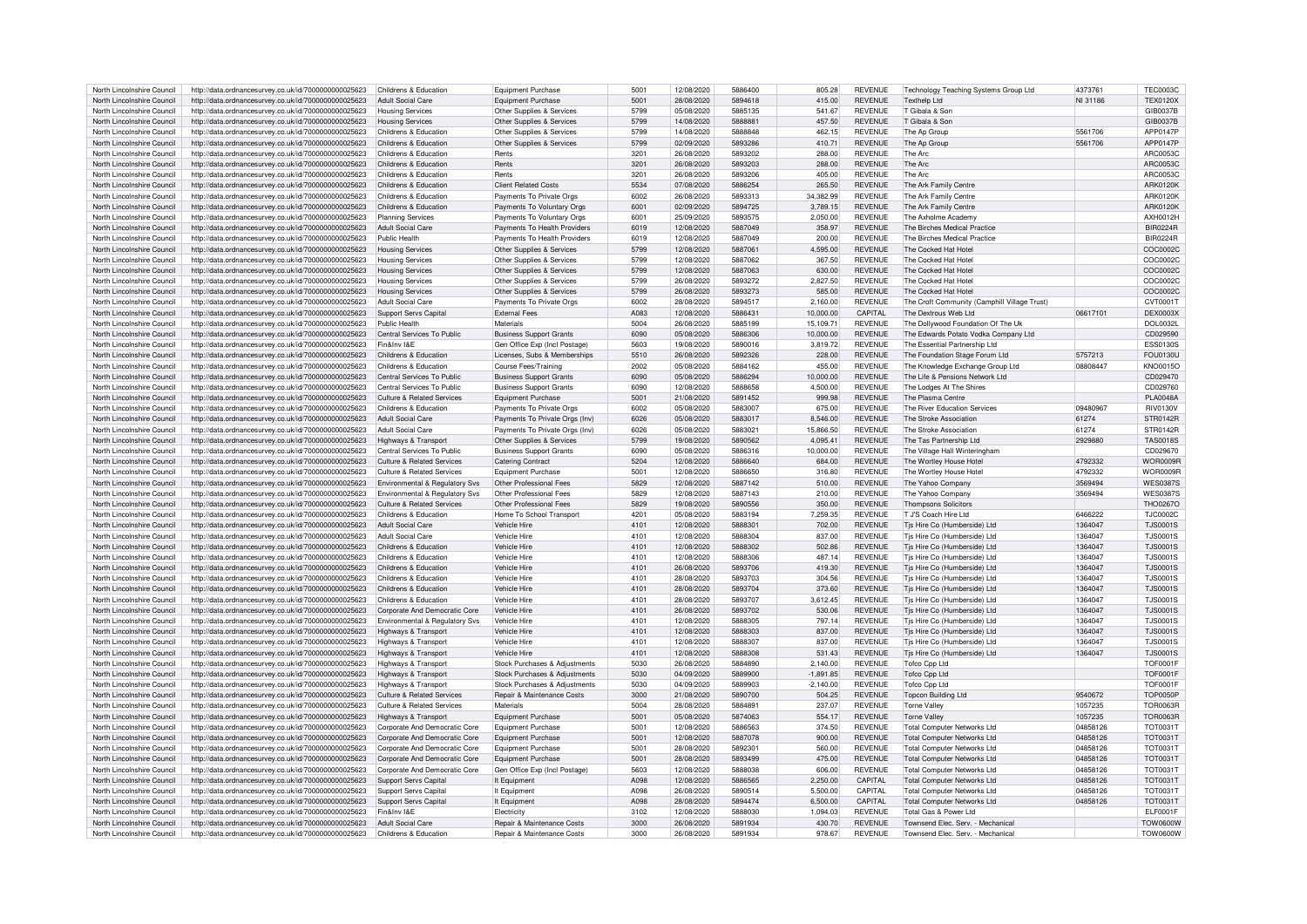| North Lincolnshire Council                               |                                                                                                              | Childrens & Education                      | Equipment Purchase                                                             | 5001         | 12/08/2020               | 5886400            | 805.28           | REVENUE                          |                                                                        | 437376   | <b>TEC0003C</b>                    |
|----------------------------------------------------------|--------------------------------------------------------------------------------------------------------------|--------------------------------------------|--------------------------------------------------------------------------------|--------------|--------------------------|--------------------|------------------|----------------------------------|------------------------------------------------------------------------|----------|------------------------------------|
|                                                          | http://data.ordnancesurvey.co.uk/id/7000000000025623                                                         |                                            |                                                                                |              |                          |                    |                  |                                  | Technology Teaching Systems Group Ltd                                  |          |                                    |
| North Lincolnshire Council                               | http://data.ordnancesurvey.co.uk/id/7000000000025623                                                         | <b>Adult Social Care</b>                   | Equipment Purchase                                                             | 5001         | 28/08/2020               | 5894618            | 415.00           | <b>REVENUE</b>                   | <b>Texthelp Ltd</b>                                                    | NI 31186 | <b>TEX0120X</b>                    |
| North Lincolnshire Council                               | http://data.ordnancesurvey.co.uk/id/7000000000025623                                                         | <b>Housing Services</b>                    | Other Supplies & Services                                                      | 5799         | 05/08/2020               | 5885135            | 541.67           | <b>REVENUE</b>                   | T Gibala & Sor                                                         |          | GIB0037E                           |
| North Lincolnshire Council                               | http://data.ordnancesurvey.co.uk/id/7000000000025623                                                         | <b>Housing Services</b>                    | Other Supplies & Services                                                      | 5799         | 14/08/2020               | <b>588888</b>      | 457.50           | <b>REVENUE</b>                   | T Gihala & Sor                                                         |          | GIB0037B                           |
| North Lincolnshire Council                               | http://data.ordnancesurvey.co.uk/id/7000000000025623                                                         | Childrens & Education                      | Other Supplies & Services                                                      | 5799         | 14/08/2020               | 5888848            | 462.15           | <b>REVENUE</b>                   | The An Group                                                           | 5561706  | APP0147P                           |
| North Lincolnshire Council                               |                                                                                                              | Childrens & Education                      | Other Supplies & Services                                                      | 5799         | 02/09/2020               | 5893286            | 41071            | <b>REVENUE</b>                   | The An Group                                                           | 5561706  | APP0147P                           |
|                                                          | http://data.ordnancesurvey.co.uk/id/7000000000025623                                                         |                                            |                                                                                |              |                          |                    |                  |                                  |                                                                        |          |                                    |
| North Lincolnshire Council                               | http://data.ordnancesurvey.co.uk/id/7000000000025623                                                         | Childrens & Education                      | Rents                                                                          | 3201         | 26/08/2020               | 5893202            | 288.00           | REVENUE                          | The Arc                                                                |          | ARC0053C                           |
| North Lincolnshire Council                               | http://data.ordnancesurvey.co.uk/id/7000000000025623                                                         | Childrens & Education                      | Rents                                                                          | 3201         | 26/08/2020               | 5893203            | 288.00           | <b>REVENUE</b>                   | The Arc                                                                |          | ARC0053C                           |
| North Lincolnshire Council                               | http://data.ordnancesurvey.co.uk/id/7000000000025623                                                         | Childrens & Education                      | Rents                                                                          | 3201         | 26/08/2020               | 5893206            | 405.00           | <b>REVENUE</b>                   | The Arc                                                                |          | ARC0053C                           |
| North Lincolnshire Council                               | http://data.ordnancesurvey.co.uk/id/7000000000025623                                                         | Childrens & Education                      | <b>Client Related Costs</b>                                                    | 5534         | 07/08/2020               | 5886254            | 265.50           | <b>REVENUE</b>                   | The Ark Family Centre                                                  |          | <b>ARK0120K</b>                    |
|                                                          |                                                                                                              |                                            |                                                                                |              |                          |                    |                  |                                  |                                                                        |          |                                    |
| North Lincolnshire Council                               | http://data.ordnancesurvey.co.uk/id/7000000000025623                                                         | Childrens & Education                      | Payments To Private Orgs                                                       | 6002         | 26/08/2020               | 5893313            | 34,382.99        | <b>REVENUE</b>                   | The Ark Family Centre                                                  |          | ARK0120K                           |
| North Lincolnshire Council                               | http://data.ordnancesurvey.co.uk/id/7000000000025623                                                         | Childrens & Education                      | Payments To Voluntary Orgs                                                     | 6001         | 02/09/2020               | 5894725            | 3,789.15         | <b>REVENUE</b>                   | The Ark Family Centre                                                  |          | ARK0120                            |
| North Lincolnshire Council                               | http://data.ordnancesurvey.co.uk/id/7000000000025623                                                         | <b>Planning Services</b>                   | Payments To Voluntary Orgs                                                     | 6001         | 25/09/2020               | 5893575            | 2,050.00         | REVENUE                          | The Axholme Academ                                                     |          | AXH0012H                           |
| North Lincolnshire Council                               | http://data.ordnancesurvey.co.uk/id/7000000000025623                                                         | <b>Adult Social Care</b>                   | Payments To Health Providers                                                   | 6019         | 12/08/2020               | 5887049            | 358.97           | <b>REVENUE</b>                   | The Birches Medical Practice                                           |          | <b>BIR0224F</b>                    |
| North Lincolnshire Council                               | http://data.ordnancesurvey.co.uk/id/7000000000025623                                                         | Public Health                              | Payments To Health Providers                                                   | 6019         | 12/08/2020               | 5887049            | 200.00           | REVENUE                          | The Birches Medical Practice                                           |          | <b>BIR0224R</b>                    |
| North Lincolnshire Council                               |                                                                                                              | <b>Housing Services</b>                    | Other Supplies & Services                                                      | 5799         | 12/08/2020               | 5887061            | 4.595.00         | <b>REVENUE</b>                   | The Cocked Hat Hote                                                    |          | COC00020                           |
|                                                          | http://data.ordnancesurvey.co.uk/id/7000000000025623                                                         |                                            |                                                                                |              |                          |                    |                  |                                  |                                                                        |          |                                    |
| North Lincolnshire Council                               | http://data.ordnancesurvey.co.uk/id/7000000000025623                                                         | <b>Housing Services</b>                    | Other Supplies & Services                                                      | 5799         | 12/08/2020               | 5887062            | 367.50           | <b>REVENUE</b>                   | The Cocked Hat Hote                                                    |          | COC00020                           |
| North Lincolnshire Council                               | http://data.ordnancesurvey.co.uk/id/7000000000025623                                                         | <b>Housing Services</b>                    | Other Supplies & Services                                                      | 5799         | 12/08/2020               | 5887063            | 630.00           | <b>REVENUE</b>                   | The Cocked Hat Hotel                                                   |          | COC00020                           |
| North Lincolnshire Council                               | http://data.ordnancesurvey.co.uk/id/7000000000025623                                                         | <b>Housing Services</b>                    | Other Supplies & Services                                                      | 5799         | 26/08/2020               | 5893272            | 2.827.50         | <b>REVENUE</b>                   | The Cocked Hat Hote                                                    |          | COC00020                           |
| North Lincolnshire Council                               | http://data.ordnancesurvey.co.uk/id/7000000000025623                                                         | <b>Housing Services</b>                    | Other Supplies & Services                                                      | 5799         | 26/08/2020               | 5893273            | 585.00           | <b>REVENUE</b>                   | The Cocked Hat Hotel                                                   |          | COC0002C                           |
| North Lincolnshire Council                               |                                                                                                              | <b>Adult Social Care</b>                   |                                                                                | 6002         | 28/08/2020               | 5894517            |                  | <b>REVENUE</b>                   |                                                                        |          | CVT00017                           |
|                                                          | http://data.ordnancesurvey.co.uk/id/7000000000025623                                                         |                                            | Payments To Private Orgs                                                       |              |                          |                    | 2,160.00         |                                  | The Croft Community (Camphill Village Trust)                           |          |                                    |
| North Lincolnshire Council                               | http://data.ordnancesurvey.co.uk/id/7000000000025623                                                         | <b>Support Servs Capital</b>               | <b>External Fees</b>                                                           | A083         | 12/08/2020               | 588643             | 10,000.00        | CAPITAL                          | The Dextrous Web Ltd                                                   | 06617101 | DEX0003X                           |
| North Lincolnshire Council                               | http://data.ordnancesurvey.co.uk/id/7000000000025623                                                         | Public Health                              | Materials                                                                      | 5004         | 26/08/2020               | 5885199            | 15,109.71        | <b>REVENUE</b>                   | The Dollywood Foundation Of The Uk                                     |          | DOI 0032L                          |
| North Lincolnshire Council                               | http://data.ordnancesurvey.co.uk/id/7000000000025623                                                         | Central Services To Public                 | <b>Business Support Grants</b>                                                 | 6090         | 05/08/2020               | 5886306            | 10.000.00        | <b>REVENUE</b>                   | The Edwards Potato Vodka Company Ltd                                   |          | CD029590                           |
| North Lincolnshire Council                               | http://data.ordnancesurvey.co.uk/id/7000000000025623                                                         | Fin&Inv I&F                                | Gen Office Exp (Incl Postage)                                                  | 5603         | 19/08/2020               | 5890016            | 3.819.72         | <b>REVENUE</b>                   | The Essential Partnership Ltd                                          |          | ESS0130S                           |
| North Lincolnshire Council                               | http://data.ordnancesurvey.co.uk/id/7000000000025623                                                         | Childrens & Education                      | Licenses, Subs & Memberships                                                   | 5510         | 26/08/2020               | 5892326            | 228.00           | <b>REVENUE</b>                   | The Foundation Stage Forum Ltd                                         | 5757213  | <b>FOU0130U</b>                    |
|                                                          |                                                                                                              |                                            |                                                                                | 2002         |                          |                    |                  |                                  |                                                                        |          |                                    |
| North Lincolnshire Council                               | http://data.ordnancesurvey.co.uk/id/7000000000025623                                                         | Childrens & Education                      | Course Fees/Training                                                           |              | 05/08/2020               | 5884162            | 455.00           | <b>REVENUE</b>                   | The Knowledge Exchange Group Ltd                                       | 08808447 | <b>KNO0015C</b>                    |
| North Lincolnshire Council                               | http://data.ordnancesurvey.co.uk/id/7000000000025623                                                         | Central Services To Public                 | <b>Business Support Grants</b>                                                 | 6090         | 05/08/2020               | 5886294            | 10,000.00        | <b>REVENUE</b>                   | The Life & Pensions Network Ltd                                        |          | CD029470                           |
| North Lincolnshire Council                               | http://data.ordnancesurvey.co.uk/id/7000000000025623                                                         | Central Services To Public                 | <b>Business Support Grants</b>                                                 | 6090         | 12/08/2020               | 5888658            | 4.500.00         | <b>REVENUE</b>                   | The Lodges At The Shires                                               |          | CD029760                           |
| North Lincolnshire Council                               | http://data.ordnancesurvey.co.uk/id/7000000000025623                                                         | <b>Culture &amp; Related Services</b>      | <b>Equipment Purchase</b>                                                      | 5001         | 21/08/2020               | 5891452            | 999.98           | <b>REVENUE</b>                   | The Plasma Centre                                                      |          | <b>PLA0048A</b>                    |
| North Lincolnshire Council                               | http://data.ordnancesurvey.co.uk/id/7000000000025623                                                         | Childrens & Education                      | Payments To Private Orgs                                                       | 6002         | 05/08/2020               | 5883007            | 675.00           | <b>REVENUE</b>                   | The River Education Services                                           | 09480967 | <b>RIV0130V</b>                    |
|                                                          |                                                                                                              |                                            |                                                                                |              |                          | 5883017            |                  | <b>REVENUE</b>                   |                                                                        |          |                                    |
| North Lincolnshire Council                               | http://data.ordnancesurvey.co.uk/id/7000000000025623                                                         | <b>Adult Social Care</b>                   | Payments To Private Orgs (Inv)                                                 | 6026         | 05/08/2020               |                    | 8,546.00         |                                  | The Stroke Association                                                 | 61274    | <b>STR0142R</b>                    |
| North Lincolnshire Council                               | http://data.ordnancesurvey.co.uk/id/7000000000025623                                                         | <b>Adult Social Care</b>                   | Payments To Private Orgs (Inv)                                                 | 6026         | 05/08/2020               | 588302             | 15,866.50        | <b>REVENUE</b>                   | The Stroke Association                                                 | 61274    | STR0142R                           |
| North Lincolnshire Council                               | http://data.ordnancesurvey.co.uk/id/7000000000025623                                                         | Highways & Transport                       | Other Supplies & Services                                                      | 5799         | 19/08/2020               | 5890562            | 4.095.41         | <b>REVENUE</b>                   | The Tas Partnership Ltd                                                | 2929880  | <b>TAS0018S</b>                    |
| North Lincolnshire Council                               | http://data.ordnancesurvey.co.uk/id/7000000000025623                                                         | Central Services To Public                 | <b>Business Support Grants</b>                                                 | 6090         | 05/08/2020               | 5886316            | 10,000.00        | <b>REVENUE</b>                   | The Village Hall Winteringham                                          |          | CD029670                           |
| North Lincolnshire Council                               | http://data.ordnancesurvey.co.uk/id/7000000000025623                                                         | <b>Culture &amp; Related Services</b>      | <b>Catering Contract</b>                                                       | 5204         | 12/08/2020               | 5886640            | 684.00           | <b>REVENUE</b>                   | The Wortley House Hote                                                 | 4792332  | WOR0009F                           |
| North Lincolnshire Council                               |                                                                                                              | Culture & Related Services                 | Equipment Purchase                                                             | 5001         | 12/08/2020               | 5886650            | 316.80           | <b>REVENUE</b>                   | The Wortley House Hote                                                 | 4792332  | WOR0009F                           |
|                                                          | http://data.ordnancesurvey.co.uk/id/7000000000025623                                                         |                                            |                                                                                |              |                          |                    |                  |                                  |                                                                        |          |                                    |
| North Lincolnshire Council                               | http://data.ordnancesurvey.co.uk/id/7000000000025623                                                         | Environmental & Regulatory Svs             | Other Professional Fees                                                        | 5829         | 12/08/2020               | 5887142            | 510.00           | <b>REVENUE</b>                   | The Yahoo Company                                                      | 3569494  | <b>WES03879</b>                    |
| North Lincolnshire Council                               | http://data.ordnancesurvey.co.uk/id/7000000000025623                                                         | Environmental & Regulatory Svs             | Other Professional Fees                                                        | 5829         | 12/08/2020               | 5887143            | 210.00           | REVENUE                          | The Yahoo Company                                                      | 3569494  | <b>WES03875</b>                    |
|                                                          |                                                                                                              |                                            |                                                                                |              |                          |                    |                  | <b>REVENUE</b>                   | <b>Thompsons Solicitors</b>                                            |          |                                    |
| North Lincolnshire Council                               | http://data.ordnancesurvey.co.uk/id/7000000000025623                                                         | Culture & Related Services                 | Other Professional Fees                                                        | 5829         | 19/08/2020               | 5890556            | 350.00           |                                  |                                                                        |          | <b>THO0267C</b>                    |
|                                                          |                                                                                                              |                                            |                                                                                |              |                          |                    |                  |                                  |                                                                        |          |                                    |
| North Lincolnshire Council                               | http://data.ordnancesurvey.co.uk/id/7000000000025623                                                         | Childrens & Education                      | Home To School Transport                                                       | 4201         | 05/08/2020               | 5883194            | 7,259.35         | <b>REVENUE</b>                   | T.J'S Coach Hire I td                                                  | 6466222  | <b>TJC0002C</b>                    |
| North Lincolnshire Council                               | http://data.ordnancesurvey.co.uk/id/7000000000025623                                                         | <b>Adult Social Care</b>                   | Vehicle Hire                                                                   | 4101         | 12/08/2020               | 588830             | 702.00           | <b>REVENUE</b>                   | Tjs Hire Co (Humberside) Ltd                                           | 1364047  | <b>TJS0001S</b>                    |
| North Lincolnshire Council                               | http://data.ordnancesurvey.co.uk/id/7000000000025623                                                         | <b>Adult Social Care</b>                   | Vehicle Hire                                                                   | 4101         | 12/08/2020               | 5888304            | 837.00           | <b>REVENUE</b>                   | Tjs Hire Co (Humberside) Ltd                                           | 1364047  | <b>TJS0001S</b>                    |
| North Lincolnshire Council                               | http://data.ordnancesurvey.co.uk/id/7000000000025623                                                         | Childrens & Education                      | Vehicle Hire                                                                   | 4101         | 12/08/2020               | 5888302            | 502.86           | <b>REVENUE</b>                   | Tis Hire Co (Humberside) Ltd                                           | 1364047  | <b>TJS0001S</b>                    |
| North Lincolnshire Council                               | http://data.ordnancesurvey.co.uk/id/7000000000025623                                                         | Childrens & Education                      | Vehicle Hire                                                                   | 4101         | 12/08/2020               | 5888306            | 487.14           | REVENUE                          | Tjs Hire Co (Humberside) Ltd                                           | 1364047  | <b>TJS0001S</b>                    |
|                                                          |                                                                                                              |                                            |                                                                                |              |                          |                    |                  |                                  |                                                                        |          |                                    |
| North Lincolnshire Council                               | http://data.ordnancesurvey.co.uk/id/7000000000025623                                                         | Childrens & Education                      | Vehicle Hire                                                                   | 4101         | 26/08/2020               | 5893706            | 419.30           | <b>REVENUE</b>                   | Tis Hire Co (Humberside) I to                                          | 1364047  | <b>TJS0001S</b>                    |
| North Lincolnshire Council                               | http://data.ordnancesurvey.co.uk/id/7000000000025623                                                         | Childrens & Education                      | Vehicle Hire                                                                   | 4101         | 28/08/2020               | 5893703            | 304.56           | <b>REVENUE</b>                   | Tis Hire Co (Humberside) Ltd                                           | 1364047  | <b>TJS0001S</b>                    |
| North Lincolnshire Council                               | http://data.ordnancesurvey.co.uk/id/7000000000025623                                                         | Childrens & Education                      | Vehicle Hire                                                                   | 4101         | 28/08/2020               | 5893704            | 373.60           | <b>REVENUE</b>                   | Tjs Hire Co (Humberside) Ltd                                           | 1364047  | <b>TJS0001S</b>                    |
| North Lincolnshire Council                               | http://data.ordnancesurvey.co.uk/id/7000000000025623                                                         | Childrens & Education                      | Vehicle Hire                                                                   | 4101         | 28/08/2020               | 5893707            | 3.612.45         | REVENUE                          | Tis Hire Co (Humberside) Ltd                                           | 1364047  | <b>TJS0001S</b>                    |
| North Lincolnshire Council                               | http://data.ordnancesurvey.co.uk/id/7000000000025623                                                         | Corporate And Democratic Core              | Vehicle Hire                                                                   | 4101         | 26/08/2020               | 5893702            | 530.06           | <b>REVENUE</b>                   | Tjs Hire Co (Humberside) Ltd                                           | 1364047  | <b>TJS0001S</b>                    |
| North Lincolnshire Council                               | http://data.ordnancesurvey.co.uk/id/7000000000025623                                                         | Environmental & Regulatory Svs             | Vehicle Hire                                                                   | 4101         | 12/08/2020               | 5888305            | 797.14           | REVENUE                          | Tis Hire Co (Humberside) I to                                          | 1364047  | <b>TJS0001S</b>                    |
|                                                          |                                                                                                              |                                            |                                                                                |              |                          |                    |                  |                                  |                                                                        |          |                                    |
| North Lincolnshire Council                               | http://data.ordnancesurvey.co.uk/id/7000000000025623                                                         | Highways & Transpor                        | Vehicle Hire                                                                   | 4101         | 12/08/2020               | 5888303            | 837.00           | <b>REVENUE</b>                   | Tis Hire Co (Humberside) Ltd                                           | 1364047  | <b>TJS0001S</b>                    |
| North Lincolnshire Council                               | http://data.ordnancesurvey.co.uk/id/7000000000025623                                                         | Highways & Transport                       | Vehicle Hire                                                                   | 4101         | 12/08/2020               | 5888307            | 837.00           | <b>REVENUE</b>                   | Tjs Hire Co (Humberside) Ltd                                           | 1364047  | <b>TJS0001S</b>                    |
| North Lincolnshire Council                               | http://data.ordnancesurvey.co.uk/id/7000000000025623                                                         | Highways & Transpor                        | Vehicle Hire                                                                   | 4101         | 12/08/2020               | 5888308            | 531.43           | <b>REVENUE</b>                   | Tis Hire Co (Humberside) Ltd                                           | 1364047  | <b>TJS0001S</b>                    |
| North Lincolnshire Council                               | http://data.ordnancesurvey.co.uk/id/7000000000025623                                                         | Highways & Transport                       | Stock Purchases & Adjustments                                                  | 5030         | 26/08/2020               | 5884890            | 2.140.00         | <b>REVENUE</b>                   | Tofco Cpp Ltd                                                          |          | <b>TOF0001F</b>                    |
| North Lincolnshire Council                               | http://data.ordnancesurvey.co.uk/id/7000000000025623                                                         | Highways & Transport                       | Stock Purchases & Adjustments                                                  | 5030         | 04/09/2020               | 5889900            | $-1,891.85$      | <b>REVENUE</b>                   | <b>Tofco Cpp Ltd</b>                                                   |          | <b>TOF0001F</b>                    |
|                                                          |                                                                                                              |                                            |                                                                                |              |                          |                    |                  |                                  |                                                                        |          |                                    |
| North Lincolnshire Council                               | http://data.ordnancesurvey.co.uk/id/7000000000025623                                                         | Highways & Transport                       | Stock Purchases & Adjustments                                                  | 5030         | 04/09/2020               | 5889903            | $-2.140.00$      | <b>REVENUE</b>                   | Tofco Cop Ltd                                                          |          | <b>TOF0001E</b>                    |
| North Lincolnshire Council                               | http://data.ordnancesurvey.co.uk/id/7000000000025623                                                         | <b>Culture &amp; Related Services</b>      | Repair & Maintenance Costs                                                     | 3000         | 21/08/2020               | 5890700            | 504.25           | <b>REVENUE</b>                   | <b>Topcon Building Ltd</b>                                             | 9540672  | <b>TOP0050P</b>                    |
| North Lincolnshire Council                               | http://data.ordnancesurvey.co.uk/id/7000000000025623                                                         | <b>Culture &amp; Related Services</b>      | Materials                                                                      | 5004         | 28/08/2020               | 5884891            | 237.07           | <b>REVENUE</b>                   | <b>Torne Valley</b>                                                    | 1057235  | <b>TOR0063F</b>                    |
| North Lincolnshire Council                               | http://data.ordnancesurvey.co.uk/id/7000000000025623                                                         | Highways & Transport                       | Equipment Purchase                                                             | 5001         | 05/08/2020               | 5874063            | 554.17           | <b>REVENUE</b>                   | <b>Torne Valley</b>                                                    | 1057235  | <b>TOR0063R</b>                    |
| North Lincolnshire Council                               | http://data.ordnancesurvey.co.uk/id/7000000000025623                                                         | Corporate And Democratic Core              | Equipment Purchase                                                             | 5001         | 12/08/2020               | 5886563            | 374.50           | <b>REVENUE</b>                   | <b>Total Computer Networks Ltd</b>                                     | 04858126 | <b>TOT0031T</b>                    |
| North Lincolnshire Council                               |                                                                                                              |                                            |                                                                                | 5001         | 12/08/2020               | 5887078            |                  | <b>REVENUE</b>                   |                                                                        | 04858126 |                                    |
|                                                          | http://data.ordnancesurvey.co.uk/id/7000000000025623                                                         | Corporate And Democratic Core              | <b>Equipment Purchase</b>                                                      |              |                          |                    | 900.00           |                                  | <b>Total Computer Networks Ltd</b>                                     |          | <b>TOT0031T</b>                    |
| North Lincolnshire Council                               | http://data.ordnancesurvey.co.uk/id/7000000000025623                                                         | Corporate And Democratic Core              | Equipment Purchase                                                             | 5001         | 28/08/2020               | 589230             | 560.00           | <b>REVENUE</b>                   | <b>Total Computer Networks Ltd</b>                                     | 04858126 | <b>TOT0031T</b>                    |
| North Lincolnshire Council                               | http://data.ordnancesurvey.co.uk/id/7000000000025623                                                         | Corporate And Democratic Core              | Equipment Purchase                                                             | 5001         | 28/08/2020               | 5893499            | 475.00           | <b>REVENUE</b>                   | <b>Total Computer Networks Ltd</b>                                     | 04858126 | <b>TOT0031T</b>                    |
| North Lincolnshire Council                               | http://data.ordnancesurvey.co.uk/id/7000000000025623                                                         | Corporate And Democratic Core              | Gen Office Exp (Incl Postage)                                                  | 5603         | 12/08/2020               | 5888038            | 606.00           | <b>REVENUE</b>                   | <b>Total Computer Networks Ltd</b>                                     | 04858126 | TOT00311                           |
| North Lincolnshire Council                               | http://data.ordnancesurvey.co.uk/id/7000000000025623                                                         | <b>Support Servs Capital</b>               | It Equipment                                                                   | <b>ANGR</b>  | 12/08/2020               | 5886565            | 2,250.00         | <b>CAPITAL</b>                   | <b>Total Computer Networks Ltd</b>                                     | 04858126 | <b>TOT0031T</b>                    |
| North Lincolnshire Council                               | http://data.ordnancesurvey.co.uk/id/7000000000025623                                                         | Support Servs Capita                       | It Equipment                                                                   | A098         | 26/08/2020               | 5890514            | 5.500.00         | CAPITAL                          | Total Computer Networks Ltd                                            | 04858126 | <b>TOT0031T</b>                    |
|                                                          |                                                                                                              |                                            |                                                                                | <b>ANGR</b>  | 28/08/2020               | 5894474            |                  |                                  |                                                                        |          |                                    |
| North Lincolnshire Council                               | http://data.ordnancesurvey.co.uk/id/7000000000025623                                                         | <b>Support Servs Capital</b>               | It Equipment                                                                   |              |                          |                    | 6,500.00         | CAPITAL                          | <b>Total Computer Networks Ltd</b>                                     | 04858126 | <b>TOT0031T</b>                    |
| North Lincolnshire Council                               | http://data.ordnancesurvey.co.uk/id/7000000000025623                                                         | Fin&Inv I&F                                | Electricity                                                                    | 3102         | 12/08/2020               | 5888030            | 1,094.03         | <b>REVENUE</b>                   | Total Gas & Power Ltd                                                  |          | ELF0001F                           |
| North Lincolnshire Council<br>North Lincolnshire Council | http://data.ordnancesurvey.co.uk/id/7000000000025623<br>http://data.ordnancesurvey.co.uk/id/7000000000025623 | Adult Social Care<br>Childrens & Education | <b>Benair &amp; Maintenance Costs</b><br><b>Benair &amp; Maintenance Costs</b> | 3000<br>3000 | 26/08/2020<br>26/08/2020 | 5891934<br>5891934 | 430.70<br>978.67 | <b>REVENUE</b><br><b>REVENUE</b> | Townsend Elec, Serv. - Mechanical<br>Townsend Elec. Serv. - Mechanical |          | <b>TOW0600W</b><br><b>TOW0600W</b> |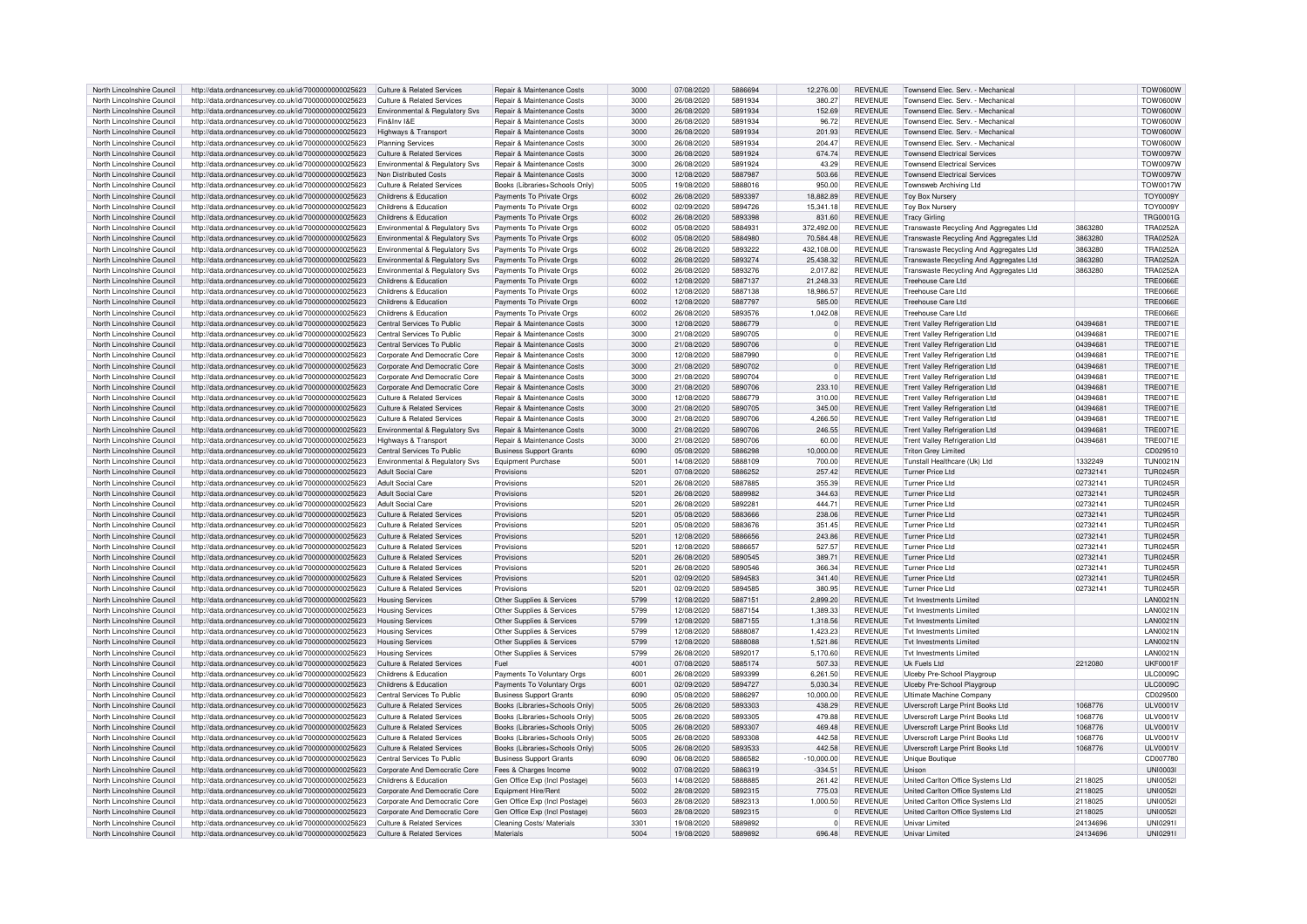| North Lincolnshire Council | http://data.ordnancesurvey.co.uk/id/7000000000025623 | Culture & Related Services            | Repair & Maintenance Costs            | 3000 | 07/08/2020 | 5886694 | 12,276.00    | <b>REVENUE</b> | Townsend Flec. Serv. - Mechanica        |          | <b>TOW0600W</b>  |
|----------------------------|------------------------------------------------------|---------------------------------------|---------------------------------------|------|------------|---------|--------------|----------------|-----------------------------------------|----------|------------------|
|                            |                                                      |                                       |                                       |      |            |         |              |                |                                         |          |                  |
| North Lincolnshire Council | http://data.ordnancesurvey.co.uk/id/7000000000025623 | Culture & Related Services            | Repair & Maintenance Costs            | 3000 | 26/08/2020 | 5891934 | 380.27       | <b>REVENUE</b> | Townsend Elec. Serv. - Mechanica        |          | <b>TOW0600W</b>  |
| North Lincolnshire Council | http://data.ordnancesurvey.co.uk/id/7000000000025623 | Environmental & Regulatory Sys        | Repair & Maintenance Costs            | 3000 | 26/08/2020 | 5891934 | 152.69       | <b>REVENUE</b> | Townsend Elec. Serv. - Mechanical       |          | <b>TOW0600W</b>  |
| North Lincolnshire Council | http://data.ordnancesurvey.co.uk/id/7000000000025623 | Fin&Inv I&F                           | <b>Repair &amp; Maintenance Costs</b> | 3000 | 26/08/2020 | 5891934 | 96.72        | <b>REVENUE</b> | Townsend Flec. Serv. - Mechanica        |          | <b>TOW0600W</b>  |
| North Lincolnshire Council | http://data.ordnancesurvey.co.uk/id/7000000000025623 | <b>Highways &amp; Transport</b>       | Repair & Maintenance Costs            | 3000 | 26/08/2020 | 5891934 | 201.93       | <b>REVENUE</b> | Townsend Elec. Serv. - Mechanical       |          | <b>TOW0600W</b>  |
|                            |                                                      |                                       |                                       |      |            |         |              |                |                                         |          |                  |
| North Lincolnshire Council | http://data.ordnancesurvey.co.uk/id/7000000000025623 | <b>Planning Services</b>              | Repair & Maintenance Costs            | 3000 | 26/08/2020 | 5891934 | 204.47       | <b>REVENUE</b> | Townsend Elec. Serv. - Mechanica        |          | TOW0600V         |
| North Lincolnshire Council | http://data.ordnancesurvey.co.uk/id/7000000000025623 | <b>Culture &amp; Related Services</b> | Repair & Maintenance Costs            | 3000 | 26/08/2020 | 5891924 | 674.74       | <b>REVENUE</b> | <b>Townsend Electrical Services</b>     |          | <b>TOW0097W</b>  |
| North Lincolnshire Council | http://data.ordnancesurvey.co.uk/id/7000000000025623 | Environmental & Regulatory Svs        | Repair & Maintenance Costs            | 3000 | 26/08/2020 | 5891924 | 43.29        | <b>REVENUE</b> | <b>Townsend Electrical Services</b>     |          | <b>TOW0097W</b>  |
|                            |                                                      |                                       |                                       | 3000 | 12/08/2020 | 5887987 | 503.66       |                |                                         |          |                  |
| North Lincolnshire Council | http://data.ordnancesurvey.co.uk/id/7000000000025623 | Non Distributed Costs                 | Repair & Maintenance Costs            |      |            |         |              | <b>REVENUE</b> | <b>Townsend Electrical Services</b>     |          | <b>TOW0097W</b>  |
| North Lincolnshire Council | http://data.ordnancesurvey.co.uk/id/7000000000025623 | Culture & Related Services            | Books (Libraries+Schools Only)        | 5005 | 19/08/2020 | 5888016 | 950.00       | <b>REVENUE</b> | Townsweb Archiving Ltd                  |          | <b>TOW0017W</b>  |
| North Lincolnshire Council | http://data.ordnancesurvey.co.uk/id/7000000000025623 | Childrens & Education                 | Payments To Private Orgs              | 6002 | 26/08/2020 | 5893397 | 18.882.89    | <b>REVENUE</b> | <b>Tov Box Nurserv</b>                  |          | <b>TOY0009Y</b>  |
| North Lincolnshire Council | http://data.ordnancesurvey.co.uk/id/7000000000025623 | Childrens & Education                 | Payments To Private Orgs              | 6002 | 02/09/2020 | 5894726 | 15.341.18    | <b>REVENUE</b> | <b>Toy Box Nursery</b>                  |          | <b>TOY0009Y</b>  |
|                            |                                                      |                                       |                                       |      |            |         |              |                |                                         |          |                  |
| North Lincolnshire Council | http://data.ordnancesurvey.co.uk/id/7000000000025623 | Childrens & Education                 | Payments To Private Orgs              | 6002 | 26/08/2020 | 5893398 | 831.60       | <b>REVENUE</b> | <b>Tracy Girling</b>                    |          | <b>TRG0001G</b>  |
| North Lincolnshire Council | http://data.ordnancesurvey.co.uk/id/7000000000025623 | Environmental & Regulatory Svs        | Payments To Private Orgs              | 6002 | 05/08/2020 | 5884931 | 372,492.00   | <b>REVENUE</b> | Transwaste Recycling And Aggregates Ltd | 3863280  | <b>TRA0252A</b>  |
| North Lincolnshire Council | http://data.ordnancesurvey.co.uk/id/7000000000025623 | Environmental & Regulatory Svs        | Payments To Private Orgs              | 6002 | 05/08/2020 | 5884980 | 70,584.48    | <b>REVENUE</b> | Transwaste Recycling And Aggregates Ltd | 3863280  | <b>TRA0252A</b>  |
| North Lincolnshire Council | http://data.ordnancesurvey.co.uk/id/7000000000025623 | Environmental & Regulatory Svs        | Payments To Private Orgs              | 6002 | 26/08/2020 | 5893222 | 432,108.00   | <b>REVENUE</b> | Transwaste Recycling And Aggregates Ltd | 3863280  | <b>TRA0252A</b>  |
|                            |                                                      |                                       |                                       |      |            |         |              |                |                                         |          |                  |
| North Lincolnshire Council | http://data.ordnancesurvey.co.uk/id/7000000000025623 | Environmental & Regulatory Svs        | Payments To Private Orgs              | 6002 | 26/08/2020 | 5893274 | 25.438.32    | <b>REVENUE</b> | Transwaste Recycling And Aggregates Ltd | 3863280  | <b>TRA0252A</b>  |
| North Lincolnshire Council | http://data.ordnancesurvey.co.uk/id/7000000000025623 | Environmental & Regulatory Svs        | Payments To Private Orgs              | 6002 | 26/08/2020 | 5893276 | 2,017.82     | <b>REVENUE</b> | Transwaste Recycling And Aggregates Ltd | 3863280  | <b>TRA0252A</b>  |
| North Lincolnshire Council | http://data.ordnancesurvey.co.uk/id/7000000000025623 | Childrens & Education                 | Payments To Private Orgs              | 6002 | 12/08/2020 | 5887137 | 21,248.33    | <b>REVENUE</b> | Treehouse Care Ltd                      |          | <b>TRE0066E</b>  |
|                            |                                                      |                                       |                                       |      |            |         |              |                |                                         |          |                  |
| North Lincolnshire Council | http://data.ordnancesurvey.co.uk/id/7000000000025623 | Childrens & Education                 | Payments To Private Orgs              | 6002 | 12/08/2020 | 5887138 | 18.986.57    | <b>REVENUE</b> | Treehouse Care Ltd                      |          | <b>TRE0066E</b>  |
| North Lincolnshire Council | http://data.ordnancesurvey.co.uk/id/7000000000025623 | Childrens & Education                 | Payments To Private Orgs              | 6002 | 12/08/2020 | 5887797 | 585.00       | <b>REVENUE</b> | Treehouse Care Ltd                      |          | <b>TRE0066E</b>  |
| North Lincolnshire Council | http://data.ordnancesurvey.co.uk/id/7000000000025623 | Childrens & Education                 | Payments To Private Oras              | 6002 | 26/08/2020 | 5893576 | 1.042.08     | <b>REVENUE</b> | Treehouse Care Ltd                      |          | <b>TRE0066E</b>  |
| North Lincolnshire Council | http://data.ordnancesurvey.co.uk/id/7000000000025623 | Central Services To Public            | Repair & Maintenance Costs            | 3000 | 12/08/2020 | 5886779 | $\mathbf{0}$ | <b>REVENUE</b> | <b>Trent Valley Refrigeration Ltd</b>   | 0439468  | <b>TRE0071E</b>  |
|                            |                                                      |                                       |                                       |      |            |         |              |                |                                         |          |                  |
| North Lincolnshire Council | http://data.ordnancesurvey.co.uk/id/7000000000025623 | Central Services To Public            | Repair & Maintenance Costs            | 3000 | 21/08/2020 | 5890705 | $\mathbf 0$  | <b>REVENUE</b> | <b>Trent Valley Refrigeration Ltd</b>   | 0439468  | <b>TRE0071E</b>  |
| North Lincolnshire Council | http://data.ordnancesurvey.co.uk/id/7000000000025623 | Central Services To Public            | Repair & Maintenance Costs            | 3000 | 21/08/2020 | 5890706 | $\mathbf{0}$ | <b>REVENUE</b> | <b>Trent Valley Refrigeration Ltd</b>   | 04394681 | <b>TRE0071E</b>  |
| North Lincolnshire Council | http://data.ordnancesurvey.co.uk/id/7000000000025623 | Corporate And Democratic Core         | Repair & Maintenance Costs            | 3000 | 12/08/2020 | 5887990 | $\mathbf 0$  | <b>REVENUE</b> | Trent Valley Refrigeration Ltd          | 04394681 | <b>TRF0071F</b>  |
| North Lincolnshire Council | http://data.ordnancesurvey.co.uk/id/7000000000025623 | Corporate And Democratic Core         | Repair & Maintenance Costs            | 3000 | 21/08/2020 | 5890702 | $\Omega$     | <b>REVENUE</b> | <b>Trent Valley Refrigeration Ltd</b>   | 04394681 | <b>TRE0071E</b>  |
|                            |                                                      |                                       |                                       |      |            |         |              |                |                                         |          |                  |
| North Lincolnshire Council | http://data.ordnancesurvey.co.uk/id/7000000000025623 | Corporate And Democratic Core         | Repair & Maintenance Costs            | 3000 | 21/08/2020 | 5890704 | $\mathbf 0$  | <b>REVENUE</b> | <b>Trent Valley Refrigeration Ltd</b>   | 04394681 | <b>TRE0071E</b>  |
| North Lincolnshire Council | http://data.ordnancesurvey.co.uk/id/7000000000025623 | Corporate And Democratic Core         | Repair & Maintenance Costs            | 3000 | 21/08/2020 | 5890706 | 233.10       | <b>REVENUE</b> | <b>Trent Valley Refrigeration Ltd</b>   | 04394681 | <b>TRE0071E</b>  |
| North Lincolnshire Council | http://data.ordnancesurvey.co.uk/id/7000000000025623 | <b>Culture &amp; Related Services</b> | Repair & Maintenance Costs            | 3000 | 12/08/2020 | 5886779 | 310.00       | <b>REVENUE</b> | <b>Trent Valley Refrigeration Ltd</b>   | 04394681 | <b>TRE0071E</b>  |
|                            |                                                      |                                       |                                       |      |            |         |              |                |                                         |          |                  |
| North Lincolnshire Council | http://data.ordnancesurvey.co.uk/id/7000000000025623 | Culture & Related Services            | Repair & Maintenance Costs            | 3000 | 21/08/2020 | 5890705 | 345.00       | <b>REVENUE</b> | <b>Trent Valley Refrigeration Ltd</b>   | 04394681 | <b>TRF0071F</b>  |
| North Lincolnshire Council | http://data.ordnancesurvey.co.uk/id/7000000000025623 | Culture & Related Services            | <b>Repair &amp; Maintenance Costs</b> | 3000 | 21/08/2020 | 5890706 | 4,266.50     | <b>REVENUE</b> | <b>Trent Valley Refrigeration Ltd</b>   | 04394681 | <b>TRE0071E</b>  |
| North Lincolnshire Council | http://data.ordnancesurvey.co.uk/id/7000000000025623 | Environmental & Regulatory Svs        | Repair & Maintenance Costs            | 3000 | 21/08/2020 | 5890706 | 246.55       | <b>REVENUE</b> | <b>Trent Valley Refrigeration Ltd</b>   | 04394681 | <b>TRE0071E</b>  |
| North Lincolnshire Council |                                                      |                                       | Repair & Maintenance Costs            | 3000 |            | 5890706 | 60.00        | <b>REVENUE</b> |                                         |          | <b>TRE0071E</b>  |
|                            | http://data.ordnancesurvey.co.uk/id/7000000000025623 | Highways & Transport                  |                                       |      | 21/08/2020 |         |              |                | Trent Valley Refrigeration Ltd          | 04394681 |                  |
| North Lincolnshire Council | http://data.ordnancesurvey.co.uk/id/7000000000025623 | Central Services To Public            | <b>Business Support Grants</b>        | 6090 | 05/08/2020 | 5886298 | 10,000.00    | <b>REVENUE</b> | <b>Triton Grey Limited</b>              |          | CD029510         |
| North Lincolnshire Council | http://data.ordnancesurvey.co.uk/id/7000000000025623 | Environmental & Regulatory Svs        | Equipment Purchase                    | 5001 | 14/08/2020 | 5888109 | 700.00       | <b>REVENUE</b> | Tunstall Healthcare (Uk) Ltd            | 1332249  | <b>TUN0021N</b>  |
| North Lincolnshire Council | http://data.ordnancesurvey.co.uk/id/7000000000025623 | Adult Social Care                     | Provisions                            | 5201 | 07/08/2020 | 5886252 | 257.42       | <b>REVENUE</b> | <b>Turner Price Ltd</b>                 | 02732141 | <b>TUR0245R</b>  |
|                            |                                                      | Adult Social Care                     |                                       |      |            | 5887885 |              | <b>REVENUE</b> | Turner Price Ltd                        |          | <b>TUR0245R</b>  |
| North Lincolnshire Council | http://data.ordnancesurvey.co.uk/id/7000000000025623 |                                       | Provisions                            | 5201 | 26/08/2020 |         | 355.39       |                |                                         | 02732141 |                  |
| North Lincolnshire Council | http://data.ordnancesurvey.co.uk/id/7000000000025623 | <b>Adult Social Care</b>              | Provisions                            | 5201 | 26/08/2020 | 5889982 | 344.63       | <b>REVENUE</b> | <b>Turner Price Ltd</b>                 | 02732141 | <b>TUR0245R</b>  |
| North Lincolnshire Council | http://data.ordnancesurvey.co.uk/id/7000000000025623 | Adult Social Care                     | Provisions                            | 5201 | 26/08/2020 | 5892281 | 444.71       | <b>REVENUE</b> | Turner Price I to                       | 02732141 | <b>TUR0245R</b>  |
| North Lincolnshire Council | http://data.ordnancesurvey.co.uk/id/7000000000025623 | <b>Culture &amp; Related Services</b> | Provisions                            | 5201 | 05/08/2020 | 5883666 | 238.06       | <b>REVENUE</b> | <b>Turner Price Ltd</b>                 | 02732141 | <b>TUR0245R</b>  |
|                            |                                                      |                                       |                                       |      |            |         |              |                |                                         |          |                  |
| North Lincolnshire Council | http://data.ordnancesurvey.co.uk/id/7000000000025623 | Culture & Related Services            | Provisions                            | 5201 | 05/08/2020 | 5883676 | 351.45       | <b>REVENUE</b> | Turner Price Ltd                        | 02732141 | <b>TUR0245R</b>  |
| North Lincolnshire Council | http://data.ordnancesurvey.co.uk/id/7000000000025623 | Culture & Related Services            | Provisions                            | 5201 | 12/08/2020 | 5886656 | 243.86       | <b>REVENUE</b> | Turner Price I to                       | 02732141 | <b>TUR0245R</b>  |
| North Lincolnshire Council | http://data.ordnancesurvey.co.uk/id/7000000000025623 | <b>Culture &amp; Related Services</b> | Provisions                            | 5201 | 12/08/2020 | 5886657 | 527.57       | <b>REVENUE</b> | Turner Price Ltd                        | 02732141 | <b>TUR0245R</b>  |
| North Lincolnshire Council | http://data.ordnancesurvey.co.uk/id/7000000000025623 | Culture & Related Services            | Provisions                            | 5201 | 26/08/2020 | 5890545 | 389.71       | <b>REVENUE</b> | Turner Price I to                       | 02732141 | <b>TUR0245R</b>  |
|                            |                                                      |                                       |                                       |      |            |         |              |                |                                         |          |                  |
| North Lincolnshire Council | http://data.ordnancesurvey.co.uk/id/7000000000025623 | Culture & Related Services            | Provisions                            | 5201 | 26/08/2020 | 5890546 | 366.34       | <b>REVENUE</b> | Turner Price Ltd                        | 02732141 | TUR0245F         |
| North Lincolnshire Council | http://data.ordnancesurvey.co.uk/id/7000000000025623 | <b>Culture &amp; Related Services</b> | Provisions                            | 5201 | 02/09/2020 | 5894583 | 341.40       | <b>REVENUE</b> | <b>Turner Price Ltd</b>                 | 02732141 | <b>TUR0245R</b>  |
| North Lincolnshire Council | http://data.ordnancesurvey.co.uk/id/7000000000025623 | <b>Culture &amp; Related Services</b> | Provisions                            | 5201 | 02/09/2020 | 5894585 | 380.95       | <b>REVENUE</b> | <b>Turner Price Ltd</b>                 | 02732141 | <b>TUR0245R</b>  |
|                            |                                                      |                                       |                                       | 5799 |            | 5887151 |              | <b>REVENUE</b> |                                         |          | <b>I AN0021N</b> |
| North Lincolnshire Council | http://data.ordnancesurvey.co.uk/id/7000000000025623 | <b>Housing Services</b>               | Other Supplies & Services             |      | 12/08/2020 |         | 2,899.20     |                | <b>Tvt Investments Limited</b>          |          |                  |
| North Lincolnshire Council | http://data.ordnancesurvey.co.uk/id/7000000000025623 | <b>Housing Services</b>               | Other Supplies & Services             | 5799 | 12/08/2020 | 5887154 | 1,389.33     | <b>REVENUE</b> | <b>Tvt Investments Limited</b>          |          | <b>LAN0021N</b>  |
| North Lincolnshire Council | http://data.ordnancesurvey.co.uk/id/7000000000025623 | <b>Housing Services</b>               | Other Supplies & Services             | 5799 | 12/08/2020 | 5887155 | 1,318.56     | <b>REVENUE</b> | Tyt Investments Limited                 |          | <b>LAN0021N</b>  |
| North Lincolnshire Council | http://data.ordnancesurvey.co.uk/id/7000000000025623 | <b>Housing Services</b>               | Other Supplies & Services             | 5799 | 12/08/2020 | 5888087 | 1,423.23     | <b>REVENUE</b> | Tyt Investments Limited                 |          | I AN0021N        |
|                            |                                                      |                                       |                                       |      |            |         |              |                |                                         |          |                  |
| North Lincolnshire Council | http://data.ordnancesurvey.co.uk/id/7000000000025623 | <b>Housing Services</b>               | Other Supplies & Services             | 5799 | 12/08/2020 | 5888088 | 1.521.86     | <b>REVENUE</b> | Tyt Investments I imited                |          | <b>LAN0021N</b>  |
| North Lincolnshire Council | http://data.ordnancesurvey.co.uk/id/7000000000025623 | <b>Housing Services</b>               | Other Supplies & Services             | 5799 | 26/08/2020 | 5892017 | 5.170.60     | <b>REVENUE</b> | Tyt Investments I imited                |          | <b>LAN0021N</b>  |
| North Lincolnshire Council | http://data.ordnancesurvey.co.uk/id/7000000000025623 | <b>Culture &amp; Related Services</b> | Fuel                                  | 4001 | 07/08/2020 | 5885174 | 507.33       | <b>REVENUE</b> | Uk Fuels Ltd                            | 2212080  | <b>UKF0001F</b>  |
| North Lincolnshire Council | http://data.ordnancesurvey.co.uk/id/7000000000025623 | Childrens & Education                 | Payments To Voluntary Orgs            | 6001 | 26/08/2020 | 5893399 | 6.261.50     | <b>REVENUE</b> | Ulceby Pre-School Playgroup             |          | <b>ULC0009C</b>  |
|                            |                                                      |                                       |                                       |      |            |         |              |                |                                         |          |                  |
| North Lincolnshire Council | http://data.ordnancesurvey.co.uk/id/7000000000025623 | Childrens & Education                 | Payments To Voluntary Orgs            | 6001 | 02/09/2020 | 5894727 | 5.030.34     | <b>REVENUE</b> | Ulceby Pre-School Playgroup             |          | <b>ULC0009C</b>  |
| North Lincolnshire Council | http://data.ordnancesurvey.co.uk/id/7000000000025623 | Central Services To Public            | <b>Business Support Grants</b>        | 6090 | 05/08/2020 | 5886297 | 10.000.00    | <b>REVENUE</b> | Ultimate Machine Company                |          | CD029500         |
| North Lincolnshire Council | http://data.ordnancesurvey.co.uk/id/7000000000025623 | Culture & Related Services            | Books (Libraries+Schools Only         | 5005 | 26/08/2020 | 5893303 | 438.29       | <b>REVENUE</b> | Ulverscroft Large Print Books Ltd       | 1068776  | <b>ULV0001V</b>  |
| North Lincolnshire Council | http://data.ordnancesurvey.co.uk/id/7000000000025623 | Culture & Related Services            | Books (Libraries+Schools Only         | 5005 | 26/08/2020 | 5893305 | 479.88       | <b>REVENUE</b> | Ulverscroft Large Print Books Ltd       | 1068776  | <b>ULV0001V</b>  |
|                            |                                                      |                                       |                                       |      |            |         |              |                |                                         |          |                  |
| North Lincolnshire Council | http://data.ordnancesurvey.co.uk/id/7000000000025623 | <b>Culture &amp; Related Services</b> | Books (Libraries+Schools Only)        | 5005 | 26/08/2020 | 5893307 | 469.48       | <b>REVENUE</b> | Ulverscroft Large Print Books Ltd       | 1068776  | <b>ULV0001V</b>  |
| North Lincolnshire Council | http://data.ordnancesurvey.co.uk/id/7000000000025623 | Culture & Related Services            | Books (Libraries+Schools Only)        | 5005 | 26/08/2020 | 5893308 | 442.58       | <b>REVENUE</b> | Ulverscroft Large Print Books Ltd       | 1068776  | <b>ULV0001V</b>  |
| North Lincolnshire Council | http://data.ordnancesurvey.co.uk/id/7000000000025623 | Culture & Related Services            | Books (Libraries+Schools Only)        | 5005 | 26/08/2020 | 5893533 | 442.58       | <b>REVENUE</b> | Ulverscroft Large Print Books Ltd       | 1068776  | <b>ULV0001V</b>  |
| North Lincolnshire Council |                                                      | Central Services To Public            |                                       | 6090 | 06/08/2020 | 5886582 | $-10,000.00$ | <b>REVENUE</b> | <b>Unique Boutique</b>                  |          | CD007780         |
|                            | http://data.ordnancesurvey.co.uk/id/7000000000025623 |                                       | <b>Business Support Grants</b>        |      |            |         |              |                |                                         |          |                  |
| North Lincolnshire Council | http://data.ordnancesurvey.co.uk/id/7000000000025623 | Corporate And Democratic Core         | Fees & Charges Income                 | 9002 | 07/08/2020 | 5886319 | $-334.51$    | <b>REVENUE</b> | Unisor                                  |          | <b>UNI0003</b>   |
| North Lincolnshire Council | http://data.ordnancesurvey.co.uk/id/7000000000025623 | Childrens & Education                 | Gen Office Exp (Incl Postage)         | 5603 | 14/08/2020 | 5888885 | 261.42       | <b>REVENUE</b> | United Carlton Office Systems Ltd       | 2118025  | <b>UNI00521</b>  |
| North Lincolnshire Council | http://data.ordnancesurvey.co.uk/id/7000000000025623 | Corporate And Democratic Core         | Faujoment Hire/Rent                   | 5002 | 28/08/2020 | 5892315 | 775.03       | <b>REVENUE</b> | United Carlton Office Systems Ltd       | 2118025  | <b>UNI00521</b>  |
|                            |                                                      |                                       |                                       | 5603 | 28/08/2020 | 5892313 |              |                |                                         |          |                  |
| North Lincolnshire Council | http://data.ordnancesurvey.co.uk/id/7000000000025623 | Corporate And Democratic Core         | Gen Office Exp (Incl Postage)         |      |            |         | 1,000.50     | <b>REVENUE</b> | United Carlton Office Systems Ltd       | 2118025  | <b>UNI00521</b>  |
| North Lincolnshire Council | http://data.ordnancesurvey.co.uk/id/7000000000025623 | Corporate And Democratic Core         | Gen Office Exp (Incl Postage)         | 5603 | 28/08/2020 | 5892315 | $\mathbf{0}$ | <b>REVENUE</b> | United Carlton Office Systems Ltd       | 2118025  | <b>UNI00521</b>  |
| North Lincolnshire Council | http://data.ordnancesurvey.co.uk/id/7000000000025623 | Culture & Related Services            | Cleaning Costs/ Materials             | 3301 | 19/08/2020 | 5889892 | $\Omega$     | <b>REVENUE</b> | Univar Limited                          | 24134696 | UNI02911         |
| North Lincolnshire Council | http://data.ordnancesurvey.co.uk/id/7000000000025623 | Culture & Related Services            | Materials                             | 5004 | 19/08/2020 | 5889892 | 696.48       | <b>REVENUE</b> | Univar Limited                          | 24134696 | UNI02911         |
|                            |                                                      |                                       |                                       |      |            |         |              |                |                                         |          |                  |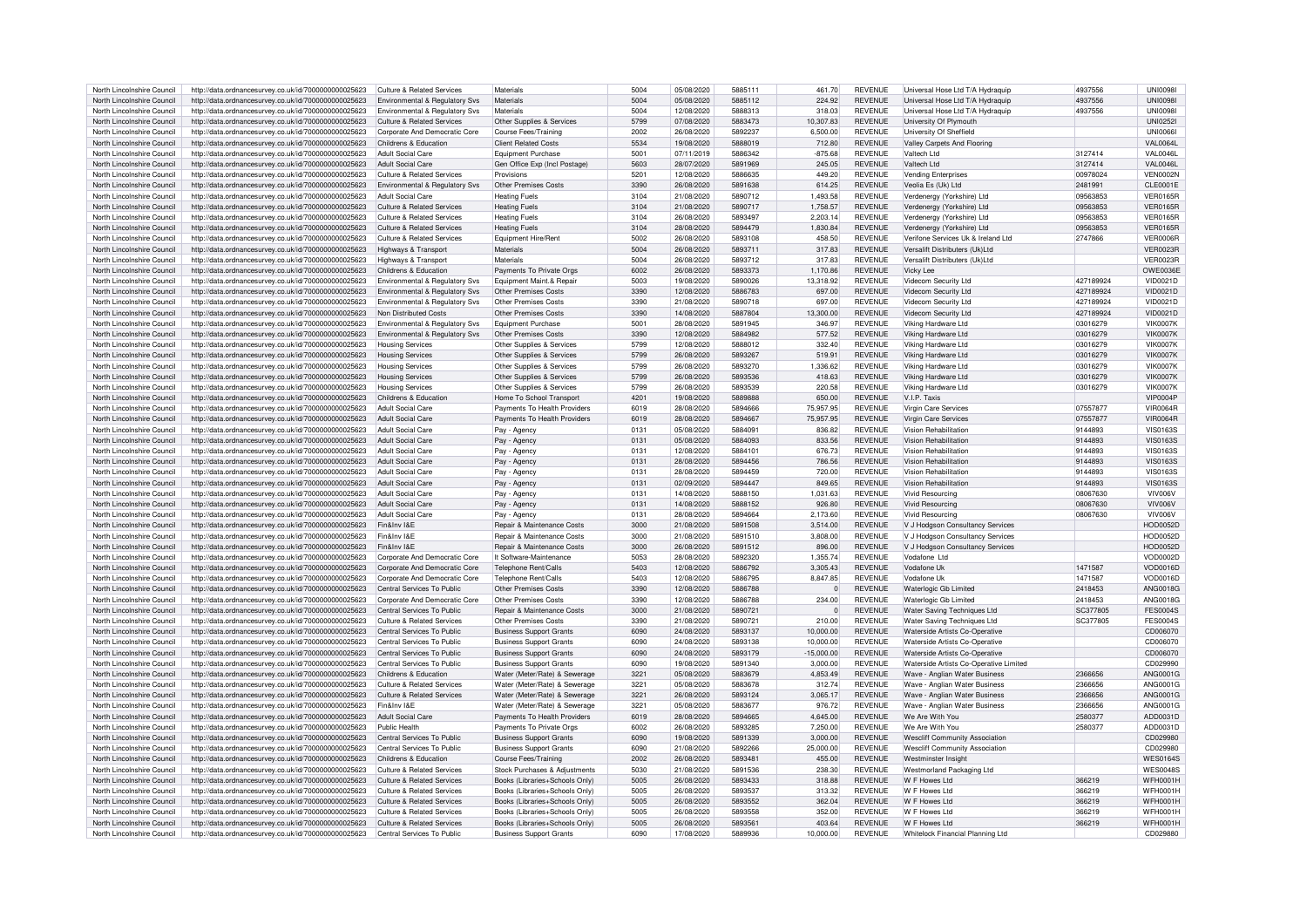| North Lincolnshire Council | http://data.ordnancesurvey.co.uk/id/7000000000025623 | Culture & Related Services            | Materials                      | 5004 | 05/08/2020 | 5885111 | 461.70       | <b>REVENUE</b> | Universal Hose Ltd T/A Hydraquip       | 4937556   | <b>UNI0098</b>  |
|----------------------------|------------------------------------------------------|---------------------------------------|--------------------------------|------|------------|---------|--------------|----------------|----------------------------------------|-----------|-----------------|
|                            |                                                      |                                       |                                |      |            |         |              |                |                                        |           |                 |
| North Lincolnshire Council | http://data.ordnancesurvey.co.uk/id/7000000000025623 | Environmental & Regulatory Sys        | Materials                      | 5004 | 05/08/2020 | 5885112 | 224.92       | <b>REVENUE</b> | Universal Hose Ltd T/A Hydraguip       | 4937556   | <b>UNI00981</b> |
| North Lincolnshire Council | http://data.ordnancesurvey.co.uk/id/7000000000025623 | Environmental & Regulatory Svs        | Materials                      | 5004 | 12/08/2020 | 5888313 | 318.03       | <b>REVENUE</b> | Universal Hose Ltd T/A Hydraquip       | 4937556   | <b>UNI0098I</b> |
| North Lincolnshire Council | http://data.ordnancesurvey.co.uk/id/7000000000025623 | Culture & Related Services            | Other Supplies & Services      | 5799 | 07/08/2020 | 5883473 | 10,307.83    | <b>REVENUE</b> | University Of Plymouth                 |           | <b>UNI02521</b> |
| North Lincolnshire Council | http://data.ordnancesurvey.co.uk/id/7000000000025623 | Corporate And Democratic Core         | Course Fees/Trainin            | 2002 | 26/08/2020 | 5892237 | 6,500.00     | <b>REVENUE</b> | University Of Sheffield                |           | <b>UNI0066</b>  |
|                            |                                                      |                                       |                                |      |            |         |              |                |                                        |           |                 |
| North Lincolnshire Council | http://data.ordnancesurvey.co.uk/id/7000000000025623 | Childrens & Education                 | <b>Client Related Costs</b>    | 5534 | 19/08/2020 | 5888019 | 712.80       | <b>REVENUE</b> | Valley Carpets And Flooring            |           | <b>VAL0064L</b> |
| North Lincolnshire Council | http://data.ordnancesurvey.co.uk/id/7000000000025623 | <b>Adult Social Care</b>              | Equipment Purchase             | 5001 | 07/11/2019 | 5886342 | $-875.68$    | <b>REVENUE</b> | Valtech Ltd                            | 3127414   | VAL0046L        |
| North Lincolnshire Council | http://data.ordnancesurvey.co.uk/id/7000000000025623 | Adult Social Care                     | Gen Office Exp (Incl Postage)  | 5603 | 28/07/2020 | 5891969 | 245.05       | <b>REVENUE</b> | Valtech Ltd                            | 3127414   | <b>VAL0046L</b> |
|                            |                                                      |                                       |                                |      |            |         |              |                |                                        |           |                 |
| North Lincolnshire Council | http://data.ordnancesurvey.co.uk/id/7000000000025623 | Culture & Related Services            | Provisions                     | 5201 | 12/08/2020 | 5886635 | 449.20       | <b>REVENUE</b> | <b>Vending Enterprises</b>             | 00978024  | <b>VEN0002N</b> |
| North Lincolnshire Council | http://data.ordnancesurvey.co.uk/id/7000000000025623 | Environmental & Regulatory Svs        | Other Premises Costs           | 3390 | 26/08/2020 | 5891638 | 614.25       | <b>REVENUE</b> | Veolia Es (Uk) Ltd                     | 2481991   | CLE0001E        |
| North Lincolnshire Council | http://data.ordnancesurvey.co.uk/id/7000000000025623 | Adult Social Care                     | <b>Heating Fuels</b>           | 3104 | 21/08/2020 | 5890712 | 1.493.58     | <b>REVENUE</b> | Verdenerav (Yorkshire) Ltd             | 09563853  | <b>VER0165R</b> |
| North Lincolnshire Council |                                                      | Culture & Related Services            |                                | 3104 | 21/08/2020 | 5890717 |              | <b>REVENUE</b> |                                        | 09563853  | <b>VER0165R</b> |
|                            | http://data.ordnancesurvey.co.uk/id/7000000000025623 |                                       | <b>Heating Fuels</b>           |      |            |         | 1,758.57     |                | Verdenergy (Yorkshire) Ltd             |           |                 |
| North Lincolnshire Council | http://data.ordnancesurvey.co.uk/id/7000000000025623 | Culture & Related Services            | <b>Heating Fuels</b>           | 3104 | 26/08/2020 | 5893497 | 2.203.14     | <b>REVENUE</b> | Verdenergy (Yorkshire) Ltd             | 09563853  | <b>VER0165R</b> |
| North Lincolnshire Council | http://data.ordnancesurvey.co.uk/id/7000000000025623 | Culture & Related Services            | <b>Heating Fuels</b>           | 3104 | 28/08/2020 | 5894479 | 1,830.84     | <b>REVENUE</b> | Verdenergy (Yorkshire) Ltd             | 09563853  | <b>VER0165R</b> |
| North Lincolnshire Council | http://data.ordnancesurvey.co.uk/id/7000000000025623 | <b>Culture &amp; Related Services</b> | Equipment Hire/Rent            | 5002 | 26/08/2020 | 5893108 | 458.50       | <b>REVENUE</b> | Verifone Services Uk & Ireland Ltd     | 2747866   | <b>VER0006R</b> |
|                            |                                                      |                                       |                                |      |            |         |              |                |                                        |           |                 |
| North Lincolnshire Council | http://data.ordnancesurvey.co.uk/id/7000000000025623 | Highways & Transport                  | Materials                      | 5004 | 26/08/2020 | 5893711 | 317.83       | <b>REVENUE</b> | Versalift Distributers (Uk)Ltd         |           | <b>VER0023R</b> |
| North Lincolnshire Council | http://data.ordnancesurvey.co.uk/id/7000000000025623 | Highways & Transport                  | Materials                      | 5004 | 26/08/2020 | 5893712 | 317.83       | <b>REVENUE</b> | Versalift Distributers (Uk)Ltd         |           | <b>VER0023R</b> |
| North Lincolnshire Council | http://data.ordnancesurvey.co.uk/id/7000000000025623 | Childrens & Education                 | Payments To Private Orgs       | 6002 | 26/08/2020 | 5893373 | 1,170.86     | <b>REVENUE</b> | Vicky Lee                              |           | <b>OWE0036E</b> |
|                            |                                                      |                                       |                                | 5003 |            |         |              | <b>REVENUE</b> |                                        | 427189924 |                 |
| North Lincolnshire Council | http://data.ordnancesurvey.co.uk/id/7000000000025623 | Environmental & Regulatory Svs        | Equipment Maint.& Repai        |      | 19/08/2020 | 5890026 | 13,318.92    |                | Videcom Security Ltd                   |           | VID0021D        |
| North Lincolnshire Council | http://data.ordnancesurvey.co.uk/id/7000000000025623 | Environmental & Regulatory Svs        | Other Premises Costs           | 3390 | 12/08/2020 | 5886783 | 697.00       | <b>REVENUE</b> | Videcom Security Ltd                   | 427189924 | <b>VID0021D</b> |
| North Lincolnshire Council | http://data.ordnancesurvey.co.uk/id/7000000000025623 | Environmental & Regulatory Svs        | Other Premises Costs           | 3390 | 21/08/2020 | 5890718 | 697.00       | <b>REVENUE</b> | Videcom Security Ltd                   | 427189924 | VID0021D        |
| North Lincolnshire Council | http://data.ordnancesurvey.co.uk/id/7000000000025623 | Non Distributed Costs                 | Other Premises Costs           | 3390 | 14/08/2020 | 5887804 | 13,300.00    | <b>REVENUE</b> | Videcom Security Ltd                   | 427189924 | <b>VID0021D</b> |
|                            |                                                      |                                       |                                |      |            |         |              |                |                                        |           |                 |
| North Lincolnshire Council | http://data.ordnancesurvey.co.uk/id/7000000000025623 | Environmental & Regulatory Svs        | Equipment Purchase             | 5001 | 28/08/2020 | 5891945 | 346.97       | <b>REVENUE</b> | Viking Hardware Ltd                    | 03016279  | VIK0007K        |
| North Lincolnshire Council | http://data.ordnancesurvey.co.uk/id/7000000000025623 | Environmental & Regulatory Svs        | Other Premises Costs           | 3390 | 12/08/2020 | 5884982 | 577.52       | <b>REVENUE</b> | Viking Hardware Ltd                    | 03016279  | VIK0007K        |
| North Lincolnshire Council | http://data.ordnancesurvey.co.uk/id/7000000000025623 | <b>Housing Services</b>               | Other Supplies & Services      | 5799 | 12/08/2020 | 5888012 | 332.40       | <b>REVENUE</b> | Viking Hardware Ltd                    | 03016279  | <b>VIK0007K</b> |
|                            |                                                      |                                       |                                |      |            |         |              |                |                                        |           |                 |
| North Lincolnshire Council | http://data.ordnancesurvey.co.uk/id/7000000000025623 | <b>Housing Services</b>               | Other Supplies & Services      | 5799 | 26/08/2020 | 5893267 | 519.91       | <b>REVENUE</b> | Viking Hardware Ltd                    | 03016279  | VIK0007K        |
| North Lincolnshire Council | http://data.ordnancesurvey.co.uk/id/7000000000025623 | Housing Services                      | Other Supplies & Services      | 5799 | 26/08/2020 | 5893270 | 1.336.62     | <b>REVENUE</b> | Viking Hardware Ltd                    | 03016279  | <b>VIK0007K</b> |
| North Lincolnshire Council | http://data.ordnancesurvey.co.uk/id/7000000000025623 | <b>Housing Services</b>               | Other Supplies & Services      | 5799 | 26/08/2020 | 5893536 | 418.63       | <b>REVENUE</b> | Viking Hardware Ltc                    | 03016279  | <b>VIK0007K</b> |
|                            |                                                      |                                       |                                |      |            |         |              |                |                                        |           |                 |
| North Lincolnshire Council | http://data.ordnancesurvey.co.uk/id/7000000000025623 | <b>Housing Services</b>               | Other Supplies & Services      | 5799 | 26/08/2020 | 5893539 | 220.58       | <b>REVENUE</b> | Viking Hardware Ltd                    | 03016279  | VIK0007K        |
| North Lincolnshire Council | http://data.ordnancesurvey.co.uk/id/7000000000025623 | Childrens & Education                 | Home To School Transport       | 4201 | 19/08/2020 | 5889888 | 650.00       | <b>REVENUE</b> | V.I.P. Taxis                           |           | <b>VIP0004P</b> |
| North Lincolnshire Council | http://data.ordnancesurvey.co.uk/id/7000000000025623 | Adult Social Care                     | Payments To Health Providers   | 6019 | 28/08/2020 | 5894666 | 75,957.95    | <b>REVENUE</b> | Virgin Care Services                   | 07557877  | <b>VIR0064R</b> |
| North Lincolnshire Council |                                                      | Adult Social Care                     |                                | 6019 | 28/08/2020 | 5894667 |              | <b>REVENUE</b> |                                        |           | <b>VIR0064R</b> |
|                            | http://data.ordnancesurvey.co.uk/id/7000000000025623 |                                       | Payments To Health Providers   |      |            |         | 75,957.95    |                | Virgin Care Services                   | 07557877  |                 |
| North Lincolnshire Council | http://data.ordnancesurvey.co.uk/id/7000000000025623 | <b>Adult Social Care</b>              | Pay - Agency                   | 0131 | 05/08/2020 | 5884091 | 836.82       | <b>REVENUE</b> | Vision Rehabilitation                  | 9144893   | VIS0163S        |
| North Lincolnshire Council | http://data.ordnancesurvey.co.uk/id/7000000000025623 | <b>Adult Social Care</b>              | Pay - Agency                   | 0131 | 05/08/2020 | 5884093 | 833.56       | <b>REVENUE</b> | Vision Rehabilitation                  | 9144893   | <b>VIS0163S</b> |
| North Lincolnshire Council | http://data.ordnancesurvey.co.uk/id/7000000000025623 | Adult Social Care                     | Pay - Agency                   | 0131 | 12/08/2020 | 5884101 | 676.73       | <b>REVENUE</b> | Vision Rehabilitation                  | 9144893   | <b>VIS0163S</b> |
|                            |                                                      |                                       |                                |      |            |         |              |                |                                        |           |                 |
| North Lincolnshire Council | http://data.ordnancesurvey.co.uk/id/7000000000025623 | <b>Adult Social Care</b>              | Pay - Agency                   | 0131 | 28/08/2020 | 5894456 | 786.56       | <b>REVENUE</b> | Vision Rehabilitation                  | 9144893   | <b>VIS0163S</b> |
| North Lincolnshire Council | http://data.ordnancesurvey.co.uk/id/7000000000025623 | Adult Social Care                     | Pay - Agency                   | 0131 | 28/08/2020 | 5894459 | 720.00       | <b>REVENUE</b> | Vision Rehabilitation                  | 9144893   | <b>VIS0163S</b> |
| North Lincolnshire Council | http://data.ordnancesurvey.co.uk/id/7000000000025623 | <b>Adult Social Care</b>              | Pay - Agency                   | 0131 | 02/09/2020 | 5894447 | 849.65       | <b>REVENUE</b> | Vision Rehabilitation                  | 9144893   | <b>VIS0163S</b> |
|                            |                                                      |                                       |                                |      |            | 5888150 |              | <b>REVENUE</b> |                                        |           | VIV006V         |
| North Lincolnshire Council | http://data.ordnancesurvey.co.uk/id/7000000000025623 | Adult Social Care                     | Pay - Agency                   | 0131 | 14/08/2020 |         | 1,031.63     |                | <b>Vivid Resourcing</b>                | 0806763   |                 |
| North Lincolnshire Council | http://data.ordnancesurvey.co.uk/id/7000000000025623 | <b>Adult Social Care</b>              | Pay - Agency                   | 0131 | 14/08/2020 | 5888152 | 926.80       | <b>REVENUE</b> | <b>Vivid Resourcing</b>                | 08067630  | VIV006V         |
| North Lincolnshire Council | http://data.ordnancesurvey.co.uk/id/7000000000025623 | Adult Social Care                     | Pay - Agency                   | 0131 | 28/08/2020 | 5894664 | 2,173.60     | <b>REVENUE</b> | Vivid Resourcing                       | 08067630  | VIV006V         |
| North Lincolnshire Council | http://data.ordnancesurvey.co.uk/id/7000000000025623 | Fin&Inv I&E                           | Repair & Maintenance Costs     | 3000 | 21/08/2020 | 5891508 | 3.514.00     | <b>REVENUE</b> | V J Hodgson Consultancy Services       |           | <b>HOD0052D</b> |
|                            |                                                      |                                       |                                |      |            |         |              |                |                                        |           |                 |
| North Lincolnshire Council | http://data.ordnancesurvey.co.uk/id/7000000000025623 | Fin&Inv I&F                           | Repair & Maintenance Costs     | 3000 | 21/08/2020 | 5891510 | 3,808.00     | <b>REVENUE</b> | V J Hodgson Consultancy Services       |           | <b>HOD0052D</b> |
| North Lincolnshire Council | http://data.ordnancesurvey.co.uk/id/7000000000025623 | Fin&Inv I&F                           | Repair & Maintenance Costs     | 3000 | 26/08/2020 | 5891512 | 896.00       | <b>REVENUE</b> | V J Hodgson Consultancy Services       |           | <b>HOD0052D</b> |
| North Lincolnshire Council | http://data.ordnancesurvey.co.uk/id/7000000000025623 | Corporate And Democratic Core         | It Software-Maintenance        | 5053 | 28/08/2020 | 5892320 | 1.355.74     | <b>REVENUE</b> | Vodafone I td                          |           | VOD0002D        |
|                            |                                                      |                                       |                                |      |            |         |              |                |                                        |           |                 |
| North Lincolnshire Council | http://data.ordnancesurvey.co.uk/id/7000000000025623 | Corporate And Democratic Core         | <b>Telephone Rent/Calls</b>    | 5403 | 12/08/2020 | 5886792 | 3,305.43     | <b>REVENUE</b> | Vodafone Uk                            | 1471587   | VOD0016D        |
| North Lincolnshire Council | http://data.ordnancesurvey.co.uk/id/7000000000025623 | Corporate And Democratic Core         | Telephone Rent/Calls           | 5403 | 12/08/2020 | 5886795 | 8.847.85     | <b>REVENUE</b> | Vodafone Uk                            | 1471587   | VOD0016D        |
| North Lincolnshire Council | http://data.ordnancesurvey.co.uk/id/7000000000025623 | Central Services To Public            | Other Premises Costs           | 3390 | 12/08/2020 | 5886788 | $\mathbf{0}$ | <b>REVENUE</b> | Waterlogic Gb Limited                  | 2418453   | ANG0018G        |
|                            |                                                      |                                       |                                | 3390 |            | 5886788 | 234.00       | <b>REVENUE</b> |                                        |           | ANG0018G        |
| North Lincolnshire Council | http://data.ordnancesurvey.co.uk/id/7000000000025623 | Corporate And Democratic Core         | Other Premises Costs           |      | 12/08/2020 |         |              |                | Waterlogic Gb Limited                  | 2418453   |                 |
| North Lincolnshire Council | http://data.ordnancesurvey.co.uk/id/7000000000025623 | Central Services To Public            | Repair & Maintenance Costs     | 3000 | 21/08/2020 | 5890721 | $\mathbf 0$  | <b>REVENUE</b> | Water Saving Techniques Ltd            | SC377805  | <b>FES0004S</b> |
| North Lincolnshire Council | http://data.ordnancesurvey.co.uk/id/7000000000025623 | Culture & Related Services            | Other Premises Costs           | 3390 | 21/08/2020 | 5890721 | 210.00       | <b>REVENUE</b> | Water Saving Techniques Ltd            | SC377805  | <b>FES0004S</b> |
| North Lincolnshire Council | http://data.ordnancesurvey.co.uk/id/7000000000025623 | Central Services To Public            | <b>Business Support Grants</b> | 6090 | 24/08/2020 | 5893137 | 10,000.00    | <b>REVENUE</b> | Waterside Artists Co-Operative         |           | CD006070        |
|                            |                                                      |                                       |                                |      |            |         |              |                |                                        |           |                 |
| North Lincolnshire Council | http://data.ordnancesurvey.co.uk/id/7000000000025623 | Central Services To Public            | <b>Business Support Grants</b> | 6090 | 24/08/2020 | 5893138 | 10.000.00    | <b>REVENUE</b> | Waterside Artists Co-Operative         |           | CD006070        |
| North Lincolnshire Council | http://data.ordnancesurvey.co.uk/id/7000000000025623 | Central Services To Public            | <b>Business Support Grants</b> | 6090 | 24/08/2020 | 5893179 | $-15,000.00$ | <b>REVENUE</b> | Waterside Artists Co-Operative         |           | CD006070        |
| North Lincolnshire Council | http://data.ordnancesurvey.co.uk/id/7000000000025623 | Central Services To Public            | <b>Business Support Grants</b> | 6090 | 19/08/2020 | 5891340 | 3,000.00     | <b>REVENUE</b> | Waterside Artists Co-Operative Limited |           | CD029990        |
| North Lincolnshire Council |                                                      | Childrens & Education                 |                                | 3221 | 05/08/2020 | 5883679 | 4.853.49     | <b>REVENUE</b> |                                        | 2366656   | ANG0001G        |
|                            | http://data.ordnancesurvey.co.uk/id/7000000000025623 |                                       | Water (Meter/Rate) & Sewerage  |      |            |         |              |                | Wave - Anglian Water Business          |           |                 |
| North Lincolnshire Council | http://data.ordnancesurvey.co.uk/id/7000000000025623 | Culture & Related Services            | Water (Meter/Rate) & Sewerage  | 3221 | 05/08/2020 | 5883678 | 312.74       | <b>REVENUE</b> | Wave - Anglian Water Business          | 2366656   | ANG0001G        |
| North Lincolnshire Council | http://data.ordnancesurvey.co.uk/id/7000000000025623 | Culture & Related Services            | Water (Meter/Rate) & Sewerage  | 3221 | 26/08/2020 | 5893124 | 3.065.17     | <b>REVENUE</b> | Wave - Anglian Water Business          | 2366656   | ANG0001G        |
| North Lincolnshire Council |                                                      | Fin&Inv I&F                           |                                | 3221 | 05/08/2020 | 5883677 | 976.72       | <b>REVENUE</b> |                                        | 2366656   | ANG0001G        |
|                            | http://data.ordnancesurvey.co.uk/id/7000000000025623 |                                       | Water (Meter/Rate) & Sewerage  |      |            |         |              |                | Wave - Anglian Water Business          |           |                 |
| North Lincolnshire Council | http://data.ordnancesurvey.co.uk/id/7000000000025623 | Adult Social Care                     | Payments To Health Providers   | 6019 | 28/08/2020 | 5894665 | 4,645.00     | <b>REVENUE</b> | We Are With You                        | 2580377   | ADD0031D        |
| North Lincolnshire Council | http://data.ordnancesurvey.co.uk/id/7000000000025623 | Public Health                         | Payments To Private Orgs       | 5002 | 26/08/2020 | 5893285 | 7,250.00     | <b>REVENUE</b> | We Are With You                        | 2580377   | ADD0031D        |
| North Lincolnshire Council | http://data.ordnancesurvey.co.uk/id/7000000000025623 | Central Services To Public            | <b>Business Support Grants</b> | 6090 | 19/08/2020 | 5891339 | 3.000.00     | <b>REVENUE</b> | <b>Wescliff Community Association</b>  |           | CD029980        |
|                            |                                                      |                                       |                                |      |            |         |              |                |                                        |           |                 |
| North Lincolnshire Council | http://data.ordnancesurvey.co.uk/id/7000000000025623 | Central Services To Public            | <b>Business Support Grants</b> | 6090 | 21/08/2020 | 5892266 | 25.000.00    | <b>REVENUE</b> | <b>Wescliff Community Association</b>  |           | CD029980        |
| North Lincolnshire Council | http://data.ordnancesurvey.co.uk/id/7000000000025623 | Childrens & Education                 | Course Fees/Training           | 2002 | 26/08/2020 | 5893481 | 455.00       | <b>REVENUE</b> | Westminster Insigh                     |           | <b>WES0164S</b> |
| North Lincolnshire Council | http://data.ordnancesurvey.co.uk/id/7000000000025623 | Culture & Related Services            | Stock Purchases & Adjustments  | 5030 | 21/08/2020 | 5891536 | 238.30       | <b>REVENUE</b> | Westmorland Packaging Ltd              |           | <b>WES00485</b> |
|                            |                                                      |                                       |                                | 5005 | 26/08/2020 | 5893433 |              | <b>REVENUE</b> | W F Howes I td                         | 366219    |                 |
| North Lincolnshire Council | http://data.ordnancesurvey.co.uk/id/7000000000025623 | <b>Culture &amp; Related Services</b> | Books (Libraries+Schools Only) |      |            |         | 318.88       |                |                                        |           | WFH0001H        |
| North Lincolnshire Council | http://data.ordnancesurvey.co.uk/id/7000000000025623 | <b>Culture &amp; Related Services</b> | Books (Libraries+Schools Only  | 5005 | 26/08/2020 | 5893537 | 313.32       | <b>REVENUE</b> | W F Howes Ltd                          | 366219    | WFH0001H        |
| North Lincolnshire Council | http://data.ordnancesurvey.co.uk/id/7000000000025623 | Culture & Related Services            | Books (Libraries+Schools Only) | 5005 | 26/08/2020 | 5893552 | 362.04       | <b>REVENUE</b> | W F Howes I to                         | 366219    | <b>WFH0001H</b> |
| North Lincolnshire Council | http://data.ordnancesurvey.co.uk/id/7000000000025623 | <b>Culture &amp; Related Services</b> | Books (Libraries+Schools Only) | 5005 | 26/08/2020 | 5893558 | 352.00       | <b>REVENUE</b> | W F Howes I td                         | 366219    | WFH0001F        |
|                            |                                                      |                                       |                                |      |            |         |              |                |                                        |           |                 |
| North Lincolnshire Council | http://data.ordnancesurvey.co.uk/id/7000000000025623 | Culture & Related Services            | Books (Libraries+Schools Only) | 5005 | 26/08/2020 | 5893561 | 403.64       | <b>REVENUE</b> | W F Howes Ltd                          | 366219    | <b>WFH0001H</b> |
| North Lincolnshire Council | http://data.ordnancesurvey.co.uk/id/7000000000025623 | Central Services To Public            | <b>Business Support Grants</b> | 6090 | 17/08/2020 | 5889936 | 10.000.00    | <b>REVENUE</b> | Whitelock Financial Planning Ltd       |           | CD029880        |
|                            |                                                      |                                       |                                |      |            |         |              |                |                                        |           |                 |